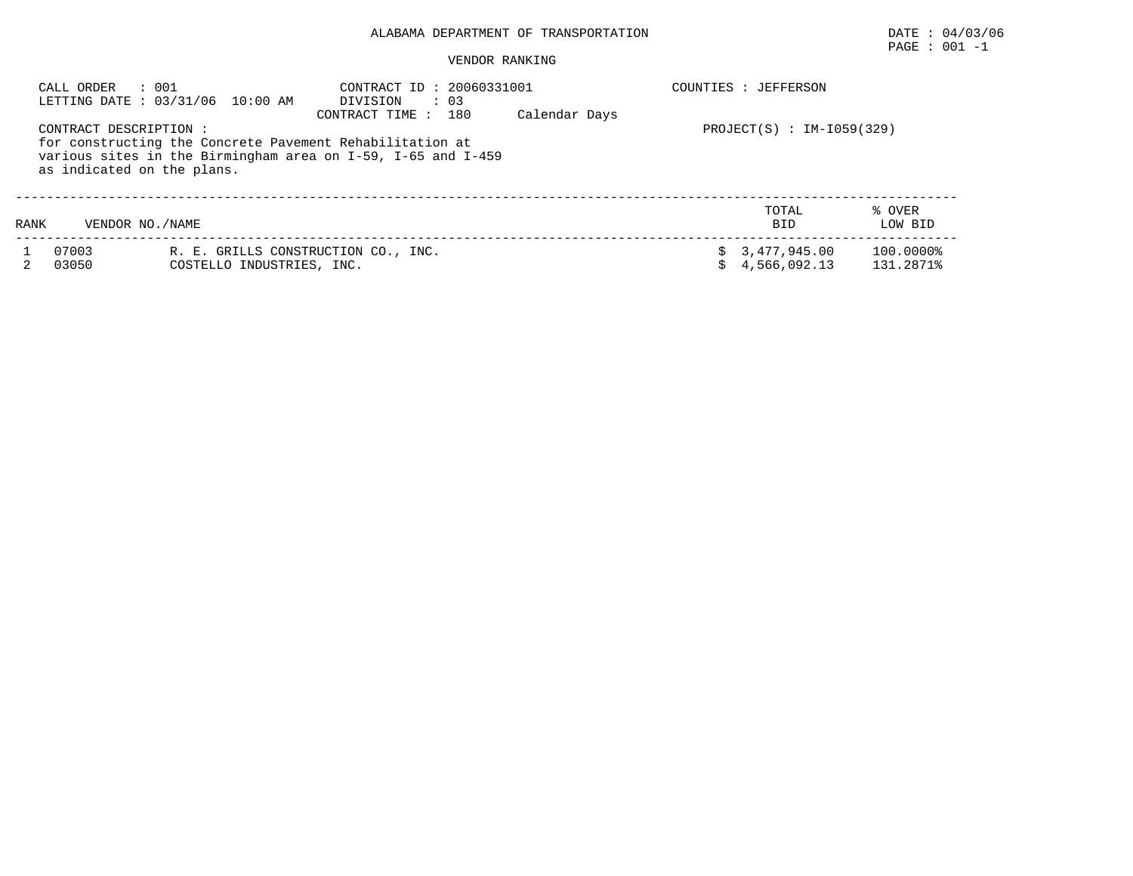## ALABAMA DEPARTMENT OF TRANSPORTATION DATE : 04/03/06

VENDOR RANKING

|      | : 001<br>CALL ORDER<br>CONTRACT DESCRIPTION :<br>as indicated on the plans. | LETTING DATE : 03/31/06 10:00 AM                                 | CONTRACT ID: 20060331001<br>$\therefore$ 03<br>DIVISION<br>180<br>CONTRACT TIME:<br>for constructing the Concrete Pavement Rehabilitation at<br>various sites in the Birmingham area on I-59, I-65 and I-459 | Calendar Days |    | COUNTIES : JEFFERSON<br>$PROJECT(S)$ : IM-I059(329) |                        |
|------|-----------------------------------------------------------------------------|------------------------------------------------------------------|--------------------------------------------------------------------------------------------------------------------------------------------------------------------------------------------------------------|---------------|----|-----------------------------------------------------|------------------------|
| RANK | VENDOR NO. / NAME                                                           |                                                                  |                                                                                                                                                                                                              |               |    | TOTAL<br><b>BID</b>                                 | % OVER<br>LOW BID      |
|      | 07003<br>03050                                                              | R. E. GRILLS CONSTRUCTION CO., INC.<br>COSTELLO INDUSTRIES, INC. |                                                                                                                                                                                                              |               | Ŝ. | 3,477,945.00<br>4,566,092.13                        | 100.0000%<br>131.2871% |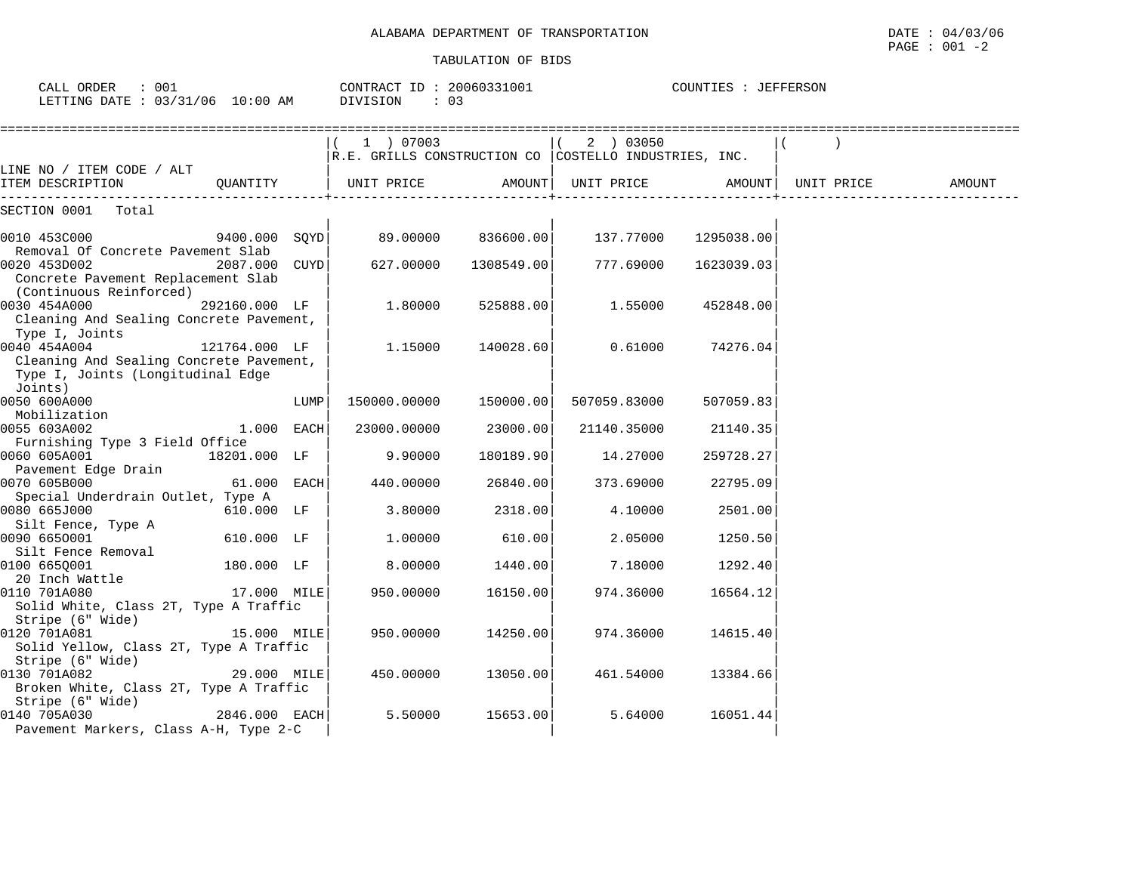| CALL ORDER<br>: 001<br>LETTING DATE: 03/31/06 10:00 AM                                                             |               |      | CONTRACT ID: 20060331001<br>DIVISION<br>$\therefore$ 03            |            |              | COUNTIES : JEFFERSON |                               |        |
|--------------------------------------------------------------------------------------------------------------------|---------------|------|--------------------------------------------------------------------|------------|--------------|----------------------|-------------------------------|--------|
|                                                                                                                    |               |      | (1) 07003<br>R.E. GRILLS CONSTRUCTION CO COSTELLO INDUSTRIES, INC. |            | (2) 03050    |                      | ============================= |        |
| LINE NO / ITEM CODE / ALT<br>ITEM DESCRIPTION                                                                      | OUANTITY      |      | UNIT PRICE                                                         | AMOUNT     | UNIT PRICE   | AMOUNT               | UNIT PRICE                    | AMOUNT |
| SECTION 0001 Total                                                                                                 |               |      |                                                                    |            |              |                      |                               |        |
| 0010 453C000                                                                                                       | 9400.000 SOYD |      | 89.00000                                                           | 836600.00  | 137.77000    | 1295038.00           |                               |        |
| Removal Of Concrete Pavement Slab<br>0020 453D002<br>Concrete Pavement Replacement Slab<br>(Continuous Reinforced) | 2087.000 CUYD |      | 627.00000                                                          | 1308549.00 | 777.69000    | 1623039.03           |                               |        |
| 0030 454A000<br>Cleaning And Sealing Concrete Pavement,<br>Type I, Joints                                          | 292160.000 LF |      | 1.80000                                                            | 525888.00  | 1.55000      | 452848.00            |                               |        |
| 0040 454A004<br>Cleaning And Sealing Concrete Pavement,<br>Type I, Joints (Longitudinal Edge<br>Joints)            | 121764.000 LF |      | 1.15000                                                            | 140028.60  | 0.61000      | 74276.04             |                               |        |
| 0050 600A000<br>Mobilization                                                                                       |               | LUMP | 150000.00000                                                       | 150000.00  | 507059.83000 | 507059.83            |                               |        |
| 0055 603A002                                                                                                       | $1.000$ EACH  |      | 23000.00000                                                        | 23000.00   | 21140.35000  | 21140.35             |                               |        |
| Furnishing Type 3 Field Office<br>0060 605A001                                                                     | 18201.000 LF  |      | 9.90000                                                            | 180189.90  | 14.27000     | 259728.27            |                               |        |
| Pavement Edge Drain<br>0070 605B000                                                                                | 61.000 EACH   |      | 440.00000                                                          | 26840.00   | 373.69000    | 22795.09             |                               |        |
| Special Underdrain Outlet, Type A<br>0080 665J000                                                                  | 610.000 LF    |      | 3.80000                                                            | 2318.00    | 4.10000      | 2501.00              |                               |        |
| Silt Fence, Type A<br>0090 6650001                                                                                 | 610.000 LF    |      | 1,00000                                                            | 610.00     | 2.05000      | 1250.50              |                               |        |
| Silt Fence Removal<br>0100 665Q001<br>20 Inch Wattle                                                               | 180.000 LF    |      | 8.00000                                                            | 1440.00    | 7.18000      | 1292.40              |                               |        |
| 0110 701A080<br>Solid White, Class 2T, Type A Traffic<br>Stripe (6" Wide)                                          | 17.000 MILE   |      | 950.00000                                                          | 16150.00   | 974.36000    | 16564.12             |                               |        |
| 0120 701A081<br>Solid Yellow, Class 2T, Type A Traffic<br>Stripe (6" Wide)                                         | 15.000 MILE   |      | 950.00000                                                          | 14250.00   | 974.36000    | 14615.40             |                               |        |
| 0130 701A082<br>Broken White, Class 2T, Type A Traffic<br>Stripe (6" Wide)                                         | 29.000 MILE   |      | 450.00000                                                          | 13050.00   | 461.54000    | 13384.66             |                               |        |
| 0140 705A030<br>Pavement Markers, Class A-H, Type 2-C                                                              | 2846.000 EACH |      | 5.50000                                                            | 15653.00   | 5.64000      | 16051.44             |                               |        |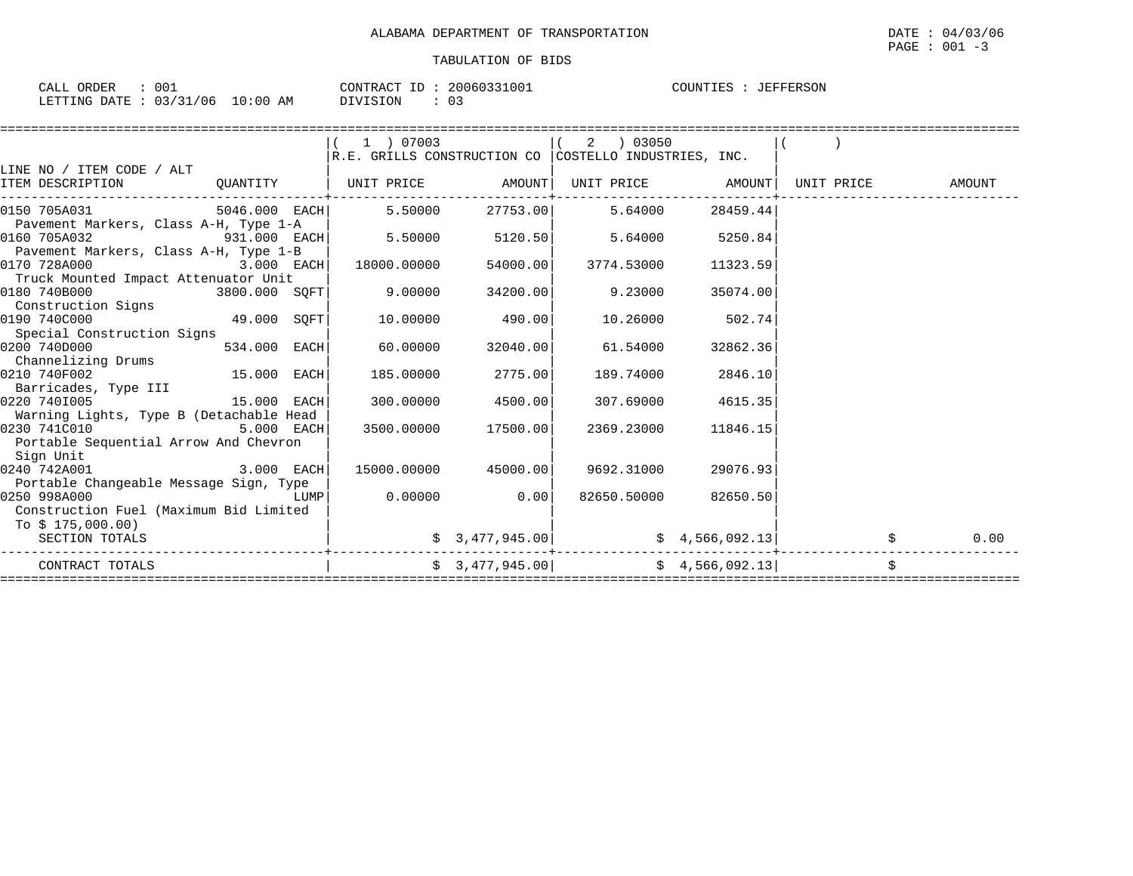| 001<br>ORDER<br>CALL                                                                                                                                           | 20060331001<br>CONTRACT ID | COUNTIES<br>JEFFERSON |
|----------------------------------------------------------------------------------------------------------------------------------------------------------------|----------------------------|-----------------------|
| $: 03/31/06$ 10<br>10:00 AM<br>LETTING DATE<br>the contract of the contract of the contract of the contract of the contract of the contract of the contract of | DIVISION<br>- ^ ^<br>. U   |                       |

|                                                                               |              | 1 ) 07003                                                                                               |                      | $(2)$ 03050                                           |                            |      |
|-------------------------------------------------------------------------------|--------------|---------------------------------------------------------------------------------------------------------|----------------------|-------------------------------------------------------|----------------------------|------|
| LINE NO / ITEM CODE / ALT                                                     |              | $\mathbb R. \mathbb E$ . GRILLS CONSTRUCTION CO $ \texttt{COSTELLO} \texttt{INDUSTRIES}, \texttt{INC}.$ |                      |                                                       |                            |      |
| ITEM DESCRIPTION                                                              |              | QUANTITY   UNIT PRICE AMOUNT  UNIT PRICE AMOUNT  UNIT PRICE AMOUNT                                      |                      |                                                       |                            |      |
| 0150 705A031                                                                  |              | 5046.000 EACH 5.50000                                                                                   |                      | 27753.00 5.64000                                      | 28459.44                   |      |
| Pavement Markers, Class A-H, Type 1-A<br>0160 705A032                         |              | 931.000 EACH $\vert$ 5.50000  5120.50  5.64000  5250.84                                                 |                      |                                                       |                            |      |
| Pavement Markers, Class A-H, Type 1-B<br>$3.000$ EACH<br>0170 728A000         |              | 18000.00000                                                                                             | 54000.00             | 3774.53000                                            | 11323.59                   |      |
| Truck Mounted Impact Attenuator Unit<br>0180 740B000                          |              | $3800.000$ $\texttt{SQFT}$ $\vert$ $9.00000$                                                            | 34200.00             | 9.23000                                               | 35074.00                   |      |
| Construction Signs<br>$49.000$ SQFT<br>0190 740C000                           |              | 10.00000                                                                                                | 490.00               | 10.26000                                              | 502.74                     |      |
| Special Construction Signs                                                    |              |                                                                                                         |                      |                                                       |                            |      |
| 0200 740D000<br>Channelizing Drums                                            | 534.000 EACH | 60.00000                                                                                                | 32040.00             | 61.54000                                              | 32862.36                   |      |
| $15.000$ EACH<br>0210 740F002                                                 |              | 185.00000                                                                                               | 2775.00              | 189.74000                                             | 2846.10                    |      |
| Barricades, Type III<br>$15.000$ EACH<br>0220 7401005                         |              |                                                                                                         | 300.00000 4500.00    |                                                       | 307.69000 4615.35          |      |
| Warning Lights, Type B (Detachable Head                                       |              |                                                                                                         |                      |                                                       |                            |      |
| 0230 741C010 5.000 EACH<br>Portable Sequential Arrow And Chevron<br>Sign Unit |              |                                                                                                         | 3500.00000 17500.00  | 2369.23000                                            | 11846.15                   |      |
| $3.000$ EACH<br>0240 742A001<br>Portable Changeable Message Sign, Type        |              |                                                                                                         | 15000.00000 45000.00 | 9692.31000                                            | 29076.93                   |      |
| LUMP<br>0250 998A000<br>Construction Fuel (Maximum Bid Limited                |              |                                                                                                         | $0.00000$ 0.00       | 82650.50000                                           | 82650.50                   |      |
| To \$ 175,000.00)<br>SECTION TOTALS                                           |              |                                                                                                         | \$3,477,945.00]      |                                                       | $\frac{1}{2}$ 4,566,092.13 | 0.00 |
| CONTRACT TOTALS                                                               |              |                                                                                                         |                      | $\frac{1}{2}$ 3,477,945.00 $\frac{1}{2}$ 4,566,092.13 |                            | \$   |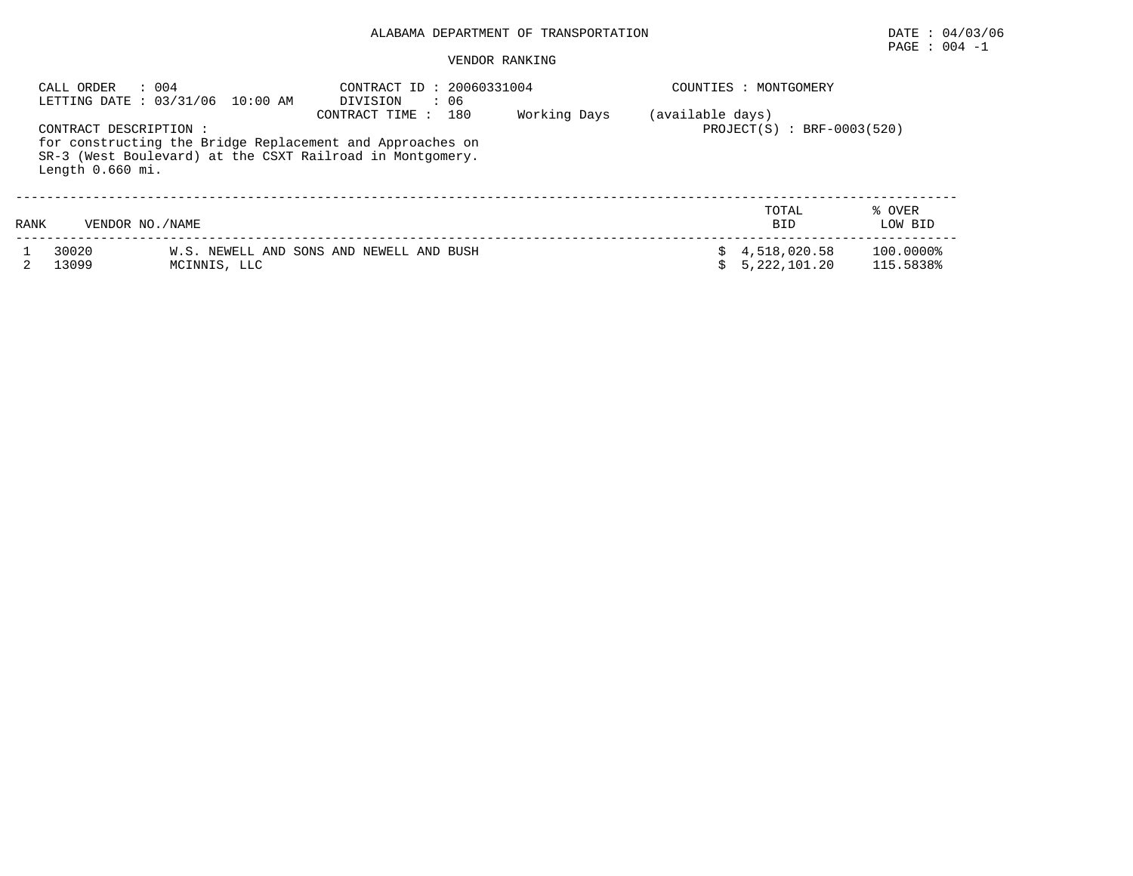## ALABAMA DEPARTMENT OF TRANSPORTATION DATE : 04/03/06

# $\texttt{PAGE}$  :  $004$  -1

#### VENDOR RANKING

|      | : 004<br>CALL ORDER<br>LETTING DATE: 03/31/06 10:00 AM |                                                                                                                        | : 06<br>DIVISION                         | CONTRACT ID: 20060331004                         |    |                              | COUNTIES : MONTGOMERY  |  |  |  |
|------|--------------------------------------------------------|------------------------------------------------------------------------------------------------------------------------|------------------------------------------|--------------------------------------------------|----|------------------------------|------------------------|--|--|--|
|      | CONTRACT DESCRIPTION :<br>Length 0.660 mi.             | for constructing the Bridge Replacement and Approaches on<br>SR-3 (West Boulevard) at the CSXT Railroad in Montgomery. |                                          | (available days)<br>$PROJECT(S) : BRF-0003(520)$ |    |                              |                        |  |  |  |
| RANK | VENDOR NO. / NAME                                      |                                                                                                                        |                                          |                                                  |    | TOTAL<br><b>BID</b>          | % OVER<br>LOW BID      |  |  |  |
|      | 30020<br>13099                                         | MCINNIS, LLC                                                                                                           | W.S. NEWELL AND SONS AND NEWELL AND BUSH |                                                  | Ŝ. | 4,518,020.58<br>5,222,101.20 | 100.0000%<br>115.5838% |  |  |  |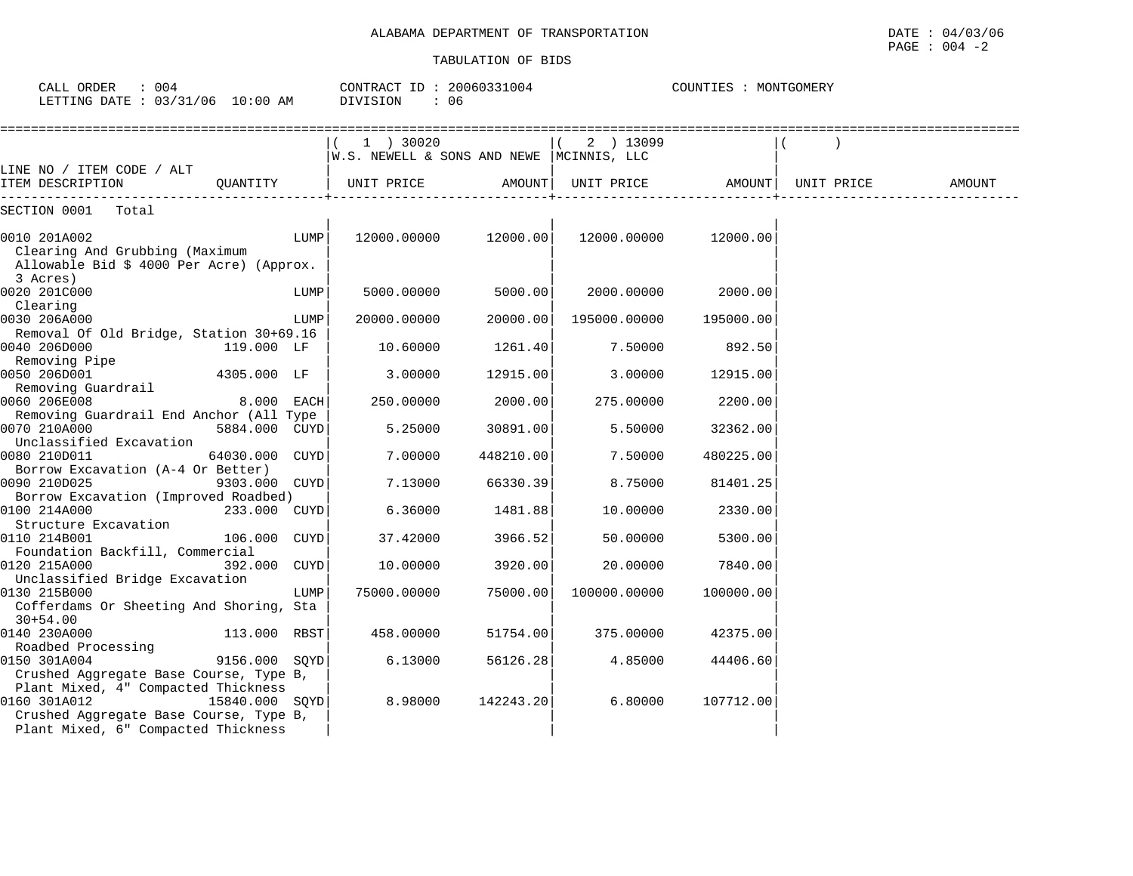| CALL ORDER : 004<br>LETTING DATE : 03/31/06 10:00 AM                                                                                 |                | CONTRACT ID: 20060331004<br>DIVISION<br>: 06 |                                           | COUNTIES : MONTGOMERY |                    |           |                    |        |
|--------------------------------------------------------------------------------------------------------------------------------------|----------------|----------------------------------------------|-------------------------------------------|-----------------------|--------------------|-----------|--------------------|--------|
|                                                                                                                                      |                |                                              | W.S. NEWELL & SONS AND NEWE  MCINNIS, LLC |                       | ( 2 ) 13099        |           |                    |        |
| LINE NO / ITEM CODE / ALT<br>ITEM DESCRIPTION                                                                                        | OUANTITY       |                                              | UNIT PRICE                                |                       | AMOUNT  UNIT PRICE |           | AMOUNT  UNIT PRICE | AMOUNT |
| SECTION 0001 Total                                                                                                                   |                |                                              |                                           |                       |                    |           |                    |        |
| 0010 201A002<br>Clearing And Grubbing (Maximum<br>Allowable Bid \$ 4000 Per Acre) (Approx.<br>3 Acres)                               |                | LUMP                                         | 12000.00000                               | 12000.00              | 12000.00000        | 12000.00  |                    |        |
| 0020 201C000                                                                                                                         |                | LUMP                                         | 5000.00000                                | 5000.00               | 2000.00000         | 2000.00   |                    |        |
| Clearing<br>0030 206A000<br>Removal Of Old Bridge, Station 30+69.16                                                                  |                | LUMP                                         | 20000.00000                               | 20000.00              | 195000.00000       | 195000.00 |                    |        |
| 0040 206D000                                                                                                                         | 119.000 LF     |                                              | 10.60000                                  | 1261.40               | 7.50000            | 892.50    |                    |        |
| Removing Pipe<br>0050 206D001<br>Removing Guardrail                                                                                  | 4305.000 LF    |                                              | 3.00000                                   | 12915.00              | 3.00000            | 12915.00  |                    |        |
| 0060 206E008                                                                                                                         | 8.000 EACH     |                                              | 250.00000                                 | 2000.00               | 275.00000          | 2200.00   |                    |        |
| Removing Guardrail End Anchor (All Type<br>0070 210A000                                                                              | 5884.000 CUYD  |                                              | 5.25000                                   | 30891.00              | 5.50000            | 32362.00  |                    |        |
| Unclassified Excavation<br>0080 210D011                                                                                              | 64030.000 CUYD |                                              | 7.00000                                   | 448210.00             | 7.50000            | 480225.00 |                    |        |
| Borrow Excavation (A-4 Or Better)<br>0090 210D025                                                                                    | 9303.000 CUYD  |                                              | 7.13000                                   | 66330.39              | 8.75000            | 81401.25  |                    |        |
| Borrow Excavation (Improved Roadbed)<br>0100 214A000                                                                                 | 233.000 CUYD   |                                              | 6.36000                                   | 1481.88               | 10.00000           | 2330.00   |                    |        |
| Structure Excavation<br>0110 214B001                                                                                                 | 106.000 CUYD   |                                              | 37.42000                                  | 3966.52               | 50.00000           | 5300.00   |                    |        |
| Foundation Backfill, Commercial<br>0120 215A000                                                                                      | 392.000 CUYD   |                                              | 10.00000                                  | 3920.00               | 20.00000           | 7840.00   |                    |        |
| Unclassified Bridge Excavation<br>0130 215B000<br>Cofferdams Or Sheeting And Shoring, Sta                                            |                | LUMP                                         | 75000.00000                               | 75000.00              | 100000.00000       | 100000.00 |                    |        |
| $30 + 54.00$<br>0140 230A000                                                                                                         | 113.000 RBST   |                                              | 458.00000                                 | 51754.00              | 375.00000          | 42375.00  |                    |        |
| Roadbed Processing<br>0150 301A004<br>Crushed Aggregate Base Course, Type B,                                                         | 9156.000 SOYD  |                                              | 6.13000                                   | 56126.28              | 4.85000            | 44406.60  |                    |        |
| Plant Mixed, 4" Compacted Thickness<br>0160 301A012<br>Crushed Aggregate Base Course, Type B,<br>Plant Mixed, 6" Compacted Thickness | 15840.000 SOYD |                                              | 8.98000                                   | 142243.20             | 6.80000            | 107712.00 |                    |        |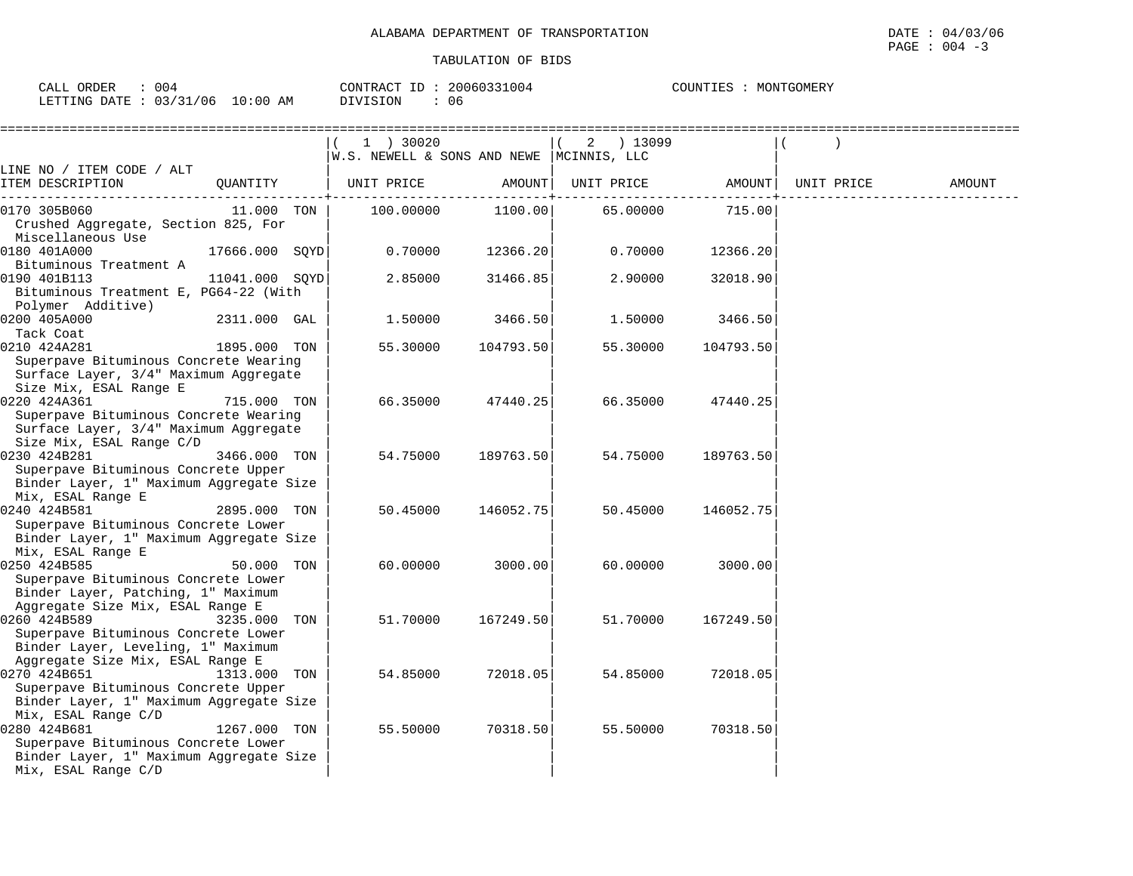| ORDER<br>CALI<br>004                    | 20060331004<br>CONTRACT<br>$\mathbf{L}$ | MONTGOMERY<br>COUNTIE |
|-----------------------------------------|-----------------------------------------|-----------------------|
| 03/31/06<br>10:00<br>LETTING DATE<br>ΑM | <b>DIVISION</b><br>-U 6                 |                       |

|                                                                                                                                          |                |     | 1 ) 30020                                 |           | 2 ) 13099  |           |            |        |
|------------------------------------------------------------------------------------------------------------------------------------------|----------------|-----|-------------------------------------------|-----------|------------|-----------|------------|--------|
|                                                                                                                                          |                |     | W.S. NEWELL & SONS AND NEWE  MCINNIS, LLC |           |            |           |            |        |
| LINE NO / ITEM CODE / ALT<br>ITEM DESCRIPTION                                                                                            | OUANTITY       |     | UNIT PRICE                                | AMOUNT    | UNIT PRICE | AMOUNT    | UNIT PRICE | AMOUNT |
| 0170 305B060<br>Crushed Aggregate, Section 825, For<br>Miscellaneous Use                                                                 | 11.000 TON     |     | 100.00000                                 | 1100.00   | 65.00000   | 715.00    |            |        |
| 0180 401A000<br>Bituminous Treatment A                                                                                                   | 17666.000 SOYD |     | 0.70000                                   | 12366.20  | 0.70000    | 12366.20  |            |        |
| 0190 401B113<br>Bituminous Treatment E, PG64-22 (With<br>Polymer Additive)                                                               | 11041.000 SOYD |     | 2.85000                                   | 31466.85  | 2.90000    | 32018.90  |            |        |
| 0200 405A000<br>Tack Coat                                                                                                                | 2311.000 GAL   |     | 1.50000                                   | 3466.50   | 1.50000    | 3466.50   |            |        |
| 0210 424A281<br>Superpave Bituminous Concrete Wearing<br>Surface Layer, 3/4" Maximum Aggregate<br>Size Mix, ESAL Range E                 | 1895.000 TON   |     | 55.30000                                  | 104793.50 | 55.30000   | 104793.50 |            |        |
| 0220 424A361<br>Superpave Bituminous Concrete Wearing<br>Surface Layer, 3/4" Maximum Aggregate<br>Size Mix, ESAL Range C/D               | 715.000 TON    |     | 66.35000                                  | 47440.25  | 66.35000   | 47440.25  |            |        |
| 0230 424B281<br>Superpave Bituminous Concrete Upper<br>Binder Layer, 1" Maximum Aggregate Size                                           | 3466.000 TON   |     | 54.75000                                  | 189763.50 | 54.75000   | 189763.50 |            |        |
| Mix, ESAL Range E<br>0240 424B581<br>Superpave Bituminous Concrete Lower<br>Binder Layer, 1" Maximum Aggregate Size<br>Mix, ESAL Range E | 2895.000 TON   |     | 50.45000                                  | 146052.75 | 50.45000   | 146052.75 |            |        |
| 0250 424B585<br>Superpave Bituminous Concrete Lower<br>Binder Layer, Patching, 1" Maximum<br>Aggregate Size Mix, ESAL Range E            | 50.000 TON     |     | 60.00000                                  | 3000.00   | 60.00000   | 3000.00   |            |        |
| 0260 424B589<br>Superpave Bituminous Concrete Lower<br>Binder Layer, Leveling, 1" Maximum<br>Aggregate Size Mix, ESAL Range E            | 3235.000       | TON | 51.70000                                  | 167249.50 | 51.70000   | 167249.50 |            |        |
| 0270 424B651<br>Superpave Bituminous Concrete Upper<br>Binder Layer, 1" Maximum Aggregate Size<br>Mix, ESAL Range C/D                    | 1313.000 TON   |     | 54.85000                                  | 72018.05  | 54.85000   | 72018.05  |            |        |
| 0280 424B681<br>Superpave Bituminous Concrete Lower<br>Binder Layer, 1" Maximum Aggregate Size<br>Mix, ESAL Range C/D                    | 1267.000 TON   |     | 55.50000                                  | 70318.50  | 55.50000   | 70318.50  |            |        |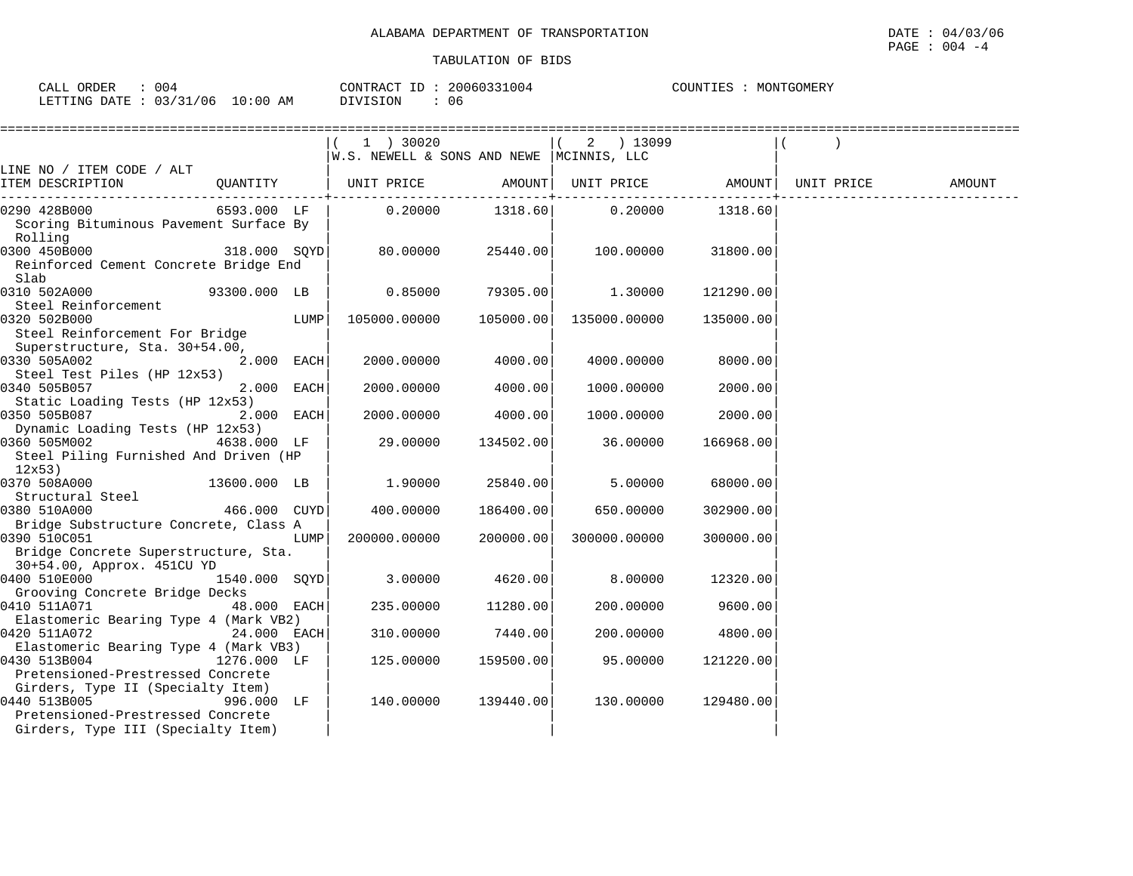$\text{CALL}$  ORDER : 004 CONTRACT ID : 20060331004

Pretensioned-Prestressed Concrete

Pretensioned-Prestressed Concrete Girders, Type III (Specialty Item) COUNTIES : MONTGOMERY

| LETTING DATE: 03/31/06 10:00 AM DIVISION : 06                                                                               |               |      |                                                        |                 |                         |           |                                |        |
|-----------------------------------------------------------------------------------------------------------------------------|---------------|------|--------------------------------------------------------|-----------------|-------------------------|-----------|--------------------------------|--------|
|                                                                                                                             |               |      | 1 ) 30020<br>W.S. NEWELL & SONS AND NEWE  MCINNIS, LLC |                 | $(2)$ 13099             |           |                                |        |
| LINE NO / ITEM CODE / ALT<br>ITEM DESCRIPTION                                                                               |               |      | QUANTITY   UNIT PRICE AMOUNT                           |                 |                         |           | UNIT PRICE AMOUNT   UNIT PRICE | AMOUNT |
| 0290 428B000<br>Scoring Bituminous Pavement Surface By<br>Rolling                                                           |               |      | 6593.000 LF   0.20000                                  |                 | 1318.60 0.20000 1318.60 |           |                                |        |
| 0300 450B000 318.000 SOYD<br>Reinforced Cement Concrete Bridge End<br>Slab                                                  |               |      |                                                        | 25440.00        | 100.00000               | 31800.00  |                                |        |
| 0310 502A000<br>Steel Reinforcement                                                                                         | 93300.000 LB  |      | 0.85000                                                | 79305.00        | 1.30000                 | 121290.00 |                                |        |
| 0320 502B000<br>Steel Reinforcement For Bridge<br>Superstructure, Sta. 30+54.00,                                            |               | LUMP | 105000.00000                                           | 105000.00       | 135000.00000            | 135000.00 |                                |        |
| 0330 505A002                                                                                                                | 2.000 EACH    |      | 2000.00000                                             | 4000.00         | 4000.00000              | 8000.00   |                                |        |
| Steel Test Piles (HP 12x53)<br>0340 505B057<br>Static Loading Tests (HP 12x53)                                              | 2.000 EACH    |      | 2000.00000                                             | 4000.00         | 1000.00000              | 2000.00   |                                |        |
| 0350 505B087 300 350 505<br>Dynamic Loading Tests (HP 12x53)                                                                | 2.000 EACH    |      | 2000.00000                                             | 4000.00         | 1000.00000              | 2000.00   |                                |        |
| 0360 505M002<br>Steel Piling Furnished And Driven (HP<br>12x53)                                                             | 4638.000 LF   |      | 29.00000                                               | 134502.00       | 36.00000                | 166968.00 |                                |        |
| 13600.000 LB<br>0370 508A000<br>Structural Steel                                                                            |               |      | 1,90000                                                | 25840.00        | 5,00000                 | 68000.00  |                                |        |
| 466.000 CUYD<br>0380 510A000                                                                                                |               |      | 400.00000                                              | 186400.00       | 650.00000               | 302900.00 |                                |        |
| Bridge Substructure Concrete, Class A<br>0390 510C051<br>Bridge Concrete Superstructure, Sta.<br>30+54.00, Approx. 451CU YD |               | LUMP | 200000.00000                                           | 200000.00       | 300000.00000            | 300000.00 |                                |        |
| 0400 510E000<br>Grooving Concrete Bridge Decks                                                                              | 1540.000 SQYD |      |                                                        | 3.00000 4620.00 | 8.00000                 | 12320.00  |                                |        |
| 0410 511A071<br>Elastomeric Bearing Type 4 (Mark VB2)                                                                       | 48.000 EACH   |      | 235.00000                                              | 11280.00        | 200.00000               | 9600.00   |                                |        |
| 0420 511A072<br>Elastomeric Bearing Type 4 (Mark VB3)                                                                       | 24.000 EACH   |      | 310.00000                                              | 7440.00         | 200.00000               | 4800.00   |                                |        |
| 0430 513B004                                                                                                                | 1276.000 LF   |      | 125.00000                                              | 159500.00       | 95.00000                | 121220.00 |                                |        |

Girders, Type II (Specialty Item) |<br>0440 513B005 129480.00 1996.000 LF 140.00000 139440.00 130.00000 129480.00

096.000 LF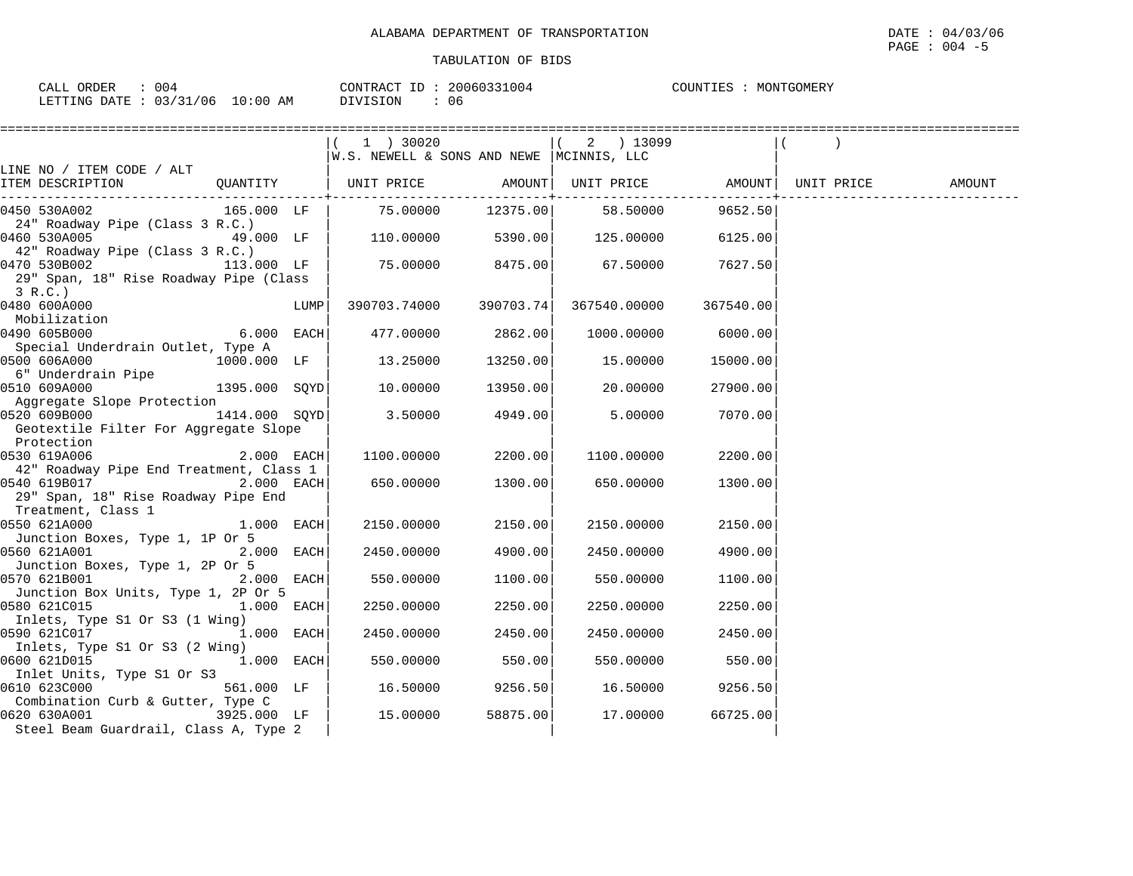| CALL ORDER                      | 20060331004    | COUNTIES   |
|---------------------------------|----------------|------------|
| 004                             | CONTRACT ID:   | MONTGOMERY |
| LETTING DATE: 03/31/06 10:00 AM | DIVISION<br>06 |            |

|                                                                                                                      |              |      | W.S. NEWELL & SONS AND NEWE  MCINNIS, LLC |           | 2 ) 13099    |           |            |        |
|----------------------------------------------------------------------------------------------------------------------|--------------|------|-------------------------------------------|-----------|--------------|-----------|------------|--------|
| LINE NO / ITEM CODE / ALT<br>ITEM DESCRIPTION                                                                        |              |      |                                           |           |              |           | UNIT PRICE | AMOUNT |
| 0450 530A002<br>24" Roadway Pipe (Class 3 R.C.)                                                                      | 165.000 LF   |      | 75.00000  12375.00  58.50000              |           |              | 9652.50   |            |        |
| 0460 530A005<br>42" Roadway Pipe (Class 3 R.C.)                                                                      | 49.000 LF    |      | 110.00000                                 | 5390.00   | 125.00000    | 6125.00   |            |        |
| 0470 530B002<br>29" Span, 18" Rise Roadway Pipe (Class<br>3 R.C.                                                     | 113.000 LF   |      | 75.00000                                  | 8475.00   | 67.50000     | 7627.50   |            |        |
| 0480 600A000<br>Mobilization                                                                                         |              | LUMP | 390703.74000                              | 390703.74 | 367540.00000 | 367540.00 |            |        |
| 0490 605B000<br>Special Underdrain Outlet, Type A                                                                    | $6.000$ EACH |      | 477.00000 2862.00                         |           | 1000.00000   | 6000.00   |            |        |
| 0500 606A000<br>6" Underdrain Pipe                                                                                   | 1000.000 LF  |      | 13.25000                                  | 13250.00  | 15.00000     | 15000.00  |            |        |
| 0510 609A000<br>$1395.000$ SQYD<br>Aggregate Slope Protection                                                        |              |      | 10.00000                                  | 13950.00  | 20.00000     | 27900.00  |            |        |
| 0520 609B000 1414.000 SQYD<br>Geotextile Filter For Aggregate Slope<br>Protection                                    |              |      | 3.50000                                   | 4949.00   | 5.00000      | 7070.00   |            |        |
| 0530 619A006                                                                                                         | $2.000$ EACH |      | 1100.00000                                | 2200.00   | 1100.00000   | 2200.00   |            |        |
| 42" Roadway Pipe End Treatment, Class 1<br>0540 619B017<br>29" Span, 18" Rise Roadway Pipe End<br>Treatment, Class 1 | $2.000$ EACH |      | 650.00000                                 | 1300.00   | 650.00000    | 1300.00   |            |        |
| 0550 621A000<br>Junction Boxes, Type 1, 1P Or 5                                                                      | $1.000$ EACH |      | 2150.00000                                | 2150.00   | 2150.00000   | 2150.00   |            |        |
| 0560 621A001<br>Junction Boxes, Type 1, 2P Or 5                                                                      | 2.000 EACH   |      | 2450.00000                                | 4900.00   | 2450.00000   | 4900.00   |            |        |
| 0570 621B001<br>Junction Box Units, Type 1, 2P Or 5                                                                  | $2.000$ EACH |      | 550.00000                                 | 1100.00   | 550.00000    | 1100.00   |            |        |
| 0580 621C015<br>Inlets, Type S1 Or S3 (1 Wing)                                                                       | 1.000 EACH   |      | 2250.00000                                | 2250.00   | 2250.00000   | 2250.00   |            |        |
| 0590 621C017<br>Inlets, Type S1 Or S3 (2 Wing)                                                                       | 1.000 EACH   |      | 2450.00000                                | 2450.00   | 2450.00000   | 2450.00   |            |        |
| 0600 621D015<br>Inlet Units, Type S1 Or S3                                                                           | $1.000$ EACH |      | 550.00000                                 | 550.00    | 550.00000    | 550.00    |            |        |
| 0610 623C000<br>Combination Curb & Gutter, Type C                                                                    | 561.000 LF   |      | 16.50000                                  | 9256.50   | 16.50000     | 9256.50   |            |        |
| 0620 630A001<br>3925.000 LF<br>Steel Beam Guardrail, Class A, Type 2                                                 |              |      | 15.00000                                  | 58875.00  | 17.00000     | 66725.00  |            |        |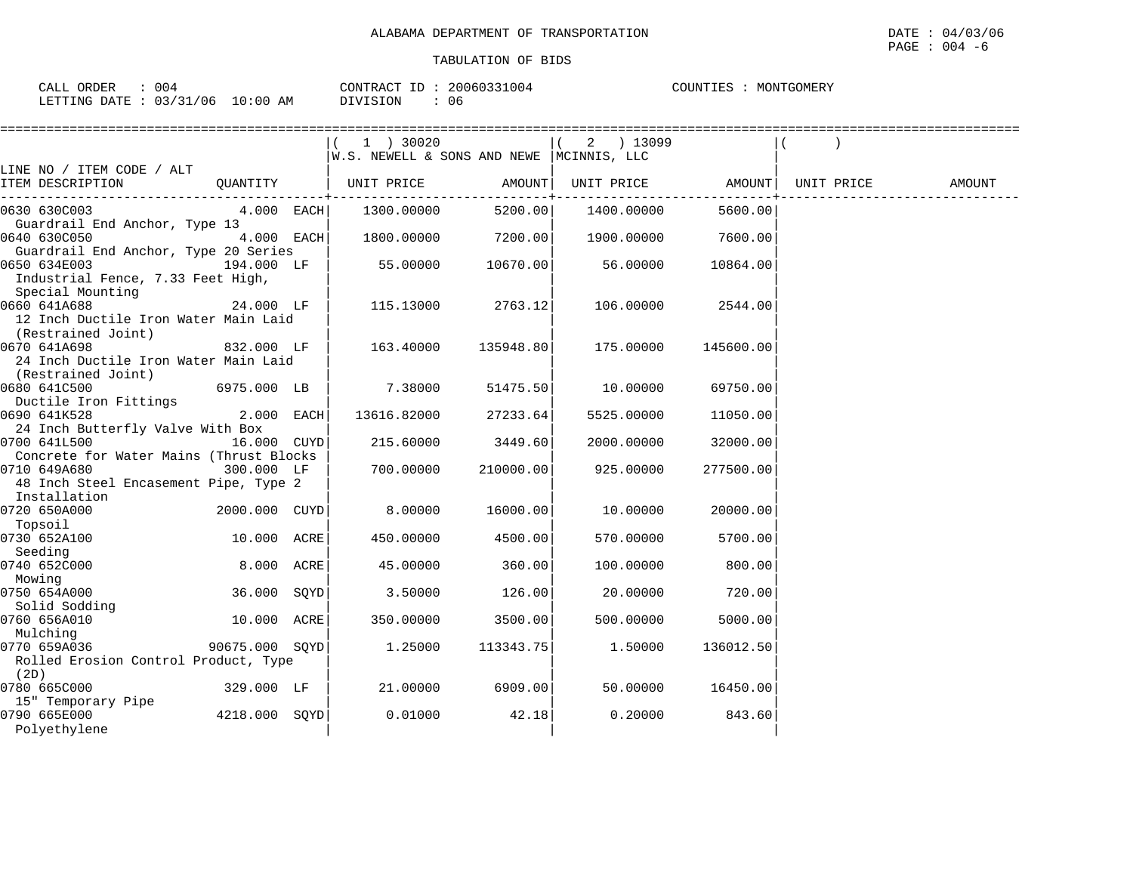| 004<br>CALI<br>ORDER                                |             | ו ב חידות∩ר<br>$\sqrt{2}$<br>RAI | 11004<br>$3006033$ | TGOMERY<br>550375<br>COUNTIES<br>$.$ JN T $\leftrightarrow$<br>ᆠᄗ |
|-----------------------------------------------------|-------------|----------------------------------|--------------------|-------------------------------------------------------------------|
| /31/06<br>22/<br>RTTING DATE<br><b>PRITING</b><br>ັ | AΜ<br>10:00 | "STON<br>.111<br>∸∽              | 06                 |                                                                   |

| =========================                                             |               | ================                           |                       |                    |           |            |        |
|-----------------------------------------------------------------------|---------------|--------------------------------------------|-----------------------|--------------------|-----------|------------|--------|
|                                                                       |               |                                            |                       | $(2)$ 13099        |           |            |        |
|                                                                       |               | W.S. NEWELL & SONS AND NEWE   MCINNIS, LLC |                       |                    |           |            |        |
| LINE NO / ITEM CODE / ALT                                             |               |                                            |                       |                    |           |            |        |
| ITEM DESCRIPTION                                                      |               |                                            | -------------------+- | UNIT PRICE AMOUNT  |           | UNIT PRICE | AMOUNT |
| 0630 630C003                                                          | $4.000$ EACH  | 1300.00000                                 | 5200.00               | 1400.00000         | 5600.00   |            |        |
| Guardrail End Anchor, Type 13                                         |               |                                            |                       |                    |           |            |        |
| 0640 630C050                                                          | 4.000 EACH    | 1800.00000                                 | 7200.00               | 1900.00000 7600.00 |           |            |        |
| Guardrail End Anchor, Type 20 Series                                  |               |                                            |                       |                    |           |            |        |
| 0650 634E003<br>Industrial Fence, 7.33 Feet High,                     | 194.000 LF    | 55.00000                                   | 10670.00              | 56.00000           | 10864.00  |            |        |
| Special Mounting                                                      |               |                                            |                       |                    |           |            |        |
| 0660 641A688                                                          | 24.000 LF     | 115.13000                                  | 2763.12               | 106.00000          | 2544.00   |            |        |
| 12 Inch Ductile Iron Water Main Laid<br>(Restrained Joint)            |               |                                            |                       |                    |           |            |        |
| 0670 641A698                                                          | 832.000 LF    | 163.40000                                  | 135948.80             | 175.00000          | 145600.00 |            |        |
| 24 Inch Ductile Iron Water Main Laid                                  |               |                                            |                       |                    |           |            |        |
| (Restrained Joint)                                                    |               |                                            |                       |                    |           |            |        |
| 0680 641C500<br>6975.000 LB                                           |               | 7.38000                                    | 51475.50              | 10.00000           | 69750.00  |            |        |
| Ductile Iron Fittings                                                 |               |                                            |                       |                    |           |            |        |
| 0690 641K528                                                          | 2.000 EACH    | 13616.82000                                | 27233.64              | 5525.00000         | 11050.00  |            |        |
| 24 Inch Butterfly Valve With Box                                      |               |                                            |                       |                    |           |            |        |
| 0700 641L500                                                          | 16.000 CUYD   | 215.60000                                  | 3449.60               | 2000.00000         | 32000.00  |            |        |
| Concrete for Water Mains (Thrust Blocks<br>0710 649A680<br>300.000 LF |               | 700.00000                                  | 210000.00             | 925.00000          | 277500.00 |            |        |
| 48 Inch Steel Encasement Pipe, Type 2                                 |               |                                            |                       |                    |           |            |        |
| Installation                                                          |               |                                            |                       |                    |           |            |        |
| 0720 650A000                                                          | 2000.000 CUYD | 8.00000                                    | 16000.00              | 10.00000           | 20000.00  |            |        |
| Topsoil                                                               |               |                                            |                       |                    |           |            |        |
| 0730 652A100                                                          | 10.000 ACRE   | 450.00000                                  | 4500.00               | 570.00000          | 5700.00   |            |        |
| Seeding                                                               |               |                                            |                       |                    |           |            |        |
| 0740 652C000                                                          | 8.000 ACRE    | 45.00000                                   | 360.00                | 100.00000          | 800.00    |            |        |
| Mowing                                                                |               |                                            |                       |                    |           |            |        |
| 0750 654A000                                                          | 36.000 SOYD   | 3.50000                                    | 126.00                | 20.00000           | 720.00    |            |        |
| Solid Sodding                                                         |               |                                            |                       |                    |           |            |        |
| 0760 656A010                                                          | 10.000 ACRE   | 350.00000                                  | 3500.00               | 500.00000          | 5000.00   |            |        |
| Mulching                                                              |               |                                            |                       |                    |           |            |        |
| 0770 659A036<br>90675.000 SOYD                                        |               | 1.25000                                    | 113343.75             | 1.50000            | 136012.50 |            |        |
| Rolled Erosion Control Product, Type                                  |               |                                            |                       |                    |           |            |        |
| (2D)                                                                  |               |                                            |                       |                    |           |            |        |
| 0780 665C000                                                          | 329.000 LF    | 21.00000                                   | 6909.00               | 50.00000           | 16450.00  |            |        |
| 15" Temporary Pipe<br>0790 665E000                                    | 4218.000 SOYD | 0.01000                                    | 42.18                 | 0.20000            | 843.60    |            |        |
| Polyethylene                                                          |               |                                            |                       |                    |           |            |        |
|                                                                       |               |                                            |                       |                    |           |            |        |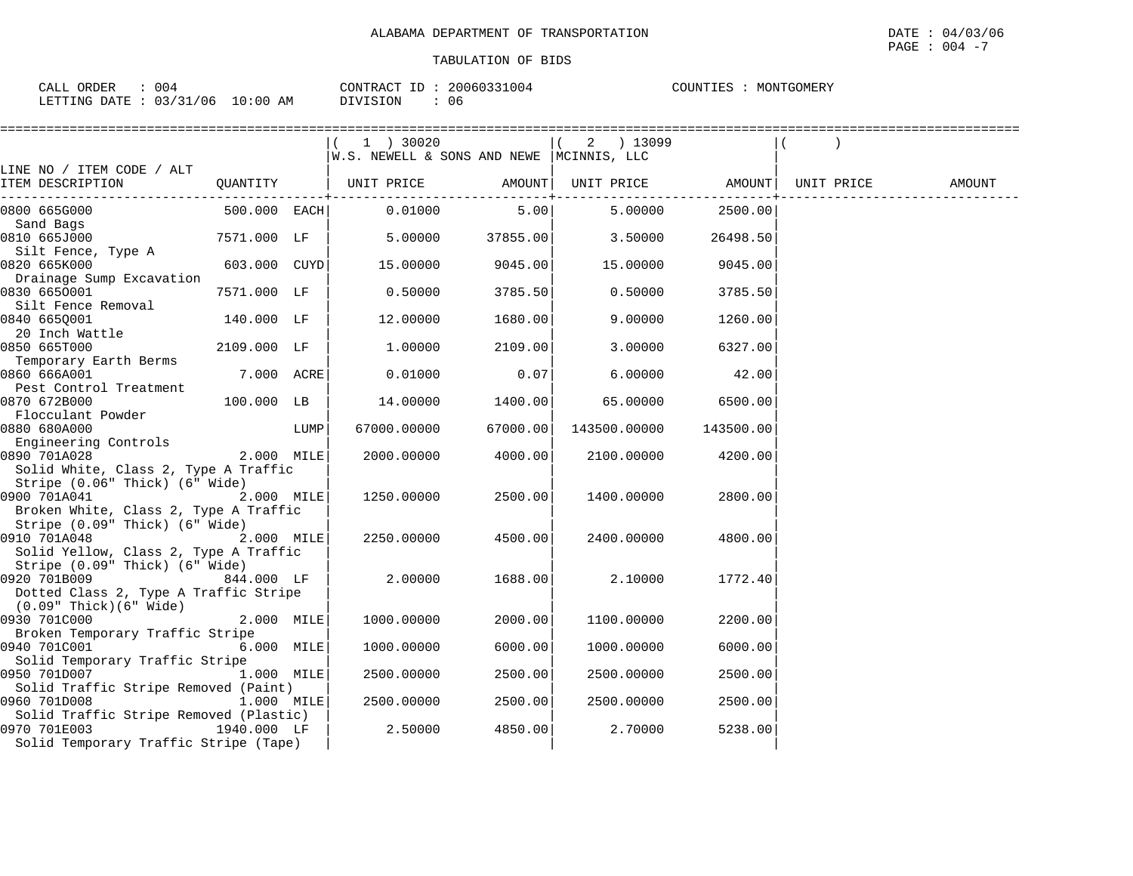| CALL ORDER                           | 20060331004    | COUNTIES : |
|--------------------------------------|----------------|------------|
| 004                                  | CONTRACT ID:   | MONTGOMERY |
| $10:00$ AM<br>LETTING DATE: 03/31/06 | DIVISION<br>06 |            |

|                                                                         |              |      | ============                               |          |                   | ============ |            |        |
|-------------------------------------------------------------------------|--------------|------|--------------------------------------------|----------|-------------------|--------------|------------|--------|
|                                                                         |              |      | 1 ) 30020                                  |          | $(2)$ 13099       |              |            |        |
|                                                                         |              |      | W.S. NEWELL & SONS AND NEWE   MCINNIS, LLC |          |                   |              |            |        |
| LINE NO / ITEM CODE / ALT                                               |              |      |                                            |          |                   |              |            |        |
| ITEM DESCRIPTION                                                        |              |      | QUANTITY   UNIT PRICE AMOUNT               |          | UNIT PRICE AMOUNT |              | UNIT PRICE | AMOUNT |
| 0800 665G000                                                            | 500.000 EACH |      | 0.01000                                    | 5.00     | 5.00000           | 2500.00      |            |        |
| Sand Bags                                                               |              |      |                                            |          |                   |              |            |        |
| 0810 665J000                                                            | 7571.000 LF  |      | 5.00000                                    | 37855.00 | 3.50000           | 26498.50     |            |        |
| Silt Fence, Type A                                                      |              |      |                                            |          |                   |              |            |        |
| 0820 665K000                                                            | 603.000 CUYD |      | 15.00000                                   | 9045.00  | 15.00000          | 9045.00      |            |        |
| Drainage Sump Excavation                                                |              |      |                                            |          |                   |              |            |        |
| 0830 6650001                                                            | 7571.000 LF  |      | 0.50000                                    | 3785.50  | 0.50000           | 3785.50      |            |        |
| Silt Fence Removal                                                      |              |      |                                            |          |                   |              |            |        |
| 0840 665Q001                                                            | 140.000 LF   |      | 12.00000                                   | 1680.00  | 9.00000           | 1260.00      |            |        |
| 20 Inch Wattle<br>0850 665T000                                          | 2109.000 LF  |      | 1.00000                                    | 2109.00  | 3.00000           | 6327.00      |            |        |
| Temporary Earth Berms                                                   |              |      |                                            |          |                   |              |            |        |
| 0860 666A001                                                            | 7.000 ACRE   |      | 0.01000                                    | 0.07     | 6.00000           | 42.00        |            |        |
| Pest Control Treatment                                                  |              |      |                                            |          |                   |              |            |        |
| 0870 672B000                                                            | 100.000 LB   |      | 14.00000                                   | 1400.00  | 65.00000          | 6500.00      |            |        |
| Flocculant Powder                                                       |              |      |                                            |          |                   |              |            |        |
| 0880 680A000                                                            |              | LUMP | 67000.00000                                | 67000.00 | 143500.00000      | 143500.00    |            |        |
| Engineering Controls                                                    |              |      |                                            |          |                   |              |            |        |
| 0890 701A028                                                            | 2.000 MILE   |      | 2000.00000                                 | 4000.00  | 2100.00000        | 4200.00      |            |        |
| Solid White, Class 2, Type A Traffic                                    |              |      |                                            |          |                   |              |            |        |
| Stripe (0.06" Thick) (6" Wide)                                          |              |      |                                            |          |                   |              |            |        |
| 0900 701A041                                                            | 2.000 MILE   |      | 1250.00000                                 | 2500.00  | 1400.00000        | 2800.00      |            |        |
| Broken White, Class 2, Type A Traffic                                   |              |      |                                            |          |                   |              |            |        |
| Stripe (0.09" Thick) (6" Wide)                                          |              |      |                                            |          |                   |              |            |        |
| 0910 701A048                                                            | 2.000 MILE   |      | 2250.00000                                 | 4500.00  | 2400.00000        | 4800.00      |            |        |
| Solid Yellow, Class 2, Type A Traffic<br>Stripe (0.09" Thick) (6" Wide) |              |      |                                            |          |                   |              |            |        |
| 0920 701B009<br>$844.000$ LF                                            |              |      | 2,00000                                    | 1688.00  | 2.10000           | 1772.40      |            |        |
| Dotted Class 2, Type A Traffic Stripe                                   |              |      |                                            |          |                   |              |            |        |
| $(0.09"$ Thick $)(6"$ Wide $)$                                          |              |      |                                            |          |                   |              |            |        |
| 0930 701C000                                                            | 2.000 MILE   |      | 1000.00000                                 | 2000.00  | 1100.00000        | 2200.00      |            |        |
| Broken Temporary Traffic Stripe                                         |              |      |                                            |          |                   |              |            |        |
| 0940 701C001                                                            | 6.000 MILE   |      | 1000.00000                                 | 6000.00  | 1000.00000        | 6000.00      |            |        |
| Solid Temporary Traffic Stripe                                          |              |      |                                            |          |                   |              |            |        |
| 0950 701D007                                                            | 1.000 MILE   |      | 2500.00000                                 | 2500.00  | 2500.00000        | 2500.00      |            |        |
| Solid Traffic Stripe Removed (Paint)                                    |              |      |                                            |          |                   |              |            |        |
| 0960 701D008                                                            | 1.000 MILE   |      | 2500.00000                                 | 2500.00  | 2500.00000        | 2500.00      |            |        |
| Solid Traffic Stripe Removed (Plastic)                                  |              |      |                                            |          |                   |              |            |        |
| 0970 701E003                                                            | 1940.000 LF  |      | 2.50000                                    | 4850.00  | 2.70000           | 5238.00      |            |        |
| Solid Temporary Traffic Stripe (Tape)                                   |              |      |                                            |          |                   |              |            |        |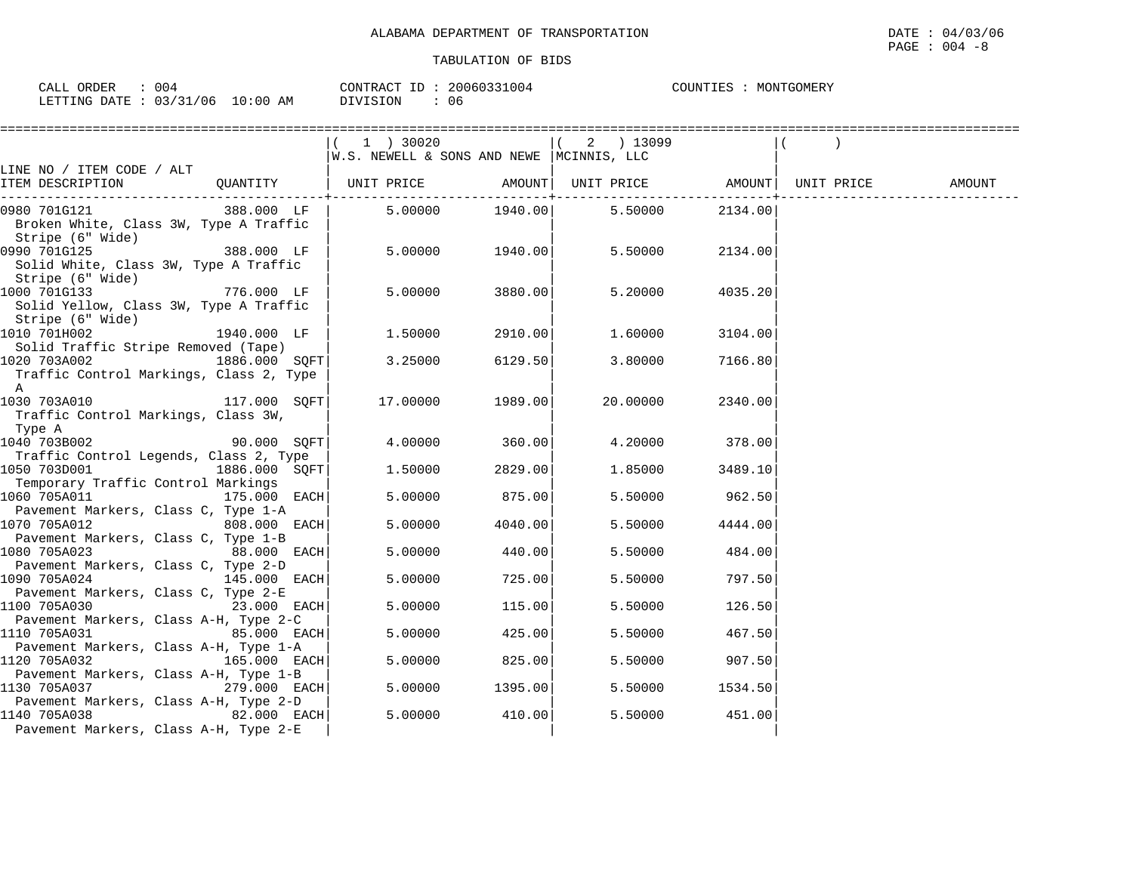| 004<br>ORDER<br>CALL              |            | CONTRACT<br>ID | 20060331004 | COUNTIES<br>MONTGOMERY |
|-----------------------------------|------------|----------------|-------------|------------------------|
| : 03/31/06<br>LETTING DATE<br>⊥ ب | $10:00$ AM | DIVISION       | 06          |                        |

|                                                                                                |               | ==============================                                          |         |                                         |         |        |
|------------------------------------------------------------------------------------------------|---------------|-------------------------------------------------------------------------|---------|-----------------------------------------|---------|--------|
|                                                                                                |               | $(1)$ 30020<br>$ W.S.$ NEWELL & SONS AND NEWE $ MCINNIS, LLC$           |         | ( 2 ) 13099                             |         |        |
| LINE NO / ITEM CODE / ALT<br>ITEM DESCRIPTION                                                  |               | QUANTITY   UNIT PRICE       AMOUNT  UNIT PRICE       AMOUNT  UNIT PRICE |         |                                         |         | AMOUNT |
| 0980 701G121 388.000 LF<br>Broken White, Class 3W, Type A Traffic<br>Stripe (6" Wide)          |               |                                                                         |         | $5.00000$ $1940.00$ $5.50000$ $2134.00$ |         |        |
| 0990 701G125<br>Solid White, Class 3W, Type A Traffic<br>Stripe (6" Wide)                      | 388.000 LF    | 5.00000                                                                 | 1940.00 | 5.50000                                 | 2134.00 |        |
| 1000 701G133<br>Solid Yellow, Class 3W, Type A Traffic<br>Stripe (6" Wide)                     |               | 5.00000                                                                 | 3880.00 | 5.20000                                 | 4035.20 |        |
| 1010 701H002<br>Solid Traffic Stripe Removed (Tape)                                            | 1940.000 LF   | 1.50000                                                                 | 2910.00 | 1.60000                                 | 3104.00 |        |
| 1020 703A002<br>Traffic Control Markings, Class 2, Type<br>A                                   | 1886.000 SQFT | 3.25000                                                                 | 6129.50 | 3.80000                                 | 7166.80 |        |
| 1030 703A010<br>Traffic Control Markings, Class 3W,<br>Type A                                  | 117.000 SOFT  | 17.00000                                                                | 1989.00 | 20.00000                                | 2340.00 |        |
| 1040 703B002<br>Traffic Control Legends, Class 2, Type                                         | 90.000 SOFT   | 4.00000                                                                 | 360.00  | 4.20000                                 | 378.00  |        |
| 1050 703D001<br>Temporary Traffic Control Markings                                             | 1886.000 SQFT | 1.50000                                                                 | 2829.00 | 1.85000                                 | 3489.10 |        |
| 1060 705A011<br>Pavement Markers, Class C, Type 1-A                                            | 175.000 EACH  | 5.00000                                                                 | 875.00  | 5.50000                                 | 962.50  |        |
| 1070 705A012<br>Pavement Markers, Class C, Type 1-B                                            | 808.000 EACH  | 5.00000                                                                 | 4040.00 | 5.50000                                 | 4444.00 |        |
| 1080 705A023<br>Pavement Markers, Class C, Type 2-D                                            | 88.000 EACH   | 5.00000                                                                 | 440.00  | 5.50000                                 | 484.00  |        |
| 1090 705A024<br>Pavement Markers, Class C, Type 2-E                                            | 145.000 EACH  | 5.00000                                                                 | 725.00  | 5.50000                                 | 797.50  |        |
| 1100 705A030                                                                                   | 23.000 EACH   | 5.00000                                                                 | 115.00  | 5.50000                                 | 126.50  |        |
| Pavement Markers, Class A-H, Type 2-C<br>1110 705A031                                          | 85.000 EACH   | 5.00000                                                                 | 425.00  | 5.50000                                 | 467.50  |        |
| Pavement Markers, Class A-H, Type 1-A<br>1120 705A032                                          | 165.000 EACH  | 5.00000                                                                 | 825.00  | 5.50000                                 | 907.50  |        |
| Pavement Markers, Class A-H, Type 1-B<br>1130 705A037                                          | 279.000 EACH  | 5,00000                                                                 | 1395.00 | 5.50000                                 | 1534.50 |        |
| Pavement Markers, Class A-H, Type 2-D<br>1140 705A038<br>Pavement Markers, Class A-H, Type 2-E | 82.000 EACH   | 5.00000                                                                 | 410.00  | 5.50000                                 | 451.00  |        |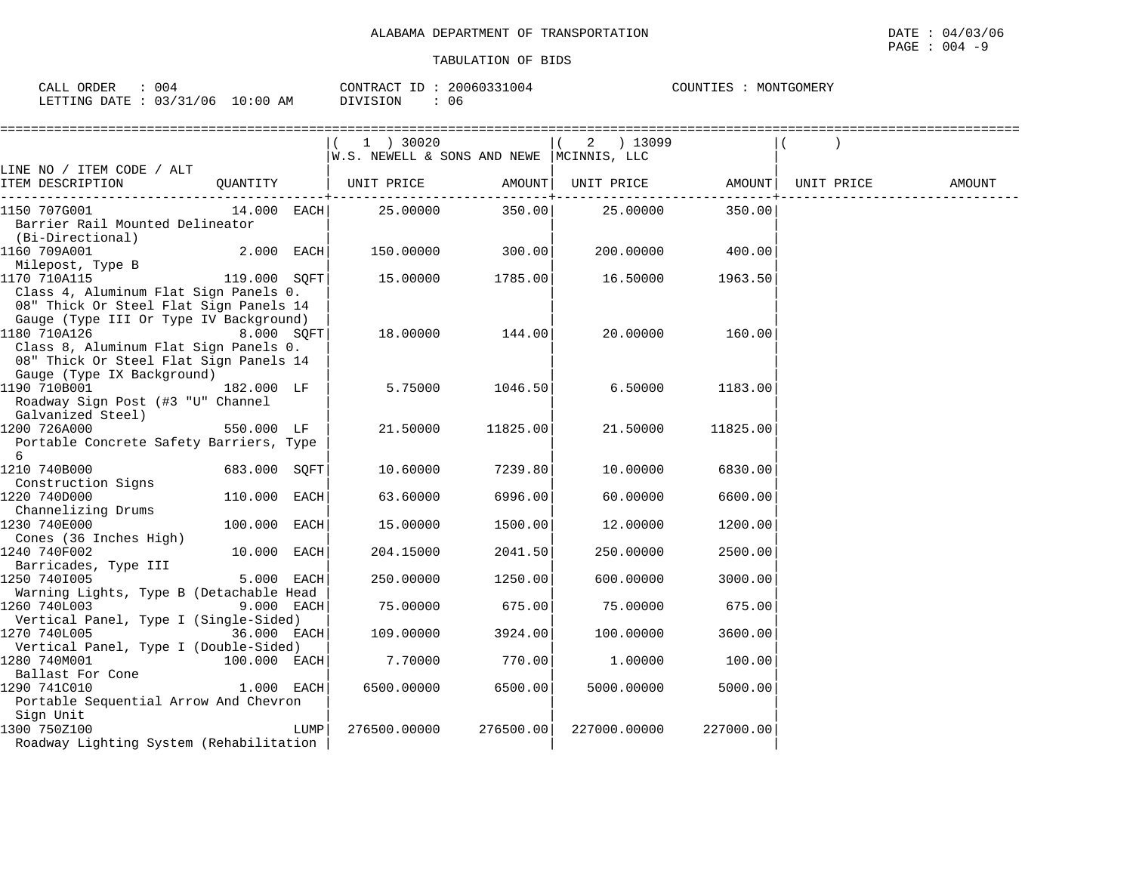|                                                                                 |               |      | 1 ) 30020                                      |           | 2 ) 13099    |           |                   |        |
|---------------------------------------------------------------------------------|---------------|------|------------------------------------------------|-----------|--------------|-----------|-------------------|--------|
|                                                                                 |               |      | $W.S.$ NEWELL & SONS AND NEWE $ MCINNIS, LLC $ |           |              |           |                   |        |
| LINE NO / ITEM CODE / ALT                                                       |               |      |                                                |           |              |           |                   |        |
| ITEM DESCRIPTION                                                                | QUANTITY      |      | UNIT PRICE                                     | AMOUNT    | UNIT PRICE   |           | AMOUNT UNIT PRICE | AMOUNT |
| 1150 707G001                                                                    | $14.000$ EACH |      | 25.00000                                       | 350.00    | 25.00000     | 350.00    |                   |        |
| Barrier Rail Mounted Delineator<br>(Bi-Directional)                             |               |      |                                                |           |              |           |                   |        |
| 1160 709A001<br>Milepost, Type B                                                | $2.000$ EACH  |      | 150.00000                                      | 300.00    | 200.00000    | 400.00    |                   |        |
| 1170 710A115                                                                    | 119.000 SQFT  |      | 15.00000                                       | 1785.00   | 16.50000     | 1963.50   |                   |        |
| Class 4, Aluminum Flat Sign Panels 0.<br>08" Thick Or Steel Flat Sign Panels 14 |               |      |                                                |           |              |           |                   |        |
| Gauge (Type III Or Type IV Background)                                          |               |      |                                                |           |              |           |                   |        |
| 1180 710A126                                                                    | 8.000 SQFT    |      | 18.00000                                       | 144.00    | 20.00000     | 160.00    |                   |        |
| Class 8, Aluminum Flat Sign Panels 0.<br>08" Thick Or Steel Flat Sign Panels 14 |               |      |                                                |           |              |           |                   |        |
| Gauge (Type IX Background)<br>1190 710B001                                      | 182.000 LF    |      | 5.75000                                        | 1046.50   | 6.50000      | 1183.00   |                   |        |
| Roadway Sign Post (#3 "U" Channel<br>Galvanized Steel)                          |               |      |                                                |           |              |           |                   |        |
| 1200 726A000                                                                    | 550.000 LF    |      | 21.50000                                       | 11825.00  | 21.50000     | 11825.00  |                   |        |
| Portable Concrete Safety Barriers, Type<br>6                                    |               |      |                                                |           |              |           |                   |        |
| 1210 740B000                                                                    | 683.000 SOFT  |      | 10.60000                                       | 7239.80   | 10.00000     | 6830.00   |                   |        |
| Construction Signs                                                              |               |      |                                                |           |              |           |                   |        |
| 1220 740D000                                                                    | 110.000 EACH  |      | 63.60000                                       | 6996.00   | 60.00000     | 6600.00   |                   |        |
| Channelizing Drums                                                              |               |      |                                                |           |              |           |                   |        |
| 1230 740E000                                                                    | 100.000 EACH  |      | 15.00000                                       | 1500.00   | 12.00000     | 1200.00   |                   |        |
| Cones (36 Inches High)<br>1240 740F002                                          | 10.000 EACH   |      | 204.15000                                      | 2041.50   | 250.00000    | 2500.00   |                   |        |
| Barricades, Type III                                                            |               |      |                                                |           |              |           |                   |        |
| 1250 7401005                                                                    | 5.000 EACH    |      | 250.00000                                      | 1250.00   | 600.00000    | 3000.00   |                   |        |
| Warning Lights, Type B (Detachable Head                                         |               |      |                                                |           |              |           |                   |        |
| 1260 740L003                                                                    | 9.000 EACH    |      | 75.00000                                       | 675.00    | 75.00000     | 675.00    |                   |        |
| Vertical Panel, Type I (Single-Sided)<br>1270 740L005                           | 36.000 EACH   |      | 109.00000                                      | 3924.00   | 100.00000    | 3600.00   |                   |        |
| Vertical Panel, Type I (Double-Sided)                                           |               |      |                                                |           |              |           |                   |        |
| 1280 740M001<br>$100.000$ EACH<br>Ballast For Cone                              |               |      | 7.70000                                        | 770.00    | 1.00000      | 100.00    |                   |        |
| 1290 741C010                                                                    | $1.000$ EACH  |      | 6500.00000                                     | 6500.00   | 5000.00000   | 5000.00   |                   |        |
| Portable Sequential Arrow And Chevron                                           |               |      |                                                |           |              |           |                   |        |
| Sign Unit                                                                       |               |      |                                                |           |              |           |                   |        |
| 1300 750Z100                                                                    |               | LUMP | 276500.00000                                   | 276500.00 | 227000.00000 | 227000.00 |                   |        |
| Roadway Lighting System (Rehabilitation                                         |               |      |                                                |           |              |           |                   |        |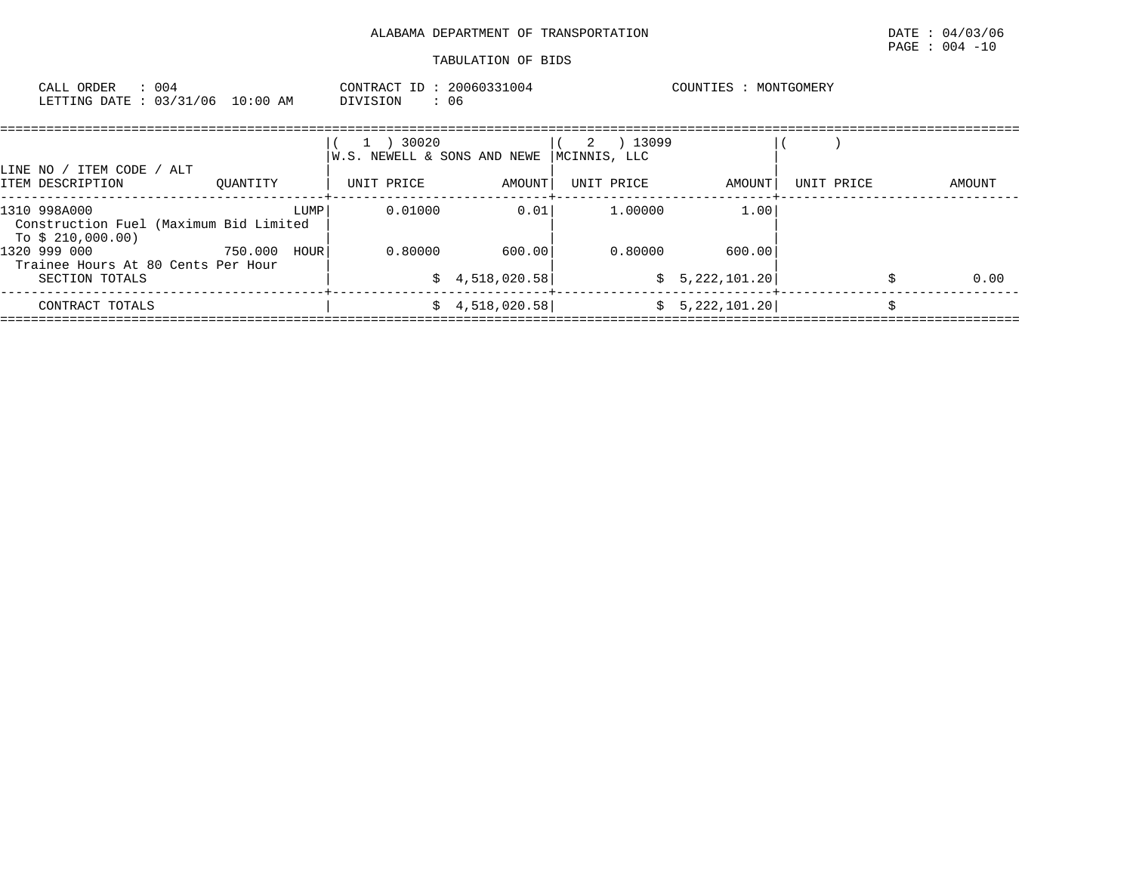| : 004<br>CALL ORDER<br>LETTING DATE: 03/31/06                               | 10:00 AM     |      | CONTRACT ID: 20060331004<br>: 06<br>DIVISION |                       |                   |         | COUNTIES : MONTGOMERY |            |        |
|-----------------------------------------------------------------------------|--------------|------|----------------------------------------------|-----------------------|-------------------|---------|-----------------------|------------|--------|
| LINE NO / ITEM CODE / ALT                                                   |              |      | 1 ) 30020<br>W.S. NEWELL & SONS AND NEWE     |                       | 2<br>MCINNIS, LLC | 13099   |                       |            |        |
| ITEM DESCRIPTION                                                            | OUANTITY     |      | UNIT PRICE                                   | AMOUNT                | UNIT PRICE        |         | AMOUNT                | UNIT PRICE | AMOUNT |
| 1310 998A000<br>Construction Fuel (Maximum Bid Limited<br>To \$ 210,000.00) |              | LUMP | 0.01000                                      | 0.01                  |                   | 1.00000 | 1.00                  |            |        |
| 1320 999 000<br>Trainee Hours At 80 Cents Per Hour                          | 750.000 HOUR |      | 0.80000                                      | 600.00                |                   | 0.80000 | 600.00                |            |        |
| SECTION TOTALS                                                              |              |      |                                              | \$4,518,020.58]       |                   |         | \$5,222,101.20]       |            | 0.00   |
| CONTRACT TOTALS                                                             |              |      |                                              | $\sharp$ 4,518,020.58 |                   |         | \$5,222,101.20        |            |        |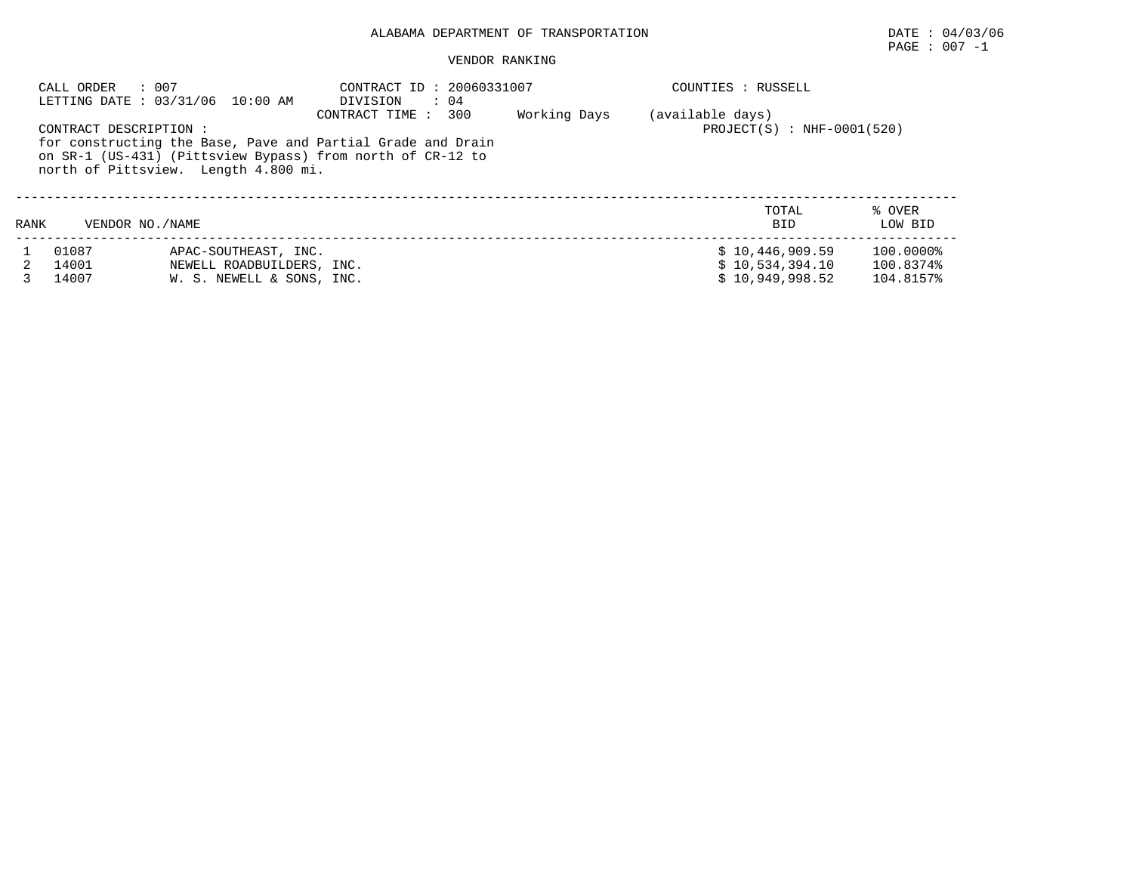## ALABAMA DEPARTMENT OF TRANSPORTATION DATE : 04/03/06

## $\texttt{PAGE}$  : 007 -1

#### VENDOR RANKING

|      | : 007<br>CALL ORDER     | LETTING DATE: 03/31/06 10:00 AM                                                | CONTRACT ID: 20060331007<br>DIVISION<br>$\therefore$ 04                                                                                          |              | COUNTIES : RUSSELL                                    |                                     |
|------|-------------------------|--------------------------------------------------------------------------------|--------------------------------------------------------------------------------------------------------------------------------------------------|--------------|-------------------------------------------------------|-------------------------------------|
|      | CONTRACT DESCRIPTION :  | north of Pittsview. Length 4.800 mi.                                           | CONTRACT TIME : 300<br>for constructing the Base, Pave and Partial Grade and Drain<br>on SR-1 (US-431) (Pittsview Bypass) from north of CR-12 to | Working Days | (available days)<br>$PROJECT(S)$ : NHF-0001(520)      |                                     |
| RANK | VENDOR NO. / NAME       |                                                                                |                                                                                                                                                  |              | TOTAL<br><b>BID</b>                                   | % OVER<br>LOW BID                   |
|      | 01087<br>14001<br>14007 | APAC-SOUTHEAST, INC.<br>NEWELL ROADBUILDERS, INC.<br>W. S. NEWELL & SONS, INC. |                                                                                                                                                  |              | \$10,446,909.59<br>\$10,534,394.10<br>\$10.949.998.52 | 100.0000%<br>100.8374%<br>104.8157% |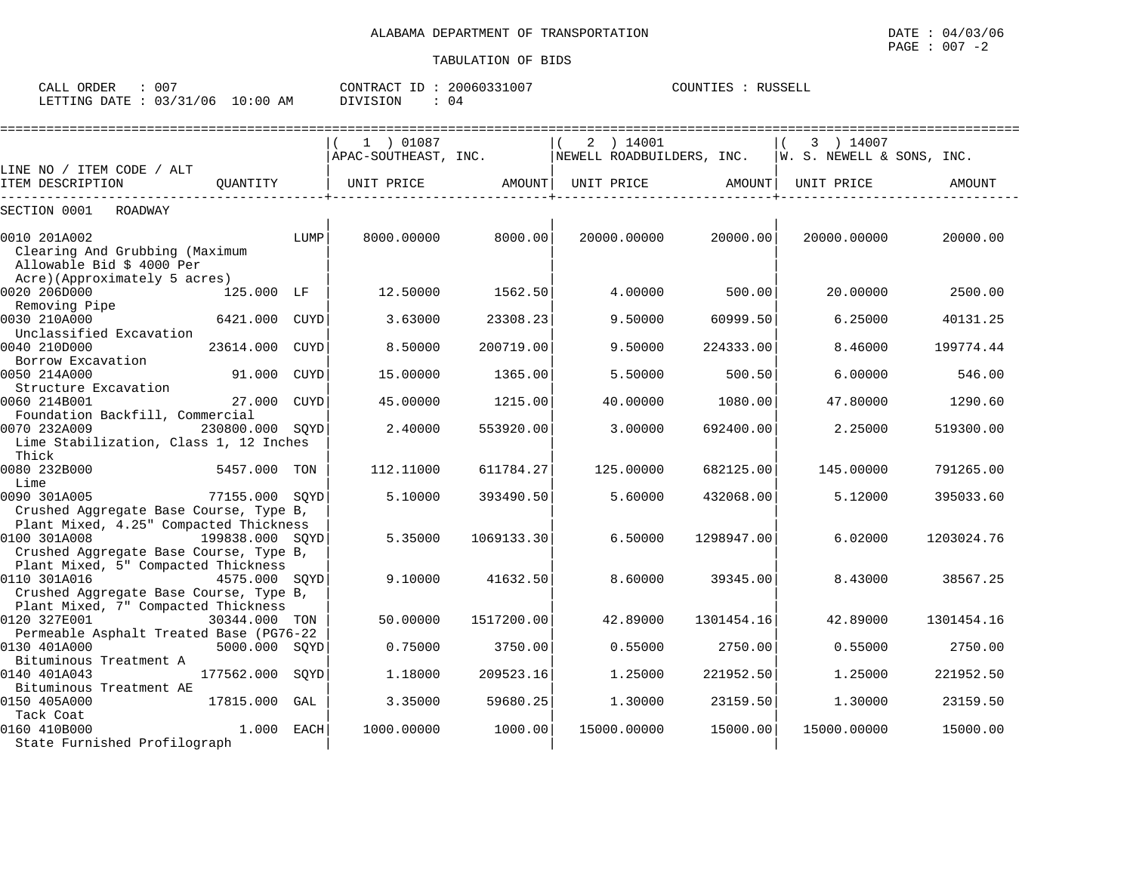| CALL ORDER : 007                |  |          | CONTRACT ID: 20060331007 | COUNTIES : RUSSELL |  |
|---------------------------------|--|----------|--------------------------|--------------------|--|
| LETTING DATE: 03/31/06 10:00 AM |  | DIVISION | : 04                     |                    |  |

|                                                        |                 |             | 1 ) 01087            |            | 2 ) 14001                 |            | 3 ) 14007                 |            |
|--------------------------------------------------------|-----------------|-------------|----------------------|------------|---------------------------|------------|---------------------------|------------|
|                                                        |                 |             | APAC-SOUTHEAST, INC. |            | NEWELL ROADBUILDERS, INC. |            | W. S. NEWELL & SONS, INC. |            |
| LINE NO / ITEM CODE / ALT<br>ITEM DESCRIPTION          | OUANTITY        |             | UNIT PRICE           | AMOUNT     | UNIT PRICE                | AMOUNT     | UNIT PRICE                | AMOUNT     |
|                                                        |                 |             |                      |            |                           |            |                           |            |
| SECTION 0001<br>ROADWAY                                |                 |             |                      |            |                           |            |                           |            |
| 0010 201A002                                           |                 | LUMP        | 8000.00000           | 8000.00    | 20000.00000               | 20000.00   | 20000.00000               | 20000.00   |
| Clearing And Grubbing (Maximum                         |                 |             |                      |            |                           |            |                           |            |
| Allowable Bid \$ 4000 Per                              |                 |             |                      |            |                           |            |                           |            |
| Acre)(Approximately 5 acres)                           |                 |             |                      |            |                           |            |                           |            |
| 0020 206D000                                           | 125.000 LF      |             | 12.50000             | 1562.50    | 4.00000                   | 500.00     | 20.00000                  | 2500.00    |
| Removing Pipe                                          |                 |             |                      |            |                           |            |                           |            |
| 0030 210A000                                           | 6421.000        | CUYD        | 3.63000              | 23308.23   | 9.50000                   | 60999.50   | 6.25000                   | 40131.25   |
| Unclassified Excavation                                |                 |             |                      |            |                           |            |                           |            |
| 0040 210D000                                           | 23614.000       | <b>CUYD</b> | 8.50000              | 200719.00  | 9.50000                   | 224333.00  | 8.46000                   | 199774.44  |
| Borrow Excavation                                      |                 |             |                      |            |                           |            |                           |            |
| 0050 214A000                                           | 91.000          | CUYD        | 15,00000             | 1365.00    | 5.50000                   | 500.50     | 6.00000                   | 546.00     |
| Structure Excavation                                   |                 |             |                      |            |                           |            |                           |            |
| 0060 214B001                                           | 27.000          | CUYD        | 45.00000             | 1215.00    | 40.00000                  | 1080.00    | 47.80000                  | 1290.60    |
| Foundation Backfill, Commercial                        |                 |             |                      |            |                           |            |                           |            |
| 0070 232A009                                           | 230800.000 SOYD |             | 2.40000              | 553920.00  | 3.00000                   | 692400.00  | 2.25000                   | 519300.00  |
| Lime Stabilization, Class 1, 12 Inches                 |                 |             |                      |            |                           |            |                           |            |
| Thick                                                  |                 |             |                      |            |                           |            |                           |            |
| 0080 232B000                                           | 5457.000        | TON         | 112,11000            | 611784.27  | 125.00000                 | 682125.00  | 145.00000                 | 791265.00  |
| Lime                                                   |                 |             |                      |            |                           |            |                           |            |
| 0090 301A005                                           | 77155.000 SQYD  |             | 5.10000              | 393490.50  | 5.60000                   | 432068.00  | 5.12000                   | 395033.60  |
| Crushed Aggregate Base Course, Type B,                 |                 |             |                      |            |                           |            |                           |            |
| Plant Mixed, 4.25" Compacted Thickness<br>0100 301A008 | 199838.000 SQYD |             | 5.35000              | 1069133.30 | 6.50000                   | 1298947.00 | 6.02000                   | 1203024.76 |
| Crushed Aggregate Base Course, Type B,                 |                 |             |                      |            |                           |            |                           |            |
| Plant Mixed, 5" Compacted Thickness                    |                 |             |                      |            |                           |            |                           |            |
| 0110 301A016                                           | 4575.000 SOYD   |             | 9.10000              | 41632.50   | 8.60000                   | 39345.00   | 8.43000                   | 38567.25   |
| Crushed Aggregate Base Course, Type B,                 |                 |             |                      |            |                           |            |                           |            |
| Plant Mixed, 7" Compacted Thickness                    |                 |             |                      |            |                           |            |                           |            |
| 0120 327E001                                           | 30344.000 TON   |             | 50.00000             | 1517200.00 | 42.89000                  | 1301454.16 | 42.89000                  | 1301454.16 |
| Permeable Asphalt Treated Base (PG76-22                |                 |             |                      |            |                           |            |                           |            |
| 0130 401A000                                           | 5000.000 SOYD   |             | 0.75000              | 3750.00    | 0.55000                   | 2750.00    | 0.55000                   | 2750.00    |
| Bituminous Treatment A                                 |                 |             |                      |            |                           |            |                           |            |
| 0140 401A043                                           | 177562.000      | SOYD        | 1.18000              | 209523.16  | 1.25000                   | 221952.50  | 1.25000                   | 221952.50  |
| Bituminous Treatment AE                                |                 |             |                      |            |                           |            |                           |            |
| 0150 405A000                                           | 17815.000       | GAL         | 3.35000              | 59680.25   | 1.30000                   | 23159.50   | 1.30000                   | 23159.50   |
| Tack Coat                                              |                 |             |                      |            |                           |            |                           |            |
| 0160 410B000                                           | 1,000           | EACH        | 1000.00000           | 1000.00    | 15000.00000               | 15000.00   | 15000.00000               | 15000.00   |
| State Furnished Profilograph                           |                 |             |                      |            |                           |            |                           |            |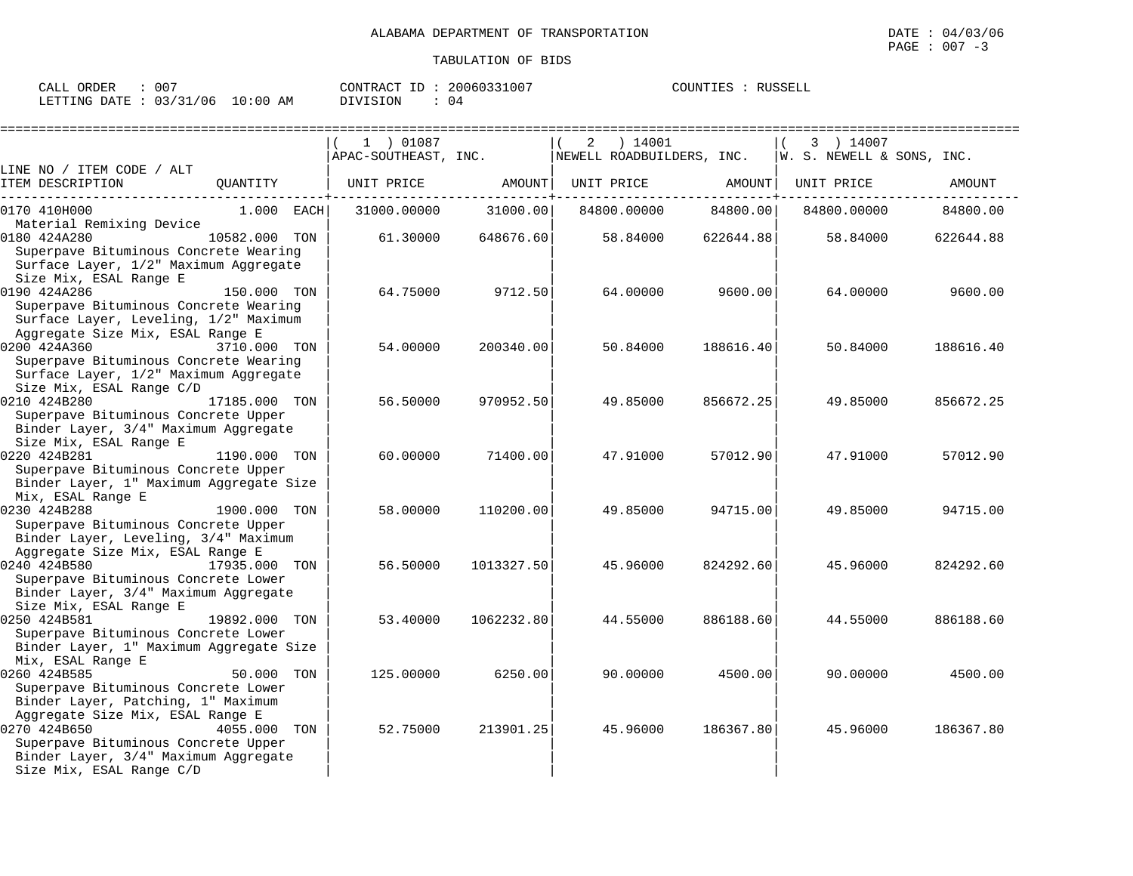| ORDER<br>CALL                    | 007 | CONTRACT<br>ID  | 20060331007 | COUNTIES | <b>RUSSELL</b> |
|----------------------------------|-----|-----------------|-------------|----------|----------------|
| LETTING DATE : 03/31/06 10:00 AM |     | <b>DIVISION</b> | 04          |          |                |

|                                                                                                                                    |               |     | 1 ) 01087            |            | 2 | ) 14001                   |           | 3 ) 14007                 |           |
|------------------------------------------------------------------------------------------------------------------------------------|---------------|-----|----------------------|------------|---|---------------------------|-----------|---------------------------|-----------|
|                                                                                                                                    |               |     | APAC-SOUTHEAST, INC. |            |   | NEWELL ROADBUILDERS, INC. |           | W. S. NEWELL & SONS, INC. |           |
| LINE NO / ITEM CODE / ALT<br>ITEM DESCRIPTION                                                                                      | QUANTITY      |     | UNIT PRICE           | AMOUNT     |   | UNIT PRICE                | AMOUNT    | UNIT PRICE                | AMOUNT    |
| 0170 410H000<br>Material Remixing Device                                                                                           | $1.000$ EACH  |     | 31000.00000          | 31000.00   |   | 84800.00000               | 84800.00  | 84800.00000               | 84800.00  |
| 0180 424A280<br>Superpave Bituminous Concrete Wearing<br>Surface Layer, 1/2" Maximum Aggregate<br>Size Mix, ESAL Range E           | 10582.000 TON |     | 61.30000             | 648676.60  |   | 58.84000                  | 622644.88 | 58.84000                  | 622644.88 |
| 0190 424A286<br>Superpave Bituminous Concrete Wearing<br>Surface Layer, Leveling, 1/2" Maximum<br>Aggregate Size Mix, ESAL Range E | 150.000 TON   |     | 64.75000             | 9712.50    |   | 64.00000                  | 9600.00   | 64.00000                  | 9600.00   |
| 0200 424A360<br>Superpave Bituminous Concrete Wearing<br>Surface Layer, 1/2" Maximum Aggregate<br>Size Mix, ESAL Range C/D         | 3710.000 TON  |     | 54.00000             | 200340.00  |   | 50.84000                  | 188616.40 | 50.84000                  | 188616.40 |
| 0210 424B280<br>Superpave Bituminous Concrete Upper<br>Binder Layer, 3/4" Maximum Aggregate<br>Size Mix, ESAL Range E              | 17185.000     | TON | 56.50000             | 970952.50  |   | 49.85000                  | 856672.25 | 49.85000                  | 856672.25 |
| 0220 424B281<br>Superpave Bituminous Concrete Upper<br>Binder Layer, 1" Maximum Aggregate Size<br>Mix, ESAL Range E                | 1190.000 TON  |     | 60.00000             | 71400.00   |   | 47.91000                  | 57012.90  | 47.91000                  | 57012.90  |
| 0230 424B288<br>Superpave Bituminous Concrete Upper<br>Binder Layer, Leveling, 3/4" Maximum<br>Aggregate Size Mix, ESAL Range E    | 1900.000 TON  |     | 58.00000             | 110200.00  |   | 49.85000                  | 94715.00  | 49.85000                  | 94715.00  |
| 0240 424B580<br>Superpave Bituminous Concrete Lower<br>Binder Layer, 3/4" Maximum Aggregate<br>Size Mix, ESAL Range E              | 17935.000 TON |     | 56.50000             | 1013327.50 |   | 45.96000                  | 824292.60 | 45.96000                  | 824292.60 |
| 0250 424B581<br>Superpave Bituminous Concrete Lower<br>Binder Layer, 1" Maximum Aggregate Size<br>Mix, ESAL Range E                | 19892.000     | TON | 53.40000             | 1062232.80 |   | 44.55000                  | 886188.60 | 44.55000                  | 886188.60 |
| 0260 424B585<br>Superpave Bituminous Concrete Lower<br>Binder Layer, Patching, 1" Maximum<br>Aggregate Size Mix, ESAL Range E      | 50.000 TON    |     | 125,00000            | 6250.00    |   | 90.00000                  | 4500.00   | 90.00000                  | 4500.00   |
| 0270 424B650<br>Superpave Bituminous Concrete Upper<br>Binder Layer, 3/4" Maximum Aggregate<br>Size Mix, ESAL Range C/D            | 4055.000 TON  |     | 52.75000             | 213901.25  |   | 45.96000                  | 186367.80 | 45.96000                  | 186367.80 |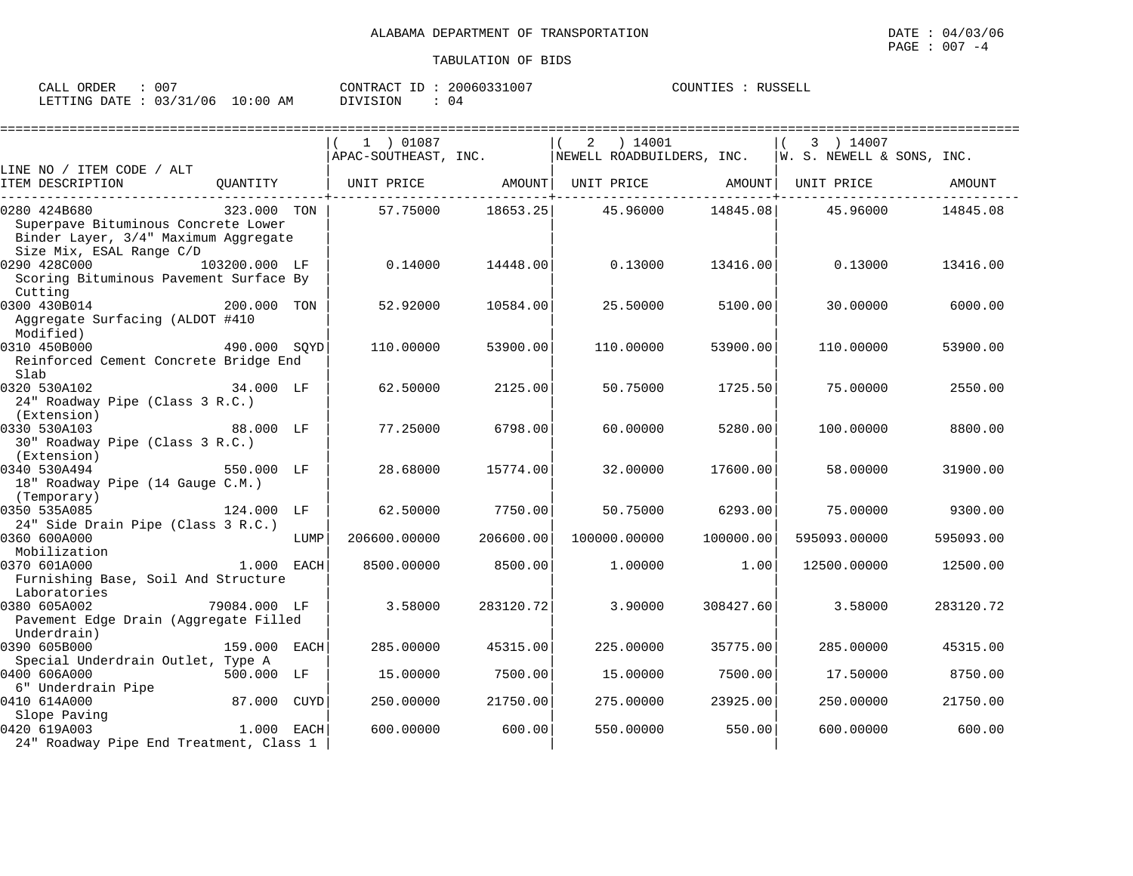| ORDER<br>CALL (                  | 007 | CONTRACT ID : | 20060331007 | COUNTIES | RUSSELL |
|----------------------------------|-----|---------------|-------------|----------|---------|
| LETTING DATE : 03/31/06 10:00 AM |     | DIVISION      | 04          |          |         |

|                                                                                                         |              |      | 1 ) 01087    |           | ) 14001<br>2<br>APAC-SOUTHEAST, INC. WEWELL ROADBUILDERS, INC. $ W. S. NEWELL & SONS, INC.$ |           | 3 ) 14007    |           |
|---------------------------------------------------------------------------------------------------------|--------------|------|--------------|-----------|---------------------------------------------------------------------------------------------|-----------|--------------|-----------|
| LINE NO / ITEM CODE / ALT                                                                               |              |      |              |           |                                                                                             |           |              |           |
| ITEM DESCRIPTION                                                                                        |              |      |              |           | QUANTITY   UNIT PRICE AMOUNT  UNIT PRICE AMOUNT  UNIT PRICE AMOUNT                          |           |              |           |
| 0280 424B680                                                                                            | 323.000 TON  |      | 57.75000     | 18653.25  | 45.96000                                                                                    | 14845.08  | 45.96000     | 14845.08  |
| Superpave Bituminous Concrete Lower<br>Binder Layer, 3/4" Maximum Aggregate<br>Size Mix, ESAL Range C/D |              |      |              |           |                                                                                             |           |              |           |
| 0290 428C000<br>103200.000 LF                                                                           |              |      | 0.14000      | 14448.00  | 0.13000                                                                                     | 13416.00  | 0.13000      | 13416.00  |
| Scoring Bituminous Pavement Surface By<br>Cutting                                                       |              |      |              |           |                                                                                             |           |              |           |
| 0300 430B014                                                                                            | 200.000 TON  |      | 52.92000     | 10584.00  | 25.50000                                                                                    | 5100.00   | 30.00000     | 6000.00   |
| Aggregate Surfacing (ALDOT #410<br>Modified)                                                            |              |      |              |           |                                                                                             |           |              |           |
| 0310 450B000<br>490.000 SOYD                                                                            |              |      | 110.00000    | 53900.00  | 110.00000                                                                                   | 53900.00  | 110.00000    | 53900.00  |
| Reinforced Cement Concrete Bridge End<br>Slab                                                           |              |      |              |           |                                                                                             |           |              |           |
| 0320 530A102                                                                                            | 34.000 LF    |      | 62.50000     | 2125.00   | 50.75000                                                                                    | 1725.50   | 75.00000     | 2550.00   |
| 24" Roadway Pipe (Class 3 R.C.)                                                                         |              |      |              |           |                                                                                             |           |              |           |
| (Extension)                                                                                             |              |      |              |           |                                                                                             |           |              |           |
| 0330 530A103<br>30" Roadway Pipe (Class 3 R.C.)                                                         | 88.000 LF    |      | 77.25000     | 6798.00   | 60.00000                                                                                    | 5280.00   | 100.00000    | 8800.00   |
| (Extension)                                                                                             |              |      |              |           |                                                                                             |           |              |           |
| 0340 530A494                                                                                            | 550.000 LF   |      | 28.68000     | 15774.00  | 32,00000                                                                                    | 17600.00  | 58.00000     | 31900.00  |
| 18" Roadway Pipe (14 Gauge C.M.)                                                                        |              |      |              |           |                                                                                             |           |              |           |
| (Temporary)<br>0350 535A085                                                                             | 124.000 LF   |      | 62.50000     | 7750.00   | 50.75000                                                                                    | 6293.00   | 75.00000     | 9300.00   |
| 24" Side Drain Pipe (Class 3 R.C.)                                                                      |              |      |              |           |                                                                                             |           |              |           |
| 0360 600A000                                                                                            |              | LUMP | 206600.00000 | 206600.00 | 100000.00000                                                                                | 100000.00 | 595093.00000 | 595093.00 |
| Mobilization                                                                                            |              |      |              |           |                                                                                             |           |              |           |
| 0370 601A000                                                                                            | 1.000 EACH   |      | 8500.00000   | 8500.00   | 1,00000                                                                                     | 1.00      | 12500.00000  | 12500.00  |
| Furnishing Base, Soil And Structure                                                                     |              |      |              |           |                                                                                             |           |              |           |
| Laboratories                                                                                            |              |      |              |           |                                                                                             |           |              |           |
| 0380 605A002                                                                                            | 79084.000 LF |      | 3.58000      | 283120.72 | 3.90000                                                                                     | 308427.60 | 3.58000      | 283120.72 |
| Pavement Edge Drain (Aggregate Filled                                                                   |              |      |              |           |                                                                                             |           |              |           |
| Underdrain)<br>0390 605B000                                                                             | 159.000 EACH |      | 285.00000    | 45315.00  | 225.00000                                                                                   | 35775.00  | 285.00000    | 45315.00  |
| Special Underdrain Outlet, Type A                                                                       |              |      |              |           |                                                                                             |           |              |           |
| 0400 606A000                                                                                            | 500.000 LF   |      | 15.00000     | 7500.00   | 15.00000                                                                                    | 7500.00   | 17.50000     | 8750.00   |
| 6" Underdrain Pipe                                                                                      | 87.000 CUYD  |      |              |           |                                                                                             |           |              |           |
| 0410 614A000<br>Slope Paving                                                                            |              |      | 250.00000    | 21750.00  | 275.00000                                                                                   | 23925.00  | 250.00000    | 21750.00  |
| 0420 619A003                                                                                            | $1.000$ EACH |      | 600,00000    | 600.00    | 550.00000                                                                                   | 550.00    | 600.00000    | 600.00    |
| 24" Roadway Pipe End Treatment, Class 1                                                                 |              |      |              |           |                                                                                             |           |              |           |
|                                                                                                         |              |      |              |           |                                                                                             |           |              |           |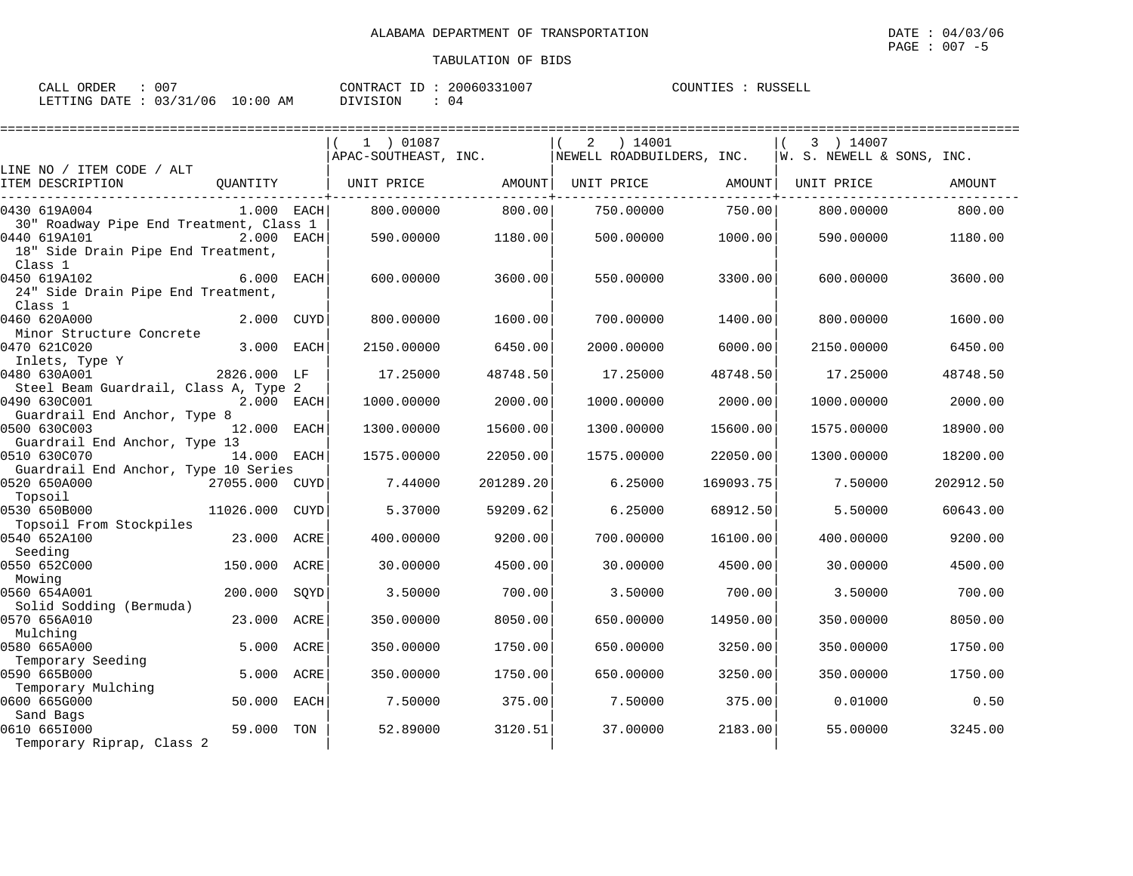| CALL ORDER                      | 007 |          | CONTRACT ID: 20060331007 | COUNTIES : RUSSELL |  |
|---------------------------------|-----|----------|--------------------------|--------------------|--|
| LETTING DATE: 03/31/06 10:00 AM |     | DIVISION | 04                       |                    |  |

|                                                                                               |                |      | 1 ) 01087            |           | ) 14001<br>2              |           | 3 ) 14007                 |           |
|-----------------------------------------------------------------------------------------------|----------------|------|----------------------|-----------|---------------------------|-----------|---------------------------|-----------|
|                                                                                               |                |      | APAC-SOUTHEAST, INC. |           | NEWELL ROADBUILDERS, INC. |           | W. S. NEWELL & SONS, INC. |           |
| LINE NO / ITEM CODE / ALT<br>ITEM DESCRIPTION                                                 | OUANTITY       |      | UNIT PRICE           | AMOUNT    | UNIT PRICE                | AMOUNT    | UNIT PRICE                | AMOUNT    |
| 0430 619A004                                                                                  | $1.000$ EACH   |      | 800,00000            | 800.00    | 750.00000                 | 750.00    | 800,00000                 | 800.00    |
| 30" Roadway Pipe End Treatment, Class 1<br>0440 619A101<br>18" Side Drain Pipe End Treatment, | 2.000 EACH     |      | 590.00000            | 1180.00   | 500.00000                 | 1000.00   | 590.00000                 | 1180.00   |
| Class 1<br>0450 619A102<br>24" Side Drain Pipe End Treatment,<br>Class 1                      | 6.000 EACH     |      | 600,00000            | 3600.00   | 550.00000                 | 3300.00   | 600.00000                 | 3600.00   |
| 0460 620A000<br>Minor Structure Concrete                                                      | 2.000 CUYD     |      | 800.00000            | 1600.00   | 700.00000                 | 1400.00   | 800.00000                 | 1600.00   |
| 0470 621C020<br>Inlets, Type Y                                                                | 3.000 EACH     |      | 2150.00000           | 6450.00   | 2000.00000                | 6000.00   | 2150.00000                | 6450.00   |
| 0480 630A001<br>Steel Beam Guardrail, Class A, Type 2                                         | 2826.000 LF    |      | 17.25000             | 48748.50  | 17.25000                  | 48748.50  | 17.25000                  | 48748.50  |
| 0490 630C001<br>Guardrail End Anchor, Type 8                                                  | 2.000 EACH     |      | 1000.00000           | 2000.00   | 1000.00000                | 2000.00   | 1000.00000                | 2000.00   |
| 0500 630C003<br>Guardrail End Anchor, Type 13                                                 | 12.000 EACH    |      | 1300.00000           | 15600.00  | 1300.00000                | 15600.00  | 1575.00000                | 18900.00  |
| 0510 630C070<br>Guardrail End Anchor, Type 10 Series                                          | 14.000 EACH    |      | 1575.00000           | 22050.00  | 1575.00000                | 22050.00  | 1300.00000                | 18200.00  |
| 0520 650A000<br>Topsoil                                                                       | 27055.000 CUYD |      | 7.44000              | 201289.20 | 6.25000                   | 169093.75 | 7.50000                   | 202912.50 |
| 0530 650B000<br>Topsoil From Stockpiles                                                       | 11026.000      | CUYD | 5.37000              | 59209.62  | 6.25000                   | 68912.50  | 5.50000                   | 60643.00  |
| 0540 652A100<br>Seeding                                                                       | 23.000 ACRE    |      | 400.00000            | 9200.00   | 700.00000                 | 16100.00  | 400.00000                 | 9200.00   |
| 0550 652C000<br>Mowing                                                                        | 150.000 ACRE   |      | 30.00000             | 4500.00   | 30.00000                  | 4500.00   | 30.00000                  | 4500.00   |
| 0560 654A001<br>Solid Sodding (Bermuda)                                                       | 200.000        | SOYD | 3.50000              | 700.00    | 3.50000                   | 700.00    | 3.50000                   | 700.00    |
| 0570 656A010<br>Mulching                                                                      | 23.000         | ACRE | 350.00000            | 8050.00   | 650.00000                 | 14950.00  | 350.00000                 | 8050.00   |
| 0580 665A000<br>Temporary Seeding                                                             | 5.000          | ACRE | 350.00000            | 1750.00   | 650.00000                 | 3250.00   | 350.00000                 | 1750.00   |
| 0590 665B000                                                                                  | 5.000          | ACRE | 350.00000            | 1750.00   | 650.00000                 | 3250.00   | 350.00000                 | 1750.00   |
| Temporary Mulching<br>0600 665G000                                                            | 50.000         | EACH | 7.50000              | 375.00    | 7.50000                   | 375.00    | 0.01000                   | 0.50      |
| Sand Bags<br>0610 6651000<br>Temporary Riprap, Class 2                                        | 59.000         | TON  | 52.89000             | 3120.51   | 37.00000                  | 2183.00   | 55.00000                  | 3245.00   |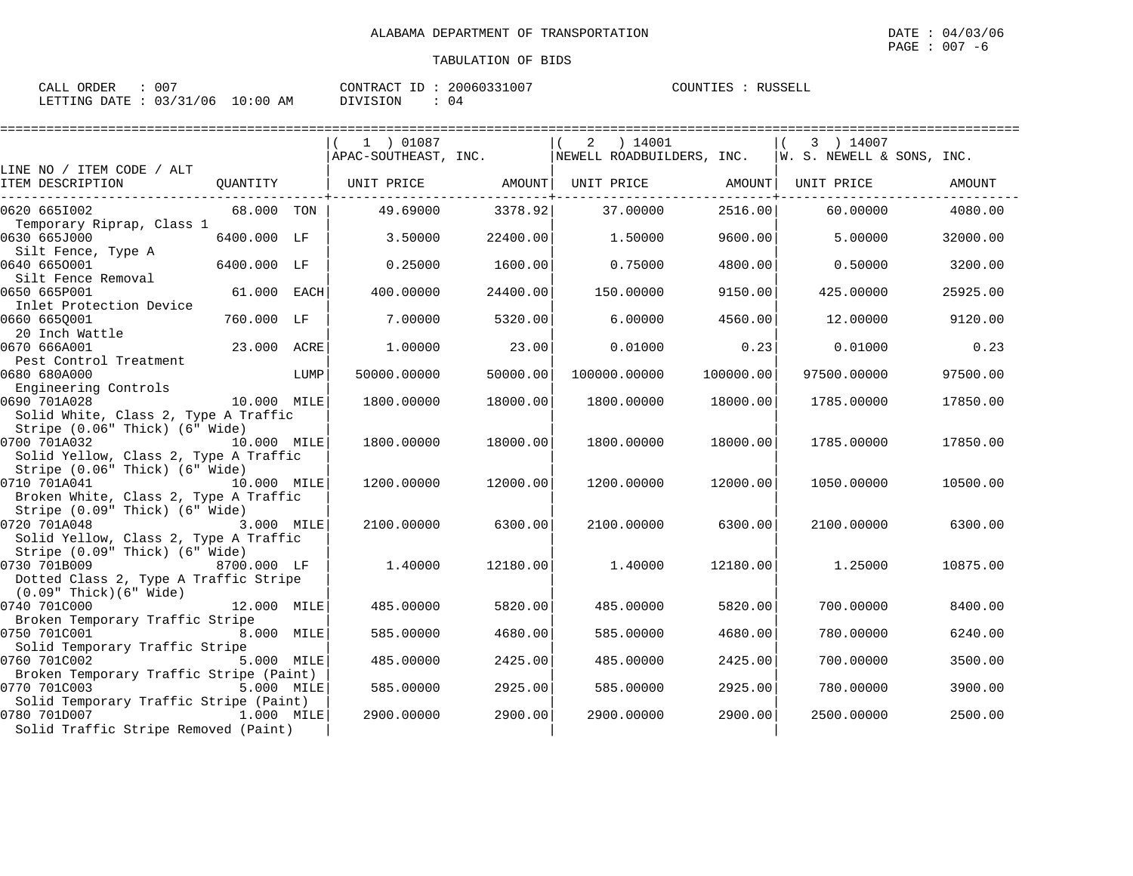| ORDER<br>CALL | - 00     |             | T<br>CONTRACT | 20060331007 | COUNTIES | RUSSELL |
|---------------|----------|-------------|---------------|-------------|----------|---------|
| LETTING DATE  | 03/31/06 | 10:00<br>AΜ | SION<br>וזדח  | U 4         |          |         |

|                                                                                                                           |             |      | 1 ) 01087            |          | ) 14001<br>2              |           | 3 ) 14007                 |          |
|---------------------------------------------------------------------------------------------------------------------------|-------------|------|----------------------|----------|---------------------------|-----------|---------------------------|----------|
|                                                                                                                           |             |      | APAC-SOUTHEAST, INC. |          | NEWELL ROADBUILDERS, INC. |           | W. S. NEWELL & SONS. INC. |          |
| LINE NO / ITEM CODE / ALT<br>ITEM DESCRIPTION                                                                             | QUANTITY    |      | UNIT PRICE AMOUNT    |          | UNIT PRICE                | AMOUNT    | UNIT PRICE                | AMOUNT   |
| 0620 6651002                                                                                                              | 68.000 TON  |      | 49.69000             | 3378.92  | 37.00000                  | 2516.00   | 60.00000                  | 4080.00  |
| Temporary Riprap, Class 1<br>0630 665J000<br>Silt Fence, Type A                                                           | 6400.000 LF |      | 3.50000              | 22400.00 | 1.50000                   | 9600.00   | 5.00000                   | 32000.00 |
| 0640 6650001<br>Silt Fence Removal                                                                                        | 6400.000 LF |      | 0.25000              | 1600.00  | 0.75000                   | 4800.00   | 0.50000                   | 3200.00  |
| 0650 665P001<br>Inlet Protection Device                                                                                   | 61.000 EACH |      | 400.00000            | 24400.00 | 150.00000                 | 9150.00   | 425.00000                 | 25925.00 |
| 0660 665Q001<br>20 Inch Wattle                                                                                            | 760.000 LF  |      | 7.00000              | 5320.00  | 6,00000                   | 4560.00   | 12.00000                  | 9120.00  |
| 0670 666A001<br>Pest Control Treatment                                                                                    | 23.000 ACRE |      | 1,00000              | 23.00    | 0.01000                   | 0.23      | 0.01000                   | 0.23     |
| 0680 680A000<br>Engineering Controls                                                                                      |             | LUMP | 50000.00000          | 50000.00 | 100000.00000              | 100000.00 | 97500.00000               | 97500.00 |
| 0690 701A028<br>Solid White, Class 2, Type A Traffic                                                                      | 10.000 MILE |      | 1800.00000           | 18000.00 | 1800.00000                | 18000.00  | 1785.00000                | 17850.00 |
| Stripe (0.06" Thick) (6" Wide)<br>0700 701A032<br>Solid Yellow, Class 2, Type A Traffic                                   | 10.000 MILE |      | 1800.00000           | 18000.00 | 1800.00000                | 18000.00  | 1785.00000                | 17850.00 |
| Stripe (0.06" Thick) (6" Wide)<br>0710 701A041<br>10.000 MILE<br>Broken White, Class 2, Type A Traffic                    |             |      | 1200.00000           | 12000.00 | 1200.00000                | 12000.00  | 1050.00000                | 10500.00 |
| Stripe (0.09" Thick) (6" Wide)<br>0720 701A048<br>3.000 MILE<br>Solid Yellow, Class 2, Type A Traffic                     |             |      | 2100.00000           | 6300.00  | 2100.00000                | 6300.00   | 2100.00000                | 6300.00  |
| Stripe (0.09" Thick) (6" Wide)<br>0730 701B009<br>Dotted Class 2, Type A Traffic Stripe<br>$(0.09"$ Thick $)(6"$ Wide $)$ | 8700.000 LF |      | 1.40000              | 12180.00 | 1,40000                   | 12180.00  | 1.25000                   | 10875.00 |
| 0740 701C000                                                                                                              | 12.000 MILE |      | 485.00000            | 5820.00  | 485.00000                 | 5820.00   | 700.00000                 | 8400.00  |
| Broken Temporary Traffic Stripe<br>0750 701C001<br>8.000 MILE                                                             |             |      | 585.00000            | 4680.00  | 585.00000                 | 4680.00   | 780.00000                 | 6240.00  |
| Solid Temporary Traffic Stripe<br>0760 701C002<br>Broken Temporary Traffic Stripe (Paint)                                 | 5.000 MILE  |      | 485.00000            | 2425.00  | 485.00000                 | 2425.00   | 700.00000                 | 3500.00  |
| 0770 701C003<br>Solid Temporary Traffic Stripe (Paint)                                                                    | 5.000 MILE  |      | 585.00000            | 2925.00  | 585.00000                 | 2925.00   | 780,00000                 | 3900.00  |
| 0780 701D007<br>1.000 MILE<br>Solid Traffic Stripe Removed (Paint)                                                        |             |      | 2900.00000           | 2900.00  | 2900.00000                | 2900.00   | 2500.00000                | 2500.00  |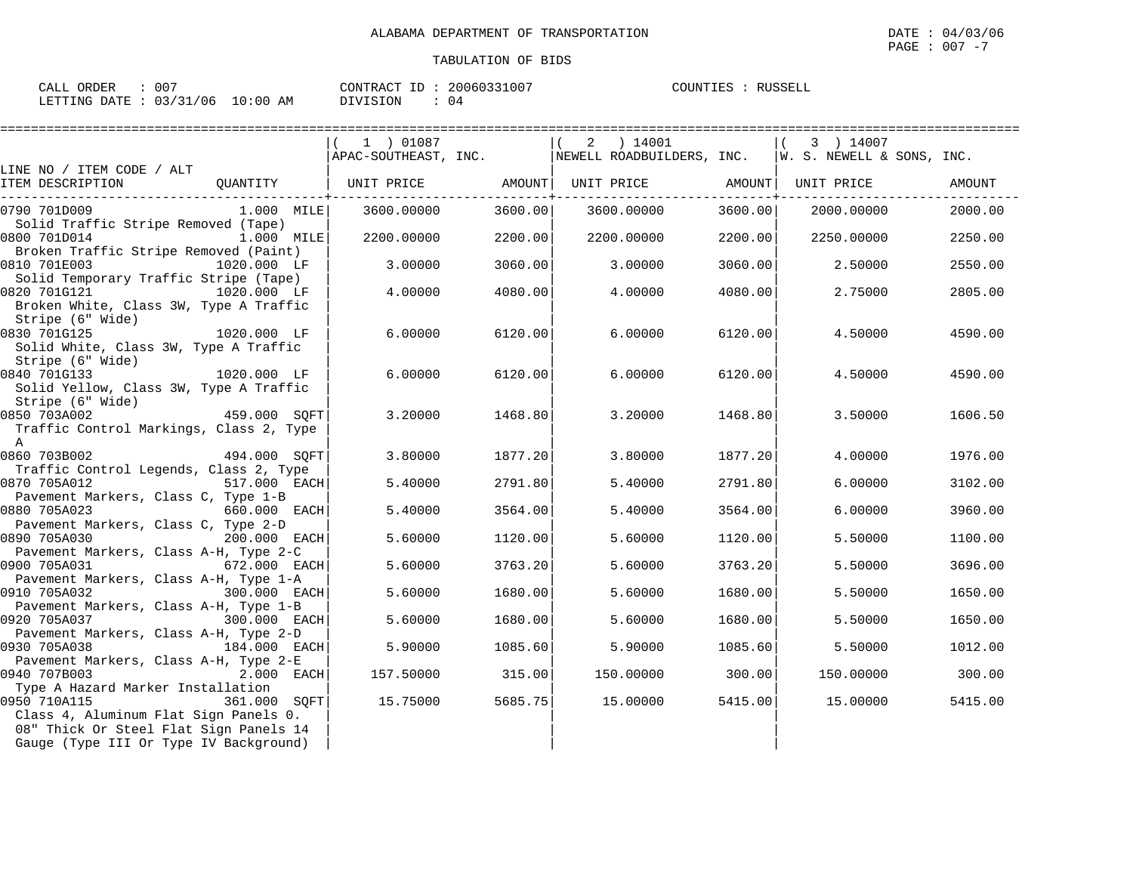| CALL ORDER                      | .007 |          | CONTRACT ID: 20060331007 | COUNTIES : RUSSELL |  |
|---------------------------------|------|----------|--------------------------|--------------------|--|
| LETTING DATE: 03/31/06 10:00 AM |      | DIVISION | 04                       |                    |  |

|                                                                       | 1 ) 01087         |                     | 2 ) 14001                                              |                               | 3 ) 14007                 |         |
|-----------------------------------------------------------------------|-------------------|---------------------|--------------------------------------------------------|-------------------------------|---------------------------|---------|
|                                                                       |                   |                     | $ $ APAC-SOUTHEAST, INC. $ $ NEWELL ROADBUILDERS, INC. |                               | W. S. NEWELL & SONS, INC. |         |
| LINE NO / ITEM CODE / ALT                                             |                   |                     |                                                        |                               |                           |         |
| ITEM DESCRIPTION<br>OUANTITY                                          | UNIT PRICE AMOUNT |                     | UNIT PRICE AMOUNT                                      |                               | UNIT PRICE                | AMOUNT  |
| 0790 701D009<br>1.000 MILE                                            | 3600.00000        | -------+<br>3600.00 | 3600.00000                                             | ------------+-----<br>3600.00 | 2000.00000                | 2000.00 |
| Solid Traffic Stripe Removed (Tape)                                   |                   |                     |                                                        |                               |                           |         |
| 0800 701D014<br>1.000 MILE                                            | 2200.00000        | 2200.00             | 2200.00000                                             | 2200.00                       | 2250.00000                | 2250.00 |
| Broken Traffic Stripe Removed (Paint)                                 |                   |                     |                                                        |                               |                           |         |
| 0810 701E003<br>1020.000 LF                                           | 3.00000           | 3060.00             | 3.00000                                                | 3060.00                       | 2.50000                   | 2550.00 |
| Solid Temporary Traffic Stripe (Tape)                                 |                   |                     |                                                        |                               |                           |         |
| 0820 701G121<br>1020.000 LF                                           | 4.00000           | 4080.00             | 4.00000                                                | 4080.00                       | 2.75000                   | 2805.00 |
| Broken White, Class 3W, Type A Traffic                                |                   |                     |                                                        |                               |                           |         |
| Stripe (6" Wide)<br>0830 701G125<br>1020.000 LF                       | 6.00000           | 6120.00             | 6,00000                                                | 6120.00                       | 4.50000                   | 4590.00 |
| Solid White, Class 3W, Type A Traffic                                 |                   |                     |                                                        |                               |                           |         |
| Stripe (6" Wide)                                                      |                   |                     |                                                        |                               |                           |         |
| 0840 701G133<br>1020.000 LF                                           | 6.00000           | 6120.00             | 6.00000                                                | 6120.00                       | 4.50000                   | 4590.00 |
| Solid Yellow, Class 3W, Type A Traffic                                |                   |                     |                                                        |                               |                           |         |
| Stripe (6" Wide)                                                      |                   |                     |                                                        |                               |                           |         |
| -,<br>459.000 SQFT<br>0850 703A002                                    | 3.20000           | 1468.80             | 3.20000                                                | 1468.80                       | 3.50000                   | 1606.50 |
| Traffic Control Markings, Class 2, Type                               |                   |                     |                                                        |                               |                           |         |
| $\mathbb{A}$<br>0860 703B002<br>494.000 SQFT                          | 3.80000           | 1877.20             | 3.80000                                                | 1877.20                       | 4.00000                   | 1976.00 |
| Traffic Control Legends, Class 2, Type                                |                   |                     |                                                        |                               |                           |         |
| 0870 705A012<br>517.000 EACH                                          | 5.40000           | 2791.80             | 5.40000                                                | 2791.80                       | 6.00000                   | 3102.00 |
| Pavement Markers, Class C, Type 1-B                                   |                   |                     |                                                        |                               |                           |         |
| 0880 705A023<br>660.000 EACH                                          | 5.40000           | 3564.00             | 5.40000                                                | 3564.00                       | 6.00000                   | 3960.00 |
| Pavement Markers, Class C, Type 2-D                                   |                   |                     |                                                        |                               |                           |         |
| 0890 705A030<br>200.000 EACH                                          | 5.60000           | 1120.00             | 5.60000                                                | 1120.00                       | 5.50000                   | 1100.00 |
| Pavement Markers, Class A-H, Type 2-C<br>0900 705A031<br>672.000 EACH | 5.60000           | 3763.20             | 5.60000                                                | 3763.20                       | 5.50000                   | 3696.00 |
| Pavement Markers, Class A-H, Type 1-A                                 |                   |                     |                                                        |                               |                           |         |
| 0910 705A032<br>300.000 EACH                                          | 5.60000           | 1680.00             | 5.60000                                                | 1680.00                       | 5.50000                   | 1650.00 |
| Pavement Markers, Class A-H, Type 1-B                                 |                   |                     |                                                        |                               |                           |         |
| 0920 705A037<br>300.000 EACH                                          | 5.60000           | 1680.00             | 5.60000                                                | 1680.00                       | 5.50000                   | 1650.00 |
| Pavement Markers, Class A-H, Type 2-D                                 |                   |                     |                                                        |                               |                           |         |
| 0930 705A038<br>184.000 EACH                                          | 5.90000           | 1085.60             | 5.90000                                                | 1085.60                       | 5.50000                   | 1012.00 |
| Pavement Markers, Class A-H, Type 2-E<br>0940 707B003<br>2.000 EACH   | 157.50000         | 315.00              | 150.00000                                              | 300.00                        | 150.00000                 | 300.00  |
| Type A Hazard Marker Installation                                     |                   |                     |                                                        |                               |                           |         |
| 0950 710A115<br>361.000 SOFT                                          | 15.75000          | 5685.75             | 15.00000                                               | 5415.00                       | 15.00000                  | 5415.00 |
| Class 4, Aluminum Flat Sign Panels 0.                                 |                   |                     |                                                        |                               |                           |         |
| 08" Thick Or Steel Flat Sign Panels 14                                |                   |                     |                                                        |                               |                           |         |
| Gauge (Type III Or Type IV Background)                                |                   |                     |                                                        |                               |                           |         |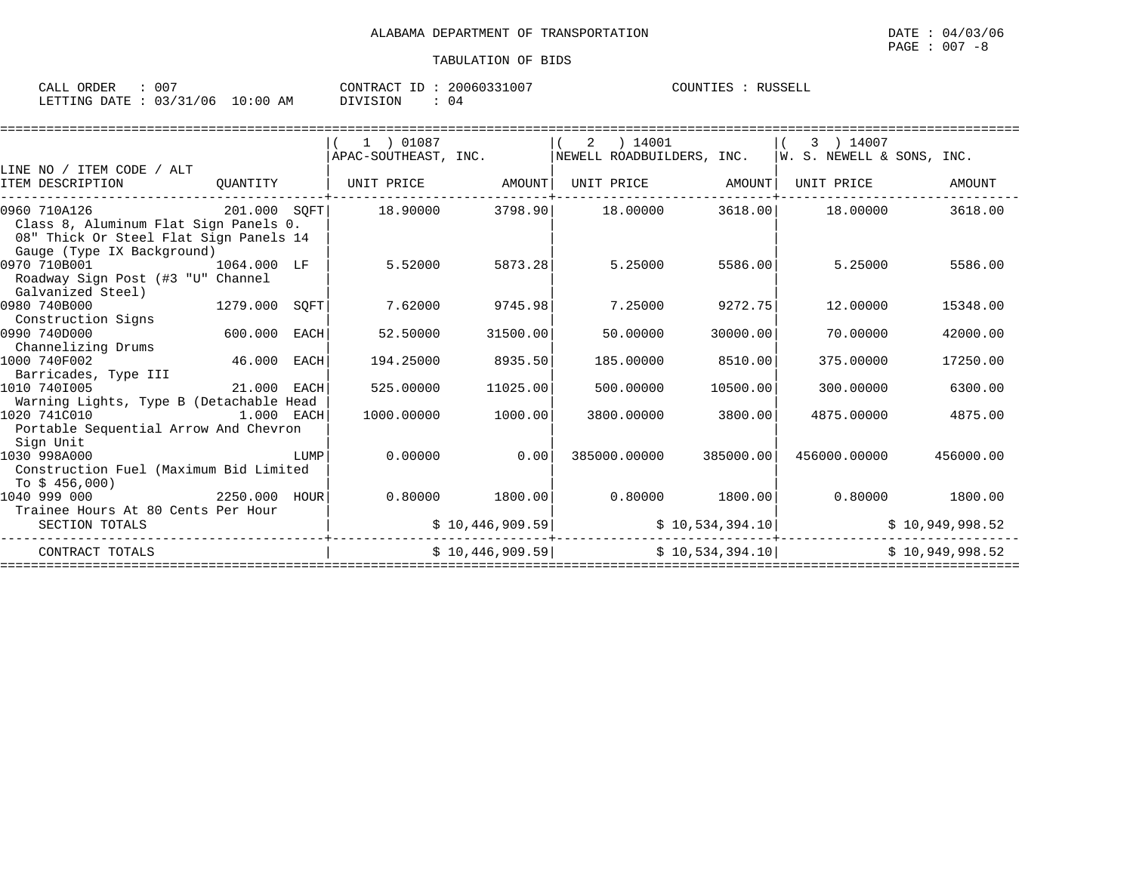| CALL ORDER : 007                |  |          | CONTRACT ID: 20060331007 | COUNTIES : RUSSELL |  |
|---------------------------------|--|----------|--------------------------|--------------------|--|
| LETTING DATE: 03/31/06 10:00 AM |  | DIVISION | : 04                     |                    |  |

|                                         |            |      | 1 ) 01087            |                   | 2 | 14001                     |                 | 3 ) 14007                 |                 |
|-----------------------------------------|------------|------|----------------------|-------------------|---|---------------------------|-----------------|---------------------------|-----------------|
|                                         |            |      | APAC-SOUTHEAST, INC. |                   |   | NEWELL ROADBUILDERS, INC. |                 | W. S. NEWELL & SONS, INC. |                 |
| LINE NO / ITEM CODE / ALT               |            |      |                      |                   |   |                           |                 |                           |                 |
| ITEM DESCRIPTION                        | OUANTITY   |      | UNIT PRICE AMOUNT    |                   |   | UNIT PRICE AMOUNT         |                 | UNIT PRICE                | <b>AMOUNT</b>   |
|                                         |            |      |                      |                   |   |                           |                 |                           |                 |
| 201.000 SQFT<br>0960 710A126            |            |      | 18.90000             | 3798.90           |   | 18.00000 3618.00 18.00000 |                 |                           | 3618.00         |
| Class 8, Aluminum Flat Sign Panels 0.   |            |      |                      |                   |   |                           |                 |                           |                 |
| 08" Thick Or Steel Flat Sign Panels 14  |            |      |                      |                   |   |                           |                 |                           |                 |
| Gauge (Type IX Background)              |            |      |                      |                   |   |                           |                 |                           |                 |
| 0970 710B001<br>1064.000 LF             |            |      | 5.52000              | 5873.28           |   | 5.25000                   | 5586.00         | 5.25000                   | 5586.00         |
| Roadway Sign Post (#3 "U" Channel       |            |      |                      |                   |   |                           |                 |                           |                 |
| Galvanized Steel)                       |            |      |                      |                   |   |                           |                 |                           |                 |
| 0980 740B000<br>1279.000                |            | SOFT | 7.62000              | 9745.98           |   | 7.25000                   | 9272.75         | 12,00000                  | 15348.00        |
| Construction Signs                      |            |      |                      |                   |   |                           |                 |                           |                 |
| 0990 740D000                            | 600.000    | EACH | 52.50000             | 31500.00          |   | 50.00000                  | 30000.00        | 70.00000                  | 42000.00        |
| Channelizing Drums                      |            |      |                      |                   |   |                           |                 |                           |                 |
| 1000 740F002                            | 46.000     | EACH | 194.25000            | 8935.50           |   | 185.00000                 | 8510.00         | 375,00000                 | 17250.00        |
| Barricades, Type III                    |            |      |                      |                   |   |                           |                 |                           |                 |
| 21.000 EACH<br>1010 7401005             |            |      | 525.00000            | 11025.00          |   | 500.00000                 | 10500.00        | 300,00000                 | 6300.00         |
| Warning Lights, Type B (Detachable Head |            |      |                      |                   |   |                           |                 |                           |                 |
| 1020 741C010                            | 1.000 EACH |      | 1000.00000           | 1000.00           |   | 3800,00000                | 3800.00         | 4875.00000                | 4875.00         |
| Portable Sequential Arrow And Chevron   |            |      |                      |                   |   |                           |                 |                           |                 |
| Sign Unit                               |            |      |                      |                   |   |                           |                 |                           |                 |
| 1030 998A000                            |            | LUMP | 0.00000              | 0.00              |   | 385000.00000              | 385000.00       | 456000.00000              | 456000.00       |
| Construction Fuel (Maximum Bid Limited  |            |      |                      |                   |   |                           |                 |                           |                 |
| To $$456,000$                           |            |      |                      |                   |   |                           |                 |                           |                 |
| 2250.000 HOUR<br>1040 999 000           |            |      |                      | $0.80000$ 1800.00 |   | $0.80000$ 1800.00         |                 | 0.80000 1800.00           |                 |
| Trainee Hours At 80 Cents Per Hour      |            |      |                      |                   |   |                           |                 |                           |                 |
| SECTION TOTALS                          |            |      |                      | \$10,446,909.59]  |   |                           | \$10,534,394.10 |                           | \$10,949,998.52 |
| CONTRACT TOTALS                         |            |      |                      | \$10,446,909.59]  |   | \$10,534,394.10           |                 | \$10.949.998.52           |                 |
|                                         |            |      |                      |                   |   |                           |                 |                           |                 |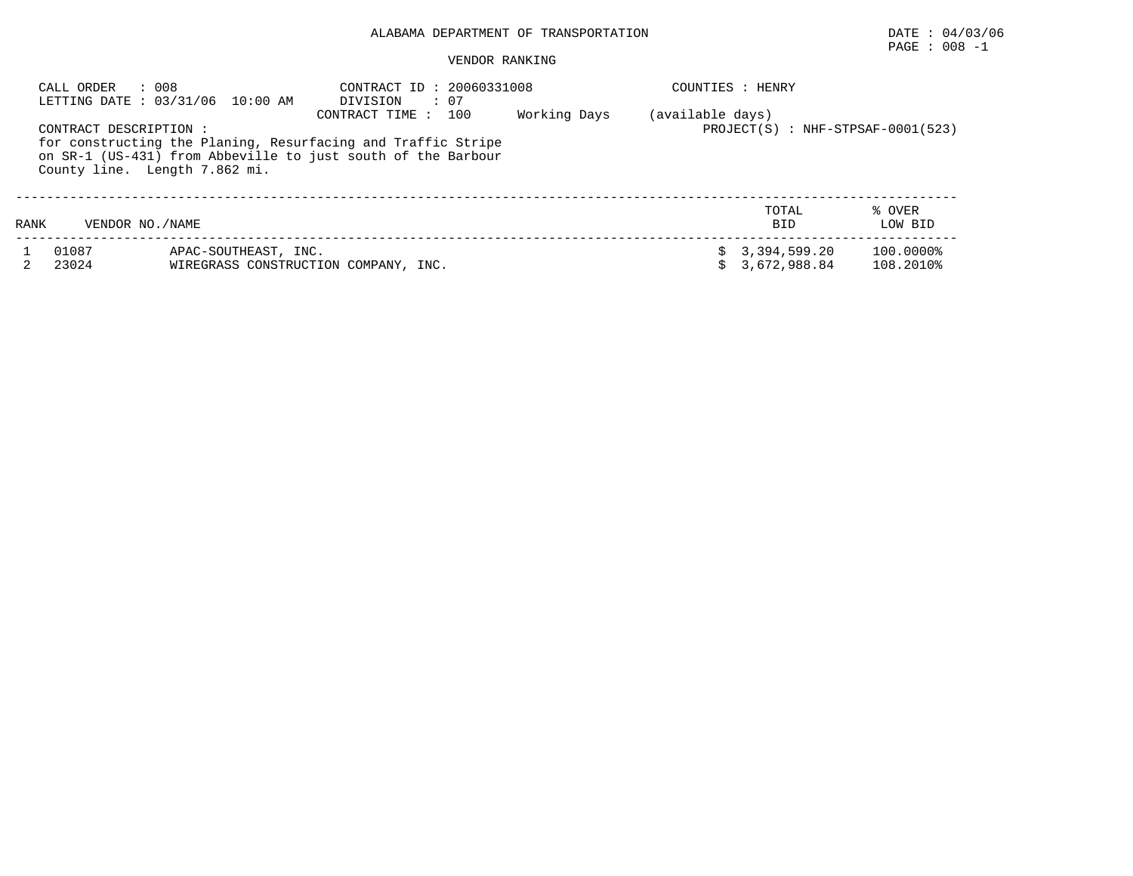## ALABAMA DEPARTMENT OF TRANSPORTATION DATE : 04/03/06

# $\texttt{PAGE}$  : 008 -1

#### VENDOR RANKING

|      | : 008<br>CALL ORDER                                     | LETTING DATE: 03/31/06 10:00 AM | CONTRACT ID: 20060331008<br>DIVISION<br>: 07                                                                                                           |              |                  | COUNTIES : HENRY                    |                        |
|------|---------------------------------------------------------|---------------------------------|--------------------------------------------------------------------------------------------------------------------------------------------------------|--------------|------------------|-------------------------------------|------------------------|
|      | CONTRACT DESCRIPTION :<br>County line. Length 7.862 mi. |                                 | 100<br>CONTRACT TIME :<br>for constructing the Planing, Resurfacing and Traffic Stripe<br>on SR-1 (US-431) from Abbeville to just south of the Barbour | Working Days | (available days) | $PROJECT(S) : NHF-STPSAF-0001(523)$ |                        |
| RANK | VENDOR NO. / NAME                                       |                                 |                                                                                                                                                        |              |                  | TOTAL<br><b>BID</b>                 | % OVER<br>LOW BID      |
|      | 01087<br>23024                                          | APAC-SOUTHEAST, INC.            | WIREGRASS CONSTRUCTION COMPANY, INC.                                                                                                                   |              |                  | 3,394,599.20<br>3,672,988.84        | 100.0000%<br>108.2010% |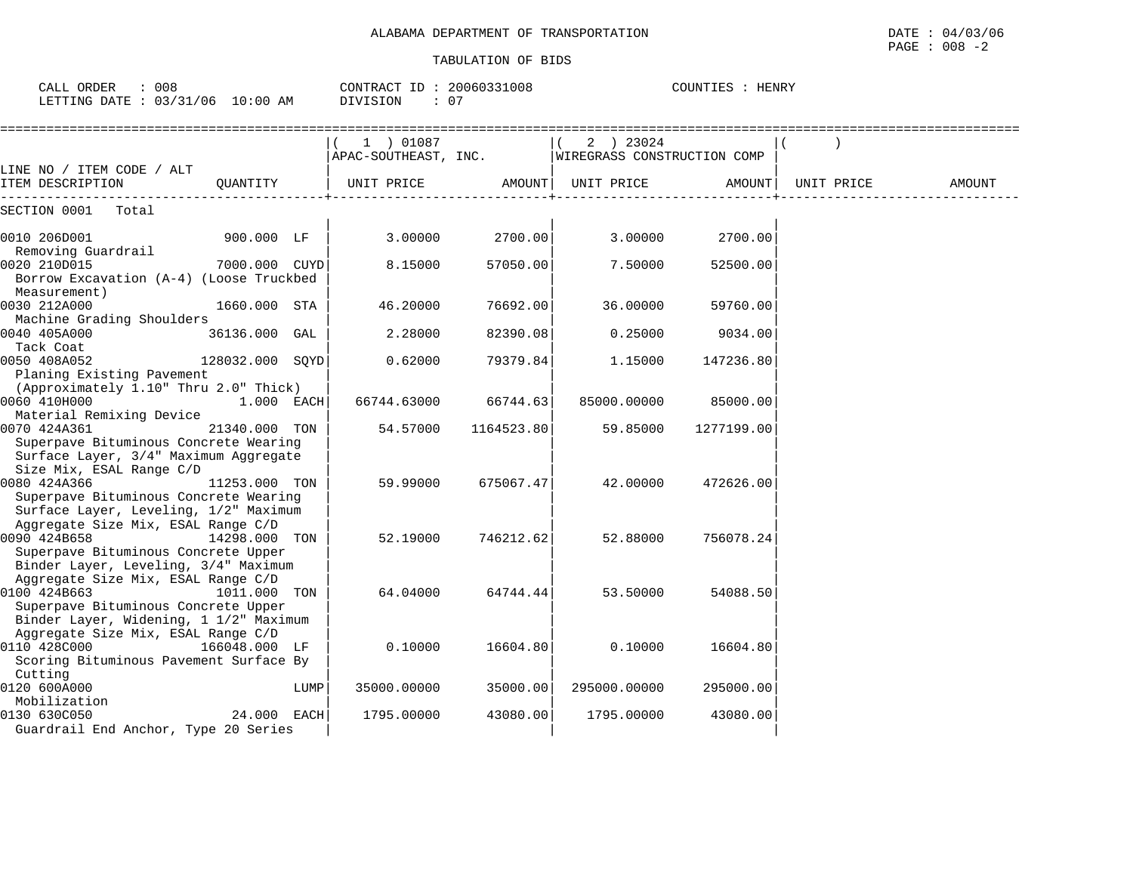CALL ORDER : 008 CONTRACT ID : 20060331008 COUNTIES : HENRY

| LETTING DATE : 03/31/06 10:00 AM                                                                                                     |                 |      | : 07<br>DIVISION                                              |            |                    |            |            |        |
|--------------------------------------------------------------------------------------------------------------------------------------|-----------------|------|---------------------------------------------------------------|------------|--------------------|------------|------------|--------|
|                                                                                                                                      |                 |      | 1 ) 01087<br>APAC-SOUTHEAST, INC. WIREGRASS CONSTRUCTION COMP |            | 2 ) 23024          |            |            |        |
| LINE NO / ITEM CODE / ALT<br>ITEM DESCRIPTION                                                                                        | QUANTITY        |      | UNIT PRICE                                                    |            | AMOUNT  UNIT PRICE | AMOUNT     | UNIT PRICE | AMOUNT |
| SECTION 0001 Total                                                                                                                   |                 |      |                                                               |            |                    |            |            |        |
| 0010 206D001<br>Removing Guardrail                                                                                                   | 900.000 LF      |      | 3.00000                                                       | 2700.00    | 3.00000            | 2700.00    |            |        |
| 0020 210D015<br>Borrow Excavation (A-4) (Loose Truckbed<br>Measurement)                                                              | 7000.000 CUYD   |      | 8.15000                                                       | 57050.00   | 7.50000            | 52500.00   |            |        |
| 0030 212A000<br>Machine Grading Shoulders                                                                                            | 1660.000 STA    |      | 46.20000                                                      | 76692.00   | 36.00000           | 59760.00   |            |        |
| 0040 405A000<br>Tack Coat                                                                                                            | 36136.000 GAL   |      | 2.28000                                                       | 82390.08   | 0.25000            | 9034.00    |            |        |
| 0050 408A052<br>Planing Existing Pavement                                                                                            | 128032.000 SQYD |      | 0.62000                                                       | 79379.84   | 1,15000            | 147236.80  |            |        |
| (Approximately 1.10" Thru 2.0" Thick)<br>0060 410H000<br>Material Remixing Device                                                    | $1.000$ EACH    |      | 66744.63000                                                   | 66744.63   | 85000.00000        | 85000.00   |            |        |
| 0070 424A361<br>Superpave Bituminous Concrete Wearing<br>Surface Layer, 3/4" Maximum Aggregate<br>Size Mix, ESAL Range C/D           | 21340.000 TON   |      | 54.57000                                                      | 1164523.80 | 59.85000           | 1277199.00 |            |        |
| 0080 424A366<br>Superpave Bituminous Concrete Wearing<br>Surface Layer, Leveling, 1/2" Maximum<br>Aggregate Size Mix, ESAL Range C/D | 11253.000 TON   |      | 59.99000                                                      | 675067.47  | 42.00000           | 472626.00  |            |        |
| 0090 424B658<br>Superpave Bituminous Concrete Upper<br>Binder Layer, Leveling, 3/4" Maximum<br>Aggregate Size Mix, ESAL Range C/D    | 14298.000 TON   |      | 52.19000                                                      | 746212.62  | 52.88000           | 756078.24  |            |        |
| 0100 424B663<br>Superpave Bituminous Concrete Upper<br>Binder Layer, Widening, 1 1/2" Maximum<br>Aggregate Size Mix, ESAL Range C/D  | 1011.000 TON    |      | 64.04000                                                      | 64744.44   | 53.50000           | 54088.50   |            |        |
| 0110 428C000<br>166048.000 LF<br>Scoring Bituminous Pavement Surface By<br>Cutting                                                   |                 |      | 0.10000                                                       | 16604.80   | 0.10000            | 16604.80   |            |        |
| 0120 600A000<br>Mobilization                                                                                                         |                 | LUMP | 35000.00000                                                   | 35000.00   | 295000.00000       | 295000.00  |            |        |
| 0130 630C050<br>Guardrail End Anchor, Type 20 Series                                                                                 | $24.000$ EACH   |      | 1795.00000                                                    | 43080.00   | 1795.00000         | 43080.00   |            |        |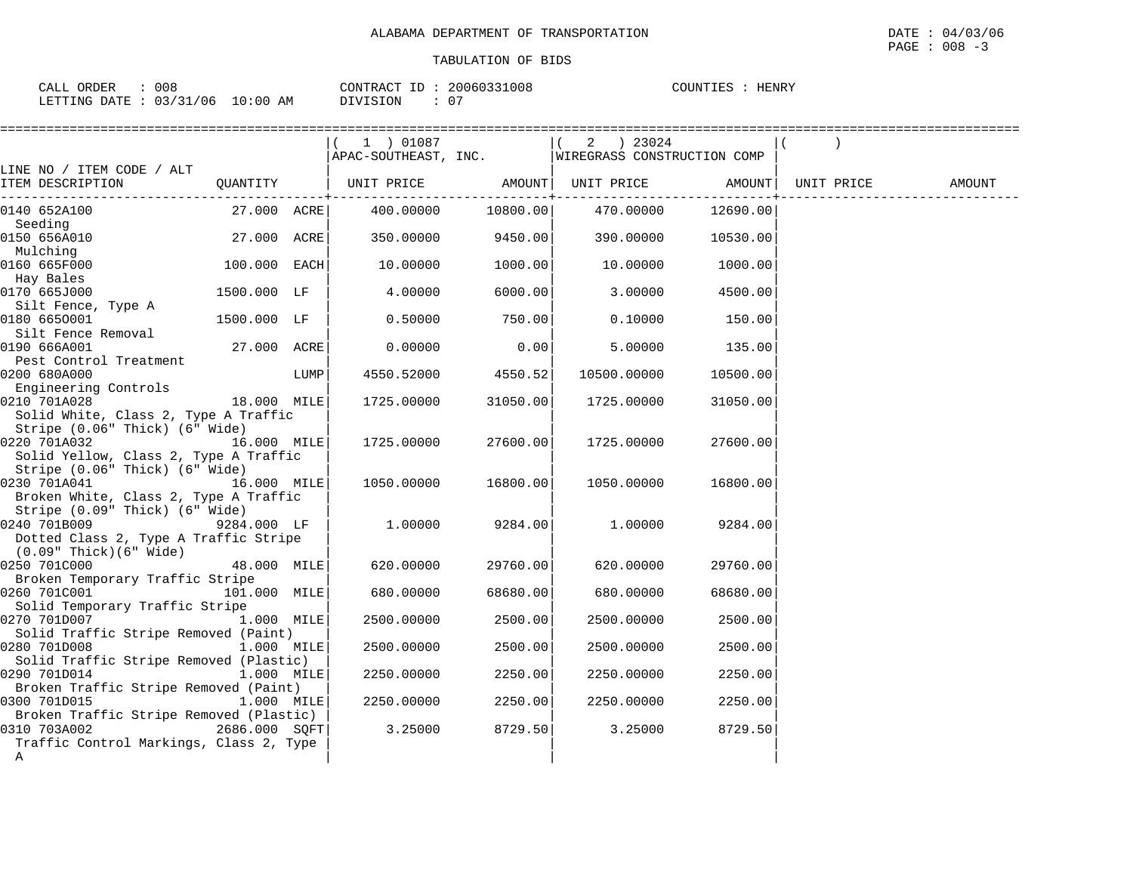| 008<br>ORDEF<br>$\sim$ $\sim$ $\sim$<br>. – Д. Г               |                 | 200<br>1008<br>CONTR<br>$\sqrt{2}$<br>-TD<br>16(1)<br>:RAC | <b>HENRY</b><br>COUNTIES |
|----------------------------------------------------------------|-----------------|------------------------------------------------------------|--------------------------|
| /06<br>$\sim$ $\sim$ $\sim$<br>$\sim$<br>LETTING<br>DATE.<br>ັ | ! 0 : 0 0<br>AΜ | $\cap$<br>DIVISION<br>J.                                   |                          |

|                                                                                                        |                |      | ==============================                   |                     |             |                    |        |
|--------------------------------------------------------------------------------------------------------|----------------|------|--------------------------------------------------|---------------------|-------------|--------------------|--------|
|                                                                                                        |                |      | $(1)$ 01087                                      |                     | 2 ) 23024   |                    |        |
|                                                                                                        |                |      | APAC-SOUTHEAST, INC. WIREGRASS CONSTRUCTION COMP |                     |             |                    |        |
| LINE NO / ITEM CODE / ALT                                                                              |                |      |                                                  |                     |             |                    |        |
| ITEM DESCRIPTION                                                                                       | QUANTITY       |      | UNIT PRICE AMOUNT  UNIT PRICE AMOUNT  UNIT PRICE |                     |             |                    | AMOUNT |
| 0140 652A100<br>Seeding                                                                                | 27.000 ACRE    |      | 400.00000 10800.00                               |                     |             | 470.00000 12690.00 |        |
| 0150 656A010<br>Mulching                                                                               | 27.000 ACRE    |      |                                                  | 350.00000 9450.00   | 390.00000   | 10530.00           |        |
| 0160 665F000<br>Hay Bales                                                                              | $100.000$ EACH |      | 10.00000                                         | 1000.00             | 10.00000    | 1000.00            |        |
| 0170 665J000<br>Silt Fence, Type A                                                                     | 1500.000 LF    |      | 4.00000                                          | 6000.00             | 3.00000     | 4500.00            |        |
| 0180 6650001<br>Silt Fence Removal                                                                     | 1500.000 LF    |      | 0.50000                                          | 750.00              | 0.10000     | 150.00             |        |
| 0190 666A001                                                                                           | 27.000 ACRE    |      | 0.00000                                          | 0.00                | 5.00000     | 135.00             |        |
| Pest Control Treatment<br>0200 680A000<br>Engineering Controls                                         |                | LUMP | 4550.52000                                       | 4550.52             | 10500.00000 | 10500.00           |        |
| 18.000 MILE<br>0210 701A028<br>Solid White, Class 2, Type A Traffic                                    |                |      | 1725.00000                                       | 31050.00            | 1725.00000  | 31050.00           |        |
| Stripe (0.06" Thick) (6" Wide)<br>0220 701A032<br>Solid Yellow, Class 2, Type A Traffic                | 16.000 MILE    |      | 1725.00000                                       | 27600.00            | 1725.00000  | 27600.00           |        |
| Stripe (0.06" Thick) (6" Wide)<br>0230 701A041<br>16.000 MILE<br>Broken White, Class 2, Type A Traffic |                |      |                                                  | 1050.00000 16800.00 | 1050.00000  | 16800.00           |        |
| Stripe (0.09" Thick) (6" Wide)<br>0240 701B009                                                         | 9284.000 LF    |      | 1.00000                                          | 9284.00             | 1,00000     | 9284.00            |        |
| Dotted Class 2, Type A Traffic Stripe<br>$(0.09"$ Thick $)(6"$ Wide $)$                                |                |      |                                                  |                     |             |                    |        |
| 0250 701C000<br>Broken Temporary Traffic Stripe                                                        | 48.000 MILE    |      | 620.00000                                        | 29760.00            | 620.00000   | 29760.00           |        |
| 0260 701C001<br>Solid Temporary Traffic Stripe                                                         | 101.000 MILE   |      | 680.00000                                        | 68680.00            | 680.00000   | 68680.00           |        |
| 0270 701D007<br>Solid Traffic Stripe Removed (Paint)                                                   | 1.000 MILE     |      | 2500.00000                                       | 2500.00             | 2500.00000  | 2500.00            |        |
| 0280 701D008<br>Solid Traffic Stripe Removed (Plastic)                                                 | 1.000 MILE     |      | 2500.00000                                       | 2500.00             | 2500.00000  | 2500.00            |        |
| 0290 701D014<br>Broken Traffic Stripe Removed (Paint)                                                  | $1.000$ MILE   |      | 2250.00000                                       | 2250.00             | 2250.00000  | 2250.00            |        |
| 0300 701D015                                                                                           | $1.000$ MILE   |      | 2250.00000                                       | 2250.00             | 2250.00000  | 2250.00            |        |
| Broken Traffic Stripe Removed (Plastic)<br>0310 703A002<br>Traffic Control Markings, Class 2, Type     | 2686.000 SQFT  |      | 3.25000                                          | 8729.50             | 3.25000     | 8729.50            |        |
| A                                                                                                      |                |      |                                                  |                     |             |                    |        |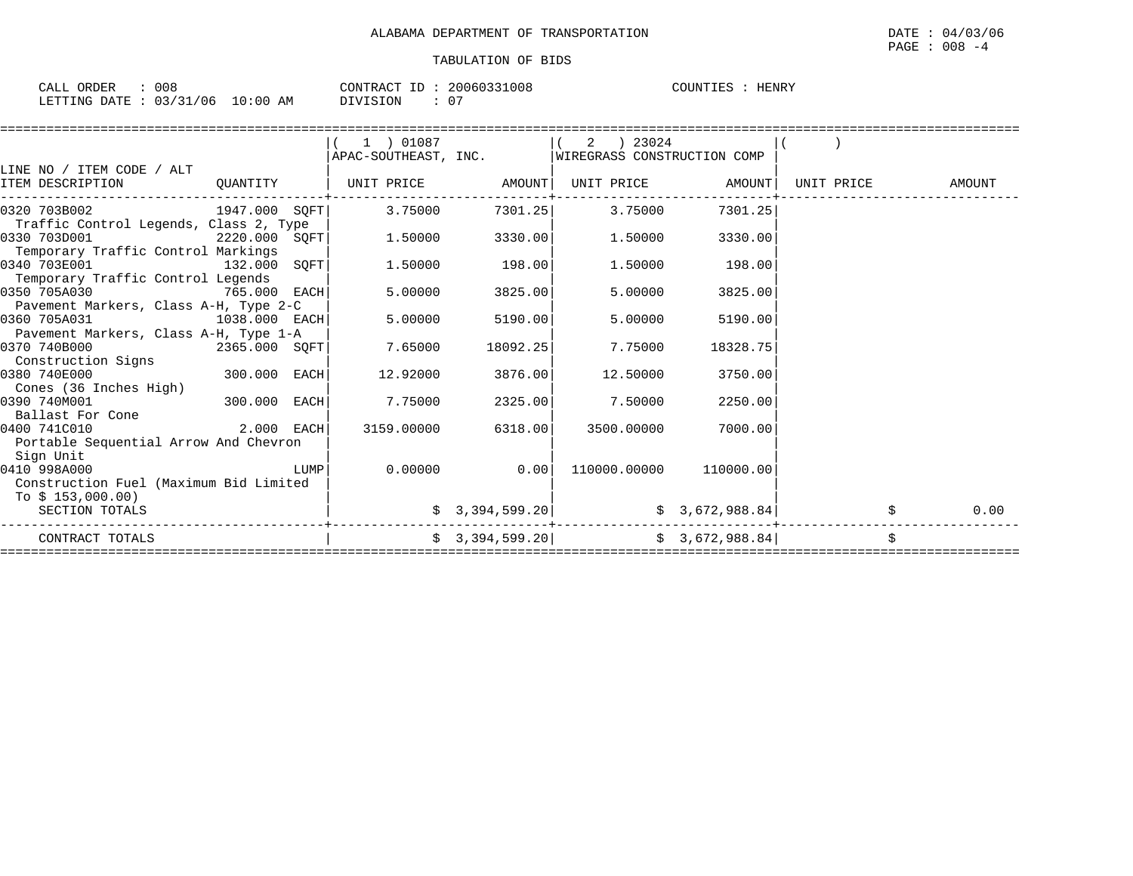| CALL ORDER                       | 008 | CONTRACT ID: 20060331008 |    | HENRY<br>COUNTIES |
|----------------------------------|-----|--------------------------|----|-------------------|
| LETTING DATE : 03/31/06 10:00 AM |     | DIVISION                 | 07 |                   |

|                                                                             |                 | $1$ ) 01087                 |                              | $(2)$ 23024<br>  APAC-SOUTHEAST, INC.              WIREGRASS CONSTRUCTION COMP |                        |            |        |
|-----------------------------------------------------------------------------|-----------------|-----------------------------|------------------------------|--------------------------------------------------------------------------------|------------------------|------------|--------|
| LINE NO / ITEM CODE / ALT<br>ITEM DESCRIPTION                               | QUANTITY        | UNIT PRICE AMOUNT           |                              |                                                                                | UNIT PRICE AMOUNT      | UNIT PRICE | AMOUNT |
| 0320 703B002                                                                |                 | $1947.000$ SOFT 3.75000     |                              | 7301.25 3.75000                                                                | 7301.25                |            |        |
| Traffic Control Legends, Class 2, Type<br>0330 703D001                      |                 | $2220.000$ $SQFT$ $1.50000$ | 3330.00                      | 1.50000                                                                        | 3330.00                |            |        |
| Temporary Traffic Control Markings<br>0340 703E001                          | $132.000$ SQFT  | 1.50000                     | 198.00                       | 1.50000                                                                        | 198.00                 |            |        |
| Temporary Traffic Control Legends<br>0350 705A030                           | 765.000 EACH    | 5.00000                     | 3825.00                      | 5.00000                                                                        | 3825.00                |            |        |
| Pavement Markers, Class A-H, Type 2-C<br>0360 705A031                       | 1038.000 EACH   | 5.00000                     | 5190.00                      | 5.00000                                                                        | 5190.00                |            |        |
| Pavement Markers, Class A-H, Type 1-A<br>0370 740B000<br>Construction Signs | $2365.000$ SQFT | 7.65000                     | 18092.25                     | 7.75000                                                                        | 18328.75               |            |        |
| 0380 740E000<br>Cones (36 Inches High)                                      | $300.000$ EACH  | 12.92000                    | 3876.00                      | 12.50000                                                                       | 3750.00                |            |        |
| 0390 740M001<br>Ballast For Cone                                            | $300.000$ EACH  | 7.75000                     | 2325.00                      | 7.50000                                                                        | 2250.00                |            |        |
| 0400 741C010<br>Portable Sequential Arrow And Chevron                       | $2.000$ EACH    |                             | 3159.00000 6318.00           | 3500.00000                                                                     | 7000.00                |            |        |
| Sign Unit<br>0410 998A000<br>Construction Fuel (Maximum Bid Limited         |                 |                             | $0.00000$ 0.00               |                                                                                | 110000.00000 110000.00 |            |        |
| To \$ 153,000.00)<br>SECTION TOTALS                                         |                 |                             | $\frac{1}{2}$ 3, 394, 599.20 |                                                                                | \$3,672,988.84         |            | 0.00   |
| CONTRACT TOTALS                                                             |                 |                             |                              | $\sharp$ 3,394,599.20 $\sharp$ 3,672,988.84                                    |                        |            | \$     |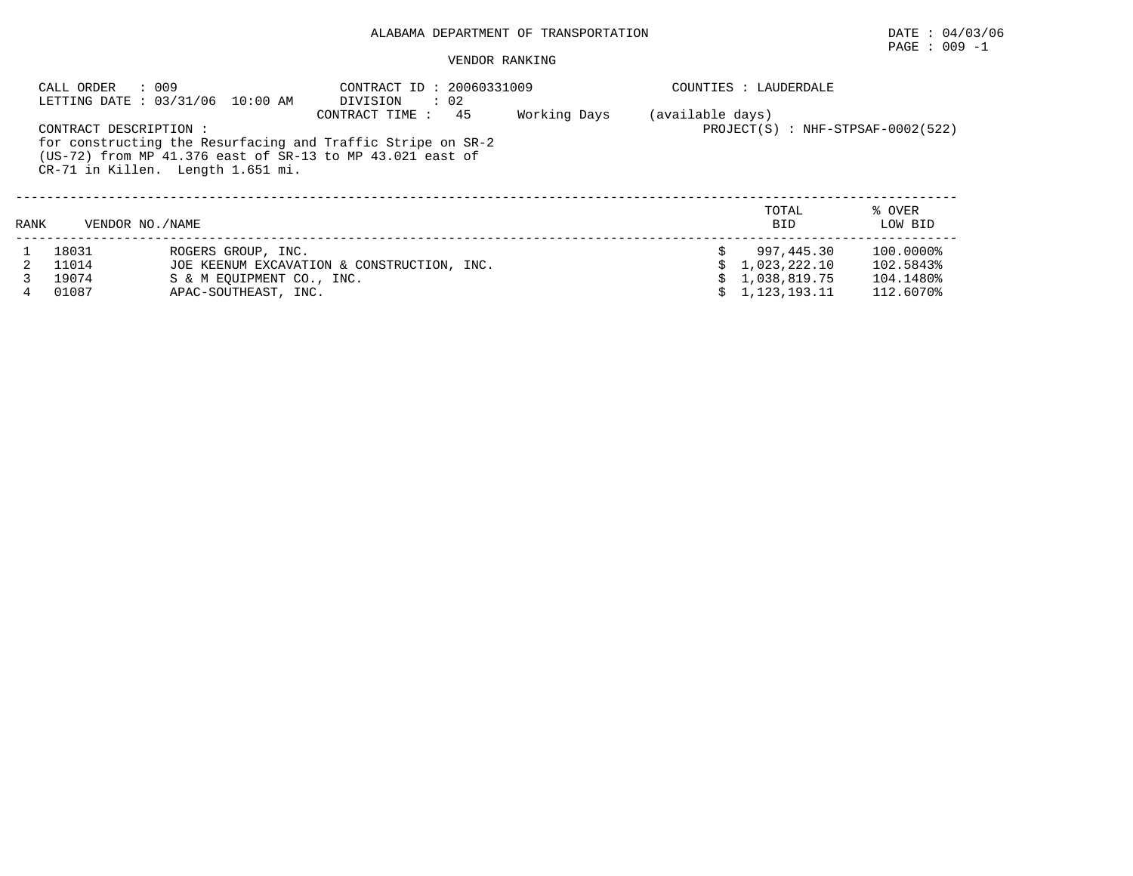## ALABAMA DEPARTMENT OF TRANSPORTATION DATE : 04/03/06

# PAGE : 009 -1

#### VENDOR RANKING

|      | : 009<br>CALL ORDER    | LETTING DATE: 03/31/06 10:00 AM   | CONTRACT ID: 20060331009<br>DIVISION<br>$\therefore$ 02                                                                                          |                                                         |  | COUNTIES : LAUDERDALE |                   |  |  |
|------|------------------------|-----------------------------------|--------------------------------------------------------------------------------------------------------------------------------------------------|---------------------------------------------------------|--|-----------------------|-------------------|--|--|
|      | CONTRACT DESCRIPTION : | CR-71 in Killen. Length 1.651 mi. | CONTRACT TIME:<br>45<br>for constructing the Resurfacing and Traffic Stripe on SR-2<br>(US-72) from MP 41.376 east of SR-13 to MP 43.021 east of | (available days)<br>$PROJECT(S)$ : NHF-STPSAF-0002(522) |  |                       |                   |  |  |
| RANK | VENDOR NO. / NAME      |                                   |                                                                                                                                                  |                                                         |  | TOTAL<br><b>BID</b>   | % OVER<br>LOW BID |  |  |
|      | 18031                  | ROGERS GROUP, INC.                |                                                                                                                                                  |                                                         |  | 997.445.30            | 100.0000%         |  |  |
|      | 11014                  |                                   | JOE KEENUM EXCAVATION & CONSTRUCTION, INC.                                                                                                       |                                                         |  | 1,023,222.10          | 102.5843%         |  |  |
|      | 19074                  | S & M EOUIPMENT CO., INC.         |                                                                                                                                                  |                                                         |  | 1,038,819.75          | 104.1480%         |  |  |
|      | 01087                  | APAC-SOUTHEAST, INC.              |                                                                                                                                                  |                                                         |  | 1,123,193.11          | 112.6070%         |  |  |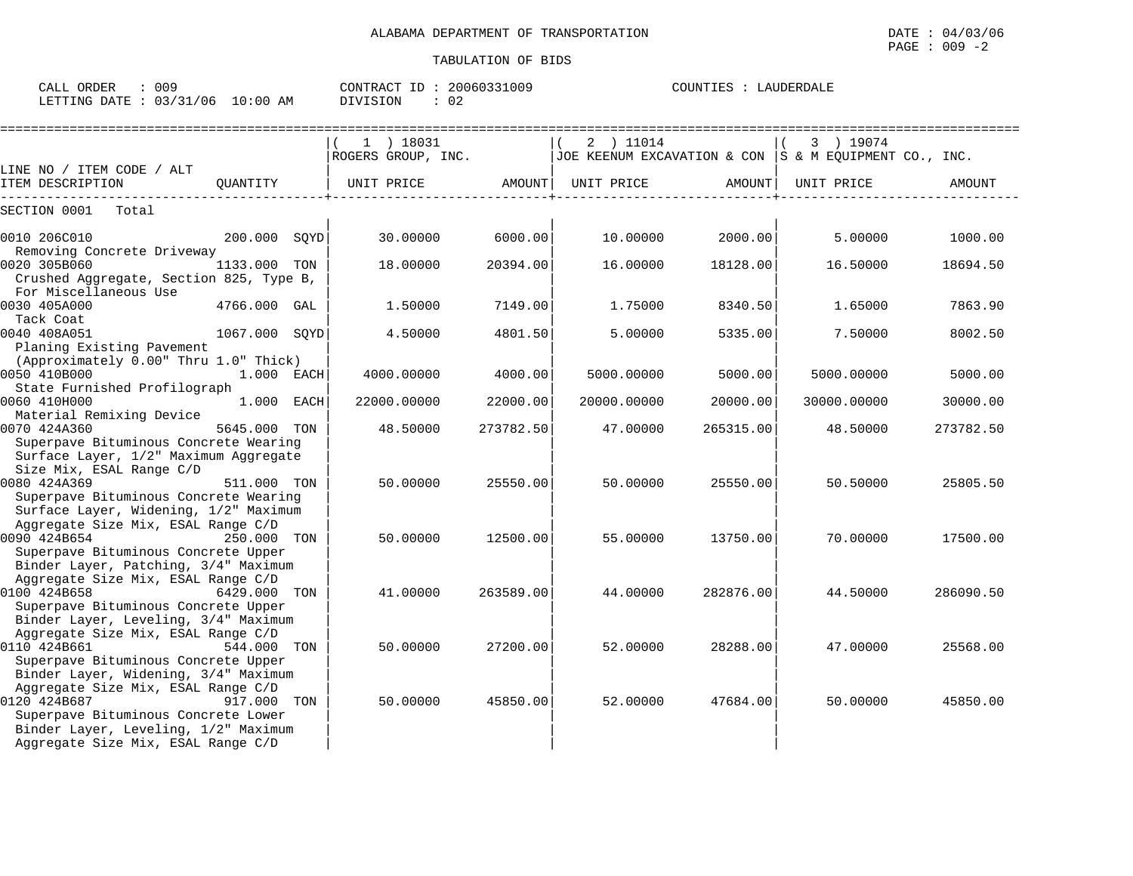CALL ORDER : 009 CONTRACT ID : 20060331009 COUNTIES : LAUDERDALE

LETTING DATE : 03/31/06 10:00 AM DIVISION : 02

|                                               |               | 1 ) 18031<br>ROGERS GROUP, INC. |           | 2 ) 11014<br>JOE KEENUM EXCAVATION & CON  S & M EQUIPMENT CO., INC. |           | 3 ) 19074   |           |
|-----------------------------------------------|---------------|---------------------------------|-----------|---------------------------------------------------------------------|-----------|-------------|-----------|
| LINE NO / ITEM CODE / ALT<br>ITEM DESCRIPTION | QUANTITY      | UNIT PRICE                      |           | AMOUNT  UNIT PRICE                                                  | AMOUNT    | UNIT PRICE  | AMOUNT    |
| SECTION 0001 Total                            |               |                                 |           |                                                                     |           |             |           |
| 0010 206C010                                  | 200.000 SQYD  | 30.00000                        | 6000.00   | 10.00000                                                            | 2000.00   | 5.00000     | 1000.00   |
| Removing Concrete Driveway                    |               |                                 |           |                                                                     |           |             |           |
| 0020 305B060                                  | 1133.000 TON  | 18.00000                        | 20394.00  | 16.00000                                                            | 18128.00  | 16.50000    | 18694.50  |
| Crushed Aggregate, Section 825, Type B,       |               |                                 |           |                                                                     |           |             |           |
| For Miscellaneous Use                         |               |                                 |           |                                                                     |           |             |           |
| 0030 405A000                                  | 4766.000 GAL  | 1.50000                         | 7149.00   | 1.75000                                                             | 8340.50   | 1.65000     | 7863.90   |
| Tack Coat                                     |               |                                 |           |                                                                     |           |             |           |
| 0040 408A051                                  | 1067.000 SQYD | 4.50000                         | 4801.50   | 5.00000                                                             | 5335.00   | 7.50000     | 8002.50   |
| Planing Existing Pavement                     |               |                                 |           |                                                                     |           |             |           |
| (Approximately 0.00" Thru 1.0" Thick)         |               |                                 |           |                                                                     |           |             |           |
| 0050 410B000                                  | 1.000 EACH    | 4000.00000                      | 4000.00   | 5000.00000                                                          | 5000.00   | 5000.00000  | 5000.00   |
| State Furnished Profilograph                  |               |                                 |           |                                                                     |           |             |           |
| 0060 410H000                                  | 1.000 EACH    | 22000.00000                     | 22000.00  | 20000.00000                                                         | 20000.00  | 30000.00000 | 30000.00  |
| Material Remixing Device                      |               |                                 |           |                                                                     |           |             |           |
| 0070 424A360                                  | 5645.000 TON  | 48.50000                        | 273782.50 | 47.00000                                                            | 265315.00 | 48.50000    | 273782.50 |
| Superpave Bituminous Concrete Wearing         |               |                                 |           |                                                                     |           |             |           |
| Surface Layer, 1/2" Maximum Aggregate         |               |                                 |           |                                                                     |           |             |           |
| Size Mix, ESAL Range C/D                      |               |                                 |           |                                                                     |           |             |           |
| 0080 424A369                                  | 511.000 TON   | 50.00000                        | 25550.00  | 50.00000                                                            | 25550.00  | 50.50000    | 25805.50  |
| Superpave Bituminous Concrete Wearing         |               |                                 |           |                                                                     |           |             |           |
| Surface Layer, Widening, 1/2" Maximum         |               |                                 |           |                                                                     |           |             |           |
| Aggregate Size Mix, ESAL Range C/D            |               |                                 |           |                                                                     |           |             |           |
| 0090 424B654                                  | 250.000 TON   | 50.00000                        | 12500.00  | 55.00000                                                            | 13750.00  | 70.00000    | 17500.00  |
| Superpave Bituminous Concrete Upper           |               |                                 |           |                                                                     |           |             |           |
| Binder Layer, Patching, 3/4" Maximum          |               |                                 |           |                                                                     |           |             |           |
| Aggregate Size Mix, ESAL Range C/D            |               |                                 |           |                                                                     |           |             |           |
| 0100 424B658<br>6429.000 TON                  |               | 41.00000                        | 263589.00 | 44.00000                                                            | 282876.00 | 44.50000    | 286090.50 |
| Superpave Bituminous Concrete Upper           |               |                                 |           |                                                                     |           |             |           |
| Binder Layer, Leveling, 3/4" Maximum          |               |                                 |           |                                                                     |           |             |           |
| Aggregate Size Mix, ESAL Range C/D            |               |                                 |           |                                                                     |           |             |           |
| 0110 424B661                                  | 544.000 TON   | 50.00000                        | 27200.00  | 52.00000                                                            | 28288.00  | 47.00000    | 25568.00  |
| Superpave Bituminous Concrete Upper           |               |                                 |           |                                                                     |           |             |           |
| Binder Layer, Widening, 3/4" Maximum          |               |                                 |           |                                                                     |           |             |           |
| Aggregate Size Mix, ESAL Range C/D            |               |                                 |           |                                                                     |           |             |           |
| 0120 424B687                                  | 917.000 TON   | 50.00000                        | 45850.00  | 52.00000                                                            | 47684.00  | 50.00000    | 45850.00  |
| Superpave Bituminous Concrete Lower           |               |                                 |           |                                                                     |           |             |           |
| Binder Layer, Leveling, 1/2" Maximum          |               |                                 |           |                                                                     |           |             |           |
| Aggregate Size Mix, ESAL Range C/D            |               |                                 |           |                                                                     |           |             |           |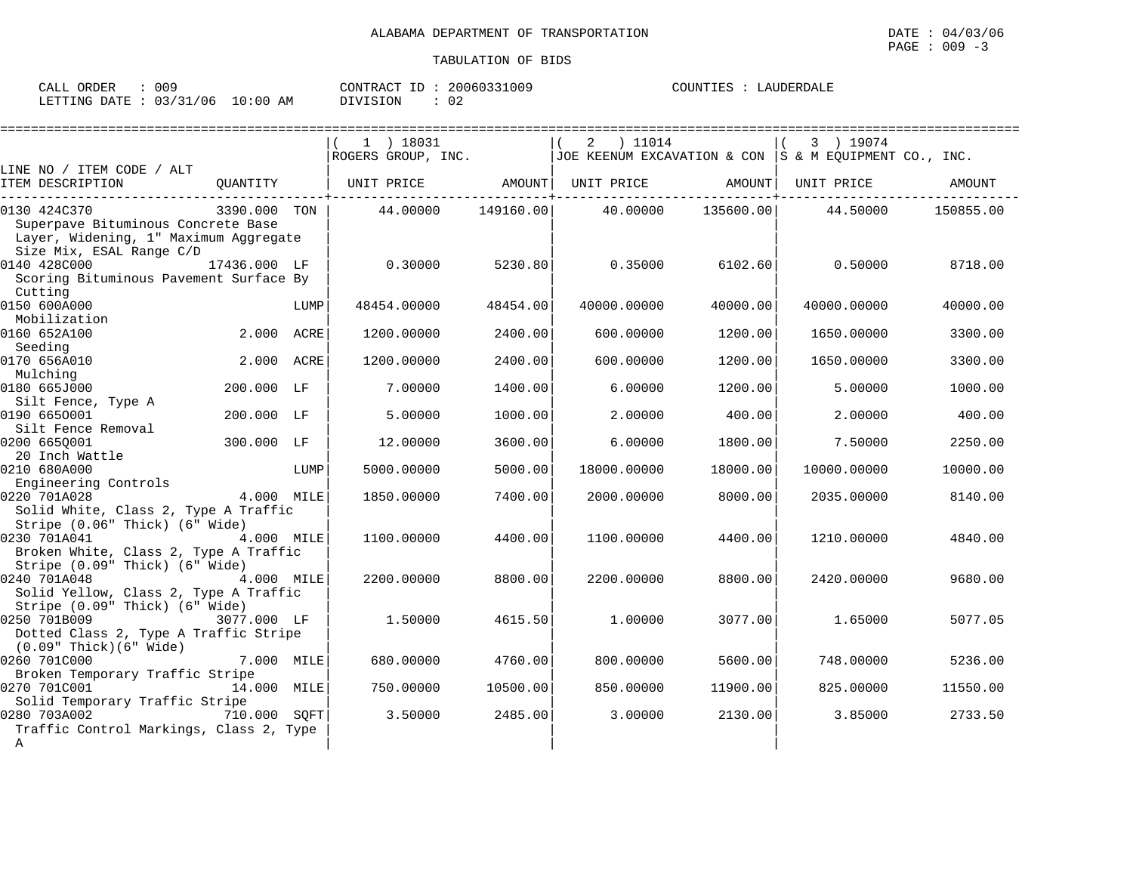| 009<br>ORDER<br>CALL                     |             | 20060331009<br>CONTRACT<br>$ -$ | COUNTIES<br>LAUDERDALE |
|------------------------------------------|-------------|---------------------------------|------------------------|
| /06<br>0.3/31<br>LETTING<br>DATE<br>ــ ب | 10:00<br>AΜ | DIVISION<br>∩ ∩<br>υz           |                        |

|                                         |              |      | $1$ ) 18031                  |           | 2 ) 11014                                                 |           | 3 ) 19074   |           |
|-----------------------------------------|--------------|------|------------------------------|-----------|-----------------------------------------------------------|-----------|-------------|-----------|
|                                         |              |      | ROGERS GROUP, INC.           |           | JOE KEENUM EXCAVATION & CON $ S \& M$ EOUIPMENT CO., INC. |           |             |           |
| LINE NO / ITEM CODE / ALT               |              |      |                              |           |                                                           |           |             |           |
| ITEM DESCRIPTION                        |              |      | QUANTITY   UNIT PRICE AMOUNT |           | UNIT PRICE AMOUNT                                         |           | UNIT PRICE  | AMOUNT    |
| 0130 424C370                            | 3390.000 TON |      | 44.00000                     | 149160.00 | 40.00000                                                  | 135600.00 | 44.50000    | 150855.00 |
| Superpave Bituminous Concrete Base      |              |      |                              |           |                                                           |           |             |           |
| Layer, Widening, 1" Maximum Aggregate   |              |      |                              |           |                                                           |           |             |           |
| Size Mix, ESAL Range C/D                |              |      |                              |           |                                                           |           |             |           |
| 0140 428C000                            | 17436.000 LF |      | 0.30000                      | 5230.80   | 0.35000                                                   | 6102.60   | 0.50000     | 8718.00   |
| Scoring Bituminous Pavement Surface By  |              |      |                              |           |                                                           |           |             |           |
| Cutting                                 |              |      |                              |           |                                                           |           |             |           |
| 0150 600A000                            |              | LUMP | 48454.00000                  | 48454.00  | 40000.00000                                               | 40000.00  | 40000.00000 | 40000.00  |
| Mobilization                            |              |      |                              |           |                                                           |           |             |           |
| 0160 652A100                            | 2.000 ACRE   |      | 1200.00000                   | 2400.00   | 600.00000                                                 | 1200.00   | 1650.00000  | 3300.00   |
| Seeding                                 |              |      |                              |           |                                                           |           |             |           |
| 0170 656A010                            | 2.000 ACRE   |      | 1200.00000                   | 2400.00   | 600.00000                                                 | 1200.00   | 1650.00000  | 3300.00   |
| Mulching                                |              |      |                              |           |                                                           |           |             |           |
| 0180 665J000                            | 200.000 LF   |      | 7.00000                      | 1400.00   | 6.00000                                                   | 1200.00   | 5.00000     | 1000.00   |
| Silt Fence, Type A<br>0190 6650001      | 200.000 LF   |      | 5.00000                      | 1000.00   | 2.00000                                                   | 400.00    | 2,00000     | 400.00    |
| Silt Fence Removal                      |              |      |                              |           |                                                           |           |             |           |
| 0200 6650001                            | 300.000 LF   |      | 12.00000                     | 3600.00   | 6.00000                                                   | 1800.00   | 7.50000     | 2250.00   |
| 20 Inch Wattle                          |              |      |                              |           |                                                           |           |             |           |
| 0210 680A000                            |              | LUMP | 5000.00000                   | 5000.00   | 18000.00000                                               | 18000.00  | 10000.00000 | 10000.00  |
| Engineering Controls                    |              |      |                              |           |                                                           |           |             |           |
| 0220 701A028                            | 4.000 MILE   |      | 1850.00000                   | 7400.00   | 2000.00000                                                | 8000.00   | 2035.00000  | 8140.00   |
| Solid White, Class 2, Type A Traffic    |              |      |                              |           |                                                           |           |             |           |
| Stripe (0.06" Thick) (6" Wide)          |              |      |                              |           |                                                           |           |             |           |
| 0230 701A041                            | 4.000 MILE   |      | 1100.00000                   | 4400.00   | 1100.00000                                                | 4400.00   | 1210.00000  | 4840.00   |
| Broken White, Class 2, Type A Traffic   |              |      |                              |           |                                                           |           |             |           |
| Stripe (0.09" Thick) (6" Wide)          |              |      |                              |           |                                                           |           |             |           |
| 0240 701A048                            | 4.000 MILE   |      | 2200.00000                   | 8800.00   | 2200.00000                                                | 8800.00   | 2420.00000  | 9680.00   |
| Solid Yellow, Class 2, Type A Traffic   |              |      |                              |           |                                                           |           |             |           |
| Stripe (0.09" Thick) (6" Wide)          |              |      |                              |           |                                                           |           |             |           |
| 0250 701B009                            | 3077.000 LF  |      | 1.50000                      | 4615.50   | 1,00000                                                   | 3077.00   | 1.65000     | 5077.05   |
| Dotted Class 2, Type A Traffic Stripe   |              |      |                              |           |                                                           |           |             |           |
| $(0.09"$ Thick $)(6"$ Wide              |              |      |                              |           |                                                           |           |             |           |
| 0260 701C000                            | 7.000 MILE   |      | 680.00000                    | 4760.00   | 800.00000                                                 | 5600.00   | 748.00000   | 5236.00   |
| Broken Temporary Traffic Stripe         |              |      |                              |           |                                                           |           |             |           |
| 0270 701C001                            | 14.000 MILE  |      | 750.00000                    | 10500.00  | 850.00000                                                 | 11900.00  | 825.00000   | 11550.00  |
| Solid Temporary Traffic Stripe          |              |      |                              |           |                                                           |           |             |           |
| 0280 703A002                            | 710.000 SQFT |      | 3.50000                      | 2485.00   | 3.00000                                                   | 2130.00   | 3.85000     | 2733.50   |
| Traffic Control Markings, Class 2, Type |              |      |                              |           |                                                           |           |             |           |
| $\mathbb{A}$                            |              |      |                              |           |                                                           |           |             |           |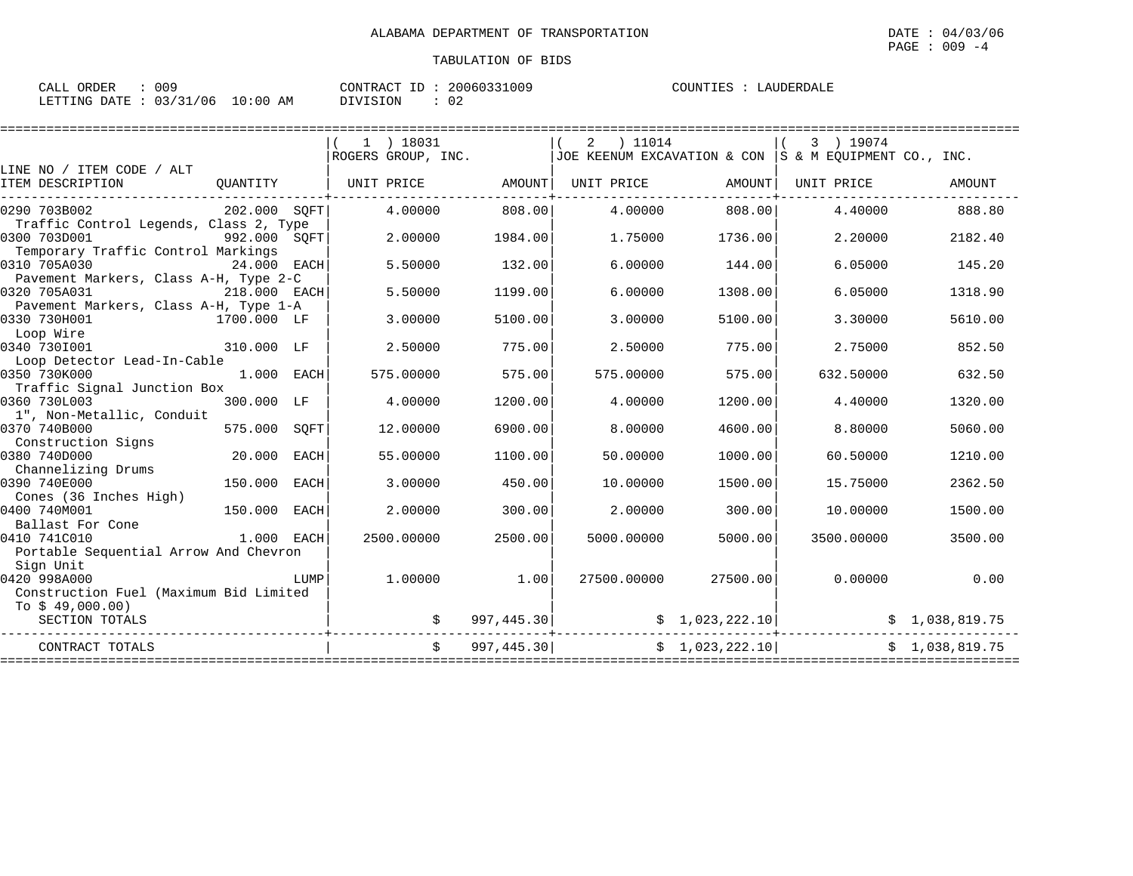| ORDER<br>CALL | 009        |            | CONTRACT ID. | 20060331009 | COUNTIES | LAUDERDALE |
|---------------|------------|------------|--------------|-------------|----------|------------|
| LETTING DATE  | : 03/31/06 | $10:00$ AM | DIVISION     | 02          |          |            |

|                                                                                              |              |      | 1 ) 18031<br>ROGERS GROUP, INC. |               | ) 11014<br>2               |                             | 3 ) 19074<br>JOE KEENUM EXCAVATION & CON $ S \& M$ EOUIPMENT CO., INC. |                |
|----------------------------------------------------------------------------------------------|--------------|------|---------------------------------|---------------|----------------------------|-----------------------------|------------------------------------------------------------------------|----------------|
| LINE NO / ITEM CODE / ALT                                                                    |              |      |                                 |               |                            |                             |                                                                        |                |
| ITEM DESCRIPTION                                                                             | OUANTITY     |      | UNIT PRICE                      | AMOUNT        | UNIT PRICE                 | AMOUNT                      | UNIT PRICE                                                             | AMOUNT         |
| 0290 703B002                                                                                 | 202.000 SQFT |      | 4.00000                         | 808.00        | 4.00000                    | 808,00                      | 4.40000                                                                | 888.80         |
| Traffic Control Legends, Class 2, Type<br>0300 703D001<br>Temporary Traffic Control Markings | 992.000 SQFT |      | 2.00000                         | 1984.00       | 1.75000                    | 1736.00                     | 2.20000                                                                | 2182.40        |
| 0310 705A030                                                                                 | 24.000 EACH  |      | 5.50000                         | 132.00        | 6.00000                    | 144.00                      | 6.05000                                                                | 145.20         |
| Pavement Markers, Class A-H, Type 2-C<br>0320 705A031                                        | 218.000 EACH |      | 5.50000                         | 1199.00       | 6,00000                    | 1308.00                     | 6.05000                                                                | 1318.90        |
| Pavement Markers, Class A-H, Type 1-A                                                        |              |      |                                 |               |                            |                             |                                                                        |                |
| 0330 730H001<br>Loop Wire                                                                    | 1700.000 LF  |      | 3.00000                         | 5100.00       | 3.00000                    | 5100.00                     | 3.30000                                                                | 5610.00        |
| 0340 7301001                                                                                 | 310.000 LF   |      | 2.50000                         | 775.00        | 2.50000                    | 775.00                      | 2.75000                                                                | 852.50         |
| Loop Detector Lead-In-Cable                                                                  |              |      |                                 |               |                            |                             |                                                                        |                |
| 0350 730K000<br>Traffic Signal Junction Box                                                  | 1.000 EACH   |      | 575.00000                       | 575.00        | 575.00000                  | 575.00                      | 632.50000                                                              | 632.50         |
| 0360 730L003                                                                                 | 300.000 LF   |      | 4.00000                         | 1200.00       | 4.00000                    | 1200.00                     | 4.40000                                                                | 1320.00        |
| 1", Non-Metallic, Conduit                                                                    |              |      |                                 |               |                            |                             |                                                                        |                |
| 0370 740B000<br>Construction Signs                                                           | 575.000      | SOFT | 12.00000                        | 6900.00       | 8.00000                    | 4600.00                     | 8,80000                                                                | 5060.00        |
| 0380 740D000                                                                                 | 20.000       | EACH | 55.00000                        | 1100.00       | 50.00000                   | 1000.00                     | 60.50000                                                               | 1210.00        |
| Channelizing Drums<br>0390 740E000                                                           | 150.000      | EACH | 3.00000                         | 450.00        | 10.00000                   | 1500.00                     | 15.75000                                                               | 2362.50        |
| Cones (36 Inches High)                                                                       |              |      |                                 |               |                            |                             |                                                                        |                |
| 0400 740M001<br>Ballast For Cone                                                             | 150.000      | EACH | 2.00000                         | 300.00        | 2,00000                    | 300.00                      | 10.00000                                                               | 1500.00        |
| 0410 741C010                                                                                 | 1.000 EACH   |      | 2500.00000                      | 2500.00       | 5000.00000                 | 5000.00                     | 3500.00000                                                             | 3500.00        |
| Portable Sequential Arrow And Chevron                                                        |              |      |                                 |               |                            |                             |                                                                        |                |
| Sign Unit                                                                                    |              |      |                                 |               |                            |                             |                                                                        |                |
| 0420 998A000                                                                                 |              | LUMP | 1,00000                         | 1.00          | 27500.00000                | 27500.00                    | 0.00000                                                                | 0.00           |
| Construction Fuel (Maximum Bid Limited<br>To $$49,000.00)$                                   |              |      |                                 |               |                            |                             |                                                                        |                |
| SECTION TOTALS                                                                               |              |      |                                 |               | 997,445.30                 | $\frac{1}{2}$ , 023, 222.10 |                                                                        | \$1,038,819.75 |
| CONTRACT TOTALS                                                                              |              |      |                                 | \$997,445.30] |                            | \$1,023,222.10              |                                                                        | \$1,038,819.75 |
|                                                                                              |              |      |                                 |               | ========================== |                             | ========================                                               |                |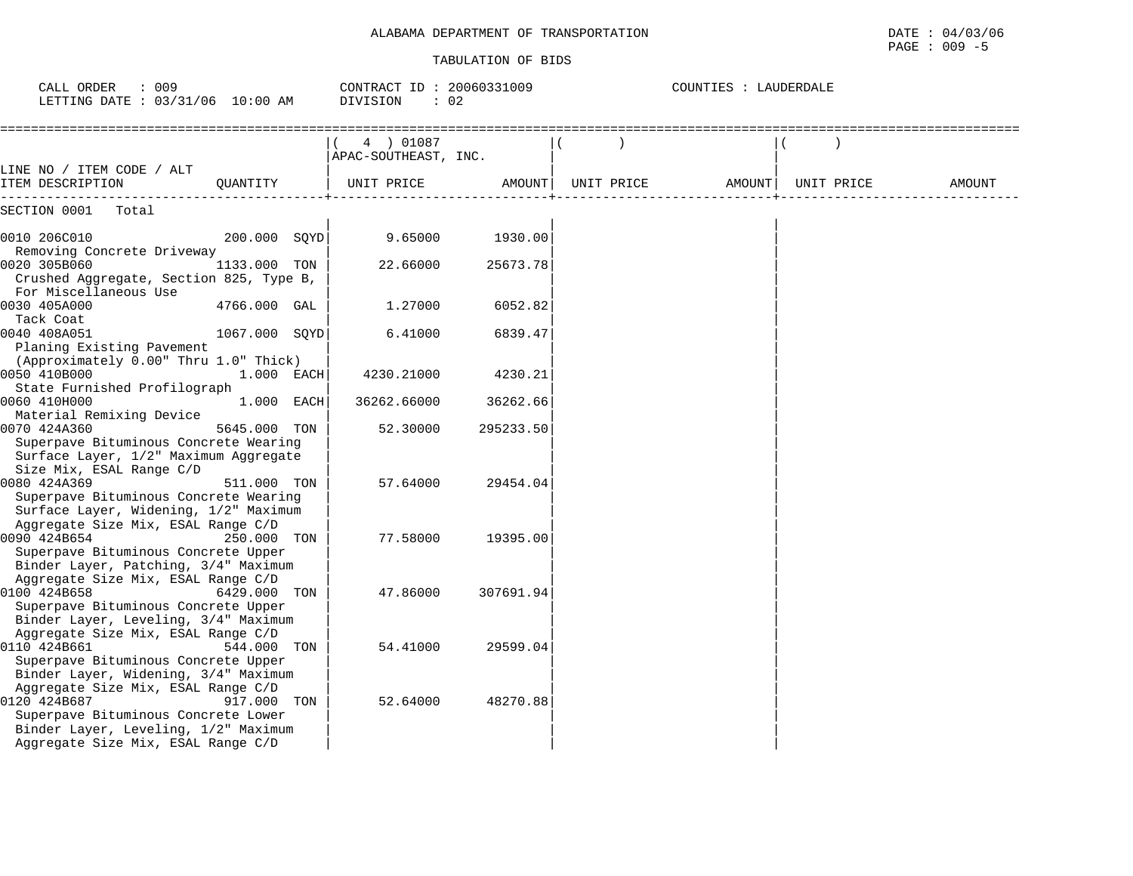## ALABAMA DEPARTMENT OF TRANSPORTATION

| OF                 | 04/03/06                                                                                                        |
|--------------------|-----------------------------------------------------------------------------------------------------------------|
| ALABAMA DEPARTMENT | DATE                                                                                                            |
| TRANSPORTATION     |                                                                                                                 |
|                    | the contract of the contract of the contract of the contract of the contract of the contract of the contract of |
|                    | 009<br>PAGE                                                                                                     |

| CALL ORDER<br>: 009<br>LETTING DATE : 03/31/06 10:00 AM                                                                           |               |  | CONTRACT ID: 20060331009<br>: 02<br>DIVISION |           |                   | COUNTIES : LAUDERDALE |        |            |        |
|-----------------------------------------------------------------------------------------------------------------------------------|---------------|--|----------------------------------------------|-----------|-------------------|-----------------------|--------|------------|--------|
| LINE NO / ITEM CODE / ALT                                                                                                         |               |  | 4 ) 01087<br>APAC-SOUTHEAST, INC.            |           |                   |                       |        |            |        |
| ITEM DESCRIPTION                                                                                                                  | OUANTITY      |  | UNIT PRICE                                   |           | AMOUNT UNIT PRICE |                       | AMOUNT | UNIT PRICE | AMOUNT |
| SECTION 0001 Total                                                                                                                |               |  |                                              |           |                   |                       |        |            |        |
| 0010 206C010                                                                                                                      | 200.000 SOYD  |  | 9.65000                                      | 1930.00   |                   |                       |        |            |        |
| Removing Concrete Driveway<br>0020 305B060<br>Crushed Aggregate, Section 825, Type B,                                             | 1133.000 TON  |  | 22.66000                                     | 25673.78  |                   |                       |        |            |        |
| For Miscellaneous Use<br>0030 405A000                                                                                             | 4766.000 GAL  |  | 1,27000                                      | 6052.82   |                   |                       |        |            |        |
| Tack Coat<br>0040 408A051<br>Planing Existing Pavement                                                                            | 1067.000 SQYD |  | 6.41000                                      | 6839.47   |                   |                       |        |            |        |
| (Approximately 0.00" Thru 1.0" Thick)<br>0050 410B000<br>State Furnished Profilograph                                             | 1.000 EACH    |  | 4230.21000                                   | 4230.21   |                   |                       |        |            |        |
| 0060 410H000                                                                                                                      | 1.000 EACH    |  | 36262.66000                                  | 36262.66  |                   |                       |        |            |        |
| Material Remixing Device<br>0070 424A360<br>Superpave Bituminous Concrete Wearing<br>Surface Layer, 1/2" Maximum Aggregate        | 5645.000 TON  |  | 52.30000                                     | 295233.50 |                   |                       |        |            |        |
| Size Mix, ESAL Range C/D<br>0080 424A369<br>Superpave Bituminous Concrete Wearing<br>Surface Layer, Widening, 1/2" Maximum        | 511.000 TON   |  | 57.64000                                     | 29454.04  |                   |                       |        |            |        |
| Aggregate Size Mix, ESAL Range C/D<br>0090 424B654<br>Superpave Bituminous Concrete Upper                                         | 250.000 TON   |  | 77.58000                                     | 19395.00  |                   |                       |        |            |        |
| Binder Layer, Patching, 3/4" Maximum<br>Aggregate Size Mix, ESAL Range C/D<br>0100 424B658<br>Superpave Bituminous Concrete Upper | 6429.000 TON  |  | 47.86000                                     | 307691.94 |                   |                       |        |            |        |
| Binder Layer, Leveling, 3/4" Maximum<br>Aggregate Size Mix, ESAL Range C/D<br>0110 424B661                                        | 544.000 TON   |  | 54.41000                                     | 29599.04  |                   |                       |        |            |        |
| Superpave Bituminous Concrete Upper<br>Binder Layer, Widening, 3/4" Maximum<br>Aggregate Size Mix, ESAL Range C/D<br>0120 424B687 | 917.000 TON   |  | 52.64000                                     | 48270.88  |                   |                       |        |            |        |
| Superpave Bituminous Concrete Lower<br>Binder Layer, Leveling, 1/2" Maximum<br>Aggregate Size Mix, ESAL Range C/D                 |               |  |                                              |           |                   |                       |        |            |        |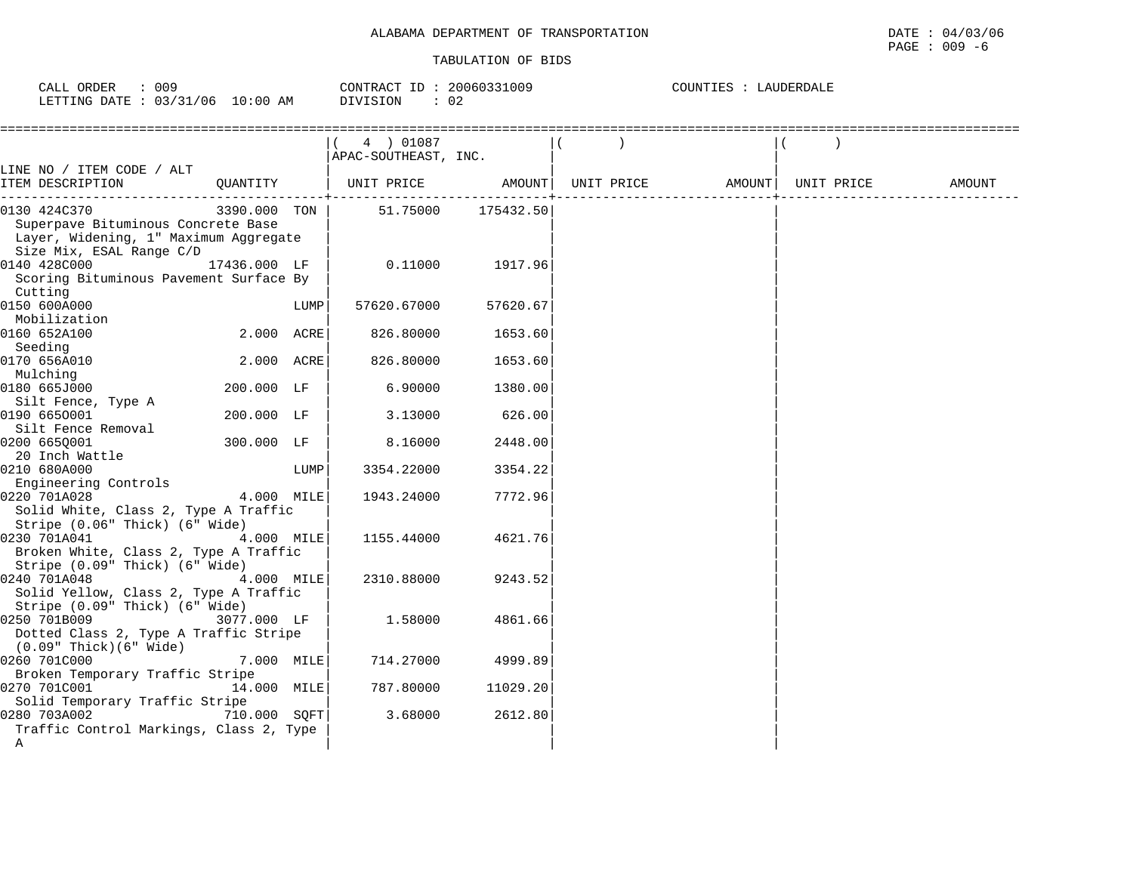| ORDER<br>009<br>CALL                    |             | CONTRACT<br>$\tau$ | 20060331009 | н н<br>''JALL<br>- L F |
|-----------------------------------------|-------------|--------------------|-------------|------------------------|
| 03/31<br>$1 - 1$<br>/06<br>LETTING DATE | 10:00<br>AΜ | DIVISION           | ∩⊇<br>◡∠    |                        |

|                                         |              |      | 4 ) 01087            |           |            |        |            |        |
|-----------------------------------------|--------------|------|----------------------|-----------|------------|--------|------------|--------|
|                                         |              |      | APAC-SOUTHEAST, INC. |           |            |        |            |        |
| LINE NO / ITEM CODE / ALT               |              |      |                      |           |            |        |            |        |
| ITEM DESCRIPTION                        | QUANTITY     |      | UNIT PRICE           | AMOUNT    | UNIT PRICE | AMOUNT | UNIT PRICE | AMOUNT |
| 0130 424C370                            | 3390.000 TON |      | 51.75000             | 175432.50 |            |        |            |        |
| Superpave Bituminous Concrete Base      |              |      |                      |           |            |        |            |        |
| Layer, Widening, 1" Maximum Aggregate   |              |      |                      |           |            |        |            |        |
| Size Mix, ESAL Range C/D                |              |      |                      |           |            |        |            |        |
| 0140 428C000                            | 17436.000 LF |      | 0.11000              | 1917.96   |            |        |            |        |
| Scoring Bituminous Pavement Surface By  |              |      |                      |           |            |        |            |        |
| Cutting                                 |              |      |                      |           |            |        |            |        |
| 0150 600A000                            |              | LUMP | 57620.67000          | 57620.67  |            |        |            |        |
| Mobilization                            |              |      |                      |           |            |        |            |        |
| 0160 652A100                            | 2.000 ACRE   |      | 826.80000            | 1653.60   |            |        |            |        |
| Seeding                                 |              |      |                      |           |            |        |            |        |
| 0170 656A010                            | 2.000 ACRE   |      | 826.80000            | 1653.60   |            |        |            |        |
| Mulching                                |              |      |                      |           |            |        |            |        |
| 0180 665J000                            | 200.000 LF   |      | 6.90000              | 1380.00   |            |        |            |        |
| Silt Fence, Type A                      |              |      |                      |           |            |        |            |        |
| 0190 6650001                            | 200.000 LF   |      | 3.13000              | 626.00    |            |        |            |        |
| Silt Fence Removal                      |              |      |                      |           |            |        |            |        |
| 0200 6650001<br>20 Inch Wattle          | 300.000 LF   |      | 8.16000              | 2448.00   |            |        |            |        |
| 0210 680A000                            |              | LUMP | 3354.22000           | 3354.22   |            |        |            |        |
| Engineering Controls                    |              |      |                      |           |            |        |            |        |
| 0220 701A028                            | 4.000 MILE   |      | 1943.24000           | 7772.96   |            |        |            |        |
| Solid White, Class 2, Type A Traffic    |              |      |                      |           |            |        |            |        |
| Stripe (0.06" Thick) (6" Wide)          |              |      |                      |           |            |        |            |        |
| 0230 701A041                            | 4.000 MILE   |      | 1155.44000           | 4621.76   |            |        |            |        |
| Broken White, Class 2, Type A Traffic   |              |      |                      |           |            |        |            |        |
| Stripe (0.09" Thick) (6" Wide)          |              |      |                      |           |            |        |            |        |
| 0240 701A048                            | 4.000 MILE   |      | 2310.88000           | 9243.52   |            |        |            |        |
| Solid Yellow, Class 2, Type A Traffic   |              |      |                      |           |            |        |            |        |
| Stripe (0.09" Thick) (6" Wide)          |              |      |                      |           |            |        |            |        |
| 0250 701B009                            | 3077.000 LF  |      | 1.58000              | 4861.66   |            |        |            |        |
| Dotted Class 2, Type A Traffic Stripe   |              |      |                      |           |            |        |            |        |
| $(0.09"$ Thick $)(6"$ Wide              |              |      |                      |           |            |        |            |        |
| 0260 701C000                            | 7.000 MILE   |      | 714.27000            | 4999.89   |            |        |            |        |
| Broken Temporary Traffic Stripe         |              |      |                      |           |            |        |            |        |
| 0270 701C001                            | 14.000 MILE  |      | 787.80000            | 11029.20  |            |        |            |        |
| Solid Temporary Traffic Stripe          |              |      |                      |           |            |        |            |        |
| 0280 703A002                            | 710.000 SOFT |      | 3.68000              | 2612.80   |            |        |            |        |
| Traffic Control Markings, Class 2, Type |              |      |                      |           |            |        |            |        |
| Α                                       |              |      |                      |           |            |        |            |        |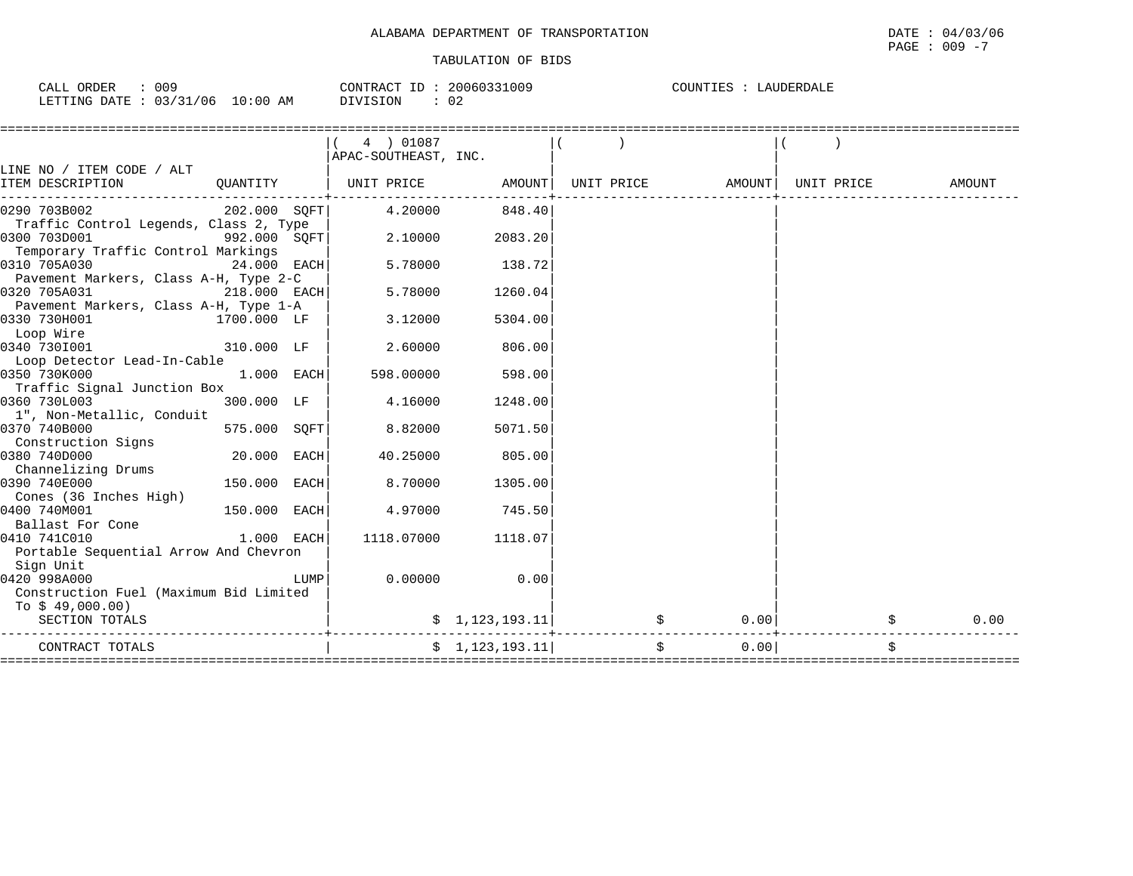| 009<br>CALL ORDER               | 20060331009<br>CONTRACT ID | COUNTIES :<br>LAUDERDALE |
|---------------------------------|----------------------------|--------------------------|
| LETTING DATE: 03/31/06 10:00 AM | 02<br>DIVISION             |                          |

|                                        |                |      | 4 ) 01087<br>APAC-SOUTHEAST, INC. |                                 |            |            |            |            |
|----------------------------------------|----------------|------|-----------------------------------|---------------------------------|------------|------------|------------|------------|
| LINE NO / ITEM CODE / ALT              |                |      |                                   |                                 |            |            |            |            |
| ITEM DESCRIPTION                       | QUANTITY       |      | UNIT PRICE                        | AMOUNT                          | UNIT PRICE | AMOUNT     | UNIT PRICE | AMOUNT     |
| 0290 703B002                           | 202.000 SQFT   |      | 4.20000                           | 848.40                          |            |            |            |            |
| Traffic Control Legends, Class 2, Type |                |      |                                   |                                 |            |            |            |            |
| 0300 703D001                           | 992.000 SOFT   |      | 2.10000                           | 2083.20                         |            |            |            |            |
| Temporary Traffic Control Markings     |                |      |                                   |                                 |            |            |            |            |
| 0310 705A030                           | $24.000$ EACH  |      | 5.78000                           | 138.72                          |            |            |            |            |
| Pavement Markers, Class A-H, Type 2-C  |                |      |                                   |                                 |            |            |            |            |
| 0320 705A031                           | $218.000$ EACH |      | 5.78000                           | 1260.04                         |            |            |            |            |
| Pavement Markers, Class A-H, Type 1-A  |                |      |                                   |                                 |            |            |            |            |
| 0330 730H001                           | 1700.000 LF    |      | 3.12000                           | 5304.00                         |            |            |            |            |
| Loop Wire                              |                |      |                                   |                                 |            |            |            |            |
| 0340 7301001                           | 310.000 LF     |      | 2.60000                           | 806.00                          |            |            |            |            |
| Loop Detector Lead-In-Cable            |                |      |                                   |                                 |            |            |            |            |
| 0350 730K000                           | 1.000 EACH     |      | 598.00000                         | 598.00                          |            |            |            |            |
| Traffic Signal Junction Box            |                |      |                                   |                                 |            |            |            |            |
| 0360 730L003                           | 300.000 LF     |      | 4.16000                           | 1248.00                         |            |            |            |            |
| 1", Non-Metallic, Conduit              |                |      |                                   |                                 |            |            |            |            |
| 0370 740B000                           | 575.000 SQFT   |      | 8.82000                           | 5071.50                         |            |            |            |            |
| Construction Signs                     |                |      |                                   |                                 |            |            |            |            |
| 0380 740D000                           | 20.000 EACH    |      | 40.25000                          | 805.00                          |            |            |            |            |
| Channelizing Drums                     |                |      |                                   |                                 |            |            |            |            |
| 0390 740E000                           | 150.000 EACH   |      | 8.70000                           | 1305.00                         |            |            |            |            |
| Cones (36 Inches High)                 |                |      |                                   |                                 |            |            |            |            |
| 0400 740M001                           | 150.000 EACH   |      | 4.97000                           | 745.50                          |            |            |            |            |
| Ballast For Cone                       |                |      |                                   |                                 |            |            |            |            |
| 0410 741C010                           | $1.000$ EACH   |      | 1118.07000                        | 1118.07                         |            |            |            |            |
| Portable Sequential Arrow And Chevron  |                |      |                                   |                                 |            |            |            |            |
| Sign Unit                              |                |      |                                   |                                 |            |            |            |            |
| 0420 998A000                           |                | LUMP | 0.00000                           | 0.00                            |            |            |            |            |
| Construction Fuel (Maximum Bid Limited |                |      |                                   |                                 |            |            |            |            |
| To $$49,000.00)$                       |                |      |                                   |                                 |            |            |            |            |
| SECTION TOTALS                         |                |      |                                   | $\frac{1}{2}$ , 1, 123, 193. 11 |            | 0.00<br>\$ |            | \$<br>0.00 |
| CONTRACT TOTALS                        |                |      |                                   | $\frac{1}{2}$ , 1, 123, 193. 11 |            | \$<br>0.00 |            | \$         |
|                                        |                |      |                                   |                                 |            |            |            |            |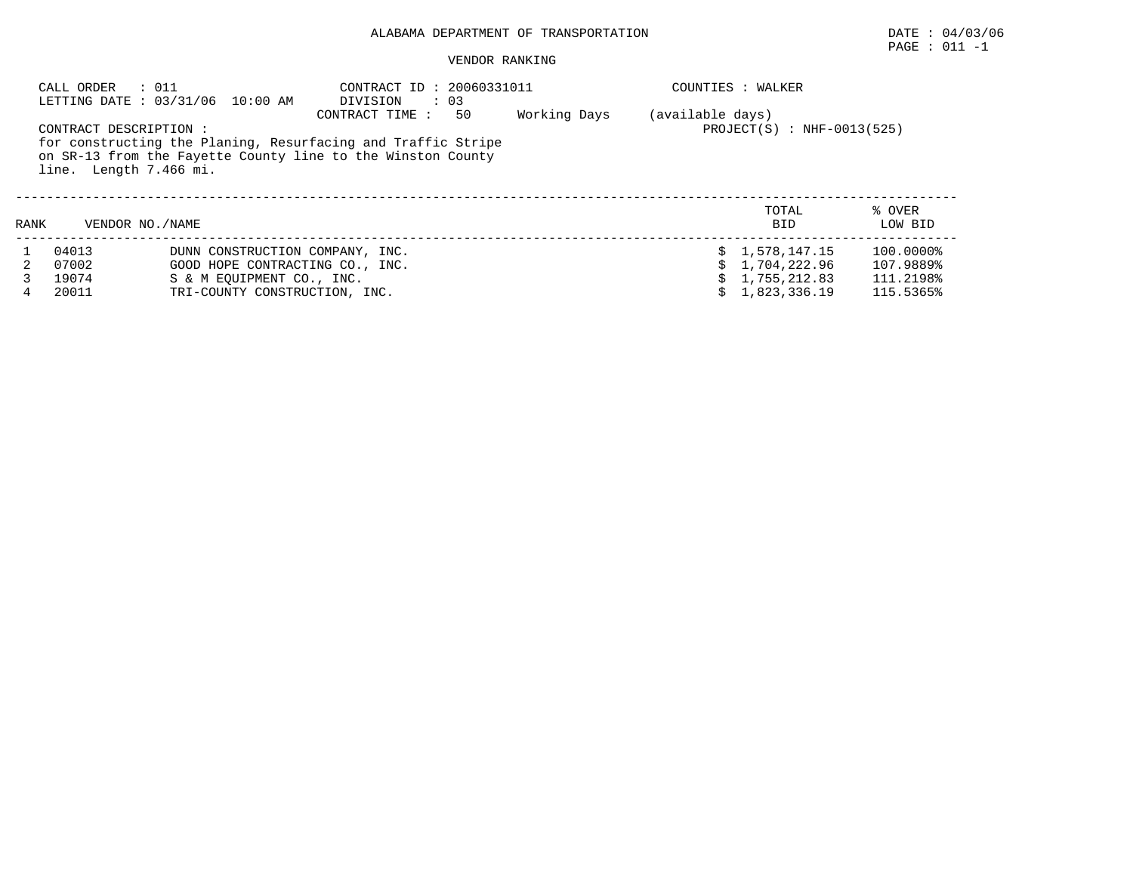## ALABAMA DEPARTMENT OF TRANSPORTATION DATE : 04/03/06

#### VENDOR RANKING

|      | CALL ORDER<br>$\,\cdot\,$ 011                   | LETTING DATE: 03/31/06 10:00 AM                                                                                             | CONTRACT ID: 20060331011<br>DIVISION<br>$\therefore$ 03 |    |              |                  | COUNTIES : WALKER            |                   |
|------|-------------------------------------------------|-----------------------------------------------------------------------------------------------------------------------------|---------------------------------------------------------|----|--------------|------------------|------------------------------|-------------------|
|      | CONTRACT DESCRIPTION:<br>line. Length 7.466 mi. | for constructing the Planing, Resurfacing and Traffic Stripe<br>on SR-13 from the Fayette County line to the Winston County | CONTRACT TIME:                                          | 50 | Working Days | (available days) | $PROJECT(S) : NHF-0013(525)$ |                   |
| RANK | VENDOR NO. / NAME                               |                                                                                                                             |                                                         |    |              |                  | TOTAL<br><b>BID</b>          | % OVER<br>LOW BID |
|      | 04013                                           | DUNN CONSTRUCTION COMPANY, INC.                                                                                             |                                                         |    |              |                  | \$1,578,147.15               | 100.0000%         |
|      | 07002                                           | GOOD HOPE CONTRACTING CO., INC.                                                                                             |                                                         |    |              |                  | 1,704,222.96                 | 107.9889%         |
|      | 19074                                           | S & M EOUIPMENT CO., INC.                                                                                                   |                                                         |    |              |                  | 1,755,212.83                 | 111.2198%         |
|      | 20011                                           | TRI-COUNTY CONSTRUCTION, INC.                                                                                               |                                                         |    |              |                  | 1,823,336.19                 | 115.5365%         |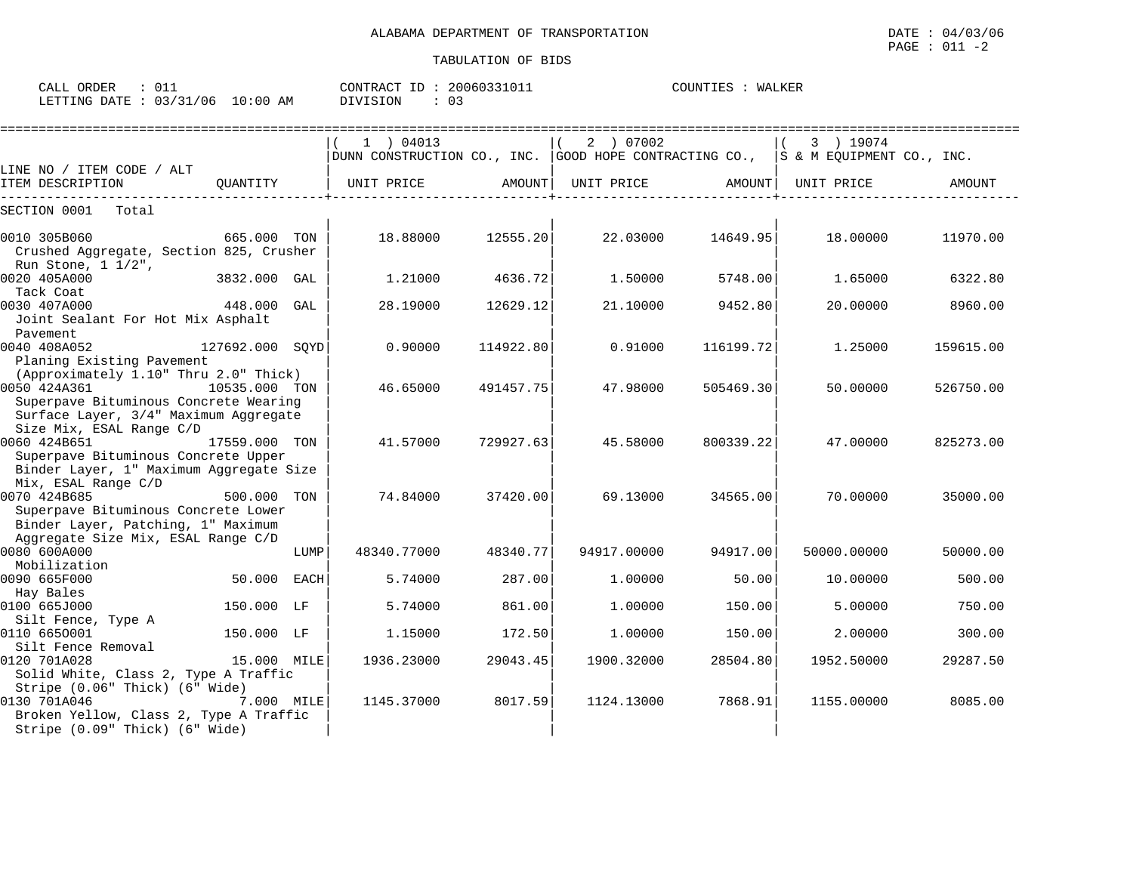| ATION OF BIDS |  |  |  |
|---------------|--|--|--|
|               |  |  |  |

| CALL<br>ORDER    |              |                 | CONTRACT<br>TD.                                                                                                             | 20060331011 | COUNTIES | LKEF<br>Tvt Z |
|------------------|--------------|-----------------|-----------------------------------------------------------------------------------------------------------------------------|-------------|----------|---------------|
| LETTING<br>DATE. | 03/31<br>106 | :00<br>10<br>AΜ | DIVISION<br>the contract of the contract of the contract of the contract of the contract of the contract of the contract of | ັບ          |          |               |

|                                                                                                                  |                 |      | 1 ) 04013<br>DUNN CONSTRUCTION CO., INC. GOOD HOPE CONTRACTING CO., S& M EQUIPMENT CO., INC. |           | 2 ) 07002   |           | 3 ) 19074   |           |
|------------------------------------------------------------------------------------------------------------------|-----------------|------|----------------------------------------------------------------------------------------------|-----------|-------------|-----------|-------------|-----------|
| LINE NO / ITEM CODE / ALT                                                                                        |                 |      |                                                                                              |           |             |           |             |           |
| ITEM DESCRIPTION                                                                                                 | OUANTITY        |      | UNIT PRICE                                                                                   | AMOUNT    | UNIT PRICE  | AMOUNT    | UNIT PRICE  | AMOUNT    |
| SECTION 0001<br>Total                                                                                            |                 |      |                                                                                              |           |             |           |             |           |
| 0010 305B060<br>Crushed Aggregate, Section 825, Crusher                                                          | 665.000 TON     |      | 18.88000                                                                                     | 12555.20  | 22.03000    | 14649.95  | 18,00000    | 11970.00  |
| Run Stone, $1 \frac{1}{2}$ ,<br>0020 405A000<br>Tack Coat                                                        | 3832.000 GAL    |      | 1,21000                                                                                      | 4636.72   | 1.50000     | 5748.00   | 1.65000     | 6322.80   |
| 0030 407A000<br>Joint Sealant For Hot Mix Asphalt                                                                | 448.000         | GAL  | 28.19000                                                                                     | 12629.12  | 21.10000    | 9452.80   | 20.00000    | 8960.00   |
| Pavement<br>0040 408A052<br>Planing Existing Pavement                                                            | 127692.000 SOYD |      | 0.90000                                                                                      | 114922.80 | 0.91000     | 116199.72 | 1.25000     | 159615.00 |
| (Approximately 1.10" Thru 2.0" Thick)<br>0050 424A361<br>Superpave Bituminous Concrete Wearing                   | 10535.000 TON   |      | 46.65000                                                                                     | 491457.75 | 47.98000    | 505469.30 | 50.00000    | 526750.00 |
| Surface Layer, 3/4" Maximum Aggregate<br>Size Mix, ESAL Range C/D                                                |                 |      |                                                                                              |           |             |           |             |           |
| 0060 424B651<br>Superpave Bituminous Concrete Upper<br>Binder Layer, 1" Maximum Aggregate Size                   | 17559.000 TON   |      | 41.57000                                                                                     | 729927.63 | 45.58000    | 800339.22 | 47.00000    | 825273.00 |
| Mix, ESAL Range C/D<br>0070 424B685<br>Superpave Bituminous Concrete Lower<br>Binder Layer, Patching, 1" Maximum | 500.000 TON     |      | 74.84000                                                                                     | 37420.00  | 69.13000    | 34565.00  | 70.00000    | 35000.00  |
| Aggregate Size Mix, ESAL Range C/D<br>0080 600A000<br>Mobilization                                               |                 | LUMP | 48340.77000                                                                                  | 48340.77  | 94917.00000 | 94917.00  | 50000.00000 | 50000.00  |
| 0090 665F000<br>Hay Bales                                                                                        | 50.000          | EACH | 5.74000                                                                                      | 287.00    | 1,00000     | 50.00     | 10.00000    | 500.00    |
| 0100 665J000<br>Silt Fence, Type A                                                                               | 150.000 LF      |      | 5.74000                                                                                      | 861.00    | 1.00000     | 150.00    | 5.00000     | 750.00    |
| 0110 6650001<br>Silt Fence Removal                                                                               | 150.000 LF      |      | 1.15000                                                                                      | 172.50    | 1,00000     | 150.00    | 2.00000     | 300.00    |
| 0120 701A028<br>Solid White, Class 2, Type A Traffic<br>Stripe (0.06" Thick) (6" Wide)                           | 15.000 MILE     |      | 1936.23000                                                                                   | 29043.45  | 1900.32000  | 28504.80  | 1952.50000  | 29287.50  |
| 0130 701A046<br>Broken Yellow, Class 2, Type A Traffic<br>Stripe (0.09" Thick) (6" Wide)                         | 7.000 MILE      |      | 1145.37000                                                                                   | 8017.59   | 1124.13000  | 7868.91   | 1155.00000  | 8085.00   |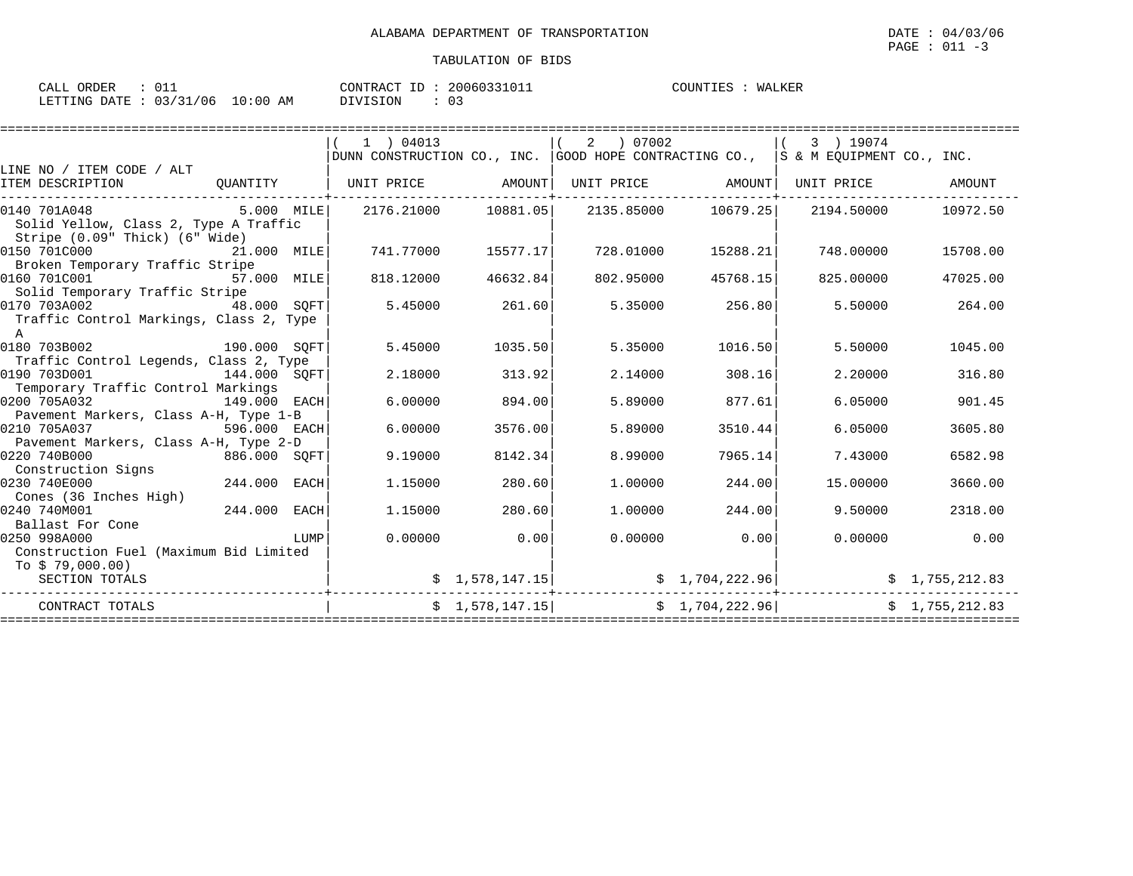| ORDER<br>----<br>$\Delta$<br>لمسلطات                         |                      | nnnchhnin.<br><b>ID</b><br>CONTRACT<br>'RAC'<br>$'$ lbl,<br>$.3 + U + +$<br>z u | WALKER<br>TOUNTIES |
|--------------------------------------------------------------|----------------------|---------------------------------------------------------------------------------|--------------------|
| $\sim$ $\sim$ $\sim$ $\sim$<br>706<br>LETTING<br>DATE<br>. J | 0:00<br>AM<br>- 11 U | <b>^</b><br>DIVISION                                                            |                    |

|                                         |              |      | $1$ ) 04013 |                     | 2 07002   |                     | 3 ) 19074                                                                            |                |
|-----------------------------------------|--------------|------|-------------|---------------------|-----------|---------------------|--------------------------------------------------------------------------------------|----------------|
|                                         |              |      |             |                     |           |                     | DUNN CONSTRUCTION CO., INC. GOOD HOPE CONTRACTING CO., $ S \& M EQUIPMENT CO., INC.$ |                |
| LINE NO / ITEM CODE / ALT               |              |      |             |                     |           |                     |                                                                                      |                |
| ITEM DESCRIPTION                        | OUANTITY     |      | UNIT PRICE  | AMOUNT              |           | UNIT PRICE AMOUNT   | UNIT PRICE                                                                           | AMOUNT         |
|                                         |              |      |             |                     |           |                     |                                                                                      |                |
| 0140 701A048                            | 5.000 MILE   |      |             | 2176.21000 10881.05 |           | 2135.85000 10679.25 | 2194.50000                                                                           | 10972.50       |
| Solid Yellow, Class 2, Type A Traffic   |              |      |             |                     |           |                     |                                                                                      |                |
| Stripe (0.09" Thick) (6" Wide)          |              |      |             |                     |           |                     |                                                                                      |                |
| 0150 701C000                            | 21.000 MILE  |      | 741.77000   | 15577.17            | 728.01000 | 15288.21            | 748.00000                                                                            | 15708.00       |
| Broken Temporary Traffic Stripe         |              |      |             |                     |           |                     |                                                                                      |                |
| 0160 701C001<br>57.000 MILE             |              |      | 818.12000   | 46632.84            | 802.95000 | 45768.15            | 825,00000                                                                            | 47025.00       |
| Solid Temporary Traffic Stripe          |              |      |             |                     |           |                     |                                                                                      |                |
| 0170 703A002                            | 48.000 SOFT  |      | 5.45000     | 261.60              | 5.35000   | 256.80              | 5.50000                                                                              | 264.00         |
| Traffic Control Markings, Class 2, Type |              |      |             |                     |           |                     |                                                                                      |                |
| $\mathbb{A}$                            |              |      |             |                     |           |                     |                                                                                      |                |
| 0180 703B002                            | 190.000 SOFT |      | 5.45000     | 1035.50             | 5.35000   | 1016.50             | 5.50000                                                                              | 1045.00        |
| Traffic Control Legends, Class 2, Type  |              |      |             |                     |           |                     |                                                                                      |                |
| 0190 703D001                            | 144.000 SOFT |      | 2.18000     | 313.92              | 2.14000   | 308.16              | 2.20000                                                                              | 316.80         |
| Temporary Traffic Control Markings      |              |      |             |                     |           |                     |                                                                                      |                |
| 0200 705A032                            | 149.000 EACH |      | 6.00000     | 894.00              | 5.89000   | 877.61              | 6.05000                                                                              | 901.45         |
| Pavement Markers, Class A-H, Type 1-B   |              |      |             |                     |           |                     |                                                                                      |                |
| 0210 705A037                            | 596.000 EACH |      | 6.00000     | 3576.00             | 5.89000   | 3510.44             | 6.05000                                                                              | 3605.80        |
| Pavement Markers, Class A-H, Type 2-D   |              |      |             |                     |           |                     |                                                                                      |                |
| 0220 740B000<br>886.000 SQFT            |              |      | 9.19000     | 8142.34             | 8.99000   | 7965.14             | 7.43000                                                                              | 6582.98        |
| Construction Signs                      |              |      |             |                     |           |                     |                                                                                      |                |
| 0230 740E000                            | 244.000      | EACH | 1.15000     | 280.60              | 1,00000   | 244.00              | 15.00000                                                                             | 3660.00        |
| Cones (36 Inches High)                  |              |      |             |                     |           |                     |                                                                                      |                |
| 0240 740M001                            | 244.000      | EACH | 1.15000     | 280.60              | 1,00000   | 244.00              | 9.50000                                                                              | 2318.00        |
| Ballast For Cone                        |              |      |             |                     |           |                     |                                                                                      |                |
| 0250 998A000                            |              | LUMP | 0.00000     | 0.00                | 0.00000   | 0.00                | 0.00000                                                                              | 0.00           |
| Construction Fuel (Maximum Bid Limited  |              |      |             |                     |           |                     |                                                                                      |                |
| To \$79,000.00)                         |              |      |             |                     |           |                     |                                                                                      |                |
| SECTION TOTALS                          |              |      |             | \$1,578,147.15]     |           | \$1,704,222.96]     |                                                                                      | \$1,755,212.83 |
| CONTRACT TOTALS                         |              |      |             | \$1,578,147.15      |           | \$1,704,222.96]     |                                                                                      | \$1,755,212.83 |
|                                         |              |      |             |                     |           |                     |                                                                                      |                |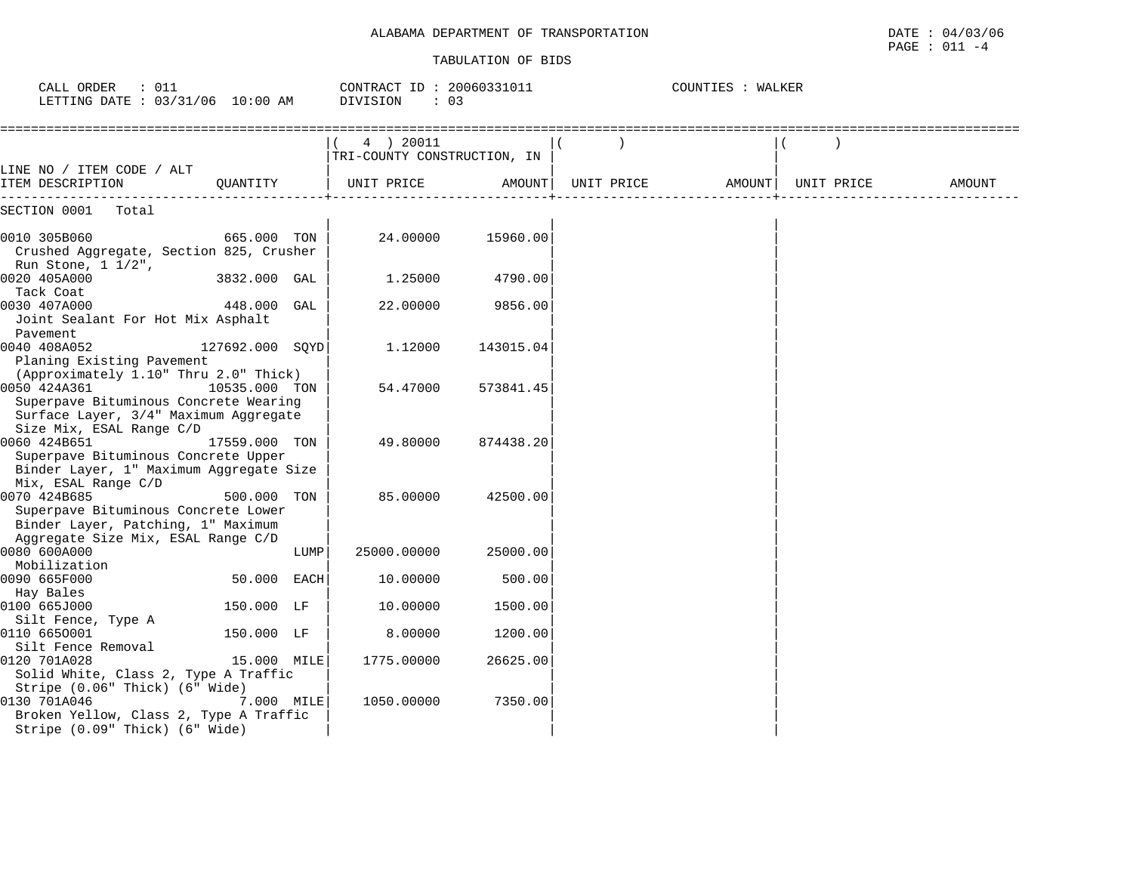## ALABAMA DEPARTMENT OF TRANSPORTATION DATE : 04/03/06

| DATE | : 04/03/06 |
|------|------------|
| PAGE | : 011      |

| $\therefore$ 011<br>CALL ORDER<br>LETTING DATE : 03/31/06 10:00 AM                                                         |                 |      | CONTRACT ID: 20060331011<br>DIVISION<br>: 03 |           | COUNTIES : WALKER  |        |            |        |  |
|----------------------------------------------------------------------------------------------------------------------------|-----------------|------|----------------------------------------------|-----------|--------------------|--------|------------|--------|--|
|                                                                                                                            |                 |      | 4 ) 20011<br>TRI-COUNTY CONSTRUCTION, IN     |           |                    |        |            |        |  |
| LINE NO / ITEM CODE / ALT<br>ITEM DESCRIPTION                                                                              | OUANTITY        |      | UNIT PRICE                                   |           | AMOUNT  UNIT PRICE | AMOUNT | UNIT PRICE | AMOUNT |  |
| SECTION 0001 Total                                                                                                         |                 |      |                                              |           |                    |        |            |        |  |
| 0010 305B060<br>Crushed Aggregate, Section 825, Crusher<br>Run Stone, $1 \frac{1}{2}$ ,                                    | 665.000 TON     |      | 24.00000                                     | 15960.00  |                    |        |            |        |  |
| 0020 405A000<br>Tack Coat                                                                                                  | 3832.000 GAL    |      | 1.25000                                      | 4790.00   |                    |        |            |        |  |
| 0030 407A000<br>Joint Sealant For Hot Mix Asphalt<br>Pavement                                                              | 448.000 GAL     |      | 22.00000                                     | 9856.00   |                    |        |            |        |  |
| 0040 408A052<br>Planing Existing Pavement<br>(Approximately 1.10" Thru 2.0" Thick)                                         | 127692.000 SQYD |      | 1.12000                                      | 143015.04 |                    |        |            |        |  |
| 0050 424A361<br>Superpave Bituminous Concrete Wearing<br>Surface Layer, 3/4" Maximum Aggregate                             | 10535.000 TON   |      | 54.47000                                     | 573841.45 |                    |        |            |        |  |
| Size Mix, ESAL Range C/D<br>0060 424B651<br>Superpave Bituminous Concrete Upper<br>Binder Layer, 1" Maximum Aggregate Size | 17559.000 TON   |      | 49.80000                                     | 874438.20 |                    |        |            |        |  |
| Mix, ESAL Range C/D<br>0070 424B685<br>Superpave Bituminous Concrete Lower<br>Binder Layer, Patching, 1" Maximum           | 500.000 TON     |      | 85.00000                                     | 42500.00  |                    |        |            |        |  |
| Aggregate Size Mix, ESAL Range C/D<br>0080 600A000<br>Mobilization                                                         |                 | LUMP | 25000.00000                                  | 25000.00  |                    |        |            |        |  |
| 0090 665F000<br>Hay Bales                                                                                                  | 50.000 EACH     |      | 10.00000                                     | 500.00    |                    |        |            |        |  |
| 0100 665J000<br>Silt Fence, Type A                                                                                         | 150.000 LF      |      | 10.00000                                     | 1500.00   |                    |        |            |        |  |
| 0110 6650001<br>Silt Fence Removal                                                                                         | 150.000 LF      |      | 8.00000                                      | 1200.00   |                    |        |            |        |  |
| 0120 701A028<br>Solid White, Class 2, Type A Traffic<br>Stripe (0.06" Thick) (6" Wide)                                     | 15.000 MILE     |      | 1775.00000                                   | 26625.00  |                    |        |            |        |  |
| 0130 701A046<br>Broken Yellow, Class 2, Type A Traffic<br>Stripe (0.09" Thick) (6" Wide)                                   | 7.000 MILE      |      | 1050.00000                                   | 7350.00   |                    |        |            |        |  |

 PAGE : 011 -4 $PAGE : 011 -4$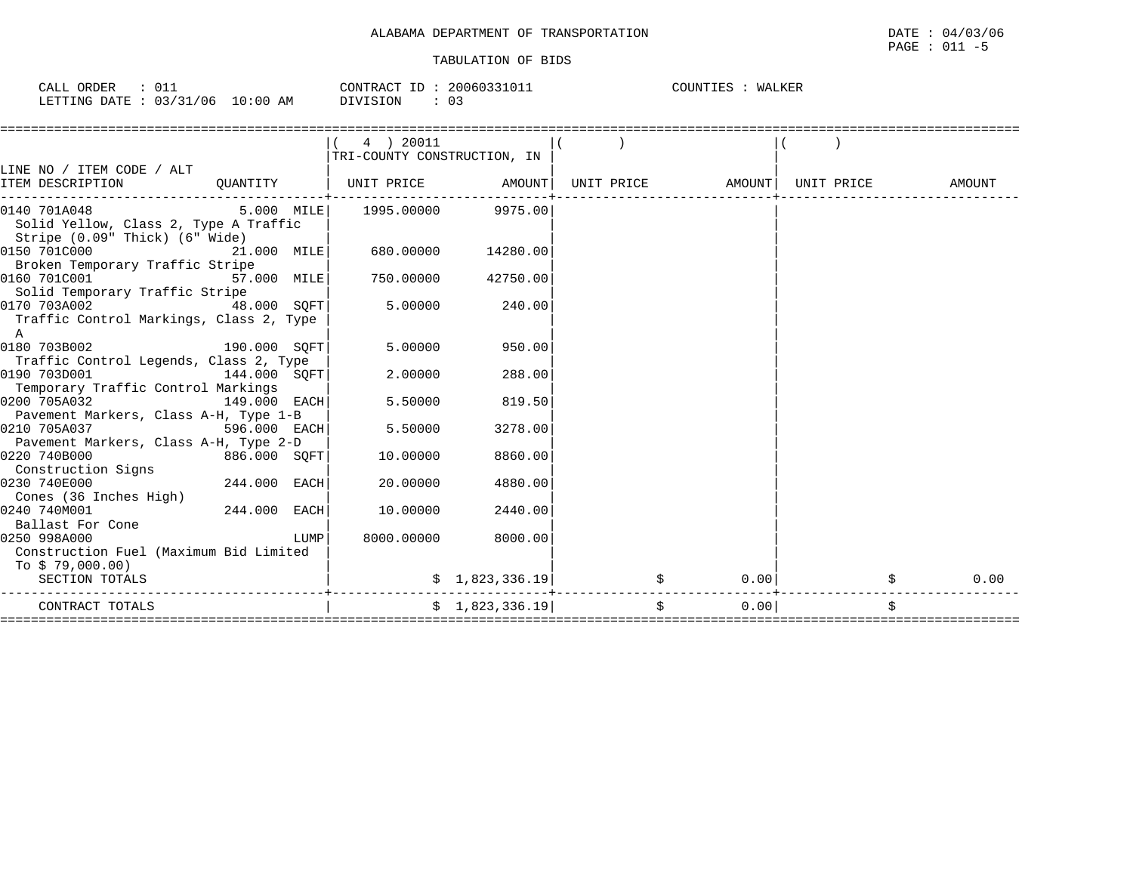| CALL ORDER                      |          | CONTRACT ID: 20060331011 | COUNTIES : WALKER |
|---------------------------------|----------|--------------------------|-------------------|
| LETTING DATE: 03/31/06 10:00 AM | DIVISION |                          |                   |

|                                                                         |                |      | 4 ) 20011<br>TRI-COUNTY CONSTRUCTION, IN |                    |    |                                |  |        |
|-------------------------------------------------------------------------|----------------|------|------------------------------------------|--------------------|----|--------------------------------|--|--------|
| LINE NO / ITEM CODE / ALT                                               |                |      |                                          |                    |    |                                |  |        |
| ITEM DESCRIPTION                                                        |                |      | QUANTITY   UNIT PRICE AMOUNT             |                    |    | UNIT PRICE AMOUNT   UNIT PRICE |  | AMOUNT |
| $[0140 701A048$ 5.000 MILE 1995.00000 9975.00                           |                |      |                                          |                    |    |                                |  |        |
| Solid Yellow, Class 2, Type A Traffic<br>Stripe (0.09" Thick) (6" Wide) |                |      |                                          |                    |    |                                |  |        |
| 0150 701C000<br>21.000 MILE                                             |                |      |                                          | 680.00000 14280.00 |    |                                |  |        |
| Broken Temporary Traffic Stripe                                         |                |      |                                          |                    |    |                                |  |        |
| 57.000 MILE<br>0160 701C001                                             |                |      |                                          | 750.00000 42750.00 |    |                                |  |        |
| Solid Temporary Traffic Stripe                                          |                |      |                                          |                    |    |                                |  |        |
| 48.000 SOFT<br>0170 703A002                                             |                |      | 5.00000                                  | 240.00             |    |                                |  |        |
| Traffic Control Markings, Class 2, Type                                 |                |      |                                          |                    |    |                                |  |        |
| A                                                                       |                |      |                                          |                    |    |                                |  |        |
| 0180 703B002                                                            | 190.000 SOFT   |      | 5.00000                                  | 950.00             |    |                                |  |        |
| Traffic Control Legends, Class 2, Type                                  |                |      |                                          |                    |    |                                |  |        |
| 0190 703D001                                                            | 144.000 SOFT   |      | 2,00000                                  | 288.00             |    |                                |  |        |
| Temporary Traffic Control Markings                                      |                |      |                                          |                    |    |                                |  |        |
| 0200 705A032                                                            | $149.000$ EACH |      | 5.50000                                  | 819.50             |    |                                |  |        |
| Pavement Markers, Class A-H, Type 1-B                                   |                |      |                                          |                    |    |                                |  |        |
| 0210 705A037                                                            | 596.000 EACH   |      | 5.50000                                  | 3278.00            |    |                                |  |        |
| Pavement Markers, Class A-H, Type 2-D                                   |                |      |                                          |                    |    |                                |  |        |
| 886.000 SOFT<br>0220 740B000                                            |                |      | 10.00000                                 | 8860.00            |    |                                |  |        |
| Construction Signs                                                      |                |      |                                          |                    |    |                                |  |        |
| 0230 740E000                                                            | 244.000 EACH   |      | 20.00000                                 | 4880.00            |    |                                |  |        |
| Cones (36 Inches High)                                                  |                |      |                                          |                    |    |                                |  |        |
| 0240 740M001                                                            | 244.000 EACH   |      | 10.00000                                 | 2440.00            |    |                                |  |        |
| Ballast For Cone                                                        |                |      |                                          |                    |    |                                |  |        |
| 0250 998A000                                                            |                | LUMP | 8000.00000                               | 8000.00            |    |                                |  |        |
| Construction Fuel (Maximum Bid Limited                                  |                |      |                                          |                    |    |                                |  |        |
| To $$79,000.00)$                                                        |                |      |                                          |                    |    |                                |  |        |
| SECTION TOTALS                                                          |                |      |                                          | \$1,823,336.19     |    | 0.00                           |  | 0.00   |
| CONTRACT TOTALS                                                         |                |      |                                          | \$1,823,336.19     | \$ | 0.00                           |  |        |
|                                                                         |                |      |                                          |                    |    |                                |  |        |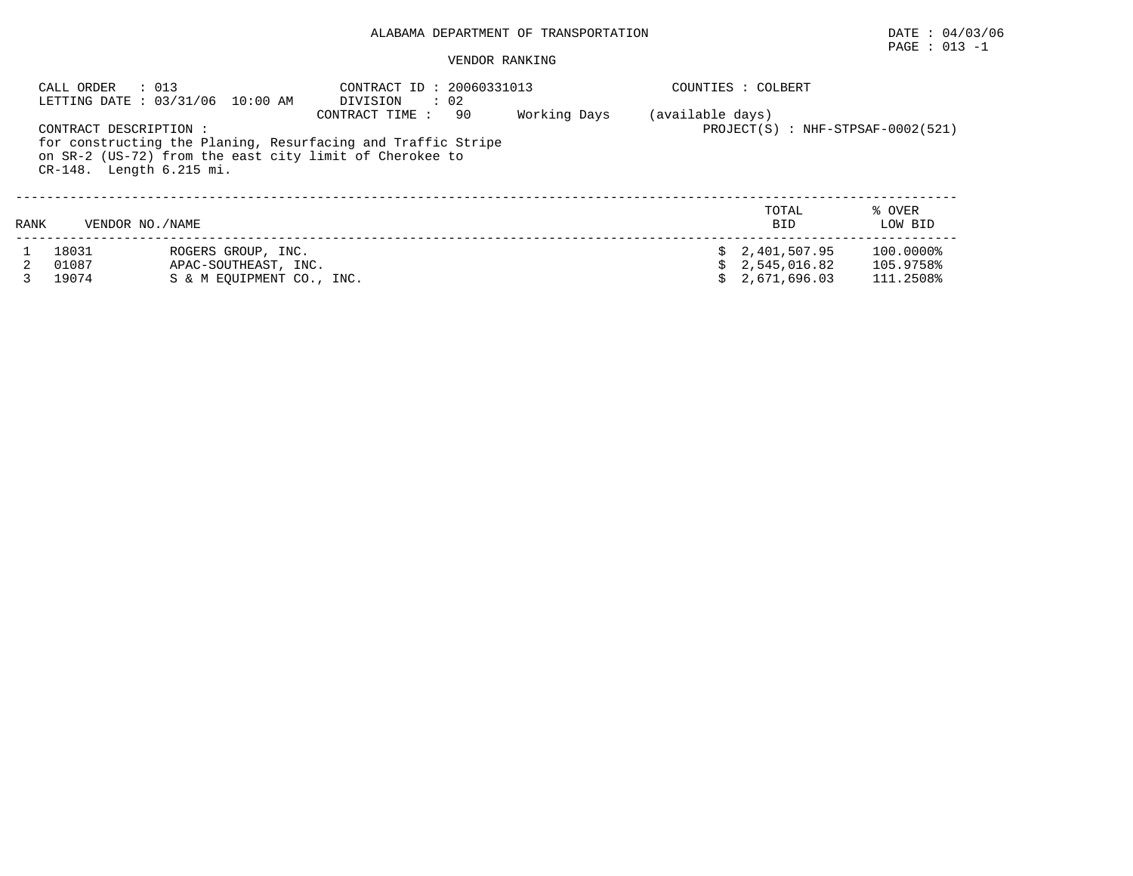# $\texttt{PAGE}$  : 013 -1

|      | CALL ORDER<br>: 013                                | LETTING DATE: 03/31/06 10:00 AM | CONTRACT ID: 20060331013<br>DIVISION<br>$\therefore$ 02                                                                                          |              |                  | COUNTIES : COLBERT                  |                   |
|------|----------------------------------------------------|---------------------------------|--------------------------------------------------------------------------------------------------------------------------------------------------|--------------|------------------|-------------------------------------|-------------------|
|      | CONTRACT DESCRIPTION :<br>CR-148. Length 6.215 mi. |                                 | CONTRACT TIME:<br>-90<br>for constructing the Planing, Resurfacing and Traffic Stripe<br>on SR-2 (US-72) from the east city limit of Cherokee to | Working Days | (available days) | $PROJECT(S) : NHF-STPSAF-0002(521)$ |                   |
| RANK | VENDOR NO. / NAME                                  |                                 |                                                                                                                                                  |              |                  | TOTAL<br><b>BID</b>                 | % OVER<br>LOW BID |
|      | 18031                                              | ROGERS GROUP, INC.              |                                                                                                                                                  |              |                  | \$2,401,507.95                      | 100.0000%         |
|      | 01087                                              | APAC-SOUTHEAST, INC.            |                                                                                                                                                  |              |                  | 2,545,016.82                        | 105.9758%         |
|      | 19074                                              | S & M EOUIPMENT CO., INC.       |                                                                                                                                                  |              |                  | 2,671,696.03                        | 111.2508%         |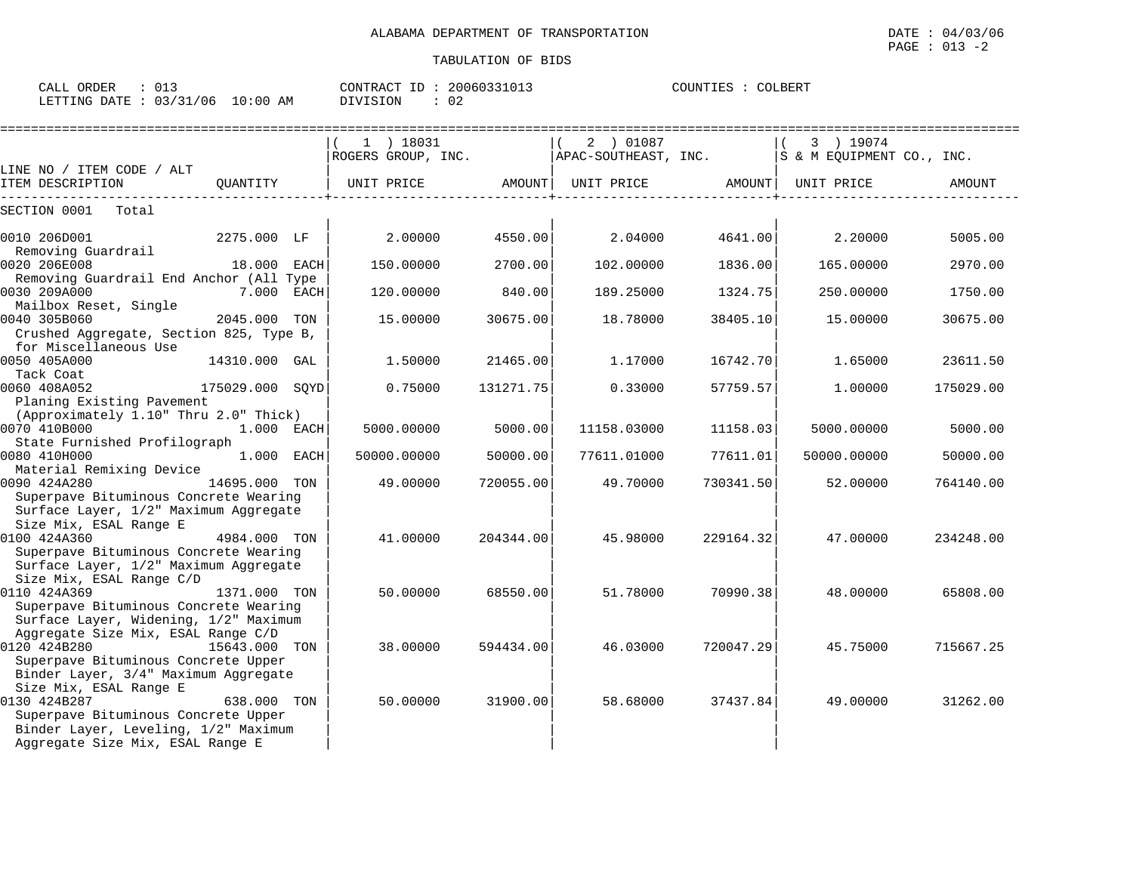| $\sim$ $-$<br>ORDER<br>CALL<br>∪⊥∴                          | CONTRACT                | 20060331013  | OLBERT<br>COUNTIES |
|-------------------------------------------------------------|-------------------------|--------------|--------------------|
| 03/31<br>' N 6<br>LETTING<br>תחמח<br>$\cdot$ $\cdot$<br>. . | 10:00<br>ΑM<br>DIVISION | $\sim$<br>◡∠ |                    |

|                                          |                 | 1 ) 18031                                                         |           | 2 ) 01087   |           | 3 ) 19074   |           |
|------------------------------------------|-----------------|-------------------------------------------------------------------|-----------|-------------|-----------|-------------|-----------|
|                                          |                 | ROGERS GROUP, INC. APAC-SOUTHEAST, INC. Some SECULPMENT CO., INC. |           |             |           |             |           |
| LINE NO / ITEM CODE / ALT                |                 |                                                                   |           |             |           |             | AMOUNT    |
| ITEM DESCRIPTION                         |                 |                                                                   |           |             |           |             |           |
| SECTION 0001<br>Total                    |                 |                                                                   |           |             |           |             |           |
| 0010 206D001                             | 2275.000 LF     | $2.00000$ 4550.00                                                 |           | 2.04000     | 4641.00   | 2.20000     | 5005.00   |
| Removing Guardrail                       |                 |                                                                   |           |             |           |             |           |
| 0020 206E008                             | 18.000 EACH     | 150.00000                                                         | 2700.00   | 102.00000   | 1836.00   | 165.00000   | 2970.00   |
| Removing Guardrail End Anchor (All Type  |                 |                                                                   |           |             |           |             |           |
| 0030 209A000<br>7.000 EACH               |                 | 120.00000                                                         | 840.00    | 189.25000   | 1324.75   | 250.00000   | 1750.00   |
| Mailbox Reset, Single                    |                 |                                                                   |           |             |           |             |           |
| 0040 305B060                             | 2045.000 TON    | 15.00000                                                          | 30675.00  | 18.78000    | 38405.10  | 15.00000    | 30675.00  |
| Crushed Aggregate, Section 825, Type B,  |                 |                                                                   |           |             |           |             |           |
| for Miscellaneous Use                    |                 |                                                                   |           |             |           |             |           |
| 0050 405A000                             | 14310.000 GAL   | 1.50000                                                           | 21465.00  | 1.17000     | 16742.70  | 1.65000     | 23611.50  |
| Tack Coat                                |                 |                                                                   |           |             |           |             |           |
| 0060 408A052                             | 175029.000 SOYD | 0.75000                                                           | 131271.75 | 0.33000     | 57759.57  | 1,00000     | 175029.00 |
| Planing Existing Pavement                |                 |                                                                   |           |             |           |             |           |
| (Approximately 1.10" Thru 2.0" Thick)    |                 |                                                                   |           |             |           |             |           |
| 0070 410B000                             | 1.000 EACH      | 5000.00000                                                        | 5000.00   | 11158.03000 | 11158.031 | 5000.00000  | 5000.00   |
| State Furnished Profilograph             | $1.000$ EACH    |                                                                   |           |             |           |             |           |
| 0080 410H000                             |                 | 50000.00000                                                       | 50000.00  | 77611.01000 | 77611.01  | 50000.00000 | 50000.00  |
| Material Remixing Device<br>0090 424A280 | 14695.000 TON   | 49.00000                                                          | 720055.00 | 49.70000    | 730341.50 | 52.00000    | 764140.00 |
| Superpave Bituminous Concrete Wearing    |                 |                                                                   |           |             |           |             |           |
| Surface Layer, 1/2" Maximum Aggregate    |                 |                                                                   |           |             |           |             |           |
| Size Mix, ESAL Range E                   |                 |                                                                   |           |             |           |             |           |
| 0100 424A360                             | 4984.000 TON    | 41.00000                                                          | 204344.00 | 45.98000    | 229164.32 | 47.00000    | 234248.00 |
| Superpave Bituminous Concrete Wearing    |                 |                                                                   |           |             |           |             |           |
| Surface Layer, 1/2" Maximum Aggregate    |                 |                                                                   |           |             |           |             |           |
| Size Mix, ESAL Range C/D                 |                 |                                                                   |           |             |           |             |           |
| 0110 424A369<br>1371.000 TON             |                 | 50.00000                                                          | 68550.00  | 51.78000    | 70990.38  | 48.00000    | 65808.00  |
| Superpave Bituminous Concrete Wearing    |                 |                                                                   |           |             |           |             |           |
| Surface Layer, Widening, 1/2" Maximum    |                 |                                                                   |           |             |           |             |           |
| Aggregate Size Mix, ESAL Range C/D       |                 |                                                                   |           |             |           |             |           |
| 0120 424B280                             | 15643.000 TON   | 38.00000                                                          | 594434.00 | 46.03000    | 720047.29 | 45.75000    | 715667.25 |
| Superpave Bituminous Concrete Upper      |                 |                                                                   |           |             |           |             |           |
| Binder Layer, 3/4" Maximum Aggregate     |                 |                                                                   |           |             |           |             |           |
| Size Mix, ESAL Range E                   |                 |                                                                   |           |             |           |             |           |
| 0130 424B287                             | 638.000 TON     | 50.00000                                                          | 31900.00  | 58.68000    | 37437.84  | 49.00000    | 31262.00  |
| Superpave Bituminous Concrete Upper      |                 |                                                                   |           |             |           |             |           |
| Binder Layer, Leveling, 1/2" Maximum     |                 |                                                                   |           |             |           |             |           |
| Aggregate Size Mix, ESAL Range E         |                 |                                                                   |           |             |           |             |           |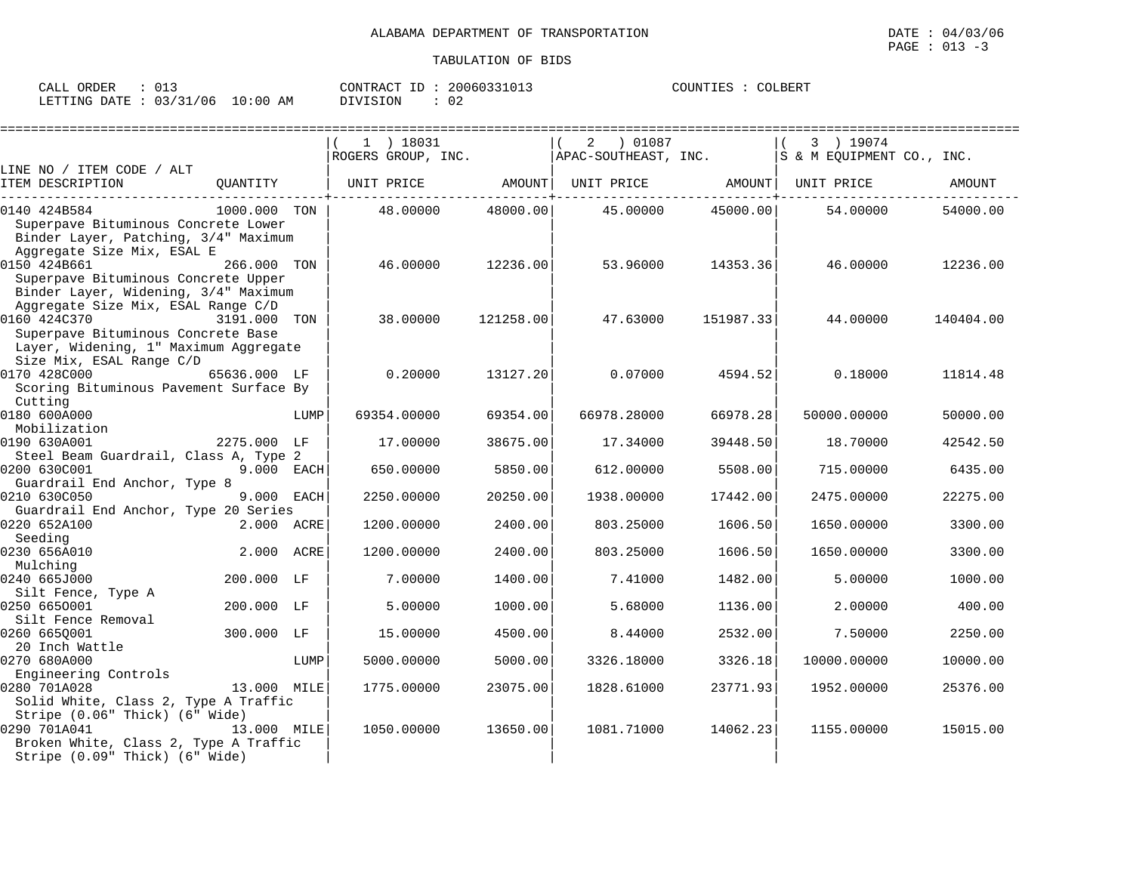| ORDER<br>CALL |              |               | ID<br>CONTRACT | 20060331013 | COUNTIES | COLBERT |
|---------------|--------------|---------------|----------------|-------------|----------|---------|
| LETTING DATE  | 03/31<br>/06 | LO : 00<br>AM | DIVISION       | ◡∠          |          |         |

|                                                                                                           |              |      | $1$ ) 18031        |           | 01087 (<br>2         |           | 3 ) 19074                 | ========================== |
|-----------------------------------------------------------------------------------------------------------|--------------|------|--------------------|-----------|----------------------|-----------|---------------------------|----------------------------|
|                                                                                                           |              |      | ROGERS GROUP, INC. |           | APAC-SOUTHEAST, INC. |           | S & M EQUIPMENT CO., INC. |                            |
| LINE NO / ITEM CODE / ALT                                                                                 |              |      |                    |           |                      |           |                           |                            |
| ITEM DESCRIPTION                                                                                          | QUANTITY     |      | UNIT PRICE AMOUNT  |           | UNIT PRICE AMOUNT    |           | UNIT PRICE                | AMOUNT                     |
| 0140 424B584                                                                                              | 1000.000 TON |      | 48.00000           | 48000.00  | 45.00000             | 45000.00  | 54.00000                  | 54000.00                   |
| Superpave Bituminous Concrete Lower<br>Binder Layer, Patching, 3/4" Maximum<br>Aggregate Size Mix, ESAL E |              |      |                    |           |                      |           |                           |                            |
| 0150 424B661                                                                                              | 266.000 TON  |      | 46.00000           | 12236.00  | 53.96000             | 14353.36  | 46.00000                  | 12236.00                   |
| Superpave Bituminous Concrete Upper<br>Binder Layer, Widening, 3/4" Maximum                               |              |      |                    |           |                      |           |                           |                            |
| Aggregate Size Mix, ESAL Range C/D<br>0160 424C370                                                        | 3191.000     | TON  | 38,00000           | 121258.00 | 47.63000             | 151987.33 | 44.00000                  | 140404.00                  |
| Superpave Bituminous Concrete Base                                                                        |              |      |                    |           |                      |           |                           |                            |
| Layer, Widening, 1" Maximum Aggregate                                                                     |              |      |                    |           |                      |           |                           |                            |
| Size Mix, ESAL Range C/D                                                                                  |              |      |                    |           |                      |           |                           |                            |
| 0170 428C000                                                                                              | 65636.000 LF |      | 0.20000            | 13127.20  | 0.07000              | 4594.52   | 0.18000                   | 11814.48                   |
| Scoring Bituminous Pavement Surface By                                                                    |              |      |                    |           |                      |           |                           |                            |
| Cutting                                                                                                   |              |      |                    |           |                      |           |                           |                            |
| 0180 600A000                                                                                              |              | LUMP | 69354.00000        | 69354.00  | 66978.28000          | 66978.28  | 50000.00000               | 50000.00                   |
| Mobilization                                                                                              |              |      |                    |           |                      |           |                           |                            |
| 0190 630A001                                                                                              | 2275.000 LF  |      | 17.00000           | 38675.00  | 17.34000             | 39448.50  | 18.70000                  | 42542.50                   |
| Steel Beam Guardrail, Class A, Type 2<br>0200 630C001                                                     |              |      |                    |           |                      |           |                           |                            |
| Guardrail End Anchor, Type 8                                                                              | 9.000 EACH   |      | 650.00000          | 5850.00   | 612.00000            | 5508.00   | 715.00000                 | 6435.00                    |
| 0210 630C050                                                                                              | 9.000 EACH   |      | 2250.00000         | 20250.00  | 1938.00000           | 17442.00  | 2475.00000                | 22275.00                   |
| Guardrail End Anchor, Type 20 Series                                                                      |              |      |                    |           |                      |           |                           |                            |
| 0220 652A100                                                                                              | 2.000 ACRE   |      | 1200.00000         | 2400.00   | 803.25000            | 1606.50   | 1650.00000                | 3300.00                    |
| Seeding                                                                                                   |              |      |                    |           |                      |           |                           |                            |
| 0230 656A010                                                                                              | 2.000 ACRE   |      | 1200.00000         | 2400.00   | 803.25000            | 1606.50   | 1650.00000                | 3300.00                    |
| Mulching                                                                                                  |              |      |                    |           |                      |           |                           |                            |
| 0240 665J000                                                                                              | 200.000 LF   |      | 7.00000            | 1400.00   | 7.41000              | 1482.00   | 5.00000                   | 1000.00                    |
| Silt Fence, Type A                                                                                        |              |      |                    |           |                      |           |                           |                            |
| 0250 6650001                                                                                              | 200.000 LF   |      | 5.00000            | 1000.00   | 5.68000              | 1136.00   | 2.00000                   | 400.00                     |
| Silt Fence Removal                                                                                        |              |      |                    |           |                      |           |                           |                            |
| 0260 6650001                                                                                              | 300.000 LF   |      | 15.00000           | 4500.00   | 8.44000              | 2532.00   | 7.50000                   | 2250.00                    |
| 20 Inch Wattle                                                                                            |              |      |                    |           |                      |           |                           |                            |
| 0270 680A000                                                                                              |              | LUMP | 5000.00000         | 5000.00   | 3326.18000           | 3326.18   | 10000.00000               | 10000.00                   |
| Engineering Controls                                                                                      |              |      |                    |           |                      |           |                           |                            |
| 0280 701A028                                                                                              | 13.000 MILE  |      | 1775.00000         | 23075.00  | 1828.61000           | 23771.93  | 1952.00000                | 25376.00                   |
| Solid White, Class 2, Type A Traffic                                                                      |              |      |                    |           |                      |           |                           |                            |
| Stripe (0.06" Thick) (6" Wide)<br>0290 701A041<br>Broken White, Class 2, Type A Traffic                   | 13.000 MILE  |      | 1050.00000         | 13650.00  | 1081.71000           | 14062.23  | 1155.00000                | 15015.00                   |
| Stripe (0.09" Thick) (6" Wide)                                                                            |              |      |                    |           |                      |           |                           |                            |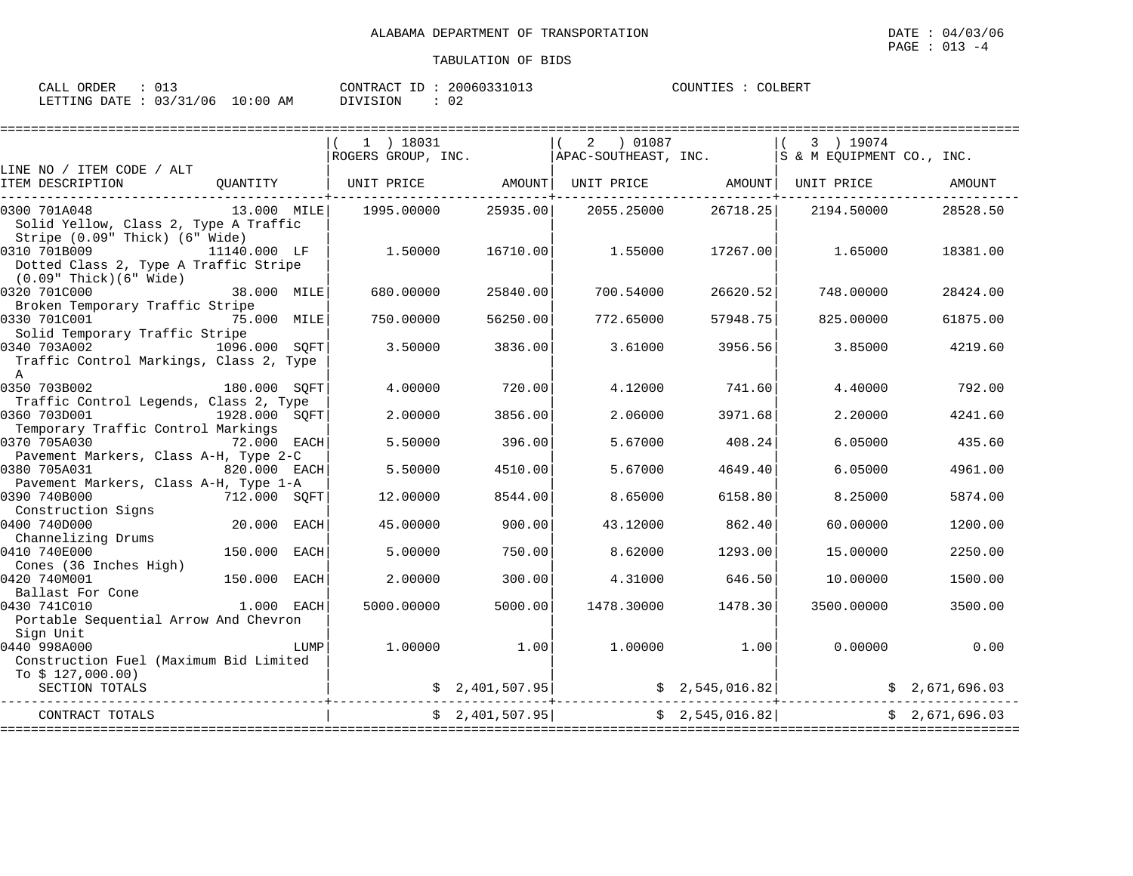| CALL ORDER                      | 013 | CONTRACT ID: 20060331013 |    | COUNTIES : COLBERT |  |
|---------------------------------|-----|--------------------------|----|--------------------|--|
| LETTING DATE: 03/31/06 10:00 AM |     | DIVISION                 | 02 |                    |  |

|                                         |               |      | 1 ) 18031          |                 | 01087<br>2           |                 | 3 ) 19074                      |                |
|-----------------------------------------|---------------|------|--------------------|-----------------|----------------------|-----------------|--------------------------------|----------------|
| LINE NO / ITEM CODE / ALT               |               |      | ROGERS GROUP, INC. |                 | APAC-SOUTHEAST, INC. |                 | S & M EQUIPMENT CO., INC.      |                |
| ITEM DESCRIPTION                        | QUANTITY      |      | UNIT PRICE         | AMOUNT          |                      |                 | UNIT PRICE AMOUNT   UNIT PRICE | AMOUNT         |
| 0300 701A048                            | 13.000 MILE   |      | 1995.00000         | 25935.00        | 2055.25000           | 26718.25        | 2194.50000                     | 28528.50       |
| Solid Yellow, Class 2, Type A Traffic   |               |      |                    |                 |                      |                 |                                |                |
| Stripe (0.09" Thick) (6" Wide)          |               |      |                    |                 |                      |                 |                                |                |
| 0310 701B009                            | 11140.000 LF  |      | 1.50000            | 16710.00        | 1.55000              | 17267.00        | 1.65000                        | 18381.00       |
| Dotted Class 2, Type A Traffic Stripe   |               |      |                    |                 |                      |                 |                                |                |
| $(0.09"$ Thick $)(6"$ Wide $)$          |               |      |                    |                 |                      |                 |                                |                |
| 0320 701C000                            | 38.000 MILE   |      | 680,00000          | 25840.00        | 700.54000            | 26620.52        | 748.00000                      | 28424.00       |
| Broken Temporary Traffic Stripe         |               |      |                    |                 |                      |                 |                                |                |
| 0330 701C001<br>75.000 MILE             |               |      | 750.00000          | 56250.00        | 772.65000            | 57948.75        | 825.00000                      | 61875.00       |
| Solid Temporary Traffic Stripe          |               |      |                    |                 |                      |                 |                                |                |
| 0340 703A002                            | 1096.000 SOFT |      | 3.50000            | 3836.00         | 3.61000              | 3956.56         | 3.85000                        | 4219.60        |
| Traffic Control Markings, Class 2, Type |               |      |                    |                 |                      |                 |                                |                |
| $\overline{A}$                          |               |      |                    |                 |                      |                 |                                |                |
| 0350 703B002                            | 180.000 SOFT  |      | 4.00000            | 720.00          | 4.12000              | 741.60          | 4.40000                        | 792.00         |
| Traffic Control Legends, Class 2, Type  |               |      |                    |                 |                      |                 |                                |                |
| 0360 703D001<br>1928.000 SQFT           |               |      | 2.00000            | 3856.00         | 2.06000              | 3971.68         | 2.20000                        | 4241.60        |
| Temporary Traffic Control Markings      |               |      |                    |                 |                      |                 |                                |                |
| 0370 705A030                            | 72.000 EACH   |      | 5.50000            | 396.00          | 5.67000              | 408.24          | 6.05000                        | 435.60         |
| Pavement Markers, Class A-H, Type 2-C   |               |      |                    |                 |                      |                 |                                |                |
| 0380 705A031                            | 820.000 EACH  |      | 5.50000            | 4510.00         | 5.67000              | 4649.40         | 6.05000                        | 4961.00        |
| Pavement Markers, Class A-H, Type 1-A   |               |      |                    |                 |                      |                 |                                |                |
| 0390 740B000                            | 712.000 SOFT  |      | 12.00000           | 8544.00         | 8.65000              | 6158.80         | 8.25000                        | 5874.00        |
| Construction Signs                      |               |      |                    |                 |                      |                 |                                |                |
| 0400 740D000                            | 20.000 EACH   |      | 45.00000           | 900.00          | 43.12000             | 862.40          | 60.00000                       | 1200.00        |
| Channelizing Drums                      |               |      |                    |                 |                      |                 |                                |                |
| 0410 740E000                            | 150.000 EACH  |      | 5.00000            | 750.00          | 8.62000              | 1293.00         | 15.00000                       | 2250.00        |
| Cones (36 Inches High)                  |               |      |                    |                 |                      |                 |                                |                |
| 0420 740M001                            | 150.000       | EACH | 2.00000            | 300.00          | 4.31000              | 646.50          | 10.00000                       | 1500.00        |
| Ballast For Cone                        |               |      |                    |                 |                      |                 |                                |                |
| 0430 741C010                            | 1.000 EACH    |      | 5000.00000         | 5000.00         | 1478.30000           | 1478.30         | 3500.00000                     | 3500.00        |
| Portable Sequential Arrow And Chevron   |               |      |                    |                 |                      |                 |                                |                |
| Sign Unit                               |               |      |                    |                 |                      |                 |                                |                |
| 0440 998A000                            |               | LUMP | 1,00000            | 1.00            | 1,00000              | 1.00            | 0.00000                        | 0.00           |
| Construction Fuel (Maximum Bid Limited  |               |      |                    |                 |                      |                 |                                |                |
| To $$127,000.00)$                       |               |      |                    |                 |                      |                 |                                |                |
| SECTION TOTALS                          |               |      |                    | \$2,401,507.95  |                      | \$2,545,016.82] |                                | \$2,671,696.03 |
|                                         |               |      |                    |                 |                      |                 |                                |                |
| CONTRACT TOTALS                         |               |      |                    | \$2,401,507.95] |                      | \$2,545,016.82] |                                | \$2,671,696.03 |
|                                         |               |      |                    |                 |                      |                 |                                |                |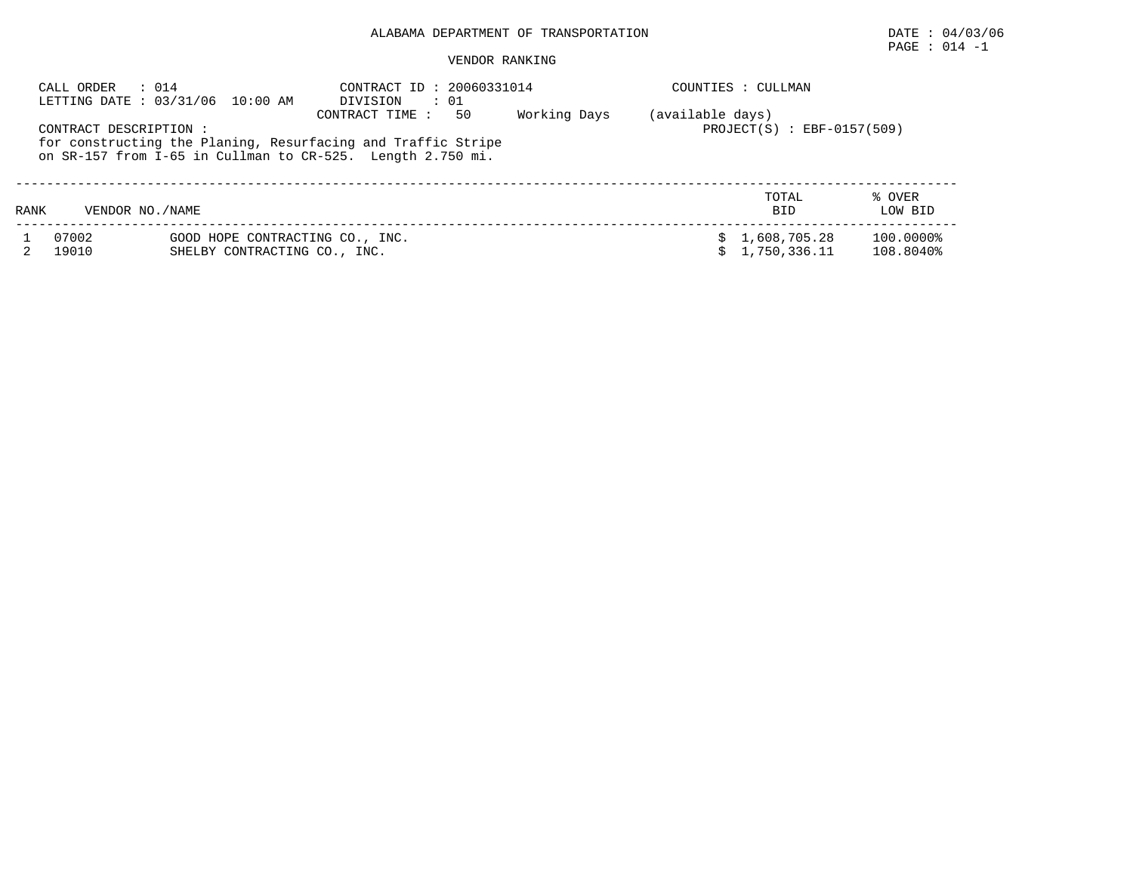PAGE : 014 -1

|      | CALL ORDER<br>: 014    | LETTING DATE: 03/31/06 10:00 AM                                 | CONTRACT ID: 20060331014<br>: 01<br>DIVISION                                                                                                       |              |                  | COUNTIES : CULLMAN             |                        |
|------|------------------------|-----------------------------------------------------------------|----------------------------------------------------------------------------------------------------------------------------------------------------|--------------|------------------|--------------------------------|------------------------|
|      | CONTRACT DESCRIPTION : |                                                                 | CONTRACT TIME:<br>50<br>for constructing the Planing, Resurfacing and Traffic Stripe<br>on SR-157 from I-65 in Cullman to CR-525. Length 2.750 mi. | Working Days | (available days) | $PROJECT(S)$ : EBF-0157(509)   |                        |
| RANK | VENDOR NO./NAME        |                                                                 |                                                                                                                                                    |              |                  | TOTAL<br><b>BID</b>            | % OVER<br>LOW BID      |
|      | 07002<br>19010         | GOOD HOPE CONTRACTING CO., INC.<br>SHELBY CONTRACTING CO., INC. |                                                                                                                                                    |              |                  | \$1,608,705.28<br>1,750,336.11 | 100.0000%<br>108.8040% |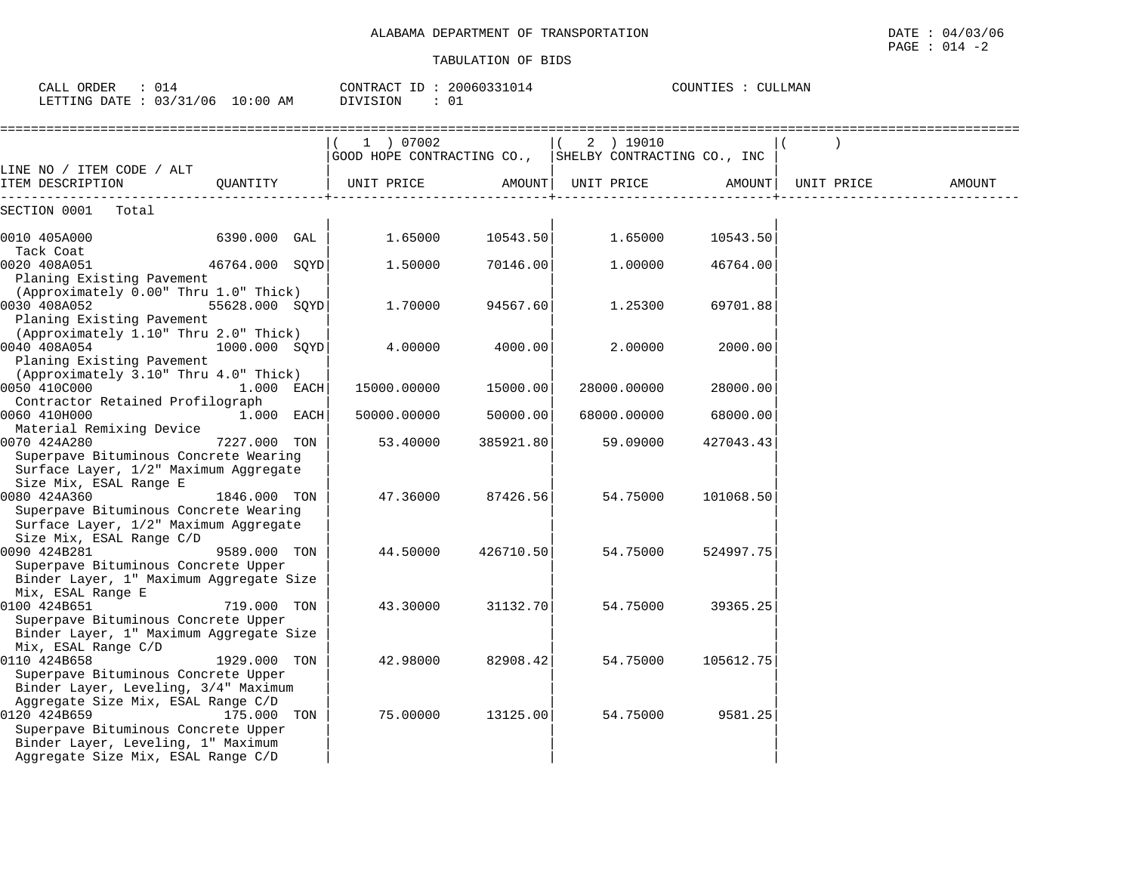| CALL ORDER<br>$\therefore$ 014<br>LETTING DATE : 03/31/06 10:00 AM                                                                                                    |                | CONTRACT ID: 20060331014<br>DIVISION<br>: 01                        | COUNTIES : CULLMAN |                    |             |           |            |        |
|-----------------------------------------------------------------------------------------------------------------------------------------------------------------------|----------------|---------------------------------------------------------------------|--------------------|--------------------|-------------|-----------|------------|--------|
|                                                                                                                                                                       |                | 1 ) 07002<br>GOOD HOPE CONTRACTING CO., SHELBY CONTRACTING CO., INC |                    | $\sqrt{2}$         | 2 ) 19010   |           |            |        |
| LINE NO / ITEM CODE / ALT<br>ITEM DESCRIPTION                                                                                                                         | OUANTITY       | UNIT PRICE                                                          |                    | AMOUNT  UNIT PRICE |             | AMOUNT    | UNIT PRICE | AMOUNT |
| SECTION 0001<br>Total                                                                                                                                                 |                |                                                                     |                    |                    |             |           |            |        |
| 0010 405A000                                                                                                                                                          | 6390.000 GAL   | 1.65000                                                             | 10543.50           |                    | 1.65000     | 10543.50  |            |        |
| Tack Coat<br>0020 408A051<br>Planing Existing Pavement                                                                                                                | 46764.000 SQYD | 1.50000                                                             | 70146.00           |                    | 1.00000     | 46764.00  |            |        |
| (Approximately 0.00" Thru 1.0" Thick)<br>0030 408A052<br>Planing Existing Pavement                                                                                    | 55628.000 SQYD | 1.70000                                                             | 94567.60           |                    | 1.25300     | 69701.88  |            |        |
| (Approximately 1.10" Thru 2.0" Thick)<br>0040 408A054<br>Planing Existing Pavement                                                                                    | 1000.000 SQYD  | 4.00000                                                             | 4000.00            |                    | 2.00000     | 2000.00   |            |        |
| (Approximately 3.10" Thru 4.0" Thick)<br>0050 410C000<br>Contractor Retained Profilograph                                                                             | 1.000 EACH     | 15000.00000                                                         | 15000.00           |                    | 28000.00000 | 28000.00  |            |        |
| 0060 410H000                                                                                                                                                          | 1.000 EACH     | 50000.00000                                                         | 50000.00           |                    | 68000.00000 | 68000.00  |            |        |
| Material Remixing Device<br>0070 424A280<br>Superpave Bituminous Concrete Wearing<br>Surface Layer, 1/2" Maximum Aggregate                                            | 7227.000 TON   | 53.40000                                                            | 385921.80          |                    | 59.09000    | 427043.43 |            |        |
| Size Mix, ESAL Range E<br>0080 424A360<br>Superpave Bituminous Concrete Wearing<br>Surface Layer, 1/2" Maximum Aggregate                                              | 1846.000 TON   | 47.36000                                                            | 87426.56           |                    | 54.75000    | 101068.50 |            |        |
| Size Mix, ESAL Range C/D<br>0090 424B281<br>Superpave Bituminous Concrete Upper<br>Binder Layer, 1" Maximum Aggregate Size                                            | 9589.000 TON   | 44.50000                                                            | 426710.50          |                    | 54.75000    | 524997.75 |            |        |
| Mix, ESAL Range E<br>0100 424B651<br>Superpave Bituminous Concrete Upper<br>Binder Layer, 1" Maximum Aggregate Size                                                   | 719.000 TON    | 43.30000                                                            | 31132.70           |                    | 54.75000    | 39365.25  |            |        |
| Mix, ESAL Range C/D<br>0110 424B658<br>Superpave Bituminous Concrete Upper<br>Binder Layer, Leveling, 3/4" Maximum                                                    | 1929.000 TON   | 42.98000                                                            | 82908.42           |                    | 54.75000    | 105612.75 |            |        |
| Aggregate Size Mix, ESAL Range C/D<br>0120 424B659<br>Superpave Bituminous Concrete Upper<br>Binder Layer, Leveling, 1" Maximum<br>Aggregate Size Mix, ESAL Range C/D | 175.000 TON    | 75.00000                                                            | 13125.00           |                    | 54.75000    | 9581.25   |            |        |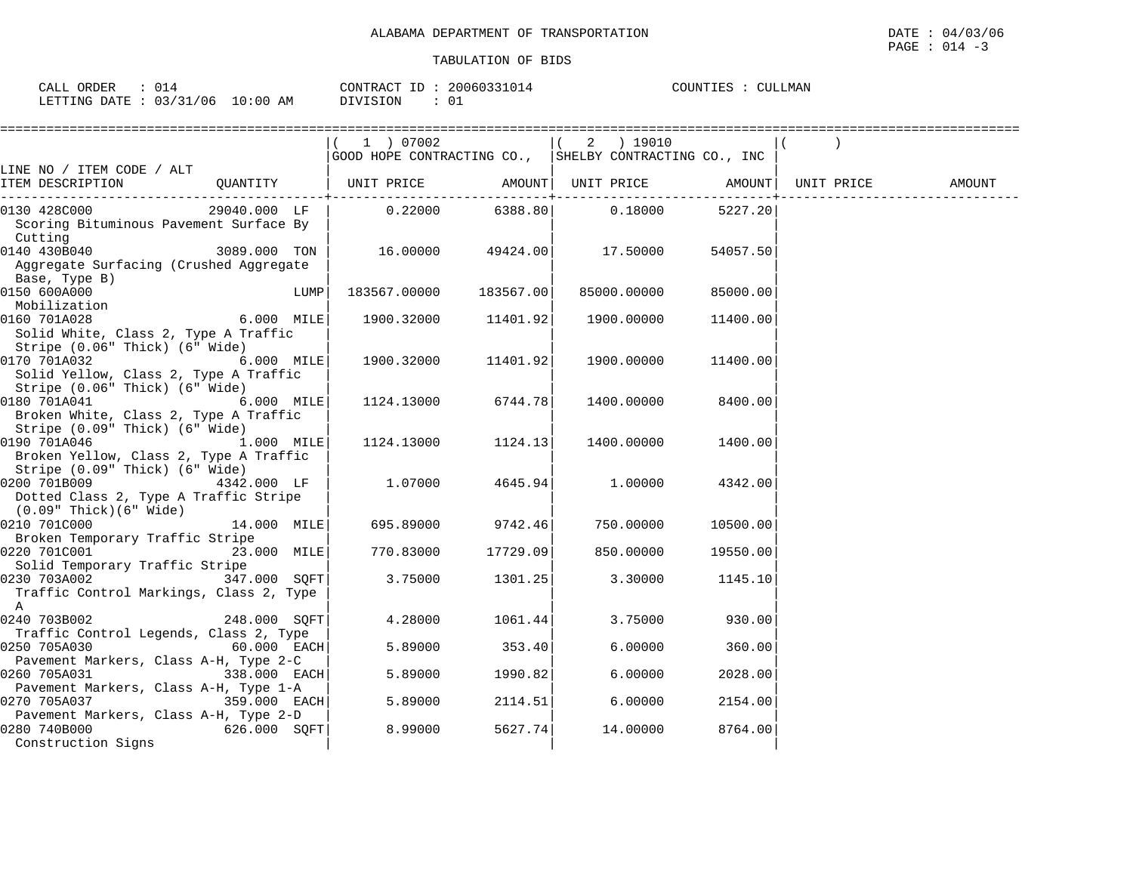| ORDER<br>CALL<br>$\sqrt{ }$<br>VJ⊥. | CONTRACT                                     | 20060331014<br>ID | COUNTIES | .LMAN<br>NTT. |
|-------------------------------------|----------------------------------------------|-------------------|----------|---------------|
| 03/31/06<br>LETTING<br>DATE         | NOTSTON<br>LO : 00<br>AΜ<br>$\pm \mathbf{v}$ | 01                |          |               |

|                                                                                                              |               |      | 1 ) 07002                                              |           | 2 ) 19010   |          |            |        |
|--------------------------------------------------------------------------------------------------------------|---------------|------|--------------------------------------------------------|-----------|-------------|----------|------------|--------|
|                                                                                                              |               |      | GOOD HOPE CONTRACTING CO., SHELBY CONTRACTING CO., INC |           |             |          |            |        |
| LINE NO / ITEM CODE / ALT<br>ITEM DESCRIPTION                                                                | QUANTITY      |      | UNIT PRICE AMOUNT  UNIT PRICE AMOUNT                   |           |             |          | UNIT PRICE | AMOUNT |
| 0130 428C000<br>Scoring Bituminous Pavement Surface By<br>Cutting                                            | 29040.000 LF  |      | $0.22000$ 6388.80                                      |           | 0.18000     | 5227.20  |            |        |
| 0140 430B040<br>Aggregate Surfacing (Crushed Aggregate<br>Base, Type B)                                      | 3089.000 TON  |      | 16.00000  49424.00  17.50000                           |           |             | 54057.50 |            |        |
| 0150 600A000<br>Mobilization                                                                                 |               | LUMP | 183567.00000                                           | 183567.00 | 85000.00000 | 85000.00 |            |        |
| 0160 701A028<br>Solid White, Class 2, Type A Traffic<br>Stripe (0.06" Thick) (6" Wide)                       | 6.000 MILE    |      | 1900.32000 11401.92                                    |           | 1900.00000  | 11400.00 |            |        |
| 0170 701A032<br><b>6.000 MILE</b><br>Solid Yellow, Class 2, Type A Traffic<br>Stripe (0.06" Thick) (6" Wide) |               |      | 1900.32000                                             | 11401.92  | 1900.00000  | 11400.00 |            |        |
| 0180 701A041<br>Broken White, Class 2, Type A Traffic<br>Stripe (0.09" Thick) (6" Wide)                      | 6.000 MILE    |      | 1124.13000 6744.78                                     |           | 1400.00000  | 8400.00  |            |        |
| 0190 701A046 1.000 MILE<br>Broken Yellow, Class 2, Type A Traffic<br>Stripe (0.09" Thick) (6" Wide)          |               |      | 1124.13000                                             | 1124.13   | 1400.00000  | 1400.00  |            |        |
| 4342.000 LF<br>0200 701B009<br>Dotted Class 2, Type A Traffic Stripe<br>(0.09" Thick)(6" Wide)               |               |      | 1.07000                                                | 4645.94   | 1.00000     | 4342.00  |            |        |
| 0210 701C000<br>Broken Temporary Traffic Stripe                                                              | 14.000 MILE   |      | 695.89000                                              | 9742.46   | 750.00000   | 10500.00 |            |        |
| 0220 701C001<br>Solid Temporary Traffic Stripe                                                               | 23.000 MILE   |      | 770.83000                                              | 17729.09  | 850.00000   | 19550.00 |            |        |
| $347.000$ SQFT<br>0230 703A002<br>Traffic Control Markings, Class 2, Type<br>$\mathbf{A}$                    |               |      | 3.75000                                                | 1301.25   | 3.30000     | 1145.10  |            |        |
| 0240 703B002<br>Traffic Control Legends, Class 2, Type                                                       | 248.000 SQFT  |      | 4.28000                                                | 1061.44   | 3.75000     | 930.00   |            |        |
| 0250 705A030<br>Pavement Markers, Class A-H, Type 2-C                                                        | $60.000$ EACH |      | 5.89000                                                | 353.40    | 6.00000     | 360.00   |            |        |
| $338.000$ EACH<br>0260 705A031<br>Pavement Markers, Class A-H, Type 1-A                                      |               |      | 5.89000                                                | 1990.82   | 6.00000     | 2028.00  |            |        |
| 0270 705A037<br>Pavement Markers, Class A-H, Type 2-D                                                        | 359.000 EACH  |      | 5.89000                                                | 2114.51   | 6.00000     | 2154.00  |            |        |
| 0280 740B000<br>$626.000$ SQFT<br>Construction Signs                                                         |               |      | 8.99000                                                | 5627.74   | 14.00000    | 8764.00  |            |        |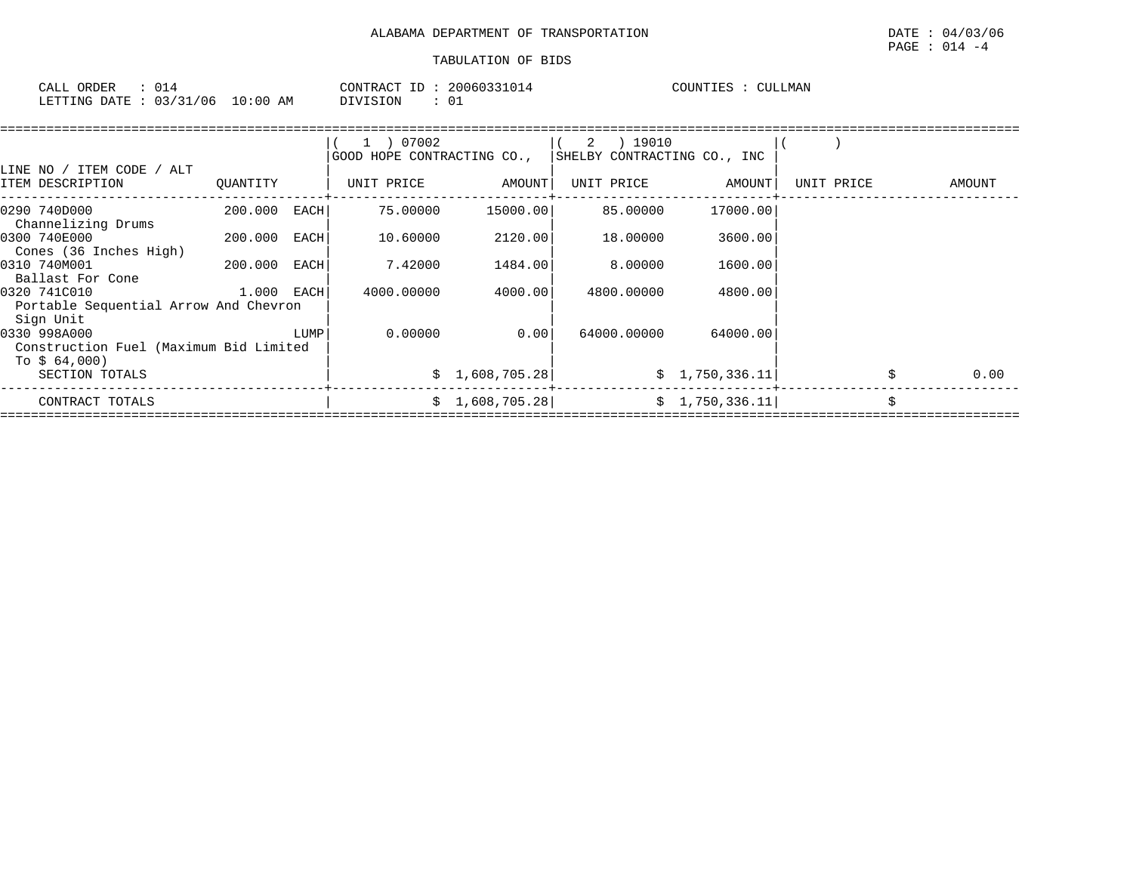| ORDER<br>CAT.T<br>للطلب | $\sim$ $\sim$<br>∪⊥" |             | CONTRACT<br>ID | 20060331014 | COUNTIES | CULLMAN |
|-------------------------|----------------------|-------------|----------------|-------------|----------|---------|
| LETTING DATE            | 03/31/06             | 10:00<br>AM | DIVISION       |             |          |         |

|                                                                        |              |      | 1 ) 07002                  |                 | 2 ) 19010                   |                 |            |        |
|------------------------------------------------------------------------|--------------|------|----------------------------|-----------------|-----------------------------|-----------------|------------|--------|
|                                                                        |              |      | GOOD HOPE CONTRACTING CO., |                 | SHELBY CONTRACTING CO., INC |                 |            |        |
| LINE NO / ITEM CODE / ALT<br>ITEM DESCRIPTION                          | QUANTITY     |      | UNIT PRICE                 | AMOUNT          | UNIT PRICE                  | AMOUNT          | UNIT PRICE | AMOUNT |
| 0290 740D000<br>Channelizing Drums                                     | 200.000      | EACH | 75.00000                   | 15000.00        | 85.00000                    | 17000.00        |            |        |
| 0300 740E000<br>Cones (36 Inches High)                                 | 200.000      | EACH | 10.60000                   | 2120.00         | 18.00000                    | 3600.00         |            |        |
| 0310 740M001<br>Ballast For Cone                                       | 200.000      | EACH | 7.42000                    | 1484.00         | 8,00000                     | 1600.00         |            |        |
| 0320 741C010<br>Portable Sequential Arrow And Chevron<br>Sign Unit     | $1.000$ EACH |      | 4000.00000                 | 4000.00         | 4800.00000                  | 4800.00         |            |        |
| 0330 998A000<br>Construction Fuel (Maximum Bid Limited<br>To $$64,000$ |              | LUMP | 0.00000                    | 0.00            | 64000.00000                 | 64000.00        |            |        |
| SECTION TOTALS                                                         |              |      |                            | \$1,608,705.28] |                             | \$1,750,336.11] |            | 0.00   |
| CONTRACT TOTALS                                                        |              |      |                            | \$1,608,705.28] |                             | \$1,750,336.11] |            |        |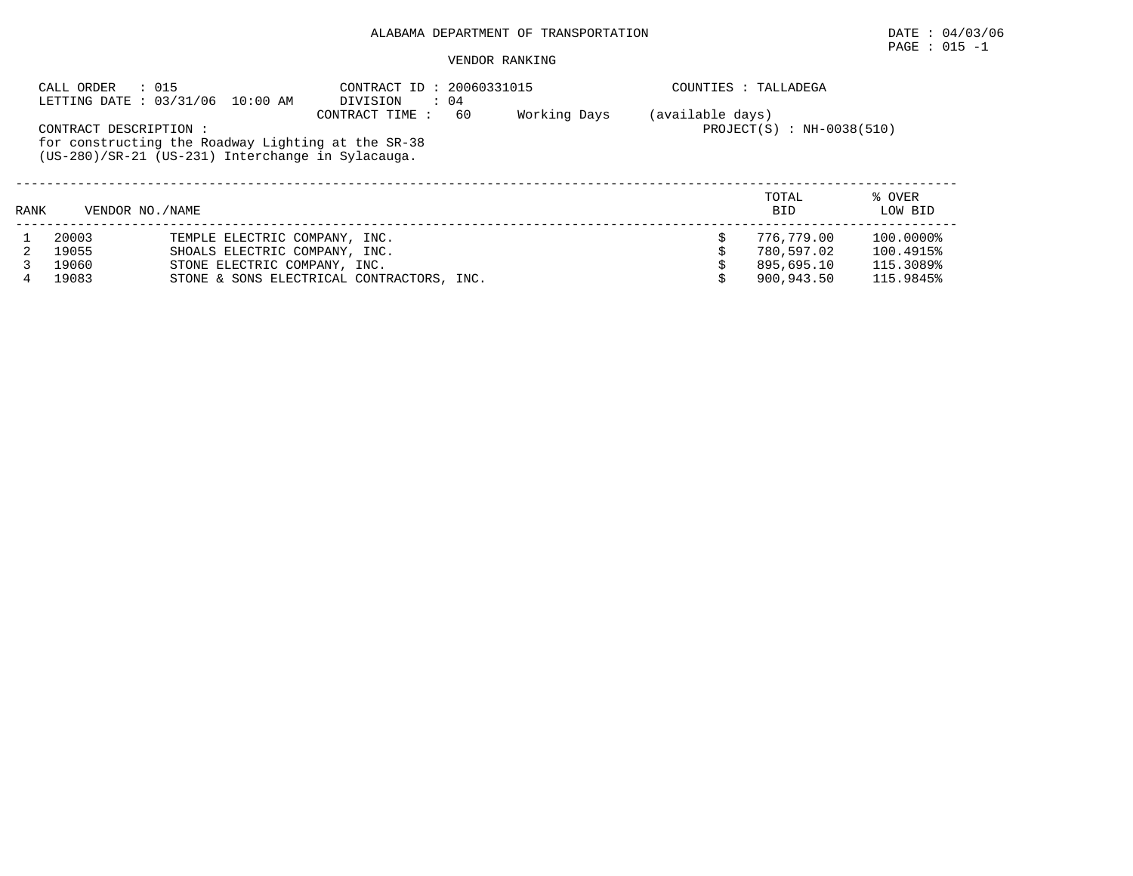$\texttt{PAGE}$  : 015 -1

|      | CALL ORDER            | : 015<br>LETTING DATE: 03/31/06 10:00 AM                                                                | CONTRACT ID: 20060331015<br>DIVISION<br>$\therefore$ 04 |              |                  | COUNTIES : TALLADEGA        |                   |  |  |
|------|-----------------------|---------------------------------------------------------------------------------------------------------|---------------------------------------------------------|--------------|------------------|-----------------------------|-------------------|--|--|
|      | CONTRACT DESCRIPTION: | for constructing the Roadway Lighting at the SR-38<br>(US-280)/SR-21 (US-231) Interchange in Sylacauga. | 60<br>CONTRACT TIME :                                   | Working Days | (available days) | $PROJECT(S) : NH-0038(510)$ |                   |  |  |
| RANK | VENDOR NO. / NAME     |                                                                                                         |                                                         |              |                  | TOTAL<br><b>BID</b>         | % OVER<br>LOW BID |  |  |
|      | 20003                 | TEMPLE ELECTRIC COMPANY, INC.                                                                           |                                                         |              |                  | 776,779.00                  | 100.0000%         |  |  |
|      | 19055                 | SHOALS ELECTRIC COMPANY, INC.                                                                           |                                                         |              |                  | 780.597.02                  | 100.4915%         |  |  |
|      | 19060                 | STONE ELECTRIC COMPANY, INC.                                                                            |                                                         |              |                  | 895,695.10                  | 115.3089%         |  |  |
| 4    | 19083                 |                                                                                                         | STONE & SONS ELECTRICAL CONTRACTORS, INC.               |              |                  | 900,943.50                  | 115.9845%         |  |  |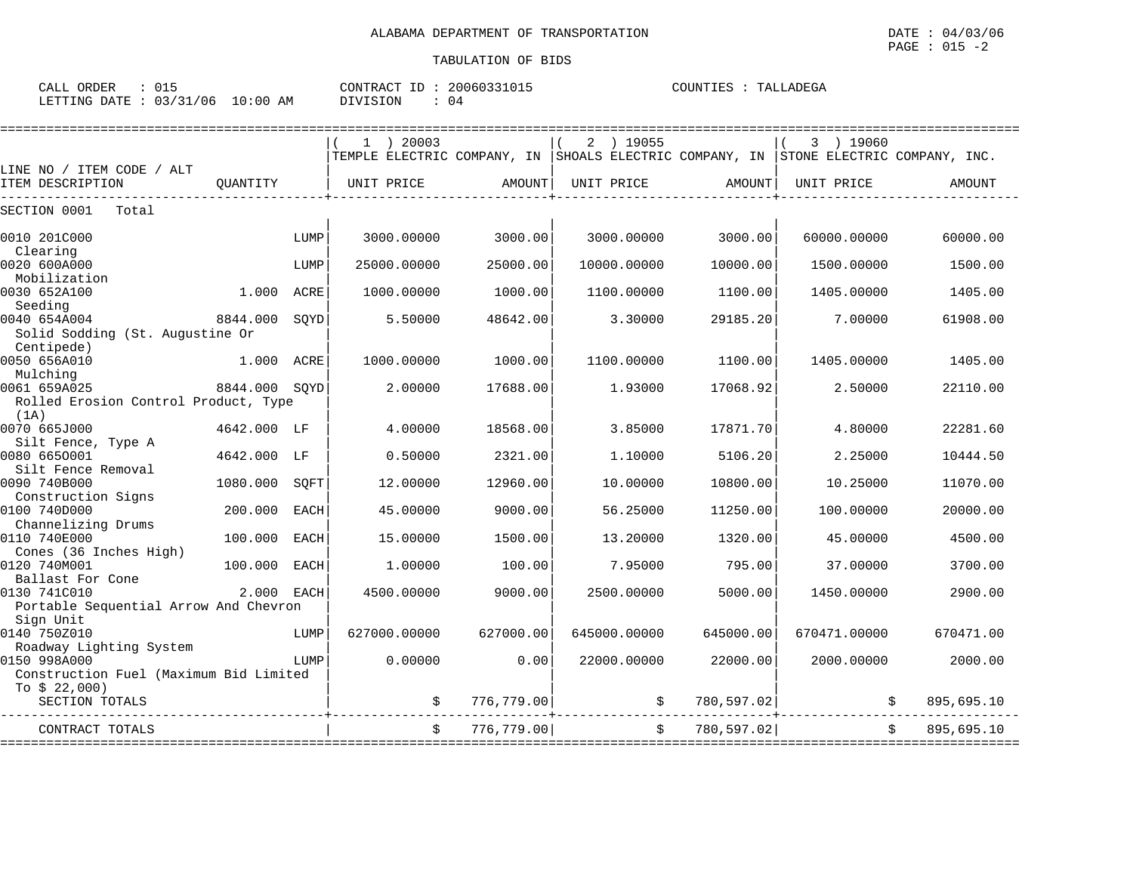| CALL ORDER                       | CONTRACT ID: 20060331015    | COUNTIES : TALLADEGA |
|----------------------------------|-----------------------------|----------------------|
| LETTING DATE : 03/31/06 10:00 AM | $\therefore$ 04<br>DIVISION |                      |

|                                                                    |          |             | $1$ ) 20003  |            | 2<br>19055 (<br>TEMPLE ELECTRIC COMPANY, IN SHOALS ELECTRIC COMPANY, IN STONE ELECTRIC COMPANY, INC. |            | 3<br>19060   |                  |
|--------------------------------------------------------------------|----------|-------------|--------------|------------|------------------------------------------------------------------------------------------------------|------------|--------------|------------------|
| LINE NO / ITEM CODE / ALT                                          |          |             |              |            |                                                                                                      |            |              |                  |
| ITEM DESCRIPTION                                                   | OUANTITY |             | UNIT PRICE   | AMOUNT     | UNIT PRICE                                                                                           | AMOUNT     | UNIT PRICE   | AMOUNT           |
| SECTION 0001<br>Total                                              |          |             |              |            |                                                                                                      |            |              |                  |
| 0010 201C000<br>Clearing                                           |          | LUMP        | 3000.00000   | 3000.00    | 3000.00000                                                                                           | 3000.00    | 60000.00000  | 60000.00         |
| 0020 600A000<br>Mobilization                                       |          | LUMP        | 25000.00000  | 25000.00   | 10000.00000                                                                                          | 10000.00   | 1500.00000   | 1500.00          |
| 0030 652A100<br>Seeding                                            | 1,000    | ACRE        | 1000.00000   | 1000.00    | 1100.00000                                                                                           | 1100.00    | 1405.00000   | 1405.00          |
| 0040 654A004<br>Solid Sodding (St. Augustine Or<br>Centipede)      | 8844.000 | SOYD        | 5.50000      | 48642.00   | 3.30000                                                                                              | 29185.20   | 7.00000      | 61908.00         |
| 0050 656A010<br>Mulching                                           | 1.000    | ACRE        | 1000.00000   | 1000.00    | 1100.00000                                                                                           | 1100.00    | 1405.00000   | 1405.00          |
| 0061 659A025<br>Rolled Erosion Control Product, Type<br>(1A)       | 8844.000 | SQYD        | 2.00000      | 17688.00   | 1.93000                                                                                              | 17068.92   | 2.50000      | 22110.00         |
| 0070 665J000<br>Silt Fence, Type A                                 | 4642.000 | LF          | 4.00000      | 18568.00   | 3.85000                                                                                              | 17871.70   | 4.80000      | 22281.60         |
| 0080 6650001<br>Silt Fence Removal                                 | 4642.000 | LF          | 0.50000      | 2321.00    | 1,10000                                                                                              | 5106.20    | 2.25000      | 10444.50         |
| 0090 740B000<br>Construction Signs                                 | 1080.000 | SQFT        | 12.00000     | 12960.00   | 10.00000                                                                                             | 10800.00   | 10.25000     | 11070.00         |
| 0100 740D000<br>Channelizing Drums                                 | 200.000  | <b>EACH</b> | 45.00000     | 9000.00    | 56.25000                                                                                             | 11250.00   | 100.00000    | 20000.00         |
| 0110 740E000<br>Cones (36 Inches High)                             | 100.000  | <b>EACH</b> | 15.00000     | 1500.00    | 13.20000                                                                                             | 1320.00    | 45.00000     | 4500.00          |
| 0120 740M001<br>Ballast For Cone                                   | 100.000  | <b>EACH</b> | 1,00000      | 100.00     | 7.95000                                                                                              | 795.00     | 37.00000     | 3700.00          |
| 0130 741C010<br>Portable Sequential Arrow And Chevron<br>Sign Unit | 2.000    | EACH        | 4500.00000   | 9000.00    | 2500.00000                                                                                           | 5000.00    | 1450.00000   | 2900.00          |
| 0140 750Z010<br>Roadway Lighting System                            |          | LUMP        | 627000.00000 | 627000.00  | 645000.00000                                                                                         | 645000.00  | 670471.00000 | 670471.00        |
| 0150 998A000<br>Construction Fuel (Maximum Bid Limited             |          | LUMP        | 0.00000      | 0.00       | 22000.00000                                                                                          | 22000.00   | 2000.00000   | 2000.00          |
| To $$22,000)$<br>SECTION TOTALS                                    |          |             | \$           | 776,779.00 | \$                                                                                                   | 780,597.02 |              | 895,695.10<br>\$ |
| CONTRACT TOTALS                                                    |          |             | Ŝ.           | 776,779.00 | \$                                                                                                   | 780,597.02 |              | Ŝ.<br>895,695.10 |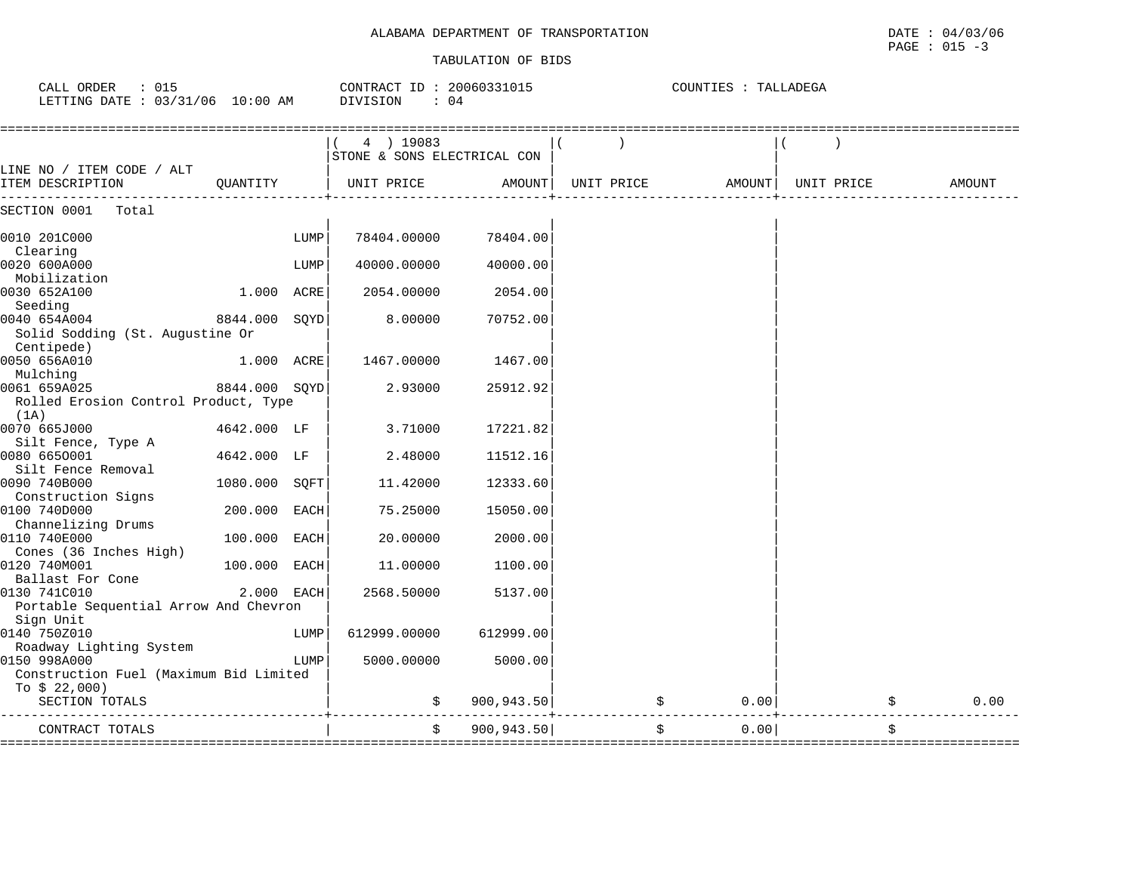COUNTIES : TALLADEGA

#### TABULATION OF BIDS

CALL ORDER : 015 CONTRACT ID : 20060331015 COUNTIES : TALLADEGA

| LETTING DATE : $03/31/06$ 10:00 AM            |               |      | DIVISION<br>: 04                         |             |            |        |            |        |
|-----------------------------------------------|---------------|------|------------------------------------------|-------------|------------|--------|------------|--------|
|                                               |               |      | 4 ) 19083<br>STONE & SONS ELECTRICAL CON |             |            |        |            |        |
| LINE NO / ITEM CODE / ALT<br>ITEM DESCRIPTION | QUANTITY      |      | UNIT PRICE                               | AMOUNT      | UNIT PRICE | AMOUNT | UNIT PRICE | AMOUNT |
| SECTION 0001<br>Total                         |               |      |                                          |             |            |        |            |        |
| 0010 201C000                                  |               | LUMP | 78404.00000                              | 78404.00    |            |        |            |        |
| Clearing                                      |               |      |                                          |             |            |        |            |        |
| 0020 600A000                                  |               | LUMP | 40000.00000                              | 40000.00    |            |        |            |        |
| Mobilization                                  |               |      |                                          |             |            |        |            |        |
| 0030 652A100                                  | 1.000 ACRE    |      | 2054.00000                               | 2054.00     |            |        |            |        |
| Seeding                                       |               |      |                                          |             |            |        |            |        |
| 0040 654A004                                  | 8844.000 SQYD |      | 8.00000                                  | 70752.00    |            |        |            |        |
| Solid Sodding (St. Augustine Or<br>Centipede) |               |      |                                          |             |            |        |            |        |
|                                               |               |      |                                          |             |            |        |            |        |
| 0050 656A010                                  | 1.000 ACRE    |      | 1467.00000                               | 1467.00     |            |        |            |        |
| Mulching<br>0061 659A025                      | 8844.000 SOYD |      | 2.93000                                  | 25912.92    |            |        |            |        |
| Rolled Erosion Control Product, Type          |               |      |                                          |             |            |        |            |        |
| (1A)                                          |               |      |                                          |             |            |        |            |        |
| 0070 665J000                                  | 4642.000 LF   |      | 3.71000                                  | 17221.82    |            |        |            |        |
| Silt Fence, Type A                            |               |      |                                          |             |            |        |            |        |
| 0080 6650001                                  | 4642.000 LF   |      | 2.48000                                  | 11512.16    |            |        |            |        |
| Silt Fence Removal                            |               |      |                                          |             |            |        |            |        |
| 0090 740B000                                  | 1080.000 SQFT |      | 11.42000                                 | 12333.60    |            |        |            |        |
| Construction Signs                            |               |      |                                          |             |            |        |            |        |
| 0100 740D000                                  | 200.000 EACH  |      | 75.25000                                 | 15050.00    |            |        |            |        |
| Channelizing Drums                            |               |      |                                          |             |            |        |            |        |
| 0110 740E000                                  | 100.000 EACH  |      | 20.00000                                 | 2000.00     |            |        |            |        |
| Cones (36 Inches High)                        |               |      |                                          |             |            |        |            |        |
| 0120 740M001                                  | 100.000 EACH  |      | 11.00000                                 | 1100.00     |            |        |            |        |
| Ballast For Cone                              |               |      |                                          |             |            |        |            |        |
| 0130 741C010                                  | 2.000 EACH    |      | 2568.50000                               | 5137.00     |            |        |            |        |
| Portable Sequential Arrow And Chevron         |               |      |                                          |             |            |        |            |        |
| Sign Unit                                     |               |      |                                          |             |            |        |            |        |
| 0140 750Z010                                  |               | LUMP | 612999.00000                             | 612999.00   |            |        |            |        |
| Roadway Lighting System                       |               |      |                                          |             |            |        |            |        |
| 0150 998A000                                  |               | LUMP | 5000.00000                               | 5000.00     |            |        |            |        |
| Construction Fuel (Maximum Bid Limited        |               |      |                                          |             |            |        |            |        |
| To $$22,000$ )                                |               |      |                                          |             |            |        |            |        |
| SECTION TOTALS                                |               |      | \$                                       | 900, 943.50 | $\ddot{s}$ | 0.00   | \$         | 0.00   |
| CONTRACT TOTALS                               |               |      | \$                                       | 900, 943.50 |            | 0.00   | \$         |        |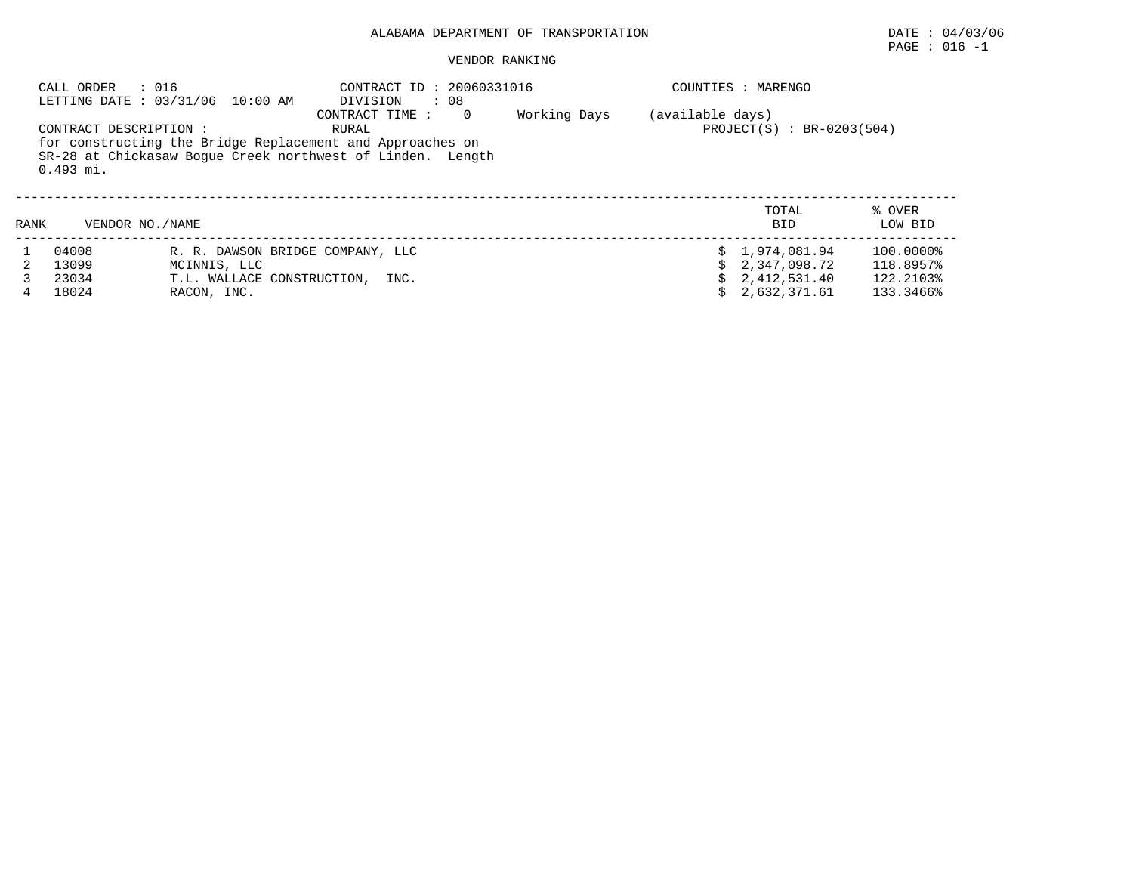### VENDOR RANKING

|      | CALL ORDER<br>: 016                   | LETTING DATE: 03/31/06 10:00 AM  | CONTRACT ID: 20060331016<br>$\cdot$ 08<br>DIVISION                                                                                                              |              | COUNTIES : MARENGO |                             |                   |  |
|------|---------------------------------------|----------------------------------|-----------------------------------------------------------------------------------------------------------------------------------------------------------------|--------------|--------------------|-----------------------------|-------------------|--|
|      | CONTRACT DESCRIPTION :<br>$0.493$ mi. |                                  | CONTRACT TIME :<br>$\Omega$<br>RURAL<br>for constructing the Bridge Replacement and Approaches on<br>SR-28 at Chickasaw Boque Creek northwest of Linden. Length | Working Days | (available days)   | $PROJECT(S) : BR-0203(504)$ |                   |  |
| RANK | VENDOR NO. / NAME                     |                                  |                                                                                                                                                                 |              |                    | TOTAL<br>BID.               | % OVER<br>LOW BID |  |
|      | 04008                                 | R. R. DAWSON BRIDGE COMPANY, LLC |                                                                                                                                                                 |              |                    | \$1.974.081.94              | 100.0000%         |  |
|      | 13099                                 | MCINNIS, LLC                     |                                                                                                                                                                 |              |                    | \$2,347,098.72              | 118.8957%         |  |
|      | 23034                                 | T.L. WALLACE CONSTRUCTION.       | INC.                                                                                                                                                            |              |                    | 2,412,531.40                | 122.2103%         |  |

4 18024 RACON, INC. \$ 2,632,371.61 133.3466%

# $\texttt{PAGE}$  : 016 -1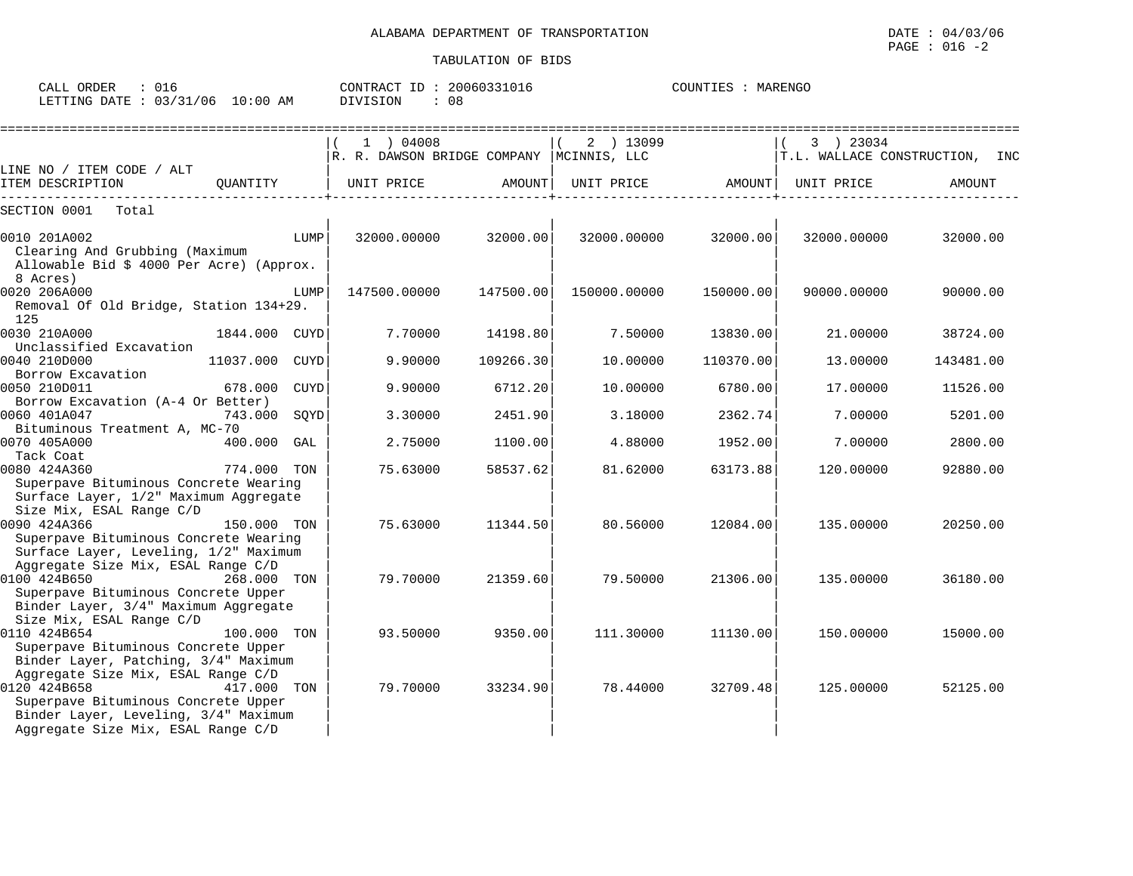| CALL ORDER<br>: 016             | CONTRACT ID: 20060331016 | COUNTIES : MARENGO |
|---------------------------------|--------------------------|--------------------|
| LETTING DATE: 03/31/06 10:00 AM | DIVISION                 |                    |

|                                                                                                                                      |                |             | $1$ ) 04008<br>R. R. DAWSON BRIDGE COMPANY  MCINNIS, LLC |           | 2 ) 13099    |           | 3 ) 23034   | T.L. WALLACE CONSTRUCTION, INC |
|--------------------------------------------------------------------------------------------------------------------------------------|----------------|-------------|----------------------------------------------------------|-----------|--------------|-----------|-------------|--------------------------------|
| LINE NO / ITEM CODE / ALT                                                                                                            |                |             |                                                          |           |              |           |             |                                |
| ITEM DESCRIPTION                                                                                                                     | QUANTITY       |             | UNIT PRICE                                               | AMOUNT    | UNIT PRICE   | AMOUNT    | UNIT PRICE  | AMOUNT                         |
| SECTION 0001<br>Total                                                                                                                |                |             |                                                          |           |              |           |             |                                |
| 0010 201A002<br>Clearing And Grubbing (Maximum<br>Allowable Bid \$ 4000 Per Acre) (Approx.<br>8 Acres)                               |                | LUMP        | 32000.00000                                              | 32000.00  | 32000.00000  | 32000.00  | 32000.00000 | 32000.00                       |
| 0020 206A000<br>Removal Of Old Bridge, Station 134+29.<br>125                                                                        |                | LUMP        | 147500.00000                                             | 147500.00 | 150000.00000 | 150000.00 | 90000.00000 | 90000.00                       |
| 0030 210A000<br>Unclassified Excavation                                                                                              | 1844.000 CUYD  |             | 7.70000                                                  | 14198.80  | 7.50000      | 13830.00  | 21,00000    | 38724.00                       |
| 0040 210D000<br>Borrow Excavation                                                                                                    | 11037.000 CUYD |             | 9.90000                                                  | 109266.30 | 10.00000     | 110370.00 | 13,00000    | 143481.00                      |
| 0050 210D011<br>Borrow Excavation (A-4 Or Better)                                                                                    | 678.000        | <b>CUYD</b> | 9.90000                                                  | 6712.20   | 10.00000     | 6780.00   | 17.00000    | 11526.00                       |
| 0060 401A047<br>Bituminous Treatment A, MC-70                                                                                        | 743.000        | SQYD        | 3.30000                                                  | 2451.90   | 3.18000      | 2362.74   | 7.00000     | 5201.00                        |
| 0070 405A000<br>Tack Coat                                                                                                            | 400.000 GAL    |             | 2.75000                                                  | 1100.00   | 4.88000      | 1952.00   | 7.00000     | 2800.00                        |
| 0080 424A360<br>Superpave Bituminous Concrete Wearing<br>Surface Layer, 1/2" Maximum Aggregate<br>Size Mix, ESAL Range C/D           | 774.000 TON    |             | 75.63000                                                 | 58537.62  | 81.62000     | 63173.88  | 120,00000   | 92880.00                       |
| 0090 424A366<br>Superpave Bituminous Concrete Wearing<br>Surface Layer, Leveling, 1/2" Maximum<br>Aggregate Size Mix, ESAL Range C/D | 150.000 TON    |             | 75.63000                                                 | 11344.50  | 80.56000     | 12084.00  | 135.00000   | 20250.00                       |
| 0100 424B650<br>Superpave Bituminous Concrete Upper<br>Binder Layer, 3/4" Maximum Aggregate<br>Size Mix, ESAL Range C/D              | 268.000 TON    |             | 79.70000                                                 | 21359.60  | 79.50000     | 21306.00  | 135.00000   | 36180.00                       |
| 0110 424B654<br>Superpave Bituminous Concrete Upper<br>Binder Layer, Patching, 3/4" Maximum<br>Aggregate Size Mix, ESAL Range C/D    | 100.000 TON    |             | 93.50000                                                 | 9350.00   | 111.30000    | 11130.00  | 150.00000   | 15000.00                       |
| 0120 424B658<br>Superpave Bituminous Concrete Upper<br>Binder Layer, Leveling, 3/4" Maximum<br>Aggregate Size Mix, ESAL Range C/D    | 417.000 TON    |             | 79.70000                                                 | 33234.90  | 78.44000     | 32709.48  | 125,00000   | 52125.00                       |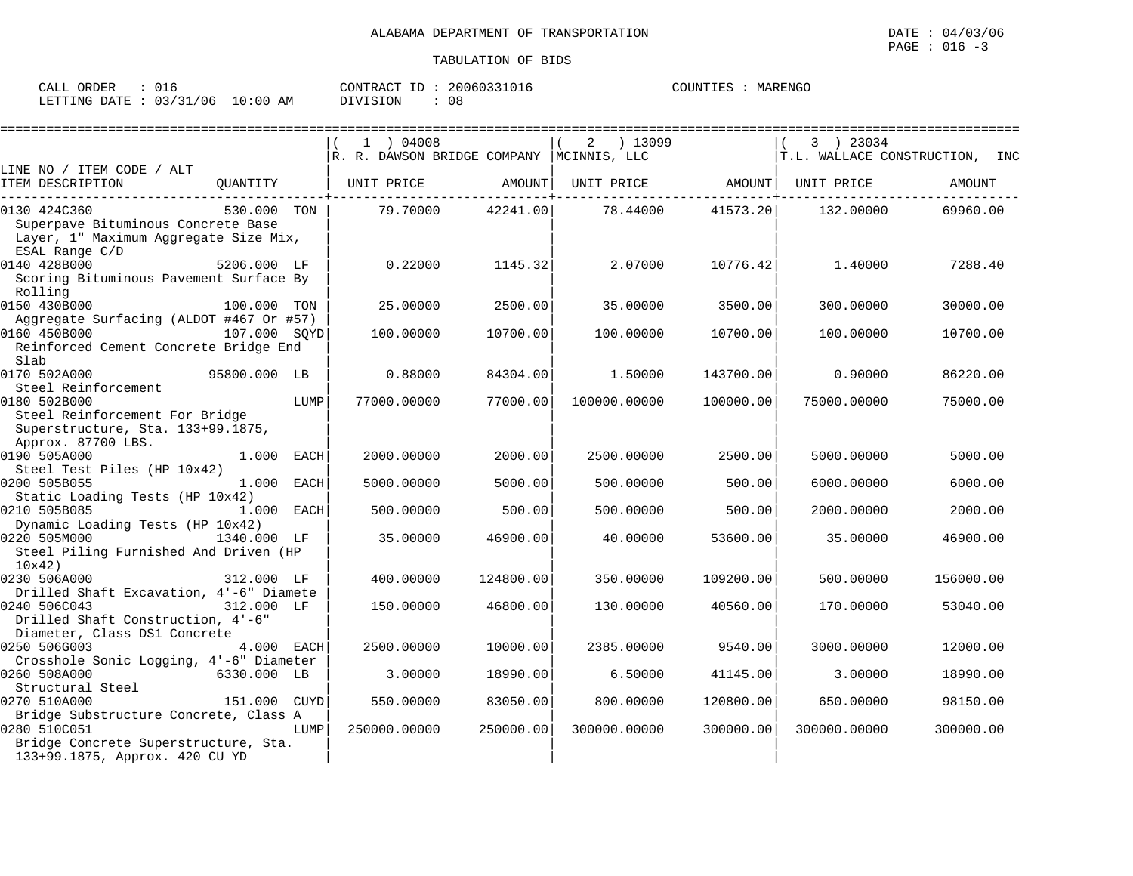| ORDER<br>$\sim$ $\sim$ $\sim$<br>CALL<br>◡∸◡ |                              | ΙD<br>CONTRACT | 20060331017<br>$5 + U + D$ | MARENGO<br>COUNTIES |
|----------------------------------------------|------------------------------|----------------|----------------------------|---------------------|
| 03/31/06<br>DATE.<br>LETTING                 | :00<br>$\sim$<br>AM<br>— ∪ ÷ | DIVISION       | 08                         |                     |

|                                                                                                                                 |              |      | 1 ) 04008                                  |           | ) 13099<br>2                   |           | 3 ) 23034    |                                |
|---------------------------------------------------------------------------------------------------------------------------------|--------------|------|--------------------------------------------|-----------|--------------------------------|-----------|--------------|--------------------------------|
|                                                                                                                                 |              |      | R. R. DAWSON BRIDGE COMPANY   MCINNIS, LLC |           |                                |           |              | T.L. WALLACE CONSTRUCTION, INC |
| LINE NO / ITEM CODE / ALT<br>ITEM DESCRIPTION                                                                                   | QUANTITY     |      | UNIT PRICE AMOUNT                          |           | UNIT PRICE AMOUNT   UNIT PRICE |           |              | AMOUNT                         |
| 0130 424C360<br>Superpave Bituminous Concrete Base<br>Layer, 1" Maximum Aggregate Size Mix,<br>ESAL Range C/D                   | 530.000 TON  |      | 79.70000                                   | 42241.00  | 78.44000                       | 41573.20  | 132.00000    | 69960.00                       |
| 0140 428B000<br>Scoring Bituminous Pavement Surface By<br>Rolling                                                               | 5206.000 LF  |      | 0.22000                                    | 1145.32   | 2.07000                        | 10776.42  | 1.40000      | 7288.40                        |
| 0150 430B000<br>Aggregate Surfacing (ALDOT #467 Or #57)                                                                         | 100.000 TON  |      | 25,00000                                   | 2500.00   | 35,00000                       | 3500.00   | 300.00000    | 30000.00                       |
| 0160 450B000<br>Reinforced Cement Concrete Bridge End<br>Slab                                                                   | 107.000 SOYD |      | 100.00000                                  | 10700.00  | 100.00000                      | 10700.00  | 100.00000    | 10700.00                       |
| 95800.000 LB<br>0170 502A000<br>Steel Reinforcement                                                                             |              |      | 0.88000                                    | 84304.00  | 1.50000                        | 143700.00 | 0.90000      | 86220.00                       |
| 0180 502B000<br>Steel Reinforcement For Bridge<br>Superstructure, Sta. 133+99.1875,<br>Approx. 87700 LBS.                       |              | LUMP | 77000.00000                                | 77000.00  | 100000.00000                   | 100000.00 | 75000.00000  | 75000.00                       |
| 0190 505A000<br>Steel Test Piles (HP 10x42)                                                                                     | $1.000$ EACH |      | 2000.00000                                 | 2000.00   | 2500.00000                     | 2500.00   | 5000.00000   | 5000.00                        |
| 0200 505B055                                                                                                                    | 1.000 EACH   |      | 5000.00000                                 | 5000.00   | 500.00000                      | 500.00    | 6000.00000   | 6000.00                        |
| Static Loading Tests (HP 10x42)<br>0210 505B085                                                                                 | 1.000 EACH   |      | 500.00000                                  | 500.00    | 500,00000                      | 500.00    | 2000.00000   | 2000.00                        |
| Dynamic Loading Tests (HP 10x42)<br>0220 505M000<br>1340.000 LF<br>Steel Piling Furnished And Driven (HP<br>10x42               |              |      | 35,00000                                   | 46900.00  | 40.00000                       | 53600.00  | 35.00000     | 46900.00                       |
| 0230 506A000                                                                                                                    | 312.000 LF   |      | 400.00000                                  | 124800.00 | 350.00000                      | 109200.00 | 500.00000    | 156000.00                      |
| Drilled Shaft Excavation, 4'-6" Diamete<br>0240 506C043<br>Drilled Shaft Construction, 4'-6"<br>Diameter, Class DS1 Concrete    | 312.000 LF   |      | 150.00000                                  | 46800.00  | 130.00000                      | 40560.00  | 170.00000    | 53040.00                       |
| 0250 506G003<br>Crosshole Sonic Logging, 4'-6" Diameter                                                                         | 4.000 EACH   |      | 2500.00000                                 | 10000.00  | 2385.00000                     | 9540.00   | 3000.00000   | 12000.00                       |
| 0260 508A000                                                                                                                    | 6330.000 LB  |      | 3.00000                                    | 18990.00  | 6.50000                        | 41145.00  | 3,00000      | 18990.00                       |
| Structural Steel<br>0270 510A000                                                                                                | 151.000 CUYD |      | 550.00000                                  | 83050.00  | 800,00000                      | 120800.00 | 650.00000    | 98150.00                       |
| Bridge Substructure Concrete, Class A<br>0280 510C051<br>Bridge Concrete Superstructure, Sta.<br>133+99.1875, Approx. 420 CU YD |              | LUMP | 250000.00000                               | 250000.00 | 300000.00000                   | 300000.00 | 300000.00000 | 300000.00                      |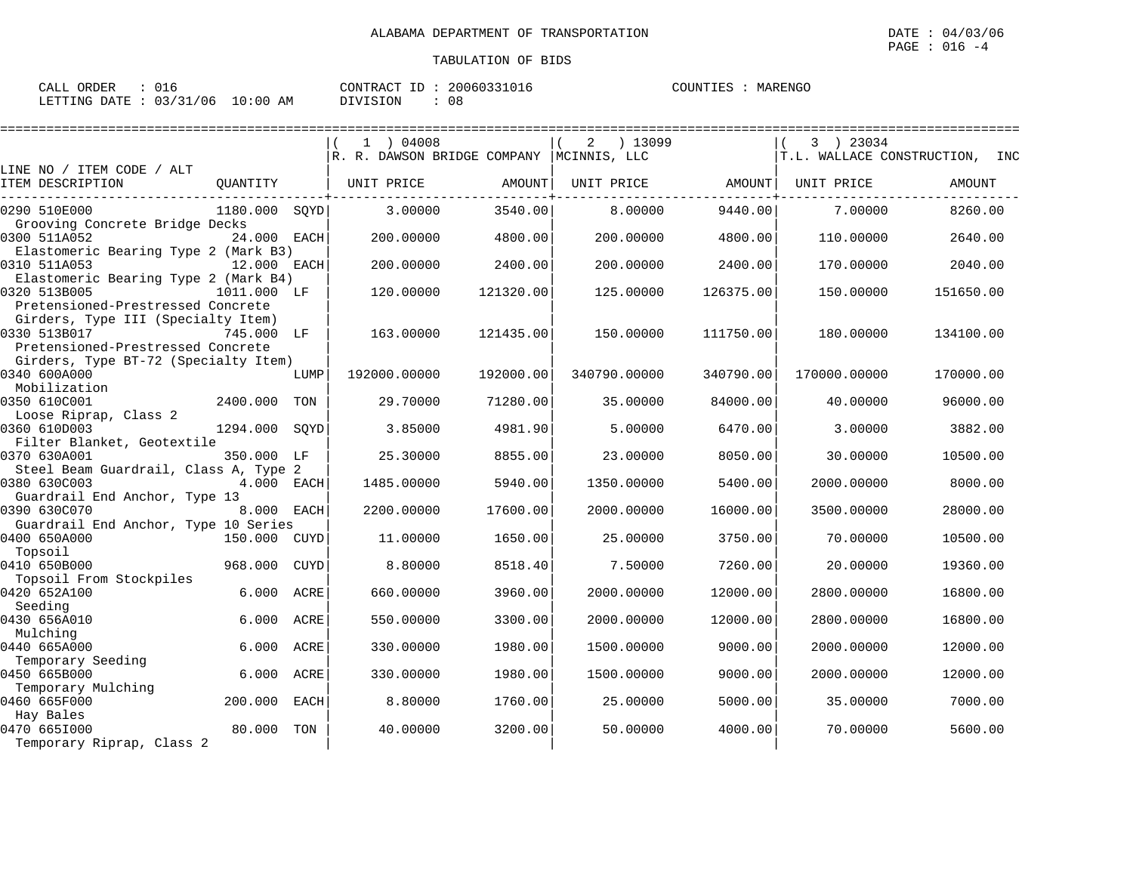| אתרו אר<br>ΑI<br>تملسف<br>. | ∪⊥c                           |                   | CONTRACT | 11611 K | COLINT<br>ه ت | 모NGC.<br>MAR' |
|-----------------------------|-------------------------------|-------------------|----------|---------|---------------|---------------|
| התמת ATT האדידיה.           | $\sim$ $\sim$<br>/31/06<br>ັບ | ΑM<br>: 00<br>. . | ⊤∩™      | 08      |               |               |

|                                                                                                                                            |             | 1 ) 04008<br>R. R. DAWSON BRIDGE COMPANY   MCINNIS, LLC |           | ) 13099<br>2 |           | 3 ) 23034<br>T.L. WALLACE CONSTRUCTION, INC |           |  |
|--------------------------------------------------------------------------------------------------------------------------------------------|-------------|---------------------------------------------------------|-----------|--------------|-----------|---------------------------------------------|-----------|--|
| LINE NO / ITEM CODE / ALT                                                                                                                  |             |                                                         |           |              |           |                                             |           |  |
| ITEM DESCRIPTION<br>QUANTITY                                                                                                               |             | UNIT PRICE                                              | AMOUNT    | UNIT PRICE   | AMOUNT    | UNIT PRICE                                  | AMOUNT    |  |
| 0290 510E000<br>1180.000 SOYD                                                                                                              |             | 3.00000                                                 | 3540.00   | 8.00000      | 9440.00   | 7.00000                                     | 8260.00   |  |
| Grooving Concrete Bridge Decks<br>0300 511A052                                                                                             | 24.000 EACH | 200.00000                                               | 4800.00   | 200,00000    | 4800.00   | 110,00000                                   | 2640.00   |  |
| Elastomeric Bearing Type 2 (Mark B3)<br>0310 511A053                                                                                       | 12.000 EACH | 200,00000                                               | 2400.00   | 200,00000    | 2400.00   | 170.00000                                   | 2040.00   |  |
| Elastomeric Bearing Type 2 (Mark B4)<br>0320 513B005<br>1011.000 LF                                                                        |             | 120.00000                                               | 121320.00 | 125.00000    | 126375.00 | 150.00000                                   | 151650.00 |  |
| Pretensioned-Prestressed Concrete<br>Girders, Type III (Specialty Item)<br>0330 513B017<br>745.000 LF<br>Pretensioned-Prestressed Concrete |             | 163.00000                                               | 121435.00 | 150.00000    | 111750.00 | 180.00000                                   | 134100.00 |  |
| Girders, Type BT-72 (Specialty Item)<br>0340 600A000<br>Mobilization                                                                       | LUMP        | 192000.00000                                            | 192000.00 | 340790.00000 | 340790.00 | 170000.00000                                | 170000.00 |  |
| 0350 610C001<br>2400.000 TON<br>Loose Riprap, Class 2                                                                                      |             | 29.70000                                                | 71280.00  | 35.00000     | 84000.00  | 40.00000                                    | 96000.00  |  |
| 0360 610D003<br>1294.000 SQYD<br>Filter Blanket, Geotextile                                                                                |             | 3.85000                                                 | 4981.90   | 5.00000      | 6470.00   | 3.00000                                     | 3882.00   |  |
| 0370 630A001<br>350.000 LF<br>Steel Beam Guardrail, Class A, Type 2                                                                        |             | 25.30000                                                | 8855.00   | 23.00000     | 8050.00   | 30.00000                                    | 10500.00  |  |
| 0380 630C003<br>Guardrail End Anchor, Type 13                                                                                              | 4.000 EACH  | 1485.00000                                              | 5940.00   | 1350.00000   | 5400.00   | 2000.00000                                  | 8000.00   |  |
| 0390 630C070<br>Guardrail End Anchor, Type 10 Series                                                                                       | 8.000 EACH  | 2200.00000                                              | 17600.00  | 2000.00000   | 16000.00  | 3500.00000                                  | 28000.00  |  |
| 0400 650A000<br>150.000 CUYD<br>Topsoil                                                                                                    |             | 11.00000                                                | 1650.00   | 25.00000     | 3750.00   | 70.00000                                    | 10500.00  |  |
| 0410 650B000<br>968.000<br>Topsoil From Stockpiles                                                                                         | CUYD        | 8.80000                                                 | 8518.40   | 7.50000      | 7260.00   | 20.00000                                    | 19360.00  |  |
| 0420 652A100<br>6.000<br>Seeding                                                                                                           | ACRE        | 660.00000                                               | 3960.00   | 2000.00000   | 12000.00  | 2800.00000                                  | 16800.00  |  |
| 0430 656A010<br>6.000                                                                                                                      | ACRE        | 550.00000                                               | 3300.00   | 2000.00000   | 12000.00  | 2800.00000                                  | 16800.00  |  |
| Mulching<br>0440 665A000<br>6.000                                                                                                          | ACRE        | 330.00000                                               | 1980.00   | 1500.00000   | 9000.00   | 2000.00000                                  | 12000.00  |  |
| Temporary Seeding<br>0450 665B000<br>6.000                                                                                                 | ACRE        | 330.00000                                               | 1980.00   | 1500.00000   | 9000.00   | 2000.00000                                  | 12000.00  |  |
| Temporary Mulching<br>0460 665F000<br>200.000                                                                                              | EACH        | 8.80000                                                 | 1760.00   | 25,00000     | 5000.00   | 35.00000                                    | 7000.00   |  |
| Hay Bales<br>0470 665I000<br>80.000<br>Temporary Riprap, Class 2                                                                           | TON         | 40.00000                                                | 3200.00   | 50.00000     | 4000.00   | 70.00000                                    | 5600.00   |  |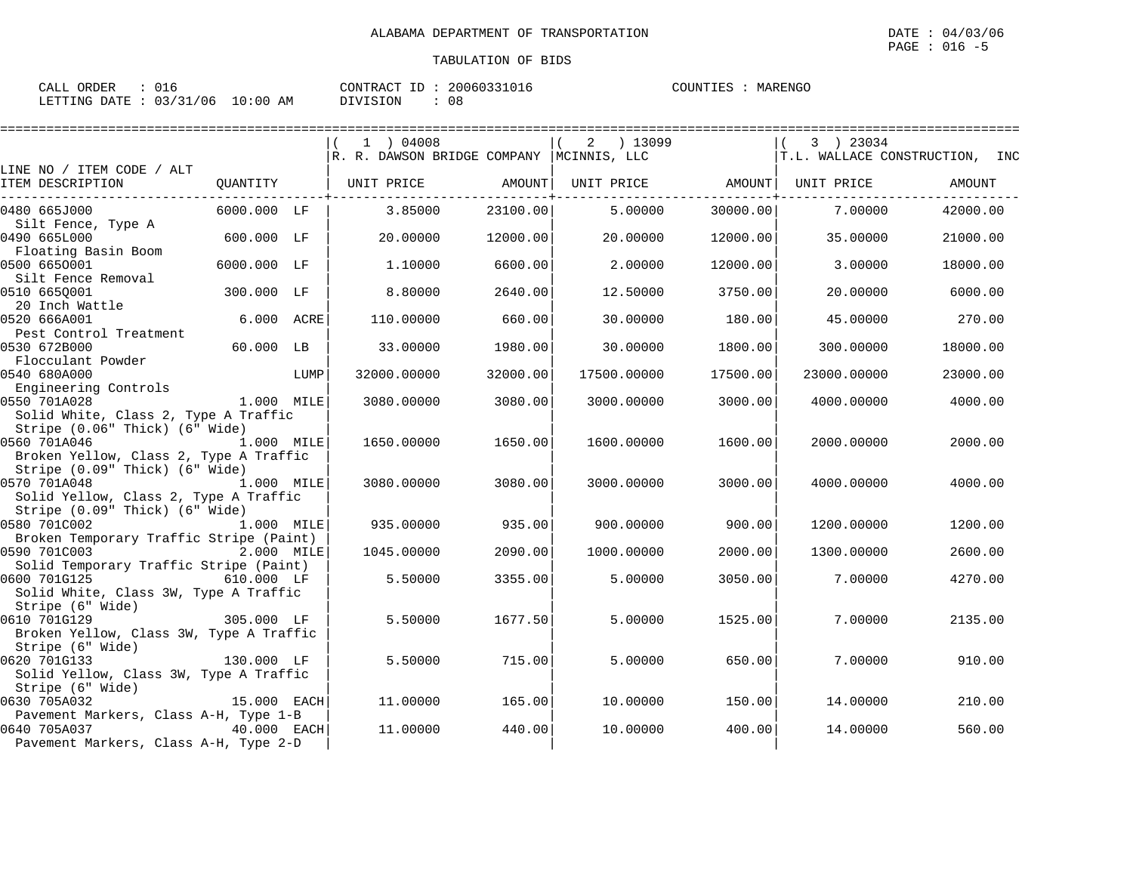| 016<br>CALL ORDER               | CONTRACT ID: 20060331016 | COUNTIES : MARENGO |
|---------------------------------|--------------------------|--------------------|
| LETTING DATE: 03/31/06 10:00 AM | 08<br>DIVISION           |                    |

|                                                                                                                 |             |      | 1 ) 04008<br>R. R. DAWSON BRIDGE COMPANY  MCINNIS, LLC |          | 2<br>) 13099 |          | 3 ) 23034   | T.L. WALLACE CONSTRUCTION, INC |
|-----------------------------------------------------------------------------------------------------------------|-------------|------|--------------------------------------------------------|----------|--------------|----------|-------------|--------------------------------|
| LINE NO / ITEM CODE / ALT                                                                                       |             |      |                                                        |          |              |          |             |                                |
| ITEM DESCRIPTION                                                                                                | QUANTITY    |      | UNIT PRICE                                             | AMOUNT   | UNIT PRICE   | AMOUNT   | UNIT PRICE  | AMOUNT                         |
| 0480 665J000                                                                                                    | 6000.000 LF |      | 3.85000                                                | 23100.00 | 5.00000      | 30000.00 | 7.00000     | 42000.00                       |
| Silt Fence, Type A<br>0490 665L000                                                                              | 600.000 LF  |      | 20.00000                                               | 12000.00 | 20.00000     | 12000.00 | 35.00000    | 21000.00                       |
| Floating Basin Boom<br>0500 6650001                                                                             | 6000.000 LF |      | 1,10000                                                | 6600.00  | 2.00000      | 12000.00 | 3.00000     | 18000.00                       |
| Silt Fence Removal<br>0510 665Q001                                                                              | 300.000 LF  |      | 8.80000                                                | 2640.00  | 12.50000     | 3750.00  | 20.00000    | 6000.00                        |
| 20 Inch Wattle<br>0520 666A001                                                                                  | 6.000 ACRE  |      | 110,00000                                              | 660.00   | 30.00000     | 180.00   | 45.00000    | 270.00                         |
| Pest Control Treatment<br>0530 672B000                                                                          | 60.000 LB   |      | 33.00000                                               | 1980.00  | 30.00000     | 1800.00  | 300.00000   | 18000.00                       |
| Flocculant Powder<br>0540 680A000                                                                               |             | LUMP | 32000.00000                                            | 32000.00 | 17500.00000  | 17500.00 | 23000.00000 | 23000.00                       |
| Engineering Controls<br>0550 701A028<br>Solid White, Class 2, Type A Traffic                                    | 1.000 MILE  |      | 3080.00000                                             | 3080.00  | 3000.00000   | 3000.00  | 4000.00000  | 4000.00                        |
| Stripe (0.06" Thick) (6" Wide)<br>0560 701A046<br>Broken Yellow, Class 2, Type A Traffic                        | 1.000 MILE  |      | 1650.00000                                             | 1650.00  | 1600.00000   | 1600.00  | 2000.00000  | 2000.00                        |
| Stripe (0.09" Thick) (6" Wide)<br>0570 701A048<br>1.000 MILE<br>Solid Yellow, Class 2, Type A Traffic           |             |      | 3080.00000                                             | 3080.00  | 3000.00000   | 3000.00  | 4000.00000  | 4000.00                        |
| Stripe (0.09" Thick) (6" Wide)<br>0580 701C002                                                                  | 1.000 MILE  |      | 935.00000                                              | 935.00   | 900.00000    | 900.00   | 1200.00000  | 1200.00                        |
| Broken Temporary Traffic Stripe (Paint)<br>0590 701C003                                                         | 2.000 MILE  |      | 1045.00000                                             | 2090.00  | 1000.00000   | 2000.00  | 1300.00000  | 2600.00                        |
| Solid Temporary Traffic Stripe (Paint)<br>0600 701G125<br>$610.000$ LF<br>Solid White, Class 3W, Type A Traffic |             |      | 5.50000                                                | 3355.00  | 5.00000      | 3050.00  | 7.00000     | 4270.00                        |
| Stripe (6" Wide)<br>0610 701G129<br>Broken Yellow, Class 3W, Type A Traffic                                     | 305.000 LF  |      | 5.50000                                                | 1677.50  | 5.00000      | 1525.00  | 7.00000     | 2135.00                        |
| Stripe (6" Wide)<br>0620 701G133                                                                                | 130.000 LF  |      | 5.50000                                                | 715.00   | 5,00000      | 650.00   | 7,00000     | 910.00                         |
| Solid Yellow, Class 3W, Type A Traffic<br>Stripe (6" Wide)<br>0630 705A032                                      | 15.000 EACH |      | 11,00000                                               | 165.00   | 10.00000     | 150.00   | 14.00000    | 210.00                         |
| Pavement Markers, Class A-H, Type 1-B<br>0640 705A037<br>40.000 EACH<br>Pavement Markers, Class A-H, Type 2-D   |             |      | 11,00000                                               | 440.00   | 10.00000     | 400.00   | 14.00000    | 560.00                         |
|                                                                                                                 |             |      |                                                        |          |              |          |             |                                |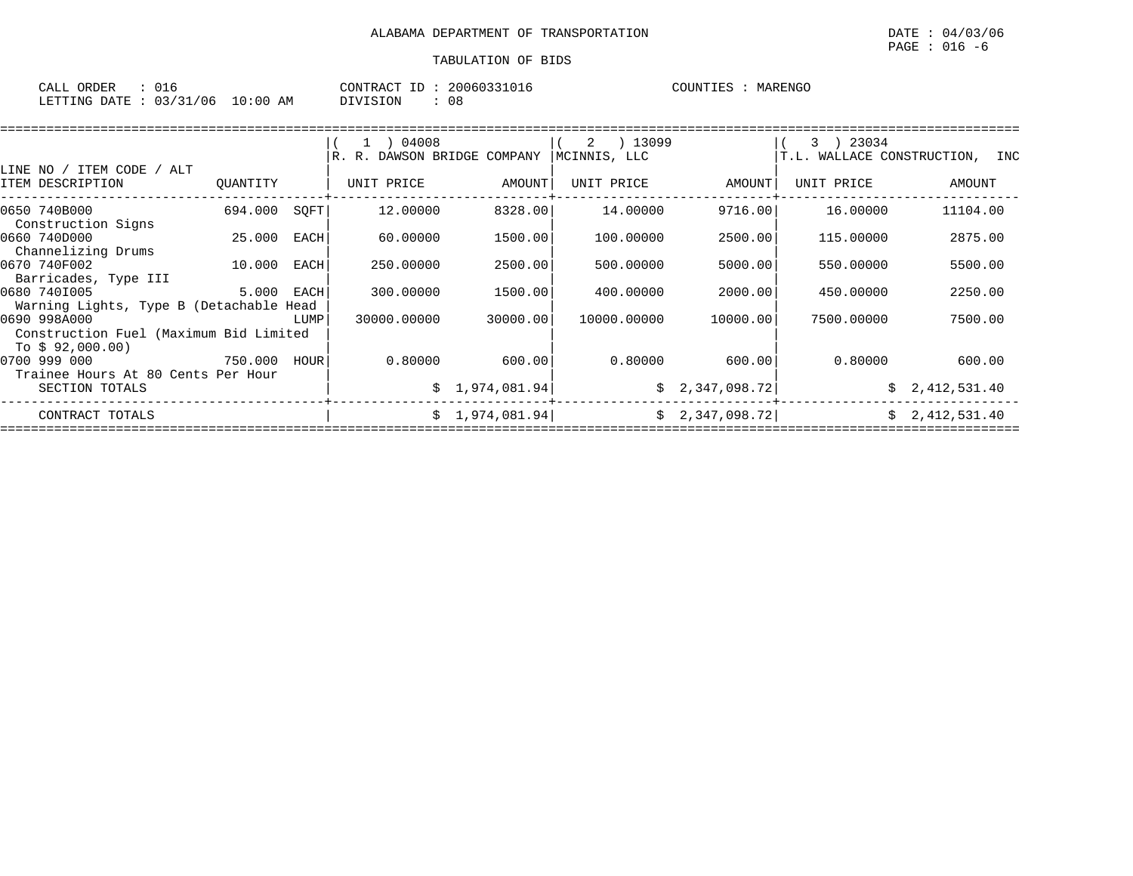| $\sim$ $\sim$<br>ORDER<br>CALL<br>∪⊥d |             | CONTRACT<br>ID | 20060331016 | <b>MARENGO</b><br>COUNTIES |
|---------------------------------------|-------------|----------------|-------------|----------------------------|
| 03/31/06<br>LETTING DATE              | 10:00<br>AΜ | DIVISION       | 08          |                            |

|                                                                        |              |      | 1 04008                     |                 | ) 13099<br>2 |                 | 23034<br>$3 \rightarrow$       |                |  |  |
|------------------------------------------------------------------------|--------------|------|-----------------------------|-----------------|--------------|-----------------|--------------------------------|----------------|--|--|
|                                                                        |              |      | R. R. DAWSON BRIDGE COMPANY |                 | MCINNIS, LLC |                 | T.L. WALLACE CONSTRUCTION, INC |                |  |  |
| LINE NO / ITEM CODE / ALT                                              |              |      |                             |                 |              |                 |                                |                |  |  |
| ITEM DESCRIPTION                                                       | QUANTITY     |      | UNIT PRICE                  | AMOUNT          | UNIT PRICE   | AMOUNT          | UNIT PRICE                     | AMOUNT         |  |  |
| 0650 740B000<br>Construction Signs                                     | 694.000 SQFT |      | 12.00000                    | 8328.00         | 14.00000     | 9716.00         | 16.00000                       | 11104.00       |  |  |
| 0660 740D000<br>Channelizing Drums                                     | 25.000 EACH  |      | 60.00000                    | 1500.00         | 100.00000    | 2500.00         | 115,00000                      | 2875.00        |  |  |
| 0670 740F002<br>Barricades, Type III                                   | 10.000       | EACH | 250.00000                   | 2500.00         | 500.00000    | 5000.00         | 550.00000                      | 5500.00        |  |  |
| 0680 7401005<br>Warning Lights, Type B (Detachable Head                | 5.000 EACH   |      | 300.00000                   | 1500.00         | 400.00000    | 2000.00         | 450.00000                      | 2250.00        |  |  |
| 0690 998A000<br>Construction Fuel (Maximum Bid Limited                 |              | LUMP | 30000.00000                 | 30000.00        | 10000.00000  | 10000.00        | 7500.00000                     | 7500.00        |  |  |
| To \$ 92,000.00)<br>0700 999 000<br>Trainee Hours At 80 Cents Per Hour | 750.000 HOUR |      | 0.80000                     | 600.00          | 0.80000      | 600.001         | 0.80000                        | 600.00         |  |  |
| SECTION TOTALS                                                         |              |      |                             | \$1,974,081.94] |              | \$2,347,098.72] | Ŝ.                             | 2,412,531.40   |  |  |
| CONTRACT TOTALS                                                        |              |      |                             | \$1,974,081.94] |              | \$2,347,098.72] |                                | \$2,412,531.40 |  |  |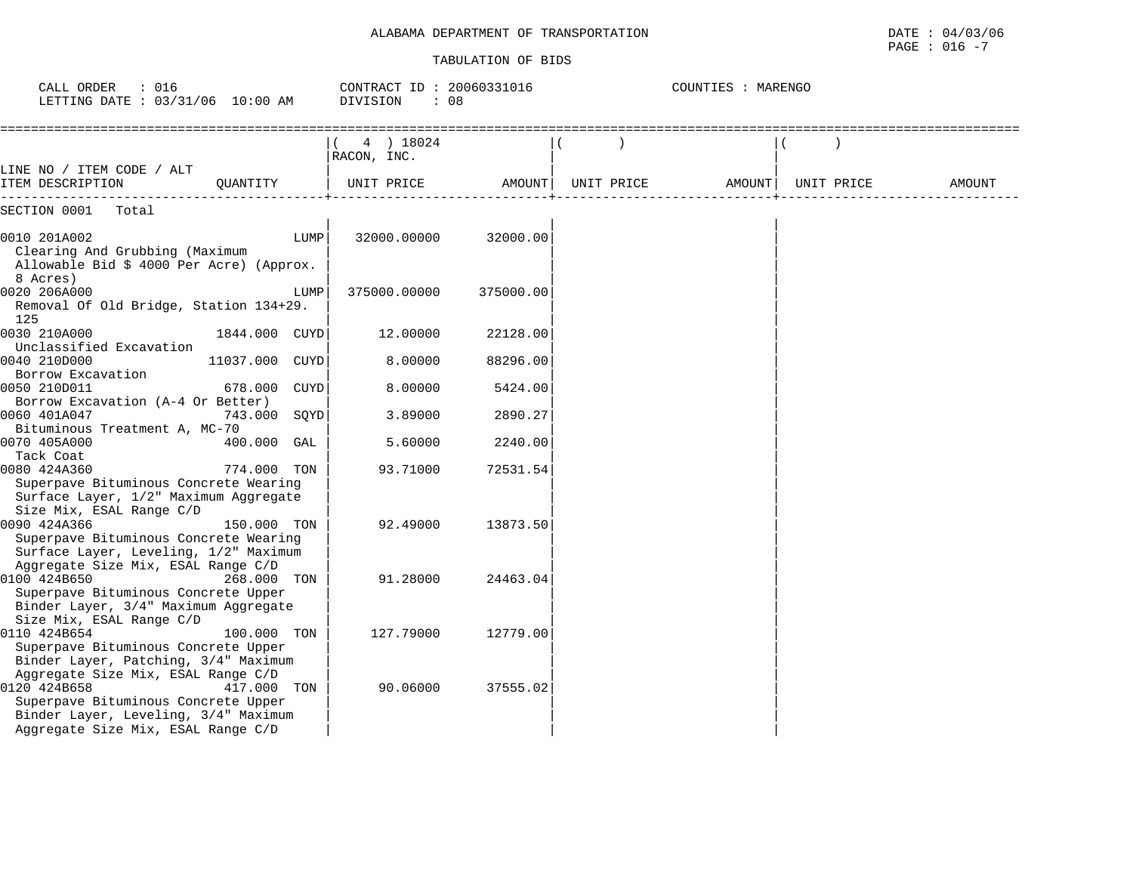### ALABAMA DEPARTMENT OF TRANSPORTATION

| ALABAMA DEPARTMENT OF<br>TRANSPORTATION | DATE<br>$04$ ,<br>$\sqrt{2}$<br>3706    |
|-----------------------------------------|-----------------------------------------|
|                                         | 016<br>PAGE<br>$\overline{\phantom{0}}$ |

| CALL ORDER<br>: 016<br>LETTING DATE : 03/31/06 10:00 AM                                                                                                                 |               |      | CONTRACT ID: 20060331016<br>DIVISION<br>: 08 |           |            | COUNTIES : MARENGO |  |            |        |  |  |
|-------------------------------------------------------------------------------------------------------------------------------------------------------------------------|---------------|------|----------------------------------------------|-----------|------------|--------------------|--|------------|--------|--|--|
|                                                                                                                                                                         |               |      | 4 ) 18024<br>RACON, INC.                     |           |            |                    |  |            |        |  |  |
| LINE NO / ITEM CODE / ALT<br>ITEM DESCRIPTION                                                                                                                           | OUANTITY      |      | UNIT PRICE                                   | AMOUNT    | UNIT PRICE | AMOUNT             |  | UNIT PRICE | AMOUNT |  |  |
| SECTION 0001<br>Total                                                                                                                                                   |               |      |                                              |           |            |                    |  |            |        |  |  |
| 0010 201A002<br>Clearing And Grubbing (Maximum<br>Allowable Bid \$ 4000 Per Acre) (Approx.<br>8 Acres)                                                                  |               | LUMP | 32000.00000                                  | 32000.00  |            |                    |  |            |        |  |  |
| 0020 206A000<br>Removal Of Old Bridge, Station 134+29.<br>125                                                                                                           |               | LUMP | 375000.00000                                 | 375000.00 |            |                    |  |            |        |  |  |
| 0030 210A000<br>Unclassified Excavation                                                                                                                                 | 1844.000 CUYD |      | 12.00000                                     | 22128.00  |            |                    |  |            |        |  |  |
| 0040 210D000                                                                                                                                                            | 11037.000     | CUYD | 8.00000                                      | 88296.00  |            |                    |  |            |        |  |  |
| Borrow Excavation<br>0050 210D011                                                                                                                                       | 678.000 CUYD  |      | 8.00000                                      | 5424.00   |            |                    |  |            |        |  |  |
| Borrow Excavation (A-4 Or Better)<br>0060 401A047                                                                                                                       | 743.000 SOYD  |      | 3.89000                                      | 2890.27   |            |                    |  |            |        |  |  |
| Bituminous Treatment A, MC-70<br>0070 405A000                                                                                                                           | 400.000 GAL   |      | 5.60000                                      | 2240.00   |            |                    |  |            |        |  |  |
| Tack Coat<br>0080 424A360<br>Superpave Bituminous Concrete Wearing<br>Surface Layer, 1/2" Maximum Aggregate                                                             | 774.000 TON   |      | 93.71000                                     | 72531.54  |            |                    |  |            |        |  |  |
| Size Mix, ESAL Range C/D<br>0090 424A366<br>Superpave Bituminous Concrete Wearing                                                                                       | 150.000 TON   |      | 92.49000                                     | 13873.50  |            |                    |  |            |        |  |  |
| Surface Layer, Leveling, 1/2" Maximum<br>Aggregate Size Mix, ESAL Range C/D<br>0100 424B650                                                                             | 268.000 TON   |      | 91.28000                                     | 24463.04  |            |                    |  |            |        |  |  |
| Superpave Bituminous Concrete Upper<br>Binder Layer, 3/4" Maximum Aggregate<br>Size Mix, ESAL Range C/D                                                                 |               |      |                                              |           |            |                    |  |            |        |  |  |
| 0110 424B654<br>Superpave Bituminous Concrete Upper<br>Binder Layer, Patching, 3/4" Maximum                                                                             | 100.000 TON   |      | 127.79000                                    | 12779.00  |            |                    |  |            |        |  |  |
| Aggregate Size Mix, ESAL Range C/D<br>0120 424B658<br>Superpave Bituminous Concrete Upper<br>Binder Layer, Leveling, 3/4" Maximum<br>Aggregate Size Mix, ESAL Range C/D | 417.000 TON   |      | 90.06000                                     | 37555.02  |            |                    |  |            |        |  |  |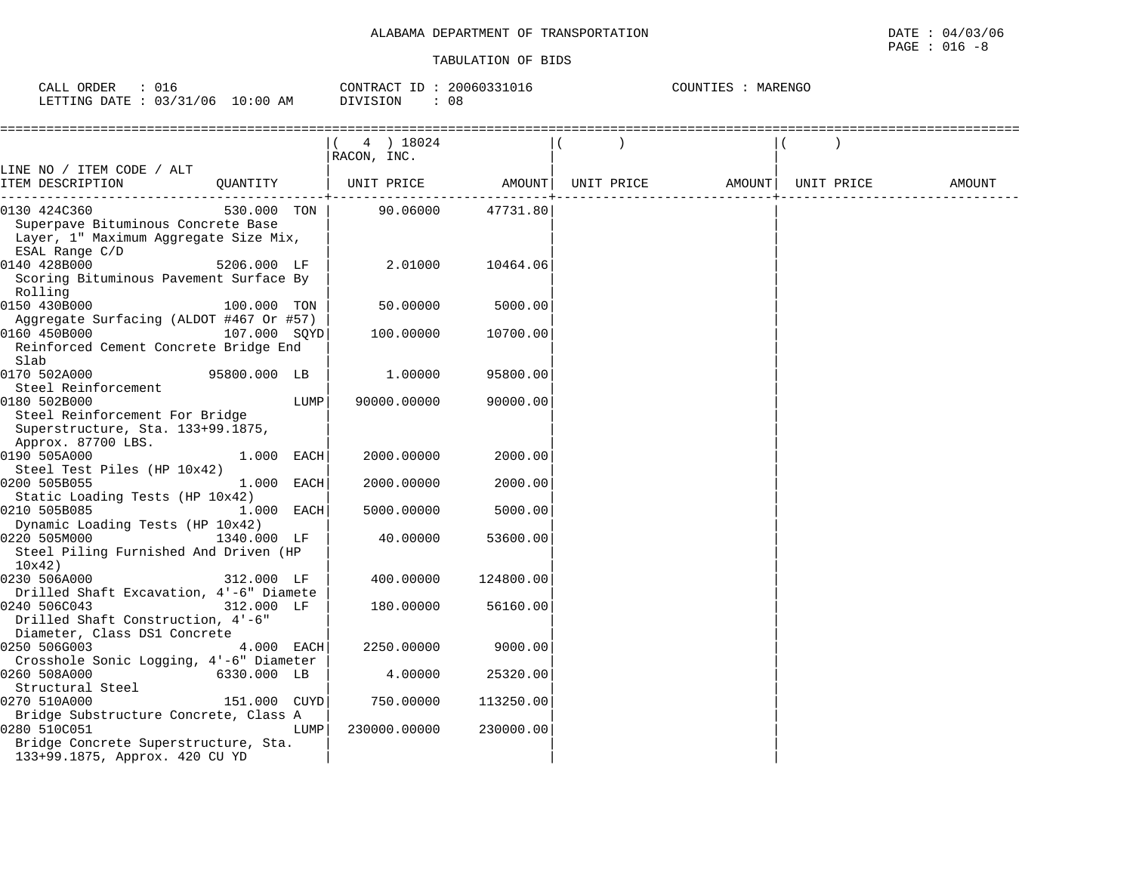| 016<br>CALL ORDER      |            | CONTRACT ID: | 20060331016 | MARENGO<br>COUNTIES |
|------------------------|------------|--------------|-------------|---------------------|
| LETTING DATE: 03/31/06 | $10:00$ AM | DIVISION     | 08          |                     |

|                                                                 |              |      | $(4)$ 18024           |           |  |                                |  |        |
|-----------------------------------------------------------------|--------------|------|-----------------------|-----------|--|--------------------------------|--|--------|
|                                                                 |              |      | RACON, INC.           |           |  |                                |  |        |
| LINE NO / ITEM CODE / ALT                                       |              |      |                       |           |  |                                |  |        |
| ITEM DESCRIPTION                                                |              |      | QUANTITY   UNIT PRICE | AMOUNT    |  | UNIT PRICE AMOUNT   UNIT PRICE |  | AMOUNT |
| 0130 424C360                                                    | 530.000 TON  |      | 90.06000              | 47731.80  |  |                                |  |        |
| Superpave Bituminous Concrete Base                              |              |      |                       |           |  |                                |  |        |
| Layer, 1" Maximum Aggregate Size Mix,                           |              |      |                       |           |  |                                |  |        |
| ESAL Range C/D                                                  |              |      |                       |           |  |                                |  |        |
| 0140 428B000                                                    | 5206.000 LF  |      | 2.01000               | 10464.06  |  |                                |  |        |
| Scoring Bituminous Pavement Surface By<br>Rolling               |              |      |                       |           |  |                                |  |        |
| 0150 430B000                                                    | 100.000 TON  |      | 50.00000              | 5000.00   |  |                                |  |        |
| Aggregate Surfacing (ALDOT #467 Or #57)                         |              |      |                       |           |  |                                |  |        |
| 0160 450B000                                                    | 107.000 SQYD |      | 100.00000             | 10700.00  |  |                                |  |        |
| Reinforced Cement Concrete Bridge End                           |              |      |                       |           |  |                                |  |        |
| Slab                                                            |              |      |                       |           |  |                                |  |        |
| 0170 502A000                                                    | 95800.000 LB |      | 1,00000               | 95800.00  |  |                                |  |        |
| Steel Reinforcement                                             |              |      |                       |           |  |                                |  |        |
| 0180 502B000                                                    |              | LUMP | 90000.00000           | 90000.00  |  |                                |  |        |
| Steel Reinforcement For Bridge                                  |              |      |                       |           |  |                                |  |        |
| Superstructure, Sta. 133+99.1875,                               |              |      |                       |           |  |                                |  |        |
| Approx. 87700 LBS.                                              |              |      |                       |           |  |                                |  |        |
| 0190 505A000                                                    | 1.000 EACH   |      | 2000.00000            | 2000.00   |  |                                |  |        |
| Steel Test Piles (HP 10x42)                                     |              |      |                       |           |  |                                |  |        |
| 0200 505B055                                                    | 1.000 EACH   |      | 2000.00000            | 2000.00   |  |                                |  |        |
| Static Loading Tests (HP 10x42)                                 |              |      |                       |           |  |                                |  |        |
| 0210 505B085                                                    | 1.000 EACH   |      | 5000.00000            | 5000.00   |  |                                |  |        |
| Dynamic Loading Tests (HP 10x42)                                |              |      |                       |           |  |                                |  |        |
| 0220 505M000                                                    | 1340.000 LF  |      | 40.00000              | 53600.00  |  |                                |  |        |
| Steel Piling Furnished And Driven (HP                           |              |      |                       |           |  |                                |  |        |
| 10x42                                                           |              |      |                       |           |  |                                |  |        |
| 0230 506A000                                                    | 312.000 LF   |      | 400.00000             | 124800.00 |  |                                |  |        |
| Drilled Shaft Excavation, 4'-6" Diamete                         |              |      |                       |           |  |                                |  |        |
| 0240 506C043<br>312.000 LF<br>Drilled Shaft Construction, 4'-6" |              |      | 180.00000             | 56160.00  |  |                                |  |        |
| Diameter, Class DS1 Concrete                                    |              |      |                       |           |  |                                |  |        |
| 0250 506G003                                                    | 4.000 EACH   |      | 2250.00000            | 9000.00   |  |                                |  |        |
| Crosshole Sonic Logging, 4'-6" Diameter                         |              |      |                       |           |  |                                |  |        |
| 0260 508A000                                                    | 6330.000 LB  |      | 4.00000               | 25320.00  |  |                                |  |        |
| Structural Steel                                                |              |      |                       |           |  |                                |  |        |
| 0270 510A000                                                    | 151.000 CUYD |      | 750.00000             | 113250.00 |  |                                |  |        |
| Bridge Substructure Concrete, Class A                           |              |      |                       |           |  |                                |  |        |
| 0280 510C051                                                    |              | LUMP | 230000.00000          | 230000.00 |  |                                |  |        |
| Bridge Concrete Superstructure, Sta.                            |              |      |                       |           |  |                                |  |        |
| 133+99.1875, Approx. 420 CU YD                                  |              |      |                       |           |  |                                |  |        |
|                                                                 |              |      |                       |           |  |                                |  |        |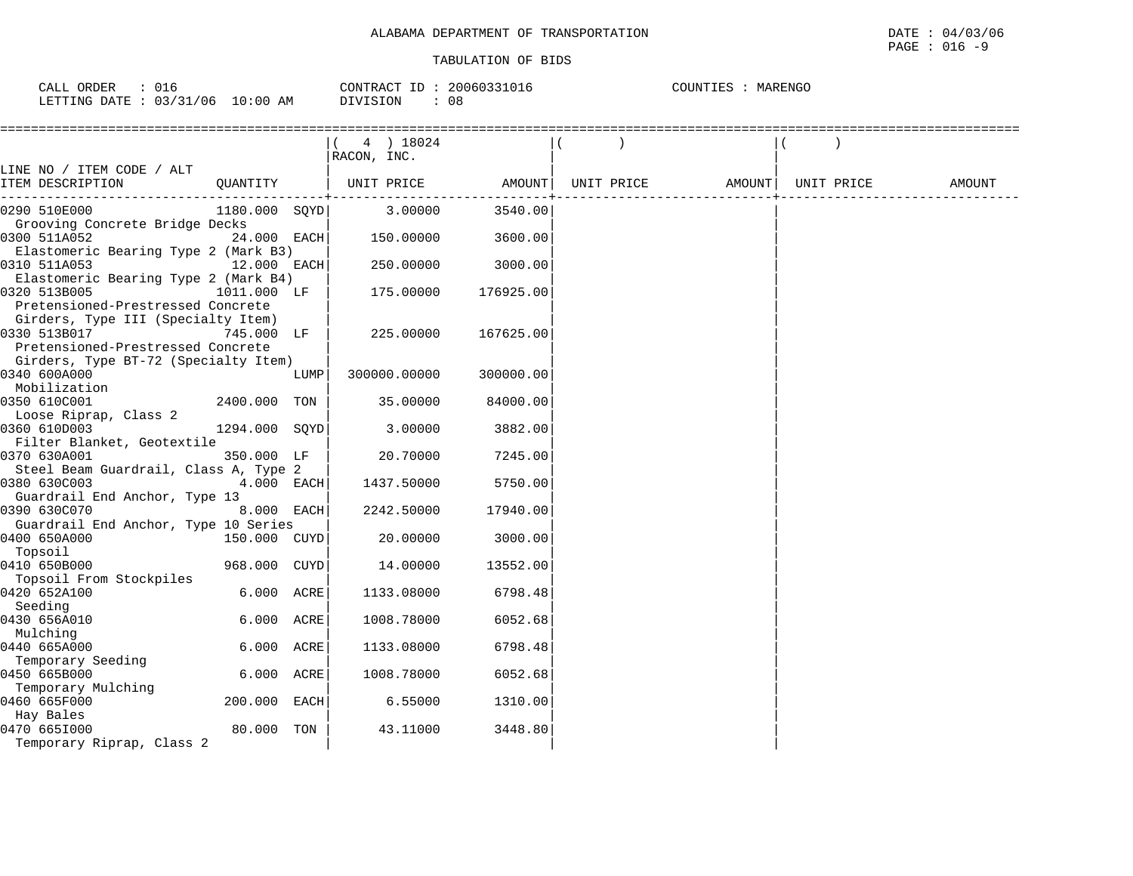| : 016<br>CALL ORDER              | CONTRACT ID: 20060331016 | COUNTIES<br>: MARENGO |
|----------------------------------|--------------------------|-----------------------|
| LETTING DATE : 03/31/06 10:00 AM | DIVISION<br>08           |                       |

|                                                                                                                                               |               |      | (4) 18024<br>RACON, INC. |           |            |                    |  |        |
|-----------------------------------------------------------------------------------------------------------------------------------------------|---------------|------|--------------------------|-----------|------------|--------------------|--|--------|
| LINE NO / ITEM CODE / ALT<br>ITEM DESCRIPTION                                                                                                 |               |      | QUANTITY   UNIT PRICE    | AMOUNT    | UNIT PRICE | AMOUNT  UNIT PRICE |  | AMOUNT |
| 0290 510E000                                                                                                                                  |               |      | 1180.000 SQYD 3.00000    | 3540.00   |            |                    |  |        |
| Grooving Concrete Bridge Decks<br>0300 511A052<br>Elastomeric Bearing Type 2 (Mark B3)                                                        | 24.000 EACH   |      | 150.00000                | 3600.00   |            |                    |  |        |
| 0310 511A053<br>12.000 EACH<br>Elastomeric Bearing Type 2 (Mark B4)                                                                           |               |      | 250.00000                | 3000.00   |            |                    |  |        |
| 0320 513B005<br>Pretensioned-Prestressed Concrete                                                                                             | 1011.000 LF   |      | 175.00000                | 176925.00 |            |                    |  |        |
| Girders, Type III (Specialty Item)<br>0330 513B017<br>745.000 LF<br>Pretensioned-Prestressed Concrete<br>Girders, Type BT-72 (Specialty Item) |               |      | 225.00000                | 167625.00 |            |                    |  |        |
| 0340 600A000<br>Mobilization                                                                                                                  |               | LUMP | 300000.00000             | 300000.00 |            |                    |  |        |
| 0350 610C001<br>Loose Riprap, Class 2                                                                                                         | 2400.000 TON  |      | 35.00000                 | 84000.00  |            |                    |  |        |
| 0360 610D003<br>Filter Blanket, Geotextile                                                                                                    | 1294.000 SQYD |      | 3.00000                  | 3882.00   |            |                    |  |        |
| 0370 630A001                                                                                                                                  | 350.000 LF    |      | 20.70000                 | 7245.00   |            |                    |  |        |
| Steel Beam Guardrail, Class A, Type 2<br>0380 630C003<br>Guardrail End Anchor, Type 13                                                        | 4.000 EACH    |      | 1437.50000               | 5750.00   |            |                    |  |        |
| 0390 630C070<br>Guardrail End Anchor, Type 10 Series                                                                                          | 8.000 EACH    |      | 2242.50000               | 17940.00  |            |                    |  |        |
| 0400 650A000<br>Topsoil                                                                                                                       | 150.000 CUYD  |      | 20.00000                 | 3000.00   |            |                    |  |        |
| 0410 650B000<br>Topsoil From Stockpiles                                                                                                       | 968.000 CUYD  |      | 14.00000                 | 13552.00  |            |                    |  |        |
| 0420 652A100<br>Seeding                                                                                                                       | 6.000 ACRE    |      | 1133.08000               | 6798.48   |            |                    |  |        |
| 0430 656A010<br>Mulching                                                                                                                      | 6.000 ACRE    |      | 1008.78000               | 6052.68   |            |                    |  |        |
| 0440 665A000<br>Temporary Seeding                                                                                                             | 6.000 ACRE    |      | 1133.08000               | 6798.48   |            |                    |  |        |
| 0450 665B000                                                                                                                                  | 6.000 ACRE    |      | 1008.78000               | 6052.68   |            |                    |  |        |
| Temporary Mulching<br>0460 665F000                                                                                                            | 200.000 EACH  |      | 6.55000                  | 1310.00   |            |                    |  |        |
| Hay Bales<br>0470 6651000<br>Temporary Riprap, Class 2                                                                                        | 80.000 TON    |      | 43.11000                 | 3448.80   |            |                    |  |        |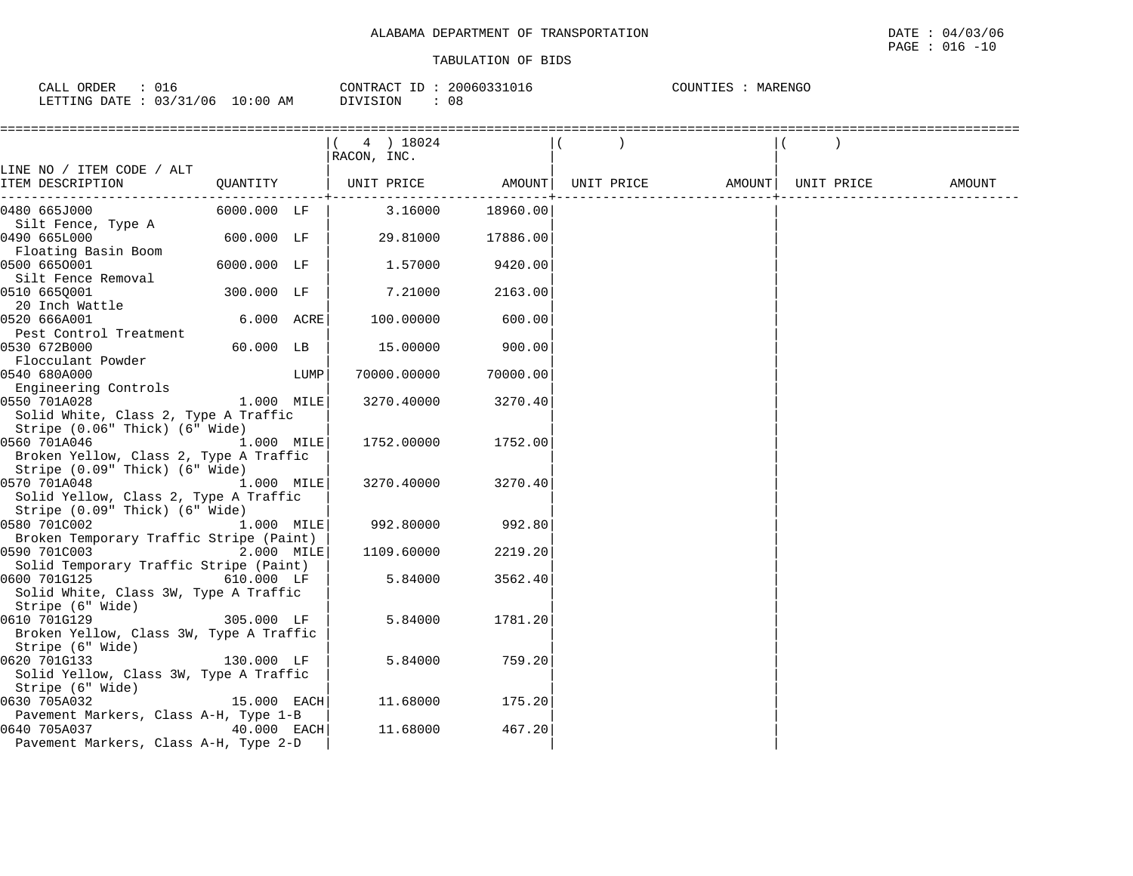| CALL ORDER                      | 016 | CONTRACT ID: 20060331016 | COUNTIES : MARENGO |
|---------------------------------|-----|--------------------------|--------------------|
| LETTING DATE: 03/31/06 10:00 AM |     | DIVISION<br>08           |                    |

|                                                        |                           |      | ( 4 ) 18024                  |          |  |                              |        |
|--------------------------------------------------------|---------------------------|------|------------------------------|----------|--|------------------------------|--------|
|                                                        |                           |      | RACON, INC.                  |          |  |                              |        |
| LINE NO / ITEM CODE / ALT<br>ITEM DESCRIPTION          |                           |      | QUANTITY   UNIT PRICE AMOUNT |          |  | UNIT PRICE AMOUNT UNIT PRICE | AMOUNT |
|                                                        |                           |      |                              |          |  |                              |        |
| 0480 665J000                                           | $6000.000$ LF             |      | 3.16000                      | 18960.00 |  |                              |        |
| Silt Fence, Type A                                     |                           |      |                              |          |  |                              |        |
| 0490 665L000                                           | $600.000$ LF              |      | 29.81000                     | 17886.00 |  |                              |        |
| Floating Basin Boom                                    |                           |      |                              |          |  |                              |        |
| 0500 6650001                                           | 6000.000 LF               |      | 1.57000                      | 9420.00  |  |                              |        |
| Silt Fence Removal                                     |                           |      |                              |          |  |                              |        |
| 0510 6650001                                           | 300.000 LF                |      | 7.21000                      | 2163.00  |  |                              |        |
| 20 Inch Wattle                                         |                           |      |                              |          |  |                              |        |
| 0520 666A001                                           | 6.000 ACRE                |      | 100.00000                    | 600.00   |  |                              |        |
| Pest Control Treatment                                 |                           |      |                              |          |  |                              |        |
| 0530 672B000                                           | $60.000$ LB               |      | 15.00000                     | 900.00   |  |                              |        |
| Flocculant Powder                                      |                           |      |                              |          |  |                              |        |
| 0540 680A000                                           |                           | LUMP | 70000.00000                  | 70000.00 |  |                              |        |
| Engineering Controls                                   | $1.000 \quad \text{MILE}$ |      |                              |          |  |                              |        |
| 0550 701A028<br>Solid White, Class 2, Type A Traffic   |                           |      | 3270.40000                   | 3270.40  |  |                              |        |
| Stripe (0.06" Thick) (6" Wide)                         |                           |      |                              |          |  |                              |        |
| 0560 701A046                                           | 1.000 MILE                |      | 1752.00000                   | 1752.00  |  |                              |        |
| Broken Yellow, Class 2, Type A Traffic                 |                           |      |                              |          |  |                              |        |
| Stripe (0.09" Thick) (6" Wide)                         |                           |      |                              |          |  |                              |        |
| 0570 701A048                                           | 1.000 MILE                |      | 3270.40000                   | 3270.40  |  |                              |        |
| Solid Yellow, Class 2, Type A Traffic                  |                           |      |                              |          |  |                              |        |
| Stripe (0.09" Thick) (6" Wide)                         |                           |      |                              |          |  |                              |        |
| 0580 701C002                                           | 1.000 MILE                |      | 992.80000                    | 992.80   |  |                              |        |
| Broken Temporary Traffic Stripe (Paint)                |                           |      |                              |          |  |                              |        |
| 0590 701C003                                           | 2.000 MILE                |      | 1109.60000                   | 2219.20  |  |                              |        |
| Solid Temporary Traffic Stripe (Paint)                 |                           |      |                              |          |  |                              |        |
| 610.000 LF<br>0600 701G125                             |                           |      | 5.84000                      | 3562.40  |  |                              |        |
| Solid White, Class 3W, Type A Traffic                  |                           |      |                              |          |  |                              |        |
| Stripe (6" Wide)                                       |                           |      |                              |          |  |                              |        |
| 0610 701G129                                           | 305.000 LF                |      | 5.84000                      | 1781.20  |  |                              |        |
| Broken Yellow, Class 3W, Type A Traffic                |                           |      |                              |          |  |                              |        |
| Stripe (6" Wide)                                       |                           |      | 5.84000                      | 759.20   |  |                              |        |
| 0620 701G133<br>Solid Yellow, Class 3W, Type A Traffic | 130.000 LF                |      |                              |          |  |                              |        |
| Stripe (6" Wide)                                       |                           |      |                              |          |  |                              |        |
| 0630 705A032                                           | 15.000 EACH               |      | 11.68000                     | 175.20   |  |                              |        |
| Pavement Markers, Class A-H, Type 1-B                  |                           |      |                              |          |  |                              |        |
| 40.000 EACH<br>0640 705A037                            |                           |      | 11.68000                     | 467.20   |  |                              |        |
| Pavement Markers, Class A-H, Type 2-D                  |                           |      |                              |          |  |                              |        |
|                                                        |                           |      |                              |          |  |                              |        |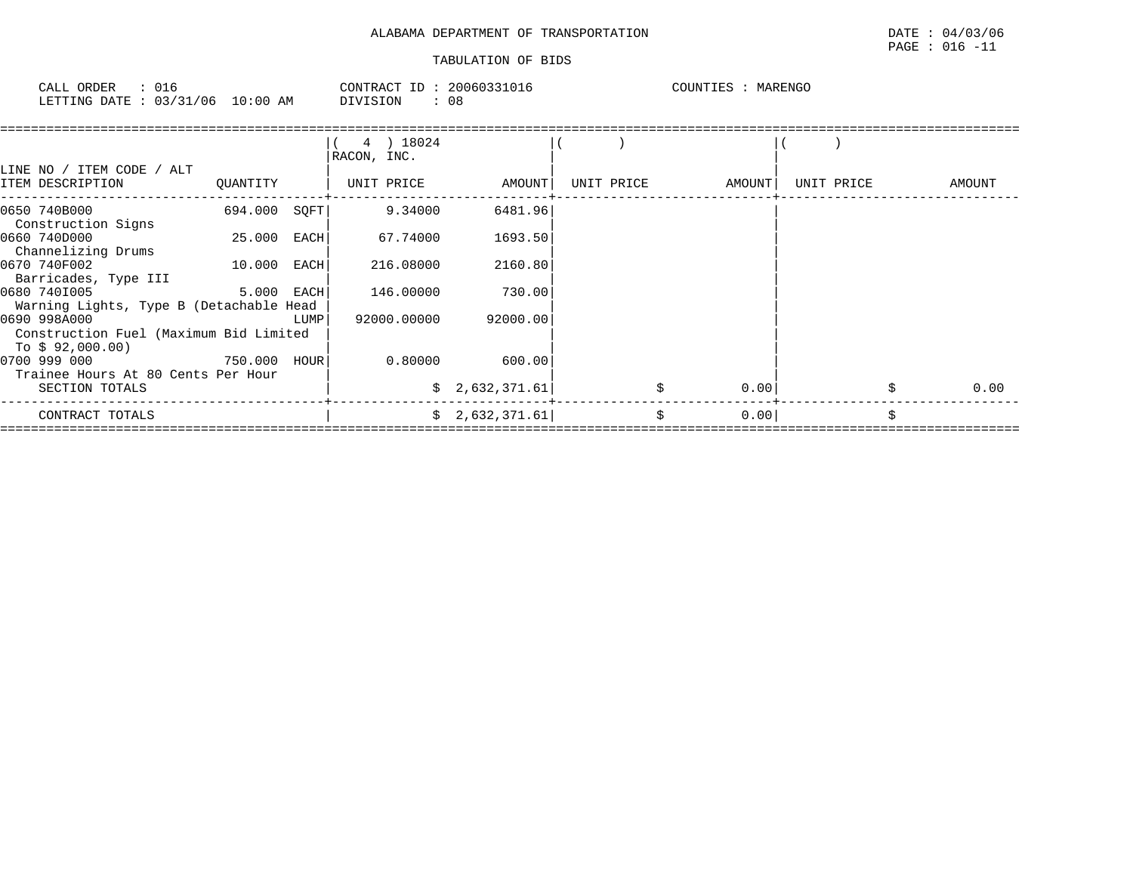# $\texttt{PAGE}$  : 016 -11

| CALL ORDER<br>$\therefore$ 016  | CONTRACT ID: 20060331016 | COUNTIES : MARENGO |
|---------------------------------|--------------------------|--------------------|
| LETTING DATE: 03/31/06 10:00 AM | DIVISION<br>08           |                    |

| LINE NO / ITEM CODE / ALT                                                  |              |      | 4 ) 18024<br>RACON, INC. |                 |            |        |            |            |
|----------------------------------------------------------------------------|--------------|------|--------------------------|-----------------|------------|--------|------------|------------|
| ITEM DESCRIPTION                                                           | OUANTITY     |      | UNIT PRICE               | AMOUNT          | UNIT PRICE | AMOUNT | UNIT PRICE | AMOUNT     |
| 0650 740B000<br>Construction Signs                                         | 694.000      | SQFT | 9.34000                  | 6481.96         |            |        |            |            |
| 0660 740D000<br>Channelizing Drums                                         | 25.000 EACH  |      | 67.74000                 | 1693.50         |            |        |            |            |
| 0670 740F002<br>Barricades, Type III                                       | 10.000 EACH  |      | 216.08000                | 2160.80         |            |        |            |            |
| 0680 7401005<br>Warning Lights, Type B (Detachable Head                    | 5.000 EACH   |      | 146.00000                | 730.00          |            |        |            |            |
| 0690 998A000<br>Construction Fuel (Maximum Bid Limited<br>To $$92,000.00)$ |              | LUMP | 92000.00000              | 92000.00        |            |        |            |            |
| 0700 999 000                                                               | 750.000 hour |      | 0.80000                  | 600.00          |            |        |            |            |
| Trainee Hours At 80 Cents Per Hour<br>SECTION TOTALS                       |              |      |                          | \$2,632,371.61  |            | 0.00   |            | \$<br>0.00 |
| CONTRACT TOTALS                                                            |              |      |                          | \$2,632,371.61] |            | 0.00   |            | Ś.         |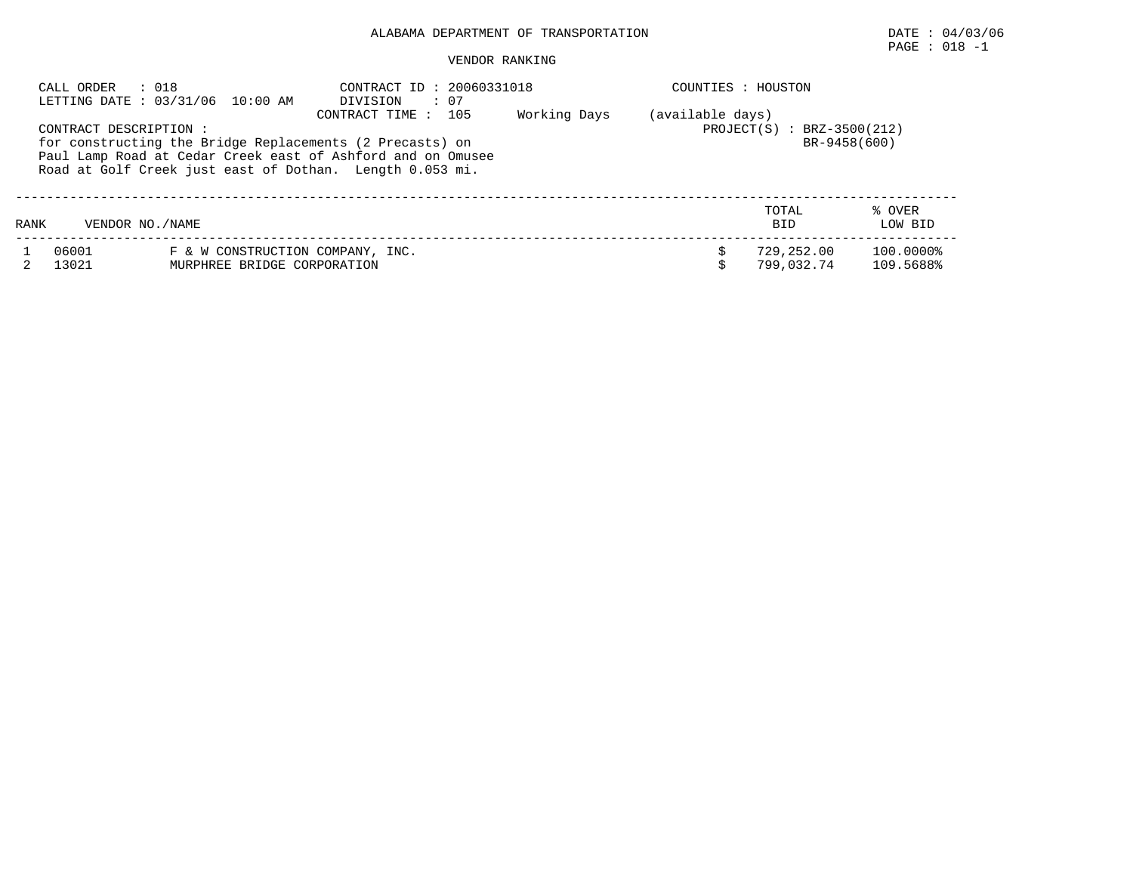# PAGE : 018 -1

| CALL ORDER             | : 018<br>LETTING DATE : 03/31/06 10:00 AM                                                                                                                                           | DIVISION     | CONTRACT ID: 20060331018<br>$\therefore$ 07                      |  |                          | COUNTIES : HOUSTON     |  |  |  |
|------------------------|-------------------------------------------------------------------------------------------------------------------------------------------------------------------------------------|--------------|------------------------------------------------------------------|--|--------------------------|------------------------|--|--|--|
| CONTRACT DESCRIPTION : | for constructing the Bridge Replacements (2 Precasts) on<br>Paul Lamp Road at Cedar Creek east of Ashford and on Omusee<br>Road at Golf Creek just east of Dothan. Length 0.053 mi. | Working Days | (available days)<br>$PROJECT(S) : BRZ-3500(212)$<br>BR-9458(600) |  |                          |                        |  |  |  |
| RANK                   | VENDOR NO. / NAME                                                                                                                                                                   |              |                                                                  |  | TOTAL<br><b>BID</b>      | % OVER<br>LOW BID      |  |  |  |
| 06001<br>13021         | F & W CONSTRUCTION COMPANY, INC.<br>MURPHREE BRIDGE CORPORATION                                                                                                                     |              |                                                                  |  | 729,252.00<br>799,032.74 | 100.0000%<br>109.5688% |  |  |  |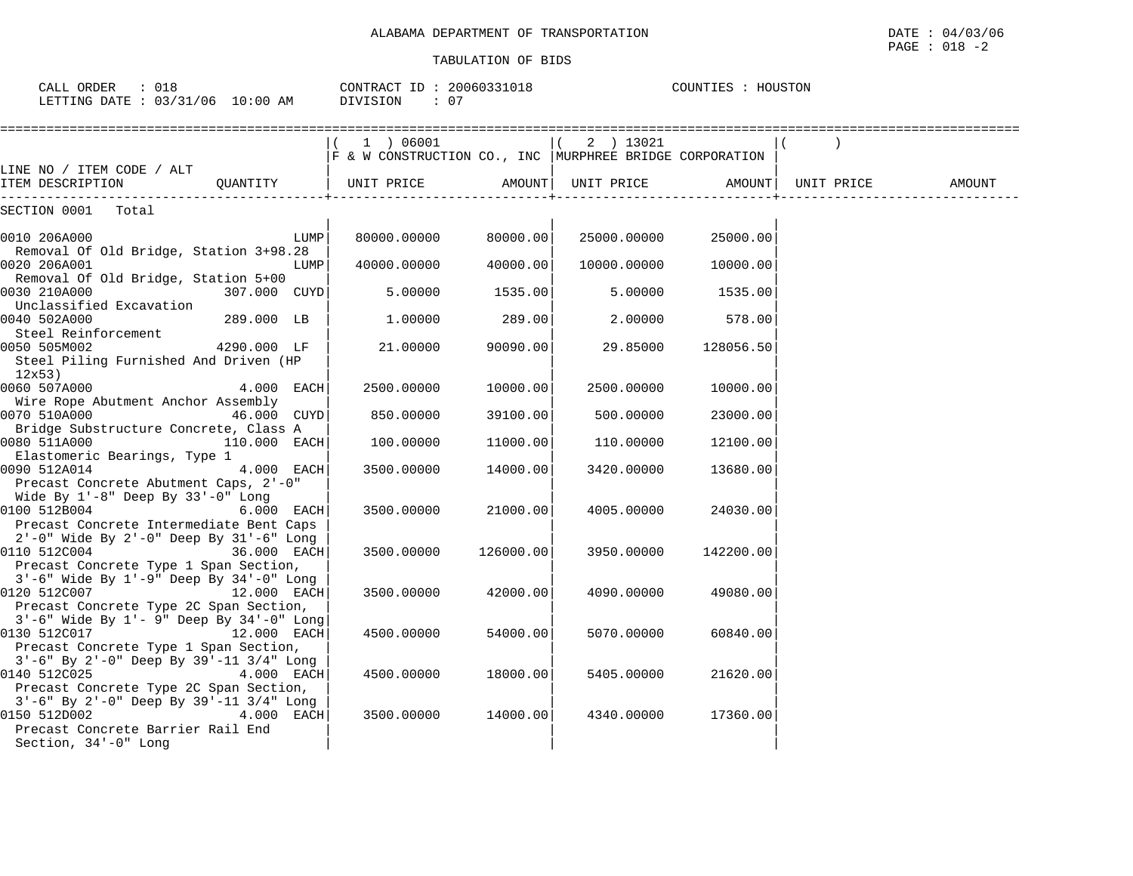| CALL ORDER : 018<br>LETTING DATE : 03/31/06 10:00 AM                                                                                                       | CONTRACT ID: 20060331018<br>DIVISION<br>$\therefore$ 07                |           |             | COUNTIES : HOUSTON |                     |        |
|------------------------------------------------------------------------------------------------------------------------------------------------------------|------------------------------------------------------------------------|-----------|-------------|--------------------|---------------------|--------|
|                                                                                                                                                            | 1 ) 06001<br>F & W CONSTRUCTION CO., INC   MURPHREE BRIDGE CORPORATION |           | $(2)$ 13021 |                    |                     |        |
| LINE NO / ITEM CODE / ALT<br>ITEM DESCRIPTION<br>OUANTITY                                                                                                  | UNIT PRICE                                                             | AMOUNT    | UNIT PRICE  |                    | AMOUNT   UNIT PRICE | AMOUNT |
| SECTION 0001 Total                                                                                                                                         |                                                                        |           |             |                    |                     |        |
| 0010 206A000<br>LUMP<br>Removal Of Old Bridge, Station 3+98.28                                                                                             | 80000.00000                                                            | 80000.00  | 25000.00000 | 25000.00           |                     |        |
| 0020 206A001<br>LUMP<br>Removal Of Old Bridge, Station 5+00                                                                                                | 40000.00000                                                            | 40000.00  | 10000.00000 | 10000.00           |                     |        |
| 0030 210A000<br>307.000 CUYD<br>Unclassified Excavation                                                                                                    | 5.00000                                                                | 1535.00   | 5.00000     | 1535.00            |                     |        |
| 0040 502A000<br>289.000 LB<br>Steel Reinforcement                                                                                                          | 1,00000                                                                | 289.00    | 2,00000     | 578.00             |                     |        |
| 0050 505M002<br>4290.000 LF<br>Steel Piling Furnished And Driven (HP<br>12x53)                                                                             | 21,00000                                                               | 90090.00  | 29.85000    | 128056.50          |                     |        |
| 0060 507A000<br>4.000 EACH<br>Wire Rope Abutment Anchor Assembly                                                                                           | 2500.00000                                                             | 10000.00  | 2500.00000  | 10000.00           |                     |        |
| 0070 510A000<br>46.000 CUYD                                                                                                                                | 850.00000                                                              | 39100.00  | 500.00000   | 23000.00           |                     |        |
| Bridge Substructure Concrete, Class A<br>0080 511A000<br>110.000 EACH<br>Elastomeric Bearings, Type 1                                                      | 100.00000                                                              | 11000.00  | 110.00000   | 12100.00           |                     |        |
| 0090 512A014<br>4.000 EACH<br>Precast Concrete Abutment Caps, 2'-0"<br>Wide By $1'-8$ " Deep By $33'-0$ " Long                                             | 3500.00000                                                             | 14000.00  | 3420.00000  | 13680.00           |                     |        |
| 0100 512B004<br>6.000 EACH<br>Precast Concrete Intermediate Bent Caps<br>2'-0" Wide By 2'-0" Deep By 31'-6" Long                                           | 3500.00000                                                             | 21000.00  | 4005.00000  | 24030.00           |                     |        |
| 0110 512C004<br>36.000 EACH<br>Precast Concrete Type 1 Span Section,<br>3'-6" Wide By 1'-9" Deep By 34'-0" Long                                            | 3500.00000                                                             | 126000.00 | 3950.00000  | 142200.00          |                     |        |
| 0120 512C007<br>12.000 EACH<br>Precast Concrete Type 2C Span Section,<br>$3'-6$ " Wide By $1'-9$ " Deep By $34'-0$ " Long                                  | 3500.00000                                                             | 42000.00  | 4090.00000  | 49080.00           |                     |        |
| 0130 512C017<br>12.000 EACH<br>Precast Concrete Type 1 Span Section,                                                                                       | 4500.00000                                                             | 54000.00  | 5070.00000  | 60840.00           |                     |        |
| 3'-6" By 2'-0" Deep By 39'-11 3/4" Long<br>0140 512C025<br>4.000 EACH<br>Precast Concrete Type 2C Span Section,<br>3'-6" By 2'-0" Deep By 39'-11 3/4" Long | 4500.00000                                                             | 18000.00  | 5405.00000  | 21620.00           |                     |        |
| 0150 512D002<br>4.000 EACH<br>Precast Concrete Barrier Rail End<br>Section, 34'-0" Long                                                                    | 3500.00000                                                             | 14000.00  | 4340.00000  | 17360.00           |                     |        |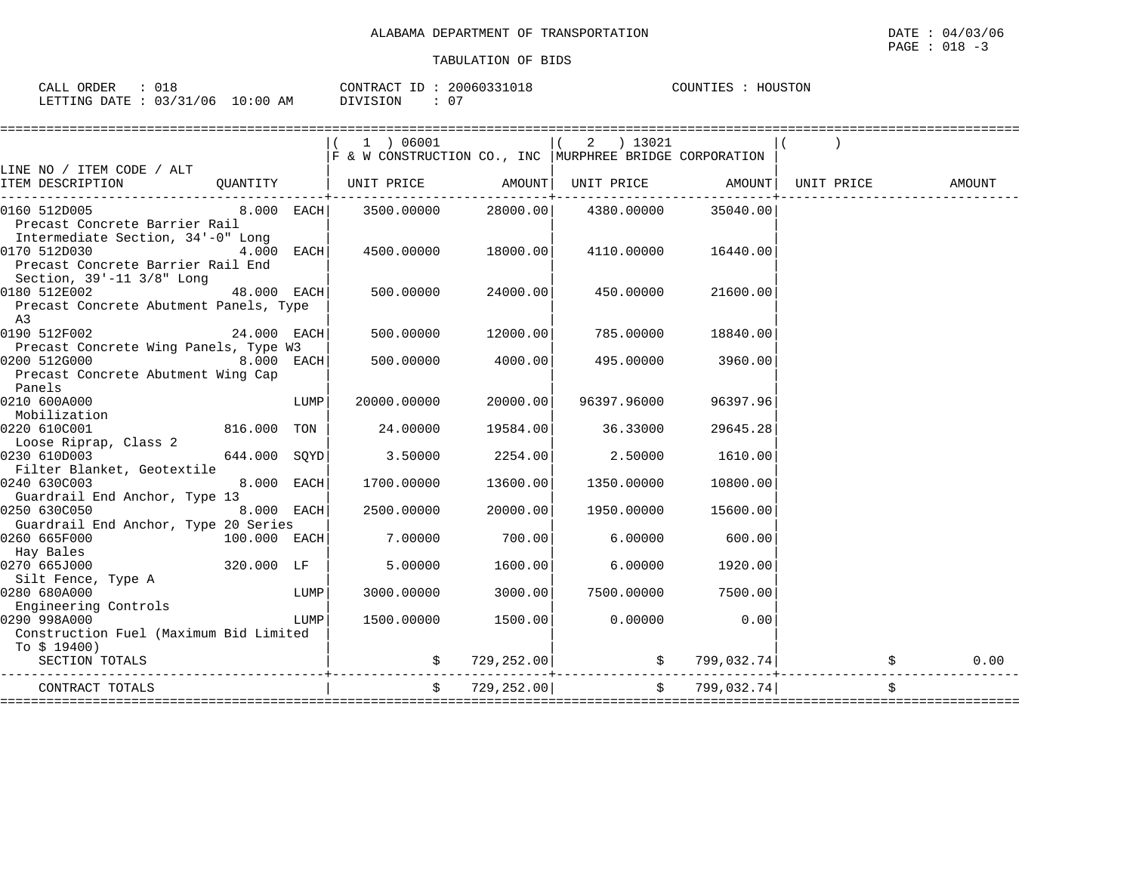| 018<br>ORDER<br>CALI                              |                   | CONTRACT<br>$-1$ | 2006033101<br>133 LU LG | COUNTIES<br>HOUSTON |
|---------------------------------------------------|-------------------|------------------|-------------------------|---------------------|
| 03/31<br>06<br>LETTING<br>DATE<br>ັ<br><u>ے ب</u> | ΆM<br>:00<br>⊥0 ° | DIVISION         | $\sim$ $-$<br>υ.        |                     |

|                                                                                                                                                                                                                                                  |               |      | 1 ) 06001                                                    |                | $(2)$ 13021        |                     |                                |        |
|--------------------------------------------------------------------------------------------------------------------------------------------------------------------------------------------------------------------------------------------------|---------------|------|--------------------------------------------------------------|----------------|--------------------|---------------------|--------------------------------|--------|
|                                                                                                                                                                                                                                                  |               |      | F & W CONSTRUCTION CO., INC   MURPHREE BRIDGE CORPORATION    |                |                    |                     |                                |        |
| LINE NO / ITEM CODE / ALT                                                                                                                                                                                                                        |               |      |                                                              |                |                    |                     |                                |        |
| ITEM DESCRIPTION QUANTITY   UNIT PRICE AMOUNT                                                                                                                                                                                                    |               |      |                                                              |                |                    |                     | UNIT PRICE AMOUNT   UNIT PRICE | AMOUNT |
| 0160 512D005<br>Precast Concrete Barrier Rail                                                                                                                                                                                                    |               |      | $8.000$ EACH $3500.00000$ $28000.00$ $4380.00000$ $35040.00$ |                |                    |                     |                                |        |
| Intermediate Section, 34'-0" Long                                                                                                                                                                                                                |               |      |                                                              |                |                    |                     |                                |        |
| 0170 512D030<br>Precast Concrete Barrier Rail End<br>Section, 39'-11 3/8" Long                                                                                                                                                                   | $4.000$ EACH  |      | 4500.00000 18000.00                                          |                |                    | 4110.00000 16440.00 |                                |        |
| 0180 512E002                                                                                                                                                                                                                                     | 48.000 EACH   |      | 500.00000                                                    | 24000.00       | 450.00000          | 21600.00            |                                |        |
| Precast Concrete Abutment Panels, Type<br>A3                                                                                                                                                                                                     |               |      |                                                              |                |                    |                     |                                |        |
| 0190 512F002                                                                                                                                                                                                                                     | $24.000$ EACH |      | 500.00000                                                    | 12000.00       | 785.00000          | 18840.00            |                                |        |
| Precast Concrete Wing Panels, Type W3                                                                                                                                                                                                            |               |      |                                                              |                |                    |                     |                                |        |
| 0200 512G000                                                                                                                                                                                                                                     | $8.000$ EACH  |      | 500.00000                                                    | 4000.00        | 495.00000          | 3960.00             |                                |        |
| Precast Concrete Abutment Wing Cap                                                                                                                                                                                                               |               |      |                                                              |                |                    |                     |                                |        |
| Panels                                                                                                                                                                                                                                           |               |      |                                                              |                |                    |                     |                                |        |
| 0210 600A000                                                                                                                                                                                                                                     |               | LUMP | 20000.00000                                                  | 20000.00       | 96397.96000        | 96397.96            |                                |        |
| Mobilization                                                                                                                                                                                                                                     |               |      |                                                              |                |                    |                     |                                |        |
| 0220 610C001                                                                                                                                                                                                                                     | 816.000 TON   |      | 24.00000                                                     | 19584.00       | 36.33000           | 29645.28            |                                |        |
| Loose Riprap, Class 2                                                                                                                                                                                                                            |               |      |                                                              |                |                    |                     |                                |        |
| 0230 610D003<br>644.000 SOYD                                                                                                                                                                                                                     |               |      | 3.50000                                                      | 2254.00        | 2.50000            | 1610.00             |                                |        |
| Filter Blanket, Geotextile                                                                                                                                                                                                                       |               |      |                                                              |                |                    |                     |                                |        |
| 0240 630C003                                                                                                                                                                                                                                     | 8.000 EACH    |      | 1700.00000                                                   | 13600.00       | 1350.00000         | 10800.00            |                                |        |
| Guardrail End Anchor, Type 13                                                                                                                                                                                                                    |               |      |                                                              |                |                    |                     |                                |        |
| and the company of the company of the company of the company of the company of the company of the company of the<br>Second the company of the company of the company of the company of the company of the company of the company<br>0250 630C050 | 8.000 EACH    |      | 2500.00000                                                   | 20000.00       | 1950.00000         | 15600.00            |                                |        |
| Guardrail End Anchor, Type 20 Series                                                                                                                                                                                                             |               |      |                                                              |                |                    |                     |                                |        |
| $100.000$ EACH<br>0260 665F000                                                                                                                                                                                                                   |               |      | 7.00000                                                      | 700.00         | 6.00000            | 600.00              |                                |        |
| Hay Bales                                                                                                                                                                                                                                        |               |      |                                                              |                |                    |                     |                                |        |
| 0270 665J000                                                                                                                                                                                                                                     | 320.000 LF    |      | 5.00000                                                      | 1600.00        | 6.00000            | 1920.00             |                                |        |
| Silt Fence, Type A                                                                                                                                                                                                                               |               |      |                                                              |                |                    |                     |                                |        |
| 0280 680A000                                                                                                                                                                                                                                     |               | LUMP | 3000.00000                                                   | 3000.00        | 7500.00000 7500.00 |                     |                                |        |
| Engineering Controls                                                                                                                                                                                                                             |               |      |                                                              |                |                    |                     |                                |        |
| 0290 998A000                                                                                                                                                                                                                                     |               | LUMP | 1500.00000                                                   | 1500.00        | 0.00000            | 0.00                |                                |        |
| Construction Fuel (Maximum Bid Limited                                                                                                                                                                                                           |               |      |                                                              |                |                    |                     |                                |        |
| To $$19400)$                                                                                                                                                                                                                                     |               |      |                                                              |                |                    |                     |                                |        |
| SECTION TOTALS                                                                                                                                                                                                                                   |               |      |                                                              |                |                    |                     |                                | 0.00   |
| CONTRACT TOTALS                                                                                                                                                                                                                                  |               |      |                                                              | \$729, 252.00] |                    | \$799,032.74]       |                                |        |
|                                                                                                                                                                                                                                                  |               |      |                                                              |                |                    |                     |                                |        |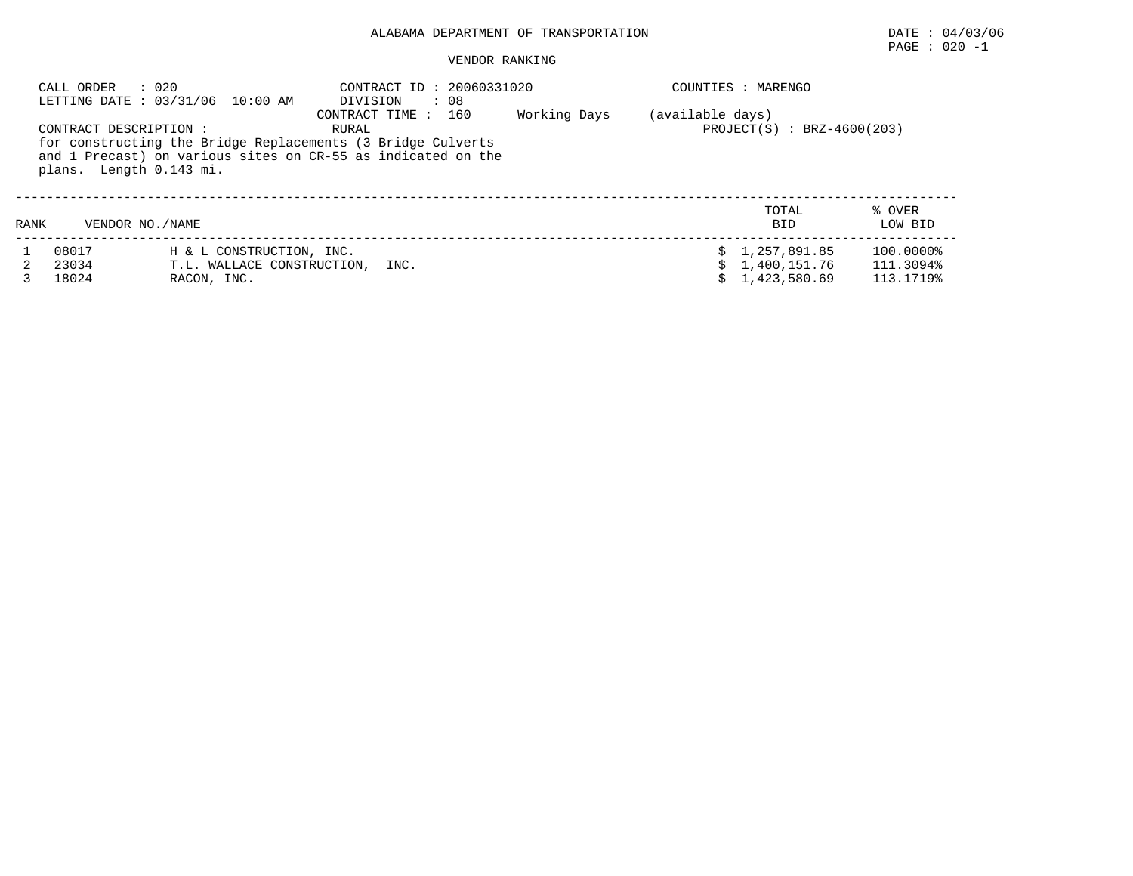#### PAGE : 020 -1

|      | : 020<br>CALL ORDER                               | LETTING DATE: 03/31/06 10:00 AM | CONTRACT ID: 20060331020<br>DIVISION<br>$\therefore$ 08                                                                                                        |              |                  | COUNTIES : MARENGO           |                   |
|------|---------------------------------------------------|---------------------------------|----------------------------------------------------------------------------------------------------------------------------------------------------------------|--------------|------------------|------------------------------|-------------------|
|      | CONTRACT DESCRIPTION :<br>plans. Length 0.143 mi. |                                 | 160<br>CONTRACT TIME :<br>RURAL<br>for constructing the Bridge Replacements (3 Bridge Culverts<br>and 1 Precast) on various sites on CR-55 as indicated on the | Working Days | (available days) | $PROJECT(S) : BRZ-4600(203)$ |                   |
| RANK | VENDOR NO. / NAME                                 |                                 |                                                                                                                                                                |              |                  | TOTAL<br><b>BID</b>          | % OVER<br>LOW BID |
|      | 08017                                             | H & L CONSTRUCTION, INC.        |                                                                                                                                                                |              |                  | \$1,257,891.85               | 100.0000%         |
|      | 23034                                             | T.L. WALLACE CONSTRUCTION, INC. |                                                                                                                                                                |              |                  | \$1,400,151.76               | 111.3094%         |
|      | 18024                                             | RACON, INC.                     |                                                                                                                                                                |              |                  | \$1,423,580.69               | 113.1719%         |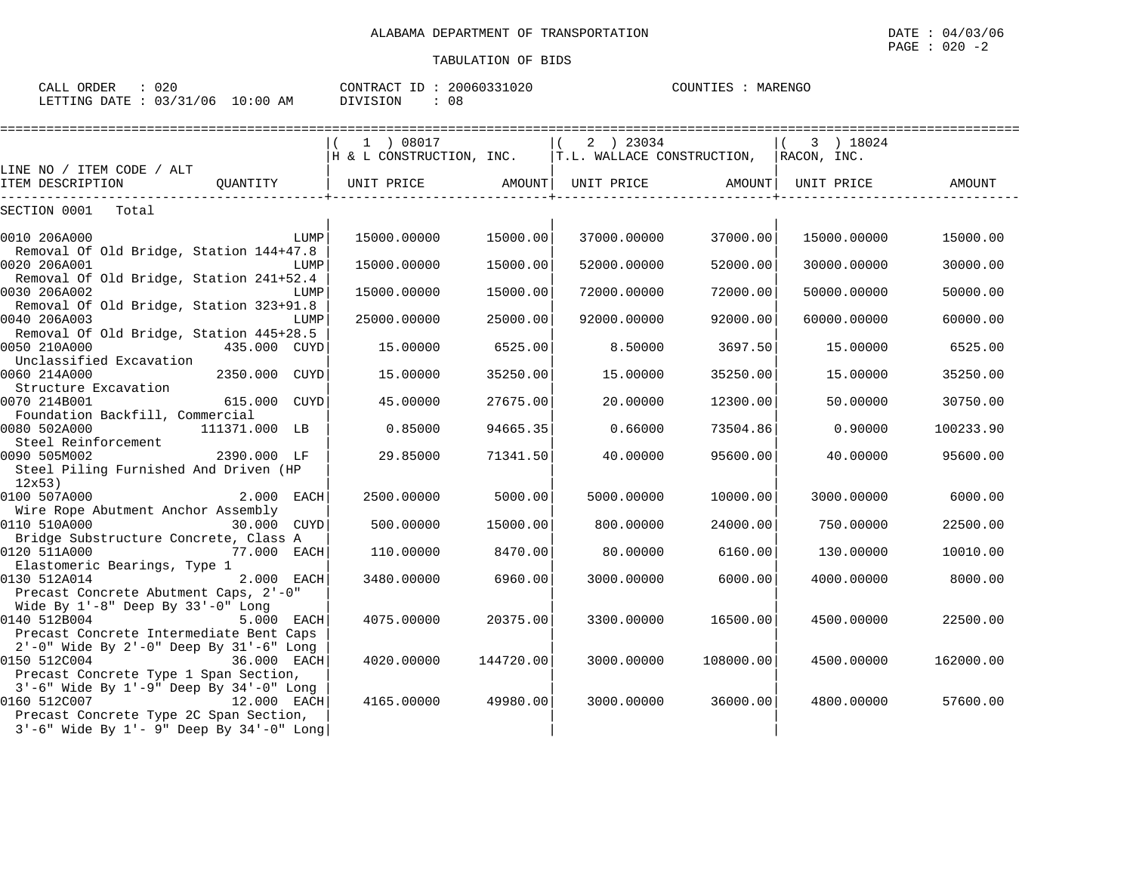| CALL ORDER                      | : 020 |          | CONTRACT ID: 20060331020 | COUNTIES : MARENGO |  |
|---------------------------------|-------|----------|--------------------------|--------------------|--|
| LETTING DATE: 03/31/06 10:00 AM |       | DIVISION | 08                       |                    |  |

|                                                                                    | 1 ) 08017                                                     |           | $(2)$ 23034 |           | 3) 18024    |           |
|------------------------------------------------------------------------------------|---------------------------------------------------------------|-----------|-------------|-----------|-------------|-----------|
|                                                                                    | $H \& L \t $ CONSTRUCTION, INC. $ T.L.$ WALLACE CONSTRUCTION, |           |             |           | RACON, INC. |           |
| LINE NO / ITEM CODE / ALT                                                          |                                                               |           |             |           |             |           |
| ITEM DESCRIPTION                                                                   | QUANTITY   UNIT PRICE AMOUNT  UNIT PRICE AMOUNT  UNIT PRICE   |           |             |           |             | AMOUNT    |
| SECTION 0001 Total                                                                 |                                                               |           |             |           |             |           |
| 0010 206A000<br>LUMP                                                               | 15000.00000                                                   | 15000.00  | 37000.00000 | 37000.00  | 15000.00000 | 15000.00  |
| Removal Of Old Bridge, Station 144+47.8                                            |                                                               |           |             |           |             |           |
| 0020 206A001<br>LUMP                                                               | 15000.00000                                                   | 15000.00  | 52000.00000 | 52000.00  | 30000.00000 | 30000.00  |
| Removal Of Old Bridge, Station 241+52.4                                            |                                                               |           |             |           |             |           |
| 0030 206A002<br>LUMP                                                               | 15000.00000                                                   | 15000.00  | 72000.00000 | 72000.00  | 50000.00000 | 50000.00  |
| Removal Of Old Bridge, Station 323+91.8<br>0040 206A003<br>LUMP                    | 25000.00000                                                   | 25000.00  | 92000.00000 | 92000.00  | 60000.00000 | 60000.00  |
| Removal Of Old Bridge, Station 445+28.5                                            |                                                               |           |             |           |             |           |
| 0050 210A000<br>435.000 CUYD                                                       | 15.00000                                                      | 6525.00   | 8.50000     | 3697.50   | 15.00000    | 6525.00   |
| Unclassified Excavation                                                            |                                                               |           |             |           |             |           |
| 0060 214A000<br>2350.000 CUYD                                                      | 15,00000                                                      | 35250.00  | 15,00000    | 35250.00  | 15.00000    | 35250.00  |
| Structure Excavation                                                               |                                                               |           |             |           |             |           |
| 0070 214B001<br>615.000 CUYD                                                       | 45.00000                                                      | 27675.00  | 20.00000    | 12300.00  | 50.00000    | 30750.00  |
| Foundation Backfill, Commercial                                                    |                                                               |           |             |           |             |           |
| 0080 502A000<br>111371.000 LB                                                      | 0.85000                                                       | 94665.35  | 0.66000     | 73504.86  | 0.90000     | 100233.90 |
| Steel Reinforcement<br>2390.000 LF<br>0090 505M002                                 | 29.85000                                                      | 71341.50  | 40.00000    | 95600.00  | 40.00000    | 95600.00  |
| Steel Piling Furnished And Driven (HP                                              |                                                               |           |             |           |             |           |
| 12x53                                                                              |                                                               |           |             |           |             |           |
| 0100 507A000<br>2.000 EACH                                                         | 2500.00000                                                    | 5000.00   | 5000.00000  | 10000.00  | 3000.00000  | 6000.00   |
| Wire Rope Abutment Anchor Assembly                                                 |                                                               |           |             |           |             |           |
| 0110 510A000<br>30.000 CUYD                                                        | 500,00000                                                     | 15000.00  | 800,00000   | 24000.00  | 750.00000   | 22500.00  |
| Bridge Substructure Concrete, Class A                                              |                                                               |           |             |           |             |           |
| 0120 511A000<br>77.000 EACH                                                        | 110.00000                                                     | 8470.00   | 80.00000    | 6160.00   | 130.00000   | 10010.00  |
| Elastomeric Bearings, Type 1<br>2.000 EACH<br>0130 512A014                         | 3480.00000                                                    | 6960.00   | 3000.00000  | 6000.00   | 4000.00000  | 8000.00   |
| Precast Concrete Abutment Caps, 2'-0"                                              |                                                               |           |             |           |             |           |
| Wide By 1'-8" Deep By 33'-0" Long                                                  |                                                               |           |             |           |             |           |
| 0140 512B004<br>5.000 EACH                                                         | 4075,00000                                                    | 20375.00  | 3300.00000  | 16500.00  | 4500.00000  | 22500.00  |
| Precast Concrete Intermediate Bent Caps                                            |                                                               |           |             |           |             |           |
| 2'-0" Wide By 2'-0" Deep By 31'-6" Long                                            |                                                               |           |             |           |             |           |
| 0150 512C004<br>36.000 EACH                                                        | 4020,00000                                                    | 144720.00 | 3000.00000  | 108000.00 | 4500.00000  | 162000.00 |
| Precast Concrete Type 1 Span Section,                                              |                                                               |           |             |           |             |           |
| 3'-6" Wide By 1'-9" Deep By 34'-0" Long                                            |                                                               |           |             |           |             |           |
| 0160 512C007<br>12.000 EACH                                                        | 4165.00000                                                    | 49980.00  | 3000.00000  | 36000.00  | 4800.00000  | 57600.00  |
| Precast Concrete Type 2C Span Section,<br>3'-6" Wide By 1'- 9" Deep By 34'-0" Long |                                                               |           |             |           |             |           |
|                                                                                    |                                                               |           |             |           |             |           |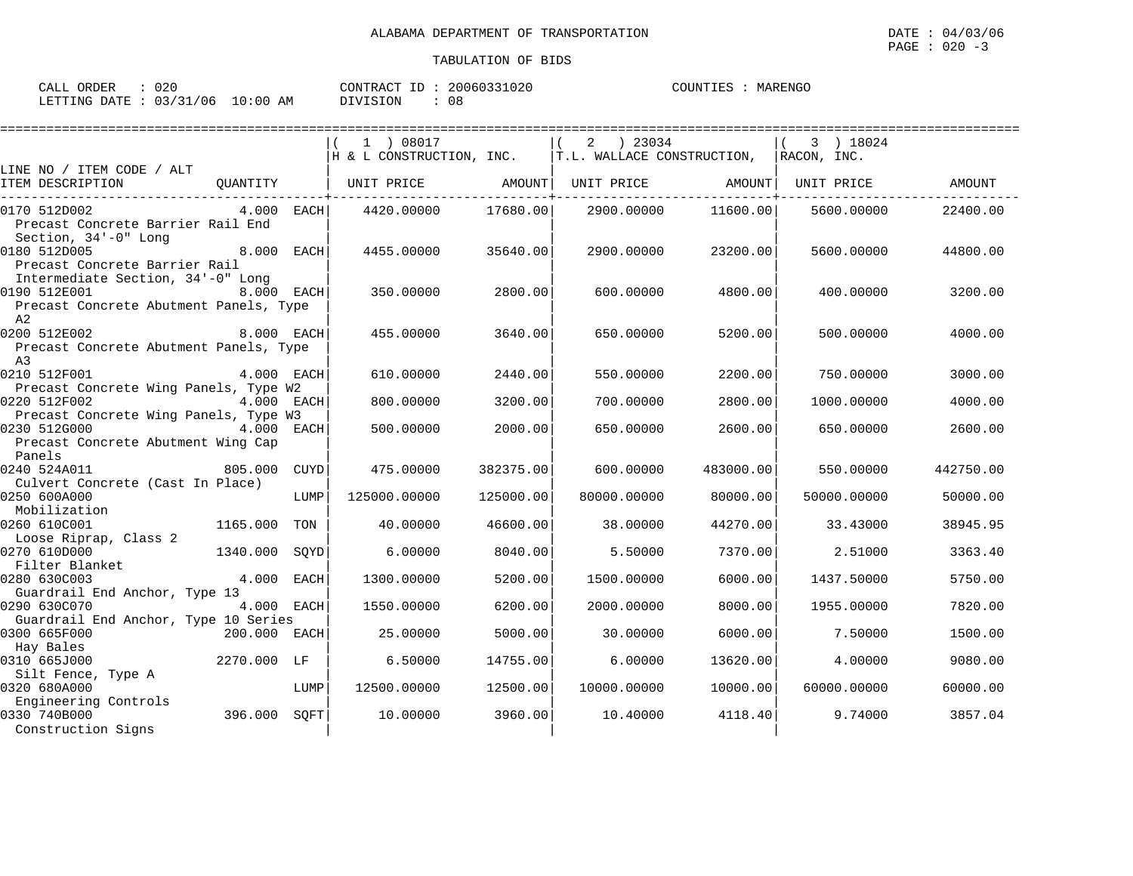| ORDER<br>$\sim$ $\sim$ $\sim$<br>CALL | 020          |                | $\sqrt{2}$<br>___<br>CONTR A<br>I'I'RAC | $\sim$ : 20060???<br>1020 | COUNTIES | MARENGC |
|---------------------------------------|--------------|----------------|-----------------------------------------|---------------------------|----------|---------|
| LETTING<br>DATE                       | 03/31<br>'06 | .0 : 0 C<br>AM | OIVISION                                | 08                        |          |         |

|                                                                                    |               |      | ----------------------------                                                           |           |                   |           |                   |           |
|------------------------------------------------------------------------------------|---------------|------|----------------------------------------------------------------------------------------|-----------|-------------------|-----------|-------------------|-----------|
|                                                                                    |               |      | 1 ) 08017<br>$ H \& L$ CONSTRUCTION, INC. $ T.L.$ WALLACE CONSTRUCTION, $ RACON, INC.$ |           | 2 23034           |           | 3 ) 18024         |           |
| LINE NO / ITEM CODE / ALT<br>ITEM DESCRIPTION                                      |               |      | QUANTITY   UNIT PRICE AMOUNT                                                           |           | UNIT PRICE AMOUNT |           | UNIT PRICE AMOUNT |           |
| 0170 512D002<br>Precast Concrete Barrier Rail End<br>Section, 34'-0" Long          | $4.000$ EACH  |      | 4420.00000                                                                             | 17680.00  | 2900.00000        | 11600.00  | 5600.00000        | 22400.00  |
| 0180 512D005<br>Precast Concrete Barrier Rail<br>Intermediate Section, 34'-0" Long | 8.000 EACH    |      | 4455.00000                                                                             | 35640.00  | 2900.00000        | 23200.00  | 5600.00000        | 44800.00  |
| 0190 512E001<br>Precast Concrete Abutment Panels, Type<br>A2                       | 8.000 EACH    |      | 350.00000                                                                              | 2800.00   | 600,00000         | 4800.00   | 400.00000         | 3200.00   |
| 0200 512E002<br>Precast Concrete Abutment Panels, Type<br>A3                       | 8.000 EACH    |      | 455.00000                                                                              | 3640.00   | 650.00000         | 5200.00   | 500.00000         | 4000.00   |
| 0210 512F001<br>Precast Concrete Wing Panels, Type W2                              | 4.000 EACH    |      | 610,00000                                                                              | 2440.00   | 550.00000         | 2200.00   | 750.00000         | 3000.00   |
| 0220 512F002<br>Precast Concrete Wing Panels, Type W3                              | 4.000 EACH    |      | 800.00000                                                                              | 3200.00   | 700.00000         | 2800.00   | 1000.00000        | 4000.00   |
| 0230 512G000<br>Precast Concrete Abutment Wing Cap<br>Panels                       | 4.000 EACH    |      | 500.00000                                                                              | 2000.00   | 650.00000         | 2600.00   | 650,00000         | 2600.00   |
| 0240 524A011<br>Culvert Concrete (Cast In Place)                                   | 805.000 CUYD  |      | 475.00000                                                                              | 382375.00 | 600,00000         | 483000.00 | 550,00000         | 442750.00 |
| 0250 600A000<br>Mobilization                                                       |               | LUMP | 125000.00000                                                                           | 125000.00 | 80000.00000       | 80000.00  | 50000.00000       | 50000.00  |
| 0260 610C001<br>Loose Riprap, Class 2                                              | 1165.000 TON  |      | 40.00000                                                                               | 46600.00  | 38,00000          | 44270.00  | 33.43000          | 38945.95  |
| 0270 610D000<br>Filter Blanket                                                     | 1340.000 SOYD |      | 6.00000                                                                                | 8040.00   | 5.50000           | 7370.00   | 2.51000           | 3363.40   |
| 0280 630C003<br>Guardrail End Anchor, Type 13                                      | 4.000 EACH    |      | 1300.00000                                                                             | 5200.00   | 1500.00000        | 6000.00   | 1437.50000        | 5750.00   |
| 0290 630C070<br>Guardrail End Anchor, Type 10 Series                               | 4.000 EACH    |      | 1550.00000                                                                             | 6200.00   | 2000.00000        | 8000.00   | 1955.00000        | 7820.00   |
| 0300 665F000<br>Hay Bales                                                          | 200.000 EACH  |      | 25.00000                                                                               | 5000.00   | 30.00000          | 6000.00   | 7.50000           | 1500.00   |
| 0310 665J000<br>Silt Fence, Type A                                                 | 2270.000 LF   |      | 6.50000                                                                                | 14755.00  | 6.00000           | 13620.00  | 4.00000           | 9080.00   |
| 0320 680A000<br>Engineering Controls                                               |               | LUMP | 12500.00000                                                                            | 12500.00  | 10000.00000       | 10000.00  | 60000.00000       | 60000.00  |
| 0330 740B000<br>Construction Signs                                                 | 396.000 SQFT  |      | 10.00000                                                                               | 3960.00   | 10.40000          | 4118.40   | 9.74000           | 3857.04   |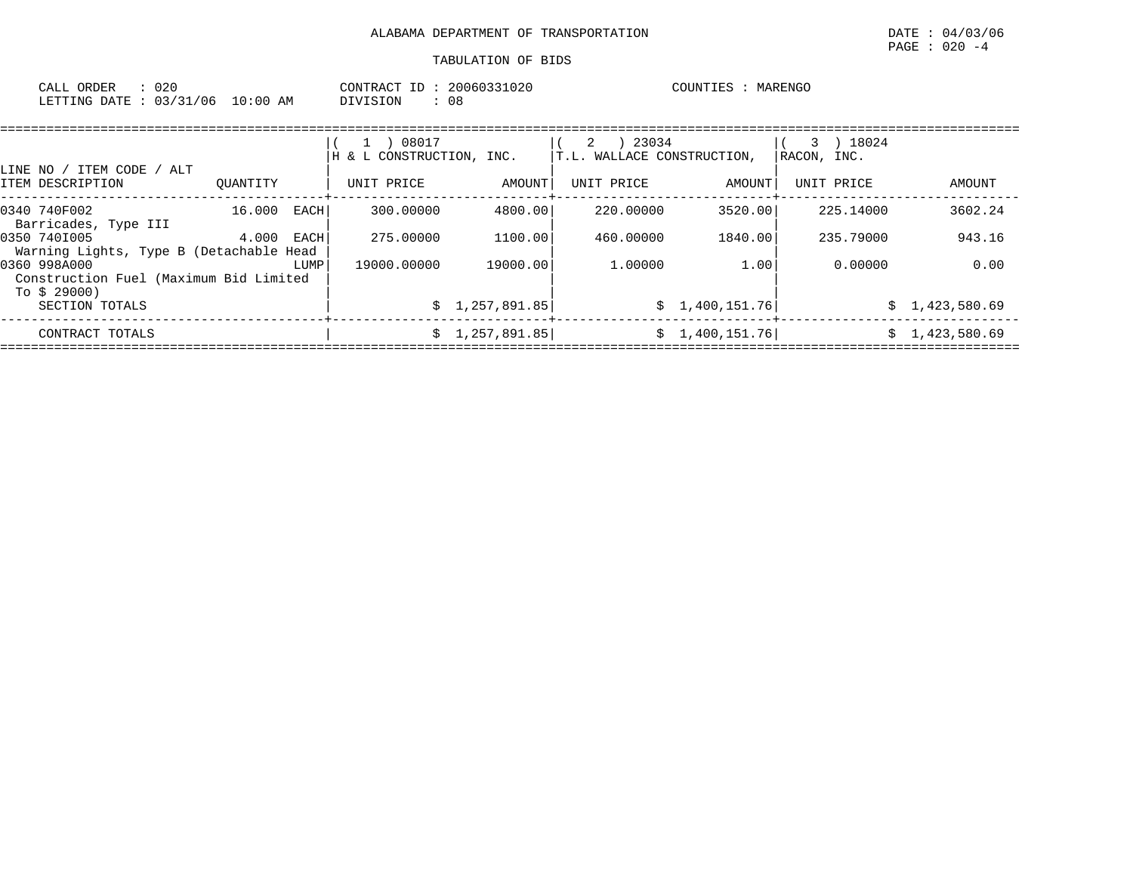PAGE : 020 -4

| 020<br>ORDER<br>CALL <sup>(</sup> |             | 20060331020<br>CONTRACT<br>ID | COUNTIES<br>MARENGC |
|-----------------------------------|-------------|-------------------------------|---------------------|
| LETTING DATE : 03/31/06           | 10:00<br>ΆM | <b>DIVISION</b><br>08         |                     |

| LINE NO / ITEM CODE / ALT                                              |              |      | 08017<br>& L CONSTRUCTION, INC.<br>Н |                | 23034<br>2<br>T.L. WALLACE CONSTRUCTION, |                 | 3 ) 18024<br>RACON, INC. |                |
|------------------------------------------------------------------------|--------------|------|--------------------------------------|----------------|------------------------------------------|-----------------|--------------------------|----------------|
| ITEM DESCRIPTION                                                       | OUANTITY     |      | UNIT PRICE                           | AMOUNT         | UNIT PRICE                               | AMOUNT          | UNIT PRICE               | AMOUNT         |
| 0340 740F002<br>Barricades, Type III                                   | 16.000       | EACH | 300.00000                            | 4800.00        | 220.00000                                | 3520.00         | 225.14000                | 3602.24        |
| 0350 7401005<br>Warning Lights, Type B (Detachable Head                | $4.000$ EACH |      | 275,00000                            | 1100.00        | 460.00000                                | 1840.00         | 235.79000                | 943.16         |
| 0360 998A000<br>Construction Fuel (Maximum Bid Limited<br>To \$ 29000) |              | LUMP | 19000.00000                          | 19000.00       | 1,00000                                  | 1.00            | 0.00000                  | 0.00           |
| SECTION TOTALS                                                         |              |      |                                      | \$1,257,891.85 |                                          | \$1,400,151.76  |                          | \$1,423,580.69 |
| CONTRACT TOTALS                                                        |              |      |                                      | \$1,257,891.85 |                                          | \$1,400,151.76] |                          | \$1,423,580.69 |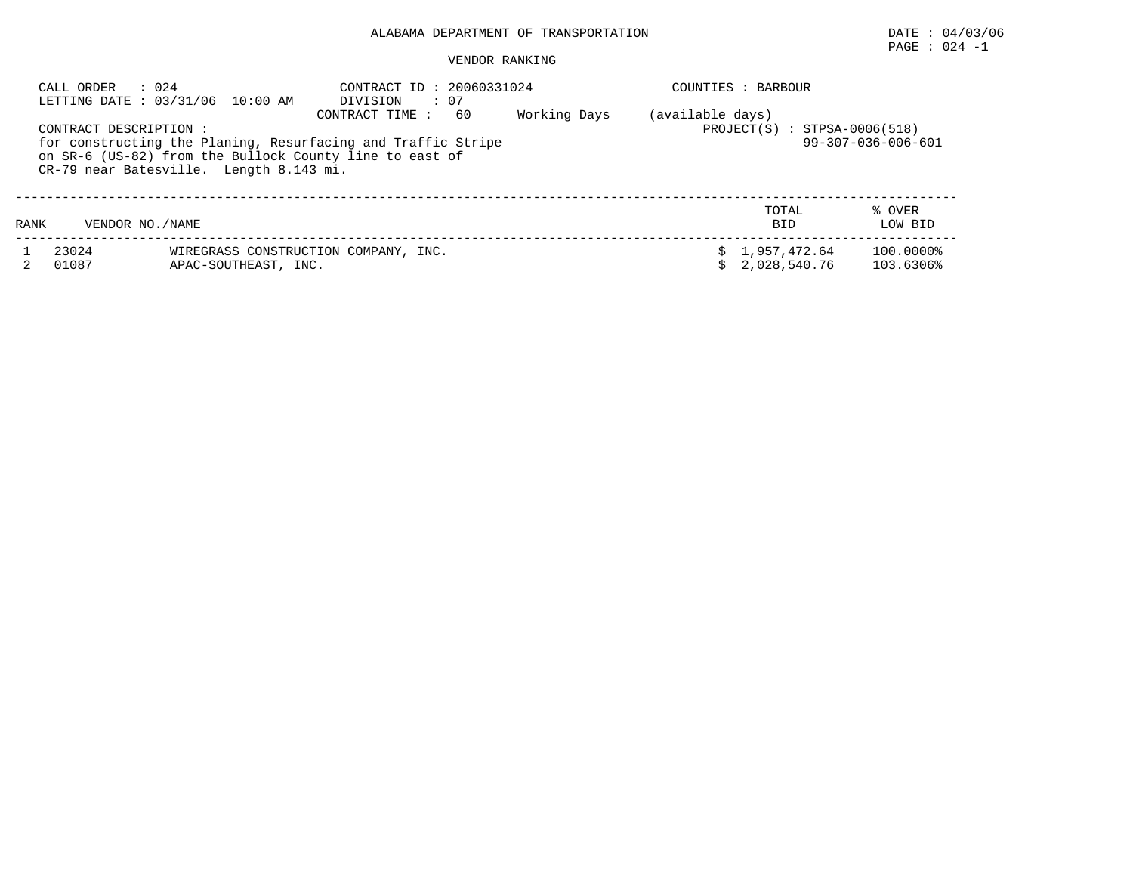# PAGE : 024 -1

| CALL ORDER     | : 0.24<br>LETTING DATE: 03/31/06 10:00 AM | CONTRACT ID: 20060331024<br>$\therefore$ 07<br>DIVISION                                                                                                                                                                                                          |  | COUNTIES : BARBOUR           |                           |  |  |
|----------------|-------------------------------------------|------------------------------------------------------------------------------------------------------------------------------------------------------------------------------------------------------------------------------------------------------------------|--|------------------------------|---------------------------|--|--|
|                | CONTRACT DESCRIPTION :                    | Working Days<br>(available days)<br>60<br>CONTRACT TIME:<br>$PROJECT(S) : STPSA-0006(518)$<br>for constructing the Planing, Resurfacing and Traffic Stripe<br>on SR-6 (US-82) from the Bullock County line to east of<br>CR-79 near Batesville. Length 8.143 mi. |  |                              |                           |  |  |
| RANK           | VENDOR NO. / NAME                         |                                                                                                                                                                                                                                                                  |  | TOTAL<br><b>BID</b>          | % OVER<br>LOW BID         |  |  |
| 23024<br>01087 | APAC-SOUTHEAST, INC.                      | WIREGRASS CONSTRUCTION COMPANY, INC.                                                                                                                                                                                                                             |  | 1,957,472.64<br>2,028,540.76 | $100.0000\%$<br>103.6306% |  |  |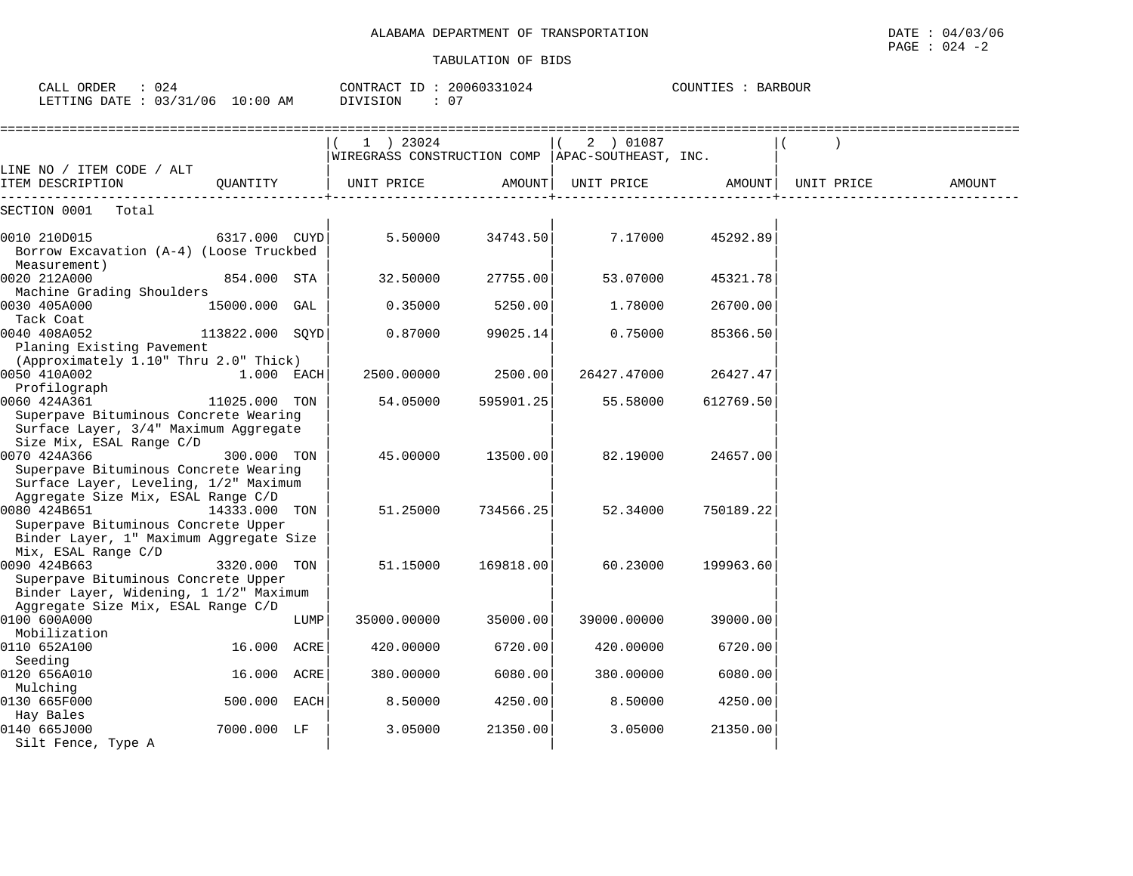| CALL ORDER<br>: 024<br>LETTING DATE : 03/31/06 10:00 AM                                                                             |                 | CONTRACT ID: 20060331024<br><b>DIVISION</b><br>: 07 |                                          | COUNTIES : BARBOUR |                                   |           |            |               |
|-------------------------------------------------------------------------------------------------------------------------------------|-----------------|-----------------------------------------------------|------------------------------------------|--------------------|-----------------------------------|-----------|------------|---------------|
|                                                                                                                                     |                 |                                                     | 1 ) 23024<br>WIREGRASS CONSTRUCTION COMP |                    | 2 ) 01087<br>APAC-SOUTHEAST, INC. |           |            |               |
| LINE NO / ITEM CODE / ALT<br>ITEM DESCRIPTION                                                                                       | OUANTITY        |                                                     | UNIT PRICE                               | AMOUNT             | UNIT PRICE                        | AMOUNT    | UNIT PRICE | <b>AMOUNT</b> |
| SECTION 0001<br>Total                                                                                                               |                 |                                                     |                                          |                    |                                   |           |            |               |
| 0010 210D015<br>Borrow Excavation (A-4) (Loose Truckbed<br>Measurement)                                                             | 6317.000 CUYD   |                                                     | 5.50000                                  | 34743.50           | 7.17000                           | 45292.89  |            |               |
| 0020 212A000<br>Machine Grading Shoulders                                                                                           | 854.000 STA     |                                                     | 32.50000                                 | 27755.00           | 53.07000                          | 45321.78  |            |               |
| 0030 405A000                                                                                                                        | 15000.000 GAL   |                                                     | 0.35000                                  | 5250.00            | 1.78000                           | 26700.00  |            |               |
| Tack Coat<br>0040 408A052<br>Planing Existing Pavement                                                                              | 113822.000 SQYD |                                                     | 0.87000                                  | 99025.14           | 0.75000                           | 85366.50  |            |               |
| (Approximately 1.10" Thru 2.0" Thick)<br>0050 410A002<br>Profilograph                                                               | 1.000 EACH      |                                                     | 2500.00000                               | 2500.00            | 26427.47000                       | 26427.47  |            |               |
| 0060 424A361<br>Superpave Bituminous Concrete Wearing<br>Surface Layer, 3/4" Maximum Aggregate                                      | 11025.000 TON   |                                                     | 54.05000                                 | 595901.25          | 55.58000                          | 612769.50 |            |               |
| Size Mix, ESAL Range C/D<br>0070 424A366<br>Superpave Bituminous Concrete Wearing<br>Surface Layer, Leveling, 1/2" Maximum          | 300.000 TON     |                                                     | 45.00000                                 | 13500.00           | 82.19000                          | 24657.00  |            |               |
| Aggregate Size Mix, ESAL Range C/D<br>0080 424B651                                                                                  | 14333.000 TON   |                                                     | 51.25000                                 | 734566.25          | 52.34000                          | 750189.22 |            |               |
| Superpave Bituminous Concrete Upper<br>Binder Layer, 1" Maximum Aggregate Size<br>Mix, ESAL Range C/D                               |                 |                                                     |                                          |                    |                                   |           |            |               |
| 0090 424B663<br>Superpave Bituminous Concrete Upper<br>Binder Layer, Widening, 1 1/2" Maximum<br>Aggregate Size Mix, ESAL Range C/D | 3320.000 TON    |                                                     | 51.15000                                 | 169818.00          | 60.23000                          | 199963.60 |            |               |
| 0100 600A000<br>Mobilization                                                                                                        |                 | LUMP                                                | 35000.00000                              | 35000.00           | 39000.00000                       | 39000.00  |            |               |
| 0110 652A100<br>Seeding                                                                                                             | 16.000 ACRE     |                                                     | 420.00000                                | 6720.00            | 420.00000                         | 6720.00   |            |               |
| 0120 656A010<br>Mulching                                                                                                            | 16.000 ACRE     |                                                     | 380.00000                                | 6080.00            | 380.00000                         | 6080.00   |            |               |
| 0130 665F000                                                                                                                        | 500.000         | EACH                                                | 8.50000                                  | 4250.00            | 8.50000                           | 4250.00   |            |               |
| Hay Bales<br>0140 665J000<br>Silt Fence, Type A                                                                                     | 7000.000 LF     |                                                     | 3.05000                                  | 21350.00           | 3.05000                           | 21350.00  |            |               |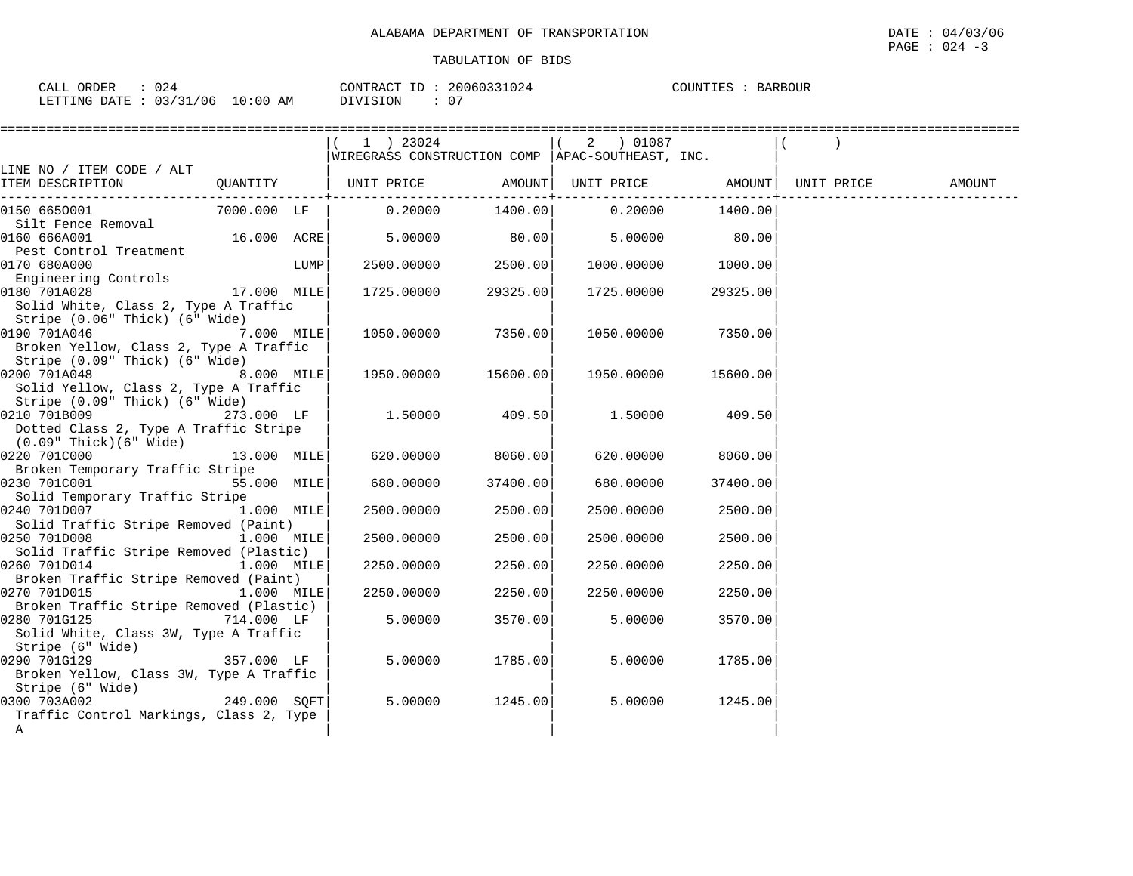| ORDER<br>CALL<br>J20            | CONTRACT ID: | 20060331024 | COUNTIES<br>BARBOUR |
|---------------------------------|--------------|-------------|---------------------|
| LETTING DATE: 03/31/06 10:00 AM | DIVISION     | 07          |                     |

| :=================                                           |              |      |                                                    |          |               |                    |  |
|--------------------------------------------------------------|--------------|------|----------------------------------------------------|----------|---------------|--------------------|--|
|                                                              |              |      | $(1)$ 23024                                        |          |               |                    |  |
|                                                              |              |      | WIREGRASS CONSTRUCTION COMP   APAC-SOUTHEAST, INC. |          |               |                    |  |
| LINE NO / ITEM CODE / ALT                                    |              |      |                                                    |          |               |                    |  |
| ITEM DESCRIPTION                                             |              |      |                                                    |          |               |                    |  |
| 0150 6650001                                                 | 7000.000 LF  |      | $0.20000$ $1400.00$ $0.20000$ $1400.00$            |          |               |                    |  |
| Silt Fence Removal                                           |              |      |                                                    |          |               |                    |  |
| 0160 666A001                                                 |              |      | $16.000 \text{ ACRE}$ 5.00000 80.00                |          | 5.00000 80.00 |                    |  |
| Pest Control Treatment                                       |              |      |                                                    |          |               |                    |  |
| 0170 680A000                                                 |              | LUMP | 2500.00000                                         | 2500.00  |               | 1000.00000 1000.00 |  |
| Engineering Controls                                         |              |      |                                                    |          |               |                    |  |
| 17.000 MILE<br>0180 701A028                                  |              |      | 1725.00000                                         | 29325.00 | 1725.00000    | 29325.00           |  |
| Solid White, Class 2, Type A Traffic                         |              |      |                                                    |          |               |                    |  |
| Stripe (0.06" Thick) (6" Wide)                               |              |      |                                                    |          |               |                    |  |
| 0190 701A046                                                 | 7.000 MILE   |      | 1050.00000 7350.00                                 |          |               | 1050.00000 7350.00 |  |
| Broken Yellow, Class 2, Type A Traffic                       |              |      |                                                    |          |               |                    |  |
| Stripe (0.09" Thick) (6" Wide)<br>8.000 MILE<br>0200 701A048 |              |      | 1950.00000 15600.00                                |          | 1950.00000    | 15600.00           |  |
| Solid Yellow, Class 2, Type A Traffic                        |              |      |                                                    |          |               |                    |  |
| Stripe (0.09" Thick) (6" Wide)                               |              |      |                                                    |          |               |                    |  |
| 0210 701B009                                                 | $273.000$ LF |      | $1.50000$ 409.50                                   |          |               | 1.50000 409.50     |  |
| Dotted Class 2, Type A Traffic Stripe                        |              |      |                                                    |          |               |                    |  |
| $(0.09"$ Thick $)(6"$ Wide $)$                               |              |      |                                                    |          |               |                    |  |
| 0220 701C000<br>13.000 MILE                                  |              |      | 620.00000                                          | 8060.00  | 620.00000     | 8060.00            |  |
| Broken Temporary Traffic Stripe                              |              |      |                                                    |          |               |                    |  |
| 0230 701C001                                                 | 55.000 MILE  |      | 680.00000                                          | 37400.00 | 680.00000     | 37400.00           |  |
| Solid Temporary Traffic Stripe                               |              |      |                                                    |          |               |                    |  |
| 0240 701D007                                                 | 1.000 MILE   |      | 2500.00000                                         | 2500.00  | 2500.00000    | 2500.00            |  |
| Solid Traffic Stripe Removed (Paint)                         |              |      |                                                    |          |               |                    |  |
| 0250 701D008                                                 | 1.000 MILE   |      | 2500.00000                                         | 2500.00  | 2500.00000    | 2500.00            |  |
| Solid Traffic Stripe Removed (Plastic)                       |              |      |                                                    |          |               |                    |  |
| 0260 701D014<br>Broken Traffic Stripe Removed (Paint)        | 1.000 MILE   |      | 2250.00000                                         | 2250.00  | 2250.00000    | 2250.00            |  |
| 0270 701D015                                                 | 1.000 MILE   |      | 2250.00000                                         | 2250.00  | 2250.00000    | 2250.00            |  |
| Broken Traffic Stripe Removed (Plastic)                      |              |      |                                                    |          |               |                    |  |
| 0280 701G125                                                 | 714.000 LF   |      | 5.00000                                            | 3570.00  | 5.00000       | 3570.00            |  |
| Solid White, Class 3W, Type A Traffic                        |              |      |                                                    |          |               |                    |  |
| Stripe (6" Wide)                                             |              |      |                                                    |          |               |                    |  |
| 0290 701G129                                                 | 357.000 LF   |      | 5.00000                                            | 1785.00  | 5.00000       | 1785.00            |  |
| Broken Yellow, Class 3W, Type A Traffic                      |              |      |                                                    |          |               |                    |  |
| Stripe (6" Wide)                                             |              |      |                                                    |          |               |                    |  |
| 249.000 SQFT<br>0300 703A002                                 |              |      | 5.00000                                            | 1245.00  | 5.00000       | 1245.00            |  |
| Traffic Control Markings, Class 2, Type                      |              |      |                                                    |          |               |                    |  |
| A                                                            |              |      |                                                    |          |               |                    |  |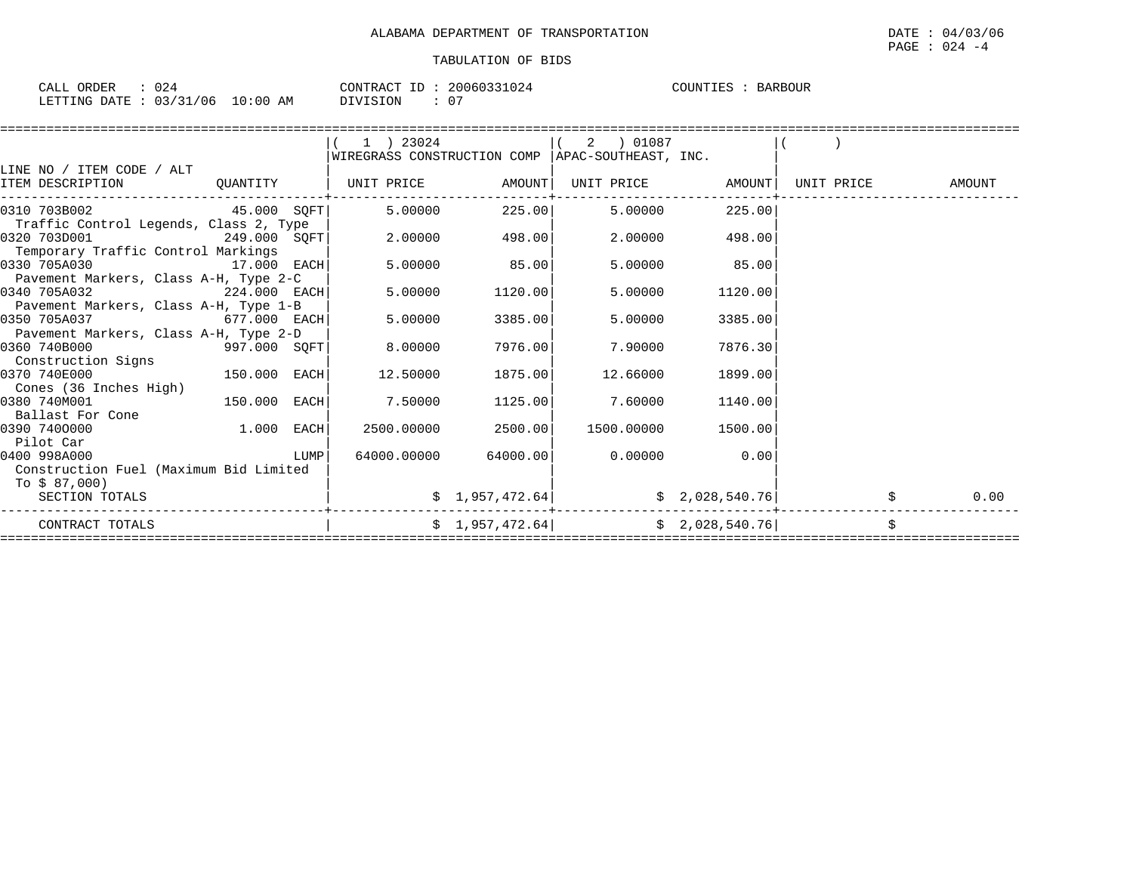| CALL ORDER<br>: 024             | CONTRACT ID: 20060331024 | COUNTIES : BARBOUR |
|---------------------------------|--------------------------|--------------------|
| LETTING DATE: 03/31/06 10:00 AM | DIVISION                 |                    |

|                                        |              |      | $1$ ) 23024                  |                 | 2 01087<br>WIREGRASS CONSTRUCTION COMP   APAC-SOUTHEAST, INC. |                   |            |        |
|----------------------------------------|--------------|------|------------------------------|-----------------|---------------------------------------------------------------|-------------------|------------|--------|
| LINE NO / ITEM CODE / ALT              |              |      |                              |                 |                                                               |                   |            |        |
| ITEM DESCRIPTION                       |              |      | QUANTITY   UNIT PRICE AMOUNT |                 |                                                               | UNIT PRICE AMOUNT | UNIT PRICE | AMOUNT |
| 0310 703B002 45.000 SOFT               |              |      | 5.00000                      | 225.00          | 5.00000                                                       | 225.00            |            |        |
| Traffic Control Legends, Class 2, Type |              |      |                              |                 |                                                               |                   |            |        |
| 0320 703D001                           | 249.000 SOFT |      | 2,00000                      | 498.00          | 2.00000                                                       | 498.00            |            |        |
| Temporary Traffic Control Markings     |              |      |                              |                 |                                                               |                   |            |        |
| 0330 705A030                           | 17.000 EACH  |      | 5,00000                      | 85.00           | 5.00000                                                       | 85.00             |            |        |
| Pavement Markers, Class A-H, Type 2-C  |              |      |                              |                 |                                                               |                   |            |        |
| 0340 705A032                           | 224.000 EACH |      | 5.00000                      | 1120.00         | 5.00000                                                       | 1120.00           |            |        |
| Pavement Markers, Class A-H, Type 1-B  |              |      |                              |                 |                                                               |                   |            |        |
| 0350 705A037                           | 677.000 EACH |      | 5,00000                      | 3385.00         | 5.00000                                                       | 3385.00           |            |        |
| Pavement Markers, Class A-H, Type 2-D  |              |      |                              |                 |                                                               |                   |            |        |
| 0360 740B000                           | 997.000 SOFT |      | 8.00000                      | 7976.00         | 7.90000                                                       | 7876.30           |            |        |
| Construction Signs                     |              |      |                              |                 |                                                               |                   |            |        |
| 0370 740E000                           | 150.000 EACH |      | 12.50000                     | 1875.00         | 12.66000                                                      | 1899.00           |            |        |
| Cones (36 Inches High)                 |              |      |                              |                 |                                                               |                   |            |        |
| 0380 740M001                           | 150.000      | EACH | 7.50000                      | 1125.00         | 7.60000                                                       | 1140.00           |            |        |
| Ballast For Cone                       |              |      |                              |                 |                                                               |                   |            |        |
| 0390 7400000                           | $1.000$ EACH |      | 2500.00000                   | 2500.00         | 1500.00000                                                    | 1500.00           |            |        |
| Pilot Car                              |              |      |                              |                 |                                                               |                   |            |        |
| 0400 998A000                           |              | LUMP | 64000.00000                  | 64000.00        | 0.00000                                                       | 0.00              |            |        |
| Construction Fuel (Maximum Bid Limited |              |      |                              |                 |                                                               |                   |            |        |
| To \$ 87,000)                          |              |      |                              |                 |                                                               |                   |            |        |
| SECTION TOTALS                         |              |      |                              | \$1,957,472.64] |                                                               | \$2,028,540.76]   |            | 0.00   |
| CONTRACT TOTALS                        |              |      |                              | \$1,957,472.64] |                                                               | \$2,028,540.76]   | \$         |        |
|                                        |              |      |                              |                 |                                                               |                   |            |        |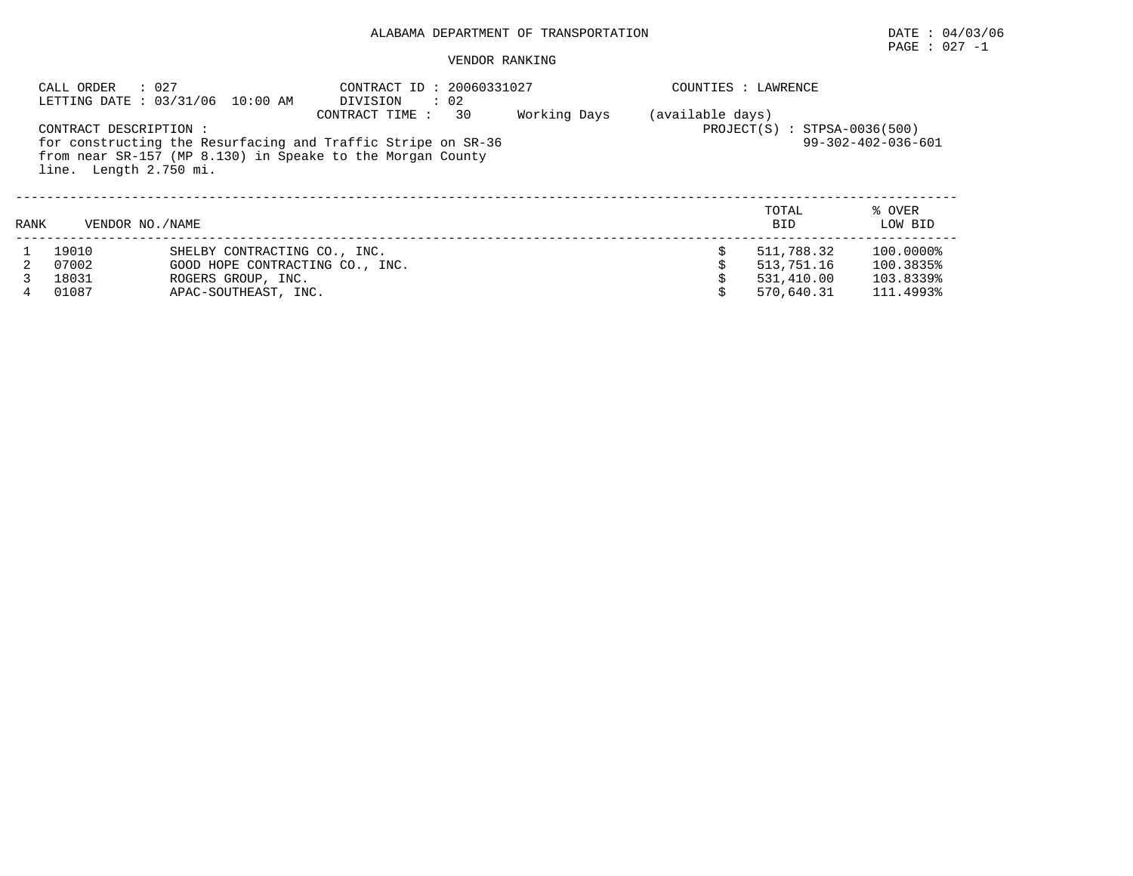# PAGE : 027 -1

|      | : 027<br>CALL ORDER                              | LETTING DATE : 03/31/06 10:00 AM                                                                                           | : 20060331027<br>CONTRACT ID<br>: 02<br>DIVISION                         |  |  | COUNTIES : LAWRENCE |                   |  |  |
|------|--------------------------------------------------|----------------------------------------------------------------------------------------------------------------------------|--------------------------------------------------------------------------|--|--|---------------------|-------------------|--|--|
|      | CONTRACT DESCRIPTION :<br>line. Length 2.750 mi. | for constructing the Resurfacing and Traffic Stripe on SR-36<br>from near SR-157 (MP 8.130) in Speake to the Morgan County | (available days)<br>$PROJECT(S) : STPSA-0036(500)$<br>99-302-402-036-601 |  |  |                     |                   |  |  |
| RANK | VENDOR NO. / NAME                                |                                                                                                                            |                                                                          |  |  | TOTAL<br><b>BID</b> | % OVER<br>LOW BID |  |  |
|      | 19010                                            | SHELBY CONTRACTING CO., INC.                                                                                               |                                                                          |  |  | 511,788.32          | 100.0000%         |  |  |
|      | 07002                                            | GOOD HOPE CONTRACTING CO., INC.                                                                                            |                                                                          |  |  | 513,751.16          | 100.3835%         |  |  |
|      | 18031                                            | ROGERS GROUP, INC.                                                                                                         |                                                                          |  |  | 531,410.00          | 103.8339%         |  |  |
| 4    | 01087                                            | APAC-SOUTHEAST, INC.                                                                                                       |                                                                          |  |  | 570,640.31          | 111.4993%         |  |  |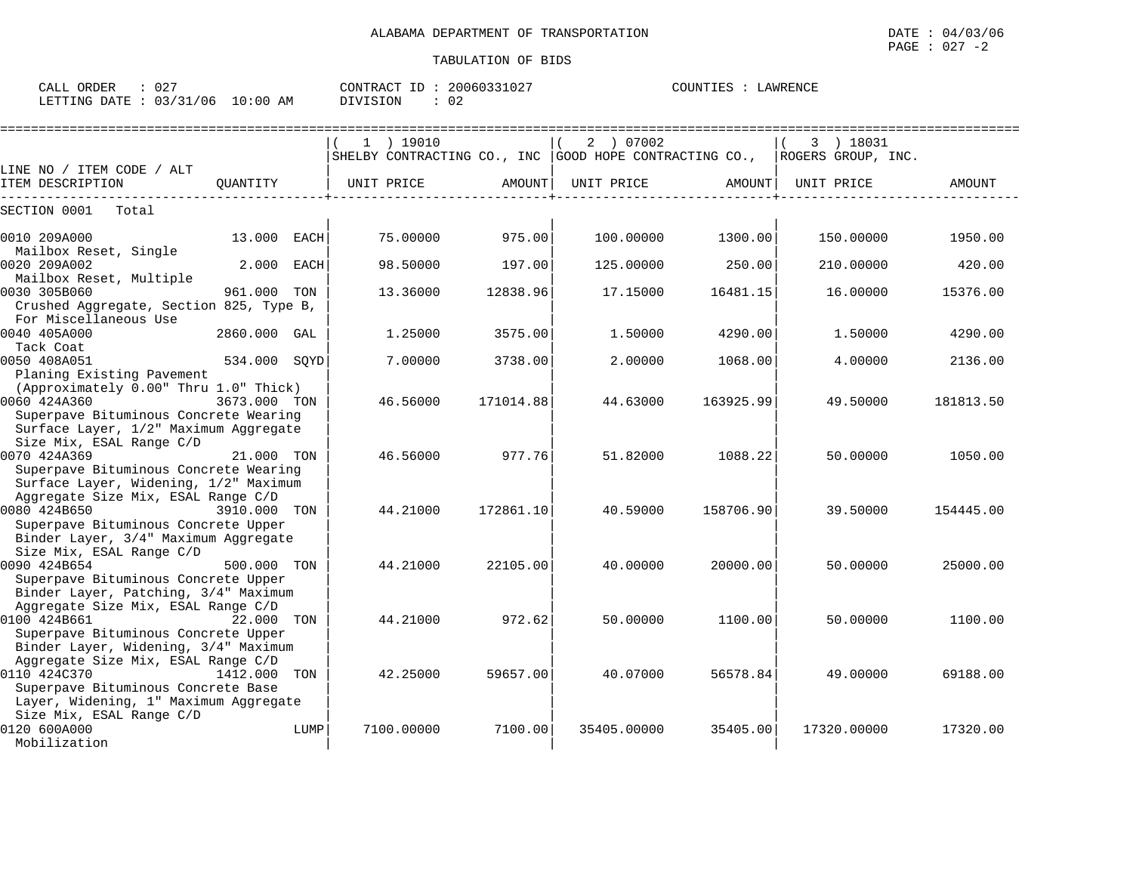CALL ORDER : 027 CONTRACT ID : 20060331027 COUNTIES : LAWRENCE LETTING DATE : 03/31/06 10:00 AM DIVISION : 02

|                                                       |              |      | ===========================                                                   |           |             | ======================= |             |           |
|-------------------------------------------------------|--------------|------|-------------------------------------------------------------------------------|-----------|-------------|-------------------------|-------------|-----------|
|                                                       |              |      | $1$ ) 19010                                                                   |           | 2 ) 07002   |                         | 3 ) 18031   |           |
|                                                       |              |      | SHELBY CONTRACTING CO., INC   GOOD HOPE CONTRACTING CO.,   ROGERS GROUP, INC. |           |             |                         |             |           |
| LINE NO / ITEM CODE / ALT                             |              |      |                                                                               |           |             |                         |             |           |
| ITEM DESCRIPTION                                      | OUANTITY     |      | UNIT PRICE                                                                    | AMOUNT    | UNIT PRICE  | AMOUNT                  | UNIT PRICE  | AMOUNT    |
| SECTION 0001<br>Total                                 |              |      |                                                                               |           |             |                         |             |           |
|                                                       |              |      |                                                                               |           |             |                         |             |           |
| 0010 209A000                                          | 13.000 EACH  |      | 75.00000                                                                      | 975.00    | 100.00000   | 1300.00                 | 150.00000   | 1950.00   |
| Mailbox Reset, Single<br>0020 209A002                 | 2.000 EACH   |      | 98.50000                                                                      | 197.00    | 125.00000   | 250.00                  | 210.00000   | 420.00    |
| Mailbox Reset, Multiple                               |              |      |                                                                               |           |             |                         |             |           |
| 0030 305B060                                          | 961.000 TON  |      | 13.36000                                                                      | 12838.96  | 17.15000    | 16481.15                | 16.00000    | 15376.00  |
| Crushed Aggregate, Section 825, Type B,               |              |      |                                                                               |           |             |                         |             |           |
| For Miscellaneous Use                                 |              |      |                                                                               |           |             |                         |             |           |
| 0040 405A000                                          | 2860.000 GAL |      | 1.25000                                                                       | 3575.00   | 1.50000     | 4290.00                 | 1.50000     | 4290.00   |
| Tack Coat                                             |              |      |                                                                               |           |             |                         |             |           |
| 0050 408A051                                          | 534.000 SQYD |      | 7.00000                                                                       | 3738.00   | 2,00000     | 1068.00                 | 4.00000     | 2136.00   |
| Planing Existing Pavement                             |              |      |                                                                               |           |             |                         |             |           |
| (Approximately 0.00" Thru 1.0" Thick)                 |              |      |                                                                               |           |             |                         |             |           |
| 0060 424A360                                          | 3673.000 TON |      | 46.56000                                                                      | 171014.88 | 44.63000    | 163925.99               | 49.50000    | 181813.50 |
| Superpave Bituminous Concrete Wearing                 |              |      |                                                                               |           |             |                         |             |           |
| Surface Layer, 1/2" Maximum Aggregate                 |              |      |                                                                               |           |             |                         |             |           |
| Size Mix, ESAL Range C/D                              |              |      |                                                                               | 977.76    |             |                         |             |           |
| 0070 424A369<br>Superpave Bituminous Concrete Wearing | 21.000 TON   |      | 46.56000                                                                      |           | 51.82000    | 1088.22                 | 50.00000    | 1050.00   |
| Surface Layer, Widening, 1/2" Maximum                 |              |      |                                                                               |           |             |                         |             |           |
| Aggregate Size Mix, ESAL Range C/D                    |              |      |                                                                               |           |             |                         |             |           |
| 0080 424B650                                          | 3910.000 TON |      | 44.21000                                                                      | 172861.10 | 40.59000    | 158706.90               | 39.50000    | 154445.00 |
| Superpave Bituminous Concrete Upper                   |              |      |                                                                               |           |             |                         |             |           |
| Binder Layer, 3/4" Maximum Aggregate                  |              |      |                                                                               |           |             |                         |             |           |
| Size Mix, ESAL Range C/D                              |              |      |                                                                               |           |             |                         |             |           |
| 0090 424B654                                          | 500.000 TON  |      | 44.21000                                                                      | 22105.00  | 40.00000    | 20000.00                | 50.00000    | 25000.00  |
| Superpave Bituminous Concrete Upper                   |              |      |                                                                               |           |             |                         |             |           |
| Binder Layer, Patching, 3/4" Maximum                  |              |      |                                                                               |           |             |                         |             |           |
| Aggregate Size Mix, ESAL Range C/D                    |              |      |                                                                               |           |             |                         |             |           |
| 0100 424B661                                          | 22.000 TON   |      | 44.21000                                                                      | 972.62    | 50.00000    | 1100.00                 | 50.00000    | 1100.00   |
| Superpave Bituminous Concrete Upper                   |              |      |                                                                               |           |             |                         |             |           |
| Binder Layer, Widening, 3/4" Maximum                  |              |      |                                                                               |           |             |                         |             |           |
| Aggregate Size Mix, ESAL Range C/D                    |              |      |                                                                               |           |             |                         |             |           |
| 0110 424C370                                          | 1412.000     | TON  | 42.25000                                                                      | 59657.00  | 40.07000    | 56578.84                | 49,00000    | 69188.00  |
| Superpave Bituminous Concrete Base                    |              |      |                                                                               |           |             |                         |             |           |
| Layer, Widening, 1" Maximum Aggregate                 |              |      |                                                                               |           |             |                         |             |           |
| Size Mix, ESAL Range C/D                              |              |      |                                                                               |           |             |                         |             |           |
| 0120 600A000                                          |              | LUMP | 7100.00000                                                                    | 7100.00   | 35405.00000 | 35405.00                | 17320.00000 | 17320.00  |
| Mobilization                                          |              |      |                                                                               |           |             |                         |             |           |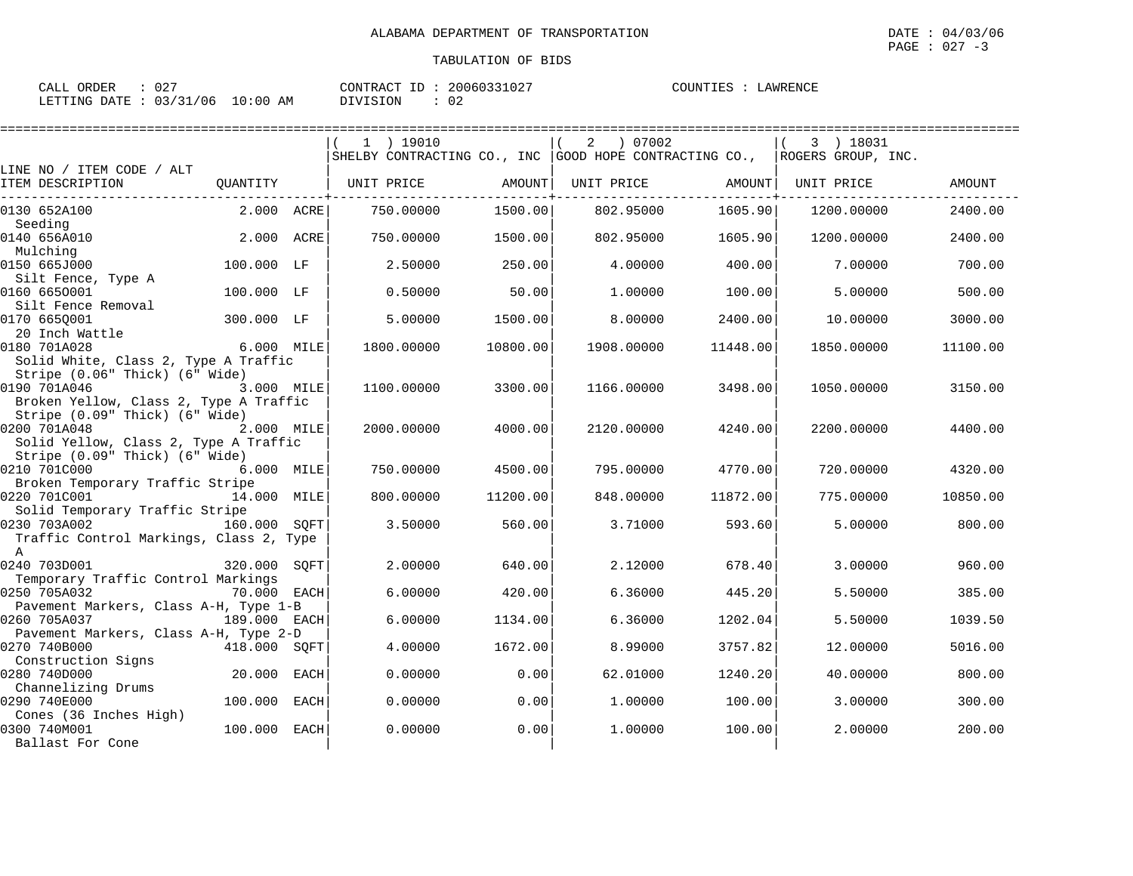| CALL ORDER                       | 027 |          | CONTRACT ID: 20060331027 | COUNTIES : | LAWRENCE |
|----------------------------------|-----|----------|--------------------------|------------|----------|
| LETTING DATE : 03/31/06 10:00 AM |     | DIVISION | 02                       |            |          |

|                                                                                                                          |              |      | $1$ ) 19010<br>SHELBY CONTRACTING CO., INC GOOD HOPE CONTRACTING CO., |          | 07002<br>$\overline{a}$ |          | 3 ) 18031<br>ROGERS GROUP, INC. |               |
|--------------------------------------------------------------------------------------------------------------------------|--------------|------|-----------------------------------------------------------------------|----------|-------------------------|----------|---------------------------------|---------------|
| LINE NO / ITEM CODE / ALT<br>ITEM DESCRIPTION                                                                            | QUANTITY     |      | UNIT PRICE                                                            | AMOUNT   | UNIT PRICE              | AMOUNT   | UNIT PRICE                      | <b>AMOUNT</b> |
| 0130 652A100                                                                                                             | 2.000 ACRE   |      | 750.00000                                                             | 1500.00  | 802.95000               | 1605.90  | 1200.00000                      | 2400.00       |
| Seeding<br>0140 656A010                                                                                                  | 2.000 ACRE   |      | 750.00000                                                             | 1500.00  | 802.95000               | 1605.90  | 1200.00000                      | 2400.00       |
| Mulching<br>0150 665J000                                                                                                 | 100.000 LF   |      | 2.50000                                                               | 250.00   | 4.00000                 | 400.00   | 7.00000                         | 700.00        |
| Silt Fence, Type A<br>0160 6650001                                                                                       | 100.000 LF   |      | 0.50000                                                               | 50.00    | 1,00000                 | 100.00   | 5.00000                         | 500.00        |
| Silt Fence Removal<br>0170 665Q001                                                                                       | 300.000 LF   |      | 5.00000                                                               | 1500.00  | 8,00000                 | 2400.00  | 10.00000                        | 3000.00       |
| 20 Inch Wattle                                                                                                           |              |      |                                                                       |          |                         |          |                                 |               |
| 0180 701A028<br>Solid White, Class 2, Type A Traffic                                                                     | 6.000 MILE   |      | 1800.00000                                                            | 10800.00 | 1908.00000              | 11448.00 | 1850.00000                      | 11100.00      |
| Stripe (0.06" Thick) (6" Wide)<br>0190 701A046<br>Broken Yellow, Class 2, Type A Traffic                                 | 3.000 MILE   |      | 1100.00000                                                            | 3300.00  | 1166.00000              | 3498.00  | 1050.00000                      | 3150.00       |
| Stripe (0.09" Thick) (6" Wide)<br>0200 701A048<br>2.000 MILE<br>Solid Yellow, Class 2, Type A Traffic                    |              |      | 2000.00000                                                            | 4000.00  | 2120.00000              | 4240.00  | 2200.00000                      | 4400.00       |
| Stripe (0.09" Thick) (6" Wide)<br>0210 701C000                                                                           | 6.000 MILE   |      | 750.00000                                                             | 4500.00  | 795.00000               | 4770.00  | 720.00000                       | 4320.00       |
| Broken Temporary Traffic Stripe<br>0220 701C001                                                                          | 14.000 MILE  |      | 800,00000                                                             | 11200.00 | 848,00000               | 11872.00 | 775,00000                       | 10850.00      |
| Solid Temporary Traffic Stripe<br>0230 703A002<br>160.000 SOFT<br>Traffic Control Markings, Class 2, Type<br>$\mathbb A$ |              |      | 3.50000                                                               | 560.00   | 3.71000                 | 593.60   | 5.00000                         | 800.00        |
| 0240 703D001<br>Temporary Traffic Control Markings                                                                       | 320.000 SOFT |      | 2.00000                                                               | 640.00   | 2.12000                 | 678.40   | 3.00000                         | 960.00        |
| 0250 705A032                                                                                                             | 70.000 EACH  |      | 6.00000                                                               | 420.00   | 6.36000                 | 445.20   | 5.50000                         | 385.00        |
| Pavement Markers, Class A-H, Type 1-B<br>0260 705A037                                                                    | 189.000 EACH |      | 6.00000                                                               | 1134.00  | 6.36000                 | 1202.04  | 5.50000                         | 1039.50       |
| Pavement Markers, Class A-H, Type 2-D<br>0270 740B000                                                                    | 418.000 SOFT |      | 4.00000                                                               | 1672.00  | 8.99000                 | 3757.82  | 12.00000                        | 5016.00       |
| Construction Signs<br>0280 740D000                                                                                       | 20.000       | EACH | 0.00000                                                               | 0.00     | 62.01000                | 1240.20  | 40.00000                        | 800.00        |
| Channelizing Drums<br>0290 740E000                                                                                       | 100.000      | EACH | 0.00000                                                               | 0.00     | 1,00000                 | 100.00   | 3.00000                         | 300.00        |
| Cones (36 Inches High)<br>0300 740M001<br>Ballast For Cone                                                               | 100.000 EACH |      | 0.00000                                                               | 0.00     | 1,00000                 | 100.00   | 2.00000                         | 200.00        |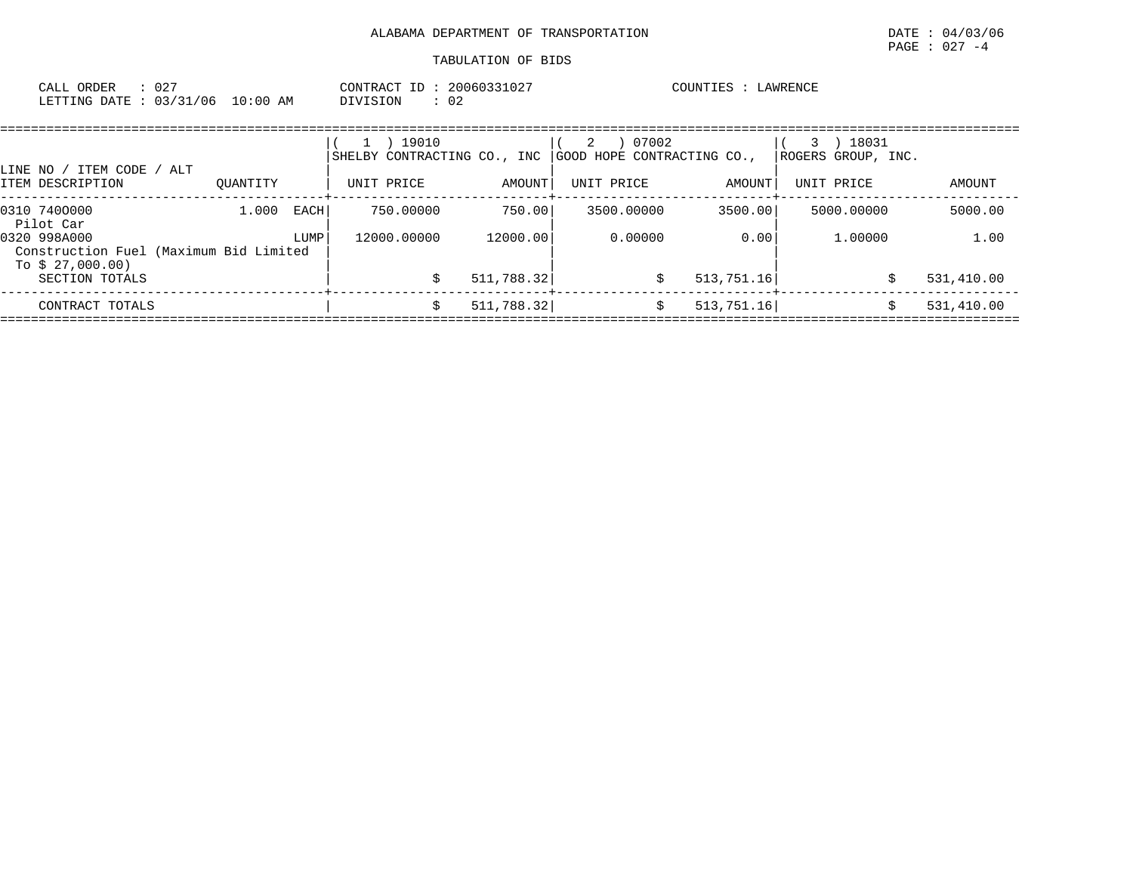| CALL ORDER<br>$\therefore$ 027<br>LETTING DATE: 03/31/06 10:00 AM | CONTRACT ID: 20060331027<br>DIVISION<br>$\therefore$ 02 |                                                                                             | COUNTIES : LAWRENCE                                                                                             |             |  |
|-------------------------------------------------------------------|---------------------------------------------------------|---------------------------------------------------------------------------------------------|-----------------------------------------------------------------------------------------------------------------|-------------|--|
|                                                                   | 1 ) 19010                                               | $(2)$ 07002<br>SHELBY CONTRACTING CO., INC GOOD HOPE CONTRACTING CO., $ ROGERS$ GROUP, INC. |                                                                                                                 | $(3)$ 18031 |  |
| LINE NO / ITEM CODE / ALT                                         |                                                         |                                                                                             | the contract of the contract of the contract of the contract of the contract of the contract of the contract of |             |  |

| ITEM DESCRIPTION                                                           | OUANTITY |             | UNIT PRICE  | AMOUNT     | UNIT PRICE | AMOUNT      | UNIT PRICE | AMOUNT     |
|----------------------------------------------------------------------------|----------|-------------|-------------|------------|------------|-------------|------------|------------|
| 0310 7400000<br>Pilot Car                                                  | 1,000    | <b>EACH</b> | 750.00000   | 750.00     | 3500.00000 | 3500.00     | 5000.00000 | 5000.00    |
| 0320 998A000<br>Construction Fuel (Maximum Bid Limited<br>To $$27,000.00)$ |          | LUMP        | 12000.00000 | 12000.00   | 0.00000    | 0.00        | 1,00000    | 1.00       |
| SECTION TOTALS                                                             |          |             |             | 511,788.32 |            | 513, 751.16 |            | 531,410.00 |
| CONTRACT TOTALS                                                            |          |             |             | 511,788.32 |            | 513, 751.16 |            | 531,410.00 |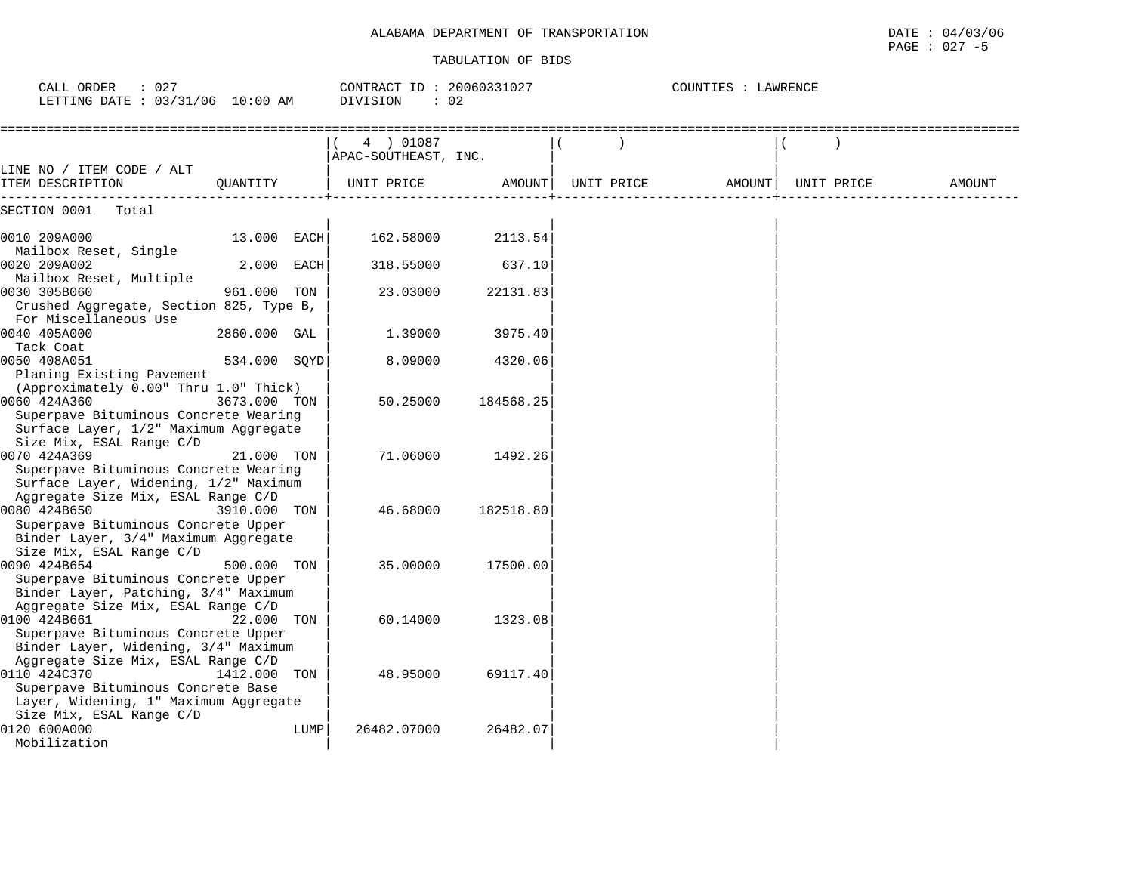| CALL ORDER<br>: 027<br>LETTING DATE : 03/31/06 10:00 AM                                                                                                                    |              | CONTRACT ID: 20060331027<br>DIVISION | $\therefore$ 02 |            | COUNTIES : LAWRENCE |            |        |
|----------------------------------------------------------------------------------------------------------------------------------------------------------------------------|--------------|--------------------------------------|-----------------|------------|---------------------|------------|--------|
|                                                                                                                                                                            |              | 4 ) 01087<br>APAC-SOUTHEAST, INC.    |                 |            |                     |            |        |
| LINE NO / ITEM CODE / ALT<br>ITEM DESCRIPTION                                                                                                                              | OUANTITY     | UNIT PRICE                           | AMOUNT          | UNIT PRICE | AMOUNT              | UNIT PRICE | AMOUNT |
| SECTION 0001<br>Total                                                                                                                                                      |              |                                      |                 |            |                     |            |        |
| 0010 209A000                                                                                                                                                               | 13.000 EACH  | 162.58000                            | 2113.54         |            |                     |            |        |
| Mailbox Reset, Single<br>0020 209A002                                                                                                                                      | 2.000 EACH   | 318.55000                            | 637.10          |            |                     |            |        |
| Mailbox Reset, Multiple<br>0030 305B060<br>Crushed Aggregate, Section 825, Type B,                                                                                         | 961.000 TON  | 23.03000                             | 22131.83        |            |                     |            |        |
| For Miscellaneous Use<br>0040 405A000                                                                                                                                      | 2860.000 GAL | 1.39000                              | 3975.40         |            |                     |            |        |
| Tack Coat<br>0050 408A051                                                                                                                                                  | 534.000 SQYD | 8,09000                              | 4320.06         |            |                     |            |        |
| Planing Existing Pavement<br>(Approximately 0.00" Thru 1.0" Thick)<br>0060 424A360<br>Superpave Bituminous Concrete Wearing                                                | 3673.000 TON | 50.25000                             | 184568.25       |            |                     |            |        |
| Surface Layer, 1/2" Maximum Aggregate<br>Size Mix, ESAL Range C/D<br>0070 424A369<br>Superpave Bituminous Concrete Wearing                                                 | 21.000 TON   | 71.06000                             | 1492.26         |            |                     |            |        |
| Surface Layer, Widening, 1/2" Maximum<br>Aggregate Size Mix, ESAL Range C/D<br>0080 424B650<br>Superpave Bituminous Concrete Upper<br>Binder Layer, 3/4" Maximum Aggregate | 3910.000 TON | 46.68000                             | 182518.80       |            |                     |            |        |
| Size Mix, ESAL Range C/D<br>0090 424B654<br>Superpave Bituminous Concrete Upper<br>Binder Layer, Patching, 3/4" Maximum                                                    | 500.000 TON  | 35.00000                             | 17500.00        |            |                     |            |        |
| Aggregate Size Mix, ESAL Range C/D<br>0100 424B661<br>Superpave Bituminous Concrete Upper<br>Binder Layer, Widening, 3/4" Maximum                                          | 22.000 TON   | 60.14000                             | 1323.08         |            |                     |            |        |
| Aggregate Size Mix, ESAL Range C/D<br>0110 424C370<br>Superpave Bituminous Concrete Base                                                                                   | 1412.000 TON | 48.95000                             | 69117.40        |            |                     |            |        |
| Layer, Widening, 1" Maximum Aggregate<br>Size Mix, ESAL Range C/D<br>0120 600A000<br>Mobilization                                                                          |              | 26482.07000<br>LUMP                  | 26482.07        |            |                     |            |        |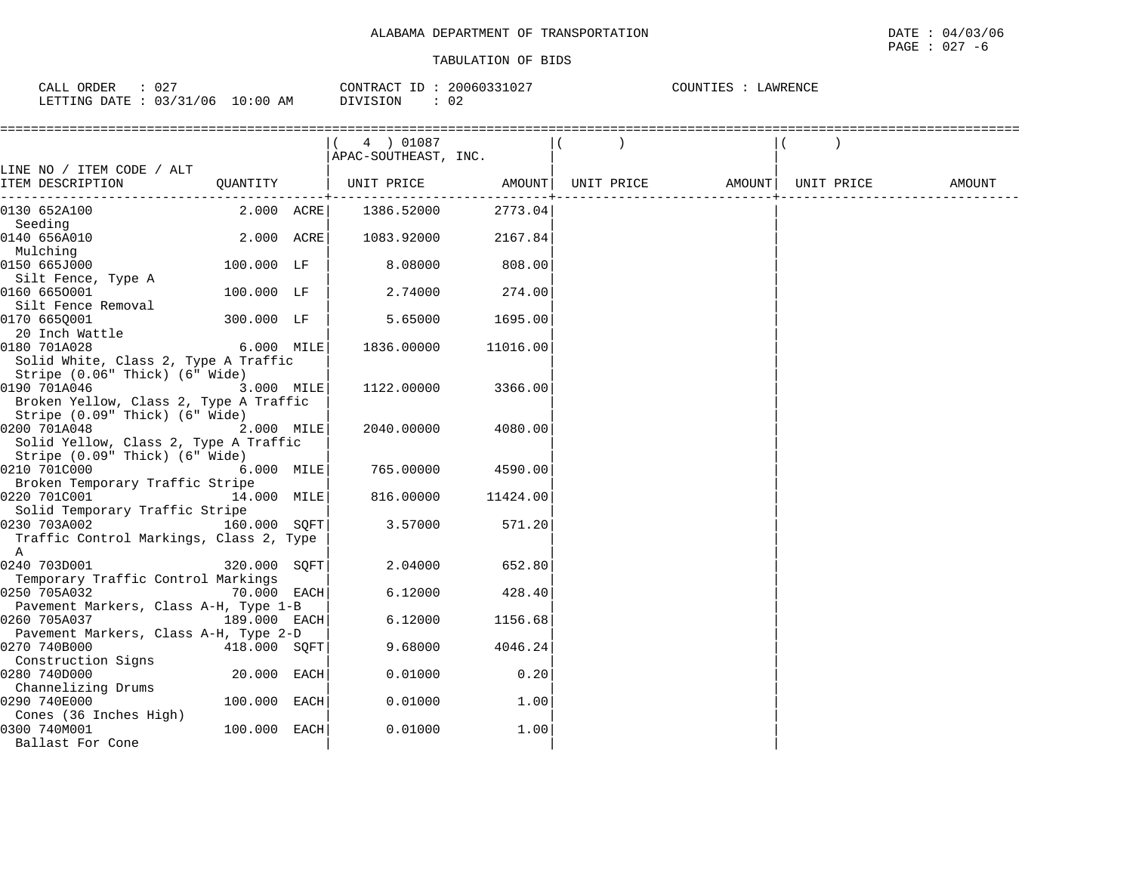| ORDER<br>CALL  | $\cap$ $\cap$<br>∪∠ |            | ID<br>CONTRACT | 20060331027 | COUNTIES<br>LAWRENCE |
|----------------|---------------------|------------|----------------|-------------|----------------------|
| LETTING DATE : | : 03/31/06          | $10:00$ AM | DIVISION       |             |                      |

|                                                                         |              | $(4)$ 01087<br>APAC-SOUTHEAST, INC.            |          |  |                                     |  |  |
|-------------------------------------------------------------------------|--------------|------------------------------------------------|----------|--|-------------------------------------|--|--|
| LINE NO / ITEM CODE / ALT                                               |              |                                                |          |  |                                     |  |  |
| ITEM DESCRIPTION                                                        |              | QUANTITY   UNIT PRICE AMOUNT<br>-+------------ |          |  | UNIT PRICE AMOUNT UNIT PRICE AMOUNT |  |  |
| 0130 652A100                                                            | $2.000$ ACRE | 1386.52000                                     | 2773.04  |  |                                     |  |  |
| Seeding<br>0140 656A010                                                 | 2.000 ACRE   | 1083.92000                                     | 2167.84  |  |                                     |  |  |
| Mulching                                                                |              |                                                |          |  |                                     |  |  |
| 0150 665J000                                                            | $100.000$ LF | 8.08000                                        | 808.00   |  |                                     |  |  |
| Silt Fence, Type A                                                      |              |                                                |          |  |                                     |  |  |
| 0160 6650001                                                            | 100.000 LF   | 2.74000                                        | 274.00   |  |                                     |  |  |
| Silt Fence Removal                                                      |              |                                                |          |  |                                     |  |  |
| 0170 665Q001                                                            | 300.000 LF   | 5.65000                                        | 1695.00  |  |                                     |  |  |
| 20 Inch Wattle                                                          |              |                                                |          |  |                                     |  |  |
| 0180 701A028                                                            | 6.000 MILE   | 1836.00000                                     | 11016.00 |  |                                     |  |  |
| Solid White, Class 2, Type A Traffic                                    |              |                                                |          |  |                                     |  |  |
| Stripe (0.06" Thick) (6" Wide)                                          |              |                                                |          |  |                                     |  |  |
| 0190 701A046                                                            | 3.000 MILE   | 1122.00000                                     | 3366.00  |  |                                     |  |  |
| Broken Yellow, Class 2, Type A Traffic                                  |              |                                                |          |  |                                     |  |  |
| Stripe (0.09" Thick) (6" Wide)                                          |              |                                                |          |  |                                     |  |  |
| 0200 701A048                                                            | 2.000 MILE   | 2040.00000                                     | 4080.00  |  |                                     |  |  |
| Solid Yellow, Class 2, Type A Traffic<br>Stripe (0.09" Thick) (6" Wide) |              |                                                |          |  |                                     |  |  |
| 0210 701C000                                                            | 6.000 MILE   | 765.00000                                      | 4590.00  |  |                                     |  |  |
| Broken Temporary Traffic Stripe                                         |              |                                                |          |  |                                     |  |  |
| 0220 701C001                                                            | 14.000 MILE  | 816.00000                                      | 11424.00 |  |                                     |  |  |
| Solid Temporary Traffic Stripe                                          |              |                                                |          |  |                                     |  |  |
| 160.000 SQFT<br>0230 703A002                                            |              | 3.57000                                        | 571.20   |  |                                     |  |  |
| Traffic Control Markings, Class 2, Type                                 |              |                                                |          |  |                                     |  |  |
| A                                                                       |              |                                                |          |  |                                     |  |  |
| 0240 703D001                                                            | 320.000 SOFT | 2.04000                                        | 652.80   |  |                                     |  |  |
| Temporary Traffic Control Markings                                      |              |                                                |          |  |                                     |  |  |
| 0250 705A032                                                            | 70.000 EACH  | 6.12000                                        | 428.40   |  |                                     |  |  |
| Pavement Markers, Class A-H, Type 1-B                                   |              |                                                |          |  |                                     |  |  |
| 0260 705A037                                                            | 189.000 EACH | 6.12000                                        | 1156.68  |  |                                     |  |  |
| Pavement Markers, Class A-H, Type 2-D                                   |              |                                                |          |  |                                     |  |  |
| 0270 740B000                                                            | 418.000 SOFT | 9.68000                                        | 4046.24  |  |                                     |  |  |
| Construction Signs                                                      |              |                                                |          |  |                                     |  |  |
| 0280 740D000                                                            | 20.000 EACH  | 0.01000                                        | 0.20     |  |                                     |  |  |
| Channelizing Drums                                                      |              |                                                |          |  |                                     |  |  |
| 0290 740E000<br>Cones (36 Inches High)                                  | 100.000 EACH | 0.01000                                        | 1.00     |  |                                     |  |  |
| 0300 740M001                                                            | 100.000 EACH | 0.01000                                        | 1.00     |  |                                     |  |  |
| Ballast For Cone                                                        |              |                                                |          |  |                                     |  |  |
|                                                                         |              |                                                |          |  |                                     |  |  |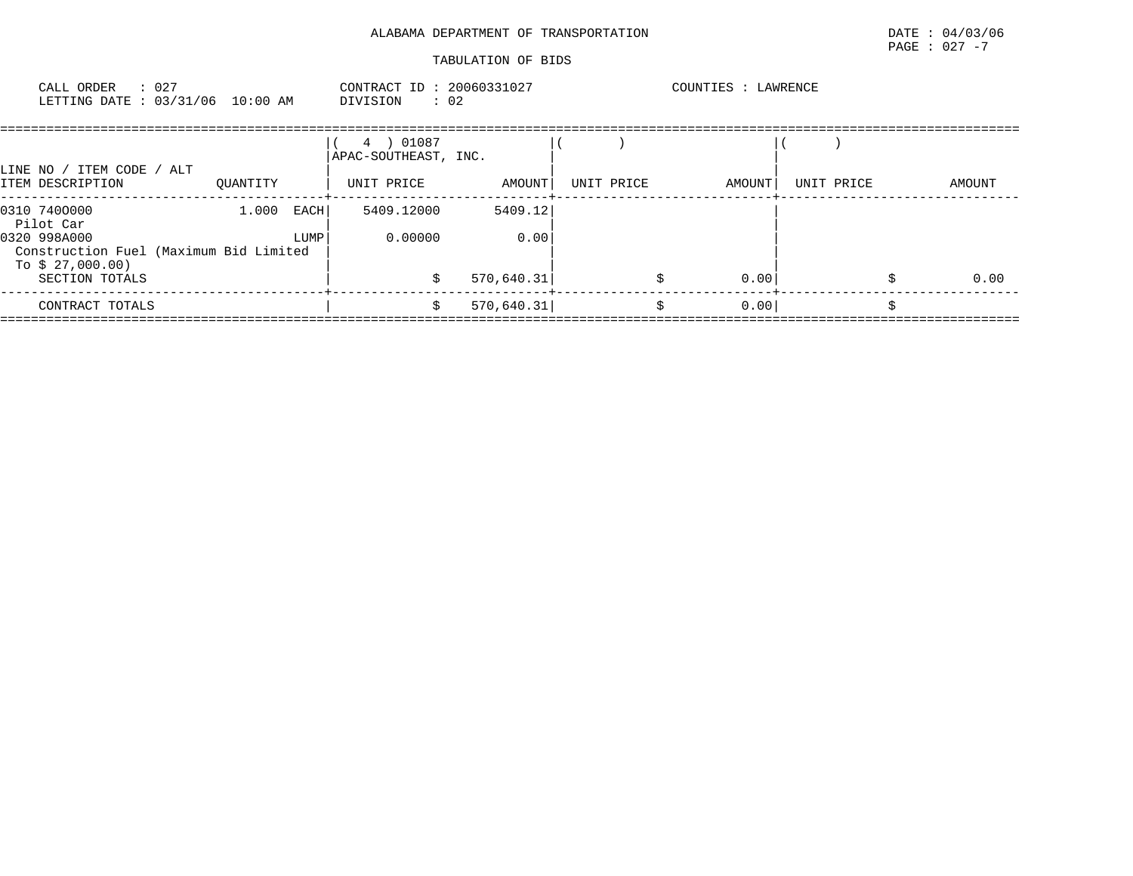| CALL ORDER<br>: 027<br>LETTING DATE : 03/31/06 10:00 AM                                                                   |          |                | CONTRACT ID: 20060331027<br>$\therefore$ 02<br>DIVISION |                               |            | COUNTIES : LAWRENCE |            |        |
|---------------------------------------------------------------------------------------------------------------------------|----------|----------------|---------------------------------------------------------|-------------------------------|------------|---------------------|------------|--------|
| LINE NO / ITEM CODE / ALT<br>ITEM DESCRIPTION                                                                             | OUANTITY |                | 4 ) 01087<br>APAC-SOUTHEAST, INC.<br>UNIT PRICE         | AMOUNT                        | UNIT PRICE | AMOUNT              | UNIT PRICE | AMOUNT |
| 0310 7400000<br>Pilot Car<br>0320 998A000<br>Construction Fuel (Maximum Bid Limited<br>To $$27,000.00)$<br>SECTION TOTALS | 1.000    | EACH  <br>LUMP | 5409.12000<br>0.00000                                   | 5409.12<br>0.00<br>570,640.31 |            | 0.00                |            | 0.00   |
| CONTRACT TOTALS                                                                                                           |          |                | s                                                       | 570,640.31                    |            | 0.00<br>\$          |            |        |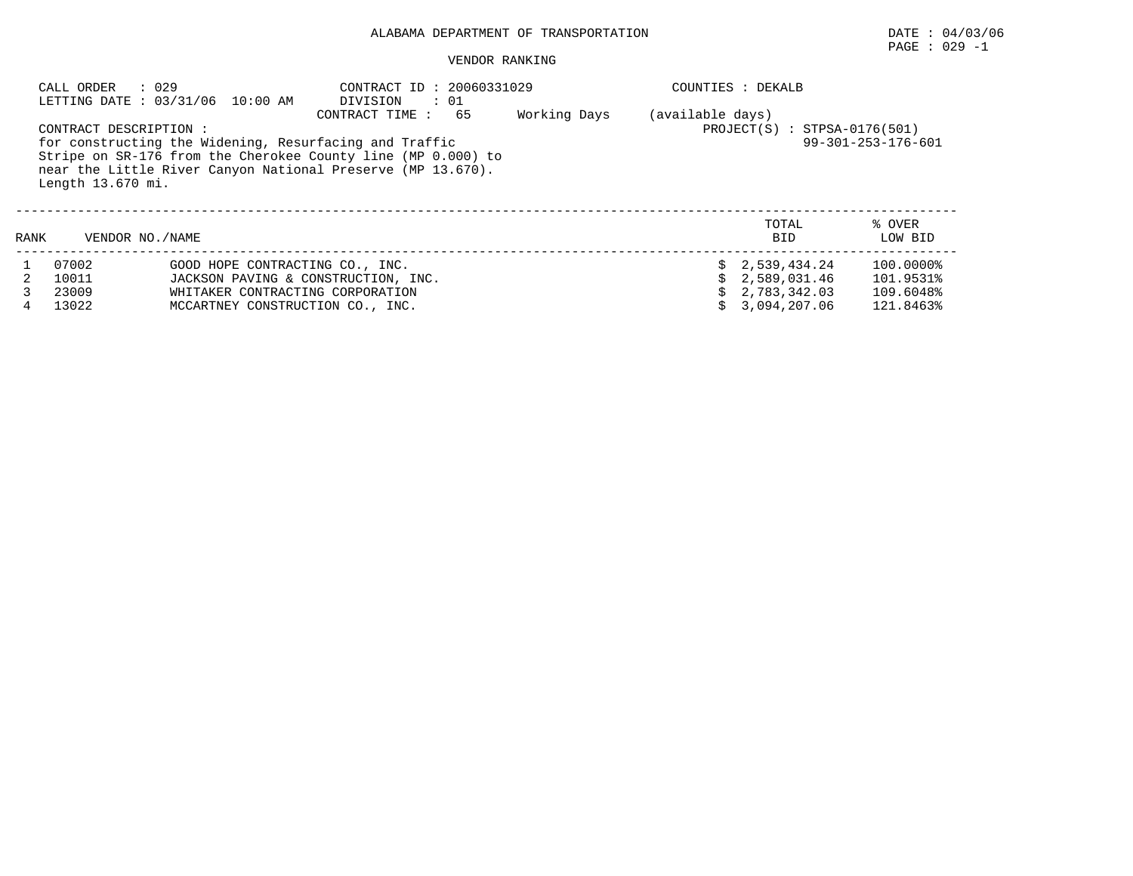## PAGE : 029 -1

#### VENDOR RANKING

|      | : 029<br>CALL ORDER                        |                                                                                                                                                                                                                           | : 20060331029    | COUNTIES : DEKALB              |                              |                     |                   |  |  |
|------|--------------------------------------------|---------------------------------------------------------------------------------------------------------------------------------------------------------------------------------------------------------------------------|------------------|--------------------------------|------------------------------|---------------------|-------------------|--|--|
|      | CONTRACT DESCRIPTION:<br>Length 13.670 mi. | LETTING DATE : 03/31/06 10:00 AM<br>for constructing the Widening, Resurfacing and Traffic<br>Stripe on SR-176 from the Cherokee County line (MP 0.000) to<br>near the Little River Canyon National Preserve (MP 13.670). | (available days) | $PROJECT(S) : STPSA-0176(501)$ | $99 - 301 - 253 - 176 - 601$ |                     |                   |  |  |
| RANK | VENDOR NO./NAME                            |                                                                                                                                                                                                                           |                  |                                |                              | TOTAL<br><b>BID</b> | % OVER<br>LOW BID |  |  |
|      | 07002                                      | GOOD HOPE CONTRACTING CO., INC.                                                                                                                                                                                           |                  |                                |                              | \$2,539,434.24      | 100.0000%         |  |  |
|      | 10011                                      | JACKSON PAVING & CONSTRUCTION, INC.                                                                                                                                                                                       |                  |                                |                              | 2,589,031.46        | 101.9531%         |  |  |
|      | 23009                                      | WHITAKER CONTRACTING CORPORATION                                                                                                                                                                                          |                  |                                |                              | 2,783,342.03        | 109.6048%         |  |  |
| 4    | 13022                                      | MCCARTNEY CONSTRUCTION CO., INC.                                                                                                                                                                                          |                  | 3,094,207.06                   | 121.8463%                    |                     |                   |  |  |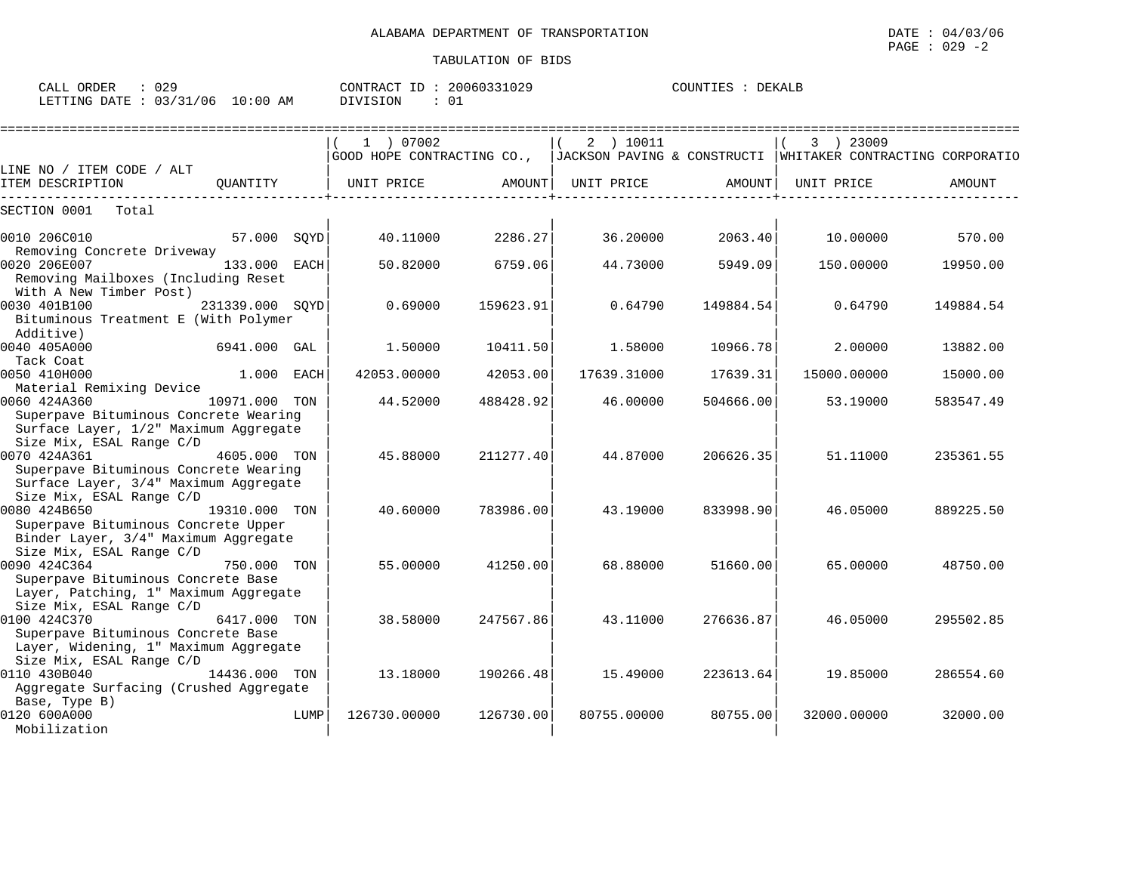| $\sim$ $\sim$ $\sim$ $\sim$<br>ORDER<br>CALL | าวฉ          |                  | CONTR<br>$\sqrt{2}$<br>TD.<br>'R A ( | 30060331029   | COUNTIES | DEKALE |
|----------------------------------------------|--------------|------------------|--------------------------------------|---------------|----------|--------|
| <b>ETTING</b><br>DATE                        | 0.212<br>106 | :00<br>L O<br>AΜ | VISION                               | $\sim$<br>ັ∪⊥ |          |        |

|                                                                                                                            |                 |      | 1 ) 07002    |           | 2 ) 10011   |           | 3 ) 23009   |                                                                                          |
|----------------------------------------------------------------------------------------------------------------------------|-----------------|------|--------------|-----------|-------------|-----------|-------------|------------------------------------------------------------------------------------------|
|                                                                                                                            |                 |      |              |           |             |           |             | GOOD HOPE CONTRACTING CO.,  JACKSON PAVING & CONSTRUCTI  WHITAKER CONTRACTING CORPORATIO |
| LINE NO / ITEM CODE / ALT<br>ITEM DESCRIPTION                                                                              | OUANTITY        |      | UNIT PRICE   | AMOUNT    | UNIT PRICE  | AMOUNT    | UNIT PRICE  | AMOUNT                                                                                   |
| SECTION 0001<br>Total                                                                                                      |                 |      |              |           |             |           |             |                                                                                          |
| 0010 206C010                                                                                                               | 57.000 SOYD     |      | 40.11000     | 2286.27   | 36.20000    | 2063.40   | 10.00000    | 570.00                                                                                   |
| Removing Concrete Driveway<br>0020 206E007<br>Removing Mailboxes (Including Reset<br>With A New Timber Post)               | 133.000 EACH    |      | 50.82000     | 6759.06   | 44.73000    | 5949.09   | 150.00000   | 19950.00                                                                                 |
| 0030 401B100<br>Bituminous Treatment E (With Polymer<br>Additive)                                                          | 231339.000 SOYD |      | 0.69000      | 159623.91 | 0.64790     | 149884.54 | 0.64790     | 149884.54                                                                                |
| 0040 405A000<br>Tack Coat                                                                                                  | 6941.000 GAL    |      | 1.50000      | 10411.50  | 1.58000     | 10966.78  | 2.00000     | 13882.00                                                                                 |
| 0050 410H000<br>Material Remixing Device                                                                                   | $1.000$ EACH    |      | 42053.00000  | 42053.00  | 17639.31000 | 17639.31  | 15000.00000 | 15000.00                                                                                 |
| 0060 424A360<br>Superpave Bituminous Concrete Wearing<br>Surface Layer, 1/2" Maximum Aggregate<br>Size Mix, ESAL Range C/D | 10971.000 TON   |      | 44.52000     | 488428.92 | 46.00000    | 504666.00 | 53.19000    | 583547.49                                                                                |
| 0070 424A361<br>Superpave Bituminous Concrete Wearing<br>Surface Layer, 3/4" Maximum Aggregate<br>Size Mix, ESAL Range C/D | 4605.000 TON    |      | 45.88000     | 211277.40 | 44.87000    | 206626.35 | 51.11000    | 235361.55                                                                                |
| 0080 424B650<br>Superpave Bituminous Concrete Upper<br>Binder Layer, 3/4" Maximum Aggregate<br>Size Mix, ESAL Range C/D    | 19310.000 TON   |      | 40.60000     | 783986.00 | 43.19000    | 833998.90 | 46.05000    | 889225.50                                                                                |
| 0090 424C364<br>Superpave Bituminous Concrete Base<br>Layer, Patching, 1" Maximum Aggregate<br>Size Mix, ESAL Range C/D    | 750.000 TON     |      | 55.00000     | 41250.00  | 68.88000    | 51660.00  | 65.00000    | 48750.00                                                                                 |
| 0100 424C370<br>Superpave Bituminous Concrete Base<br>Layer, Widening, 1" Maximum Aggregate<br>Size Mix, ESAL Range C/D    | 6417.000        | TON  | 38.58000     | 247567.86 | 43.11000    | 276636.87 | 46.05000    | 295502.85                                                                                |
| 0110 430B040<br>Aggregate Surfacing (Crushed Aggregate<br>Base, Type B)                                                    | 14436.000 TON   |      | 13.18000     | 190266.48 | 15.49000    | 223613.64 | 19.85000    | 286554.60                                                                                |
| 0120 600A000<br>Mobilization                                                                                               |                 | LUMP | 126730.00000 | 126730.00 | 80755.00000 | 80755.00  | 32000.00000 | 32000.00                                                                                 |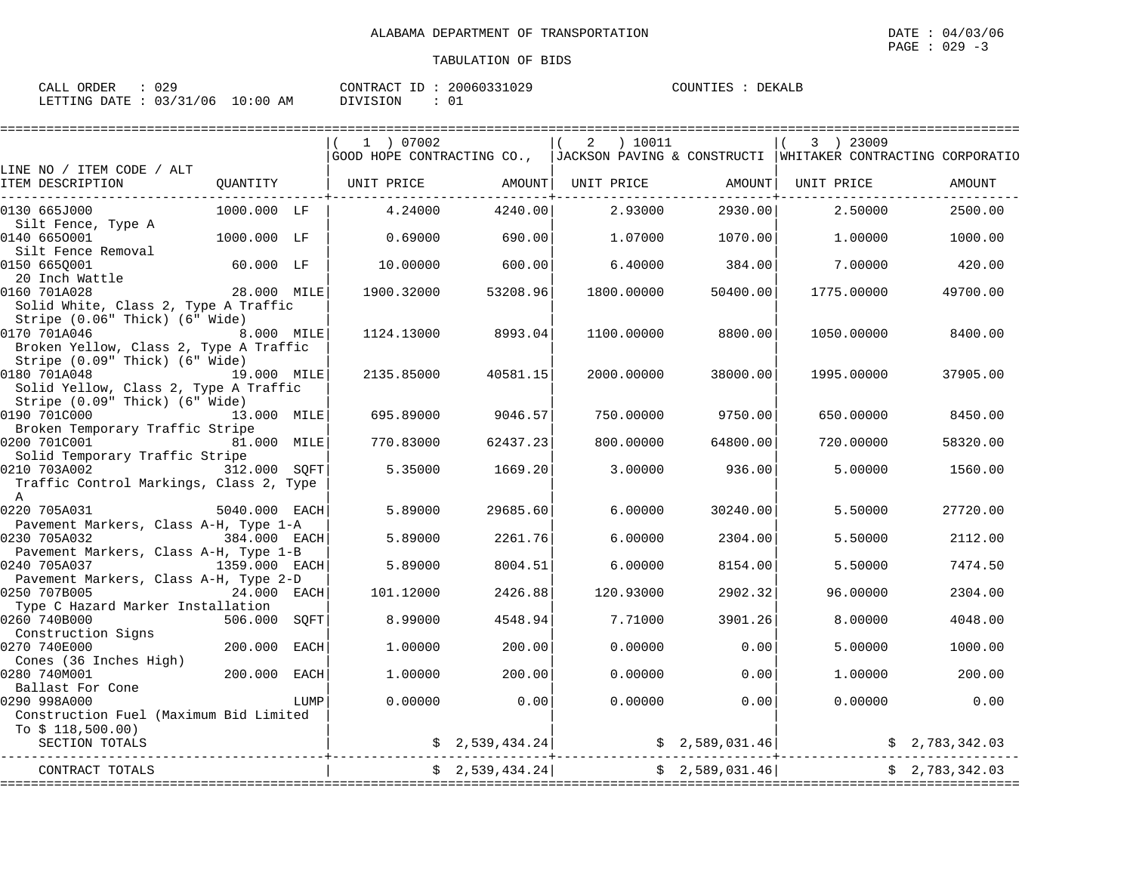| : 029<br>CALL ORDER              | CONTRACT ID: 20060331029 | COUNTIES : DEKALB |
|----------------------------------|--------------------------|-------------------|
| LETTING DATE : 03/31/06 10:00 AM | DIVISION<br>: 01         |                   |

|                                                                                                                            |               |      | 1 ) 07002  |                 | 2          | ) 10011    |                 | 3 ) 23009  |                                                                                            |
|----------------------------------------------------------------------------------------------------------------------------|---------------|------|------------|-----------------|------------|------------|-----------------|------------|--------------------------------------------------------------------------------------------|
| LINE NO / ITEM CODE / ALT                                                                                                  |               |      |            |                 |            |            |                 |            | GOOD HOPE CONTRACTING CO.,   JACKSON PAVING & CONSTRUCTI   WHITAKER CONTRACTING CORPORATIO |
| ITEM DESCRIPTION                                                                                                           | QUANTITY      |      | UNIT PRICE | AMOUNT          | UNIT PRICE |            | AMOUNT          | UNIT PRICE | <b>AMOUNT</b>                                                                              |
| 0130 665J000                                                                                                               | 1000.000 LF   |      | 4.24000    | 4240.00         |            | 2.93000    | 2930.00         | 2.50000    | 2500.00                                                                                    |
| Silt Fence, Type A<br>0140 6650001<br>Silt Fence Removal                                                                   | 1000.000 LF   |      | 0.69000    | 690.00          |            | 1,07000    | 1070.00         | 1,00000    | 1000.00                                                                                    |
| 0150 6650001<br>20 Inch Wattle                                                                                             | 60.000 LF     |      | 10.00000   | 600.00          |            | 6.40000    | 384.00          | 7.00000    | 420.00                                                                                     |
| 0160 701A028<br>Solid White, Class 2, Type A Traffic                                                                       | 28.000 MILE   |      | 1900.32000 | 53208.96        | 1800.00000 |            | 50400.00        | 1775.00000 | 49700.00                                                                                   |
| Stripe (0.06" Thick) (6" Wide)<br>0170 701A046<br>Broken Yellow, Class 2, Type A Traffic<br>Stripe (0.09" Thick) (6" Wide) | 8.000 MILE    |      | 1124.13000 | 8993.04         | 1100.00000 |            | 8800.00         | 1050.00000 | 8400.00                                                                                    |
| 0180 701A048<br>Solid Yellow, Class 2, Type A Traffic                                                                      | 19.000 MILE   |      | 2135.85000 | 40581.15        |            | 2000.00000 | 38000.00        | 1995.00000 | 37905.00                                                                                   |
| Stripe (0.09" Thick) (6" Wide)<br>0190 701C000<br>Broken Temporary Traffic Stripe                                          | 13.000 MILE   |      | 695.89000  | 9046.57         |            | 750.00000  | 9750.00         | 650.00000  | 8450.00                                                                                    |
| 0200 701C001<br>Solid Temporary Traffic Stripe                                                                             | 81.000 MILE   |      | 770.83000  | 62437.23        |            | 800.00000  | 64800.00        | 720.00000  | 58320.00                                                                                   |
| 0210 703A002<br>Traffic Control Markings, Class 2, Type<br>A                                                               | 312.000 SOFT  |      | 5.35000    | 1669.20         |            | 3.00000    | 936.00          | 5.00000    | 1560.00                                                                                    |
| 0220 705A031                                                                                                               | 5040.000 EACH |      | 5.89000    | 29685.60        |            | 6,00000    | 30240.00        | 5.50000    | 27720.00                                                                                   |
| Pavement Markers, Class A-H, Type 1-A<br>0230 705A032<br>Pavement Markers, Class A-H, Type 1-B                             | 384.000 EACH  |      | 5.89000    | 2261.76         |            | 6.00000    | 2304.00         | 5.50000    | 2112.00                                                                                    |
| 0240 705A037<br>Pavement Markers, Class A-H, Type 2-D                                                                      | 1359.000 EACH |      | 5.89000    | 8004.51         |            | 6.00000    | 8154.00         | 5.50000    | 7474.50                                                                                    |
| 0250 707B005<br>Type C Hazard Marker Installation                                                                          | 24.000 EACH   |      | 101.12000  | 2426.88         |            | 120.93000  | 2902.32         | 96.00000   | 2304.00                                                                                    |
| 0260 740B000<br>Construction Signs                                                                                         | 506.000       | SOFT | 8.99000    | 4548.94         |            | 7.71000    | 3901.26         | 8.00000    | 4048.00                                                                                    |
| 0270 740E000<br>Cones (36 Inches High)                                                                                     | 200,000       | EACH | 1,00000    | 200.00          |            | 0.00000    | 0.00            | 5.00000    | 1000.00                                                                                    |
| 0280 740M001<br>Ballast For Cone                                                                                           | 200.000       | EACH | 1,00000    | 200.00          |            | 0.00000    | 0.00            | 1,00000    | 200.00                                                                                     |
| 0290 998A000<br>Construction Fuel (Maximum Bid Limited<br>To $$118,500.00)$                                                |               | LUMP | 0.00000    | 0.00            |            | 0.00000    | 0.00            | 0.00000    | 0.00                                                                                       |
| SECTION TOTALS                                                                                                             |               |      |            | \$2,539,434.24] |            |            | \$2,589,031.46] |            | \$2,783,342.03                                                                             |
| CONTRACT TOTALS                                                                                                            |               |      |            | \$2,539,434.24] |            |            | \$2,589,031.46] |            | \$2,783,342.03                                                                             |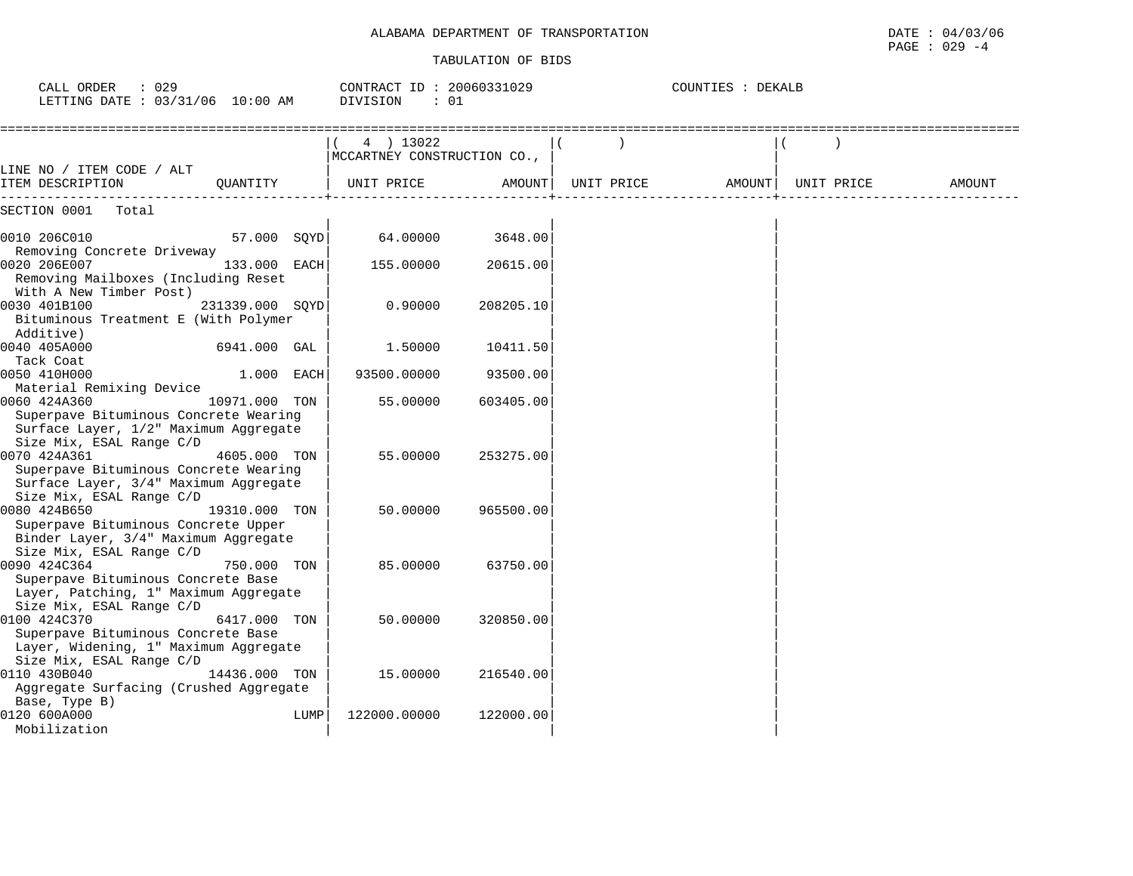## ALABAMA DEPARTMENT OF TRANSPORTATION

| ALABAMA<br>OF<br>TRANSPORTATION<br>DEPARTMENT | DATE<br>/06<br>04.<br>. <i>.</i><br>the contract of the contract of the contract of the contract of the contract of the contract of the contract of |
|-----------------------------------------------|-----------------------------------------------------------------------------------------------------------------------------------------------------|
|                                               | 029<br>PAGE<br>$ \epsilon$                                                                                                                          |

| CALL ORDER<br>: 029<br>LETTING DATE : 03/31/06 10:00 AM                                                                    |                 |      | CONTRACT ID: 20060331029<br>DIVISION<br>: 01 |           |            | COUNTIES : DEKALB |            |        |
|----------------------------------------------------------------------------------------------------------------------------|-----------------|------|----------------------------------------------|-----------|------------|-------------------|------------|--------|
|                                                                                                                            |                 |      | 4 ) 13022<br>MCCARTNEY CONSTRUCTION CO.,     |           |            |                   |            |        |
| LINE NO / ITEM CODE / ALT<br>ITEM DESCRIPTION                                                                              | OUANTITY        |      | UNIT PRICE                                   | AMOUNT    | UNIT PRICE | AMOUNT            | UNIT PRICE | AMOUNT |
| SECTION 0001<br>Total                                                                                                      |                 |      |                                              |           |            |                   |            |        |
| 0010 206C010<br>Removing Concrete Driveway                                                                                 | 57.000 SOYD     |      | 64.00000                                     | 3648.00   |            |                   |            |        |
| 0020 206E007<br>Removing Mailboxes (Including Reset<br>With A New Timber Post)                                             | 133.000 EACH    |      | 155.00000                                    | 20615.00  |            |                   |            |        |
| 0030 401B100<br>Bituminous Treatment E (With Polymer<br>Additive)                                                          | 231339.000 SOYD |      | 0.90000                                      | 208205.10 |            |                   |            |        |
| 0040 405A000<br>Tack Coat                                                                                                  | 6941.000 GAL    |      | 1.50000                                      | 10411.50  |            |                   |            |        |
| 0050 410H000<br>Material Remixing Device                                                                                   | 1.000 EACH      |      | 93500.00000                                  | 93500.00  |            |                   |            |        |
| 0060 424A360<br>Superpave Bituminous Concrete Wearing<br>Surface Layer, 1/2" Maximum Aggregate<br>Size Mix, ESAL Range C/D | 10971.000 TON   |      | 55.00000                                     | 603405.00 |            |                   |            |        |
| 0070 424A361<br>Superpave Bituminous Concrete Wearing<br>Surface Layer, 3/4" Maximum Aggregate<br>Size Mix, ESAL Range C/D | 4605.000 TON    |      | 55.00000                                     | 253275.00 |            |                   |            |        |
| 0080 424B650<br>Superpave Bituminous Concrete Upper<br>Binder Layer, 3/4" Maximum Aggregate<br>Size Mix, ESAL Range C/D    | 19310.000 TON   |      | 50.00000                                     | 965500.00 |            |                   |            |        |
| 0090 424C364<br>Superpave Bituminous Concrete Base<br>Layer, Patching, 1" Maximum Aggregate<br>Size Mix, ESAL Range C/D    | 750.000 TON     |      | 85,00000                                     | 63750.00  |            |                   |            |        |
| 0100 424C370<br>Superpave Bituminous Concrete Base<br>Layer, Widening, 1" Maximum Aggregate<br>Size Mix, ESAL Range C/D    | 6417.000 TON    |      | 50.00000                                     | 320850.00 |            |                   |            |        |
| 0110 430B040<br>Aggregate Surfacing (Crushed Aggregate<br>Base, Type B)                                                    | 14436.000 TON   |      | 15.00000                                     | 216540.00 |            |                   |            |        |
| 0120 600A000<br>Mobilization                                                                                               |                 | LUMP | 122000.00000                                 | 122000.00 |            |                   |            |        |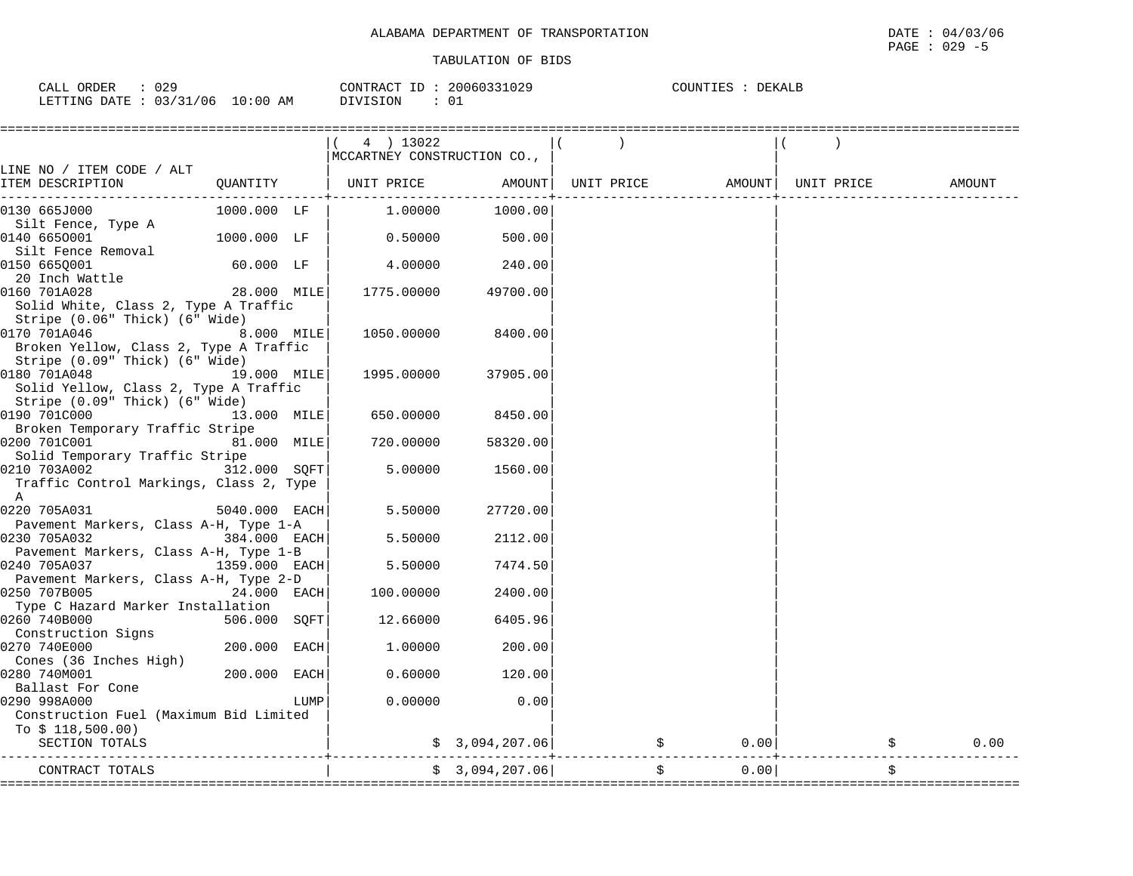| 029<br>ORDER<br>CALL (          | CONTRACT ID : | 20060331029 | COUNTIES<br><b>DEKALB</b> |
|---------------------------------|---------------|-------------|---------------------------|
| LETTING DATE: 03/31/06 10:00 AM | DIVISION      | 0 T         |                           |

|                                                                                                                |                 |      | (4) 13022<br>  MCCARTNEY CONSTRUCTION CO., |                 |            |            |                    |        |
|----------------------------------------------------------------------------------------------------------------|-----------------|------|--------------------------------------------|-----------------|------------|------------|--------------------|--------|
| LINE NO / ITEM CODE / ALT<br>ITEM DESCRIPTION                                                                  | QUANTITY        |      | UNIT PRICE                                 | AMOUNT          | UNIT PRICE |            | AMOUNT  UNIT PRICE | AMOUNT |
| 0130 665J000                                                                                                   | 1000.000 LF     |      | 1.00000                                    | 1000.00         |            |            |                    |        |
| Silt Fence, Type A<br>0140 6650001                                                                             | 1000.000 LF     |      | 0.50000                                    | 500.00          |            |            |                    |        |
| Silt Fence Removal<br>0150 665Q001<br>20 Inch Wattle                                                           | 60.000 LF       |      | 4.00000                                    | 240.00          |            |            |                    |        |
| 0160 701A028<br>Solid White, Class 2, Type A Traffic                                                           | 28.000 MILE     |      | 1775.00000                                 | 49700.00        |            |            |                    |        |
| Stripe (0.06" Thick) (6" Wide)<br>0170 701A046<br>Broken Yellow, Class 2, Type A Traffic                       | 8.000 MILE      |      | 1050.00000                                 | 8400.00         |            |            |                    |        |
| Stripe (0.09" Thick) (6" Wide)<br>0180 701A048<br>Solid Yellow, Class 2, Type A Traffic                        | 19.000 MILE     |      | 1995.00000                                 | 37905.00        |            |            |                    |        |
| Stripe (0.09" Thick) (6" Wide)<br>0190 701C000                                                                 | 13.000 MILE     |      | 650.00000                                  | 8450.00         |            |            |                    |        |
| Broken Temporary Traffic Stripe<br>0200 701C001<br>81.000 MILE<br>Solid Temporary Traffic Stripe               |                 |      | 720.00000                                  | 58320.00        |            |            |                    |        |
| 0210 703A002<br>Traffic Control Markings, Class 2, Type                                                        | 312.000 SOFT    |      | 5.00000                                    | 1560.00         |            |            |                    |        |
| $\mathbb A$<br>0220 705A031                                                                                    | $5040.000$ EACH |      | 5.50000                                    | 27720.00        |            |            |                    |        |
| Pavement Markers, Class A-H, Type 1-A<br>384.000 EACH<br>0230 705A032<br>Pavement Markers, Class A-H, Type 1-B |                 |      | 5.50000                                    | 2112.00         |            |            |                    |        |
| 0240 705A037<br>Pavement Markers, Class A-H, Type 2-D                                                          | 1359.000 EACH   |      | 5.50000                                    | 7474.50         |            |            |                    |        |
| 0250 707B005<br>Type C Hazard Marker Installation                                                              | 24.000 EACH     |      | 100.00000                                  | 2400.00         |            |            |                    |        |
| 0260 740B000<br>Construction Signs                                                                             | 506.000 SOFT    |      | 12.66000                                   | 6405.96         |            |            |                    |        |
| 0270 740E000<br>Cones (36 Inches High)                                                                         | 200.000 EACH    |      | 1.00000                                    | 200.00          |            |            |                    |        |
| 0280 740M001<br>Ballast For Cone                                                                               | 200.000 EACH    |      | 0.60000                                    | 120.00          |            |            |                    |        |
| 0290 998A000<br>Construction Fuel (Maximum Bid Limited<br>To $$118,500.00)$                                    |                 | LUMP | 0.00000                                    | 0.00            |            |            |                    |        |
| SECTION TOTALS                                                                                                 |                 |      |                                            | \$3,094,207.06] |            | 0.00       |                    | 0.00   |
| CONTRACT TOTALS                                                                                                |                 |      |                                            | \$3,094,207.06] |            | \$<br>0.00 |                    | \$     |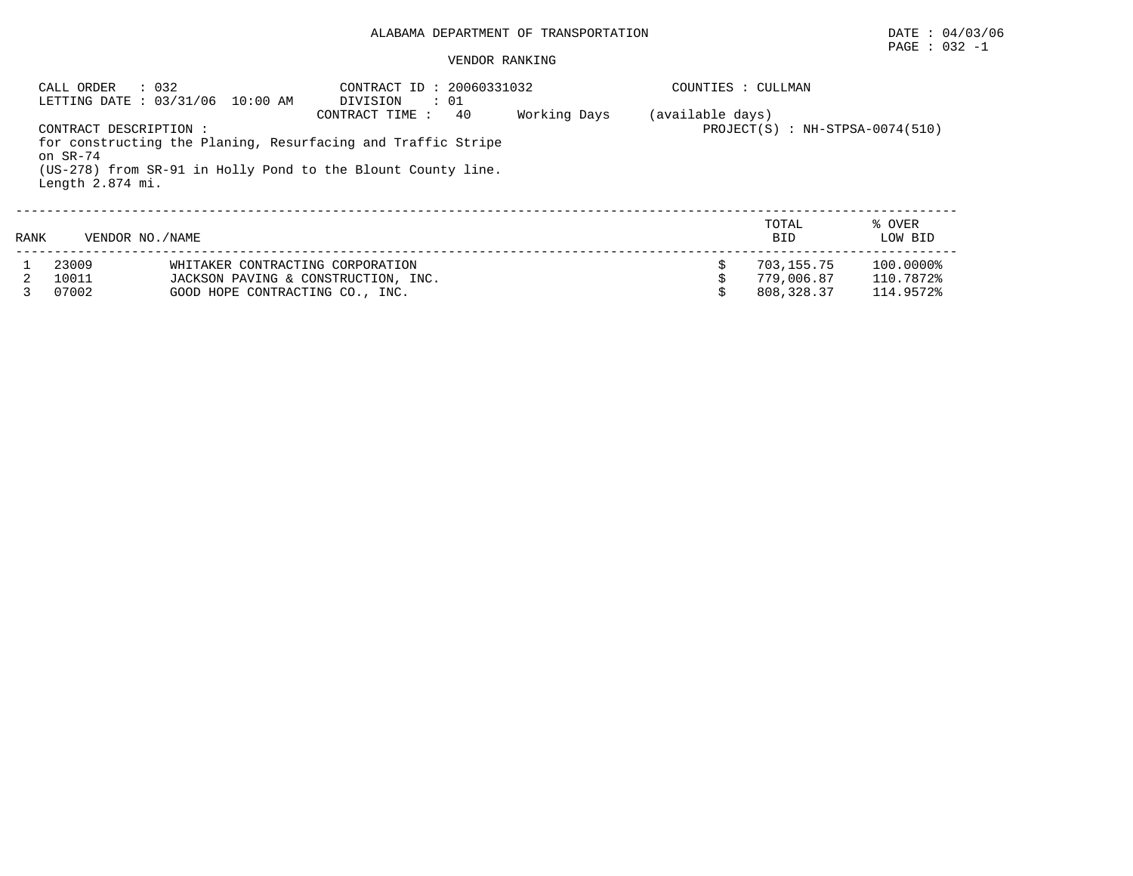#### VENDOR RANKING

| : 032<br>: 20060331032<br>CALL ORDER<br>CONTRACT ID<br>LETTING DATE: 03/31/06 10:00 AM<br>DIVISION<br>$\cdot$ 01 |                                                        |                                     |                                                                                                                                                      |              | COUNTIES : CULLMAN                                    |                     |                   |  |  |
|------------------------------------------------------------------------------------------------------------------|--------------------------------------------------------|-------------------------------------|------------------------------------------------------------------------------------------------------------------------------------------------------|--------------|-------------------------------------------------------|---------------------|-------------------|--|--|
|                                                                                                                  | CONTRACT DESCRIPTION :<br>on SR-74<br>Length 2.874 mi. |                                     | 40<br>CONTRACT TIME:<br>for constructing the Planing, Resurfacing and Traffic Stripe<br>(US-278) from SR-91 in Holly Pond to the Blount County line. | Working Days | (available days)<br>$PROJECT(S)$ : NH-STPSA-0074(510) |                     |                   |  |  |
| RANK                                                                                                             | VENDOR NO. / NAME                                      |                                     |                                                                                                                                                      |              |                                                       | TOTAL<br><b>BID</b> | % OVER<br>LOW BID |  |  |
|                                                                                                                  | 23009                                                  | WHITAKER CONTRACTING CORPORATION    |                                                                                                                                                      |              |                                                       | 703,155.75          | 100.0000%         |  |  |
|                                                                                                                  | 10011                                                  | JACKSON PAVING & CONSTRUCTION, INC. |                                                                                                                                                      |              |                                                       | 779,006.87          | 110.7872%         |  |  |
|                                                                                                                  | 07002                                                  | GOOD HOPE CONTRACTING CO., INC.     |                                                                                                                                                      |              |                                                       | 808,328.37          | 114.9572%         |  |  |

 $\texttt{PAGE}$  : 032 -1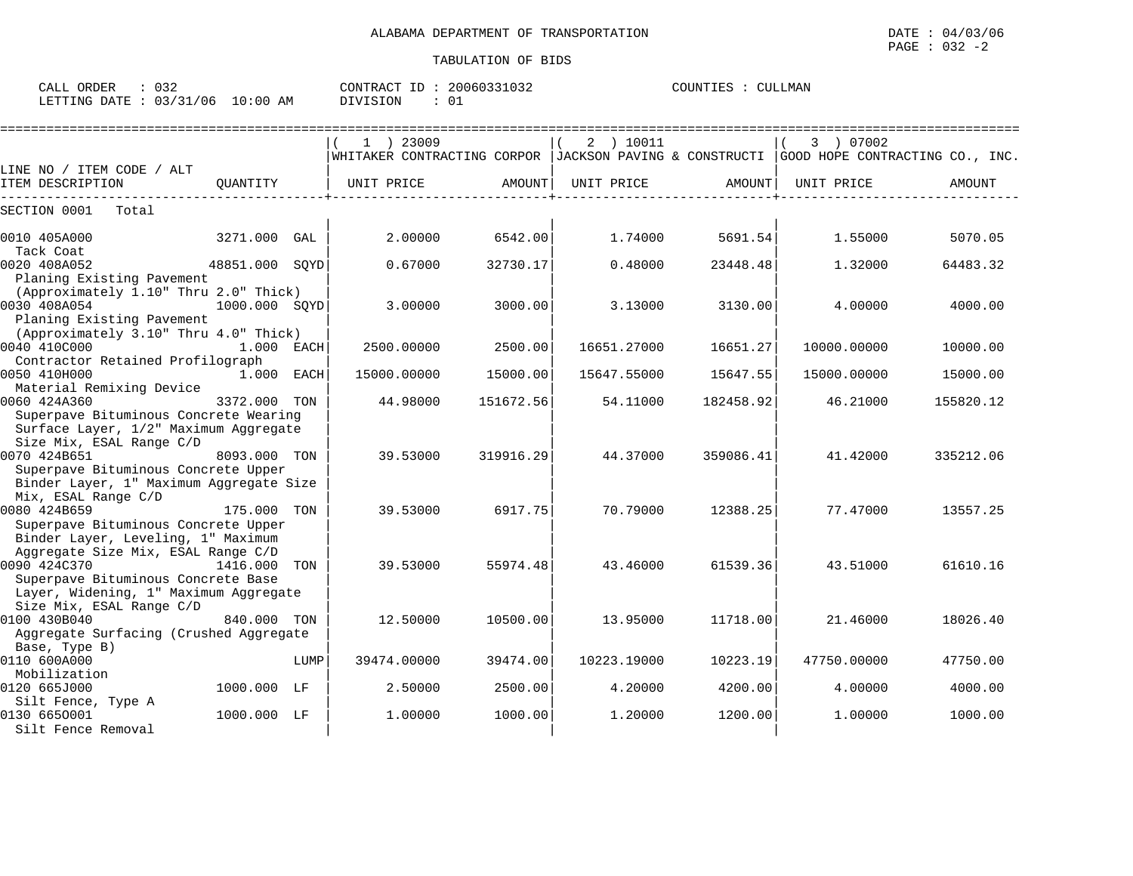| 032<br>CALL ORDER               | CONTRACT ID: 20060331032 | COUNTIES : CULLMAN |
|---------------------------------|--------------------------|--------------------|
| LETTING DATE: 03/31/06 10:00 AM | DIVISION                 |                    |

|                                                                          |                 |      | $1$ ) 23009                                                                               |           | 2 ) 10011   |           | 3 ) 07002   |           |
|--------------------------------------------------------------------------|-----------------|------|-------------------------------------------------------------------------------------------|-----------|-------------|-----------|-------------|-----------|
|                                                                          |                 |      | WHITAKER CONTRACTING CORPOR  JACKSON PAVING & CONSTRUCTI  GOOD HOPE CONTRACTING CO., INC. |           |             |           |             |           |
| LINE NO / ITEM CODE / ALT<br>ITEM DESCRIPTION                            | OUANTITY        |      | UNIT PRICE                                                                                | AMOUNT    | UNIT PRICE  |           | UNIT PRICE  | AMOUNT    |
|                                                                          |                 |      |                                                                                           |           |             | AMOUNT    |             |           |
| SECTION 0001<br>Total                                                    |                 |      |                                                                                           |           |             |           |             |           |
| 0010 405A000                                                             | 3271.000        | GAL  | 2.00000                                                                                   | 6542.00   | 1.74000     | 5691.54   | 1.55000     | 5070.05   |
| Tack Coat                                                                |                 |      |                                                                                           |           |             |           |             |           |
| 0020 408A052<br>Planing Existing Pavement                                | 48851.000 SOYD  |      | 0.67000                                                                                   | 32730.17  | 0.48000     | 23448.48  | 1,32000     | 64483.32  |
| (Approximately 1.10" Thru 2.0" Thick)                                    |                 |      |                                                                                           |           |             |           |             |           |
| 0030 408A054                                                             | $1000.000$ SOYD |      | 3.00000                                                                                   | 3000.00   | 3.13000     | 3130.00   | 4.00000     | 4000.00   |
| Planing Existing Pavement<br>(Approximately 3.10" Thru 4.0" Thick)       |                 |      |                                                                                           |           |             |           |             |           |
| 0040 410C000                                                             | 1.000 EACH      |      | 2500.00000                                                                                | 2500.00   | 16651.27000 | 16651.27  | 10000.00000 | 10000.00  |
| Contractor Retained Profilograph                                         |                 |      |                                                                                           |           |             |           |             |           |
| 0050 410H000                                                             | 1.000 EACH      |      | 15000.00000                                                                               | 15000.00  | 15647.55000 | 15647.55  | 15000.00000 | 15000.00  |
| Material Remixing Device                                                 |                 |      |                                                                                           |           |             |           |             |           |
| 0060 424A360                                                             | 3372.000 TON    |      | 44.98000                                                                                  | 151672.56 | 54.11000    | 182458.92 | 46.21000    | 155820.12 |
| Superpave Bituminous Concrete Wearing                                    |                 |      |                                                                                           |           |             |           |             |           |
| Surface Layer, 1/2" Maximum Aggregate                                    |                 |      |                                                                                           |           |             |           |             |           |
| Size Mix, ESAL Range C/D                                                 |                 |      |                                                                                           |           |             |           |             |           |
| 0070 424B651                                                             | 8093.000 TON    |      | 39.53000                                                                                  | 319916.29 | 44.37000    | 359086.41 | 41.42000    | 335212.06 |
| Superpave Bituminous Concrete Upper                                      |                 |      |                                                                                           |           |             |           |             |           |
| Binder Layer, 1" Maximum Aggregate Size                                  |                 |      |                                                                                           |           |             |           |             |           |
| Mix, ESAL Range C/D                                                      |                 |      |                                                                                           |           |             |           |             |           |
| 0080 424B659                                                             | 175.000         | TON  | 39.53000                                                                                  | 6917.75   | 70.79000    | 12388.25  | 77.47000    | 13557.25  |
| Superpave Bituminous Concrete Upper                                      |                 |      |                                                                                           |           |             |           |             |           |
| Binder Layer, Leveling, 1" Maximum<br>Aggregate Size Mix, ESAL Range C/D |                 |      |                                                                                           |           |             |           |             |           |
| 0090 424C370                                                             | 1416.000 TON    |      | 39.53000                                                                                  | 55974.48  | 43.46000    | 61539.36  | 43.51000    | 61610.16  |
| Superpave Bituminous Concrete Base                                       |                 |      |                                                                                           |           |             |           |             |           |
| Layer, Widening, 1" Maximum Aggregate                                    |                 |      |                                                                                           |           |             |           |             |           |
| Size Mix, ESAL Range C/D                                                 |                 |      |                                                                                           |           |             |           |             |           |
| 0100 430B040                                                             | 840.000 TON     |      | 12.50000                                                                                  | 10500.00  | 13.95000    | 11718.00  | 21.46000    | 18026.40  |
| Aggregate Surfacing (Crushed Aggregate                                   |                 |      |                                                                                           |           |             |           |             |           |
| Base, Type B)                                                            |                 |      |                                                                                           |           |             |           |             |           |
| 0110 600A000                                                             |                 | LUMP | 39474.00000                                                                               | 39474.00  | 10223.19000 | 10223.19  | 47750.00000 | 47750.00  |
| Mobilization                                                             |                 |      |                                                                                           |           |             |           |             |           |
| 0120 665J000                                                             | 1000.000 LF     |      | 2.50000                                                                                   | 2500.00   | 4.20000     | 4200.00   | 4.00000     | 4000.00   |
| Silt Fence, Type A                                                       |                 |      |                                                                                           |           |             |           |             |           |
| 0130 6650001                                                             | 1000.000 LF     |      | 1,00000                                                                                   | 1000.00   | 1,20000     | 1200.00   | 1,00000     | 1000.00   |
| Silt Fence Removal                                                       |                 |      |                                                                                           |           |             |           |             |           |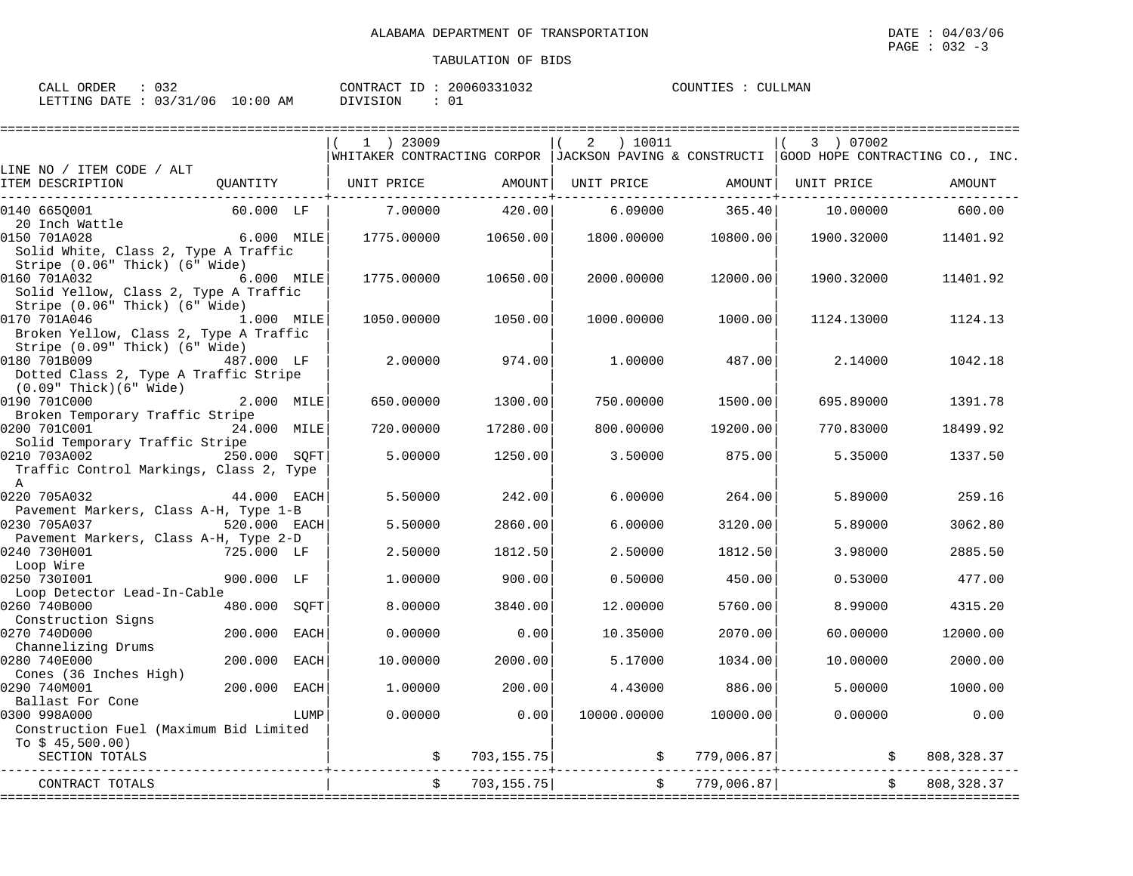| CALL ORDER | 032                             | 20060331032<br>CONTRACT ID: 2 | COUNTIES :<br><b>CULLMAN</b> |
|------------|---------------------------------|-------------------------------|------------------------------|
|            | LETTING DATE: 03/31/06 10:00 AM | د 0<br>DIVISION               |                              |

|                                                       |              |             | $1$ ) 23009 |                | ) 10011<br>2                                                                                |               | 3 ) 07002      |             |
|-------------------------------------------------------|--------------|-------------|-------------|----------------|---------------------------------------------------------------------------------------------|---------------|----------------|-------------|
|                                                       |              |             |             |                | WHITAKER CONTRACTING CORPOR   JACKSON PAVING & CONSTRUCTI   GOOD HOPE CONTRACTING CO., INC. |               |                |             |
| LINE NO / ITEM CODE / ALT                             |              |             |             |                |                                                                                             |               |                |             |
| ITEM DESCRIPTION                                      | OUANTITY     |             | UNIT PRICE  | AMOUNT         | UNIT PRICE                                                                                  | AMOUNT        | UNIT PRICE     | AMOUNT      |
| 0140 6650001                                          | 60.000 LF    |             | 7.00000     | 420.00         | 6.09000                                                                                     | 365.40        | 10.00000       | 600.00      |
| 20 Inch Wattle                                        |              |             |             |                |                                                                                             |               |                |             |
| 0150 701A028                                          | 6.000 MILE   |             | 1775.00000  | 10650.00       | 1800.00000                                                                                  | 10800.00      | 1900.32000     | 11401.92    |
| Solid White, Class 2, Type A Traffic                  |              |             |             |                |                                                                                             |               |                |             |
| Stripe (0.06" Thick) (6" Wide)                        | 6.000 MILE   |             | 1775.00000  |                |                                                                                             |               |                |             |
| 0160 701A032<br>Solid Yellow, Class 2, Type A Traffic |              |             |             | 10650.00       | 2000.00000                                                                                  | 12000.00      | 1900.32000     | 11401.92    |
| Stripe (0.06" Thick) (6" Wide)                        |              |             |             |                |                                                                                             |               |                |             |
| 0170 701A046                                          | 1.000 MILE   |             | 1050.00000  | 1050.00        | 1000.00000                                                                                  | 1000.00       | 1124.13000     | 1124.13     |
| Broken Yellow, Class 2, Type A Traffic                |              |             |             |                |                                                                                             |               |                |             |
| Stripe (0.09" Thick) (6" Wide)                        |              |             |             |                |                                                                                             |               |                |             |
| 0180 701B009                                          | 487.000 LF   |             | 2.00000     | 974.00         | 1,00000                                                                                     | 487.00        | 2.14000        | 1042.18     |
| Dotted Class 2, Type A Traffic Stripe                 |              |             |             |                |                                                                                             |               |                |             |
| $(0.09"$ Thick $)(6"$ Wide $)$                        |              |             |             |                |                                                                                             |               |                |             |
| 0190 701C000                                          | 2.000 MILE   |             | 650.00000   | 1300.00        | 750.00000                                                                                   | 1500.00       | 695.89000      | 1391.78     |
| Broken Temporary Traffic Stripe                       |              |             |             |                |                                                                                             |               |                |             |
| 0200 701C001                                          | 24.000 MILE  |             | 720.00000   | 17280.00       | 800.00000                                                                                   | 19200.00      | 770.83000      | 18499.92    |
| Solid Temporary Traffic Stripe                        |              |             |             |                |                                                                                             |               |                |             |
| 0210 703A002                                          | 250.000 SOFT |             | 5.00000     | 1250.00        | 3.50000                                                                                     | 875.00        | 5.35000        | 1337.50     |
| Traffic Control Markings, Class 2, Type               |              |             |             |                |                                                                                             |               |                |             |
| $\mathbf{A}$                                          |              |             |             |                |                                                                                             |               |                |             |
| 0220 705A032                                          | 44.000 EACH  |             | 5.50000     | 242.00         | 6,00000                                                                                     | 264.00        | 5.89000        | 259.16      |
| Pavement Markers, Class A-H, Type 1-B                 |              |             |             |                |                                                                                             |               |                |             |
| 0230 705A037                                          | 520.000 EACH |             | 5.50000     | 2860.00        | 6,00000                                                                                     | 3120.00       | 5.89000        | 3062.80     |
| Pavement Markers, Class A-H, Type 2-D<br>0240 730H001 | 725.000 LF   |             | 2.50000     | 1812.50        | 2.50000                                                                                     | 1812.50       | 3.98000        | 2885.50     |
| Loop Wire                                             |              |             |             |                |                                                                                             |               |                |             |
| 0250 7301001                                          | 900.000 LF   |             | 1.00000     | 900.00         | 0.50000                                                                                     | 450.00        | 0.53000        | 477.00      |
| Loop Detector Lead-In-Cable                           |              |             |             |                |                                                                                             |               |                |             |
| 0260 740B000                                          | 480.000      | SQFT        | 8.00000     | 3840.00        | 12.00000                                                                                    | 5760.00       | 8.99000        | 4315.20     |
| Construction Signs                                    |              |             |             |                |                                                                                             |               |                |             |
| 0270 740D000                                          | 200.000      | <b>EACH</b> | 0.00000     | 0.00           | 10.35000                                                                                    | 2070.00       | 60.00000       | 12000.00    |
| Channelizing Drums                                    |              |             |             |                |                                                                                             |               |                |             |
| 0280 740E000                                          | 200,000      | <b>EACH</b> | 10.00000    | 2000.00        | 5.17000                                                                                     | 1034.00       | 10,00000       | 2000.00     |
| Cones (36 Inches High)                                |              |             |             |                |                                                                                             |               |                |             |
| 0290 740M001                                          | 200.000      | <b>EACH</b> | 1,00000     | 200.00         | 4.43000                                                                                     | 886.00        | 5.00000        | 1000.00     |
| Ballast For Cone                                      |              |             |             |                |                                                                                             |               |                |             |
| 0300 998A000                                          |              | LUMP        | 0.00000     | 0.00           | 10000.00000                                                                                 | 10000.00      | 0.00000        | 0.00        |
| Construction Fuel (Maximum Bid Limited                |              |             |             |                |                                                                                             |               |                |             |
| To $$45,500.00)$<br>SECTION TOTALS                    |              |             |             | \$703, 155.75] |                                                                                             | \$779,006.87] | $\mathfrak{S}$ | 808, 328.37 |
|                                                       |              |             |             |                |                                                                                             |               |                |             |
| CONTRACT TOTALS                                       |              |             |             | 703, 155.75    | $\ddot{\mathsf{S}}$                                                                         | 779,006.87    |                | 808, 328.37 |
|                                                       |              |             |             |                |                                                                                             |               |                |             |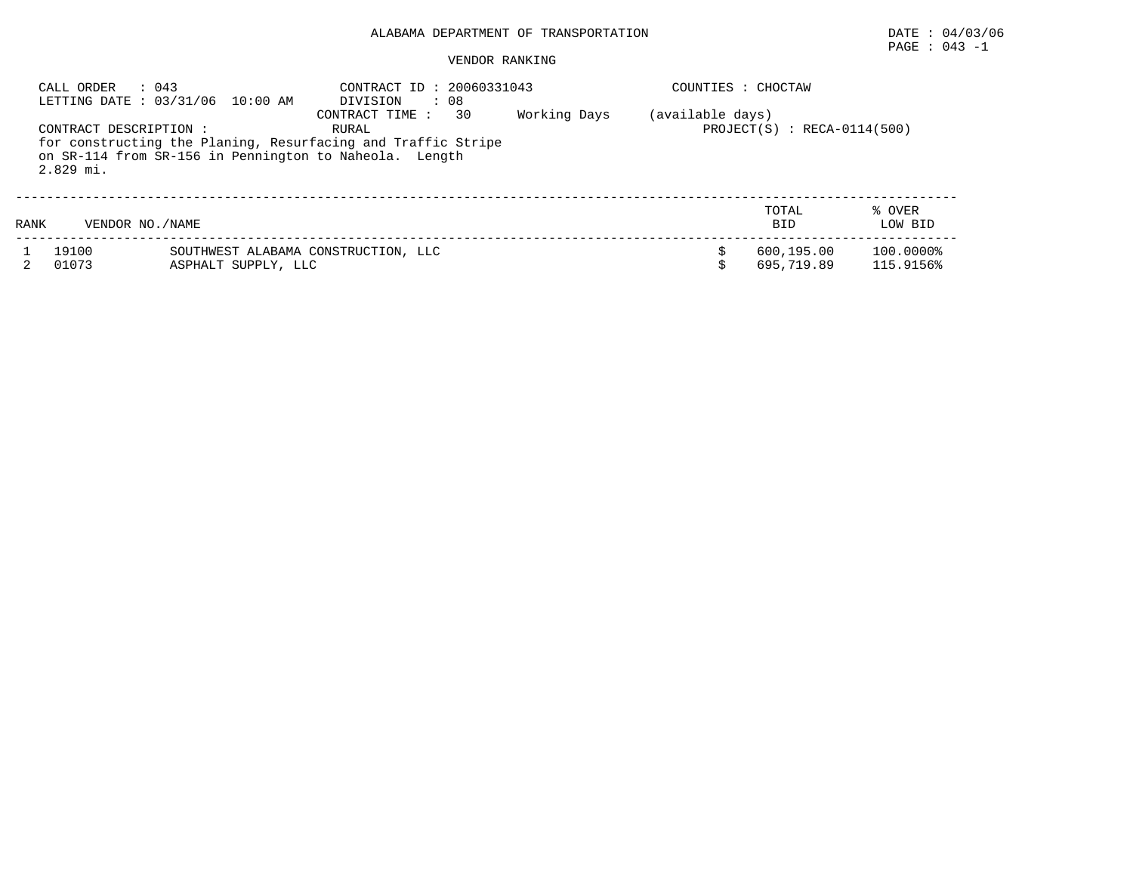# PAGE : 043 -1

#### VENDOR RANKING

|      | : 043<br>CALL ORDER                   | LETTING DATE: 03/31/06 10:00 AM                                                                                        | CONTRACT ID: 20060331043<br>DIVISION | : 08 |              | COUNTIES : CHOCTAW |                               |                        |
|------|---------------------------------------|------------------------------------------------------------------------------------------------------------------------|--------------------------------------|------|--------------|--------------------|-------------------------------|------------------------|
|      | CONTRACT DESCRIPTION :<br>$2.829$ mi. | for constructing the Planing, Resurfacing and Traffic Stripe<br>on SR-114 from SR-156 in Pennington to Naheola. Length | CONTRACT TIME :<br>RURAL             | 30   | Working Days | (available days)   | $PROJECT(S) : RECA-0114(500)$ |                        |
| RANK | VENDOR NO. / NAME                     |                                                                                                                        |                                      |      |              |                    | TOTAL<br><b>BID</b>           | % OVER<br>LOW BID      |
|      | 19100<br>01073                        | SOUTHWEST ALABAMA CONSTRUCTION, LLC<br>ASPHALT SUPPLY, LLC                                                             |                                      |      |              |                    | 600,195.00<br>695,719.89      | 100.0000%<br>115.9156% |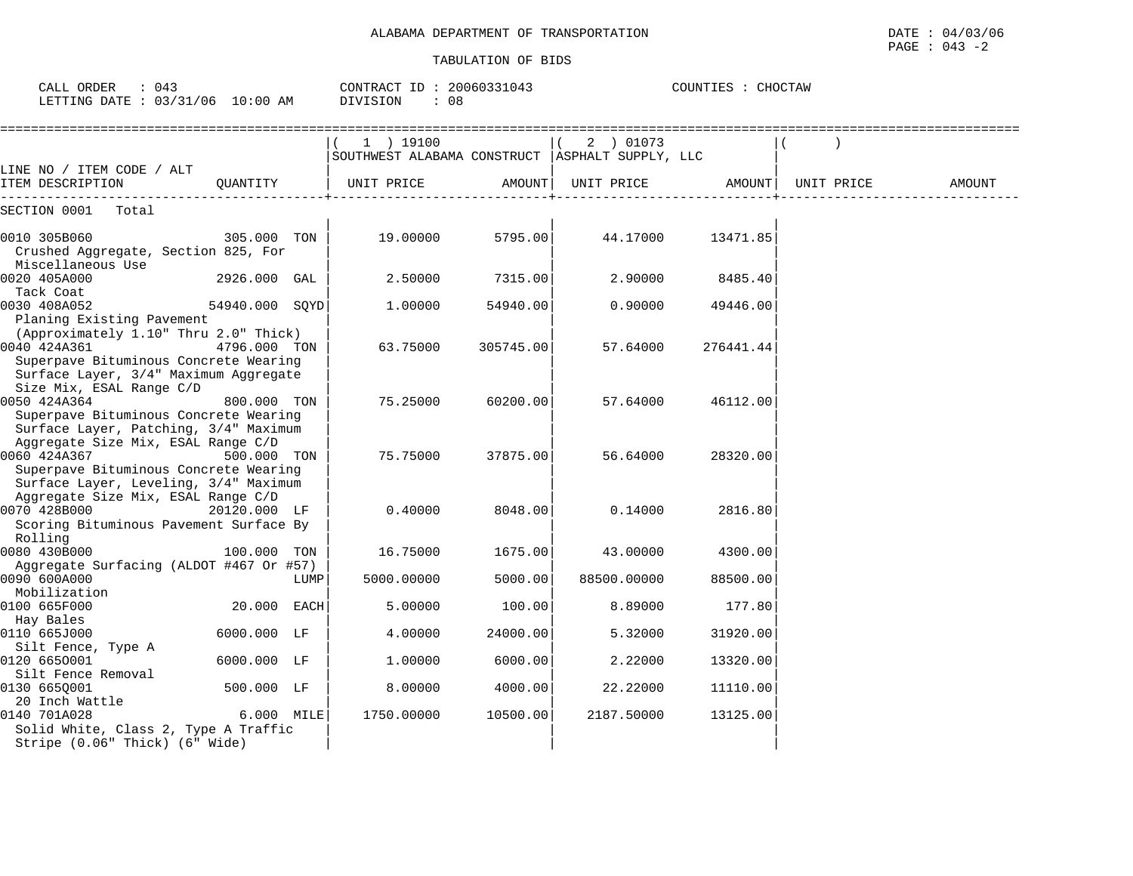| $\therefore$ 043<br>CALL ORDER<br>LETTING DATE : 03/31/06 10:00 AM                                                                      |                | CONTRACT ID: 20060331043<br>DIVISION<br>: 08 |                                                                |           | COUNTIES : CHOCTAW  |           |            |        |
|-----------------------------------------------------------------------------------------------------------------------------------------|----------------|----------------------------------------------|----------------------------------------------------------------|-----------|---------------------|-----------|------------|--------|
|                                                                                                                                         |                |                                              | 1 ) 19100<br>SOUTHWEST ALABAMA CONSTRUCT   ASPHALT SUPPLY, LLC |           | 2 ) 01073           |           |            |        |
| LINE NO / ITEM CODE / ALT<br>ITEM DESCRIPTION                                                                                           | QUANTITY       |                                              | UNIT PRICE                                                     |           | AMOUNT   UNIT PRICE | AMOUNT    | UNIT PRICE | AMOUNT |
| SECTION 0001 Total                                                                                                                      |                |                                              |                                                                |           |                     |           |            |        |
| 0010 305B060<br>Crushed Aggregate, Section 825, For<br>Miscellaneous Use                                                                | 305.000 TON    |                                              | 19.00000                                                       | 5795.00   | 44.17000            | 13471.85  |            |        |
| 0020 405A000<br>Tack Coat                                                                                                               | 2926.000 GAL   |                                              | 2.50000                                                        | 7315.00   | 2.90000             | 8485.40   |            |        |
| 0030 408A052<br>Planing Existing Pavement                                                                                               | 54940.000 SOYD |                                              | 1,00000                                                        | 54940.00  | 0.90000             | 49446.00  |            |        |
| (Approximately 1.10" Thru 2.0" Thick)<br>0040 424A361<br>Superpave Bituminous Concrete Wearing<br>Surface Layer, 3/4" Maximum Aggregate | 4796.000 TON   |                                              | 63.75000                                                       | 305745.00 | 57.64000            | 276441.44 |            |        |
| Size Mix, ESAL Range C/D<br>0050 424A364<br>Superpave Bituminous Concrete Wearing<br>Surface Layer, Patching, 3/4" Maximum              | 800.000 TON    |                                              | 75.25000                                                       | 60200.00  | 57.64000            | 46112.00  |            |        |
| Aggregate Size Mix, ESAL Range C/D<br>0060 424A367<br>Superpave Bituminous Concrete Wearing<br>Surface Layer, Leveling, 3/4" Maximum    | 500.000 TON    |                                              | 75.75000                                                       | 37875.00  | 56.64000            | 28320.00  |            |        |
| Aggregate Size Mix, ESAL Range C/D<br>0070 428B000<br>Scoring Bituminous Pavement Surface By                                            | 20120.000 LF   |                                              | 0.40000                                                        | 8048.00   | 0.14000             | 2816.80   |            |        |
| Rolling<br>0080 430B000                                                                                                                 | 100.000 TON    |                                              | 16.75000                                                       | 1675.00   | 43.00000            | 4300.00   |            |        |
| Aggregate Surfacing (ALDOT #467 Or #57)<br>0090 600A000                                                                                 |                | LUMP                                         | 5000.00000                                                     | 5000.00   | 88500.00000         | 88500.00  |            |        |
| Mobilization<br>0100 665F000                                                                                                            | 20.000 EACH    |                                              | 5.00000                                                        | 100.00    | 8.89000             | 177.80    |            |        |
| Hay Bales<br>0110 665J000                                                                                                               | 6000.000 LF    |                                              | 4.00000                                                        | 24000.00  | 5.32000             | 31920.00  |            |        |
| Silt Fence, Type A<br>0120 6650001<br>Silt Fence Removal                                                                                | 6000.000 LF    |                                              | 1,00000                                                        | 6000.00   | 2.22000             | 13320.00  |            |        |
| 0130 6650001<br>20 Inch Wattle                                                                                                          | 500.000 LF     |                                              | 8.00000                                                        | 4000.00   | 22.22000            | 11110.00  |            |        |
| 0140 701A028<br>Solid White, Class 2, Type A Traffic                                                                                    | 6.000 MILE     |                                              | 1750.00000                                                     | 10500.00  | 2187.50000          | 13125.00  |            |        |

Stripe  $(0.06$ " Thick)  $(6)$  Wide)  $|$   $|$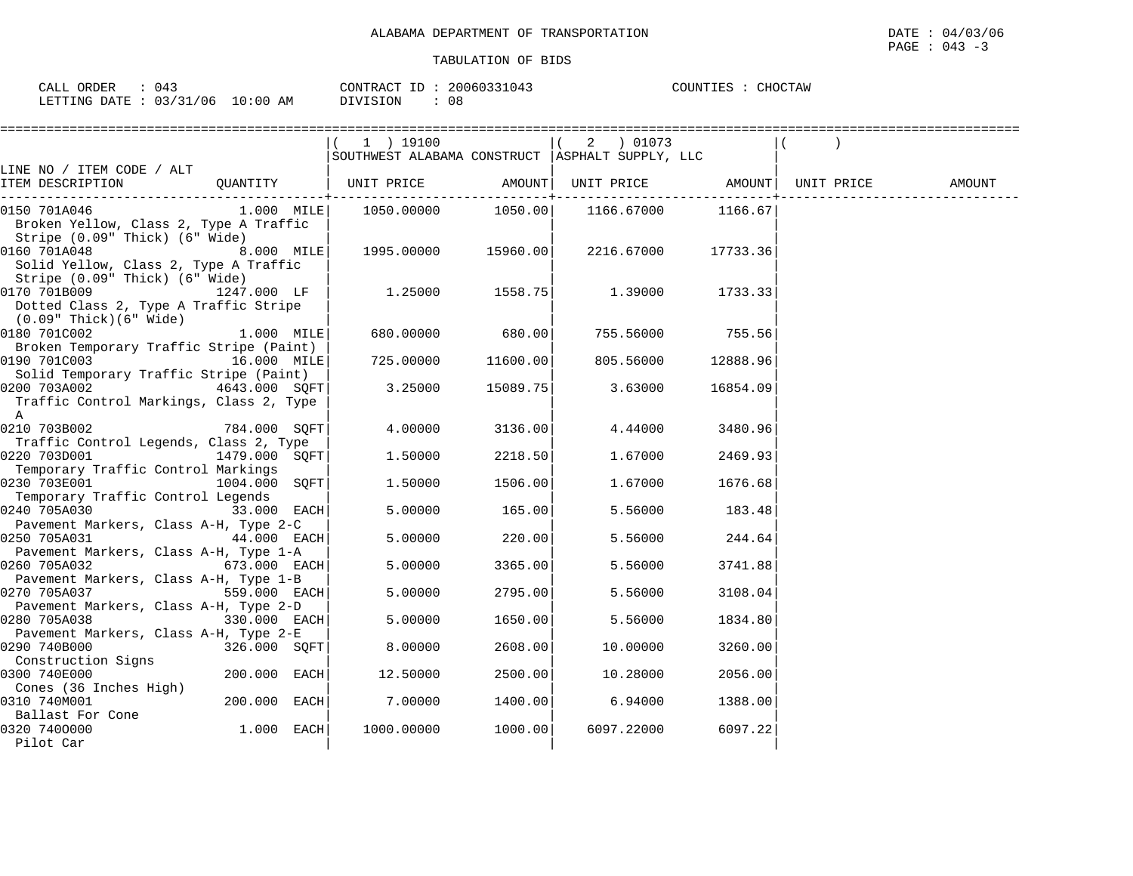| ORDER<br>CALL                                                                        | 20060331<br>CONTRACT<br>$\tau$<br>(14<br>- P             | CHOCTAW<br>COUNTTES<br>المتواطن<br>$\cdots$ |
|--------------------------------------------------------------------------------------|----------------------------------------------------------|---------------------------------------------|
| 10:00<br>/21<br>'06<br>LETTING<br><b>DATE</b><br>AΜ<br>$\overline{\phantom{a}}$<br>. | n a<br>$\cdot$ $\cdot$ $\cdot$ $\cdot$<br>U Ö<br>. പ പ പ |                                             |

|                                                                                                                               |               | 1 ) 19100                                         |          | 2 ) 01073  |          |        |
|-------------------------------------------------------------------------------------------------------------------------------|---------------|---------------------------------------------------|----------|------------|----------|--------|
|                                                                                                                               |               | SOUTHWEST ALABAMA CONSTRUCT   ASPHALT SUPPLY, LLC |          |            |          |        |
| LINE NO / ITEM CODE / ALT<br>ITEM DESCRIPTION                                                                                 | QUANTITY      | UNIT PRICE AMOUNT  UNIT PRICE AMOUNT  UNIT PRICE  |          |            |          | AMOUNT |
| 0150 701A046<br>Broken Yellow, Class 2, Type A Traffic<br>Stripe (0.09" Thick) (6" Wide)                                      |               | $1.000$ MILE $1050.00000$                         |          |            |          |        |
| 0160 701A048<br>Solid Yellow, Class 2, Type A Traffic<br>Stripe (0.09" Thick) (6" Wide)                                       | $8.000$ MILE  |                                                   |          | 2216.67000 | 17733.36 |        |
| 0170 701B009<br>Dotted Class 2, Type A Traffic Stripe<br>(0.09" Thick)(6" Wide)                                               | 1247.000 LF   | 1.25000                                           | 1558.75  | 1.39000    | 1733.33  |        |
| 0180 701C002<br>Broken Temporary Traffic Stripe (Paint)                                                                       | $1.000$ MILE  | 680.00000                                         | 680.00   | 755.56000  | 755.56   |        |
| 0190 701C003 16.000 MILE<br>Solid Temporary Traffic Stripe (Paint)                                                            |               | 725.00000                                         | 11600.00 | 805.56000  | 12888.96 |        |
| 0200 703A002<br>Traffic Control Markings, Class 2, Type<br>$\overline{A}$                                                     | 4643.000 SQFT | 3.25000                                           | 15089.75 | 3.63000    | 16854.09 |        |
| 0210 703B002<br>Traffic Control Legends, Class 2, Type                                                                        | 784.000 SQFT  | 4.00000                                           | 3136.00  | 4.44000    | 3480.96  |        |
| 0220 703D001<br>Temporary Traffic Control Markings                                                                            | 1479.000 SOFT | 1.50000                                           | 2218.50  | 1.67000    | 2469.93  |        |
| 0230 703E001<br>Temporary Traffic Control Legends                                                                             | 1004.000 SQFT | 1.50000                                           | 1506.00  | 1.67000    | 1676.68  |        |
| 0240 705A030<br>$\left  \begin{array}{ccc} 33.000 & \text{EACH} \end{array} \right $<br>Pavement Markers, Class A-H, Type 2-C |               | 5.00000                                           | 165.00   | 5.56000    | 183.48   |        |
| 0250 705A031<br>Pavement Markers, Class A-H, Type 1-A                                                                         | 44.000 EACH   | 5.00000                                           | 220.00   | 5.56000    | 244.64   |        |
| 0260 705A032<br>Pavement Markers, Class A-H, Type 1-B                                                                         | 673.000 EACH  | 5.00000                                           | 3365.00  | 5.56000    | 3741.88  |        |
| $559.000$ EACH<br>0270 705A037                                                                                                |               | 5.00000                                           | 2795.00  | 5.56000    | 3108.04  |        |
| Pavement Markers, Class A-H, Type 2-D<br>0280 705A038                                                                         | 330.000 EACH  | 5.00000                                           | 1650.00  | 5.56000    | 1834.80  |        |
| Pavement Markers, Class A-H, Type 2-E<br>0290 740B000                                                                         | 326.000 SOFT  | 8,00000                                           | 2608.00  | 10.00000   | 3260.00  |        |
| Construction Signs<br>0300 740E000                                                                                            | 200.000 EACH  | 12.50000                                          | 2500.00  | 10.28000   | 2056.00  |        |
| Cones (36 Inches High)<br>0310 740M001                                                                                        | 200.000 EACH  | 7.00000                                           | 1400.00  | 6.94000    | 1388.00  |        |
| Ballast For Cone<br>0320 7400000<br>Pilot Car                                                                                 | 1.000 EACH    | 1000.00000                                        | 1000.00  | 6097.22000 | 6097.22  |        |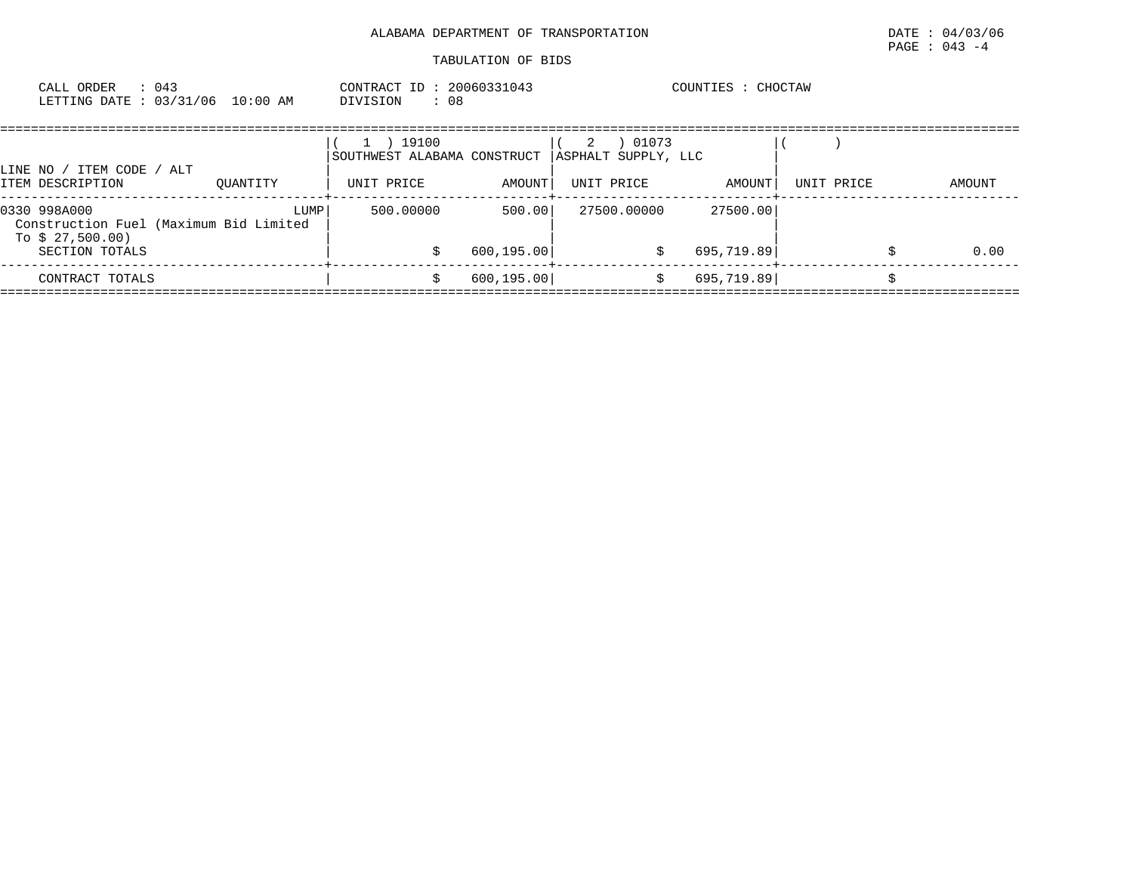| : 043<br>CALL ORDER<br>LETTING DATE: 03/31/06 10:00 AM                                       |      | CONTRACT ID: 20060331043<br>DIVISION<br>: 08                         |                       |                 |                              | COUNTIES : CHOCTAW     |            |        |
|----------------------------------------------------------------------------------------------|------|----------------------------------------------------------------------|-----------------------|-----------------|------------------------------|------------------------|------------|--------|
| LINE NO / ITEM CODE / ALT<br>ITEM DESCRIPTION<br>OUANTITY                                    |      | ) 19100<br>$\mathbf{1}$<br>SOUTHWEST ALABAMA CONSTRUCT<br>UNIT PRICE | AMOUNT                | 2<br>UNIT PRICE | 01073<br>ASPHALT SUPPLY, LLC | AMOUNT                 | UNIT PRICE | AMOUNT |
| 0330 998A000<br>Construction Fuel (Maximum Bid Limited<br>To $$27,500.00)$<br>SECTION TOTALS | LUMP | 500.00000                                                            | 500.00<br>600, 195.00 |                 | 27500.00000<br>S.            | 27500.00<br>695,719.89 |            | 0.00   |
| CONTRACT TOTALS                                                                              |      |                                                                      | 600, 195.00           |                 | S.                           | 695,719.89             |            |        |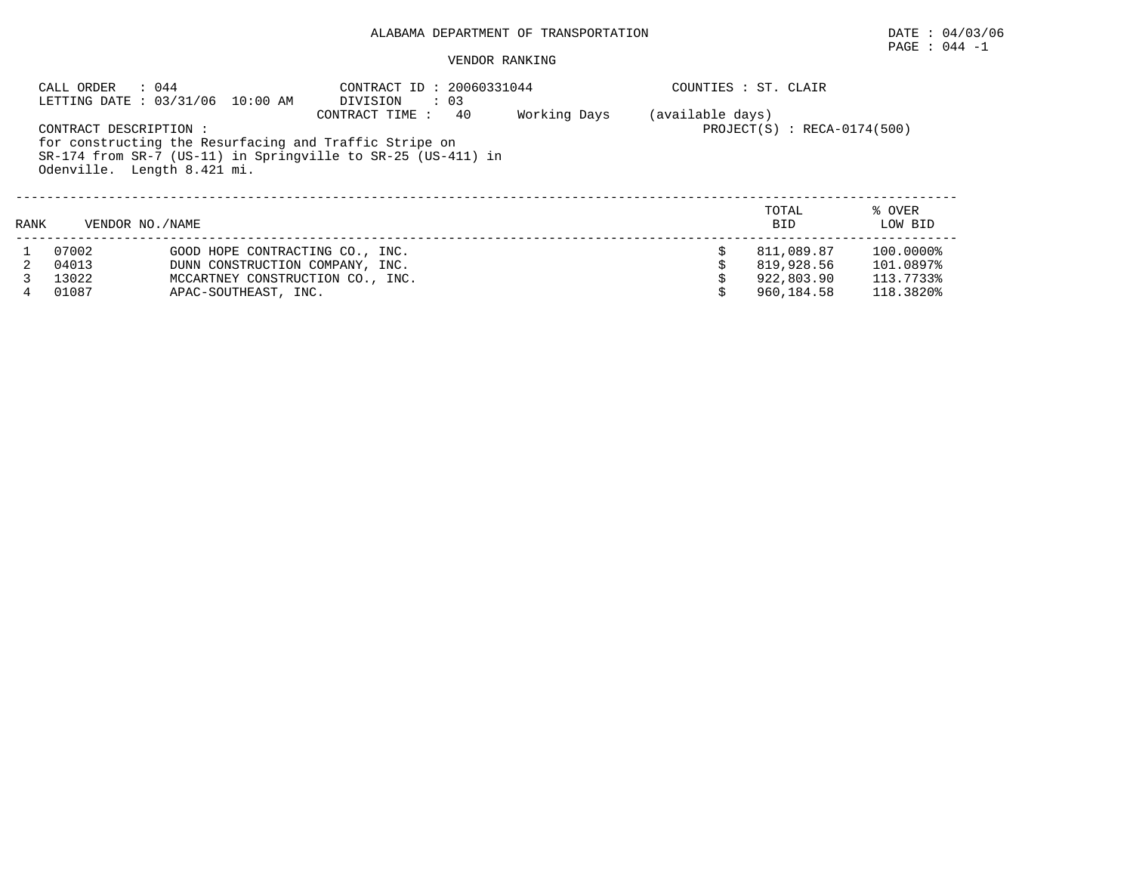## PAGE : 044 -1

#### VENDOR RANKING

|      | : 044<br>CALL ORDER<br>LETTING DATE: 03/31/06 10:00 AM |                                  | CONTRACT ID: 20060331044<br>DIVISION<br>$\cdot$ 03                                                                                                                                                                         |  |  | COUNTIES : ST. CLAIR |                   |  |  |  |
|------|--------------------------------------------------------|----------------------------------|----------------------------------------------------------------------------------------------------------------------------------------------------------------------------------------------------------------------------|--|--|----------------------|-------------------|--|--|--|
|      | CONTRACT DESCRIPTION :<br>Odenville. Length 8.421 mi.  |                                  | 40<br>Working Days<br>(available days)<br>CONTRACT TIME :<br>$PROJECT(S)$ : RECA-0174(500)<br>for constructing the Resurfacing and Traffic Stripe on<br>$SR-174$ from $SR-7$ (US-11) in Springville to $SR-25$ (US-411) in |  |  |                      |                   |  |  |  |
| RANK | VENDOR NO. / NAME                                      |                                  |                                                                                                                                                                                                                            |  |  | TOTAL<br><b>BID</b>  | % OVER<br>LOW BID |  |  |  |
|      | 07002                                                  | GOOD HOPE CONTRACTING CO., INC.  |                                                                                                                                                                                                                            |  |  | 811,089.87           | 100.0000%         |  |  |  |
|      | 04013                                                  | DUNN CONSTRUCTION COMPANY, INC.  |                                                                                                                                                                                                                            |  |  | 819,928.56           | 101.0897%         |  |  |  |
|      | 13022                                                  | MCCARTNEY CONSTRUCTION CO., INC. |                                                                                                                                                                                                                            |  |  | 922,803.90           | 113.7733%         |  |  |  |
| 4    | 01087                                                  | APAC-SOUTHEAST, INC.             |                                                                                                                                                                                                                            |  |  | 960,184.58           | 118.3820%         |  |  |  |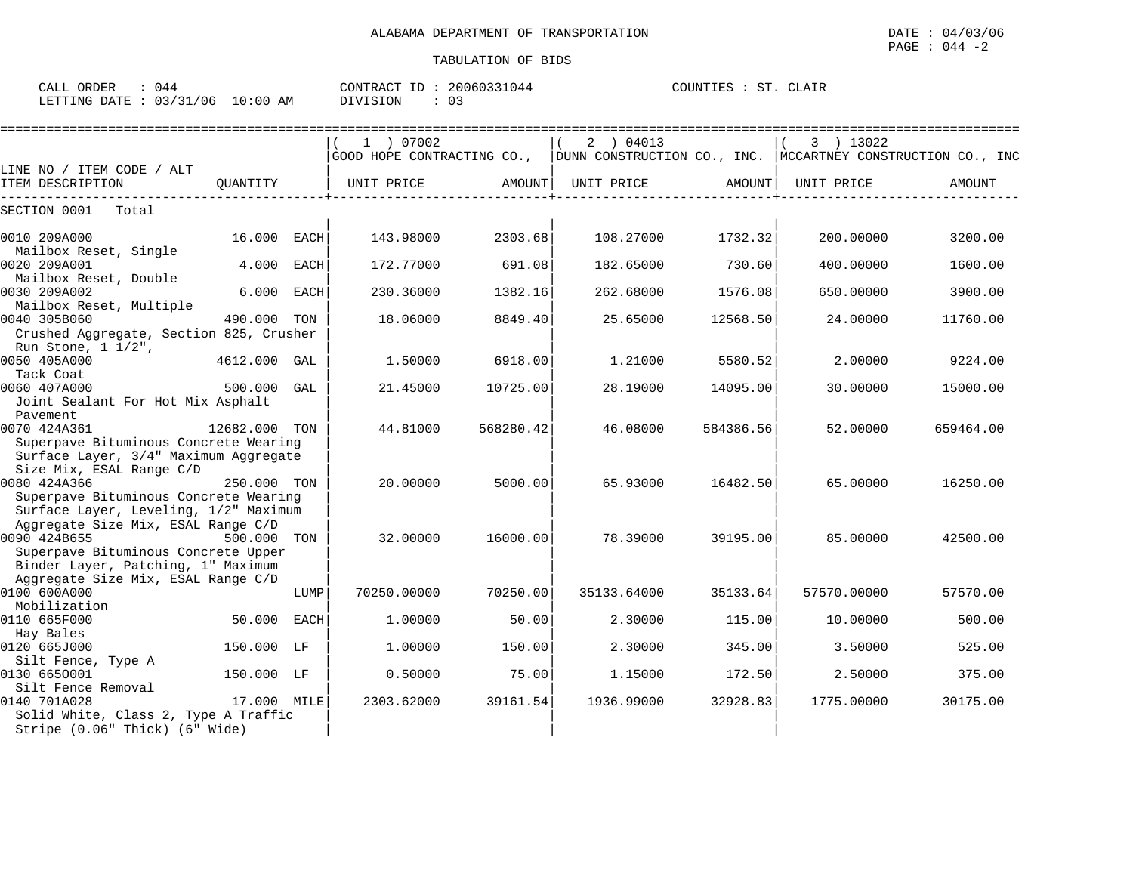| CALL ORDER<br>: 044             | CONTRACT ID: 20060331044 | COUNTIES : ST. CLAIR |
|---------------------------------|--------------------------|----------------------|
| LETTING DATE: 03/31/06 10:00 AM | DIVISION                 |                      |

|                                                                          |               |             | :============================= |           |                                                               |           |             |               |
|--------------------------------------------------------------------------|---------------|-------------|--------------------------------|-----------|---------------------------------------------------------------|-----------|-------------|---------------|
|                                                                          |               |             | 1 ) 07002                      |           | 2 ) 04013                                                     |           | 3 ) 13022   |               |
|                                                                          |               |             | GOOD HOPE CONTRACTING CO.,     |           | DUNN CONSTRUCTION CO., INC.   MCCARTNEY CONSTRUCTION CO., INC |           |             |               |
| LINE NO / ITEM CODE / ALT                                                |               |             |                                |           |                                                               |           |             |               |
| ITEM DESCRIPTION                                                         | OUANTITY      |             | UNIT PRICE                     |           | AMOUNT   UNIT PRICE                                           | AMOUNT    | UNIT PRICE  | <b>AMOUNT</b> |
| SECTION 0001<br>Total                                                    |               |             |                                |           |                                                               |           |             |               |
| 0010 209A000                                                             | 16.000        | EACH        | 143.98000                      | 2303.68   | 108.27000                                                     | 1732.32   | 200.00000   | 3200.00       |
| Mailbox Reset, Single<br>0020 209A001                                    | 4.000         | <b>EACH</b> | 172.77000                      | 691.08    | 182.65000                                                     | 730.60    | 400.00000   | 1600.00       |
| Mailbox Reset, Double                                                    |               |             |                                |           |                                                               |           |             |               |
| 0030 209A002                                                             | 6.000         | <b>EACH</b> | 230.36000                      | 1382.16   | 262.68000                                                     | 1576.08   | 650.00000   | 3900.00       |
| Mailbox Reset, Multiple                                                  |               |             |                                |           |                                                               |           |             |               |
| 0040 305B060                                                             | 490.000 TON   |             | 18.06000                       | 8849.40   | 25.65000                                                      | 12568.50  | 24.00000    | 11760.00      |
| Crushed Aggregate, Section 825, Crusher                                  |               |             |                                |           |                                                               |           |             |               |
| Run Stone, $1 \frac{1}{2}$ ,<br>0050 405A000                             |               |             |                                | 6918.00   | 1,21000                                                       |           |             | 9224.00       |
| Tack Coat                                                                | 4612.000 GAL  |             | 1,50000                        |           |                                                               | 5580.52   | 2,00000     |               |
| 0060 407A000                                                             | 500.000       | GAL         | 21.45000                       | 10725.00  | 28.19000                                                      | 14095.00  | 30.00000    | 15000.00      |
| Joint Sealant For Hot Mix Asphalt                                        |               |             |                                |           |                                                               |           |             |               |
| Pavement                                                                 |               |             |                                |           |                                                               |           |             |               |
| 0070 424A361<br>Superpave Bituminous Concrete Wearing                    | 12682.000 TON |             | 44.81000                       | 568280.42 | 46.08000                                                      | 584386.56 | 52.00000    | 659464.00     |
| Surface Layer, 3/4" Maximum Aggregate                                    |               |             |                                |           |                                                               |           |             |               |
| Size Mix, ESAL Range C/D                                                 |               |             |                                |           |                                                               |           |             |               |
| 0080 424A366                                                             | 250.000 TON   |             | 20.00000                       | 5000.00   | 65.93000                                                      | 16482.50  | 65,00000    | 16250.00      |
| Superpave Bituminous Concrete Wearing                                    |               |             |                                |           |                                                               |           |             |               |
| Surface Layer, Leveling, 1/2" Maximum                                    |               |             |                                |           |                                                               |           |             |               |
| Aggregate Size Mix, ESAL Range C/D                                       |               |             |                                |           |                                                               |           |             |               |
| 0090 424B655                                                             | 500.000       | TON         | 32,00000                       | 16000.00  | 78.39000                                                      | 39195.00  | 85,00000    | 42500.00      |
| Superpave Bituminous Concrete Upper                                      |               |             |                                |           |                                                               |           |             |               |
| Binder Layer, Patching, 1" Maximum<br>Aggregate Size Mix, ESAL Range C/D |               |             |                                |           |                                                               |           |             |               |
| 0100 600A000                                                             |               | LUMP        | 70250.00000                    | 70250.00  | 35133.64000                                                   | 35133.64  | 57570.00000 | 57570.00      |
| Mobilization                                                             |               |             |                                |           |                                                               |           |             |               |
| 0110 665F000                                                             | 50.000        | EACH        | 1,00000                        | 50.00     | 2.30000                                                       | 115.00    | 10.00000    | 500.00        |
| Hay Bales                                                                |               |             |                                |           |                                                               |           |             |               |
| 0120 665J000                                                             | 150.000 LF    |             | 1,00000                        | 150.00    | 2.30000                                                       | 345.00    | 3.50000     | 525.00        |
| Silt Fence, Type A                                                       |               |             |                                |           |                                                               |           |             |               |
| 0130 6650001                                                             | 150.000 LF    |             | 0.50000                        | 75.00     | 1.15000                                                       | 172.50    | 2.50000     | 375.00        |
| Silt Fence Removal<br>0140 701A028                                       | 17.000 MILE   |             | 2303.62000                     | 39161.54  | 1936.99000                                                    | 32928.83  | 1775.00000  | 30175.00      |
| Solid White, Class 2, Type A Traffic                                     |               |             |                                |           |                                                               |           |             |               |
| Stripe (0.06" Thick) (6" Wide)                                           |               |             |                                |           |                                                               |           |             |               |
|                                                                          |               |             |                                |           |                                                               |           |             |               |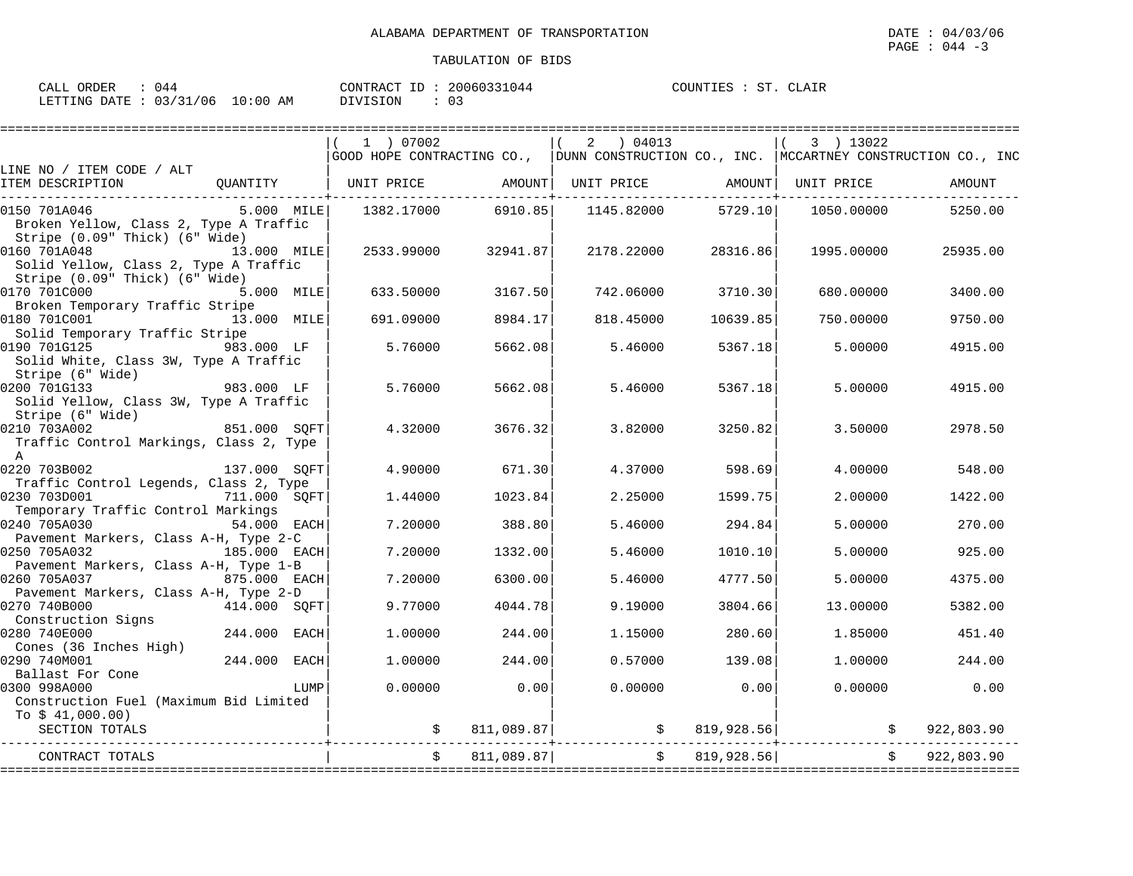CLAIR

| ORDER                   | 944   | 20060331044     | COUNTIES |
|-------------------------|-------|-----------------|----------|
| CALL                    |       | CONTRACT        | CLAIR    |
|                         |       | ID:             | ST       |
|                         |       |                 |          |
|                         |       |                 |          |
| LETTING DATE : 03/31/06 | 10:00 | <b>DIVISION</b> |          |
|                         | ΆM    |                 |          |

|                                                                          |              |             | 1 ) 07002  |            | 2 04013                                                                                   |               | 3 ) 13022  |            |
|--------------------------------------------------------------------------|--------------|-------------|------------|------------|-------------------------------------------------------------------------------------------|---------------|------------|------------|
|                                                                          |              |             |            |            | GOOD HOPE CONTRACTING CO.,   DUNN CONSTRUCTION CO., INC.  MCCARTNEY CONSTRUCTION CO., INC |               |            |            |
| LINE NO / ITEM CODE / ALT<br>ITEM DESCRIPTION                            | QUANTITY     |             | UNIT PRICE | AMOUNT     | UNIT PRICE                                                                                | AMOUNT        | UNIT PRICE | AMOUNT     |
| 0150 701A046                                                             | 5.000 MILE   |             | 1382.17000 | 6910.85    | 1145.82000                                                                                | 5729.10       | 1050.00000 | 5250.00    |
| Broken Yellow, Class 2, Type A Traffic<br>Stripe (0.09" Thick) (6" Wide) |              |             |            |            |                                                                                           |               |            |            |
| 0160 701A048<br>Solid Yellow, Class 2, Type A Traffic                    | 13.000 MILE  |             | 2533.99000 | 32941.87   | 2178.22000                                                                                | 28316.86      | 1995.00000 | 25935.00   |
| Stripe (0.09" Thick) (6" Wide)<br>0170 701C000                           | 5.000 MILE   |             | 633.50000  | 3167.50    | 742.06000                                                                                 | 3710.30       | 680,00000  | 3400.00    |
| Broken Temporary Traffic Stripe                                          |              |             |            |            |                                                                                           |               |            |            |
| 0180 701C001<br>Solid Temporary Traffic Stripe                           | 13.000 MILE  |             | 691.09000  | 8984.17    | 818.45000                                                                                 | 10639.85      | 750.00000  | 9750.00    |
| 0190 701G125<br>Solid White, Class 3W, Type A Traffic                    | 983.000 LF   |             | 5.76000    | 5662.08    | 5.46000                                                                                   | 5367.18       | 5.00000    | 4915.00    |
| Stripe (6" Wide)                                                         |              |             |            |            |                                                                                           |               |            |            |
| 983.000 LF<br>0200 701G133                                               |              |             | 5.76000    | 5662.08    | 5.46000                                                                                   | 5367.18       | 5,00000    | 4915.00    |
| Solid Yellow, Class 3W, Type A Traffic                                   |              |             |            |            |                                                                                           |               |            |            |
| Stripe (6" Wide)                                                         |              |             |            |            |                                                                                           |               |            |            |
| 0210 703A002                                                             | 851.000 SOFT |             | 4.32000    | 3676.32    | 3.82000                                                                                   | 3250.82       | 3.50000    | 2978.50    |
| Traffic Control Markings, Class 2, Type<br>$\mathbb{A}$                  |              |             |            |            |                                                                                           |               |            |            |
| 0220 703B002                                                             | 137.000 SQFT |             | 4.90000    | 671.30     | 4.37000                                                                                   | 598.69        | 4.00000    | 548.00     |
| Traffic Control Legends, Class 2, Type                                   |              |             |            |            |                                                                                           |               |            |            |
| 0230 703D001                                                             | 711.000 SOFT |             | 1.44000    | 1023.84    | 2.25000                                                                                   | 1599.75       | 2,00000    | 1422.00    |
| Temporary Traffic Control Markings                                       |              |             |            |            |                                                                                           |               |            |            |
| 0240 705A030                                                             | 54.000 EACH  |             | 7.20000    | 388.80     | 5.46000                                                                                   | 294.84        | 5.00000    | 270.00     |
| Pavement Markers, Class A-H, Type 2-C                                    | 185.000 EACH |             | 7.20000    |            | 5.46000                                                                                   | 1010.10       | 5,00000    | 925.00     |
| 0250 705A032<br>Pavement Markers, Class A-H, Type 1-B                    |              |             |            | 1332.00    |                                                                                           |               |            |            |
| 0260 705A037                                                             | 875.000 EACH |             | 7.20000    | 6300.00    | 5.46000                                                                                   | 4777.50       | 5.00000    | 4375.00    |
| Pavement Markers, Class A-H, Type 2-D                                    |              |             |            |            |                                                                                           |               |            |            |
| 0270 740B000                                                             | 414.000 SOFT |             | 9.77000    | 4044.78    | 9.19000                                                                                   | 3804.66       | 13,00000   | 5382.00    |
| Construction Signs                                                       |              |             |            |            |                                                                                           |               |            |            |
| 0280 740E000                                                             | 244.000      | EACH        | 1,00000    | 244.00     | 1.15000                                                                                   | 280.60        | 1.85000    | 451.40     |
| Cones (36 Inches High)                                                   |              |             |            |            |                                                                                           |               |            |            |
| 0290 740M001                                                             | 244.000      | <b>EACH</b> | 1,00000    | 244.00     | 0.57000                                                                                   | 139.08        | 1,00000    | 244.00     |
| Ballast For Cone<br>0300 998A000                                         |              | LUMP        | 0.00000    | 0.00       | 0.00000                                                                                   | 0.00          | 0.00000    | 0.00       |
| Construction Fuel (Maximum Bid Limited                                   |              |             |            |            |                                                                                           |               |            |            |
| To $$41,000.00)$                                                         |              |             |            |            |                                                                                           |               |            |            |
| SECTION TOTALS                                                           |              |             |            | 811,089.87 |                                                                                           | \$819,928.56] |            | 922,803.90 |
| CONTRACT TOTALS                                                          |              |             |            | 811,089.87 | $\ddot{s}$                                                                                | 819,928.56    |            | 922,803.90 |
|                                                                          |              |             |            |            |                                                                                           |               |            |            |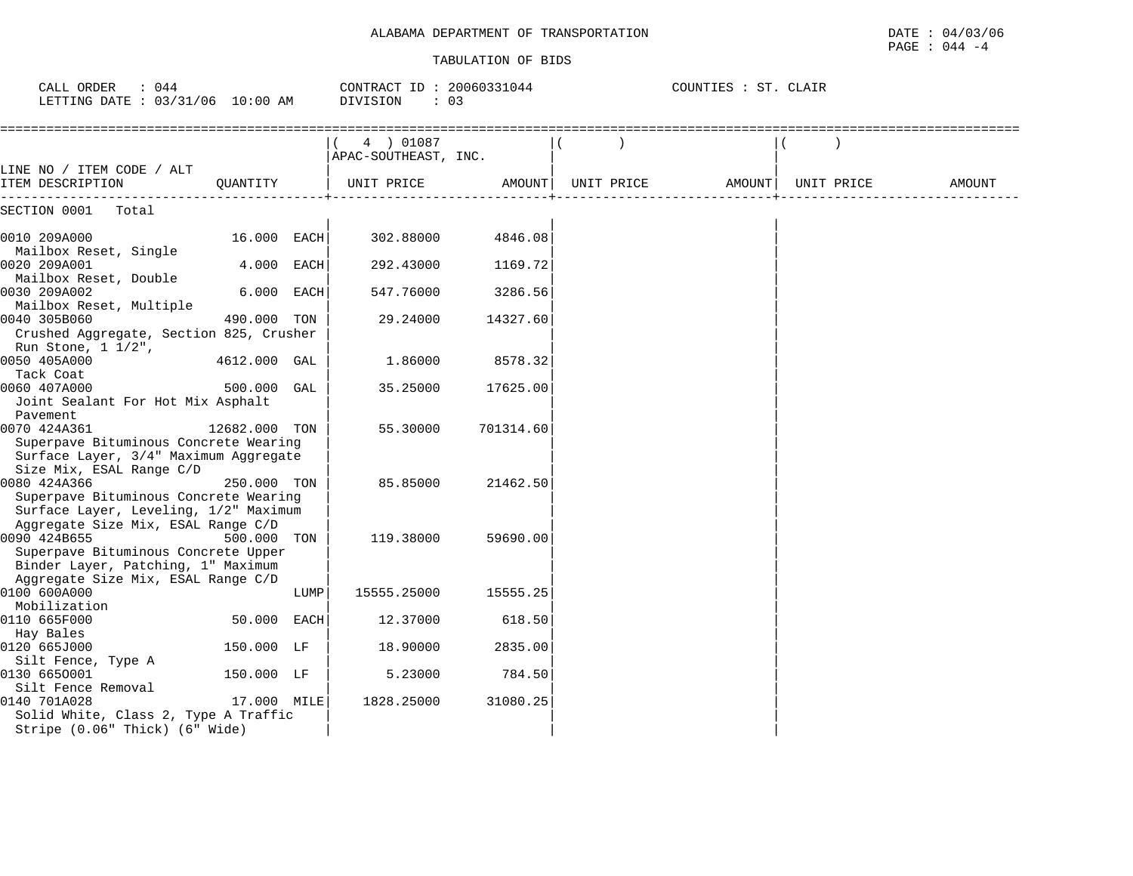PAGE : 044 -4

| CALL ORDER<br>: 044<br>LETTING DATE : 03/31/06 10:00 AM                                                                         |               |      | CONTRACT ID: 20060331044<br>DIVISION<br>: 03 |           |            | COUNTIES : ST. CLAIR |            |        |
|---------------------------------------------------------------------------------------------------------------------------------|---------------|------|----------------------------------------------|-----------|------------|----------------------|------------|--------|
|                                                                                                                                 |               |      | 4 ) 01087<br>APAC-SOUTHEAST, INC.            |           |            |                      |            |        |
| LINE NO / ITEM CODE / ALT<br>ITEM DESCRIPTION<br>-------------                                                                  | OUANTITY      |      | UNIT PRICE                                   | AMOUNT    | UNIT PRICE | AMOUNT               | UNIT PRICE | AMOUNT |
| SECTION 0001<br>Total                                                                                                           |               |      |                                              |           |            |                      |            |        |
| 0010 209A000                                                                                                                    | 16.000 EACH   |      | 302.88000                                    | 4846.08   |            |                      |            |        |
| Mailbox Reset, Single<br>0020 209A001                                                                                           | 4.000 EACH    |      | 292.43000                                    | 1169.72   |            |                      |            |        |
| Mailbox Reset, Double<br>0030 209A002                                                                                           | 6.000 EACH    |      | 547.76000                                    | 3286.56   |            |                      |            |        |
| Mailbox Reset, Multiple<br>0040 305B060                                                                                         | 490.000 TON   |      | 29.24000                                     | 14327.60  |            |                      |            |        |
| Crushed Aggregate, Section 825, Crusher<br>Run Stone, 1 1/2",                                                                   |               |      |                                              |           |            |                      |            |        |
| 0050 405A000<br>Tack Coat                                                                                                       | 4612.000 GAL  |      | 1.86000                                      | 8578.32   |            |                      |            |        |
| 0060 407A000<br>Joint Sealant For Hot Mix Asphalt<br>Pavement                                                                   | 500.000 GAL   |      | 35.25000                                     | 17625.00  |            |                      |            |        |
| 0070 424A361<br>Superpave Bituminous Concrete Wearing<br>Surface Layer, 3/4" Maximum Aggregate<br>Size Mix, ESAL Range C/D      | 12682.000 TON |      | 55.30000                                     | 701314.60 |            |                      |            |        |
| 0080 424A366<br>Superpave Bituminous Concrete Wearing<br>Surface Layer, Leveling, 1/2" Maximum                                  | 250.000 TON   |      | 85.85000                                     | 21462.50  |            |                      |            |        |
| Aggregate Size Mix, ESAL Range C/D<br>0090 424B655<br>Superpave Bituminous Concrete Upper<br>Binder Layer, Patching, 1" Maximum | 500.000 TON   |      | 119.38000                                    | 59690.00  |            |                      |            |        |
| Aggregate Size Mix, ESAL Range C/D<br>0100 600A000<br>Mobilization                                                              |               | LUMP | 15555.25000                                  | 15555.25  |            |                      |            |        |
| 0110 665F000<br>Hay Bales                                                                                                       | 50.000 EACH   |      | 12.37000                                     | 618.50    |            |                      |            |        |
| 0120 665J000                                                                                                                    | 150.000 LF    |      | 18.90000                                     | 2835.00   |            |                      |            |        |
| Silt Fence, Type A<br>0130 6650001<br>Silt Fence Removal                                                                        | 150.000 LF    |      | 5.23000                                      | 784.50    |            |                      |            |        |
| 0140 701A028<br>Solid White, Class 2, Type A Traffic<br>Stripe (0.06" Thick) (6" Wide)                                          | 17.000 MILE   |      | 1828.25000                                   | 31080.25  |            |                      |            |        |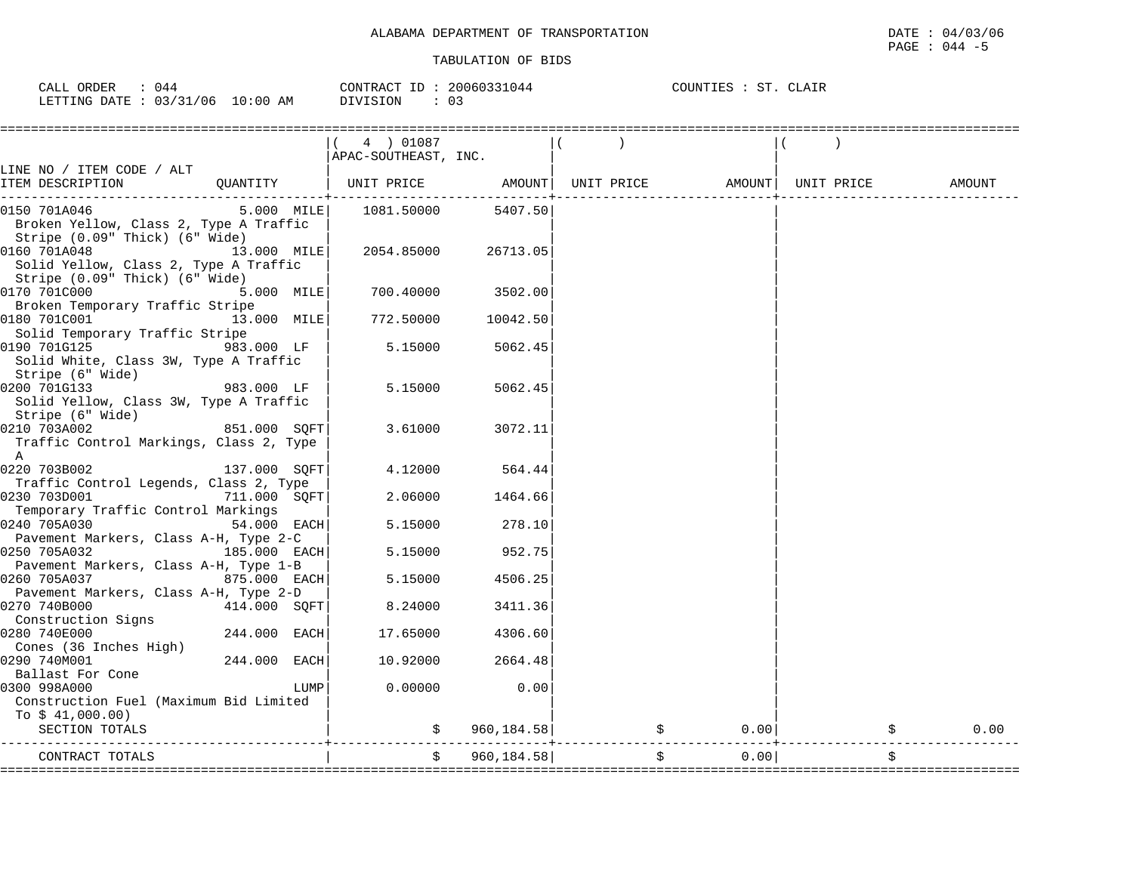| CALL ORDER : 044 |                                 |          | CONTRACT ID: 20060331044 | COUNTIES : ST. CLAIR |
|------------------|---------------------------------|----------|--------------------------|----------------------|
|                  | LETTING DATE: 03/31/06 10:00 AM | DIVISION |                          |                      |

|                                                        |                |      | $(4)$ 01087                                                         |             |                                                           |      |            |
|--------------------------------------------------------|----------------|------|---------------------------------------------------------------------|-------------|-----------------------------------------------------------|------|------------|
|                                                        |                |      |                                                                     |             |                                                           |      |            |
|                                                        |                |      | APAC-SOUTHEAST, INC.                                                |             |                                                           |      |            |
| LINE NO / ITEM CODE / ALT<br>ITEM DESCRIPTION          |                |      | QUANTITY   UNIT PRICE     AMOUNT  UNIT PRICE     AMOUNT  UNIT PRICE |             |                                                           |      |            |
|                                                        |                |      |                                                                     |             |                                                           |      | AMOUNT     |
| 0150 701A046                                           |                |      | 5.000 MILE   1081.50000                                             | 5407.50     |                                                           |      |            |
| Broken Yellow, Class 2, Type A Traffic                 |                |      |                                                                     |             |                                                           |      |            |
| Stripe (0.09" Thick) (6" Wide)                         |                |      |                                                                     |             |                                                           |      |            |
| 0160 701A048                                           | 13.000 MILE    |      | 2054.85000                                                          | 26713.05    |                                                           |      |            |
| Solid Yellow, Class 2, Type A Traffic                  |                |      |                                                                     |             |                                                           |      |            |
| Stripe (0.09" Thick) (6" Wide)                         |                |      |                                                                     |             |                                                           |      |            |
| 0170 701C000                                           | 5.000 MILE     |      | 700.40000                                                           | 3502.00     |                                                           |      |            |
| Broken Temporary Traffic Stripe                        |                |      |                                                                     |             |                                                           |      |            |
| 0180 701C001                                           | 13.000 MILE    |      | 772.50000                                                           | 10042.50    |                                                           |      |            |
| Solid Temporary Traffic Stripe                         |                |      |                                                                     |             |                                                           |      |            |
| 0190 701G125                                           | 983.000 LF     |      | 5.15000                                                             | 5062.45     |                                                           |      |            |
| Solid White, Class 3W, Type A Traffic                  |                |      |                                                                     |             |                                                           |      |            |
| Stripe (6" Wide)                                       |                |      |                                                                     |             |                                                           |      |            |
| $983.000$ LF<br>0200 701G133                           |                |      | 5.15000                                                             | 5062.45     |                                                           |      |            |
| Solid Yellow, Class 3W, Type A Traffic                 |                |      |                                                                     |             |                                                           |      |            |
| Stripe (6" Wide)                                       |                |      |                                                                     |             |                                                           |      |            |
| 0210 703A002                                           | 851.000 SOFT   |      | 3.61000                                                             | 3072.11     |                                                           |      |            |
| Traffic Control Markings, Class 2, Type                |                |      |                                                                     |             |                                                           |      |            |
| A                                                      |                |      |                                                                     |             |                                                           |      |            |
| 0220 703B002<br>Traffic Control Legends, Class 2, Type | 137.000 SOFT   |      | 4.12000                                                             | 564.44      |                                                           |      |            |
| 0230 703D001                                           | 711.000 SQFT   |      | 2.06000                                                             | 1464.66     |                                                           |      |            |
| Temporary Traffic Control Markings                     |                |      |                                                                     |             |                                                           |      |            |
| 54.000 EACH<br>0240 705A030                            |                |      | 5.15000                                                             | 278.10      |                                                           |      |            |
| Pavement Markers, Class A-H, Type 2-C                  |                |      |                                                                     |             |                                                           |      |            |
| 0250 705A032                                           | 185.000 EACH   |      | 5.15000                                                             | 952.75      |                                                           |      |            |
| Pavement Markers, Class A-H, Type 1-B                  |                |      |                                                                     |             |                                                           |      |            |
| 0260 705A037                                           | 875.000 EACH   |      | 5.15000                                                             | 4506.25     |                                                           |      |            |
| Pavement Markers, Class A-H, Type 2-D                  |                |      |                                                                     |             |                                                           |      |            |
| 0270 740B000                                           | 414.000 SOFT   |      | 8.24000                                                             | 3411.36     |                                                           |      |            |
| Construction Signs                                     |                |      |                                                                     |             |                                                           |      |            |
| 0280 740E000                                           | 244.000 EACH   |      | 17.65000                                                            | 4306.60     |                                                           |      |            |
| Cones (36 Inches High)                                 |                |      |                                                                     |             |                                                           |      |            |
| 0290 740M001                                           | $244.000$ EACH |      | 10.92000                                                            | 2664.48     |                                                           |      |            |
| Ballast For Cone                                       |                |      |                                                                     |             |                                                           |      |            |
| 0300 998A000                                           |                | LUMP | 0.00000                                                             | 0.00        |                                                           |      |            |
| Construction Fuel (Maximum Bid Limited                 |                |      |                                                                     |             |                                                           |      |            |
| To $$41,000.00)$                                       |                |      |                                                                     |             |                                                           |      |            |
| SECTION TOTALS                                         |                |      | $\mathcal{S}$ and $\mathcal{S}$                                     | 960, 184.58 | $\ddot{\mathbf{S}}$                                       | 0.00 | \$<br>0.00 |
|                                                        |                |      | \$                                                                  | 960, 184.58 |                                                           | 0.00 |            |
| CONTRACT TOTALS                                        |                |      |                                                                     |             | $\ddot{\mathsf{S}}$<br>---------------------------------- |      | \$         |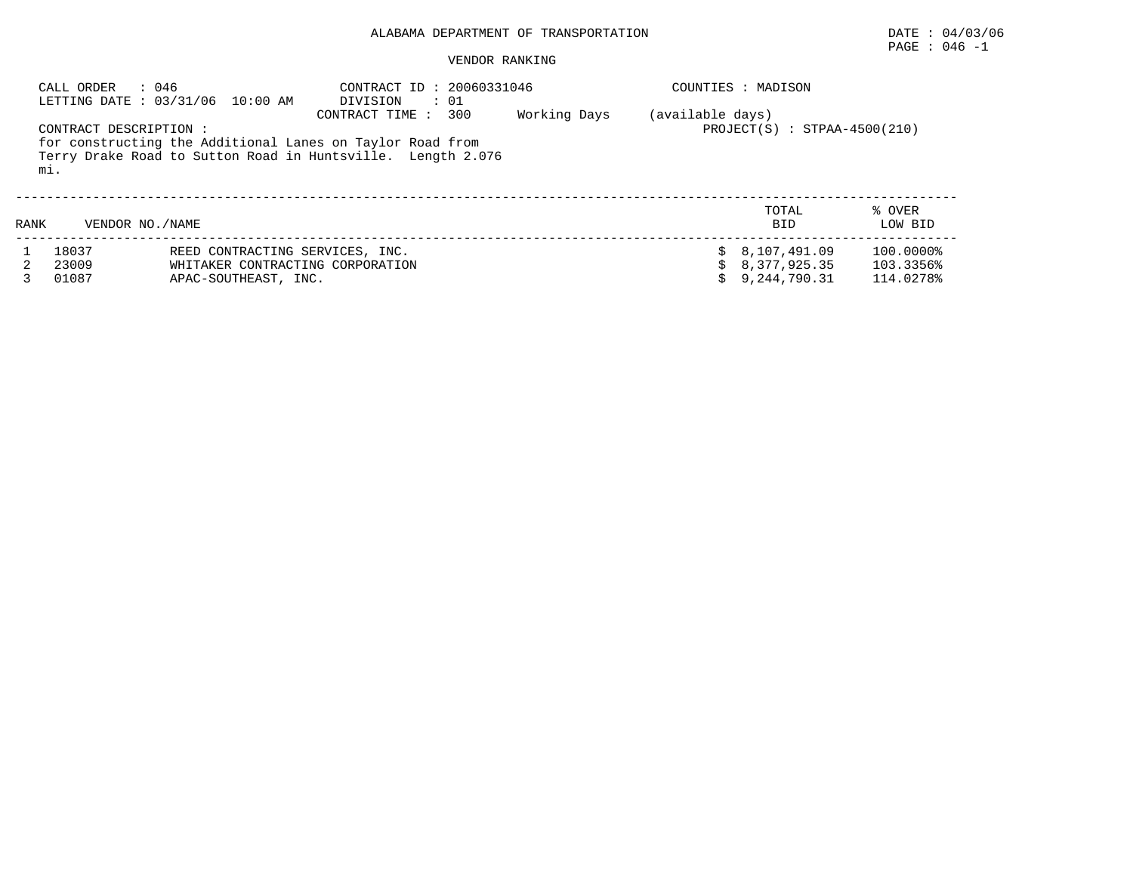# PAGE : 046 -1

#### VENDOR RANKING

|      | : 046<br>CALL ORDER           | LETTING DATE: 03/31/06 10:00 AM                                                                                          | DIVISION           | CONTRACT ID: 20060331046<br>$\cdot$ 01 |              |                  | COUNTIES : MADISON               |                   |  |  |
|------|-------------------------------|--------------------------------------------------------------------------------------------------------------------------|--------------------|----------------------------------------|--------------|------------------|----------------------------------|-------------------|--|--|
|      | CONTRACT DESCRIPTION :<br>mi. | for constructing the Additional Lanes on Taylor Road from<br>Terry Drake Road to Sutton Road in Huntsville. Length 2.076 | CONTRACT TIME: 300 |                                        | Working Days | (available days) | $PROJECT(S)$ : $STPAA-4500(210)$ |                   |  |  |
| RANK | VENDOR NO. / NAME             |                                                                                                                          |                    |                                        |              |                  | TOTAL<br><b>BID</b>              | % OVER<br>LOW BID |  |  |
|      | 18037                         | REED CONTRACTING SERVICES, INC.                                                                                          |                    |                                        |              |                  | \$8,107,491.09                   | 100.0000%         |  |  |
|      | 23009                         | WHITAKER CONTRACTING CORPORATION                                                                                         |                    |                                        |              |                  | 8,377,925.35                     | 103.3356%         |  |  |
|      | 01087                         | APAC-SOUTHEAST, INC.                                                                                                     |                    |                                        |              |                  | 9,244,790.31                     | 114.0278%         |  |  |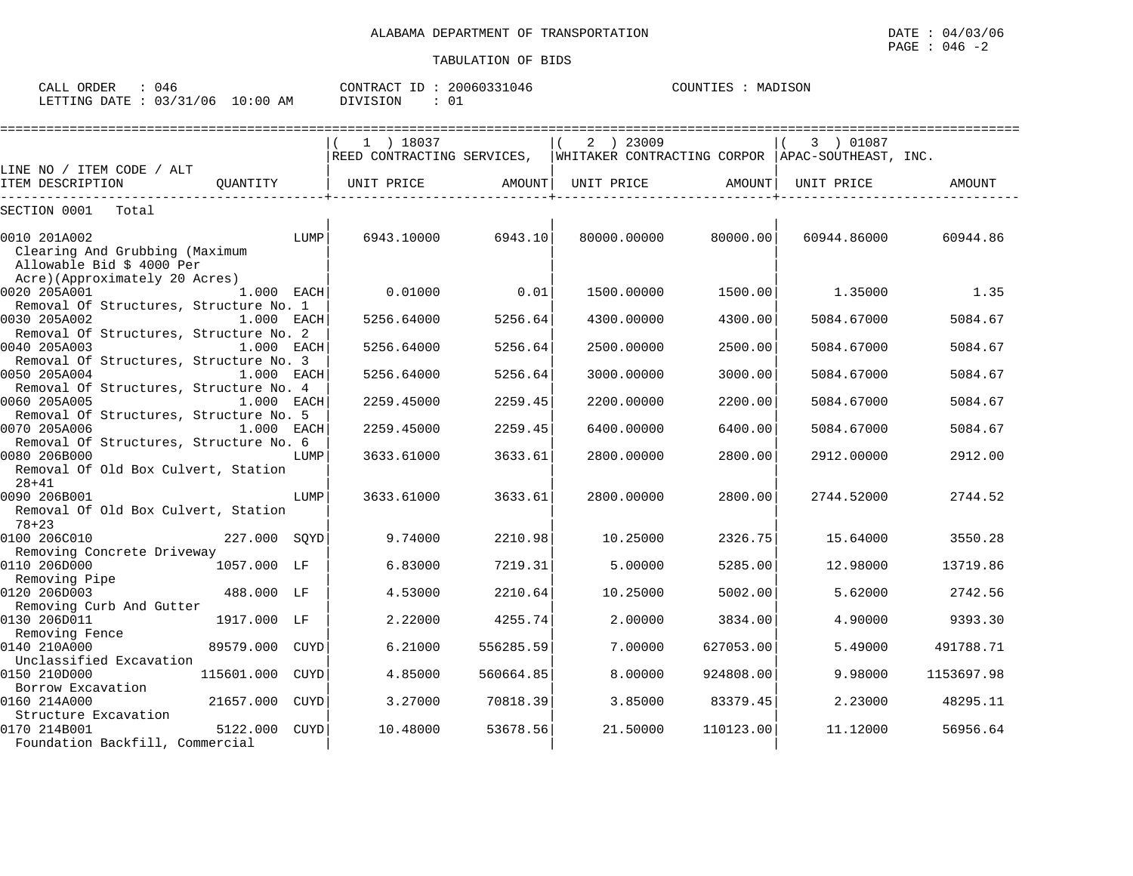| ORDER<br>CALL | 046      |             | CONTRACT<br>$ -$ | 20060331046 | COUNTIES | MADISON |
|---------------|----------|-------------|------------------|-------------|----------|---------|
| LETTING DATE  | 03/31/06 | 10:00<br>AΜ | DIVISION         | ∪⊥          |          |         |

|                                                                                                                |             | 1 ) 18037                                                                   |           | 2 ) 23009   |            |           | 3 ) 01087   |            |
|----------------------------------------------------------------------------------------------------------------|-------------|-----------------------------------------------------------------------------|-----------|-------------|------------|-----------|-------------|------------|
| LINE NO / ITEM CODE / ALT                                                                                      |             | REED CONTRACTING SERVICES, WHITAKER CONTRACTING CORPOR APAC-SOUTHEAST, INC. |           |             |            |           |             |            |
| ITEM DESCRIPTION<br>OUANTITY                                                                                   |             | UNIT PRICE                                                                  | AMOUNT    |             | UNIT PRICE | AMOUNT    | UNIT PRICE  | AMOUNT     |
| SECTION 0001<br>Total                                                                                          |             |                                                                             |           |             |            |           |             |            |
| 0010 201A002<br>Clearing And Grubbing (Maximum<br>Allowable Bid \$ 4000 Per                                    | LUMP        | 6943.10000                                                                  | 6943.10   | 80000.00000 |            | 80000.00  | 60944.86000 | 60944.86   |
| Acre)(Approximately 20 Acres)<br>0020 205A001<br>1.000 EACH                                                    |             | 0.01000                                                                     | 0.01      | 1500.00000  |            | 1500.00   | 1.35000     | 1.35       |
| Removal Of Structures, Structure No. 1<br>0030 205A002<br>1.000 EACH<br>Removal Of Structures, Structure No. 2 |             | 5256.64000                                                                  | 5256.64   | 4300.00000  |            | 4300.00   | 5084.67000  | 5084.67    |
| 0040 205A003<br>1.000 EACH<br>Removal Of Structures, Structure No. 3                                           |             | 5256.64000                                                                  | 5256.64   | 2500.00000  |            | 2500.00   | 5084.67000  | 5084.67    |
| 0050 205A004<br>1.000 EACH<br>Removal Of Structures, Structure No. 4                                           |             | 5256.64000                                                                  | 5256.64   | 3000.00000  |            | 3000.00   | 5084.67000  | 5084.67    |
| 0060 205A005<br>1.000 EACH<br>Removal Of Structures, Structure No. 5                                           |             | 2259.45000                                                                  | 2259.45   | 2200.00000  |            | 2200.00   | 5084.67000  | 5084.67    |
| 0070 205A006<br>1.000 EACH<br>Removal Of Structures, Structure No. 6                                           |             | 2259.45000                                                                  | 2259.45   | 6400.00000  |            | 6400.00   | 5084.67000  | 5084.67    |
| 0080 206B000<br>Removal Of Old Box Culvert, Station<br>$28 + 41$                                               | LUMP        | 3633.61000                                                                  | 3633.61   | 2800.00000  |            | 2800.00   | 2912.00000  | 2912.00    |
| 0090 206B001<br>Removal Of Old Box Culvert, Station<br>$78 + 23$                                               | LUMP        | 3633.61000                                                                  | 3633.61   | 2800.00000  |            | 2800.00   | 2744.52000  | 2744.52    |
| 227.000 SQYD<br>0100 206C010<br>Removing Concrete Driveway                                                     |             | 9.74000                                                                     | 2210.98   |             | 10.25000   | 2326.75   | 15.64000    | 3550.28    |
| 0110 206D000<br>1057.000 LF<br>Removing Pipe                                                                   |             | 6.83000                                                                     | 7219.31   |             | 5.00000    | 5285.00   | 12,98000    | 13719.86   |
| 0120 206D003<br>488.000 LF<br>Removing Curb And Gutter                                                         |             | 4.53000                                                                     | 2210.64   |             | 10.25000   | 5002.00   | 5.62000     | 2742.56    |
| 0130 206D011<br>1917.000 LF<br>Removing Fence                                                                  |             | 2.22000                                                                     | 4255.74   |             | 2.00000    | 3834.00   | 4.90000     | 9393.30    |
| 0140 210A000<br>89579.000<br>Unclassified Excavation                                                           | CUYD        | 6.21000                                                                     | 556285.59 |             | 7.00000    | 627053.00 | 5.49000     | 491788.71  |
| 0150 210D000<br>115601.000<br>Borrow Excavation                                                                | <b>CUYD</b> | 4.85000                                                                     | 560664.85 |             | 8,00000    | 924808.00 | 9.98000     | 1153697.98 |
| 0160 214A000<br>21657.000<br>Structure Excavation                                                              | CUYD        | 3.27000                                                                     | 70818.39  |             | 3.85000    | 83379.45  | 2.23000     | 48295.11   |
| 0170 214B001<br>5122.000<br>Foundation Backfill, Commercial                                                    | CUYD        | 10.48000                                                                    | 53678.56  |             | 21.50000   | 110123.00 | 11.12000    | 56956.64   |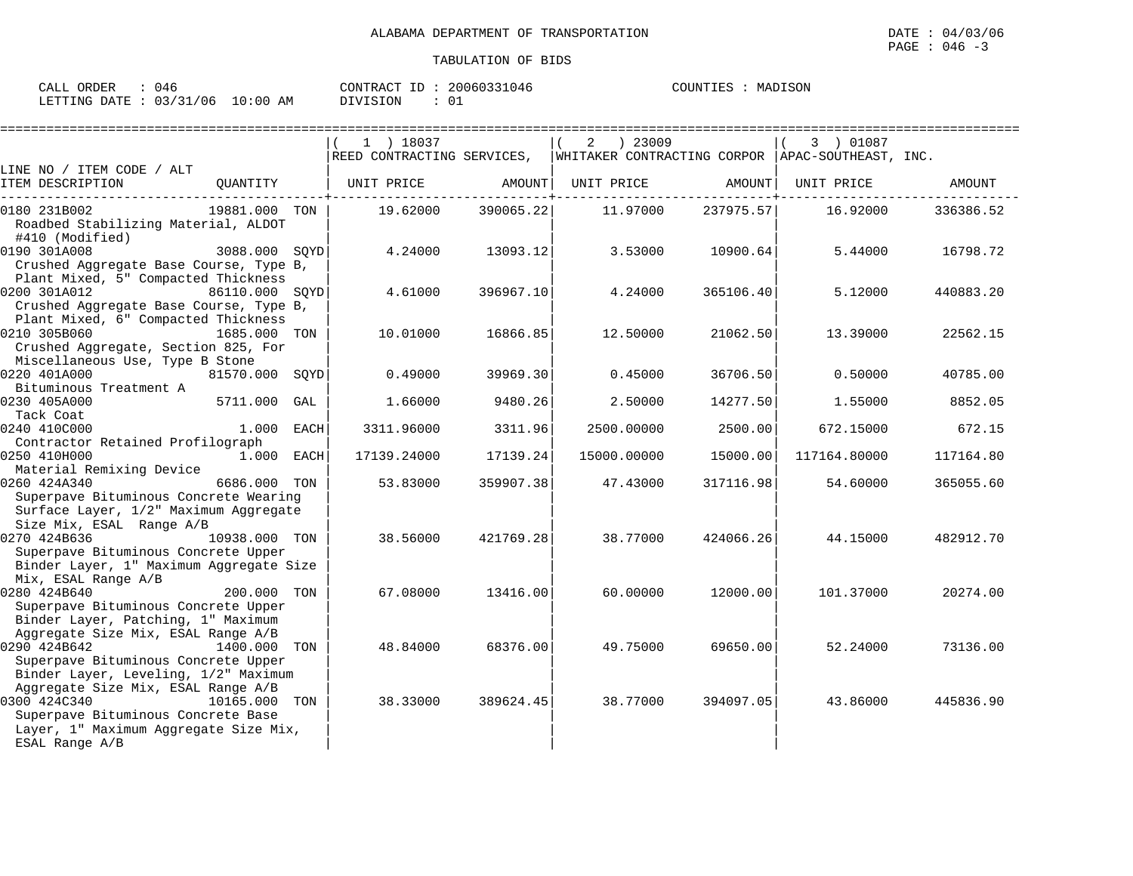| ORDER<br>$\sim$ $\sim$ $\sim$<br>' A I<br>ىلىلل | 046                                                           | ΙD<br>CONTRACT | 20060331046<br>31046 | MADISON<br>COUNTIES |
|-------------------------------------------------|---------------------------------------------------------------|----------------|----------------------|---------------------|
| LETTING<br>DATE                                 | /06<br>ີ່ ^ : 00 ມ<br>$\sim$ $\sim$ $\sim$<br>03<br>AΜ<br>⊥∪∵ | DIVISION       | $\sim$<br>◡⊥         |                     |

|                                                                                                                                                     |                |     | $1$ ) 18037                                                                                         |           | ) 23009<br>2 |           | 3 ) 01087    |           |
|-----------------------------------------------------------------------------------------------------------------------------------------------------|----------------|-----|-----------------------------------------------------------------------------------------------------|-----------|--------------|-----------|--------------|-----------|
|                                                                                                                                                     |                |     | REED CONTRACTING SERVICES, $\parallel$ WHITAKER CONTRACTING CORPOR $\parallel$ APAC-SOUTHEAST, INC. |           |              |           |              |           |
| LINE NO / ITEM CODE / ALT                                                                                                                           |                |     |                                                                                                     |           |              |           |              |           |
| ITEM DESCRIPTION                                                                                                                                    | QUANTITY       |     | UNIT PRICE                                                                                          | AMOUNT    | UNIT PRICE   | AMOUNT    | UNIT PRICE   | AMOUNT    |
| 0180 231B002                                                                                                                                        | 19881.000 TON  |     | 19.62000                                                                                            | 390065.22 | 11.97000     | 237975.57 | 16.92000     | 336386.52 |
| Roadbed Stabilizing Material, ALDOT<br>#410 (Modified)                                                                                              |                |     |                                                                                                     |           |              |           |              |           |
| 0190 301A008<br>Crushed Aggregate Base Course, Type B,<br>Plant Mixed, 5" Compacted Thickness                                                       | 3088.000 SOYD  |     | 4.24000                                                                                             | 13093.12  | 3.53000      | 10900.64  | 5.44000      | 16798.72  |
| 0200 301A012<br>86110.000 SOYD<br>Crushed Aggregate Base Course, Type B,<br>Plant Mixed, 6" Compacted Thickness                                     |                |     | 4.61000                                                                                             | 396967.10 | 4.24000      | 365106.40 | 5.12000      | 440883.20 |
| 0210 305B060<br>Crushed Aggregate, Section 825, For<br>Miscellaneous Use, Type B Stone                                                              | 1685.000 TON   |     | 10.01000                                                                                            | 16866.85  | 12.50000     | 21062.50  | 13.39000     | 22562.15  |
| 0220 401A000<br>Bituminous Treatment A                                                                                                              | 81570.000 SOYD |     | 0.49000                                                                                             | 39969.30  | 0.45000      | 36706.50  | 0.50000      | 40785.00  |
| 0230 405A000<br>Tack Coat                                                                                                                           | 5711.000 GAL   |     | 1.66000                                                                                             | 9480.26   | 2.50000      | 14277.50  | 1.55000      | 8852.05   |
| 0240 410C000<br>Contractor Retained Profilograph                                                                                                    | 1.000 EACH     |     | 3311.96000                                                                                          | 3311.96   | 2500.00000   | 2500.00   | 672.15000    | 672.15    |
| 0250 410H000<br>Material Remixing Device                                                                                                            | 1.000 EACH     |     | 17139.24000                                                                                         | 17139.24  | 15000.00000  | 15000.00  | 117164.80000 | 117164.80 |
| 0260 424A340<br>Superpave Bituminous Concrete Wearing<br>Surface Layer, 1/2" Maximum Aggregate<br>Size Mix, ESAL Range A/B                          | 6686.000 TON   |     | 53.83000                                                                                            | 359907.38 | 47.43000     | 317116.98 | 54.60000     | 365055.60 |
| 0270 424B636<br>Superpave Bituminous Concrete Upper<br>Binder Layer, 1" Maximum Aggregate Size<br>Mix, ESAL Range A/B                               | 10938.000 TON  |     | 38.56000                                                                                            | 421769.28 | 38.77000     | 424066.26 | 44.15000     | 482912.70 |
| 0280 424B640<br>Superpave Bituminous Concrete Upper<br>Binder Layer, Patching, 1" Maximum                                                           | 200.000 TON    |     | 67.08000                                                                                            | 13416.00  | 60.00000     | 12000.00  | 101.37000    | 20274.00  |
| Aggregate Size Mix, ESAL Range A/B<br>0290 424B642<br>Superpave Bituminous Concrete Upper<br>Binder Layer, Leveling, 1/2" Maximum                   | 1400.000       | TON | 48.84000                                                                                            | 68376.00  | 49.75000     | 69650.00  | 52.24000     | 73136.00  |
| Aggregate Size Mix, ESAL Range A/B<br>0300 424C340<br>Superpave Bituminous Concrete Base<br>Layer, 1" Maximum Aggregate Size Mix,<br>ESAL Range A/B | 10165.000 TON  |     | 38.33000                                                                                            | 389624.45 | 38.77000     | 394097.05 | 43.86000     | 445836.90 |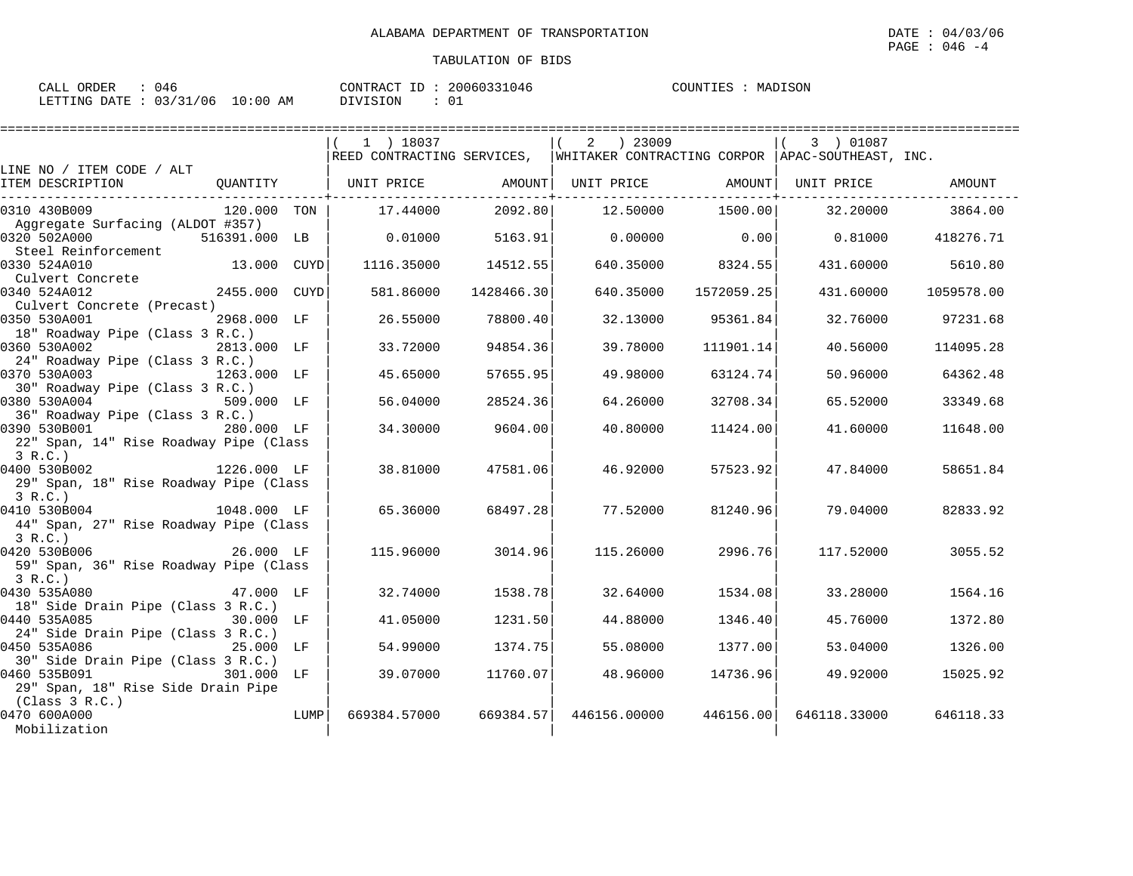| CALL ORDER                      | 046 |          | CONTRACT ID: 20060331046 | COUNTIES | : MADISON |
|---------------------------------|-----|----------|--------------------------|----------|-----------|
| LETTING DATE: 03/31/06 10:00 AM |     | DIVISION |                          |          |           |

|                                                                                                   |      | =================================                                                                  |            |               |                   |              |                   |
|---------------------------------------------------------------------------------------------------|------|----------------------------------------------------------------------------------------------------|------------|---------------|-------------------|--------------|-------------------|
|                                                                                                   |      | 1 ) 18037                                                                                          |            | $2 \t) 23009$ |                   | 3 ) 01087    |                   |
| LINE NO / ITEM CODE / ALT                                                                         |      | REED CONTRACTING SERVICES, WHITAKER CONTRACTING CORPOR APAC-SOUTHEAST, INC.                        |            |               |                   |              |                   |
| ITEM DESCRIPTION                                                                                  |      | QUANTITY   UNIT PRICE                 AMOUNT    UNIT PRICE                    AMOUNT    UNIT PRICE |            |               |                   |              | AMOUNT            |
| 0310 430B009<br>120.000 TON                                                                       |      | 17.44000                                                                                           | 2092.80    |               | 12.50000 1500.00  | 32.20000     | 3864.00           |
| Aggregate Surfacing (ALDOT #357)<br>0320 502A000<br>516391.000 LB                                 |      | 0.01000                                                                                            | 5163.91    | 0.00000       | 0.00              |              | 0.81000 418276.71 |
| Steel Reinforcement<br>13.000 CUYD<br>0330 524A010                                                |      | 1116.35000                                                                                         | 14512.55   |               | 640.35000 8324.55 | 431.60000    | 5610.80           |
| Culvert Concrete<br>2455.000 CUYD<br>0340 524A012                                                 |      | 581.86000                                                                                          | 1428466.30 | 640.35000     | 1572059.25        | 431.60000    | 1059578.00        |
| Culvert Concrete (Precast)<br>2968.000 LF<br>0350 530A001<br>18" Roadway Pipe (Class 3 R.C.)      |      | 26.55000                                                                                           | 78800.40   | 32.13000      | 95361.84          | 32.76000     | 97231.68          |
| 0360 530A002<br>2813.000 LF                                                                       |      | 33.72000                                                                                           | 94854.36   | 39.78000      | 111901.14         | 40.56000     | 114095.28         |
| 24" Roadway Pipe (Class 3 R.C.)<br>0370 530A003<br>1263.000 LF<br>30" Roadway Pipe (Class 3 R.C.) |      | 45.65000                                                                                           | 57655.95   | 49.98000      | 63124.74          | 50.96000     | 64362.48          |
| 0380 530A004<br>509.000 LF<br>36" Roadway Pipe (Class 3 R.C.)                                     |      | 56.04000                                                                                           | 28524.36   | 64.26000      | 32708.34          | 65.52000     | 33349.68          |
| 0390 530B001<br>280.000 LF<br>22" Span, 14" Rise Roadway Pipe (Class                              |      | 34.30000                                                                                           | 9604.00    | 40.80000      | 11424.00          | 41.60000     | 11648.00          |
| 3 R.C.<br>0400 530B002<br>$1226.000$ LF<br>29" Span, 18" Rise Roadway Pipe (Class                 |      | 38.81000                                                                                           | 47581.06   | 46.92000      | 57523.92          | 47.84000     | 58651.84          |
| 3 R.C.)<br>0410 530B004<br>1048.000 LF<br>44" Span, 27" Rise Roadway Pipe (Class                  |      | 65.36000                                                                                           | 68497.28   | 77.52000      | 81240.96          | 79.04000     | 82833.92          |
| 3 R.C.<br>0420 530B006<br>26.000 LF<br>59" Span, 36" Rise Roadway Pipe (Class                     |      | 115.96000                                                                                          | 3014.96    | 115.26000     | 2996.76           | 117.52000    | 3055.52           |
| 3 R.C.<br>0430 535A080<br>47.000 LF<br>18" Side Drain Pipe (Class 3 R.C.)                         |      | 32.74000                                                                                           | 1538.78    | 32.64000      | 1534.08           | 33.28000     | 1564.16           |
| 0440 535A085<br>30.000 LF<br>24" Side Drain Pipe (Class 3 R.C.)                                   |      | 41.05000                                                                                           | 1231.50    | 44.88000      | 1346.40           | 45.76000     | 1372.80           |
| 0450 535A086<br><b>25.000 LF</b><br>30" Side Drain Pipe (Class 3 R.C.)                            |      | 54.99000                                                                                           | 1374.75    | 55.08000      | 1377.00           | 53.04000     | 1326.00           |
| 0460 535B091<br>301.000 LF<br>29" Span, 18" Rise Side Drain Pipe                                  |      | 39.07000                                                                                           | 11760.07   | 48.96000      | 14736.96          | 49.92000     | 15025.92          |
| (Class 3 R.C.)<br>0470 600A000<br>Mobilization                                                    | LUMP | 669384.57000                                                                                       | 669384.57  | 446156.00000  | 446156.00         | 646118.33000 | 646118.33         |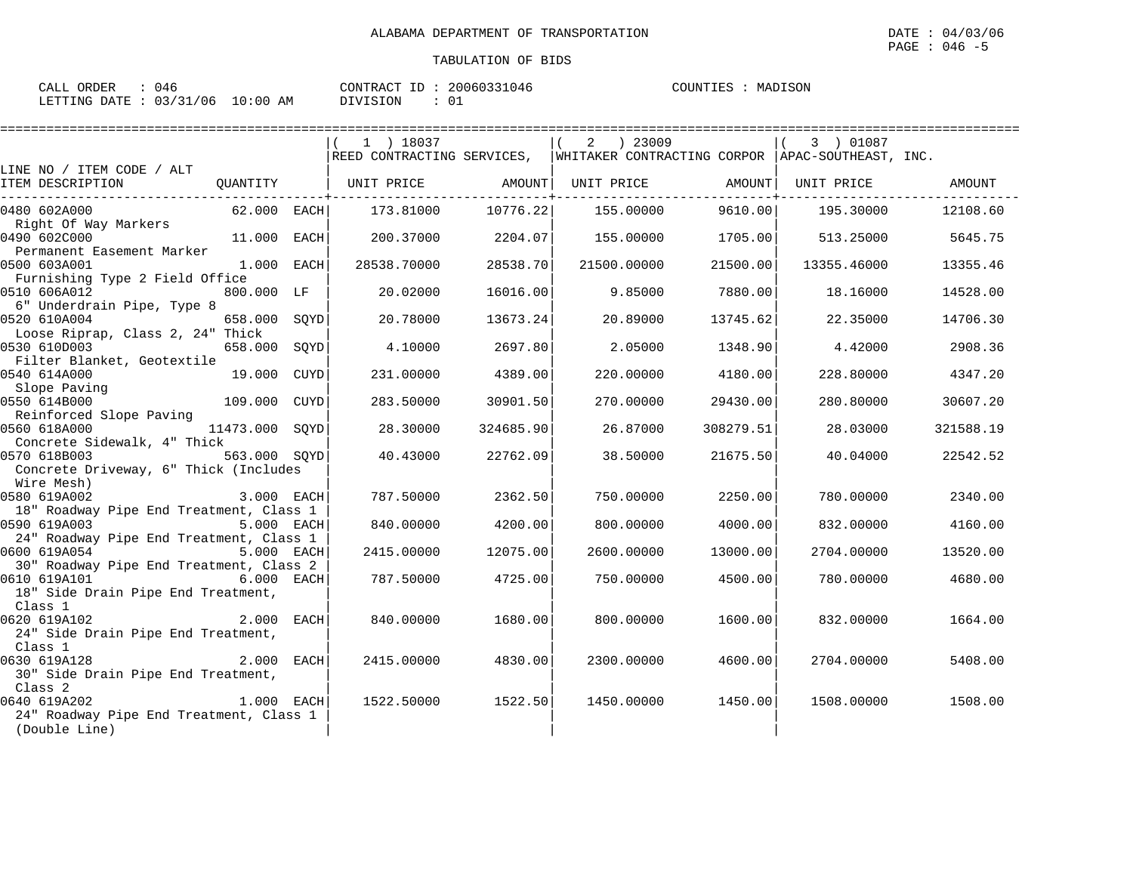| CALL ORDER                       | 046 |          | CONTRACT ID: 20060331046 | COUNTIES | MADISON |
|----------------------------------|-----|----------|--------------------------|----------|---------|
| LETTING DATE : 03/31/06 10:00 AM |     | DIVISION |                          |          |         |

|                                                                       |                |      | 1 ) 18037   |           | 2 ) 23009   |                                                                               | 3 ) 01087   |           |
|-----------------------------------------------------------------------|----------------|------|-------------|-----------|-------------|-------------------------------------------------------------------------------|-------------|-----------|
|                                                                       |                |      |             |           |             | REED CONTRACTING SERVICES,  WHITAKER CONTRACTING CORPOR  APAC-SOUTHEAST, INC. |             |           |
| LINE NO / ITEM CODE / ALT<br>ITEM DESCRIPTION                         | OUANTITY       |      | UNIT PRICE  | AMOUNT    |             | UNIT PRICE AMOUNT                                                             | UNIT PRICE  | AMOUNT    |
|                                                                       |                |      |             |           |             |                                                                               |             |           |
| 0480 602A000                                                          | 62.000 EACH    |      | 173.81000   | 10776.22  | 155.00000   | 9610.00                                                                       | 195.30000   | 12108.60  |
| Right Of Way Markers                                                  |                |      |             |           |             |                                                                               |             |           |
| 0490 602C000                                                          | 11.000 EACH    |      | 200.37000   | 2204.07   | 155.00000   | 1705.00                                                                       | 513.25000   | 5645.75   |
| Permanent Easement Marker                                             |                |      |             |           |             |                                                                               |             |           |
| 0500 603A001                                                          | $1.000$ EACH   |      | 28538.70000 | 28538.70  | 21500.00000 | 21500.00                                                                      | 13355.46000 | 13355.46  |
| Furnishing Type 2 Field Office                                        |                |      |             |           |             |                                                                               |             |           |
| 0510 606A012                                                          | 800.000 LF     |      | 20.02000    | 16016.00  | 9.85000     | 7880.00                                                                       | 18.16000    | 14528.00  |
| 6" Underdrain Pipe, Type 8                                            |                |      |             |           |             |                                                                               |             |           |
| 0520 610A004                                                          | 658.000 SQYD   |      | 20.78000    | 13673.24  | 20.89000    | 13745.62                                                                      | 22.35000    | 14706.30  |
| Loose Riprap, Class 2, 24" Thick                                      |                |      |             |           |             |                                                                               |             |           |
| 0530 610D003                                                          | 658.000 SQYD   |      | 4.10000     | 2697.80   |             | 2.05000<br>1348.90                                                            | 4.42000     | 2908.36   |
| Filter Blanket, Geotextile                                            |                |      |             |           |             |                                                                               |             |           |
| 0540 614A000                                                          | 19.000         | CUYD | 231.00000   | 4389.00   | 220.00000   | 4180.00                                                                       | 228.80000   | 4347.20   |
| Slope Paving                                                          |                |      |             |           |             |                                                                               |             |           |
| 0550 614B000                                                          | 109.000 CUYD   |      | 283.50000   | 30901.50  | 270.00000   | 29430.00                                                                      | 280.80000   | 30607.20  |
| Reinforced Slope Paving                                               |                |      |             |           |             |                                                                               |             |           |
| 0560 618A000                                                          | 11473.000 SOYD |      | 28.30000    | 324685.90 | 26.87000    | 308279.51                                                                     | 28.03000    | 321588.19 |
| Concrete Sidewalk, 4" Thick                                           |                |      |             |           |             |                                                                               |             |           |
| 563.000 SOYD<br>0570 618B003                                          |                |      | 40.43000    | 22762.09  | 38.50000    | 21675.50                                                                      | 40.04000    | 22542.52  |
| Concrete Driveway, 6" Thick (Includes                                 |                |      |             |           |             |                                                                               |             |           |
| Wire Mesh)                                                            |                |      |             |           |             |                                                                               |             |           |
| 0580 619A002                                                          | 3.000 EACH     |      | 787.50000   | 2362.50   | 750.00000   | 2250.00                                                                       | 780.00000   | 2340.00   |
| 18" Roadway Pipe End Treatment, Class 1                               |                |      |             |           |             |                                                                               |             |           |
| 0590 619A003                                                          | 5.000 EACH     |      | 840.00000   | 4200.00   | 800,00000   | 4000.00                                                                       | 832.00000   | 4160.00   |
| 24" Roadway Pipe End Treatment, Class 1<br>0600 619A054<br>5.000 EACH |                |      | 2415.00000  | 12075.00  | 2600.00000  | 13000.00                                                                      |             |           |
| 30" Roadway Pipe End Treatment, Class 2                               |                |      |             |           |             |                                                                               | 2704.00000  | 13520.00  |
| 0610 619A101 6.000 EACH                                               |                |      | 787.50000   | 4725.00   | 750.00000   | 4500.00                                                                       | 780.00000   | 4680.00   |
| 18" Side Drain Pipe End Treatment,                                    |                |      |             |           |             |                                                                               |             |           |
| Class 1                                                               |                |      |             |           |             |                                                                               |             |           |
| 2.000 EACH<br>0620 619A102                                            |                |      | 840.00000   | 1680.00   | 800,00000   | 1600.00                                                                       | 832.00000   | 1664.00   |
| 24" Side Drain Pipe End Treatment,                                    |                |      |             |           |             |                                                                               |             |           |
| Class 1                                                               |                |      |             |           |             |                                                                               |             |           |
| 0630 619A128                                                          | 2.000 EACH     |      | 2415.00000  | 4830.00   | 2300.00000  | 4600.00                                                                       | 2704.00000  | 5408.00   |
| 30" Side Drain Pipe End Treatment,                                    |                |      |             |           |             |                                                                               |             |           |
| Class 2                                                               |                |      |             |           |             |                                                                               |             |           |
| $1.000$ EACH<br>0640 619A202                                          |                |      | 1522.50000  | 1522.50   | 1450.00000  | 1450.00                                                                       | 1508.00000  | 1508.00   |
| 24" Roadway Pipe End Treatment, Class 1                               |                |      |             |           |             |                                                                               |             |           |
| (Double Line)                                                         |                |      |             |           |             |                                                                               |             |           |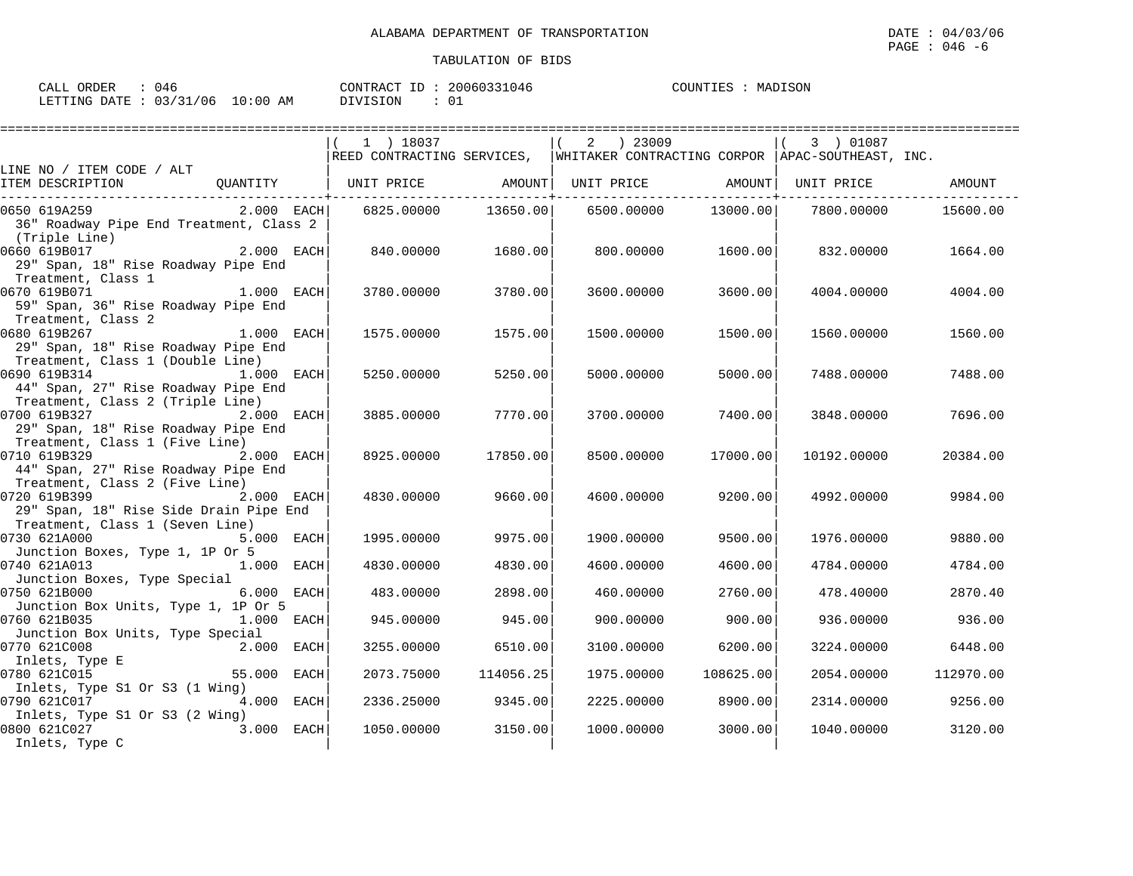| N 46<br>ORDER<br>CALL      |             | 20060331046<br>CONTRACT<br>TD. | MADISON<br>COUNTIES |
|----------------------------|-------------|--------------------------------|---------------------|
| : 03/31/06<br>LETTING DATE | 10:00<br>AM | DIVISION<br>ັບ⊥                |                     |

|                                                                                                         | 1 ) 18037                                                                   |           | 2 ) 23009         |           | 3) 01087          |           |
|---------------------------------------------------------------------------------------------------------|-----------------------------------------------------------------------------|-----------|-------------------|-----------|-------------------|-----------|
| LINE NO / ITEM CODE / ALT                                                                               | REED CONTRACTING SERVICES, WHITAKER CONTRACTING CORPOR APAC-SOUTHEAST, INC. |           |                   |           |                   |           |
| QUANTITY   UNIT PRICE AMOUNT <br>ITEM DESCRIPTION                                                       |                                                                             |           | UNIT PRICE AMOUNT |           | UNIT PRICE AMOUNT |           |
| $2.000$ EACH<br>0650 619A259<br>36" Roadway Pipe End Treatment, Class 2                                 | 6825.00000                                                                  | 13650.00  | 6500.00000        | 13000.00  | 7800.00000        | 15600.00  |
| (Triple Line)<br>$2.000$ EACH<br>0660 619B017<br>29" Span, 18" Rise Roadway Pipe End                    | 840.00000                                                                   | 1680.00   | 800.00000         | 1600.00   | 832.00000         | 1664.00   |
| Treatment, Class 1<br>1.000 EACH<br>0670 619B071<br>59" Span, 36" Rise Roadway Pipe End                 | 3780.00000                                                                  | 3780.00   | 3600.00000        | 3600.00   | 4004.00000        | 4004.00   |
| Treatment, Class 2<br>$1.000$ EACH<br>0680 619B267<br>29" Span, 18" Rise Roadway Pipe End               | 1575.00000                                                                  | 1575.00   | 1500.00000        | 1500.00   | 1560.00000        | 1560.00   |
| Treatment, Class 1 (Double Line)<br>0690 619B314<br>44" Span, 27" Rise Roadway Pipe End                 | 5250.00000                                                                  | 5250.00   | 5000.00000        | 5000.00   | 7488.00000        | 7488.00   |
| Treatment, Class 2 (Triple Line)<br>0700 619B327<br>$2.000$ EACH<br>29" Span, 18" Rise Roadway Pipe End | 3885,00000                                                                  | 7770.00   | 3700.00000        | 7400.00   | 3848.00000        | 7696.00   |
| Treatment, Class 1 (Five Line)<br>0710 619B329<br>$2.000$ EACH<br>44" Span, 27" Rise Roadway Pipe End   | 8925.00000                                                                  | 17850.00  | 8500.00000        | 17000.00  | 10192.00000       | 20384.00  |
| Treatment, Class 2 (Five Line)<br>0720 619B399<br>2.000 EACH<br>29" Span, 18" Rise Side Drain Pipe End  | 4830,00000                                                                  | 9660.00   | 4600,00000        | 9200.00   | 4992.00000        | 9984.00   |
| Treatment, Class 1 (Seven Line)<br>0730 621A000<br>5.000 EACH<br>Junction Boxes, Type 1, 1P Or 5        | 1995.00000                                                                  | 9975.00   | 1900.00000        | 9500.00   | 1976.00000        | 9880.00   |
| 0740 621A013<br>1.000 EACH<br>Junction Boxes, Type Special                                              | 4830.00000                                                                  | 4830.00   | 4600.00000        | 4600.00   | 4784.00000        | 4784.00   |
| 0750 621B000<br>6.000 EACH<br>Junction Box Units, Type 1, 1P Or 5                                       | 483.00000                                                                   | 2898.00   | 460.00000         | 2760.00   | 478.40000         | 2870.40   |
| 0760 621B035<br>1.000 EACH<br>Junction Box Units, Type Special                                          | 945.00000                                                                   | 945.00    | 900.00000         | 900.00    | 936.00000         | 936.00    |
| 0770 621C008<br>2.000 EACH<br>Inlets, Type E                                                            | 3255.00000                                                                  | 6510.00   | 3100.00000        | 6200.00   | 3224.00000        | 6448.00   |
| 0780 621C015<br>55.000 EACH<br>Inlets, Type S1 Or S3 (1 Wing)                                           | 2073.75000                                                                  | 114056.25 | 1975.00000        | 108625.00 | 2054.00000        | 112970.00 |
| 0790 621C017<br>4.000 EACH<br>Inlets, Type S1 Or S3 (2 Wing)                                            | 2336.25000                                                                  | 9345.00   | 2225.00000        | 8900.00   | 2314.00000        | 9256.00   |
| 0800 621C027<br>3.000 EACH<br>Inlets, Type C                                                            | 1050.00000                                                                  | 3150.00   | 1000.00000        | 3000.00   | 1040.00000        | 3120.00   |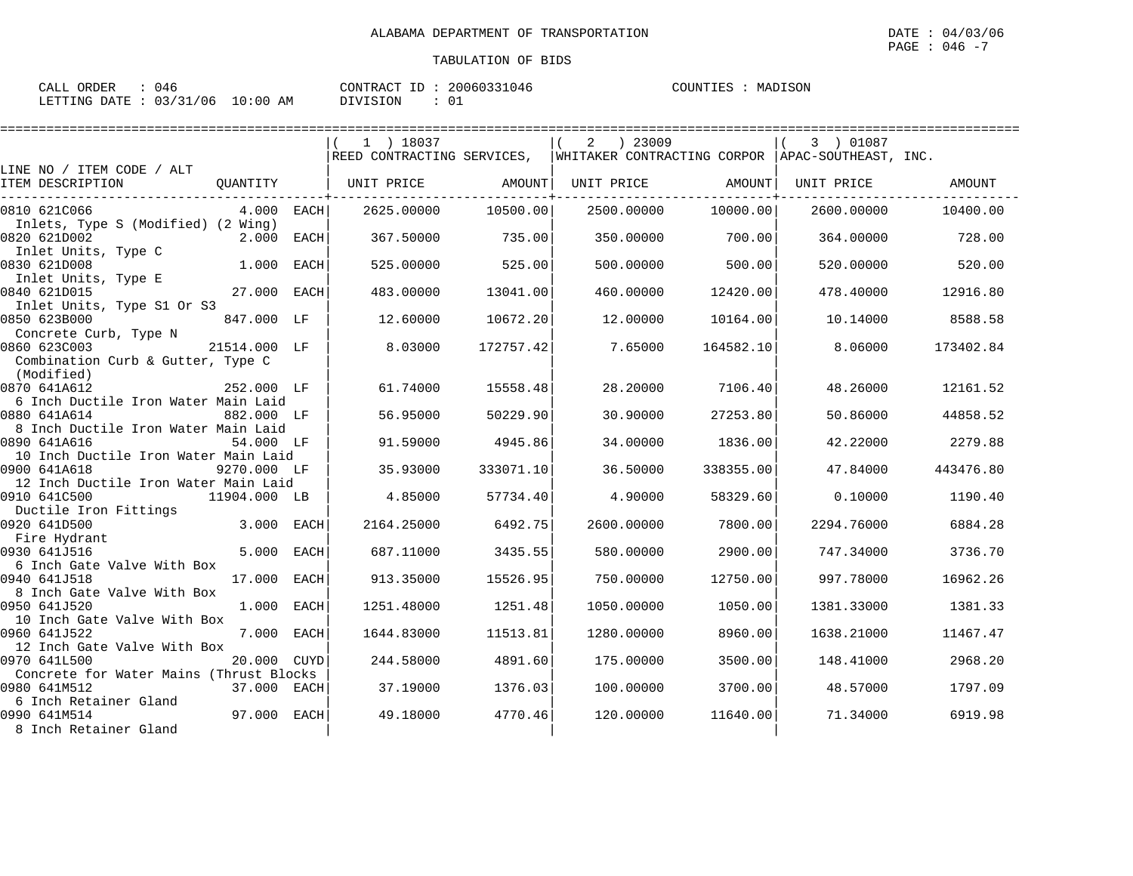| CALL ORDER                       | 046 |          | CONTRACT ID: 20060331046 | COUNTIES | MADISON |
|----------------------------------|-----|----------|--------------------------|----------|---------|
| LETTING DATE : 03/31/06 10:00 AM |     | DIVISION |                          |          |         |

|                                                      |              |             | $1$ ) 18037 |           | ) 23009<br>2 |                                                                             | 3 ) 01087  |           |
|------------------------------------------------------|--------------|-------------|-------------|-----------|--------------|-----------------------------------------------------------------------------|------------|-----------|
|                                                      |              |             |             |           |              | REED CONTRACTING SERVICES, WHITAKER CONTRACTING CORPOR APAC-SOUTHEAST, INC. |            |           |
| LINE NO / ITEM CODE / ALT<br>ITEM DESCRIPTION        | QUANTITY     |             | UNIT PRICE  |           |              | UNIT PRICE AMOUNT                                                           | UNIT PRICE | AMOUNT    |
|                                                      |              |             |             | AMOUNT    |              |                                                                             |            |           |
| 0810 621C066                                         | 4.000        | EACH l      | 2625.00000  | 10500.00  |              | 10000.00<br>2500.00000                                                      | 2600.00000 | 10400.00  |
| Inlets, Type S (Modified) (2 Wing)                   |              |             |             |           |              |                                                                             |            |           |
| 0820 621D002                                         | 2.000 EACH   |             | 367.50000   | 735.00    | 350.00000    | 700.00                                                                      | 364.00000  | 728.00    |
| Inlet Units, Type C                                  |              |             |             |           |              |                                                                             |            |           |
| 0830 621D008                                         | 1.000        | <b>EACH</b> | 525.00000   | 525.00    | 500,00000    | 500.00                                                                      | 520.00000  | 520.00    |
| Inlet Units, Type E<br>0840 621D015                  | 27.000 EACH  |             |             | 13041.00  |              | 12420.00                                                                    |            |           |
| Inlet Units, Type S1 Or S3                           |              |             | 483.00000   |           | 460.00000    |                                                                             | 478.40000  | 12916.80  |
| 0850 623B000                                         | 847.000 LF   |             | 12.60000    | 10672.20  | 12,00000     | 10164.00                                                                    | 10.14000   | 8588.58   |
| Concrete Curb, Type N                                |              |             |             |           |              |                                                                             |            |           |
| 0860 623C003                                         | 21514.000 LF |             | 8.03000     | 172757.42 | 7.65000      | 164582.10                                                                   | 8,06000    | 173402.84 |
| Combination Curb & Gutter, Type C                    |              |             |             |           |              |                                                                             |            |           |
| (Modified)                                           |              |             |             |           |              |                                                                             |            |           |
| 0870 641A612                                         | 252.000 LF   |             | 61.74000    | 15558.48  | 28.20000     | 7106.40                                                                     | 48.26000   | 12161.52  |
| 6 Inch Ductile Iron Water Main Laid                  |              |             |             |           |              |                                                                             |            |           |
| 0880 641A614                                         | 882.000 LF   |             | 56.95000    | 50229.90  | 30,90000     | 27253.80                                                                    | 50.86000   | 44858.52  |
| 8 Inch Ductile Iron Water Main Laid                  |              |             |             |           |              |                                                                             |            |           |
| 0890 641A616                                         | 54.000 LF    |             | 91.59000    | 4945.86   | 34.00000     | 1836.00                                                                     | 42.22000   | 2279.88   |
| 10 Inch Ductile Iron Water Main Laid                 |              |             |             |           |              |                                                                             |            |           |
| 0900 641A618                                         | 9270.000 LF  |             | 35.93000    | 333071.10 | 36.50000     | 338355.00                                                                   | 47.84000   | 443476.80 |
| 12 Inch Ductile Iron Water Main Laid<br>0910 641C500 |              |             | 4.85000     |           | 4.90000      | 58329.60                                                                    |            |           |
| Ductile Iron Fittings                                | 11904.000 LB |             |             | 57734.40  |              |                                                                             | 0.10000    | 1190.40   |
| 0920 641D500                                         | 3.000 EACH   |             | 2164.25000  | 6492.75   | 2600.00000   | 7800.00                                                                     | 2294.76000 | 6884.28   |
| Fire Hydrant                                         |              |             |             |           |              |                                                                             |            |           |
| 0930 641J516                                         | 5.000        | <b>EACH</b> | 687.11000   | 3435.55   | 580.00000    | 2900.00                                                                     | 747.34000  | 3736.70   |
| 6 Inch Gate Valve With Box                           |              |             |             |           |              |                                                                             |            |           |
| 0940 641J518                                         | 17.000       | EACH        | 913.35000   | 15526.95  | 750.00000    | 12750.00                                                                    | 997.78000  | 16962.26  |
| 8 Inch Gate Valve With Box                           |              |             |             |           |              |                                                                             |            |           |
| 0950 641J520                                         | 1.000        | EACH        | 1251.48000  | 1251.48   | 1050.00000   | 1050.00                                                                     | 1381.33000 | 1381.33   |
| 10 Inch Gate Valve With Box                          |              |             |             |           |              |                                                                             |            |           |
| 0960 641J522                                         | 7.000 EACH   |             | 1644.83000  | 11513.81  | 1280.00000   | 8960.00                                                                     | 1638.21000 | 11467.47  |
| 12 Inch Gate Valve With Box                          |              |             |             |           |              |                                                                             |            |           |
| 0970 641L500                                         | 20.000       | CUYD        | 244.58000   | 4891.60   | 175.00000    | 3500.00                                                                     | 148.41000  | 2968.20   |
| Concrete for Water Mains (Thrust Blocks              |              |             |             |           |              |                                                                             |            |           |
| 0980 641M512<br>6 Inch Retainer Gland                | 37.000 EACH  |             | 37.19000    | 1376.03   | 100.00000    | 3700.00                                                                     | 48.57000   | 1797.09   |
| 0990 641M514                                         | 97.000 EACH  |             | 49.18000    | 4770.46   | 120.00000    | 11640.00                                                                    | 71.34000   | 6919.98   |
| 8 Inch Retainer Gland                                |              |             |             |           |              |                                                                             |            |           |
|                                                      |              |             |             |           |              |                                                                             |            |           |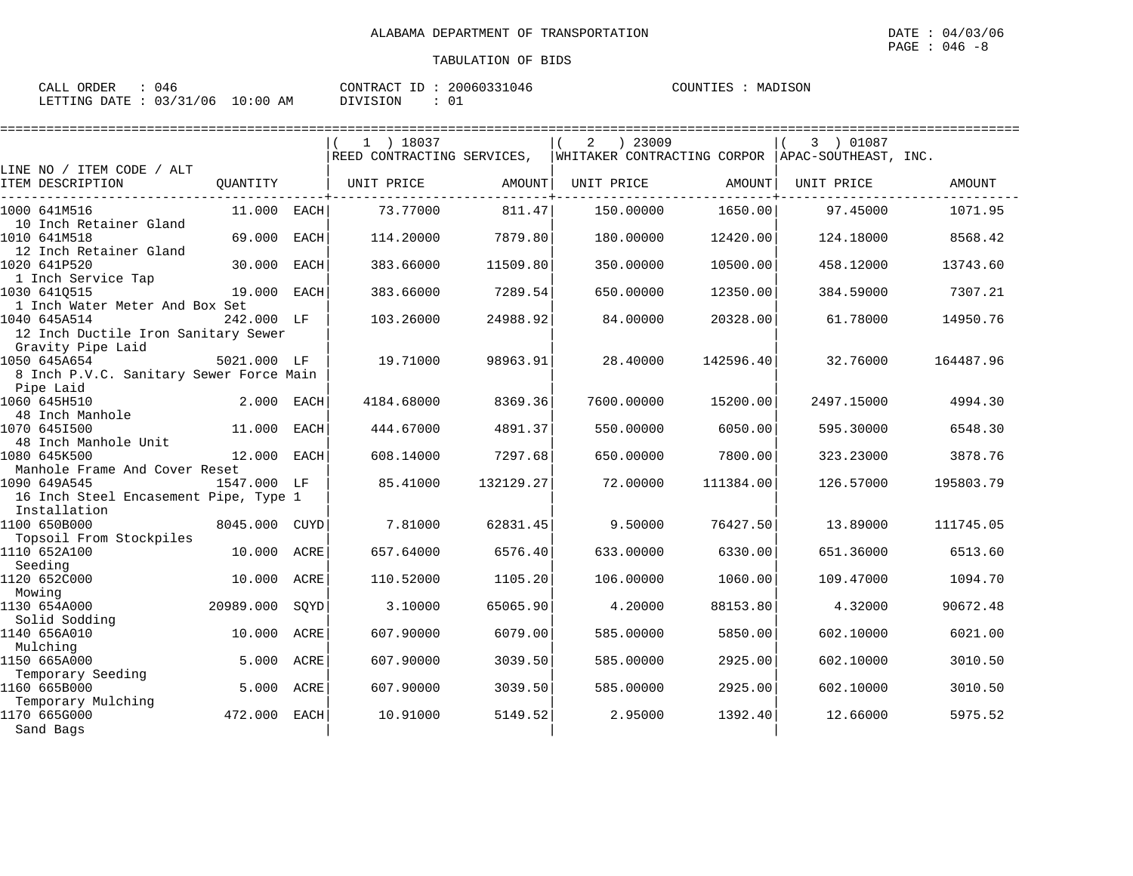| 046<br>CALL ORDER               | CONTRACT ID: 20060331046 | COUNTIES : MADISON |
|---------------------------------|--------------------------|--------------------|
| LETTING DATE: 03/31/06 10:00 AM | DIVISION                 |                    |

|                                                       |             |             | $1$ ) 18037                                                                 |           | ) 23009<br>2 |           | 3 ) 01087  |               |
|-------------------------------------------------------|-------------|-------------|-----------------------------------------------------------------------------|-----------|--------------|-----------|------------|---------------|
|                                                       |             |             | REED CONTRACTING SERVICES, WHITAKER CONTRACTING CORPOR APAC-SOUTHEAST, INC. |           |              |           |            |               |
| LINE NO / ITEM CODE / ALT<br>ITEM DESCRIPTION         | OUANTITY    |             | UNIT PRICE                                                                  | AMOUNT    | UNIT PRICE   | AMOUNT    | UNIT PRICE | <b>AMOUNT</b> |
| 1000 641M516<br>10 Inch Retainer Gland                | 11.000      | EACH        | 73.77000                                                                    | 811.47    | 150.00000    | 1650.00   | 97.45000   | 1071.95       |
| 1010 641M518<br>12 Inch Retainer Gland                | 69.000      | EACH        | 114,20000                                                                   | 7879.80   | 180.00000    | 12420.00  | 124.18000  | 8568.42       |
| 1020 641P520<br>1 Inch Service Tap                    | 30.000      | <b>EACH</b> | 383.66000                                                                   | 11509.80  | 350.00000    | 10500.00  | 458.12000  | 13743.60      |
| 1030 6410515<br>1 Inch Water Meter And Box Set        | 19.000      | EACH        | 383.66000                                                                   | 7289.54   | 650.00000    | 12350.00  | 384.59000  | 7307.21       |
| 1040 645A514<br>12 Inch Ductile Iron Sanitary Sewer   | 242.000 LF  |             | 103.26000                                                                   | 24988.92  | 84.00000     | 20328.00  | 61.78000   | 14950.76      |
| Gravity Pipe Laid<br>1050 645A654                     | 5021.000 LF |             | 19.71000                                                                    | 98963.91  | 28,40000     | 142596.40 | 32.76000   | 164487.96     |
| 8 Inch P.V.C. Sanitary Sewer Force Main<br>Pipe Laid  |             |             |                                                                             |           |              |           |            |               |
| 1060 645H510<br>48 Inch Manhole                       | 2.000       | EACH        | 4184.68000                                                                  | 8369.36   | 7600.00000   | 15200.00  | 2497.15000 | 4994.30       |
| 1070 6451500<br>48 Inch Manhole Unit                  | 11.000      | EACH        | 444.67000                                                                   | 4891.37   | 550.00000    | 6050.00   | 595.30000  | 6548.30       |
| 1080 645K500<br>Manhole Frame And Cover Reset         | 12.000      | <b>EACH</b> | 608.14000                                                                   | 7297.68   | 650.00000    | 7800.00   | 323.23000  | 3878.76       |
| 1090 649A545<br>16 Inch Steel Encasement Pipe, Type 1 | 1547.000 LF |             | 85.41000                                                                    | 132129.27 | 72.00000     | 111384.00 | 126.57000  | 195803.79     |
| Installation                                          |             |             |                                                                             |           |              |           |            |               |
| 1100 650B000<br>Topsoil From Stockpiles               | 8045.000    | CUYD        | 7.81000                                                                     | 62831.45  | 9.50000      | 76427.50  | 13.89000   | 111745.05     |
| 1110 652A100<br>Seeding                               | 10.000      | ACRE        | 657.64000                                                                   | 6576.40   | 633.00000    | 6330.00   | 651.36000  | 6513.60       |
| 1120 652C000<br>Mowing                                | 10.000      | ACRE        | 110.52000                                                                   | 1105.20   | 106.00000    | 1060.00   | 109.47000  | 1094.70       |
| 1130 654A000                                          | 20989.000   | SQYD        | 3.10000                                                                     | 65065.90  | 4.20000      | 88153.80  | 4.32000    | 90672.48      |
| Solid Sodding<br>1140 656A010                         | 10.000      | ACRE        | 607.90000                                                                   | 6079.00   | 585.00000    | 5850.00   | 602.10000  | 6021.00       |
| Mulching<br>1150 665A000                              | 5.000       | ACRE        | 607.90000                                                                   | 3039.50   | 585.00000    | 2925.00   | 602.10000  | 3010.50       |
| Temporary Seeding<br>1160 665B000                     | 5.000       | ACRE        | 607.90000                                                                   | 3039.50   | 585.00000    | 2925.00   | 602.10000  | 3010.50       |
| Temporary Mulching<br>1170 665G000<br>Sand Bags       | 472.000     | EACH        | 10.91000                                                                    | 5149.52   | 2.95000      | 1392.40   | 12.66000   | 5975.52       |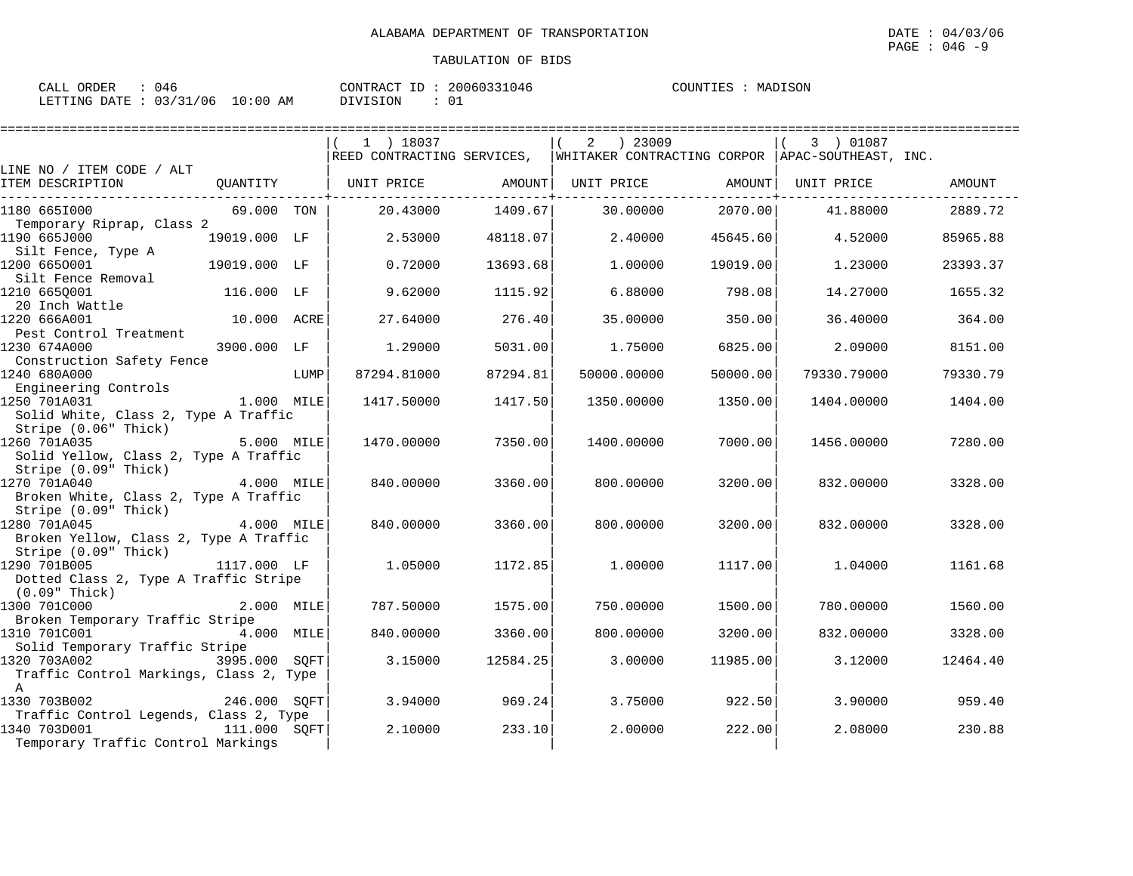| 046<br>CALL ORDER               | CONTRACT ID: 20060331046 | MADISON<br>COUNTIES : |
|---------------------------------|--------------------------|-----------------------|
| LETTING DATE: 03/31/06 10:00 AM | 0.<br>DIVISION           |                       |

|                                                               |              |      | 1 ) 18037                                                                   |          | ) 23009<br>2 |          | 3 ) 01087   |          |
|---------------------------------------------------------------|--------------|------|-----------------------------------------------------------------------------|----------|--------------|----------|-------------|----------|
|                                                               |              |      | REED CONTRACTING SERVICES, WHITAKER CONTRACTING CORPOR APAC-SOUTHEAST, INC. |          |              |          |             |          |
| LINE NO / ITEM CODE / ALT                                     |              |      |                                                                             |          |              |          |             |          |
| ITEM DESCRIPTION                                              | QUANTITY     |      | UNIT PRICE                                                                  | AMOUNT   | UNIT PRICE   | AMOUNT   | UNIT PRICE  | AMOUNT   |
| 1180 6651000                                                  | 69.000 TON   |      | 20.43000                                                                    | 1409.67  | 30,00000     | 2070.00  | 41.88000    | 2889.72  |
| Temporary Riprap, Class 2                                     |              |      |                                                                             |          |              |          |             |          |
| 1190 665J000                                                  | 19019.000 LF |      | 2.53000                                                                     | 48118.07 | 2.40000      | 45645.60 | 4.52000     | 85965.88 |
| Silt Fence, Type A                                            |              |      |                                                                             |          |              |          |             |          |
| 1200 6650001<br>Silt Fence Removal                            | 19019.000 LF |      | 0.72000                                                                     | 13693.68 | 1,00000      | 19019.00 | 1.23000     | 23393.37 |
| 1210 665Q001                                                  | 116.000 LF   |      | 9.62000                                                                     | 1115.92  | 6.88000      | 798.08   | 14.27000    | 1655.32  |
| 20 Inch Wattle                                                |              |      |                                                                             |          |              |          |             |          |
| 1220 666A001                                                  | 10.000 ACRE  |      | 27.64000                                                                    | 276.40   | 35.00000     | 350.00   | 36.40000    | 364.00   |
| Pest Control Treatment                                        |              |      |                                                                             |          |              |          |             |          |
| 1230 674A000                                                  | 3900.000 LF  |      | 1,29000                                                                     | 5031.00  | 1.75000      | 6825.00  | 2.09000     | 8151.00  |
| Construction Safety Fence                                     |              |      |                                                                             |          |              |          |             |          |
| 1240 680A000<br>Engineering Controls                          |              | LUMP | 87294.81000                                                                 | 87294.81 | 50000.00000  | 50000.00 | 79330.79000 | 79330.79 |
| 1250 701A031                                                  | $1.000$ MILE |      | 1417.50000                                                                  | 1417.50  | 1350.00000   | 1350.00  | 1404.00000  | 1404.00  |
| Solid White, Class 2, Type A Traffic                          |              |      |                                                                             |          |              |          |             |          |
| Stripe (0.06" Thick)                                          |              |      |                                                                             |          |              |          |             |          |
| 1260 701A035                                                  | 5.000 MILE   |      | 1470.00000                                                                  | 7350.00  | 1400.00000   | 7000.00  | 1456.00000  | 7280.00  |
| Solid Yellow, Class 2, Type A Traffic                         |              |      |                                                                             |          |              |          |             |          |
| Stripe (0.09" Thick)                                          |              |      |                                                                             |          |              |          |             |          |
| 1270 701A040                                                  | 4.000 MILE   |      | 840.00000                                                                   | 3360.00  | 800,00000    | 3200.00  | 832.00000   | 3328.00  |
| Broken White, Class 2, Type A Traffic<br>Stripe (0.09" Thick) |              |      |                                                                             |          |              |          |             |          |
| 1280 701A045                                                  | 4.000 MILE   |      | 840.00000                                                                   | 3360.00  | 800,00000    | 3200.00  | 832,00000   | 3328.00  |
| Broken Yellow, Class 2, Type A Traffic                        |              |      |                                                                             |          |              |          |             |          |
| Stripe (0.09" Thick)                                          |              |      |                                                                             |          |              |          |             |          |
| 1290 701B005                                                  | 1117.000 LF  |      | 1,05000                                                                     | 1172.85  | 1,00000      | 1117.00  | 1.04000     | 1161.68  |
| Dotted Class 2, Type A Traffic Stripe                         |              |      |                                                                             |          |              |          |             |          |
| $(0.09"$ Thick)<br>1300 701C000                               | 2.000 MILE   |      | 787.50000                                                                   | 1575.00  | 750.00000    | 1500.00  |             | 1560.00  |
| Broken Temporary Traffic Stripe                               |              |      |                                                                             |          |              |          | 780.00000   |          |
| 1310 701C001                                                  | 4.000 MILE   |      | 840.00000                                                                   | 3360.00  | 800.00000    | 3200.00  | 832.00000   | 3328.00  |
| Solid Temporary Traffic Stripe                                |              |      |                                                                             |          |              |          |             |          |
| 1320 703A002<br>3995.000 SQFT                                 |              |      | 3.15000                                                                     | 12584.25 | 3,00000      | 11985.00 | 3.12000     | 12464.40 |
| Traffic Control Markings, Class 2, Type                       |              |      |                                                                             |          |              |          |             |          |
| $\mathbb{A}$                                                  |              |      |                                                                             |          |              |          |             |          |
| 1330 703B002                                                  | 246.000 SOFT |      | 3.94000                                                                     | 969.24   | 3.75000      | 922.50   | 3.90000     | 959.40   |
| Traffic Control Legends, Class 2, Type<br>1340 703D001        | 111.000 SOFT |      | 2,10000                                                                     | 233.10   | 2,00000      | 222.00   | 2.08000     | 230.88   |
| Temporary Traffic Control Markings                            |              |      |                                                                             |          |              |          |             |          |
|                                                               |              |      |                                                                             |          |              |          |             |          |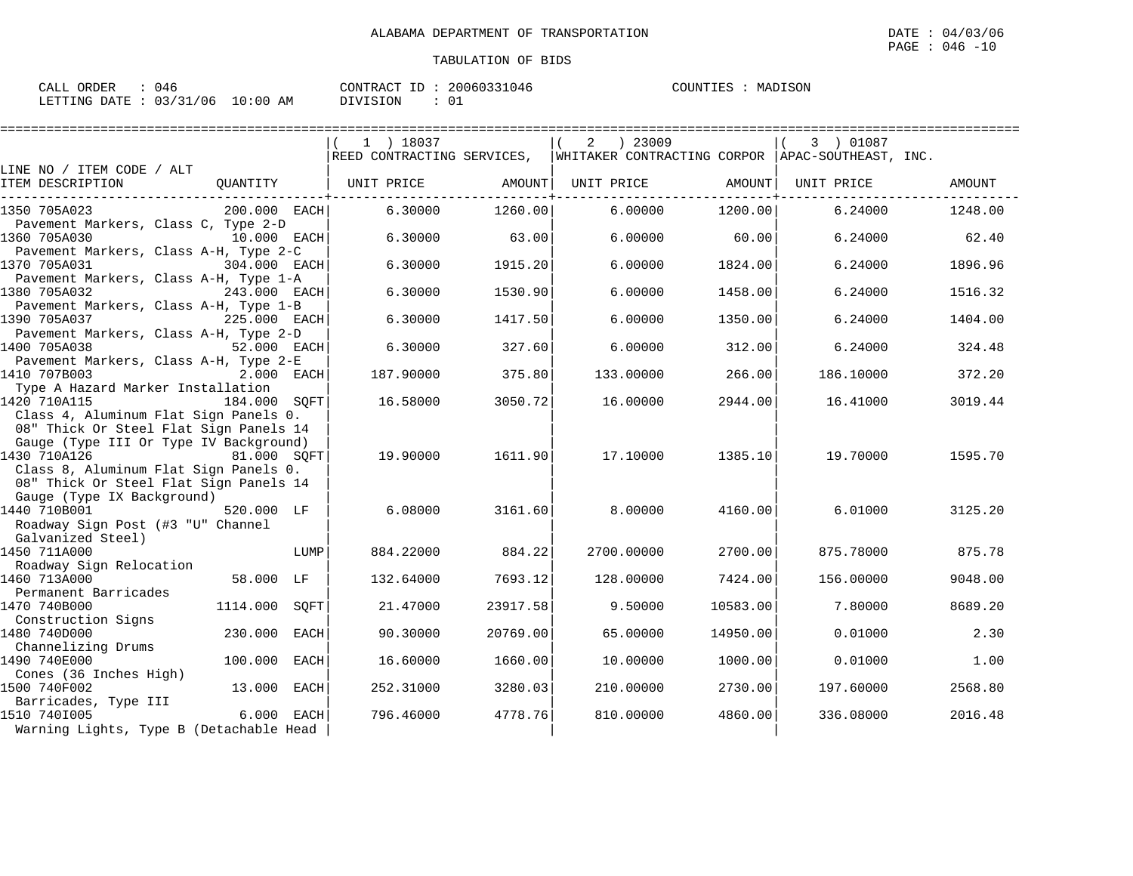| CALL ORDER             | 046 |             | CONTRACT ID | 20060331046 | COUNTIES | MADISON |
|------------------------|-----|-------------|-------------|-------------|----------|---------|
| LETTING DATE: 03/31/06 |     | 10:00<br>ΆM | DIVISION    |             |          |         |

|                                                                       |               | $1$ ) 18037                                                                 |          | ) 23009<br>2 |          | 3 ) 01087  |         |
|-----------------------------------------------------------------------|---------------|-----------------------------------------------------------------------------|----------|--------------|----------|------------|---------|
|                                                                       |               | REED CONTRACTING SERVICES, WHITAKER CONTRACTING CORPOR APAC-SOUTHEAST, INC. |          |              |          |            |         |
| LINE NO / ITEM CODE / ALT<br>ITEM DESCRIPTION<br>OUANTITY             |               | UNIT PRICE                                                                  | AMOUNT   | UNIT PRICE   | AMOUNT   | UNIT PRICE | AMOUNT  |
|                                                                       |               |                                                                             |          |              |          |            |         |
| 1350 705A023                                                          | 200.000 EACH  | 6.30000                                                                     | 1260.00  | 6.00000      | 1200.00  | 6.24000    | 1248.00 |
| Pavement Markers, Class C, Type 2-D                                   |               |                                                                             |          |              |          |            |         |
| 1360 705A030                                                          | 10.000 EACH   | 6.30000                                                                     | 63.00    | 6,00000      | 60.00    | 6.24000    | 62.40   |
| Pavement Markers, Class A-H, Type 2-C                                 |               |                                                                             |          |              |          |            |         |
| 1370 705A031                                                          | 304.000 EACH  | 6.30000                                                                     | 1915.20  | 6.00000      | 1824.00  | 6.24000    | 1896.96 |
| Pavement Markers, Class A-H, Type 1-A                                 |               |                                                                             |          |              |          |            |         |
| 1380 705A032<br>Pavement Markers, Class A-H, Type 1-B                 | 243.000 EACH  | 6.30000                                                                     | 1530.90  | 6,00000      | 1458.00  | 6.24000    | 1516.32 |
| 1390 705A037<br>225.000 EACH                                          |               | 6.30000                                                                     | 1417.50  | 6.00000      | 1350.00  | 6.24000    | 1404.00 |
| Pavement Markers, Class A-H, Type 2-D                                 |               |                                                                             |          |              |          |            |         |
| 1400 705A038                                                          | 52.000 EACH   | 6.30000                                                                     | 327.60   | 6,00000      | 312.00   | 6.24000    | 324.48  |
| Pavement Markers, Class A-H, Type 2-E                                 |               |                                                                             |          |              |          |            |         |
| 1410 707B003                                                          | 2.000 EACH    | 187.90000                                                                   | 375.80   | 133.00000    | 266.00   | 186.10000  | 372.20  |
| Type A Hazard Marker Installation                                     |               |                                                                             |          |              |          |            |         |
| 1420 710A115                                                          | 184.000 SOFT  | 16.58000                                                                    | 3050.72  | 16.00000     | 2944.00  | 16.41000   | 3019.44 |
| Class 4, Aluminum Flat Sign Panels 0.                                 |               |                                                                             |          |              |          |            |         |
| 08" Thick Or Steel Flat Sign Panels 14                                |               |                                                                             |          |              |          |            |         |
| Gauge (Type III Or Type IV Background)<br>1430 710A126<br>81.000 SOFT |               | 19,90000                                                                    | 1611.90  | 17.10000     | 1385.10  | 19.70000   | 1595.70 |
| Class 8, Aluminum Flat Sign Panels 0.                                 |               |                                                                             |          |              |          |            |         |
| 08" Thick Or Steel Flat Sign Panels 14                                |               |                                                                             |          |              |          |            |         |
| Gauge (Type IX Background)                                            |               |                                                                             |          |              |          |            |         |
| 1440 710B001                                                          | 520.000 LF    | 6.08000                                                                     | 3161.60  | 8,00000      | 4160.00  | 6.01000    | 3125.20 |
| Roadway Sign Post (#3 "U" Channel                                     |               |                                                                             |          |              |          |            |         |
| Galvanized Steel)                                                     |               |                                                                             |          |              |          |            |         |
| 1450 711A000                                                          | LUMP          | 884.22000                                                                   | 884.22   | 2700.00000   | 2700.00  | 875.78000  | 875.78  |
| Roadway Sign Relocation                                               |               |                                                                             |          |              |          |            |         |
| 1460 713A000                                                          | 58.000 LF     | 132.64000                                                                   | 7693.12  | 128.00000    | 7424.00  | 156.00000  | 9048.00 |
| Permanent Barricades<br>1470 740B000                                  | 1114.000 SOFT | 21,47000                                                                    | 23917.58 | 9.50000      | 10583.00 | 7.80000    | 8689.20 |
| Construction Signs                                                    |               |                                                                             |          |              |          |            |         |
| 1480 740D000<br>230.000                                               | <b>EACH</b>   | 90.30000                                                                    | 20769.00 | 65.00000     | 14950.00 | 0.01000    | 2.30    |
| Channelizing Drums                                                    |               |                                                                             |          |              |          |            |         |
| 1490 740E000<br>100.000                                               | <b>EACH</b>   | 16.60000                                                                    | 1660.00  | 10.00000     | 1000.00  | 0.01000    | 1.00    |
| Cones (36 Inches High)                                                |               |                                                                             |          |              |          |            |         |
| 1500 740F002                                                          | 13.000 EACH   | 252.31000                                                                   | 3280.03  | 210.00000    | 2730.00  | 197.60000  | 2568.80 |
| Barricades, Type III                                                  |               |                                                                             |          |              |          |            |         |
| 1510 7401005                                                          | 6.000 EACH    | 796.46000                                                                   | 4778.76  | 810,00000    | 4860.00  | 336.08000  | 2016.48 |
| Warning Lights, Type B (Detachable Head                               |               |                                                                             |          |              |          |            |         |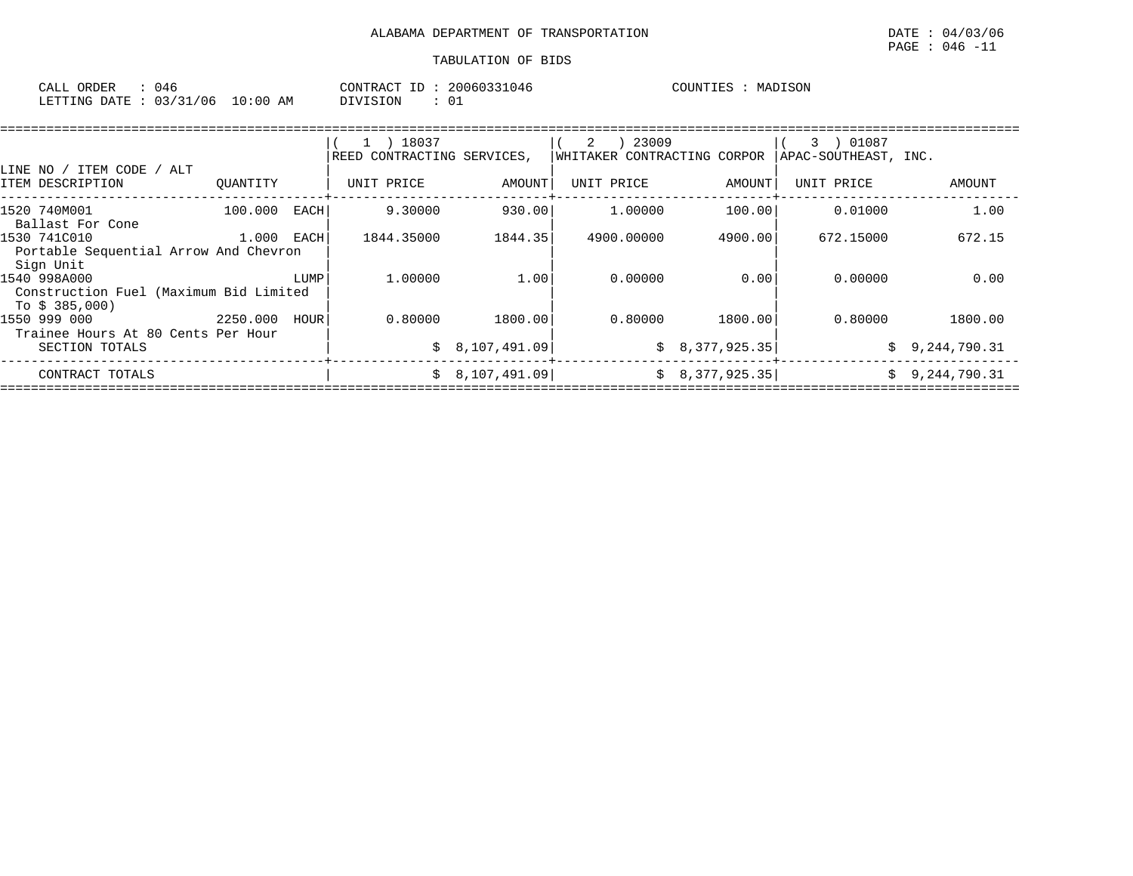| CALL         | ORDER | 046      |             | T<br>CONTRACT | 20060331046 | COUNTIES | MADISON |
|--------------|-------|----------|-------------|---------------|-------------|----------|---------|
| LETTING DATE |       | 03/31/06 | 10:00<br>AΜ | SION<br>־זדרח | ◡∸          |          |         |

|                                                                          |          |      | 18037<br>REED CONTRACTING SERVICES, |                                  | 23009<br>2<br>WHITAKER CONTRACTING CORPOR |                                  | 01087<br>3<br>APAC-SOUTHEAST, INC. |                              |
|--------------------------------------------------------------------------|----------|------|-------------------------------------|----------------------------------|-------------------------------------------|----------------------------------|------------------------------------|------------------------------|
| ITEM CODE<br>ALT<br>LINE NO /<br>ITEM DESCRIPTION                        | OUANTITY |      | UNIT PRICE                          | AMOUNT                           | UNIT PRICE                                | AMOUNT                           | UNIT PRICE                         | AMOUNT                       |
| 1520 740M001<br>Ballast For Cone                                         | 100.000  | EACH | 9.30000                             | 930.00                           | 1,00000                                   | 100.00                           | 0.01000                            | 1.00                         |
| 1530 741C010<br>Portable Sequential Arrow And Chevron<br>Sign Unit       | 1.000    | EACH | 1844.35000                          | 1844.35                          | 4900.00000                                | 4900.00                          | 672.15000                          | 672.15                       |
| 1540 998A000<br>Construction Fuel (Maximum Bid Limited<br>To \$ 385,000) |          | LUMP | 1,00000                             | 1.00                             | 0.00000                                   | 0.00                             | 0.00000                            | 0.00                         |
| 1550 999 000<br>Trainee Hours At 80 Cents Per Hour                       | 2250.000 | HOUR | 0.80000                             | 1800.00                          | 0.80000                                   | 1800.00                          | 0.80000                            | 1800.00                      |
| SECTION TOTALS<br>CONTRACT TOTALS                                        |          |      |                                     | \$8,107,491.09<br>\$8,107,491.09 |                                           | \$8,377,925.35<br>\$8,377,925.35 | Ŝ.<br>Ŝ.                           | 9,244,790.31<br>9,244,790.31 |
|                                                                          |          |      |                                     |                                  |                                           |                                  |                                    |                              |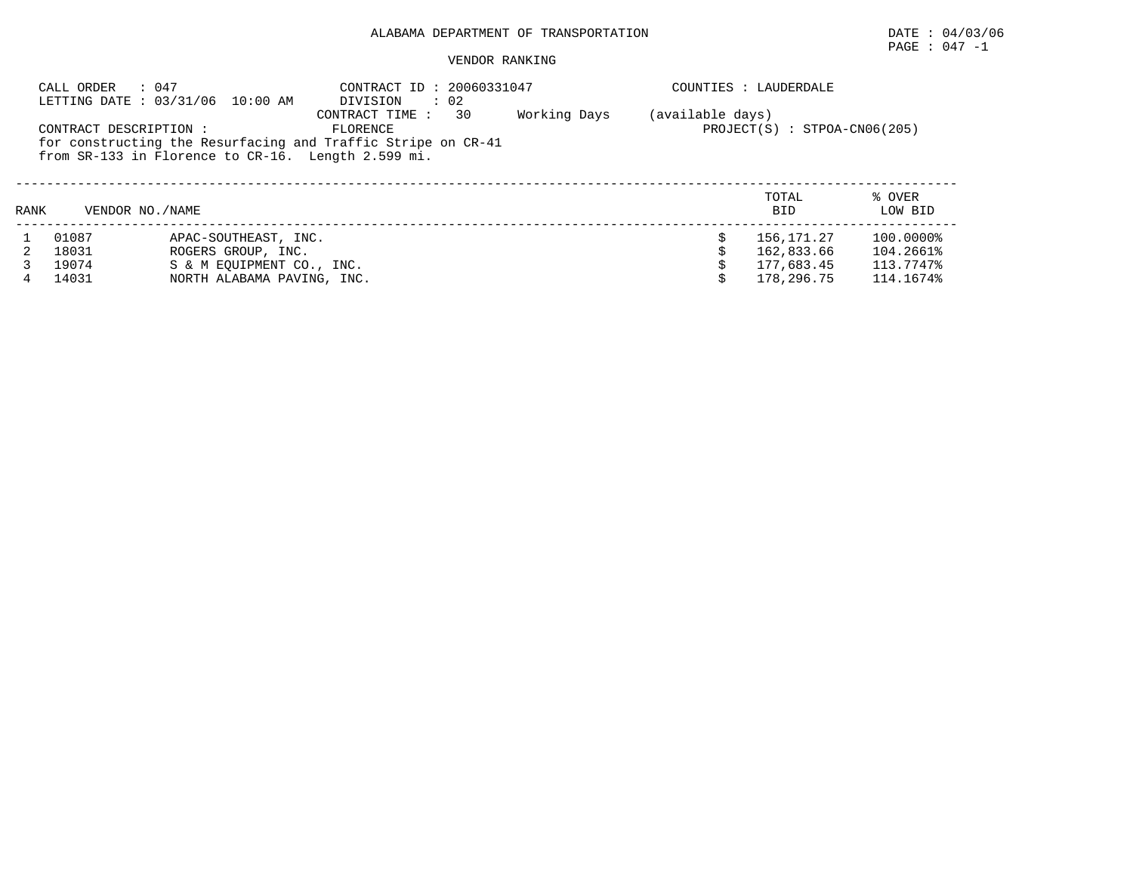PAGE : 047 -1

#### VENDOR RANKING

|      | : 047<br>CALL ORDER    | LETTING DATE: 03/31/06 10:00 AM                    | CONTRACT ID: 20060331047<br>DIVISION<br>$\therefore$ 02      |              |                  | COUNTIES : LAUDERDALE          |           |
|------|------------------------|----------------------------------------------------|--------------------------------------------------------------|--------------|------------------|--------------------------------|-----------|
|      |                        |                                                    | 30<br>CONTRACT TIME :                                        | Working Days | (available days) |                                |           |
|      | CONTRACT DESCRIPTION : |                                                    | FLORENCE                                                     |              |                  | $PROJECT(S) : STPOA-CN06(205)$ |           |
|      |                        |                                                    | for constructing the Resurfacing and Traffic Stripe on CR-41 |              |                  |                                |           |
|      |                        | from SR-133 in Florence to CR-16. Length 2.599 mi. |                                                              |              |                  |                                |           |
|      |                        |                                                    |                                                              |              |                  |                                |           |
|      |                        |                                                    |                                                              |              |                  | TOTAL                          | % OVER    |
| RANK | VENDOR NO. / NAME      |                                                    |                                                              |              |                  | BID                            | LOW BID   |
|      |                        |                                                    |                                                              |              |                  |                                |           |
|      | 01087                  | APAC-SOUTHEAST, INC.                               |                                                              |              |                  | 156,171.27                     | 100.0000% |
|      | 18031                  | ROGERS GROUP, INC.                                 |                                                              |              |                  | 162,833.66                     | 104.2661% |
|      | 19074                  | S & M EOUIPMENT CO., INC.                          |                                                              |              |                  | 177,683.45                     | 113.7747% |
| 4    | 14031                  | NORTH ALABAMA PAVING, INC.                         |                                                              |              |                  | 178,296.75                     | 114.1674% |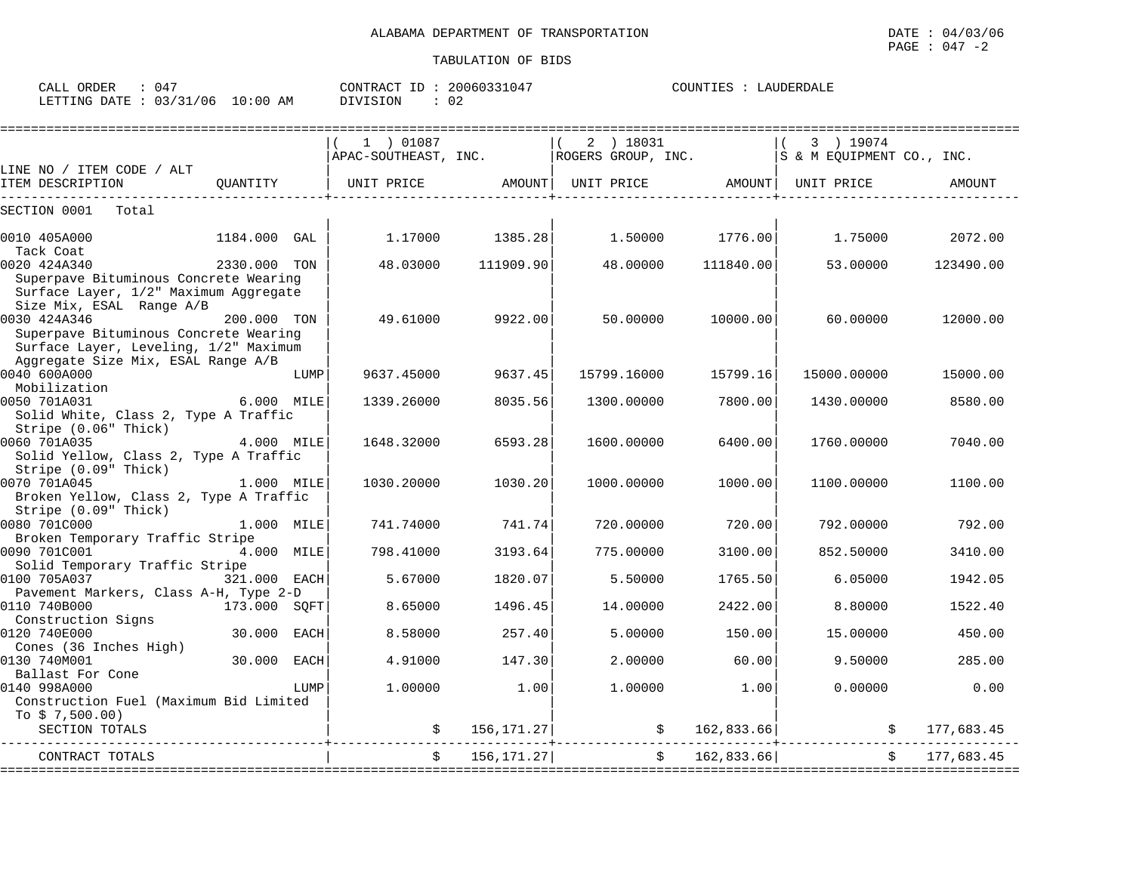| ORDER<br>CALL | $04^-$   |            | CONTRACT ID: | 20060331047          | LAUDERDALE<br>COUNTIES |
|---------------|----------|------------|--------------|----------------------|------------------------|
| LETTING DATE  | 03/31/06 | $10:00$ AM | DIVISION     | $\sim$ $\sim$<br>∪ ∠ |                        |

|                                        |              |      | ===========================                                           |                               |             |                     |             |                          |
|----------------------------------------|--------------|------|-----------------------------------------------------------------------|-------------------------------|-------------|---------------------|-------------|--------------------------|
|                                        |              |      | $(1)$ 01087                                                           |                               | 2 ) 18031   |                     | 3 ) 19074   |                          |
|                                        |              |      | APAC-SOUTHEAST, INC.   ROGERS GROUP, INC.   S & M EQUIPMENT CO., INC. |                               |             |                     |             |                          |
| LINE NO / ITEM CODE / ALT              |              |      |                                                                       |                               |             |                     |             |                          |
| ___________________                    |              |      |                                                                       | _____________________________ |             | ------------------- |             | AMOUNT                   |
| SECTION 0001<br>Total                  |              |      |                                                                       |                               |             |                     |             |                          |
| 0010 405A000                           | 1184.000 GAL |      | 1.17000                                                               | 1385.28                       | 1.50000     | 1776.00             | 1.75000     | 2072.00                  |
| Tack Coat<br>0020 424A340              | 2330.000 TON |      | 48.03000                                                              | 111909.90                     | 48.00000    | 111840.00           | 53.00000    | 123490.00                |
| Superpave Bituminous Concrete Wearing  |              |      |                                                                       |                               |             |                     |             |                          |
| Surface Layer, 1/2" Maximum Aggregate  |              |      |                                                                       |                               |             |                     |             |                          |
| Size Mix, ESAL Range A/B               |              |      |                                                                       |                               |             |                     |             |                          |
| 0030 424A346                           | 200.000 TON  |      | 49.61000                                                              | 9922.00                       | 50.00000    | 10000.00            | 60.00000    | 12000.00                 |
| Superpave Bituminous Concrete Wearing  |              |      |                                                                       |                               |             |                     |             |                          |
| Surface Layer, Leveling, 1/2" Maximum  |              |      |                                                                       |                               |             |                     |             |                          |
| Aggregate Size Mix, ESAL Range A/B     |              |      |                                                                       |                               |             |                     |             |                          |
| 0040 600A000                           |              | LUMP | 9637.45000                                                            | 9637.45                       | 15799.16000 | 15799.16            | 15000.00000 | 15000.00                 |
| Mobilization                           |              |      |                                                                       |                               |             |                     |             |                          |
| 0050 701A031                           | 6.000 MILE   |      | 1339.26000                                                            | 8035.56                       | 1300.00000  | 7800.00             | 1430.00000  | 8580.00                  |
| Solid White, Class 2, Type A Traffic   |              |      |                                                                       |                               |             |                     |             |                          |
| Stripe (0.06" Thick)                   |              |      |                                                                       |                               |             |                     |             |                          |
| 0060 701A035                           | 4.000 MILE   |      | 1648.32000                                                            | 6593.28                       | 1600.00000  | 6400.00             | 1760.00000  | 7040.00                  |
| Solid Yellow, Class 2, Type A Traffic  |              |      |                                                                       |                               |             |                     |             |                          |
| Stripe (0.09" Thick)                   |              |      |                                                                       |                               |             |                     |             |                          |
| 0070 701A045                           | 1.000 MILE   |      | 1030.20000                                                            | 1030.20                       | 1000.00000  | 1000.00             | 1100.00000  | 1100.00                  |
| Broken Yellow, Class 2, Type A Traffic |              |      |                                                                       |                               |             |                     |             |                          |
| Stripe (0.09" Thick)                   |              |      |                                                                       |                               |             |                     |             |                          |
| 0080 701C000                           | 1.000 MILE   |      | 741.74000                                                             | 741.74                        | 720.00000   | 720.00              | 792.00000   | 792.00                   |
| Broken Temporary Traffic Stripe        |              |      |                                                                       |                               |             |                     |             |                          |
| 0090 701C001                           | 4.000 MILE   |      | 798.41000                                                             | 3193.64                       | 775.00000   | 3100.00             | 852.50000   | 3410.00                  |
| Solid Temporary Traffic Stripe         |              |      |                                                                       |                               |             |                     |             |                          |
| 0100 705A037                           | 321.000 EACH |      | 5.67000                                                               | 1820.07                       | 5.50000     | 1765.50             | 6.05000     | 1942.05                  |
| Pavement Markers, Class A-H, Type 2-D  |              |      |                                                                       |                               |             |                     |             |                          |
| 0110 740B000                           | 173.000 SOFT |      | 8.65000                                                               | 1496.45                       | 14.00000    | 2422.00             | 8.80000     | 1522.40                  |
| Construction Signs<br>0120 740E000     | 30.000 EACH  |      | 8.58000                                                               | 257.40                        | 5,00000     | 150.00              | 15,00000    | 450.00                   |
| Cones (36 Inches High)                 |              |      |                                                                       |                               |             |                     |             |                          |
| 0130 740M001                           | 30.000 EACH  |      | 4.91000                                                               | 147.30                        | 2,00000     | 60.00               | 9.50000     | 285.00                   |
| Ballast For Cone                       |              |      |                                                                       |                               |             |                     |             |                          |
| 0140 998A000                           |              | LUMP | 1,00000                                                               | 1.00                          | 1,00000     | 1.00                | 0.00000     | 0.00                     |
| Construction Fuel (Maximum Bid Limited |              |      |                                                                       |                               |             |                     |             |                          |
| To $$7,500.00)$                        |              |      |                                                                       |                               |             |                     |             |                          |
| SECTION TOTALS                         |              |      |                                                                       | 156,171.27                    |             | \$162,833.66]       |             | 177,683.45               |
| CONTRACT TOTALS                        |              |      | $\ddot{s}$                                                            | 156,171.27                    |             | \$162,833.66]       |             | 177,683.45<br>$\ddot{s}$ |
|                                        |              |      |                                                                       |                               |             |                     |             |                          |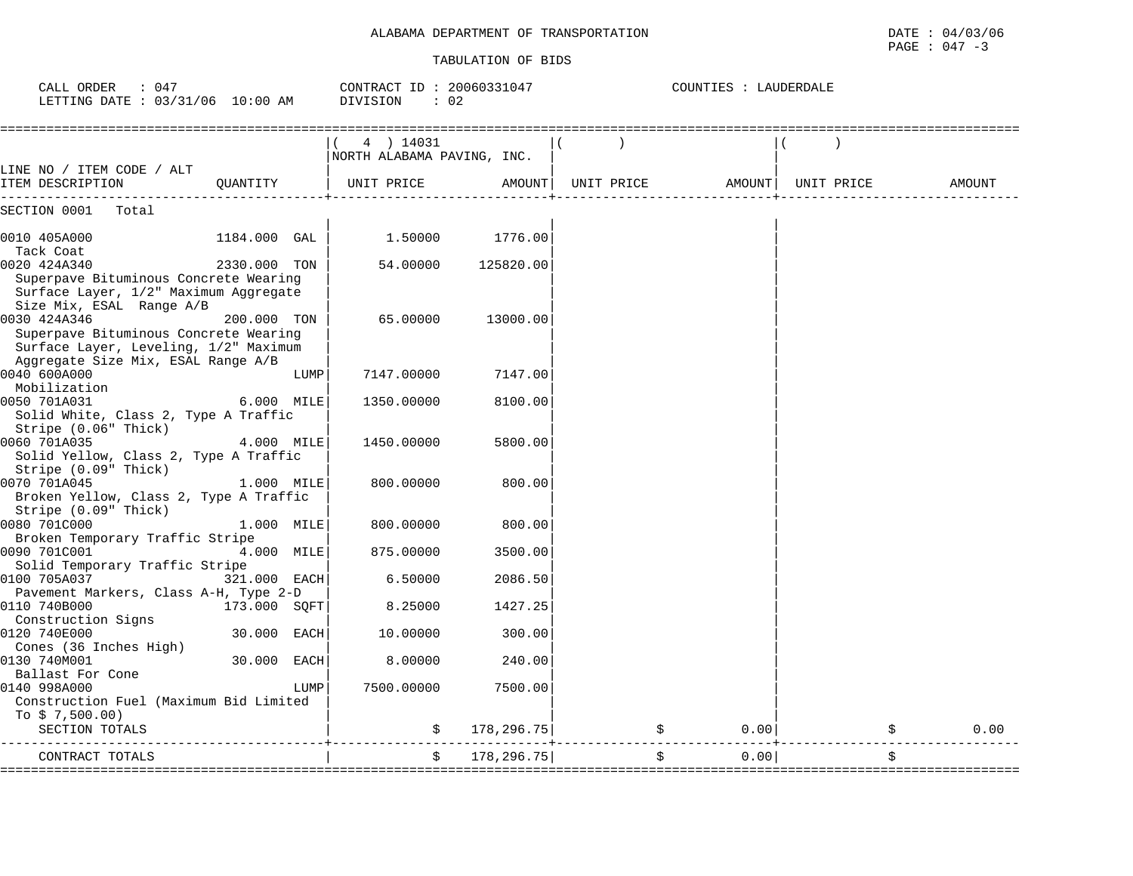COUNTIES : LAUDERDALE

CALL ORDER : 047 CONTRACT ID : 20060331047 COUNTIES : LAUDERDALE

|                                                                                                                            |              | 4 ) 14031<br>NORTH ALABAMA PAVING, INC. |            |            |        |            |        |
|----------------------------------------------------------------------------------------------------------------------------|--------------|-----------------------------------------|------------|------------|--------|------------|--------|
| LINE NO / ITEM CODE / ALT<br>ITEM DESCRIPTION                                                                              | OUANTITY     | UNIT PRICE                              | AMOUNT     | UNIT PRICE | AMOUNT | UNIT PRICE | AMOUNT |
| SECTION 0001<br>Total                                                                                                      |              |                                         |            |            |        |            |        |
| 0010 405A000<br>Tack Coat                                                                                                  | 1184.000 GAL | 1.50000                                 | 1776.00    |            |        |            |        |
| 0020 424A340<br>Superpave Bituminous Concrete Wearing<br>Surface Layer, 1/2" Maximum Aggregate                             | 2330.000 TON | 54,00000                                | 125820.00  |            |        |            |        |
| Size Mix, ESAL Range A/B<br>0030 424A346<br>Superpave Bituminous Concrete Wearing<br>Surface Layer, Leveling, 1/2" Maximum | 200.000 TON  | 65.00000                                | 13000.00   |            |        |            |        |
| Aggregate Size Mix, ESAL Range A/B<br>0040 600A000<br>Mobilization                                                         |              | LUMP<br>7147.00000                      | 7147.00    |            |        |            |        |
| 0050 701A031<br>Solid White, Class 2, Type A Traffic                                                                       | 6.000 MILE   | 1350.00000                              | 8100.00    |            |        |            |        |
| Stripe (0.06" Thick)<br>0060 701A035<br>Solid Yellow, Class 2, Type A Traffic<br>Stripe (0.09" Thick)                      | 4.000 MILE   | 1450.00000                              | 5800.00    |            |        |            |        |
| 0070 701A045<br>Broken Yellow, Class 2, Type A Traffic<br>Stripe (0.09" Thick)                                             | 1.000 MILE   | 800.00000                               | 800.00     |            |        |            |        |
| 0080 701C000<br>Broken Temporary Traffic Stripe                                                                            | 1.000 MILE   | 800.00000                               | 800.00     |            |        |            |        |
| 0090 701C001<br>Solid Temporary Traffic Stripe                                                                             | 4.000 MILE   | 875.00000                               | 3500.00    |            |        |            |        |
| 0100 705A037<br>Pavement Markers, Class A-H, Type 2-D                                                                      | 321.000 EACH | 6.50000                                 | 2086.50    |            |        |            |        |
| 0110 740B000<br>Construction Signs                                                                                         | 173.000 SQFT | 8.25000                                 | 1427.25    |            |        |            |        |
| 0120 740E000<br>Cones (36 Inches High)                                                                                     | 30.000 EACH  | 10.00000                                | 300.00     |            |        |            |        |
| 0130 740M001<br>Ballast For Cone                                                                                           | 30.000 EACH  | 8.00000                                 | 240.00     |            |        |            |        |
| 0140 998A000<br>Construction Fuel (Maximum Bid Limited<br>To $$7,500.00)$                                                  |              | 7500.00000<br>LUMP                      | 7500.00    |            |        |            |        |
| SECTION TOTALS                                                                                                             |              | S.                                      | 178,296.75 | \$         | 0.00   | \$         | 0.00   |
| CONTRACT TOTALS                                                                                                            |              | Ŝ.                                      | 178,296.75 | \$         | 0.001  | \$         |        |

====================================================================================================================================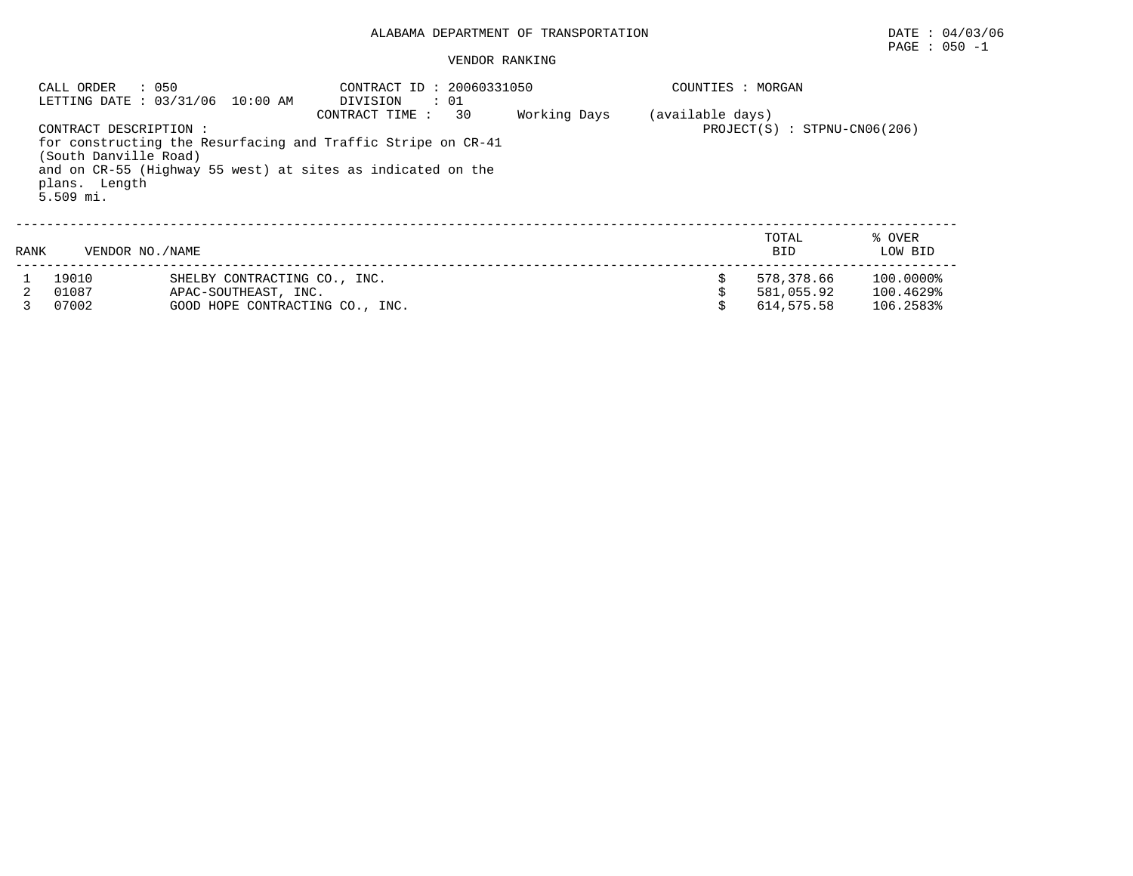|      | : 050<br>CALL ORDER                                                             | LETTING DATE : 03/31/06 10:00 AM                                                                                            | CONTRACT ID: 20060331050<br>DIVISION<br>$\cdots$ 01 |                                | COUNTIES : MORGAN |              |                   |
|------|---------------------------------------------------------------------------------|-----------------------------------------------------------------------------------------------------------------------------|-----------------------------------------------------|--------------------------------|-------------------|--------------|-------------------|
|      | CONTRACT DESCRIPTION :<br>(South Danville Road)<br>plans. Length<br>$5.509$ mi. | for constructing the Resurfacing and Traffic Stripe on CR-41<br>and on CR-55 (Highway 55 west) at sites as indicated on the | (available days)                                    | $PROJECT(S) : STPNU-CN06(206)$ |                   |              |                   |
| RANK | VENDOR NO. / NAME                                                               |                                                                                                                             |                                                     |                                |                   | TOTAL<br>BID | % OVER<br>LOW BID |
|      | 19010                                                                           | SHELBY CONTRACTING CO., INC.                                                                                                |                                                     |                                |                   | 578,378.66   | 100.0000%         |
|      | 01087                                                                           | APAC-SOUTHEAST, INC.                                                                                                        |                                                     |                                |                   | 581,055.92   | 100.4629%         |
|      | 07002                                                                           | GOOD HOPE CONTRACTING CO., INC.                                                                                             |                                                     |                                |                   | 614,575.58   | 106.2583%         |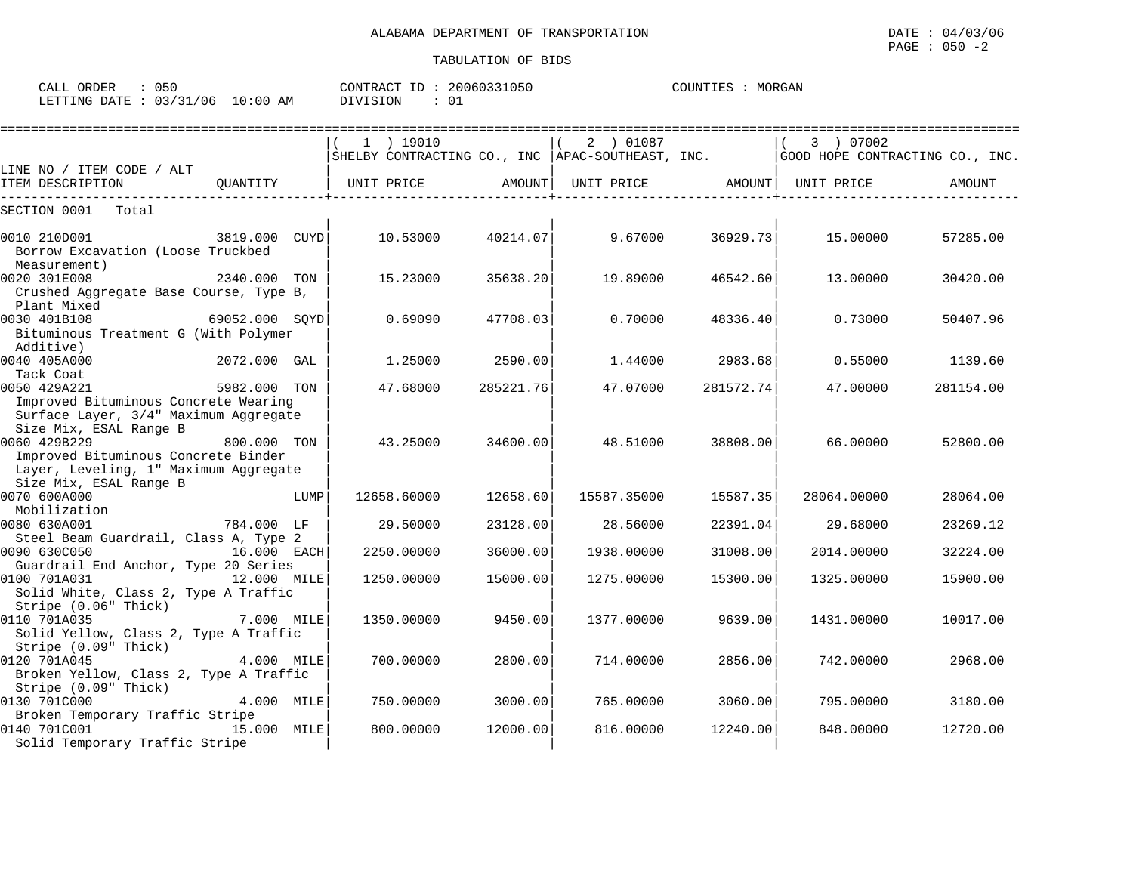| 050<br>CALL ORDER                |  |  |          | CONTRACT ID: 20060331050 |  |  |
|----------------------------------|--|--|----------|--------------------------|--|--|
| LETTING DATE : 03/31/06 10:00 AM |  |  | DIVISION |                          |  |  |

|                                                                                                        |                |      | 1 ) 19010<br>SHELBY CONTRACTING CO., INC   APAC-SOUTHEAST, INC.   GOOD HOPE CONTRACTING CO., INC. |           | 2 ) 01087         |           | 3 ) 07002   |           |
|--------------------------------------------------------------------------------------------------------|----------------|------|---------------------------------------------------------------------------------------------------|-----------|-------------------|-----------|-------------|-----------|
| LINE NO / ITEM CODE / ALT                                                                              | OUANTITY       |      |                                                                                                   | AMOUNT    |                   |           | UNIT PRICE  |           |
| ITEM DESCRIPTION                                                                                       |                |      | UNIT PRICE                                                                                        |           | UNIT PRICE AMOUNT |           |             | AMOUNT    |
| SECTION 0001<br>Total                                                                                  |                |      |                                                                                                   |           |                   |           |             |           |
| 0010 210D001<br>Borrow Excavation (Loose Truckbed<br>Measurement)                                      | 3819.000 CUYD  |      | 10.53000                                                                                          | 40214.07  | 9.67000           | 36929.73  | 15,00000    | 57285.00  |
| 0020 301E008<br>Crushed Aggregate Base Course, Type B,<br>Plant Mixed                                  | 2340.000 TON   |      | 15.23000                                                                                          | 35638.20  | 19.89000          | 46542.60  | 13.00000    | 30420.00  |
| 0030 401B108<br>Bituminous Treatment G (With Polymer<br>Additive)                                      | 69052.000 SOYD |      | 0.69090                                                                                           | 47708.03  | 0.70000           | 48336.40  | 0.73000     | 50407.96  |
| 0040 405A000                                                                                           | 2072.000 GAL   |      | 1.25000                                                                                           | 2590.00   | 1.44000           | 2983.68   | 0.55000     | 1139.60   |
| Tack Coat<br>0050 429A221<br>Improved Bituminous Concrete Wearing                                      | 5982.000 TON   |      | 47.68000                                                                                          | 285221.76 | 47.07000          | 281572.74 | 47.00000    | 281154.00 |
| Surface Layer, 3/4" Maximum Aggregate<br>Size Mix, ESAL Range B<br>0060 429B229                        | 800.000 TON    |      | 43.25000                                                                                          | 34600.00  | 48.51000          | 38808.00  | 66.00000    | 52800.00  |
| Improved Bituminous Concrete Binder<br>Layer, Leveling, 1" Maximum Aggregate<br>Size Mix, ESAL Range B |                |      |                                                                                                   |           |                   |           |             |           |
| 0070 600A000<br>Mobilization                                                                           |                | LUMP | 12658.60000                                                                                       | 12658.60  | 15587.35000       | 15587.35  | 28064.00000 | 28064.00  |
| 0080 630A001                                                                                           | 784.000 LF     |      | 29.50000                                                                                          | 23128.00  | 28.56000          | 22391.04  | 29.68000    | 23269.12  |
| Steel Beam Guardrail, Class A, Type 2<br>0090 630C050                                                  | 16.000 EACH    |      | 2250.00000                                                                                        | 36000.00  | 1938.00000        | 31008.00  | 2014.00000  | 32224.00  |
| Guardrail End Anchor, Type 20 Series<br>0100 701A031<br>Solid White, Class 2, Type A Traffic           | 12.000 MILE    |      | 1250.00000                                                                                        | 15000.00  | 1275.00000        | 15300.00  | 1325.00000  | 15900.00  |
| Stripe (0.06" Thick)<br>0110 701A035<br>Solid Yellow, Class 2, Type A Traffic                          | 7.000 MILE     |      | 1350.00000                                                                                        | 9450.00   | 1377.00000        | 9639.00   | 1431.00000  | 10017.00  |
| Stripe (0.09" Thick)<br>0120 701A045<br>Broken Yellow, Class 2, Type A Traffic                         | 4.000 MILE     |      | 700.00000                                                                                         | 2800.00   | 714.00000         | 2856.00   | 742.00000   | 2968.00   |
| Stripe (0.09" Thick)<br>0130 701C000                                                                   | 4.000 MILE     |      | 750.00000                                                                                         | 3000.00   | 765.00000         | 3060.00   | 795.00000   | 3180.00   |
| Broken Temporary Traffic Stripe<br>0140 701C001<br>Solid Temporary Traffic Stripe                      | 15.000 MILE    |      | 800,00000                                                                                         | 12000.00  | 816,00000         | 12240.00  | 848,00000   | 12720.00  |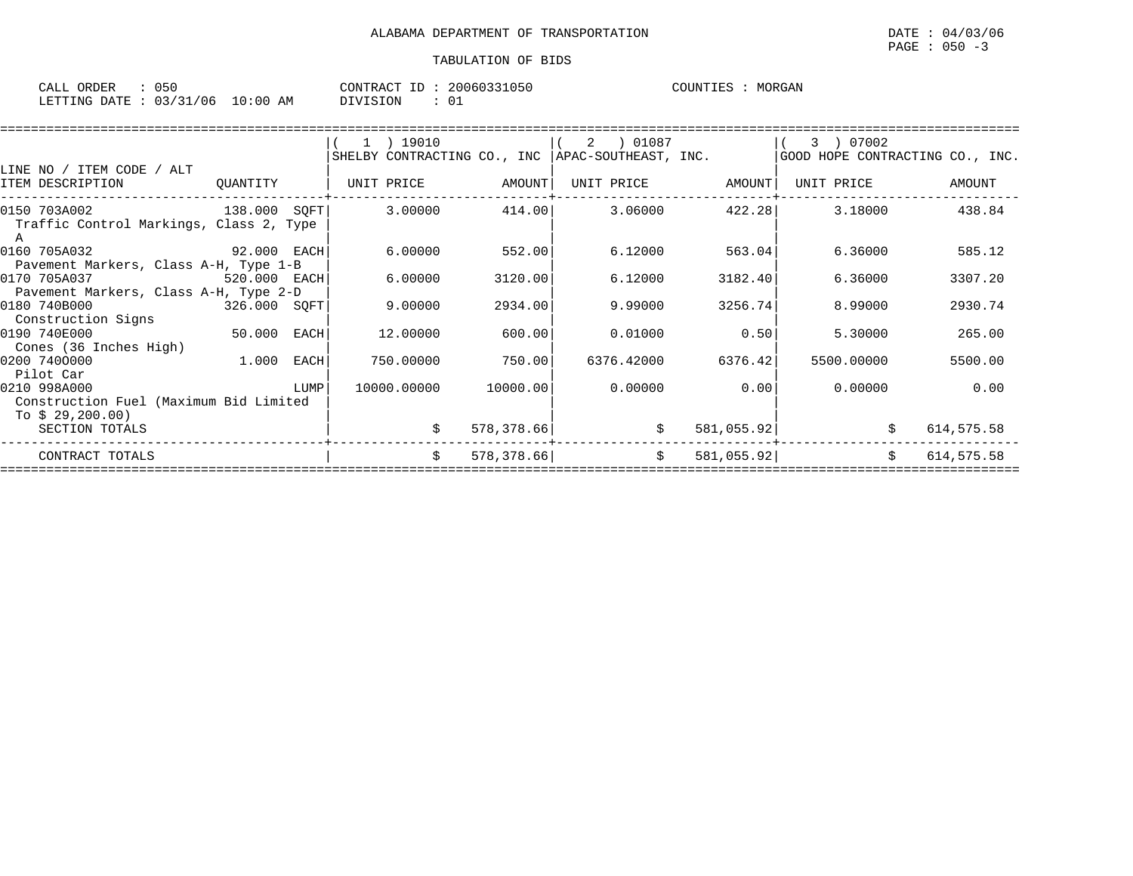| 050<br>CALL ORDER                |  |  |          | CONTRACT ID: 20060331050 |  |  |
|----------------------------------|--|--|----------|--------------------------|--|--|
| LETTING DATE : 03/31/06 10:00 AM |  |  | DIVISION |                          |  |  |

|                                         |              |      | 1 ) 19010                                          |            | 01087 (<br>2 |            | 3 ) 07002                       |            |
|-----------------------------------------|--------------|------|----------------------------------------------------|------------|--------------|------------|---------------------------------|------------|
|                                         |              |      | SHELBY CONTRACTING CO., INC   APAC-SOUTHEAST, INC. |            |              |            | GOOD HOPE CONTRACTING CO., INC. |            |
| LINE NO / ITEM CODE / ALT               |              |      |                                                    |            |              |            |                                 |            |
| ITEM DESCRIPTION                        | QUANTITY     |      | UNIT PRICE                                         | AMOUNT     | UNIT PRICE   | AMOUNT     | UNIT PRICE                      | AMOUNT     |
| 138.000 SOFT<br>0150 703A002            |              |      | 3.00000                                            | 414.00     | 3.06000      | 422.28     | 3.18000                         | 438.84     |
| Traffic Control Markings, Class 2, Type |              |      |                                                    |            |              |            |                                 |            |
| 0160 705A032<br>92.000 EACH             |              |      | 6.00000                                            | 552.00     | 6.12000      | 563.04     | 6.36000                         | 585.12     |
| Pavement Markers, Class A-H, Type 1-B   |              |      |                                                    |            |              |            |                                 |            |
| 0170 705A037<br>520.000 EACH            |              |      | 6.00000                                            | 3120.00    | 6.12000      | 3182.40    | 6.36000                         | 3307.20    |
| Pavement Markers, Class A-H, Type 2-D   |              |      |                                                    |            |              |            |                                 |            |
| 0180 740B000                            | 326.000 SQFT |      | 9.00000                                            | 2934.00    | 9.99000      | 3256.74    | 8,99000                         | 2930.74    |
| Construction Signs                      |              |      |                                                    |            |              |            |                                 |            |
| 0190 740E000                            | 50.000       | EACH | 12.00000                                           | 600.00     | 0.01000      | 0.50       | 5.30000                         | 265.00     |
| Cones (36 Inches High)                  |              |      |                                                    |            |              |            |                                 |            |
| 0200 7400000                            | 1.000        | EACH | 750.00000                                          | 750.00     | 6376.42000   | 6376.42    | 5500.00000                      | 5500.00    |
| Pilot Car                               |              |      |                                                    |            |              |            |                                 |            |
| 0210 998A000                            |              | LUMP | 10000.00000                                        | 10000.00   | 0.00000      | 0.00       | 0.00000                         | 0.00       |
| Construction Fuel (Maximum Bid Limited  |              |      |                                                    |            |              |            |                                 |            |
| To $$29,200.00)$                        |              |      |                                                    |            |              |            |                                 |            |
| SECTION TOTALS                          |              |      |                                                    | 578,378.66 | \$           | 581,055.92 |                                 | 614,575.58 |
| CONTRACT TOTALS                         |              |      | \$                                                 | 578,378.66 | \$           | 581,055.92 | S.                              | 614,575.58 |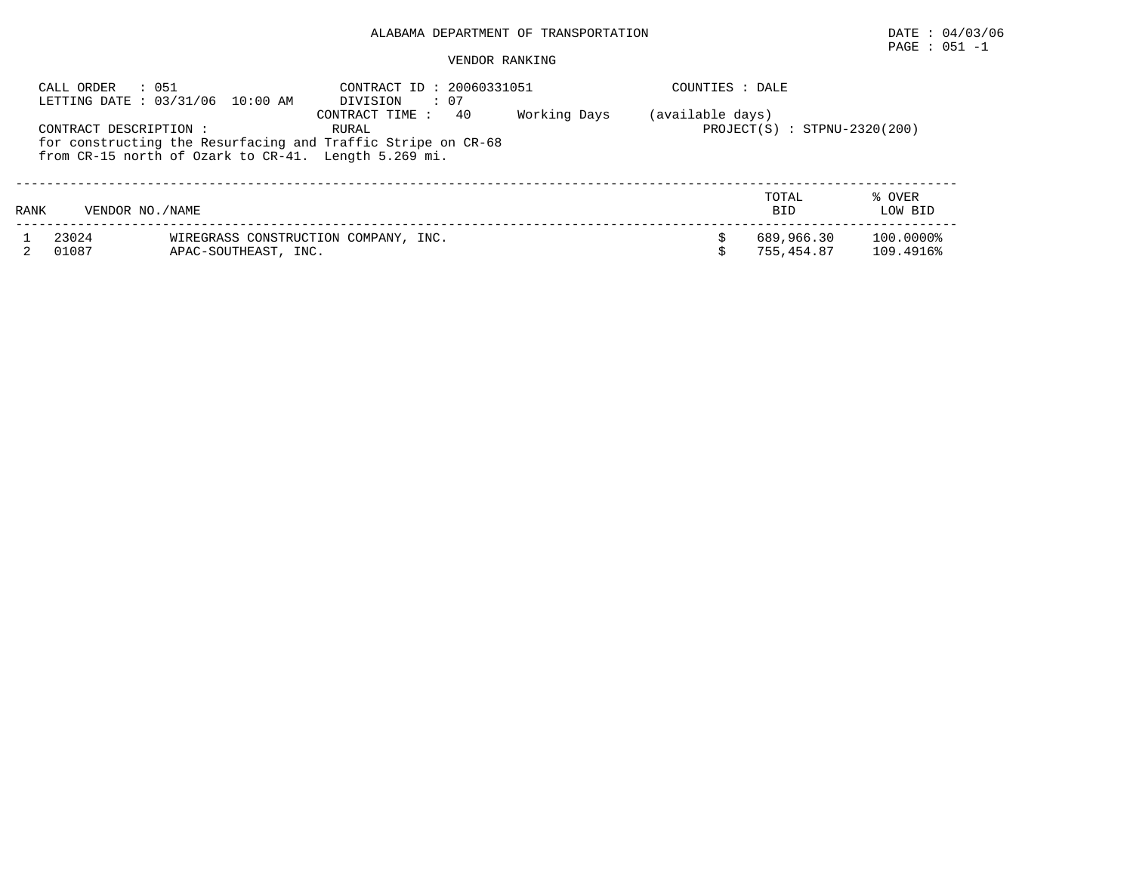## PAGE : 051 -1

|      | : 051<br>CALL ORDER    | LETTING DATE: 03/31/06 10:00 AM                                                                                      | CONTRACT ID: 20060331051<br>$\cdot$ 07<br>DIVISION |  | COUNTIES : DALE |                          |                        |
|------|------------------------|----------------------------------------------------------------------------------------------------------------------|----------------------------------------------------|--|-----------------|--------------------------|------------------------|
|      | CONTRACT DESCRIPTION : | for constructing the Resurfacing and Traffic Stripe on CR-68<br>from CR-15 north of Ozark to CR-41. Length 5.269 mi. | (available days)<br>$PROJECT(S) : STPNU-2320(200)$ |  |                 |                          |                        |
| RANK | VENDOR NO. / NAME      |                                                                                                                      |                                                    |  |                 | TOTAL<br><b>BID</b>      | % OVER<br>LOW BID      |
|      | 23024<br>01087         | APAC-SOUTHEAST, INC.                                                                                                 | WIREGRASS CONSTRUCTION COMPANY, INC.               |  |                 | 689,966.30<br>755,454.87 | 100.0000%<br>109.4916% |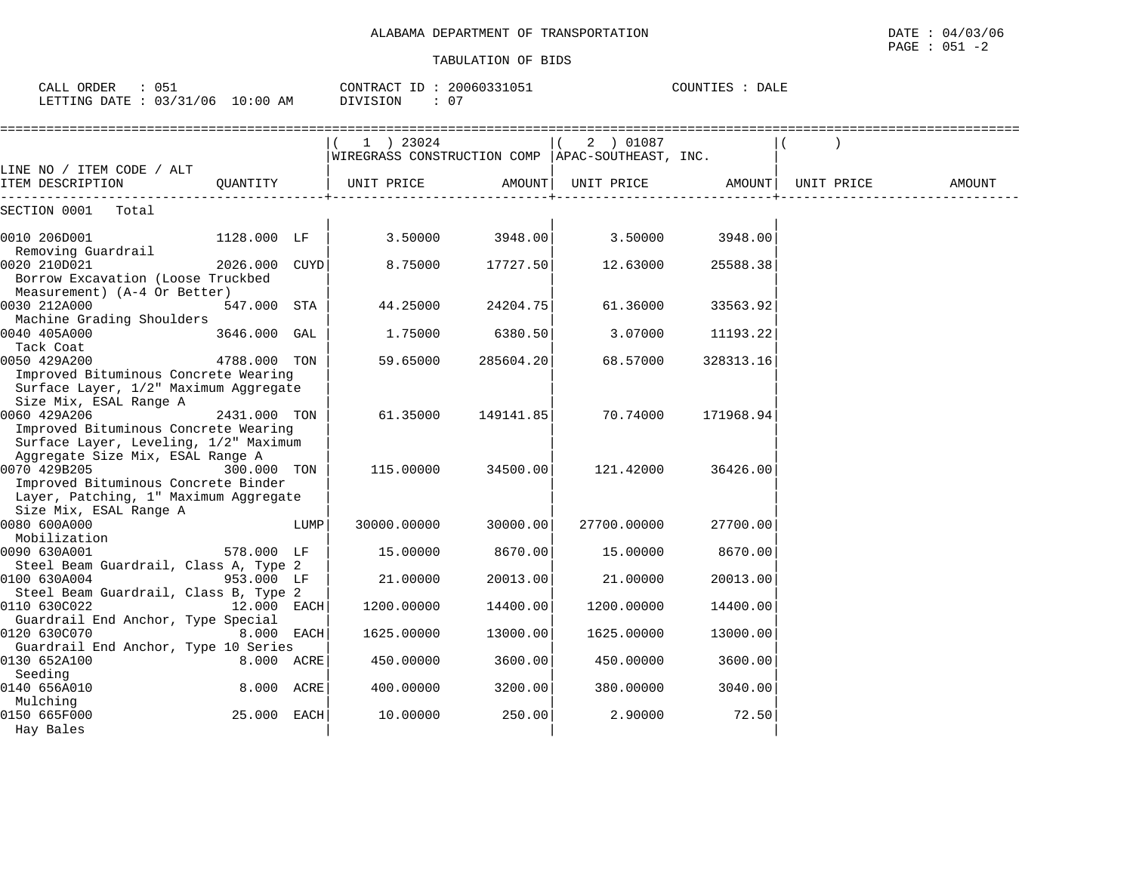| CALL ORDER : 051 |                                 | CONTRACT ID: 20060331051 | COUNTIES : DALE |
|------------------|---------------------------------|--------------------------|-----------------|
|                  | LETTING DATE: 03/31/06 10:00 AM | : 07<br>DIVISION         |                 |

|                                                                                                                   |               |      | 1 ) 23024<br>WIREGRASS CONSTRUCTION COMP   APAC-SOUTHEAST, INC. |           | 2 ) 01087   |           |            |        |
|-------------------------------------------------------------------------------------------------------------------|---------------|------|-----------------------------------------------------------------|-----------|-------------|-----------|------------|--------|
| LINE NO / ITEM CODE / ALT                                                                                         |               |      |                                                                 |           |             |           |            |        |
| ITEM DESCRIPTION                                                                                                  | OUANTITY      |      | UNIT PRICE                                                      | AMOUNT    | UNIT PRICE  | AMOUNT    | UNIT PRICE | AMOUNT |
| SECTION 0001<br>Total                                                                                             |               |      |                                                                 |           |             |           |            |        |
| 0010 206D001                                                                                                      | 1128.000 LF   |      | 3.50000                                                         | 3948.00   | 3.50000     | 3948.00   |            |        |
| Removing Guardrail                                                                                                |               |      |                                                                 |           |             |           |            |        |
| 0020 210D021<br>Borrow Excavation (Loose Truckbed<br>Measurement) (A-4 Or Better)                                 | 2026.000 CUYD |      | 8.75000                                                         | 17727.50  | 12.63000    | 25588.38  |            |        |
| 0030 212A000                                                                                                      | 547.000 STA   |      | 44.25000                                                        | 24204.75  | 61.36000    | 33563.92  |            |        |
| Machine Grading Shoulders                                                                                         |               |      |                                                                 |           |             |           |            |        |
| 0040 405A000<br>Tack Coat                                                                                         | 3646.000 GAL  |      | 1.75000                                                         | 6380.50   | 3.07000     | 11193.22  |            |        |
| 0050 429A200                                                                                                      | 4788.000 TON  |      | 59.65000                                                        | 285604.20 | 68.57000    | 328313.16 |            |        |
| Improved Bituminous Concrete Wearing<br>Surface Layer, 1/2" Maximum Aggregate<br>Size Mix, ESAL Range A           |               |      |                                                                 |           |             |           |            |        |
| 0060 429A206                                                                                                      | 2431.000 TON  |      | 61.35000                                                        | 149141.85 | 70.74000    | 171968.94 |            |        |
| Improved Bituminous Concrete Wearing<br>Surface Layer, Leveling, 1/2" Maximum<br>Aggregate Size Mix, ESAL Range A |               |      |                                                                 |           |             |           |            |        |
| 0070 429B205<br>Improved Bituminous Concrete Binder<br>Layer, Patching, 1" Maximum Aggregate                      | 300.000 TON   |      | 115.00000                                                       | 34500.00  | 121.42000   | 36426.00  |            |        |
| Size Mix, ESAL Range A                                                                                            |               |      |                                                                 |           |             |           |            |        |
| 0080 600A000                                                                                                      |               | LUMP | 30000.00000                                                     | 30000.00  | 27700.00000 | 27700.00  |            |        |
| Mobilization                                                                                                      |               |      |                                                                 |           |             |           |            |        |
| 0090 630A001<br>Steel Beam Guardrail, Class A, Type 2                                                             | 578.000 LF    |      | 15.00000                                                        | 8670.00   | 15.00000    | 8670.00   |            |        |
| 0100 630A004<br>Steel Beam Guardrail, Class B, Type 2                                                             | 953.000 LF    |      | 21.00000                                                        | 20013.00  | 21.00000    | 20013.00  |            |        |
| 0110 630C022                                                                                                      | $12.000$ EACH |      | 1200.00000                                                      | 14400.00  | 1200.00000  | 14400.00  |            |        |
| Guardrail End Anchor, Type Special<br>0120 630C070                                                                | 8.000 EACH    |      | 1625.00000                                                      | 13000.00  | 1625.00000  | 13000.00  |            |        |
| Guardrail End Anchor, Type 10 Series<br>0130 652A100                                                              | 8.000 ACRE    |      | 450.00000                                                       | 3600.00   | 450.00000   | 3600.00   |            |        |
| Seeding<br>0140 656A010<br>Mulching                                                                               | 8.000 ACRE    |      | 400.00000                                                       | 3200.00   | 380,00000   | 3040.00   |            |        |
| 0150 665F000<br>Hay Bales                                                                                         | 25.000 EACH   |      | 10.00000                                                        | 250.00    | 2.90000     | 72.50     |            |        |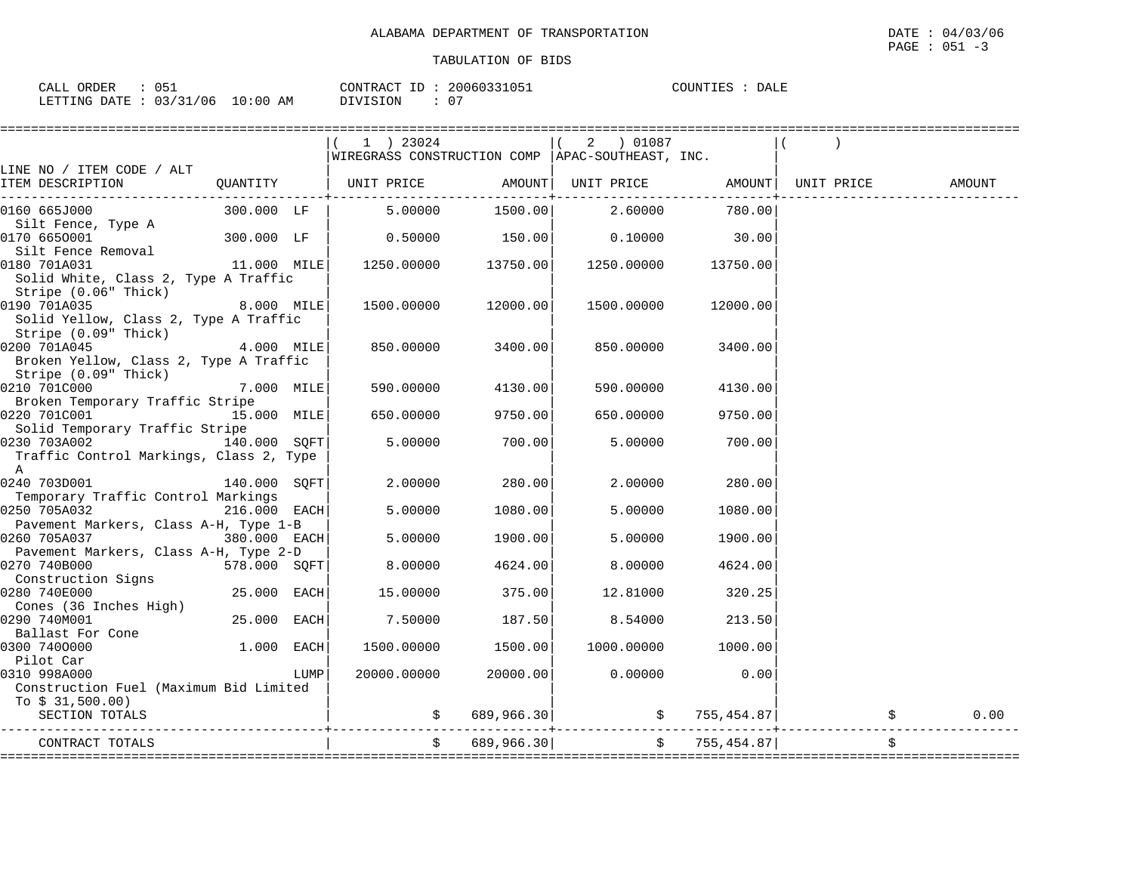| ORDER<br>----<br>$\overline{\phantom{a}}$<br>ັບປີ<br>للتمات                                     |                    | --<br>CONTRACT | 20060331051<br>51 U.D.L | COUNTIES<br>----<br>DALE<br>. ⊥⊥∟ |
|-------------------------------------------------------------------------------------------------|--------------------|----------------|-------------------------|-----------------------------------|
| $\cdot$ $\cdot$ $\sim$ $\cdot$<br>/06<br>$\sim$ $\sim$<br>DATE.<br>LETTING<br>-----<br><u>.</u> | 00: ١<br>AM<br>TO. | OIVISION       | $\sim$ $\sim$<br>v      |                                   |

|                                                                |              |      | 1 ) 23024                                          |                     | 2 ) 01087                                       |                    |        |
|----------------------------------------------------------------|--------------|------|----------------------------------------------------|---------------------|-------------------------------------------------|--------------------|--------|
|                                                                |              |      | WIREGRASS CONSTRUCTION COMP   APAC-SOUTHEAST, INC. |                     |                                                 |                    |        |
| LINE NO / ITEM CODE / ALT                                      |              |      |                                                    |                     |                                                 |                    |        |
| ITEM DESCRIPTION                                               |              |      | QUANTITY   UNIT PRICE AMOUNT                       |                     | UNIT PRICE                  AMOUNT   UNIT PRICE |                    | AMOUNT |
| 0160 665J000                                                   | 300.000 LF   |      | 5.00000                                            | 1500.00             | 2.60000                                         | 780.00             |        |
| Silt Fence, Type A                                             |              |      |                                                    |                     |                                                 |                    |        |
| 0170 6650001                                                   | 300.000 LF   |      | 0.50000                                            | 150.00              | 0.10000                                         | 30.00              |        |
| Silt Fence Removal                                             |              |      |                                                    |                     |                                                 |                    |        |
| 11.000 MILE<br>0180 701A031                                    |              |      |                                                    | 1250.00000 13750.00 | 1250.00000 13750.00                             |                    |        |
| Solid White, Class 2, Type A Traffic<br>Stripe (0.06" Thick)   |              |      |                                                    |                     |                                                 |                    |        |
| 0190 701A035                                                   | 8.000 MILE   |      |                                                    | 1500.00000 12000.00 | 1500.00000                                      | 12000.00           |        |
| Solid Yellow, Class 2, Type A Traffic<br>Stripe (0.09" Thick)  |              |      |                                                    |                     |                                                 |                    |        |
| 0200 701A045                                                   | 4.000 MILE   |      | 850.00000                                          | 3400.00             | 850.00000                                       | 3400.00            |        |
| Broken Yellow, Class 2, Type A Traffic<br>Stripe (0.09" Thick) |              |      |                                                    |                     |                                                 |                    |        |
| 0210 701C000                                                   | 7.000 MILE   |      | 590.00000                                          | 4130.00             | 590.00000                                       | 4130.00            |        |
| Broken Temporary Traffic Stripe                                |              |      |                                                    |                     |                                                 |                    |        |
| 0220 701C001 15.000 MILE                                       |              |      | 650.00000                                          | 9750.00             | 650.00000                                       | 9750.00            |        |
| Solid Temporary Traffic Stripe                                 |              |      |                                                    |                     |                                                 |                    |        |
| 0230 703A002                                                   | 140.000 SOFT |      | 5.00000                                            | 700.00              | 5.00000                                         | 700.00             |        |
| Traffic Control Markings, Class 2, Type                        |              |      |                                                    |                     |                                                 |                    |        |
| $\mathbb{A}$                                                   |              |      |                                                    |                     |                                                 |                    |        |
| 0240 703D001                                                   | 140.000 SQFT |      | 2.00000                                            | 280.00              | 2.00000                                         | 280.00             |        |
| Temporary Traffic Control Markings                             |              |      |                                                    |                     |                                                 |                    |        |
| 0250 705A032                                                   | 216.000 EACH |      | 5.00000                                            | 1080.00             | 5.00000                                         | 1080.00            |        |
| Pavement Markers, Class A-H, Type 1-B                          |              |      |                                                    |                     |                                                 |                    |        |
| 0260 705A037                                                   | 380.000 EACH |      | 5.00000                                            | 1900.00             | 5.00000                                         | 1900.00            |        |
| Pavement Markers, Class A-H, Type 2-D                          |              |      |                                                    |                     |                                                 |                    |        |
| 0270 740B000<br>Construction Signs                             | 578.000 SQFT |      | 8.00000                                            | 4624.00             | 8.00000                                         | 4624.00            |        |
| 0280 740E000                                                   | 25.000 EACH  |      | 15.00000                                           | 375.00              | 12.81000                                        | 320.25             |        |
| Cones (36 Inches High)                                         |              |      |                                                    |                     |                                                 |                    |        |
| 0290 740M001                                                   | 25.000 EACH  |      | 7.50000                                            | 187.50              | 8.54000                                         | 213.50             |        |
| Ballast For Cone                                               |              |      |                                                    |                     |                                                 |                    |        |
| 0300 7400000                                                   | 1.000 EACH   |      | 1500.00000                                         | 1500.00             | 1000.00000                                      | 1000.00            |        |
| Pilot Car                                                      |              |      |                                                    |                     |                                                 |                    |        |
| 0310 998A000                                                   |              | LUMP | 20000.00000                                        | 20000.00            | 0.00000                                         | 0.00               |        |
| Construction Fuel (Maximum Bid Limited                         |              |      |                                                    |                     |                                                 |                    |        |
| To $$31,500.00)$                                               |              |      |                                                    |                     |                                                 |                    |        |
| SECTION TOTALS                                                 |              |      |                                                    | \$689,966.30]       |                                                 | $\sin 755, 454.87$ | 0.00   |
|                                                                |              |      |                                                    |                     |                                                 |                    |        |
| CONTRACT TOTALS                                                |              |      | $\ddot{s}$                                         | 689,966.30          |                                                 | \$755,454.87]      | \$     |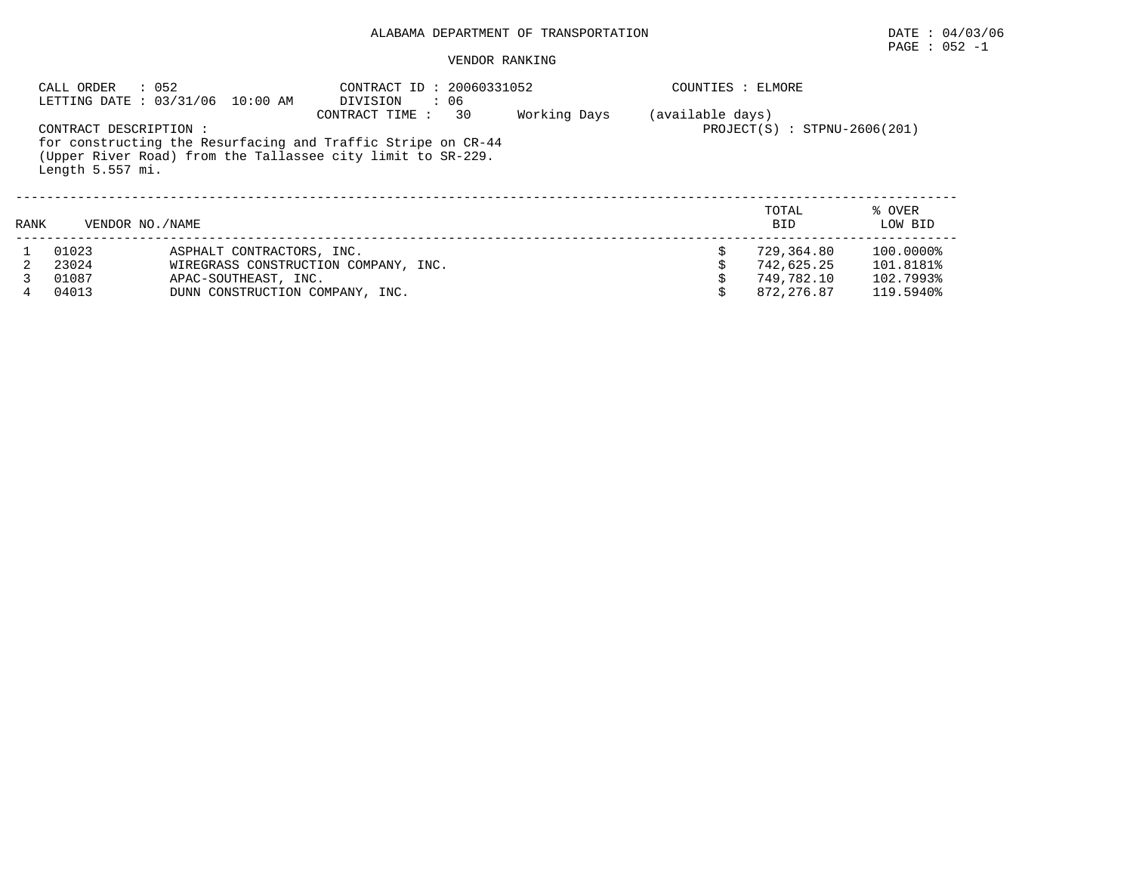## $\texttt{PAGE}$  : 052 -1

|      | CALL ORDER                                   | : 052<br>LETTING DATE : 03/31/06 10:00 AM | CONTRACT ID: 20060331052<br>$\cdot$ 06<br>DIVISION                                                                                                  |              | COUNTIES : ELMORE |                                |                   |
|------|----------------------------------------------|-------------------------------------------|-----------------------------------------------------------------------------------------------------------------------------------------------------|--------------|-------------------|--------------------------------|-------------------|
|      | CONTRACT DESCRIPTION :<br>Length $5.557$ mi. |                                           | 30<br>CONTRACT TIME:<br>for constructing the Resurfacing and Traffic Stripe on CR-44<br>(Upper River Road) from the Tallassee city limit to SR-229. | Working Days | (available days)  | $PROJECT(S) : STPNU-2606(201)$ |                   |
| RANK | VENDOR NO. / NAME                            |                                           |                                                                                                                                                     |              |                   | TOTAL<br><b>BID</b>            | % OVER<br>LOW BID |
|      | 01023                                        | ASPHALT CONTRACTORS, INC.                 |                                                                                                                                                     |              |                   | 729,364.80                     | 100.0000%         |
|      | 23024                                        |                                           | WIREGRASS CONSTRUCTION COMPANY, INC.                                                                                                                |              |                   | 742,625.25                     | 101.8181%         |
|      | 01087                                        | APAC-SOUTHEAST, INC.                      |                                                                                                                                                     |              |                   | 749,782.10                     | 102.7993%         |
|      | 04013                                        | DUNN CONSTRUCTION COMPANY, INC.           |                                                                                                                                                     |              |                   | 872,276.87                     | 119.5940%         |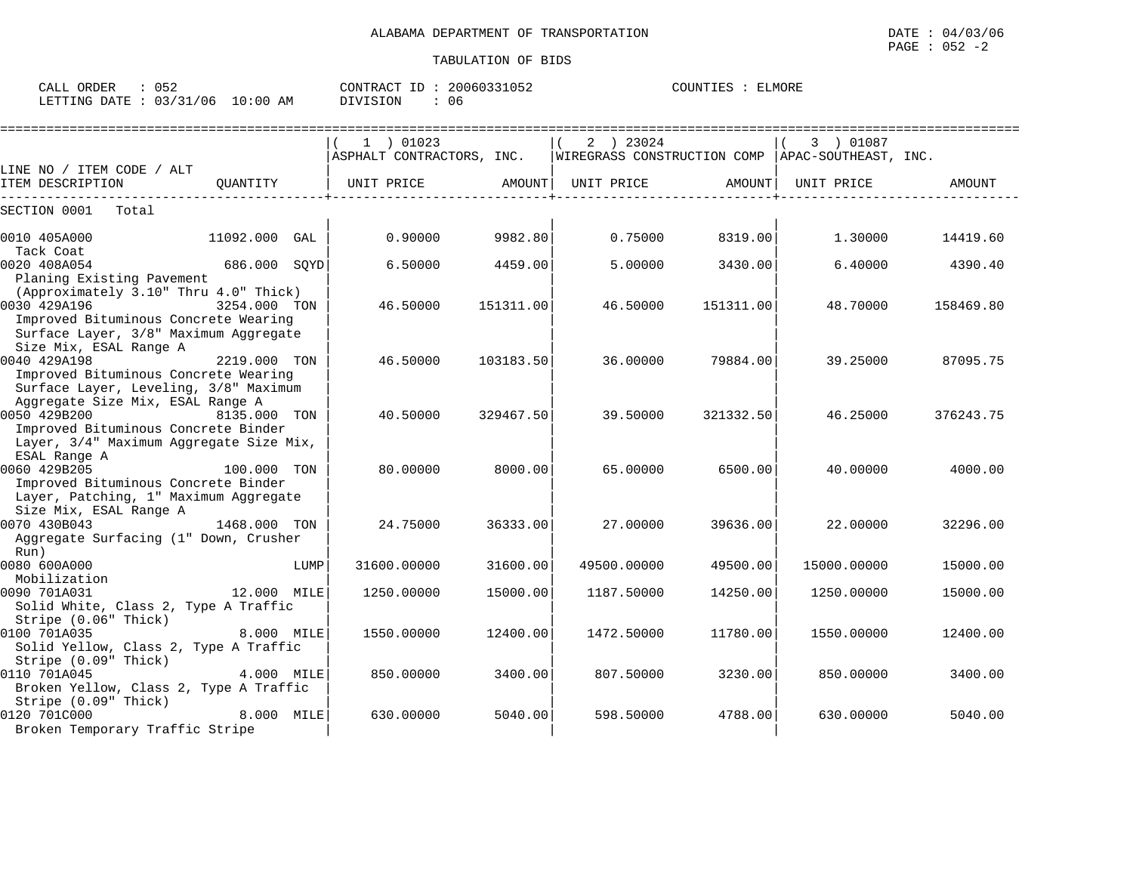| ORDER<br>CALL                  |             | CONTRACT<br>TD.  | 20060331052 | ELMOR)<br>TOUNTIES |
|--------------------------------|-------------|------------------|-------------|--------------------|
| 03/31/06<br>LETTING DATE<br>ັບ | 10:00<br>AΜ | ⊤∩™<br>$\lambda$ | Ub.         |                    |

|                                                                                                                                        |               |      | =======================                |           |                                                                 |           |             |               |
|----------------------------------------------------------------------------------------------------------------------------------------|---------------|------|----------------------------------------|-----------|-----------------------------------------------------------------|-----------|-------------|---------------|
|                                                                                                                                        |               |      | 1 ) 01023<br>ASPHALT CONTRACTORS, INC. |           | 2 ) 23024<br>WIREGRASS CONSTRUCTION COMP   APAC-SOUTHEAST, INC. |           | 3 ) 01087   |               |
| LINE NO / ITEM CODE / ALT                                                                                                              |               |      |                                        |           |                                                                 |           |             |               |
| ITEM DESCRIPTION                                                                                                                       | OUANTITY      |      | UNIT PRICE                             | AMOUNT    | UNIT PRICE                                                      | AMOUNT    | UNIT PRICE  | <b>AMOUNT</b> |
| SECTION 0001<br>Total                                                                                                                  |               |      |                                        |           |                                                                 |           |             |               |
| 0010 405A000                                                                                                                           | 11092.000 GAL |      | 0.90000                                | 9982.80   | 0.75000                                                         | 8319.00   | 1.30000     | 14419.60      |
| Tack Coat<br>0020 408A054<br>Planing Existing Pavement                                                                                 | 686.000 SQYD  |      | 6.50000                                | 4459.00   | 5.00000                                                         | 3430.00   | 6.40000     | 4390.40       |
| (Approximately 3.10" Thru 4.0" Thick)<br>0030 429A196<br>Improved Bituminous Concrete Wearing<br>Surface Layer, 3/8" Maximum Aggregate | 3254.000 TON  |      | 46.50000                               | 151311.00 | 46.50000                                                        | 151311.00 | 48.70000    | 158469.80     |
| Size Mix, ESAL Range A<br>0040 429A198<br>Improved Bituminous Concrete Wearing<br>Surface Layer, Leveling, 3/8" Maximum                | 2219.000 TON  |      | 46.50000                               | 103183.50 | 36.00000                                                        | 79884.00  | 39.25000    | 87095.75      |
| Aggregate Size Mix, ESAL Range A<br>0050 429B200<br>Improved Bituminous Concrete Binder<br>Layer, 3/4" Maximum Aggregate Size Mix,     | 8135.000 TON  |      | 40.50000                               | 329467.50 | 39.50000                                                        | 321332.50 | 46.25000    | 376243.75     |
| ESAL Range A<br>0060 429B205<br>Improved Bituminous Concrete Binder<br>Layer, Patching, 1" Maximum Aggregate                           | 100.000 TON   |      | 80.00000                               | 8000.00   | 65.00000                                                        | 6500.00   | 40.00000    | 4000.00       |
| Size Mix, ESAL Range A<br>0070 430B043<br>Aggregate Surfacing (1" Down, Crusher                                                        | 1468.000 TON  |      | 24.75000                               | 36333.00  | 27,00000                                                        | 39636.00  | 22,00000    | 32296.00      |
| Run)<br>0080 600A000                                                                                                                   |               | LUMP | 31600.00000                            | 31600.00  | 49500.00000                                                     | 49500.00  | 15000.00000 | 15000.00      |
| Mobilization<br>0090 701A031<br>Solid White, Class 2, Type A Traffic                                                                   | 12.000 MILE   |      | 1250.00000                             | 15000.00  | 1187.50000                                                      | 14250.00  | 1250.00000  | 15000.00      |
| Stripe (0.06" Thick)<br>0100 701A035<br>Solid Yellow, Class 2, Type A Traffic                                                          | 8.000 MILE    |      | 1550.00000                             | 12400.00  | 1472.50000                                                      | 11780.00  | 1550.00000  | 12400.00      |
| Stripe (0.09" Thick)<br>0110 701A045<br>Broken Yellow, Class 2, Type A Traffic                                                         | 4.000 MILE    |      | 850.00000                              | 3400.00   | 807.50000                                                       | 3230.00   | 850.00000   | 3400.00       |
| Stripe (0.09" Thick)<br>0120 701C000<br>Broken Temporary Traffic Stripe                                                                | 8.000 MILE    |      | 630,00000                              | 5040.00   | 598.50000                                                       | 4788.00   | 630,00000   | 5040.00       |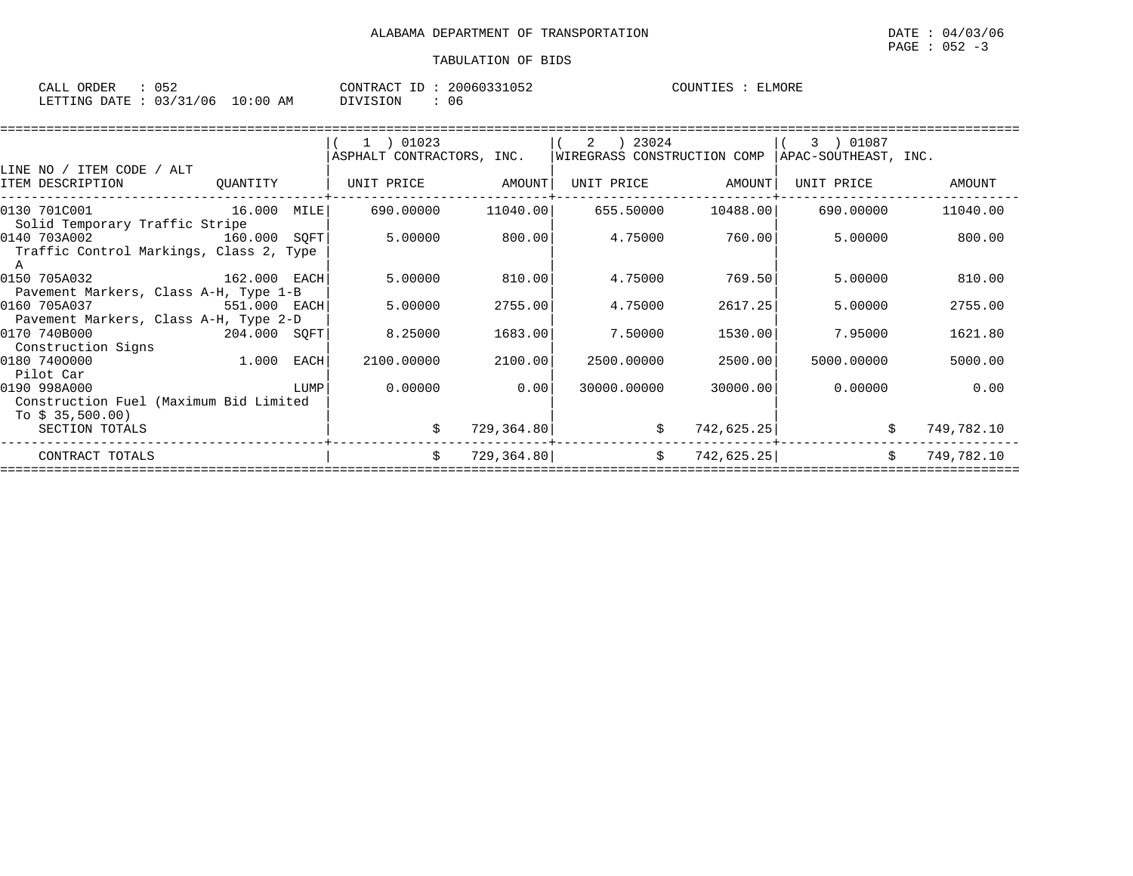| CALL ORDER                       | 052 | CONTRACT ID: 2 | 20060331052 | COUNTIES : | ELMORE |
|----------------------------------|-----|----------------|-------------|------------|--------|
| LETTING DATE : 03/31/06 10:00 AM |     | DIVISION       | 06          |            |        |

|                                         |              |      | 1 ) 01023                 |            |                             |            | 3 ) 01087            |            |
|-----------------------------------------|--------------|------|---------------------------|------------|-----------------------------|------------|----------------------|------------|
|                                         |              |      | ASPHALT CONTRACTORS, INC. |            | WIREGRASS CONSTRUCTION COMP |            | APAC-SOUTHEAST, INC. |            |
| LINE NO / ITEM CODE / ALT               |              |      |                           |            |                             |            |                      |            |
| ITEM DESCRIPTION                        | OUANTITY     |      | UNIT PRICE                | AMOUNT     | UNIT PRICE                  | AMOUNT     | UNIT PRICE           | AMOUNT     |
|                                         |              |      |                           |            |                             |            |                      |            |
| 16.000 MILE<br>0130 701C001             |              |      | 690.00000                 | 11040.00   | 655.50000                   | 10488.00   | 690.00000            | 11040.00   |
| Solid Temporary Traffic Stripe          |              |      |                           |            |                             |            |                      |            |
| 0140 703A002<br>160.000 SOFT            |              |      | 5.00000                   | 800.00     | 4.75000                     | 760.00     | 5.00000              | 800.00     |
| Traffic Control Markings, Class 2, Type |              |      |                           |            |                             |            |                      |            |
|                                         |              |      |                           |            |                             |            |                      |            |
| 0150 705A032                            | 162.000 EACH |      | 5.00000                   | 810.00     | 4.75000                     | 769.50     | 5.00000              | 810.00     |
| Pavement Markers, Class A-H, Type 1-B   |              |      |                           |            |                             |            |                      |            |
| 0160 705A037<br>551.000 EACH            |              |      | 5.00000                   | 2755.00    | 4.75000                     | 2617.25    | 5.00000              | 2755.00    |
| Pavement Markers, Class A-H, Type 2-D   |              |      |                           |            |                             |            |                      |            |
| 0170 740B000<br>204.000 SQFT            |              |      | 8.25000                   | 1683.00    | 7.50000                     | 1530.00    | 7.95000              | 1621.80    |
| Construction Signs                      |              |      |                           |            |                             |            |                      |            |
| 0180 7400000                            | 1.000        | EACH | 2100.00000                | 2100.00    | 2500.00000                  | 2500.00    | 5000.00000           | 5000.00    |
| Pilot Car                               |              |      |                           |            |                             |            |                      |            |
| 0190 998A000                            |              | LUMP | 0.00000                   | 0.00       | 30000.00000                 | 30000.00   | 0.00000              | 0.00       |
| Construction Fuel (Maximum Bid Limited  |              |      |                           |            |                             |            |                      |            |
| To $$35,500.00$                         |              |      |                           |            |                             |            |                      |            |
| SECTION TOTALS                          |              |      |                           | 729,364.80 | \$                          | 742,625.25 |                      | 749,782.10 |
| CONTRACT TOTALS                         |              |      | \$                        | 729,364.80 | \$                          | 742,625.25 | \$                   | 749,782.10 |
|                                         |              |      |                           |            |                             |            |                      |            |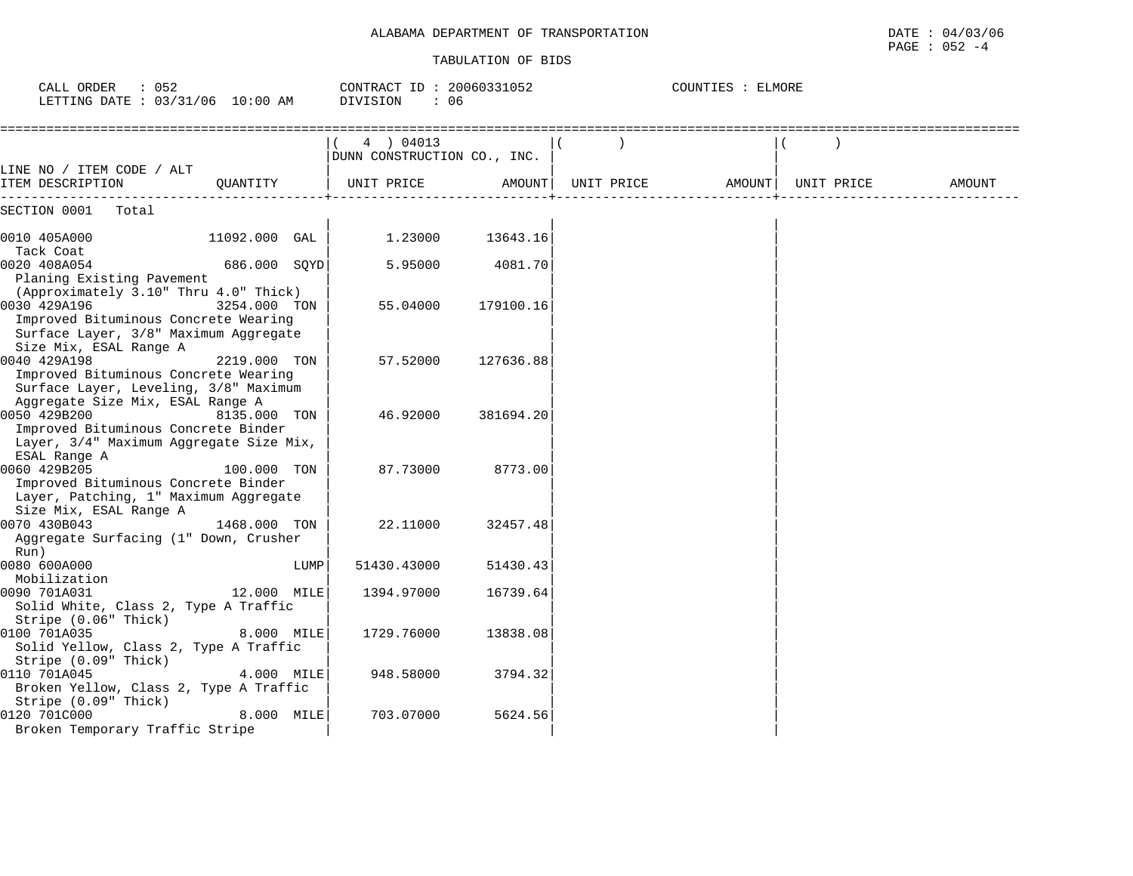| $\therefore$ 052<br>CALL ORDER<br>LETTING DATE : 03/31/06 10:00 AM                                                                                          |               |      | CONTRACT ID: 20060331052<br>DIVISION<br>: 06 |               |            | COUNTIES : ELMORE |            |        |
|-------------------------------------------------------------------------------------------------------------------------------------------------------------|---------------|------|----------------------------------------------|---------------|------------|-------------------|------------|--------|
|                                                                                                                                                             |               |      | 4 ) 04013<br>DUNN CONSTRUCTION CO., INC.     |               |            |                   |            |        |
| LINE NO / ITEM CODE / ALT<br>ITEM DESCRIPTION                                                                                                               | OUANTITY      |      | UNIT PRICE                                   | <b>AMOUNT</b> | UNIT PRICE | AMOUNT            | UNIT PRICE | AMOUNT |
| SECTION 0001<br>Total                                                                                                                                       |               |      |                                              |               |            |                   |            |        |
| 0010 405A000<br>Tack Coat                                                                                                                                   | 11092.000 GAL |      | 1.23000                                      | 13643.16      |            |                   |            |        |
| 0020 408A054<br>Planing Existing Pavement                                                                                                                   | 686.000 SOYD  |      | 5.95000                                      | 4081.70       |            |                   |            |        |
| (Approximately 3.10" Thru 4.0" Thick)<br>0030 429A196<br>Improved Bituminous Concrete Wearing<br>Surface Layer, 3/8" Maximum Aggregate                      | 3254.000 TON  |      | 55.04000                                     | 179100.16     |            |                   |            |        |
| Size Mix, ESAL Range A<br>0040 429A198<br>Improved Bituminous Concrete Wearing<br>Surface Layer, Leveling, 3/8" Maximum<br>Aggregate Size Mix, ESAL Range A | 2219.000 TON  |      | 57.52000                                     | 127636.88     |            |                   |            |        |
| 0050 429B200<br>Improved Bituminous Concrete Binder<br>Layer, 3/4" Maximum Aggregate Size Mix,<br>ESAL Range A                                              | 8135.000 TON  |      | 46.92000                                     | 381694.20     |            |                   |            |        |
| 0060 429B205<br>Improved Bituminous Concrete Binder<br>Layer, Patching, 1" Maximum Aggregate<br>Size Mix, ESAL Range A                                      | 100.000 TON   |      | 87.73000                                     | 8773.00       |            |                   |            |        |
| 0070 430B043<br>Aggregate Surfacing (1" Down, Crusher<br>Run)                                                                                               | 1468.000 TON  |      | 22.11000                                     | 32457.48      |            |                   |            |        |
| 0080 600A000<br>Mobilization                                                                                                                                |               | LUMP | 51430.43000                                  | 51430.43      |            |                   |            |        |
| 0090 701A031<br>Solid White, Class 2, Type A Traffic<br>Stripe (0.06" Thick)                                                                                | 12.000 MILE   |      | 1394.97000                                   | 16739.64      |            |                   |            |        |
| 0100 701A035<br>Solid Yellow, Class 2, Type A Traffic<br>Stripe (0.09" Thick)                                                                               | 8.000 MILE    |      | 1729.76000                                   | 13838.08      |            |                   |            |        |
| 0110 701A045<br>Broken Yellow, Class 2, Type A Traffic<br>Stripe (0.09" Thick)                                                                              | 4.000 MILE    |      | 948.58000                                    | 3794.32       |            |                   |            |        |
| 0120 701C000<br>Broken Temporary Traffic Stripe                                                                                                             | 8.000 MILE    |      | 703.07000                                    | 5624.56       |            |                   |            |        |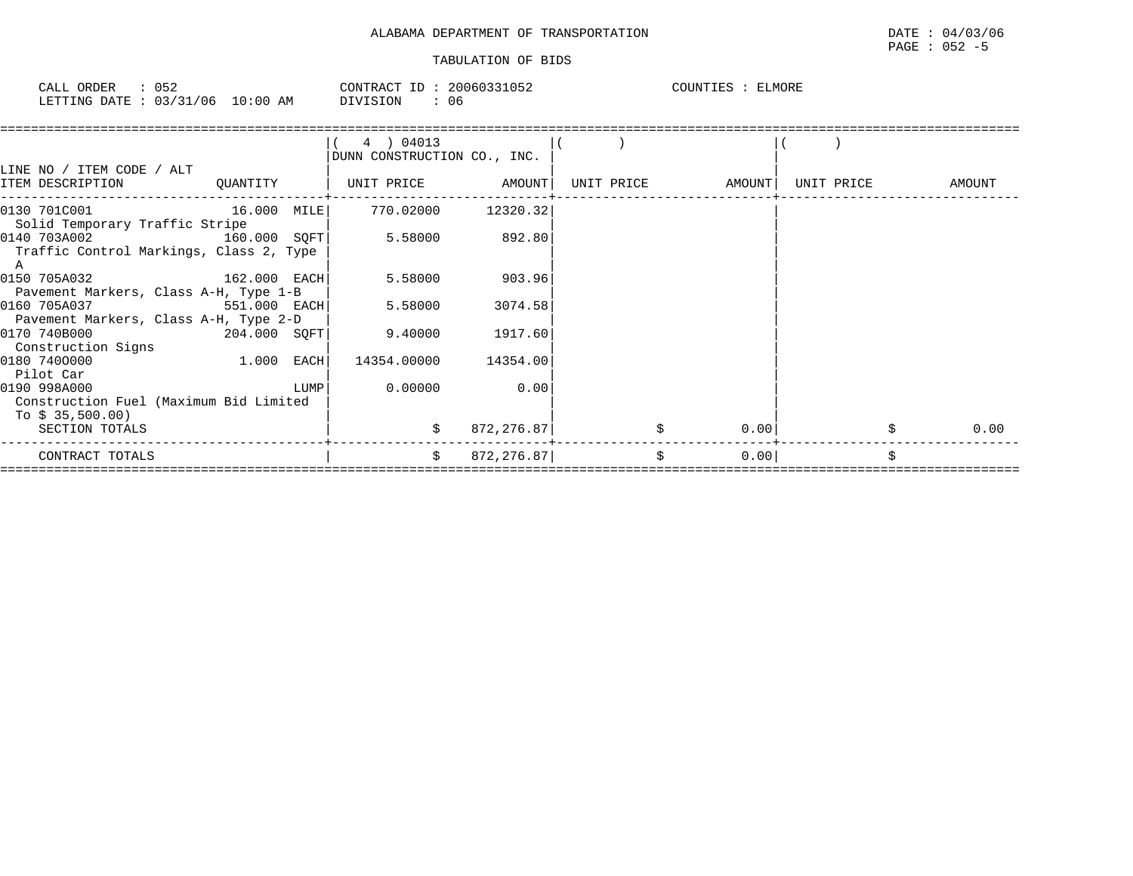| CALL (<br>ORDER                 | 052 |          | CONTRACT ID: 20060331052 | COUNTIES<br>ELMORE |
|---------------------------------|-----|----------|--------------------------|--------------------|
| LETTING DATE: 03/31/06 10:00 AM |     | DIVISION | 06                       |                    |

|                                                                                     |                | 4 ) 04013<br>DUNN CONSTRUCTION CO., INC. |            |                   |            |        |
|-------------------------------------------------------------------------------------|----------------|------------------------------------------|------------|-------------------|------------|--------|
| LINE NO / ITEM CODE / ALT<br>ITEM DESCRIPTION                                       |                |                                          |            | UNIT PRICE AMOUNT | UNIT PRICE | AMOUNT |
| $[0130 \t 701C001$ 16.000 MILE 770.02000 12320.32<br>Solid Temporary Traffic Stripe |                |                                          |            |                   |            |        |
| 0140 703A002<br>Traffic Control Markings, Class 2, Type<br>A                        | 160.000 SOFT   | 5.58000 892.80                           |            |                   |            |        |
| 0150 705A032 162.000 EACH<br>Pavement Markers, Class A-H, Type 1-B                  |                | 5.58000                                  | 903.96     |                   |            |        |
| 0160 705A037<br>Pavement Markers, Class A-H, Type 2-D                               | 551.000 EACH   | 5.58000                                  | 3074.58    |                   |            |        |
| 0170 740B000<br>Construction Signs                                                  | $204.000$ SQFT | 9.40000                                  | 1917.60    |                   |            |        |
| 0180 7400000<br>Pilot Car                                                           | $1.000$ EACH   | 14354.00000 14354.00                     |            |                   |            |        |
| 0190 998A000<br>Construction Fuel (Maximum Bid Limited<br>To \$ 35,500.00)          | LUMP           | 0.00000                                  | 0.00       |                   |            |        |
| SECTION TOTALS                                                                      |                |                                          | 872,276.87 | 0.00              |            | 0.00   |
| CONTRACT TOTALS                                                                     |                | \$                                       | 872,276.87 | \$<br>0.00        |            |        |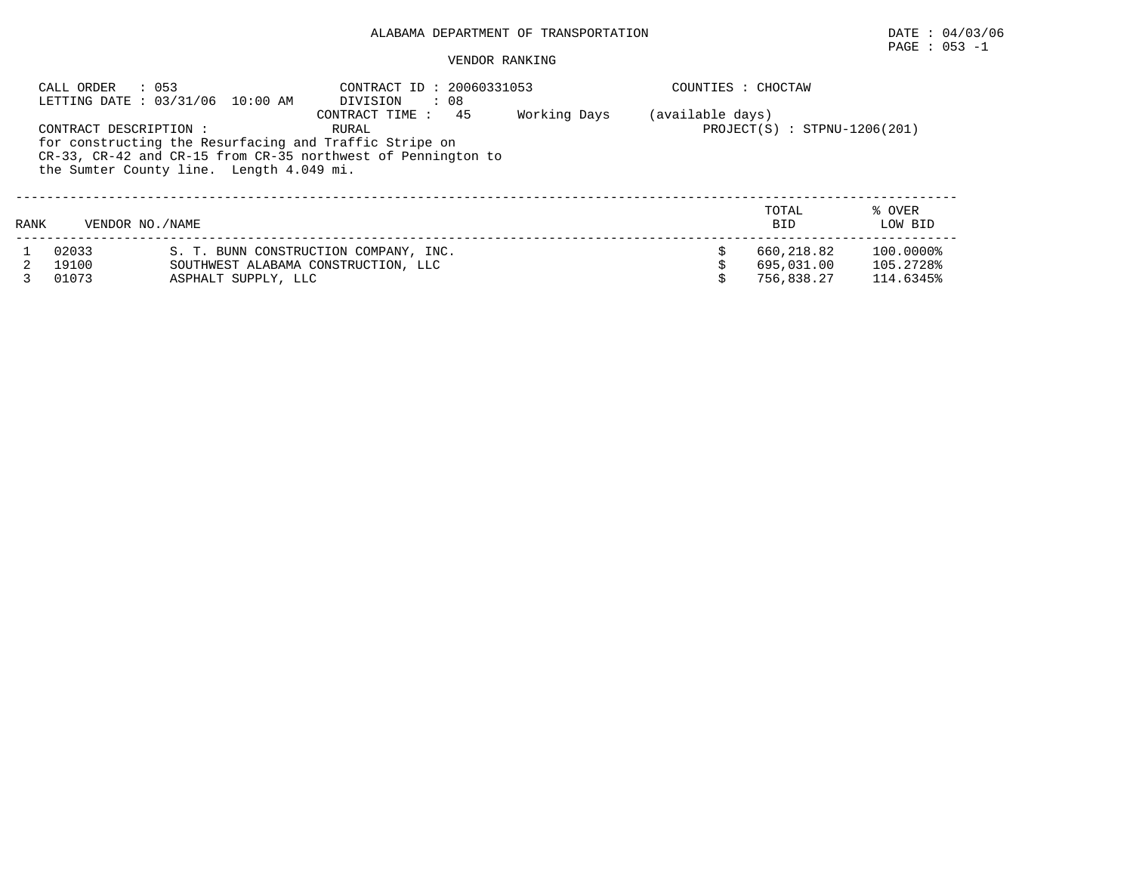## PAGE : 053 -1

|      | : 053<br>CALL ORDER   | LETTING DATE: 03/31/06 10:00 AM          | CONTRACT ID<br>DIVISION<br>$\therefore$ 08                            | : 20060331053 | COUNTIES : CHOCTAW |                                |           |
|------|-----------------------|------------------------------------------|-----------------------------------------------------------------------|---------------|--------------------|--------------------------------|-----------|
|      |                       |                                          | 45<br>CONTRACT TIME :                                                 | Working Days  | (available days)   |                                |           |
|      | CONTRACT DESCRIPTION: |                                          | RURAL                                                                 |               |                    | $PROJECT(S) : STPNU-1206(201)$ |           |
|      |                       |                                          | for constructing the Resurfacing and Traffic Stripe on                |               |                    |                                |           |
|      |                       |                                          | $CR-33$ , $CR-42$ and $CR-15$ from $CR-35$ northwest of Pennington to |               |                    |                                |           |
|      |                       | the Sumter County line. Length 4.049 mi. |                                                                       |               |                    |                                |           |
|      |                       |                                          |                                                                       |               |                    |                                |           |
|      |                       |                                          |                                                                       |               |                    |                                |           |
|      |                       |                                          |                                                                       |               |                    | TOTAL                          | % OVER    |
| RANK | VENDOR NO. / NAME     |                                          |                                                                       |               |                    | <b>BID</b>                     | LOW BID   |
|      | 02033                 |                                          | S. T. BUNN CONSTRUCTION COMPANY, INC.                                 |               |                    | 660,218.82                     | 100.0000% |
|      | 19100                 |                                          | SOUTHWEST ALABAMA CONSTRUCTION, LLC                                   |               |                    | 695,031.00                     | 105.2728% |
|      | 01073                 | ASPHALT SUPPLY, LLC                      |                                                                       |               |                    | 756,838.27                     | 114.6345% |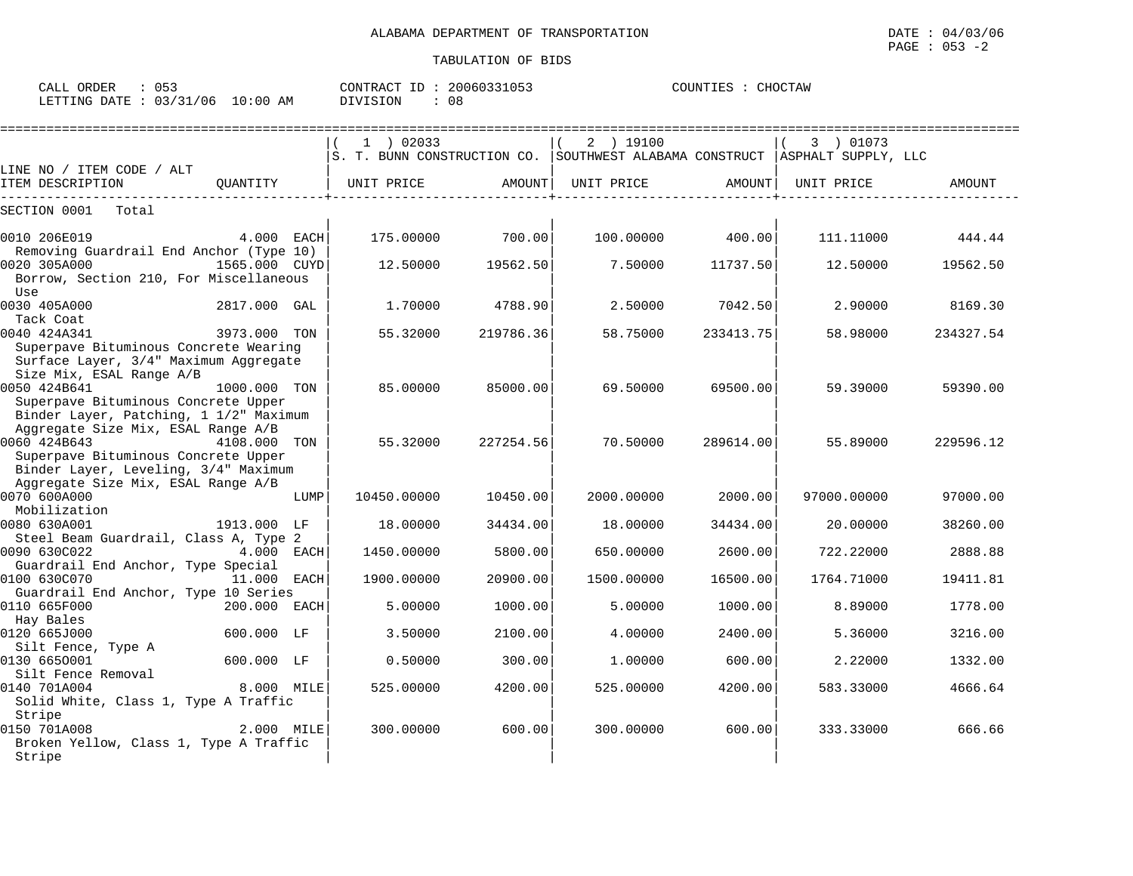| ORDER<br>CALL | ن ب ن    |             | T<br>CONTRACT | 20060331053 | COUNTIES | $\bigcap$<br>'AW<br>H(1) |
|---------------|----------|-------------|---------------|-------------|----------|--------------------------|
| LETTING DATE  | 03/31/06 | 10:00<br>AΜ | SION<br>־זדרח | 08          |          |                          |

|                                                                                                                                     |               |      |             |           | ======================                                                        |           |             |           |
|-------------------------------------------------------------------------------------------------------------------------------------|---------------|------|-------------|-----------|-------------------------------------------------------------------------------|-----------|-------------|-----------|
|                                                                                                                                     |               |      | $1$ ) 02033 |           | 2 ) 19100                                                                     |           | 3 ) 01073   |           |
| LINE NO / ITEM CODE / ALT                                                                                                           |               |      |             |           | S. T. BUNN CONSTRUCTION CO. SOUTHWEST ALABAMA CONSTRUCT   ASPHALT SUPPLY, LLC |           |             |           |
| ITEM DESCRIPTION                                                                                                                    | OUANTITY      |      | UNIT PRICE  | AMOUNT    | UNIT PRICE                                                                    | AMOUNT    | UNIT PRICE  | AMOUNT    |
| Total<br>SECTION 0001                                                                                                               |               |      |             |           |                                                                               |           |             |           |
| 0010 206E019<br>Removing Guardrail End Anchor (Type 10)                                                                             | 4.000 EACH    |      | 175.00000   | 700.00    | 100.00000                                                                     | 400.00    | 111,11000   | 444.44    |
| 0020 305A000<br>Borrow, Section 210, For Miscellaneous<br>Use                                                                       | 1565.000 CUYD |      | 12.50000    | 19562.50  | 7.50000                                                                       | 11737.50  | 12.50000    | 19562.50  |
| 0030 405A000<br>Tack Coat                                                                                                           | 2817.000 GAL  |      | 1,70000     | 4788.90   | 2.50000                                                                       | 7042.50   | 2.90000     | 8169.30   |
| 0040 424A341<br>Superpave Bituminous Concrete Wearing<br>Surface Layer, 3/4" Maximum Aggregate<br>Size Mix, ESAL Range A/B          | 3973.000 TON  |      | 55.32000    | 219786.36 | 58.75000                                                                      | 233413.75 | 58.98000    | 234327.54 |
| 0050 424B641<br>Superpave Bituminous Concrete Upper<br>Binder Layer, Patching, 1 1/2" Maximum<br>Aggregate Size Mix, ESAL Range A/B | 1000.000 TON  |      | 85,00000    | 85000.00  | 69.50000                                                                      | 69500.00  | 59.39000    | 59390.00  |
| 0060 424B643<br>Superpave Bituminous Concrete Upper<br>Binder Layer, Leveling, 3/4" Maximum<br>Aggregate Size Mix, ESAL Range A/B   | 4108.000 TON  |      | 55.32000    | 227254.56 | 70.50000                                                                      | 289614.00 | 55.89000    | 229596.12 |
| 0070 600A000<br>Mobilization                                                                                                        |               | LUMP | 10450.00000 | 10450.00  | 2000.00000                                                                    | 2000.00   | 97000.00000 | 97000.00  |
| 0080 630A001<br>Steel Beam Guardrail, Class A, Type 2                                                                               | 1913.000 LF   |      | 18,00000    | 34434.00  | 18,00000                                                                      | 34434.00  | 20,00000    | 38260.00  |
| 0090 630C022<br>Guardrail End Anchor, Type Special                                                                                  | 4.000 EACH    |      | 1450.00000  | 5800.00   | 650.00000                                                                     | 2600.00   | 722.22000   | 2888.88   |
| 0100 630C070<br>Guardrail End Anchor, Type 10 Series                                                                                | 11.000 EACH   |      | 1900.00000  | 20900.00  | 1500.00000                                                                    | 16500.00  | 1764.71000  | 19411.81  |
| 0110 665F000<br>Hay Bales                                                                                                           | 200.000       | EACH | 5.00000     | 1000.00   | 5.00000                                                                       | 1000.00   | 8.89000     | 1778.00   |
| 0120 665J000                                                                                                                        | 600.000 LF    |      | 3.50000     | 2100.00   | 4.00000                                                                       | 2400.00   | 5.36000     | 3216.00   |
| Silt Fence, Type A<br>0130 6650001<br>Silt Fence Removal                                                                            | 600.000 LF    |      | 0.50000     | 300.00    | 1.00000                                                                       | 600.00    | 2.22000     | 1332.00   |
| 0140 701A004<br>Solid White, Class 1, Type A Traffic<br>Stripe                                                                      | 8.000 MILE    |      | 525.00000   | 4200.00   | 525.00000                                                                     | 4200.00   | 583.33000   | 4666.64   |
| 0150 701A008<br>Broken Yellow, Class 1, Type A Traffic<br>Stripe                                                                    | 2.000 MILE    |      | 300,00000   | 600.00    | 300.00000                                                                     | 600.00    | 333.33000   | 666.66    |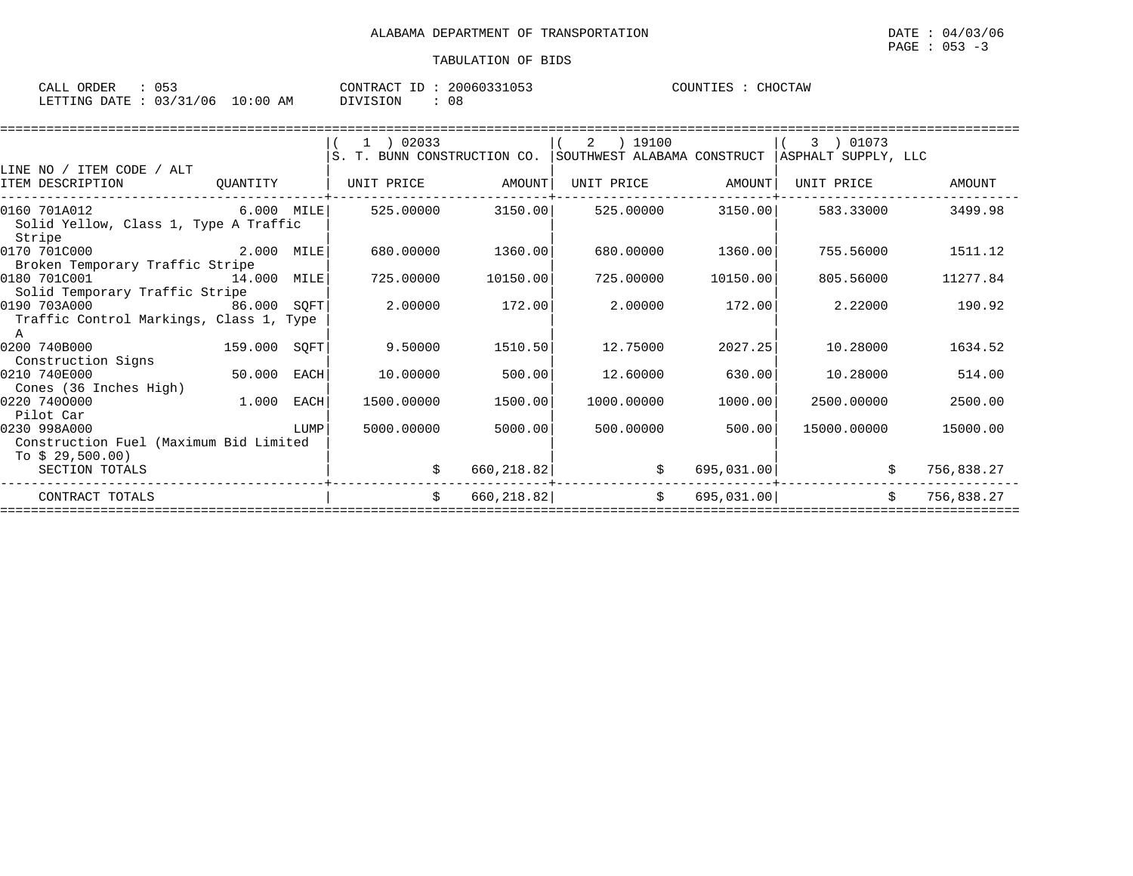| ORDER<br>CALL | UE.        |            | CONTRACT ID | 20060331053 | COUNTIES | CHOCTAW |
|---------------|------------|------------|-------------|-------------|----------|---------|
| LETTING DATE  | : 03/31/06 | $10:00$ AM | DIVISION    | 08          |          |         |

|                                                 |              |      | (1) 02033                   |            | 2 ) 19100                   |            | 3 ) 01073           |            |
|-------------------------------------------------|--------------|------|-----------------------------|------------|-----------------------------|------------|---------------------|------------|
|                                                 |              |      | S. T. BUNN CONSTRUCTION CO. |            | SOUTHWEST ALABAMA CONSTRUCT |            | ASPHALT SUPPLY, LLC |            |
| LINE NO / ITEM CODE / ALT                       |              |      |                             |            |                             |            |                     |            |
| ITEM DESCRIPTION                                | QUANTITY     |      | UNIT PRICE                  | AMOUNT     | UNIT PRICE                  | AMOUNT     | UNIT PRICE          | AMOUNT     |
| 0160 701A012                                    | $6.000$ MILE |      | 525.00000                   | 3150.00    | 525.00000                   | 3150.00    | 583.33000           | 3499.98    |
| Solid Yellow, Class 1, Type A Traffic<br>Stripe |              |      |                             |            |                             |            |                     |            |
| 0170 701C000 2.000 MILE                         |              |      | 680,00000                   | 1360.00    | 680,00000                   | 1360.00    | 755.56000           | 1511.12    |
| Broken Temporary Traffic Stripe                 |              |      |                             |            |                             |            |                     |            |
| 0180 701C001<br>14.000 MILE                     |              |      | 725.00000                   | 10150.00   | 725.00000                   | 10150.00   | 805.56000           | 11277.84   |
| Solid Temporary Traffic Stripe                  |              |      |                             |            |                             |            |                     |            |
| 0190 703A000<br>86.000 SOFT                     |              |      | 2.00000                     | 172.00     | 2.00000                     | 172.00     | 2,22000             | 190.92     |
| Traffic Control Markings, Class 1, Type<br>A    |              |      |                             |            |                             |            |                     |            |
| 0200 740B000                                    | 159.000 SQFT |      | 9.50000                     | 1510.50    | 12.75000                    | 2027.25    | 10.28000            | 1634.52    |
| Construction Signs                              |              |      |                             |            |                             |            |                     |            |
| 0210 740E000                                    | 50.000       | EACH | 10.00000                    | 500.00     | 12.60000                    | 630.00     | 10.28000            | 514.00     |
| Cones (36 Inches High)                          |              |      |                             |            |                             |            |                     |            |
| 0220 7400000                                    | 1.000        | EACH | 1500.00000                  | 1500.00    | 1000.00000                  | 1000.00    | 2500.00000          | 2500.00    |
| Pilot Car                                       |              |      |                             |            |                             |            |                     |            |
| 0230 998A000                                    |              | LUMP | 5000.00000                  | 5000.00    | 500.00000                   | 500.00     | 15000.00000         | 15000.00   |
| Construction Fuel (Maximum Bid Limited          |              |      |                             |            |                             |            |                     |            |
| To $$29,500.00)$                                |              |      |                             |            |                             |            |                     |            |
| SECTION TOTALS                                  |              |      | \$                          | 660,218.82 | \$                          |            | 695,031.00          | 756,838.27 |
| CONTRACT TOTALS                                 |              |      | Ŝ.                          | 660,218.82 | $\ddot{\mathcal{S}}$        | 695,031.00 | Ŝ.                  | 756,838.27 |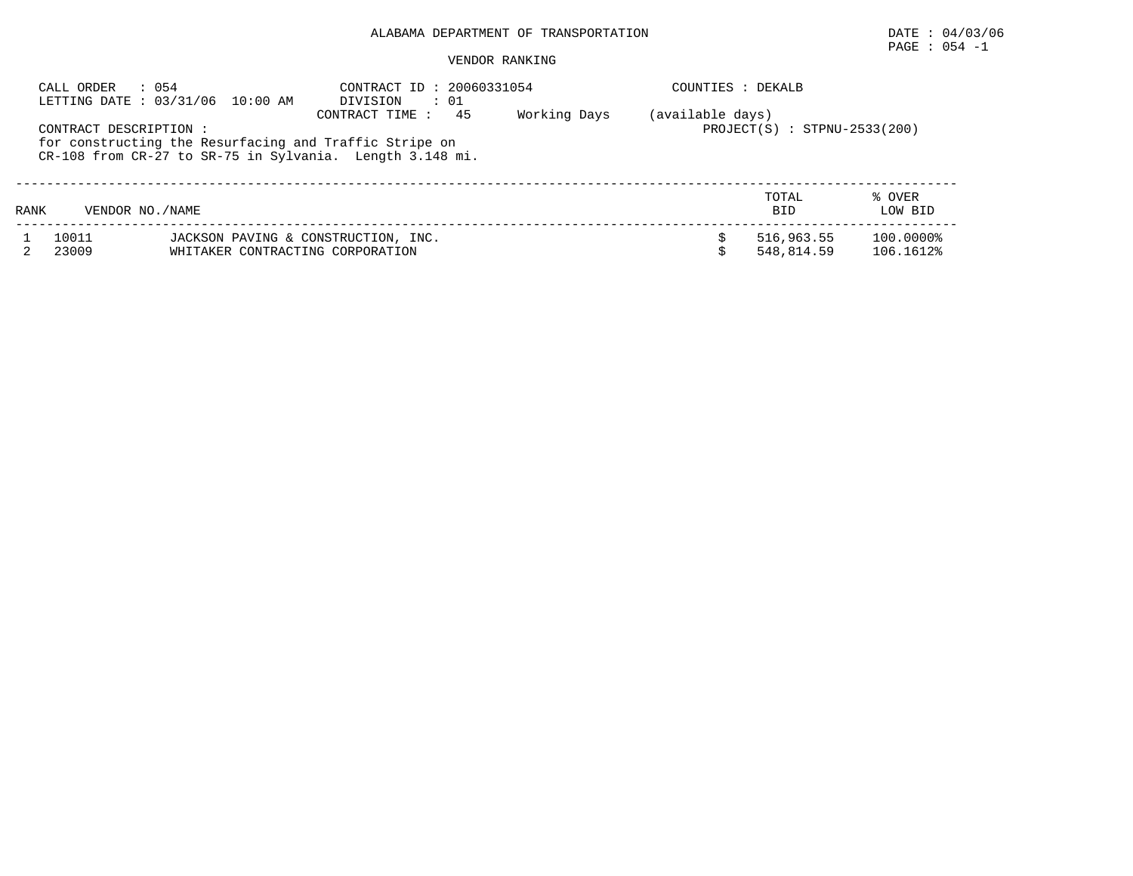## PAGE : 054 -1

| CALL ORDER             | $\therefore$ 054<br>LETTING DATE: 03/31/06 10:00 AM                                                                | CONTRACT ID: 20060331054<br>DIVISION<br>$\cdots$ 01 |              | COUNTIES : DEKALB |                                |                             |
|------------------------|--------------------------------------------------------------------------------------------------------------------|-----------------------------------------------------|--------------|-------------------|--------------------------------|-----------------------------|
| CONTRACT DESCRIPTION : | for constructing the Resurfacing and Traffic Stripe on<br>CR-108 from CR-27 to SR-75 in Sylvania. Length 3.148 mi. | 45<br>CONTRACT TIME :                               | Working Days | (available days)  | $PROJECT(S) : STPNU-2533(200)$ |                             |
| RANK                   | VENDOR NO. / NAME                                                                                                  |                                                     |              |                   | TOTAL<br><b>BID</b>            | % OVER<br>LOW BID           |
| 10011<br>23009         | JACKSON PAVING & CONSTRUCTION, INC.<br>WHITAKER CONTRACTING CORPORATION                                            |                                                     |              |                   | 516,963.55<br>548,814.59       | $100.0000$ $8$<br>106.1612% |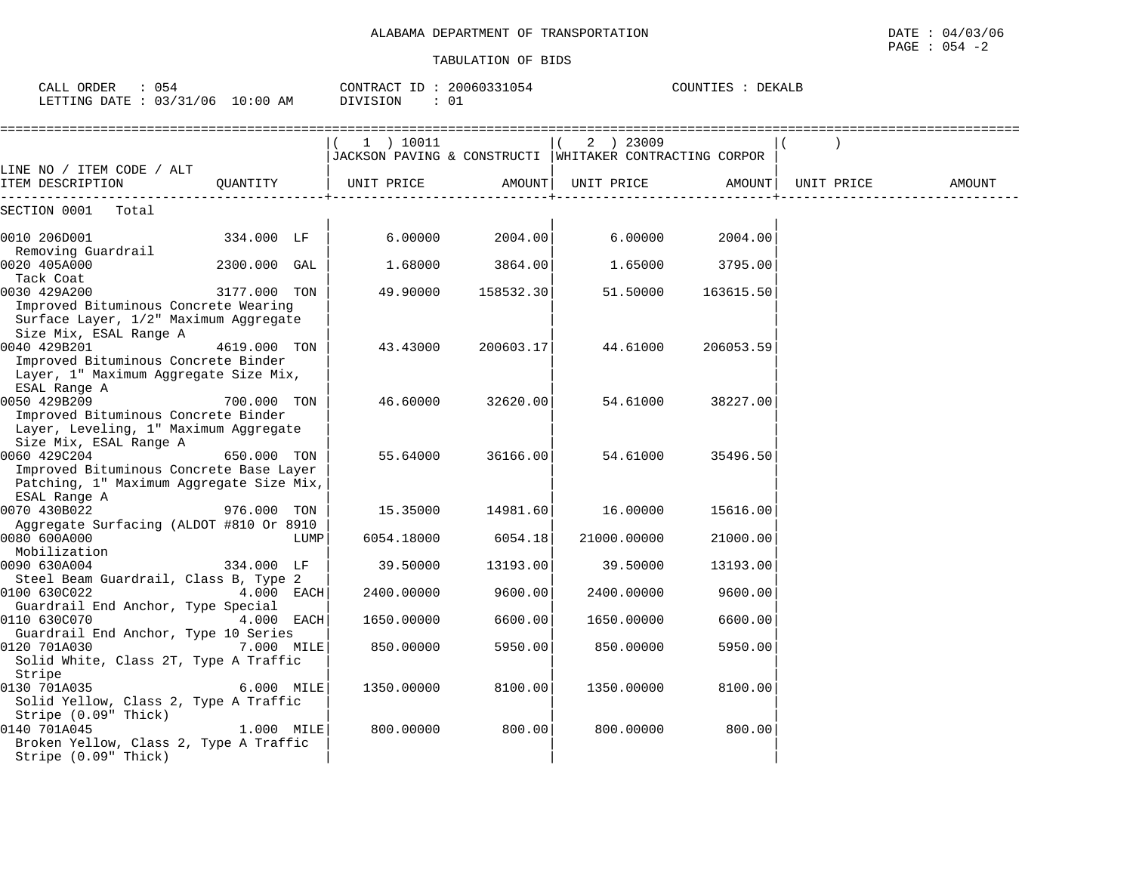| 054<br>CALL ORDER                |          | CONTRACT ID: 20060331054 | COUNTIES : DEKALB |
|----------------------------------|----------|--------------------------|-------------------|
| LETTING DATE : 03/31/06 10:00 AM | DIVISION | 01                       |                   |

|                                                         |              |      | 1 ) 10011                                                 |           | 2 ) 23009   |           |            |        |
|---------------------------------------------------------|--------------|------|-----------------------------------------------------------|-----------|-------------|-----------|------------|--------|
|                                                         |              |      | JACKSON PAVING & CONSTRUCTI   WHITAKER CONTRACTING CORPOR |           |             |           |            |        |
| LINE NO / ITEM CODE / ALT                               |              |      |                                                           |           |             |           |            |        |
| ITEM DESCRIPTION                                        | QUANTITY     |      | UNIT PRICE                                                | AMOUNT    | UNIT PRICE  | AMOUNT    | UNIT PRICE | AMOUNT |
| SECTION 0001<br>Total                                   |              |      |                                                           |           |             |           |            |        |
| 0010 206D001                                            | 334.000 LF   |      | 6.00000                                                   | 2004.00   | 6.00000     | 2004.00   |            |        |
| Removing Guardrail                                      |              |      |                                                           |           |             |           |            |        |
| 0020 405A000                                            | 2300.000 GAL |      | 1.68000                                                   | 3864.00   | 1.65000     | 3795.00   |            |        |
| Tack Coat                                               |              |      |                                                           |           |             |           |            |        |
| 0030 429A200                                            | 3177.000 TON |      | 49.90000                                                  | 158532.30 | 51.50000    | 163615.50 |            |        |
| Improved Bituminous Concrete Wearing                    |              |      |                                                           |           |             |           |            |        |
| Surface Layer, 1/2" Maximum Aggregate                   |              |      |                                                           |           |             |           |            |        |
| Size Mix, ESAL Range A                                  |              |      |                                                           |           |             |           |            |        |
| 0040 429B201<br>Improved Bituminous Concrete Binder     | 4619.000 TON |      | 43.43000                                                  | 200603.17 | 44.61000    | 206053.59 |            |        |
| Layer, 1" Maximum Aggregate Size Mix,                   |              |      |                                                           |           |             |           |            |        |
| ESAL Range A                                            |              |      |                                                           |           |             |           |            |        |
| 0050 429B209                                            | 700.000 TON  |      | 46.60000                                                  | 32620.00  | 54.61000    | 38227.00  |            |        |
| Improved Bituminous Concrete Binder                     |              |      |                                                           |           |             |           |            |        |
| Layer, Leveling, 1" Maximum Aggregate                   |              |      |                                                           |           |             |           |            |        |
| Size Mix, ESAL Range A                                  |              |      |                                                           |           |             |           |            |        |
| 0060 429C204                                            | 650.000 TON  |      | 55.64000                                                  | 36166.00  | 54.61000    | 35496.50  |            |        |
| Improved Bituminous Concrete Base Layer                 |              |      |                                                           |           |             |           |            |        |
| Patching, 1" Maximum Aggregate Size Mix,                |              |      |                                                           |           |             |           |            |        |
| ESAL Range A                                            |              |      |                                                           |           |             |           |            |        |
| 0070 430B022                                            | 976.000 TON  |      | 15.35000                                                  | 14981.60  | 16.00000    | 15616.00  |            |        |
| Aggregate Surfacing (ALDOT #810 Or 8910<br>0080 600A000 |              | LUMP | 6054.18000                                                | 6054.18   | 21000.00000 | 21000.00  |            |        |
| Mobilization                                            |              |      |                                                           |           |             |           |            |        |
| 0090 630A004                                            | 334.000 LF   |      | 39.50000                                                  | 13193.00  | 39.50000    | 13193.00  |            |        |
| Steel Beam Guardrail, Class B, Type 2                   |              |      |                                                           |           |             |           |            |        |
| 0100 630C022                                            | 4.000 EACH   |      | 2400.00000                                                | 9600.00   | 2400.00000  | 9600.00   |            |        |
| Guardrail End Anchor, Type Special                      |              |      |                                                           |           |             |           |            |        |
| 0110 630C070                                            | 4.000 EACH   |      | 1650.00000                                                | 6600.00   | 1650.00000  | 6600.00   |            |        |
| Guardrail End Anchor, Type 10 Series                    |              |      |                                                           |           |             |           |            |        |
| 0120 701A030                                            | 7.000 MILE   |      | 850.00000                                                 | 5950.00   | 850.00000   | 5950.00   |            |        |
| Solid White, Class 2T, Type A Traffic                   |              |      |                                                           |           |             |           |            |        |
| Stripe<br>0130 701A035                                  | 6.000 MILE   |      | 1350.00000                                                | 8100.00   | 1350.00000  |           |            |        |
| Solid Yellow, Class 2, Type A Traffic                   |              |      |                                                           |           |             | 8100.00   |            |        |
| Stripe (0.09" Thick)                                    |              |      |                                                           |           |             |           |            |        |
| 0140 701A045                                            | 1.000 MILE   |      | 800.00000                                                 | 800.00    | 800.00000   | 800.00    |            |        |
| Broken Yellow, Class 2, Type A Traffic                  |              |      |                                                           |           |             |           |            |        |
| Stripe (0.09" Thick)                                    |              |      |                                                           |           |             |           |            |        |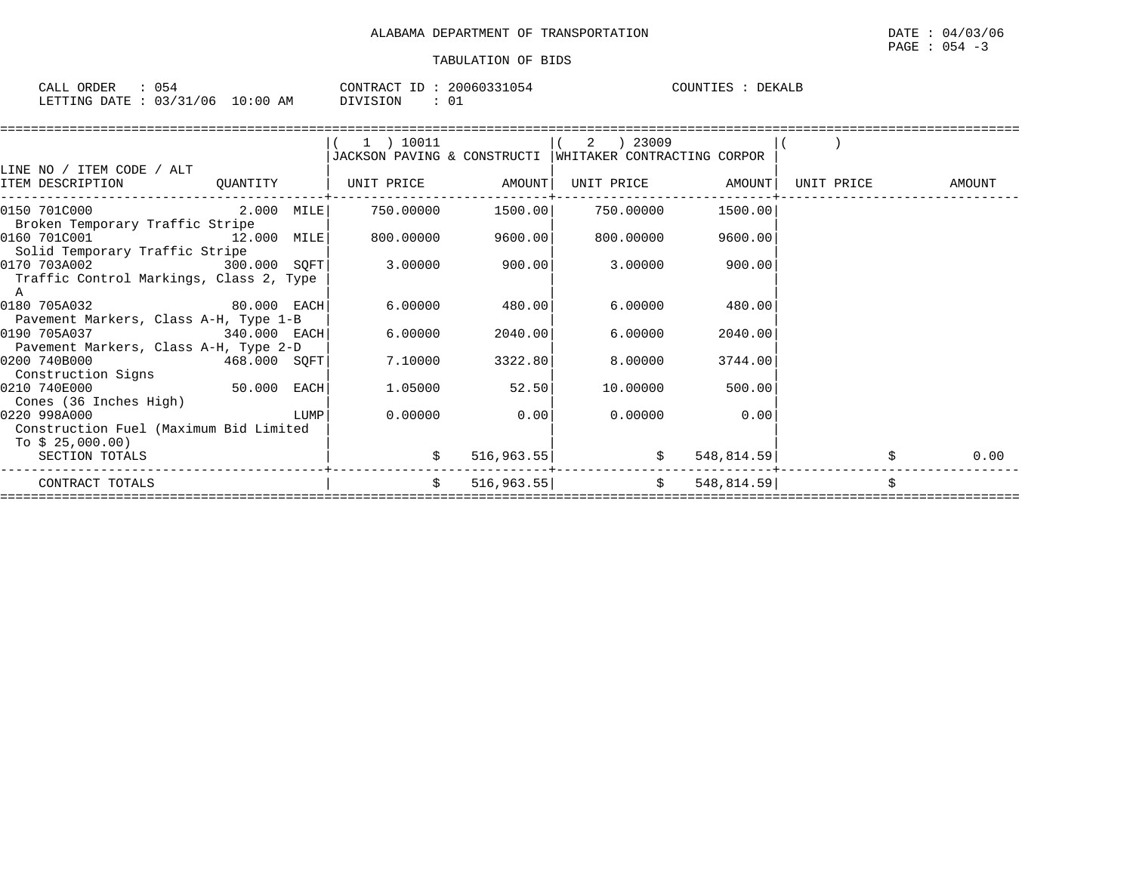| CALL ORDER             |  |            | CONTRACT ID: |  | 20060331054 | COUNTIES | DEKALP |  |
|------------------------|--|------------|--------------|--|-------------|----------|--------|--|
| LETTING DATE: 03/31/06 |  | $10:00$ AM | DIVISION     |  |             |          |        |  |

|                                                                                                  |          | (1) 10011                   |             | 2   23009                   |                   |            |        |
|--------------------------------------------------------------------------------------------------|----------|-----------------------------|-------------|-----------------------------|-------------------|------------|--------|
|                                                                                                  |          | JACKSON PAVING & CONSTRUCTI |             | WHITAKER CONTRACTING CORPOR |                   |            |        |
| LINE NO / ITEM CODE / ALT                                                                        |          |                             |             |                             |                   |            |        |
| ITEM DESCRIPTION                                                                                 | QUANTITY | UNIT PRICE AMOUNT           |             |                             | UNIT PRICE AMOUNT | UNIT PRICE | AMOUNT |
|                                                                                                  |          |                             |             |                             | 1500.00           |            |        |
| Broken Temporary Traffic Stripe<br>0160 701C001<br>12.000 MILE<br>Solid Temporary Traffic Stripe |          | 800.00000                   | 9600.00     | 800.00000                   | 9600.00           |            |        |
| 0170 703A002 300.000 SQFT<br>Traffic Control Markings, Class 2, Type                             |          | 3.00000                     | 900.00      | 3.00000                     | 900.00            |            |        |
| A<br>0180 705A032 80.000 EACH                                                                    |          | 6.00000                     | 480.00      | 6.00000                     | 480.00            |            |        |
| Pavement Markers, Class A-H, Type 1-B<br>0190 705A037 340.000 EACH                               |          | 6.00000                     | 2040.00     | 6.00000                     | 2040.00           |            |        |
| Pavement Markers, Class A-H, Type 2-D                                                            |          |                             |             |                             |                   |            |        |
| $468.000$ SQFT<br>0200 740B000<br>Construction Signs                                             |          | 7.10000                     | 3322.80     | 8.00000                     | 3744.00           |            |        |
| $50.000$ EACH<br>0210 740E000                                                                    |          | 1.05000                     | 52.50       | 10.00000                    | 500.00            |            |        |
| Cones (36 Inches High)<br>$\begin{array}{c} \text{LUMP} \end{array}$<br>0220 998A000             |          | 0.00000                     | 0.00        |                             | $0.00000$ 0.00    |            |        |
| Construction Fuel (Maximum Bid Limited<br>To $$25,000.00)$<br>SECTION TOTALS                     |          |                             |             |                             |                   |            | 0.00   |
|                                                                                                  |          |                             | 516, 963.55 |                             | \$<br>548, 814.59 |            |        |
| CONTRACT TOTALS                                                                                  |          | Ŝ.                          |             | $516,963.55$ \$             | 548, 814.59       |            |        |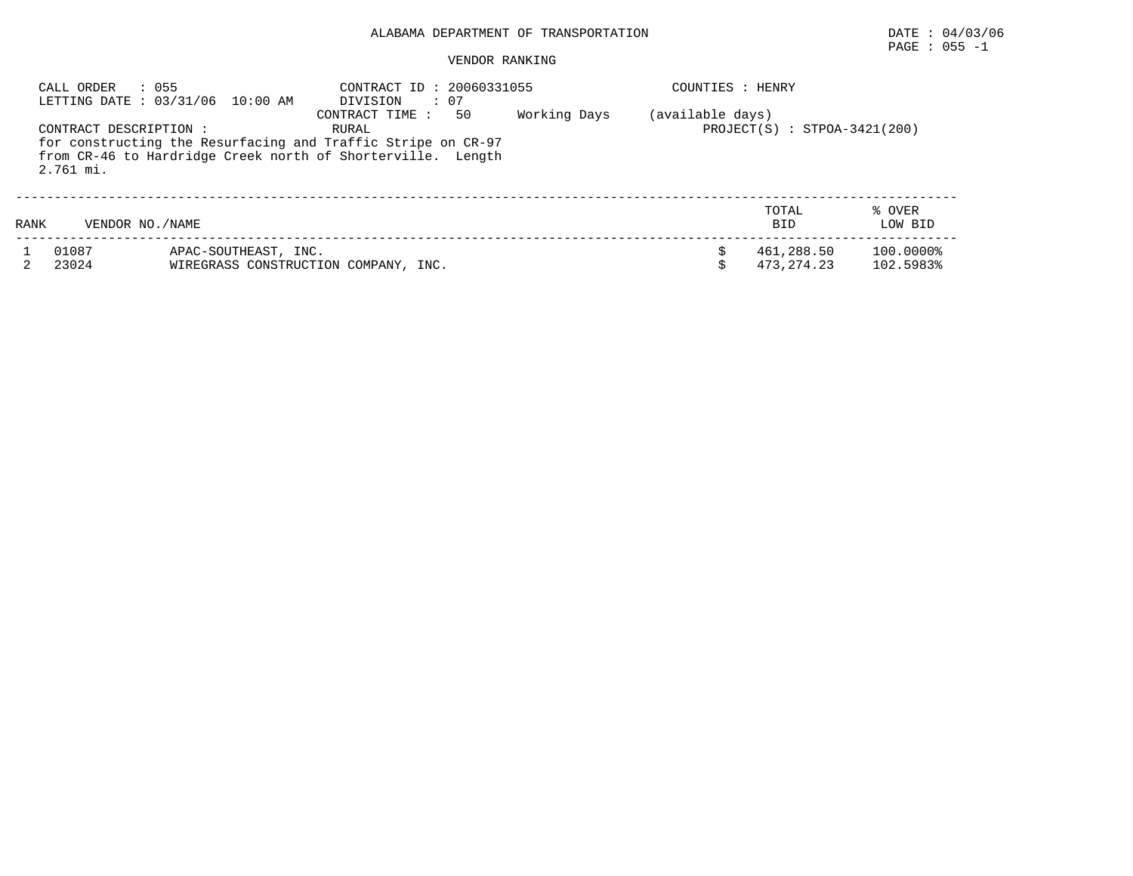## VENDOR RANKING

|      | : 055<br>CALL ORDER                 | LETTING DATE : 03/31/06 10:00 AM | : 20060331055<br>CONTRACT ID<br>$\therefore$ 07<br>DIVISION                                                                                                   |              | HENRY<br>COUNTIES : |                                |                        |  |
|------|-------------------------------------|----------------------------------|---------------------------------------------------------------------------------------------------------------------------------------------------------------|--------------|---------------------|--------------------------------|------------------------|--|
|      | CONTRACT DESCRIPTION :<br>2.761 mi. |                                  | 50<br>CONTRACT TIME :<br>RURAL<br>for constructing the Resurfacing and Traffic Stripe on CR-97<br>from CR-46 to Hardridge Creek north of Shorterville. Length | Working Days | (available days)    | $PROJECT(S) : STPOA-3421(200)$ |                        |  |
| RANK | VENDOR NO. / NAME                   |                                  |                                                                                                                                                               |              |                     | TOTAL<br><b>BID</b>            | % OVER<br>LOW BID      |  |
|      | 01087<br>23024                      | APAC-SOUTHEAST, INC.             | WIREGRASS CONSTRUCTION COMPANY, INC.                                                                                                                          |              |                     | 461,288.50<br>473.274.23       | 100.0000%<br>102.5983% |  |

 $\texttt{PAGE}$  : 055 -1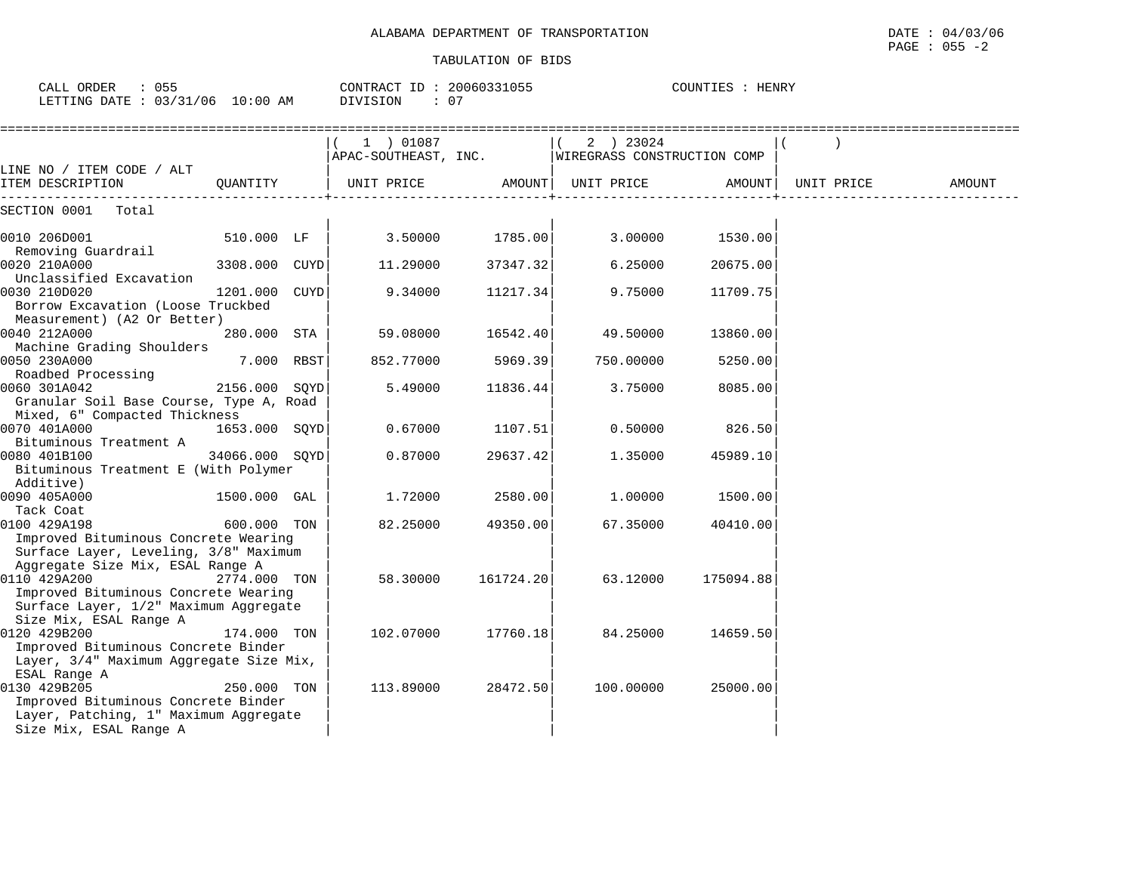CALL ORDER : 055 CONTRACT ID : 20060331055 COUNTIES : HENRY

LETTING DATE : 03/31/06 10:00 AM DIVISION : 07

|                                                                                                                                                   |                 | $(1)$ 01087 |                   | 2 ) 23024<br>APAC-SOUTHEAST, INC. WIREGRASS CONSTRUCTION COMP |                 |            |        |
|---------------------------------------------------------------------------------------------------------------------------------------------------|-----------------|-------------|-------------------|---------------------------------------------------------------|-----------------|------------|--------|
| LINE NO / ITEM CODE / ALT<br>ITEM DESCRIPTION                                                                                                     | OUANTITY        |             |                   |                                                               | AMOUNT          | UNIT PRICE | AMOUNT |
| SECTION 0001<br>Total                                                                                                                             |                 |             |                   |                                                               |                 |            |        |
| 0010 206D001<br>Removing Guardrail                                                                                                                | 510.000 LF      |             | $3.50000$ 1785.00 |                                                               | 3.00000 1530.00 |            |        |
| 0020 210A000<br>Unclassified Excavation                                                                                                           | 3308.000 CUYD   | 11.29000    | 37347.32          | 6.25000                                                       | 20675.00        |            |        |
| 0030 210D020<br>Borrow Excavation (Loose Truckbed<br>Measurement) (A2 Or Better)                                                                  | 1201.000 CUYD   | 9.34000     | 11217.34          | 9.75000                                                       | 11709.75        |            |        |
| 0040 212A000<br>Machine Grading Shoulders                                                                                                         | 280.000 STA     | 59.08000    | 16542.40          | 49.50000                                                      | 13860.00        |            |        |
| 0050 230A000<br>Roadbed Processing                                                                                                                | 7.000 RBST      | 852.77000   | 5969.39           | 750.00000                                                     | 5250.00         |            |        |
| 0060 301A042<br>Granular Soil Base Course, Type A, Road<br>Mixed, 6" Compacted Thickness                                                          | 2156.000 SOYD   | 5.49000     | 11836.44          | 3.75000                                                       | 8085.00         |            |        |
| 0070 401A000<br>Bituminous Treatment A                                                                                                            | $1653.000$ SQYD | 0.67000     | 1107.51           | 0.50000                                                       | 826.50          |            |        |
| 0080 401B100<br>Bituminous Treatment E (With Polymer<br>Additive)                                                                                 | 34066.000 SOYD  | 0.87000     | 29637.42          | 1.35000                                                       | 45989.10        |            |        |
| 0090 405A000<br>Tack Coat                                                                                                                         | 1500.000 GAL    | 1,72000     | 2580.00           | 1.00000                                                       | 1500.00         |            |        |
| 0100 429A198<br>Improved Bituminous Concrete Wearing<br>Surface Layer, Leveling, 3/8" Maximum                                                     | 600.000 TON     | 82.25000    | 49350.00          | 67.35000                                                      | 40410.00        |            |        |
| Aggregate Size Mix, ESAL Range A<br>0110 429A200<br>2774.000 TON<br>Improved Bituminous Concrete Wearing<br>Surface Layer, 1/2" Maximum Aggregate |                 | 58.30000    | 161724.20         | 63.12000                                                      | 175094.88       |            |        |
| Size Mix, ESAL Range A<br>0120 429B200<br>Improved Bituminous Concrete Binder<br>Layer, 3/4" Maximum Aggregate Size Mix,                          | 174.000 TON     | 102.07000   | 17760.18          | 84.25000                                                      | 14659.50        |            |        |
| ESAL Range A<br>0130 429B205<br>Improved Bituminous Concrete Binder<br>Layer, Patching, 1" Maximum Aggregate<br>Size Mix, ESAL Range A            | 250.000 TON     | 113.89000   | 28472.50          | 100.00000                                                     | 25000.00        |            |        |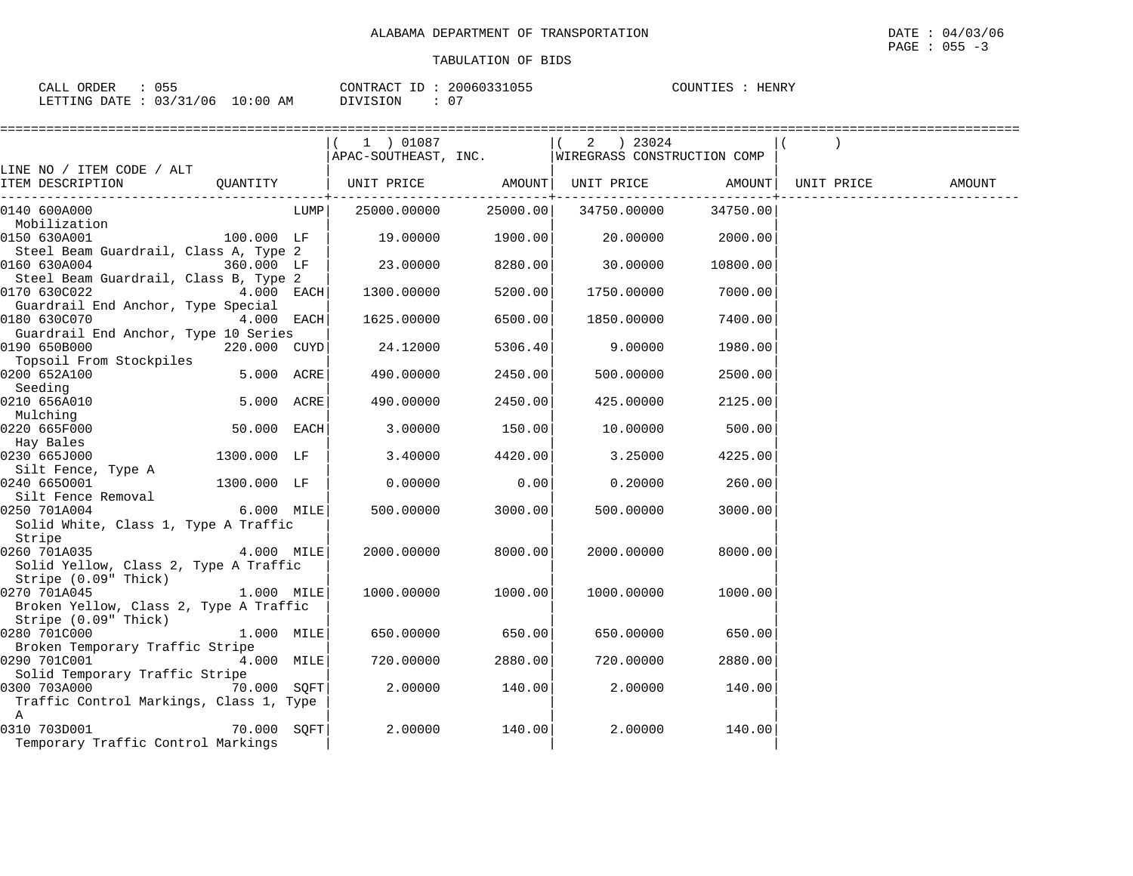| ORDER<br>CALL ( | $\sim$ $ \sim$<br>ט ט |    | CONTRACT ID | 20060331055 | COUNTIES | HENRY |
|-----------------|-----------------------|----|-------------|-------------|----------|-------|
| LETTING DATE :  | : 03/31/06 10:00      | AM | DIVISION    | ∩ ⊓         |          |       |

|                                                    |               | 1 ) 01087                                          |         |                                          |                  |            |        |
|----------------------------------------------------|---------------|----------------------------------------------------|---------|------------------------------------------|------------------|------------|--------|
|                                                    |               | APAC-SOUTHEAST, INC.   WIREGRASS CONSTRUCTION COMP |         |                                          |                  |            |        |
| LINE NO / ITEM CODE / ALT                          |               |                                                    |         |                                          |                  |            |        |
| ITEM DESCRIPTION                                   | QUANTITY      | UNIT PRICE AMOUNT  UNIT PRICE AMOUNT               |         |                                          |                  | UNIT PRICE | AMOUNT |
| 0140 600A000                                       |               | LUMP   25000.00000                                 |         | ------+---------<br>25000.00 34750.00000 | 34750.00         |            |        |
| Mobilization                                       |               |                                                    |         |                                          |                  |            |        |
| 0150 630A001                                       | $100.000$ LF  | $19.00000$ 1900.00                                 |         |                                          | 20.00000 2000.00 |            |        |
| Steel Beam Guardrail, Class A, Type 2              |               |                                                    |         |                                          |                  |            |        |
| 0160 630A004                                       | 360.000 LF    | 23.00000                                           | 8280.00 | 30.00000                                 | 10800.00         |            |        |
| Steel Beam Guardrail, Class B, Type 2              |               |                                                    |         |                                          |                  |            |        |
| 0170 630C022                                       | $4.000$ EACH  | 1300.00000                                         | 5200.00 | 1750.00000                               | 7000.00          |            |        |
| Guardrail End Anchor, Type Special<br>0180 630C070 | 4.000 EACH    | 1625.00000                                         | 6500.00 | 1850.00000                               | 7400.00          |            |        |
| Guardrail End Anchor, Type 10 Series               |               |                                                    |         |                                          |                  |            |        |
| 0190 650B000                                       | 220.000 CUYD  | 24.12000                                           | 5306.40 | 9.00000                                  | 1980.00          |            |        |
| Topsoil From Stockpiles                            |               |                                                    |         |                                          |                  |            |        |
| 0200 652A100                                       | 5.000 ACRE    | 490.00000                                          | 2450.00 | 500.00000                                | 2500.00          |            |        |
| Seeding                                            |               |                                                    |         |                                          |                  |            |        |
| 0210 656A010                                       | 5.000 ACRE    | 490.00000                                          | 2450.00 | 425.00000                                | 2125.00          |            |        |
| Mulching                                           |               |                                                    |         |                                          |                  |            |        |
| 0220 665F000                                       | 50.000 EACH   | 3.00000                                            | 150.00  | 10.00000                                 | 500.00           |            |        |
| Hay Bales                                          |               |                                                    |         |                                          |                  |            |        |
| 0230 665J000                                       | 1300.000 LF   | 3.40000                                            | 4420.00 | 3.25000                                  | 4225.00          |            |        |
| Silt Fence, Type A                                 |               |                                                    |         |                                          |                  |            |        |
| 0240 6650001                                       | 1300.000 LF   | 0.00000                                            | 0.00    | 0.20000                                  | 260.00           |            |        |
| Silt Fence Removal                                 |               |                                                    |         |                                          |                  |            |        |
| 6.000 MILE<br>0250 701A004                         |               | 500.00000                                          | 3000.00 | 500.00000                                | 3000.00          |            |        |
| Solid White, Class 1, Type A Traffic<br>Stripe     |               |                                                    |         |                                          |                  |            |        |
| 0260 701A035                                       | 4.000 MILE    | 2000.00000                                         | 8000.00 | 2000.00000                               | 8000.00          |            |        |
| Solid Yellow, Class 2, Type A Traffic              |               |                                                    |         |                                          |                  |            |        |
| Stripe (0.09" Thick)                               |               |                                                    |         |                                          |                  |            |        |
| 0270 701A045                                       | 1.000 MILE    | 1000.00000                                         | 1000.00 | 1000.00000                               | 1000.00          |            |        |
| Broken Yellow, Class 2, Type A Traffic             |               |                                                    |         |                                          |                  |            |        |
| Stripe (0.09" Thick)                               |               |                                                    |         |                                          |                  |            |        |
| 0280 701C000                                       | 1.000 MILE    | 650.00000                                          | 650.00  | 650.00000                                | 650.00           |            |        |
| Broken Temporary Traffic Stripe                    |               |                                                    |         |                                          |                  |            |        |
| 0290 701C001 4.000 MILE                            |               | 720.00000                                          | 2880.00 | 720.00000                                | 2880.00          |            |        |
| Solid Temporary Traffic Stripe                     |               |                                                    |         |                                          |                  |            |        |
| 0300 703A000                                       | 70.000 SOFT   | 2.00000                                            | 140.00  | 2,00000                                  | 140.00           |            |        |
| Traffic Control Markings, Class 1, Type            |               |                                                    |         |                                          |                  |            |        |
| $\mathbb{A}$                                       | $70.000$ SQFT |                                                    |         |                                          |                  |            |        |
| 0310 703D001                                       |               | 2.00000                                            | 140.00  | 2,00000                                  | 140.00           |            |        |
| Temporary Traffic Control Markings                 |               |                                                    |         |                                          |                  |            |        |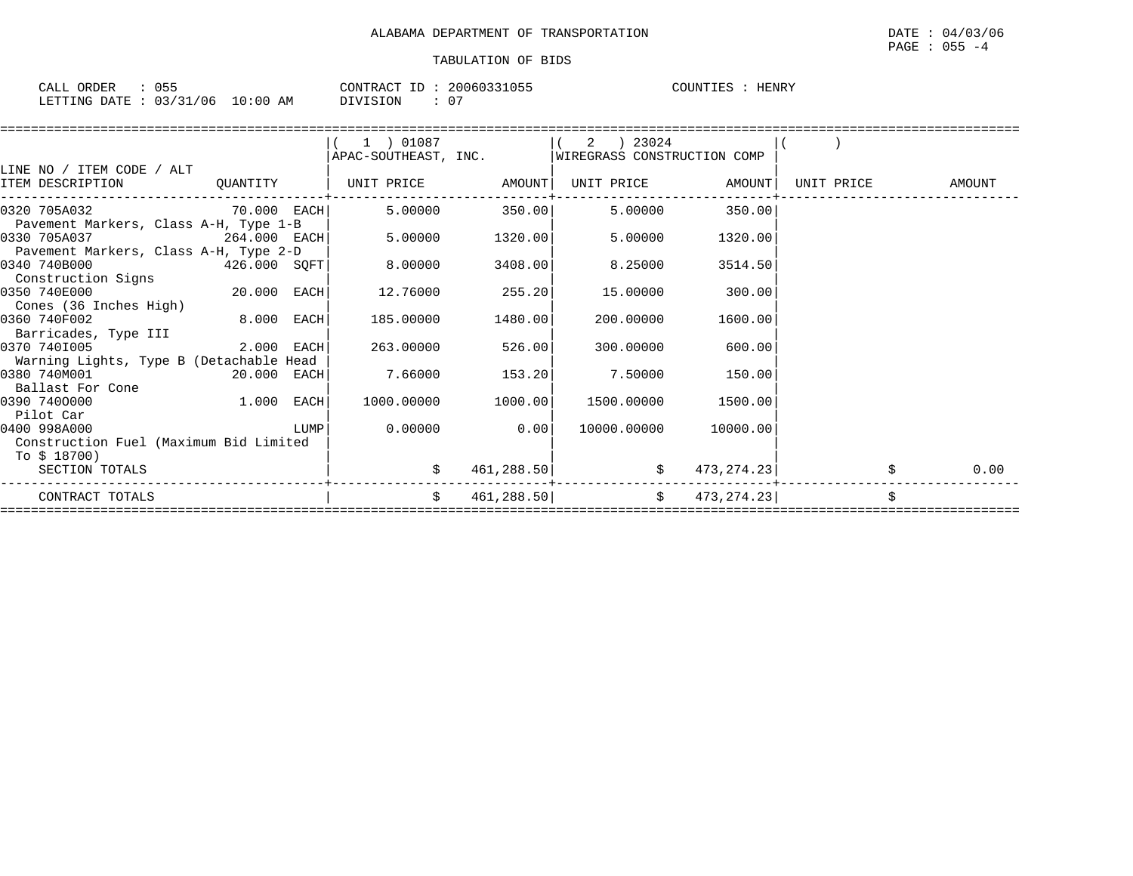| CALL ORDER                       | 055 | CONTRACT ID: | 20060331055 | COUNTIES | HENRY |
|----------------------------------|-----|--------------|-------------|----------|-------|
| LETTING DATE : 03/31/06 10:00 AM |     | DIVISION     | 0٠          |          |       |

|  | $1$ ) 01087                                                                                                                                                         |                                                                                              |                           |                                                                                                                                                                                                             |                                                                                                                                                                                       |                                                                                                                                                                                           |
|--|---------------------------------------------------------------------------------------------------------------------------------------------------------------------|----------------------------------------------------------------------------------------------|---------------------------|-------------------------------------------------------------------------------------------------------------------------------------------------------------------------------------------------------------|---------------------------------------------------------------------------------------------------------------------------------------------------------------------------------------|-------------------------------------------------------------------------------------------------------------------------------------------------------------------------------------------|
|  |                                                                                                                                                                     |                                                                                              |                           |                                                                                                                                                                                                             |                                                                                                                                                                                       |                                                                                                                                                                                           |
|  |                                                                                                                                                                     |                                                                                              |                           |                                                                                                                                                                                                             |                                                                                                                                                                                       |                                                                                                                                                                                           |
|  |                                                                                                                                                                     |                                                                                              |                           |                                                                                                                                                                                                             | UNIT PRICE                                                                                                                                                                            | <b>AMOUNT</b>                                                                                                                                                                             |
|  |                                                                                                                                                                     |                                                                                              |                           |                                                                                                                                                                                                             |                                                                                                                                                                                       |                                                                                                                                                                                           |
|  |                                                                                                                                                                     |                                                                                              |                           |                                                                                                                                                                                                             |                                                                                                                                                                                       |                                                                                                                                                                                           |
|  |                                                                                                                                                                     |                                                                                              |                           | 1320.00                                                                                                                                                                                                     |                                                                                                                                                                                       |                                                                                                                                                                                           |
|  |                                                                                                                                                                     |                                                                                              |                           |                                                                                                                                                                                                             |                                                                                                                                                                                       |                                                                                                                                                                                           |
|  |                                                                                                                                                                     |                                                                                              |                           | 3514.50                                                                                                                                                                                                     |                                                                                                                                                                                       |                                                                                                                                                                                           |
|  |                                                                                                                                                                     |                                                                                              |                           |                                                                                                                                                                                                             |                                                                                                                                                                                       |                                                                                                                                                                                           |
|  |                                                                                                                                                                     |                                                                                              |                           |                                                                                                                                                                                                             |                                                                                                                                                                                       |                                                                                                                                                                                           |
|  |                                                                                                                                                                     |                                                                                              |                           |                                                                                                                                                                                                             |                                                                                                                                                                                       |                                                                                                                                                                                           |
|  |                                                                                                                                                                     |                                                                                              |                           |                                                                                                                                                                                                             |                                                                                                                                                                                       |                                                                                                                                                                                           |
|  |                                                                                                                                                                     |                                                                                              |                           |                                                                                                                                                                                                             |                                                                                                                                                                                       |                                                                                                                                                                                           |
|  |                                                                                                                                                                     |                                                                                              |                           |                                                                                                                                                                                                             |                                                                                                                                                                                       |                                                                                                                                                                                           |
|  |                                                                                                                                                                     |                                                                                              |                           |                                                                                                                                                                                                             |                                                                                                                                                                                       |                                                                                                                                                                                           |
|  |                                                                                                                                                                     |                                                                                              |                           |                                                                                                                                                                                                             |                                                                                                                                                                                       |                                                                                                                                                                                           |
|  |                                                                                                                                                                     |                                                                                              |                           |                                                                                                                                                                                                             |                                                                                                                                                                                       |                                                                                                                                                                                           |
|  |                                                                                                                                                                     |                                                                                              |                           |                                                                                                                                                                                                             |                                                                                                                                                                                       |                                                                                                                                                                                           |
|  |                                                                                                                                                                     |                                                                                              |                           |                                                                                                                                                                                                             |                                                                                                                                                                                       |                                                                                                                                                                                           |
|  |                                                                                                                                                                     |                                                                                              |                           |                                                                                                                                                                                                             |                                                                                                                                                                                       |                                                                                                                                                                                           |
|  |                                                                                                                                                                     |                                                                                              |                           |                                                                                                                                                                                                             |                                                                                                                                                                                       |                                                                                                                                                                                           |
|  |                                                                                                                                                                     |                                                                                              |                           |                                                                                                                                                                                                             |                                                                                                                                                                                       |                                                                                                                                                                                           |
|  |                                                                                                                                                                     |                                                                                              |                           |                                                                                                                                                                                                             |                                                                                                                                                                                       | 0.00                                                                                                                                                                                      |
|  |                                                                                                                                                                     |                                                                                              |                           |                                                                                                                                                                                                             |                                                                                                                                                                                       |                                                                                                                                                                                           |
|  | Pavement Markers, Class A-H, Type 1-B<br>Pavement Markers, Class A-H, Type 2-D<br>Warning Lights, Type B (Detachable Head<br>Construction Fuel (Maximum Bid Limited | $426.000$ SQFT<br>$20.000$ EACH<br>$8.000$ EACH<br>2.000 EACH<br>20.000 EACH<br>$1.000$ EACH | 8.00000<br>$\ddot{\rm S}$ | $264.000$ EACH 5.00000 1320.00<br>3408.00<br>$12.76000$ 255.20<br>15.00000<br>185.00000 1480.00<br>263.00000 526.00<br>300.00000<br>$7.66000$ 153.20<br>1000.00000 1000.00<br>$0.00000$ 0.00<br>461, 288.50 | APAC-SOUTHEAST, INC. WIREGRASS CONSTRUCTION COMP<br>5.00000<br>8.25000<br>300.00<br>200.00000<br>1600.00<br>600.00<br>7.50000 150.00<br>1500.00000<br>1500.00<br>10000.00000 10000.00 | QUANTITY   UNIT PRICE AMOUNT  UNIT PRICE AMOUNT <br>$70.000$ $\text{EACH}$ $5.00000$ $350.00$ $5.00000$ $350.00$<br>$\sharp$ 473, 274. 23<br>$461, 288.50$ $\uparrow$ $473, 274.23$<br>\$ |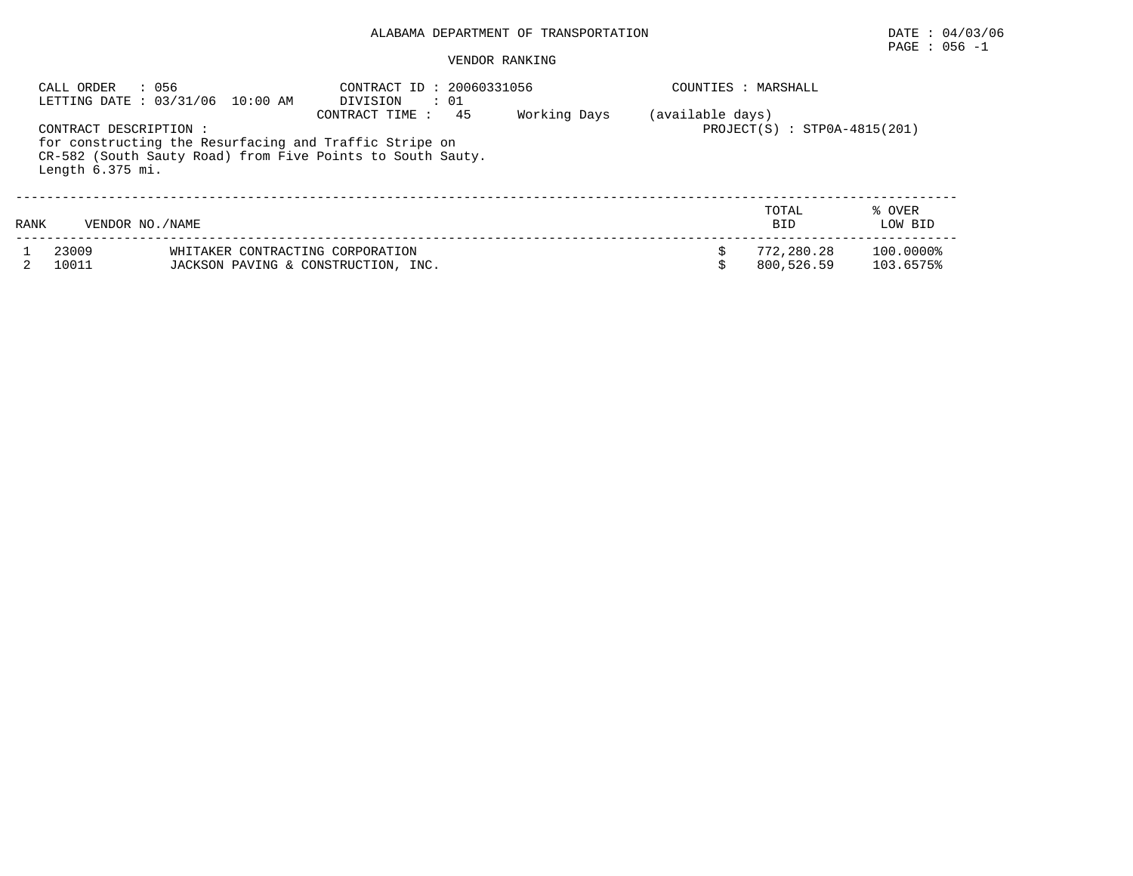# PAGE : 056 -1

|      | CALL ORDER<br>: 056                         | LETTING DATE: 03/31/06 10:00 AM                                                                                                                                                                                     | CONTRACT ID: 20060331056<br>: 01<br>DIVISION |  |  | COUNTIES : MARSHALL      |                        |  |
|------|---------------------------------------------|---------------------------------------------------------------------------------------------------------------------------------------------------------------------------------------------------------------------|----------------------------------------------|--|--|--------------------------|------------------------|--|
|      | CONTRACT DESCRIPTION:<br>Length $6.375$ mi. | 45<br>Working Days<br>(available days)<br>CONTRACT TIME :<br>$PROJECT(S) : STPOA-4815(201)$<br>for constructing the Resurfacing and Traffic Stripe on<br>CR-582 (South Sauty Road) from Five Points to South Sauty. |                                              |  |  |                          |                        |  |
| RANK | VENDOR NO. / NAME                           |                                                                                                                                                                                                                     |                                              |  |  | TOTAL<br><b>BID</b>      | % OVER<br>LOW BID      |  |
|      | 23009<br>10011                              | WHITAKER CONTRACTING CORPORATION<br>JACKSON PAVING & CONSTRUCTION, INC.                                                                                                                                             |                                              |  |  | 772,280.28<br>800,526.59 | 100.0000%<br>103.6575% |  |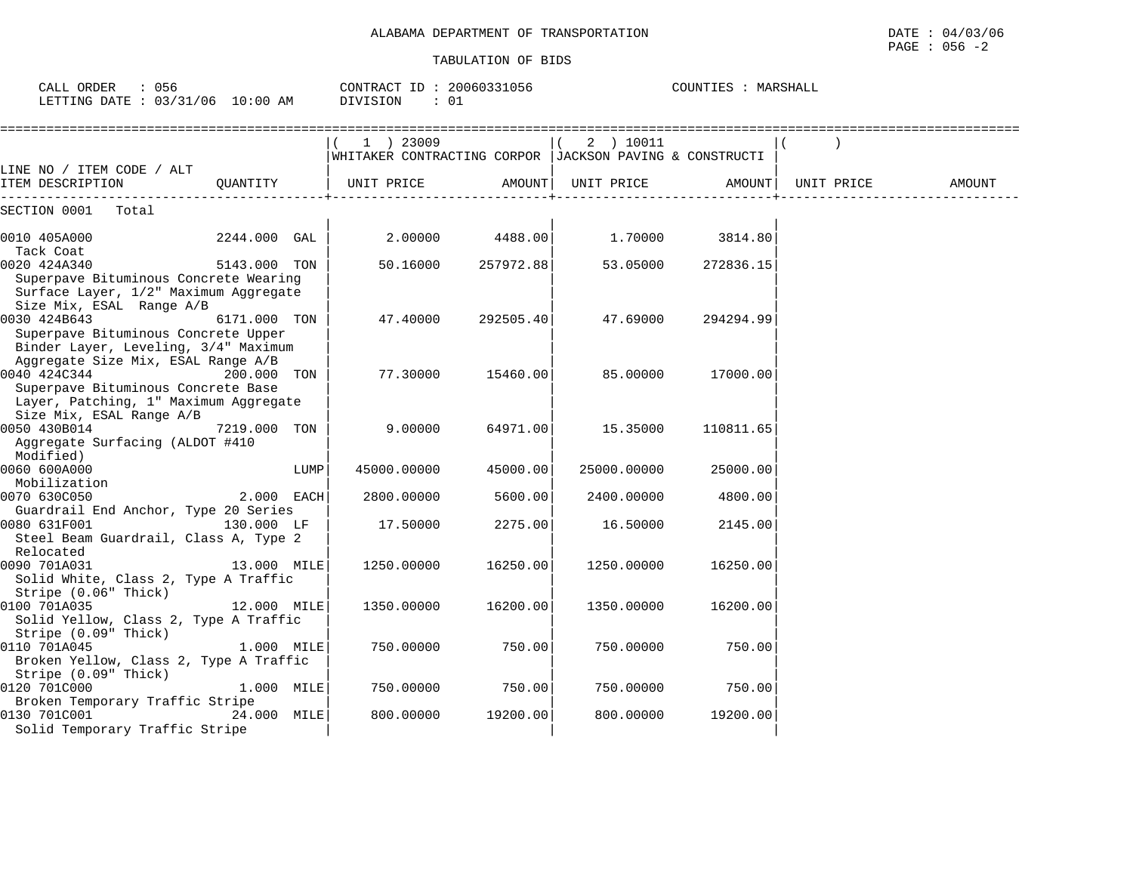COUNTIES : MARSHALL

#### TABULATION OF BIDS

CALL ORDER : 056 CONTRACT ID : 20060331056 COUNTIES : MARSHALL

| LETTING DATE : $03/31/06$ 10:00 AM                                                                                                |              |      | DIVISION<br>: 01                                                       |           |                    |                    |        |
|-----------------------------------------------------------------------------------------------------------------------------------|--------------|------|------------------------------------------------------------------------|-----------|--------------------|--------------------|--------|
|                                                                                                                                   |              |      | 1 ) 23009<br>WHITAKER CONTRACTING CORPOR   JACKSON PAVING & CONSTRUCTI |           | 2 ) 10011          |                    |        |
| LINE NO / ITEM CODE / ALT<br>ITEM DESCRIPTION                                                                                     | OUANTITY     |      | UNIT PRICE                                                             |           | AMOUNT  UNIT PRICE | AMOUNT  UNIT PRICE | AMOUNT |
| SECTION 0001 Total                                                                                                                |              |      |                                                                        |           |                    |                    |        |
| 0010 405A000<br>Tack Coat                                                                                                         | 2244.000 GAL |      | 2.00000                                                                | 4488.00   | 1.70000            | 3814.80            |        |
| 0020 424A340<br>Superpave Bituminous Concrete Wearing<br>Surface Layer, 1/2" Maximum Aggregate                                    | 5143.000 TON |      | 50.16000                                                               | 257972.88 | 53.05000           | 272836.15          |        |
| Size Mix, ESAL Range A/B<br>0030 424B643<br>Superpave Bituminous Concrete Upper<br>Binder Layer, Leveling, 3/4" Maximum           | 6171.000 TON |      | 47.40000                                                               | 292505.40 | 47.69000           | 294294.99          |        |
| Aggregate Size Mix, ESAL Range A/B<br>0040 424C344<br>Superpave Bituminous Concrete Base<br>Layer, Patching, 1" Maximum Aggregate | 200.000 TON  |      | 77.30000                                                               | 15460.00  | 85.00000           | 17000.00           |        |
| Size Mix, ESAL Range A/B<br>0050 430B014<br>Aggregate Surfacing (ALDOT #410<br>Modified)                                          | 7219.000 TON |      | 9.00000                                                                | 64971.00  | 15.35000           | 110811.65          |        |
| 0060 600A000<br>Mobilization                                                                                                      |              | LUMP | 45000.00000                                                            | 45000.00  | 25000.00000        | 25000.00           |        |
| 0070 630C050<br>Guardrail End Anchor, Type 20 Series                                                                              | 2.000 EACH   |      | 2800.00000                                                             | 5600.00   | 2400.00000         | 4800.00            |        |
| 0080 631F001<br>Steel Beam Guardrail, Class A, Type 2<br>Relocated                                                                | 130.000 LF   |      | 17.50000                                                               | 2275.00   | 16.50000           | 2145.00            |        |
| 0090 701A031<br>Solid White, Class 2, Type A Traffic<br>Stripe (0.06" Thick)                                                      | 13.000 MILE  |      | 1250.00000                                                             | 16250.00  | 1250.00000         | 16250.00           |        |
| 0100 701A035<br>Solid Yellow, Class 2, Type A Traffic<br>Stripe (0.09" Thick)                                                     | 12.000 MILE  |      | 1350.00000                                                             | 16200.00  | 1350.00000         | 16200.00           |        |
| 0110 701A045<br>Broken Yellow, Class 2, Type A Traffic<br>Stripe (0.09" Thick)                                                    | 1.000 MILE   |      | 750.00000                                                              | 750.00    | 750.00000          | 750.00             |        |
| 0120 701C000<br>Broken Temporary Traffic Stripe                                                                                   | 1.000 MILE   |      | 750.00000                                                              | 750.00    | 750.00000          | 750.00             |        |
| 0130 701C001<br>Solid Temporary Traffic Stripe                                                                                    | 24.000 MILE  |      | 800.00000                                                              | 19200.00  | 800.00000          | 19200.00           |        |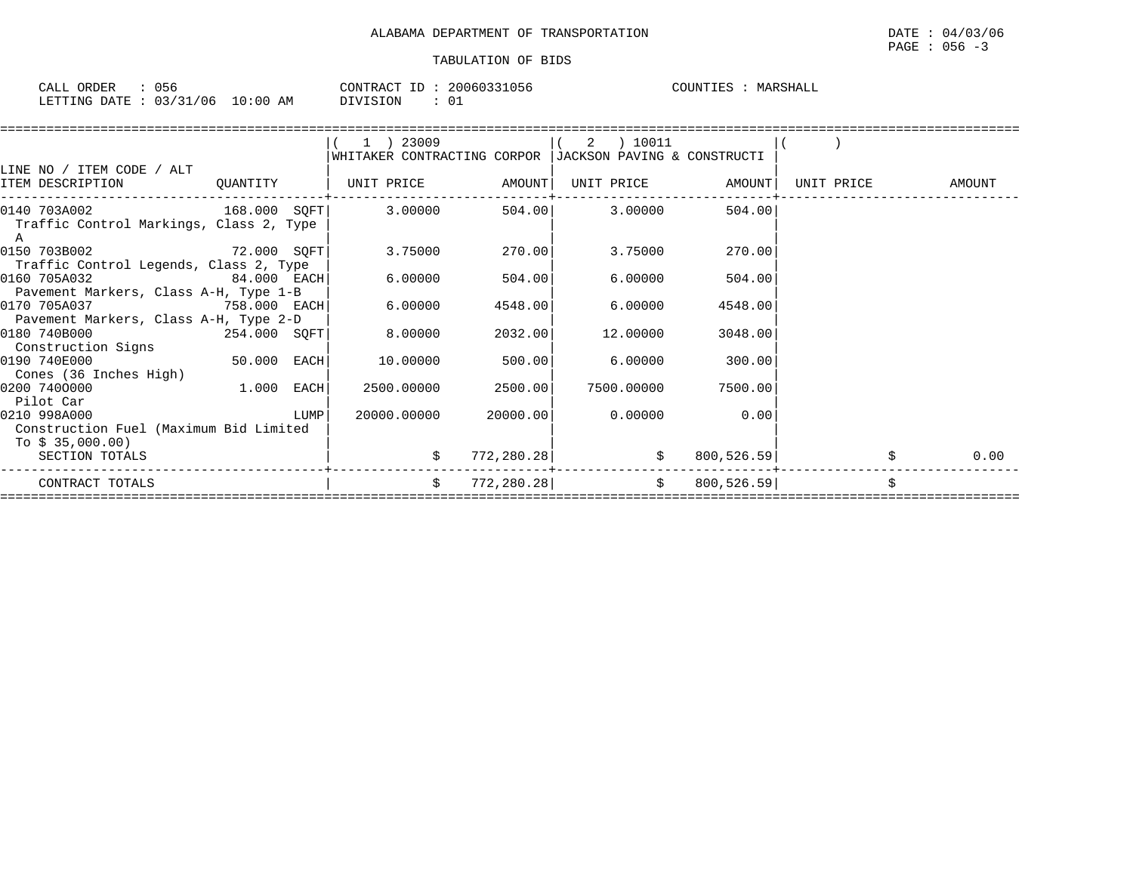| ORDER<br>CALL (           | 056 |            | 20060331056<br>CONTRACT ID: | MARSHALL<br>COUNTIES |
|---------------------------|-----|------------|-----------------------------|----------------------|
| LETTING DATE : 03/31/06 1 |     | $10:00$ AM | ⊥0<br>DIVISION              |                      |

|                                                                                                        |               | 1 ) 23009                                                                                                                                                                                                                       |                    | 2 ) 10011                          |                                    |            |        |
|--------------------------------------------------------------------------------------------------------|---------------|---------------------------------------------------------------------------------------------------------------------------------------------------------------------------------------------------------------------------------|--------------------|------------------------------------|------------------------------------|------------|--------|
|                                                                                                        |               | WHITAKER CONTRACTING CORPOR IJACKSON PAVING & CONSTRUCTI                                                                                                                                                                        |                    |                                    |                                    |            |        |
| LINE NO / ITEM CODE / ALT                                                                              |               |                                                                                                                                                                                                                                 |                    |                                    |                                    |            |        |
| ITEM DESCRIPTION                                                                                       | QUANTITY      | UNIT PRICE AMOUNT                                                                                                                                                                                                               |                    |                                    | UNIT PRICE AMOUNT                  | UNIT PRICE | AMOUNT |
| $0140$ 703A002 $168.000$ SQFT 3.00000 $504.00$ 3.00000<br>Traffic Control Markings, Class 2, Type<br>A |               |                                                                                                                                                                                                                                 |                    |                                    | 504.00                             |            |        |
| 0150 703B002<br>Traffic Control Legends, Class 2, Type                                                 | $72.000$ SQFT |                                                                                                                                                                                                                                 | $3.75000$ 270.00   | 3.75000                            | 270.00                             |            |        |
| 0160 705A032<br>Pavement Markers, Class A-H, Type 1-B                                                  | $84.000$ EACH | 6.00000 6.000 6.000 6.000 6.000 6.000 6.000 6.000 6.000 6.000 6.000 6.000 6.000 6.000 6.000 6.000 6.000 6.000 6.000 6.000 6.000 6.000 6.000 6.000 6.000 6.000 6.000 6.000 6.000 6.000 6.000 6.000 6.000 6.000 6.000 6.000 6.000 | 504.00             | 6.00000                            | 504.00                             |            |        |
| 0170 705A037<br>Pavement Markers, Class A-H, Type 2-D                                                  | 758.000 EACH  | 6.00000                                                                                                                                                                                                                         | 4548.00            | 6.00000                            | 4548.00                            |            |        |
| 0180 740B000<br>Construction Signs                                                                     | 254.000 SQFT  | 8.00000                                                                                                                                                                                                                         | 2032.00            | 12.00000                           | 3048.00                            |            |        |
| 0190 740E000<br>Cones (36 Inches High)                                                                 | $50.000$ EACH | 10.00000                                                                                                                                                                                                                        | 500.00             | 6.00000                            | 300.00                             |            |        |
| 0200 7400000<br>Pilot Car                                                                              | $1.000$ EACH  |                                                                                                                                                                                                                                 | 2500.00000 2500.00 | 7500.00000                         | 7500.00                            |            |        |
| 0210 998A000<br>Construction Fuel (Maximum Bid Limited<br>To $$35,000.00)$                             | LUMP          | 20000.00000                                                                                                                                                                                                                     | 20000.00           | 0.00000                            | 0.00                               |            |        |
| SECTION TOTALS                                                                                         |               | \$                                                                                                                                                                                                                              | 772,280.28         |                                    | $\ddot{\mathbf{S}}$<br>800, 526.59 |            | 0.00   |
| CONTRACT TOTALS                                                                                        |               | \$                                                                                                                                                                                                                              |                    | $772,280.28$ $\uparrow$ 800,526.59 |                                    |            |        |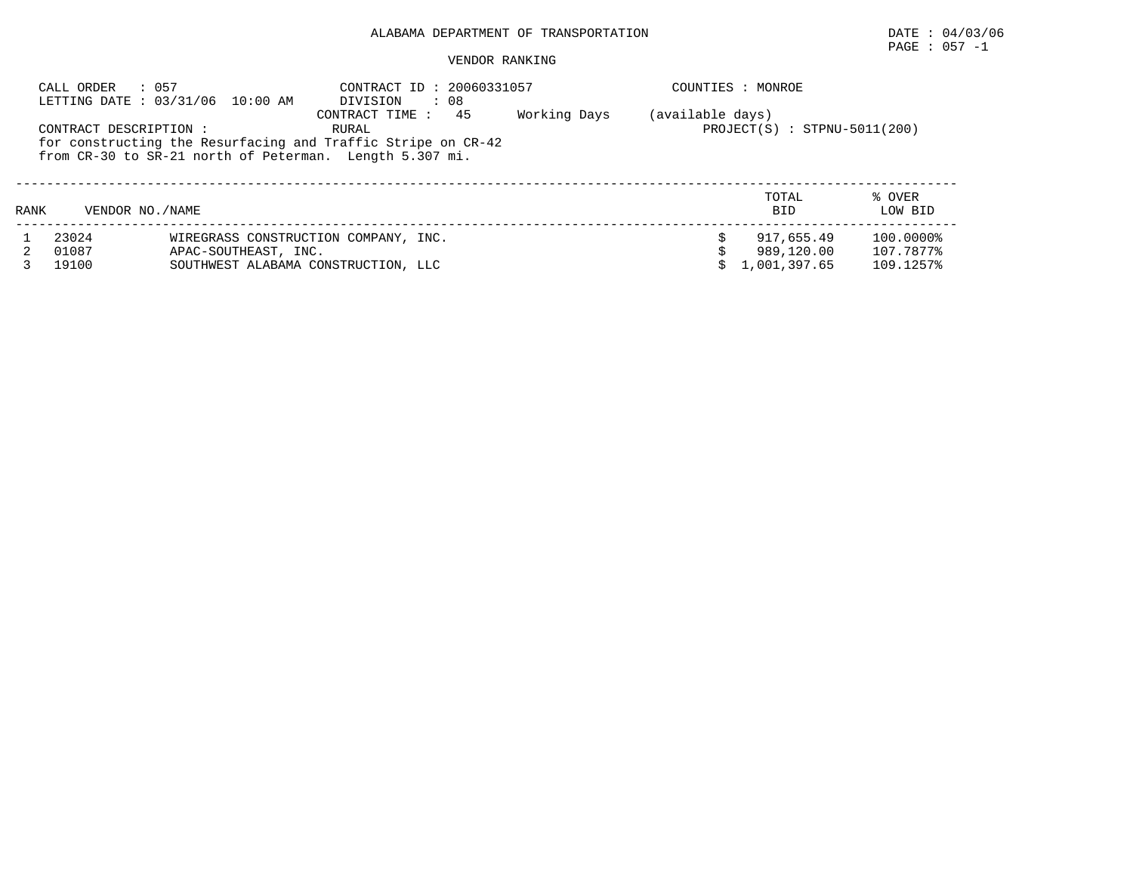## PAGE : 057 -1

#### VENDOR RANKING

|      | : 057<br>CALL ORDER    | LETTING DATE: 03/31/06 10:00 AM      | CONTRACT ID: 20060331057<br>: 08<br>DIVISION                 |              |                  | COUNTIES : MONROE              |           |
|------|------------------------|--------------------------------------|--------------------------------------------------------------|--------------|------------------|--------------------------------|-----------|
|      |                        |                                      | 45<br>CONTRACT TIME:                                         | Working Days | (available days) |                                |           |
|      | CONTRACT DESCRIPTION : |                                      | RURAL                                                        |              |                  | $PROJECT(S) : STPNU-5011(200)$ |           |
|      |                        |                                      | for constructing the Resurfacing and Traffic Stripe on CR-42 |              |                  |                                |           |
|      |                        |                                      | from CR-30 to SR-21 north of Peterman. Length 5.307 mi.      |              |                  |                                |           |
|      |                        |                                      |                                                              |              |                  |                                |           |
|      |                        |                                      |                                                              |              |                  |                                |           |
|      |                        |                                      |                                                              |              |                  | TOTAL                          | % OVER    |
| RANK | VENDOR NO. / NAME      |                                      |                                                              |              |                  | <b>BID</b>                     | LOW BID   |
|      |                        |                                      |                                                              |              |                  |                                |           |
|      | 23024                  | WIREGRASS CONSTRUCTION COMPANY, INC. |                                                              |              |                  | 917,655.49                     | 100.0000% |
|      | 01087                  | APAC-SOUTHEAST, INC.                 |                                                              |              |                  | 989,120.00                     | 107.7877% |
|      | 19100                  | SOUTHWEST ALABAMA CONSTRUCTION, LLC  |                                                              |              |                  | 1,001,397.65                   | 109.1257% |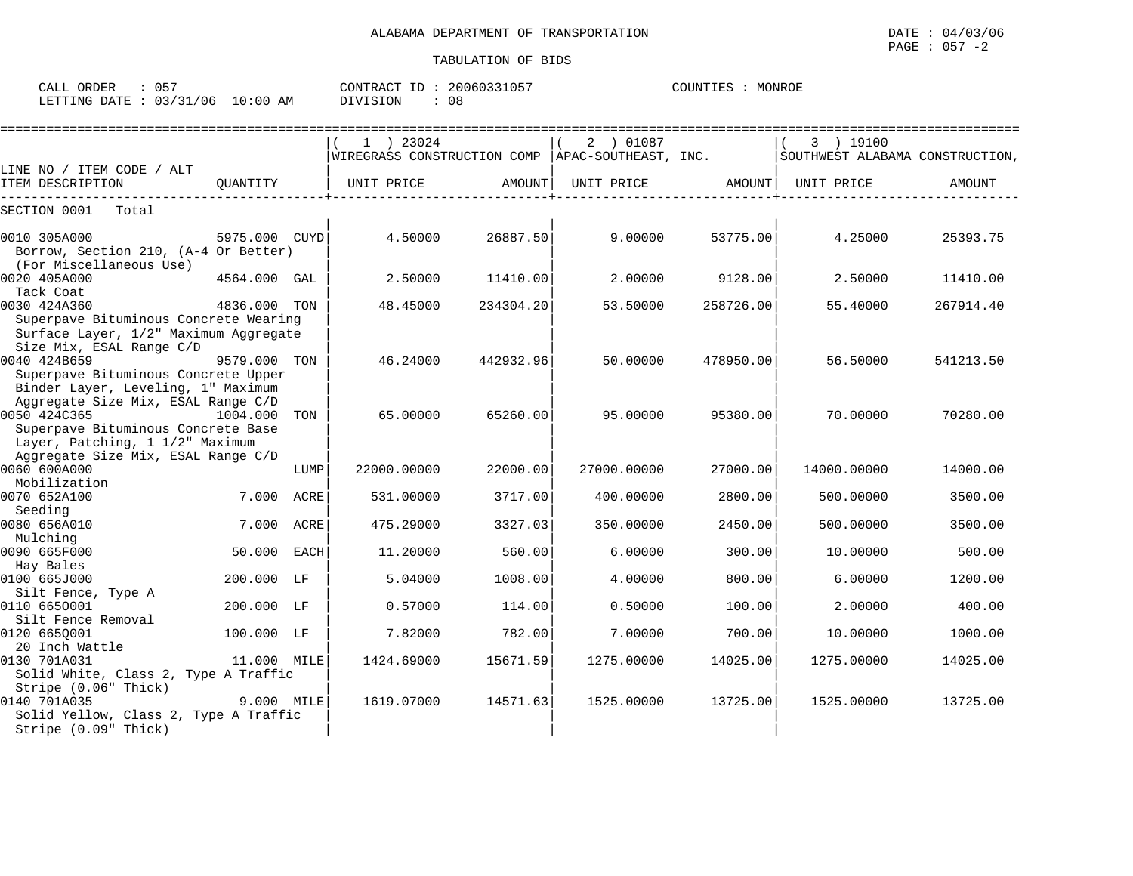| CALL ORDER                       |  |          | CONTRACT ID: 20060331057 | COUNTIES : MONROE |  |
|----------------------------------|--|----------|--------------------------|-------------------|--|
| LETTING DATE : 03/31/06 10:00 AM |  | DIVISION | 08                       |                   |  |

|                                                                                                                                 |               |      | $1$ ) 23024<br>$\mid$ WIREGRASS CONSTRUCTION COMP $\mid$ APAC-SOUTHEAST, INC. |           | 2 ) 01087   |           | 3 ) 19100<br>SOUTHWEST ALABAMA CONSTRUCTION, |           |
|---------------------------------------------------------------------------------------------------------------------------------|---------------|------|-------------------------------------------------------------------------------|-----------|-------------|-----------|----------------------------------------------|-----------|
| LINE NO / ITEM CODE / ALT                                                                                                       |               |      |                                                                               |           |             |           |                                              |           |
| ITEM DESCRIPTION                                                                                                                | OUANTITY      |      | UNIT PRICE                                                                    | AMOUNT    | UNIT PRICE  | AMOUNT    | UNIT PRICE                                   | AMOUNT    |
| SECTION 0001<br>Total                                                                                                           |               |      |                                                                               |           |             |           |                                              |           |
| 0010 305A000<br>Borrow, Section 210, (A-4 Or Better)<br>(For Miscellaneous Use)                                                 | 5975.000 CUYD |      | 4.50000                                                                       | 26887.50  | 9,00000     | 53775.00  | 4.25000                                      | 25393.75  |
| 0020 405A000<br>Tack Coat                                                                                                       | 4564.000 GAL  |      | 2.50000                                                                       | 11410.00  | 2,00000     | 9128.00   | 2.50000                                      | 11410.00  |
| 0030 424A360<br>Superpave Bituminous Concrete Wearing<br>Surface Layer, 1/2" Maximum Aggregate<br>Size Mix, ESAL Range C/D      | 4836.000 TON  |      | 48.45000                                                                      | 234304.20 | 53.50000    | 258726.00 | 55.40000                                     | 267914.40 |
| 0040 424B659<br>Superpave Bituminous Concrete Upper<br>Binder Layer, Leveling, 1" Maximum<br>Aggregate Size Mix, ESAL Range C/D | 9579.000 TON  |      | 46.24000                                                                      | 442932.96 | 50.00000    | 478950.00 | 56.50000                                     | 541213.50 |
| 0050 424C365<br>Superpave Bituminous Concrete Base<br>Layer, Patching, 1 1/2" Maximum<br>Aggregate Size Mix, ESAL Range C/D     | 1004.000      | TON  | 65,00000                                                                      | 65260.00  | 95.00000    | 95380.00  | 70.00000                                     | 70280.00  |
| 0060 600A000<br>Mobilization                                                                                                    |               | LUMP | 22000.00000                                                                   | 22000.00  | 27000.00000 | 27000.00  | 14000.00000                                  | 14000.00  |
| 0070 652A100<br>Seeding                                                                                                         | 7.000         | ACRE | 531.00000                                                                     | 3717.00   | 400.00000   | 2800.00   | 500,00000                                    | 3500.00   |
| 0080 656A010<br>Mulching                                                                                                        | 7.000         | ACRE | 475.29000                                                                     | 3327.03   | 350.00000   | 2450.00   | 500.00000                                    | 3500.00   |
| 0090 665F000<br>Hay Bales                                                                                                       | 50.000        | EACH | 11,20000                                                                      | 560.00    | 6.00000     | 300.00    | 10.00000                                     | 500.00    |
| 0100 665J000<br>Silt Fence, Type A                                                                                              | 200.000 LF    |      | 5.04000                                                                       | 1008.00   | 4.00000     | 800.00    | 6.00000                                      | 1200.00   |
| 0110 6650001<br>Silt Fence Removal                                                                                              | 200.000 LF    |      | 0.57000                                                                       | 114.00    | 0.50000     | 100.00    | 2,00000                                      | 400.00    |
| 0120 665Q001<br>20 Inch Wattle                                                                                                  | 100.000 LF    |      | 7.82000                                                                       | 782.00    | 7.00000     | 700.00    | 10.00000                                     | 1000.00   |
| 0130 701A031<br>Solid White, Class 2, Type A Traffic<br>Stripe (0.06" Thick)                                                    | 11.000 MILE   |      | 1424.69000                                                                    | 15671.59  | 1275.00000  | 14025.00  | 1275.00000                                   | 14025.00  |
| 0140 701A035<br>Solid Yellow, Class 2, Type A Traffic<br>Stripe (0.09" Thick)                                                   | 9.000 MILE    |      | 1619.07000                                                                    | 14571.63  | 1525.00000  | 13725.00  | 1525.00000                                   | 13725.00  |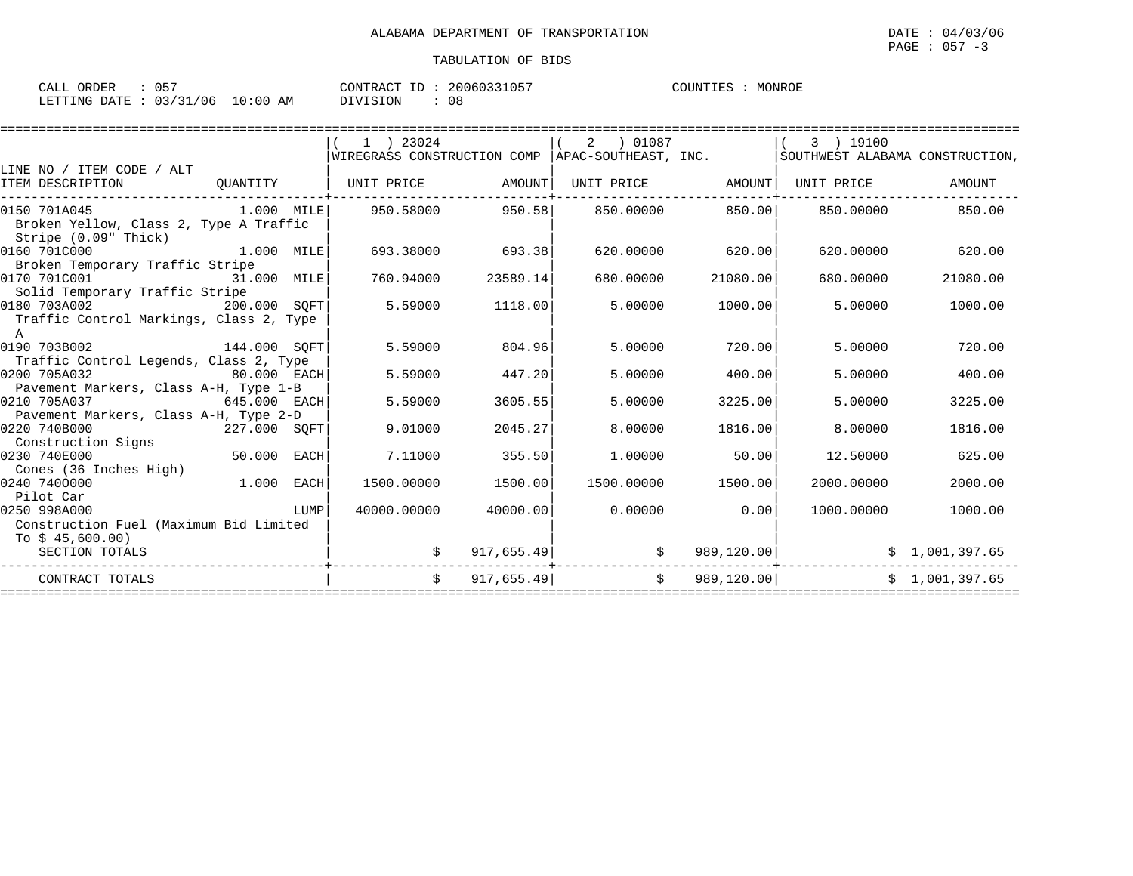| : 057<br>CALL ORDER |                                 | CONTRACT ID: 20060331057 | COUNTIES : MONROE |
|---------------------|---------------------------------|--------------------------|-------------------|
|                     | LETTING DATE: 03/31/06 10:00 AM | DIVISION<br>08           |                   |

|                                                                                                                             |             | $1$ ) 23024                  |          | 01087<br>2         |                  | 3 ) 19100                                                                        |          |
|-----------------------------------------------------------------------------------------------------------------------------|-------------|------------------------------|----------|--------------------|------------------|----------------------------------------------------------------------------------|----------|
|                                                                                                                             |             |                              |          |                    |                  | WIREGRASS CONSTRUCTION COMP APAC-SOUTHEAST, INC. SOUTHWEST ALABAMA CONSTRUCTION, |          |
| LINE NO / ITEM CODE / ALT                                                                                                   |             |                              |          |                    |                  |                                                                                  |          |
| ITEM DESCRIPTION                                                                                                            |             | QUANTITY   UNIT PRICE AMOUNT |          |                    |                  | UNIT PRICE AMOUNT UNIT PRICE                                                     | AMOUNT   |
| 0150 701A045<br>Broken Yellow, Class 2, Type A Traffic<br>Stripe (0.09" Thick)                                              |             |                              |          |                    |                  |                                                                                  |          |
| $1.000$ MILE<br>0160 701C000<br>Broken Temporary Traffic Stripe                                                             |             | 693.38000 693.38             |          |                    | 620.00000 620.00 | 620.00000                                                                        | 620.00   |
| 0170 701C001<br>31.000 MILE<br>Solid Temporary Traffic Stripe                                                               |             | 760.94000                    | 23589.14 | 680.00000          | 21080.00         | 680,00000                                                                        | 21080.00 |
| 0180 703A002<br>$200.000$ SQFT<br>Traffic Control Markings, Class 2, Type<br>A                                              |             | 5.59000                      | 1118.00  | 5.00000            | 1000.00          | 5.00000                                                                          | 1000.00  |
| 0190 703B002 144.000 SQFT<br>Traffic Control Legends, Class 2, Type                                                         |             | 5.59000                      | 804.96   | 5,00000            | 720.00           | 5.00000                                                                          | 720.00   |
| 0200 705A032<br>$80.000$ EACH<br>Pavement Markers, Class A-H, Type 1-B                                                      |             | 5.59000                      | 447.20   | 5.00000            | 400.00           | 5.00000                                                                          | 400.00   |
| 0210 705A037<br>$645.000$ EACH<br>Pavement Markers, Class A-H, Type 2-D                                                     |             | 5.59000                      | 3605.55  | 5.00000            | 3225.00          | 5.00000                                                                          | 3225.00  |
| $227.000$ SQFT<br>0220 740B000<br>Construction Signs                                                                        |             | 9.01000                      | 2045.27  | 8,00000            | 1816.00          | 8,00000                                                                          | 1816.00  |
| 0230 740E000<br>Cones (36 Inches High)                                                                                      | 50.000 EACH | 7.11000                      | 355.50   | 1.00000            | 50.00            | 12.50000                                                                         | 625.00   |
| $1.000$ EACH<br>0240 7400000<br>Pilot Car                                                                                   |             | 1500.00000                   | 1500.00  | 1500.00000 1500.00 |                  | 2000.00000                                                                       | 2000.00  |
| 0250 998A000<br>$\begin{tabular}{c} \bf 1-1.00 \end{tabular}$<br>Construction Fuel (Maximum Bid Limited<br>To \$ 45,600.00) |             | 40000.00000                  | 40000.00 | 0.00000            | 0.00             | 1000.00000                                                                       | 1000.00  |
| SECTION TOTALS                                                                                                              |             |                              |          | 917,655.49<br>\$   |                  |                                                                                  |          |
| CONTRACT TOTALS                                                                                                             |             | $\dot{\mathbf{S}}$           |          | 917,655.49         |                  | $\sharp$ 989,120.00 $\sharp$ 1,001,397.65                                        |          |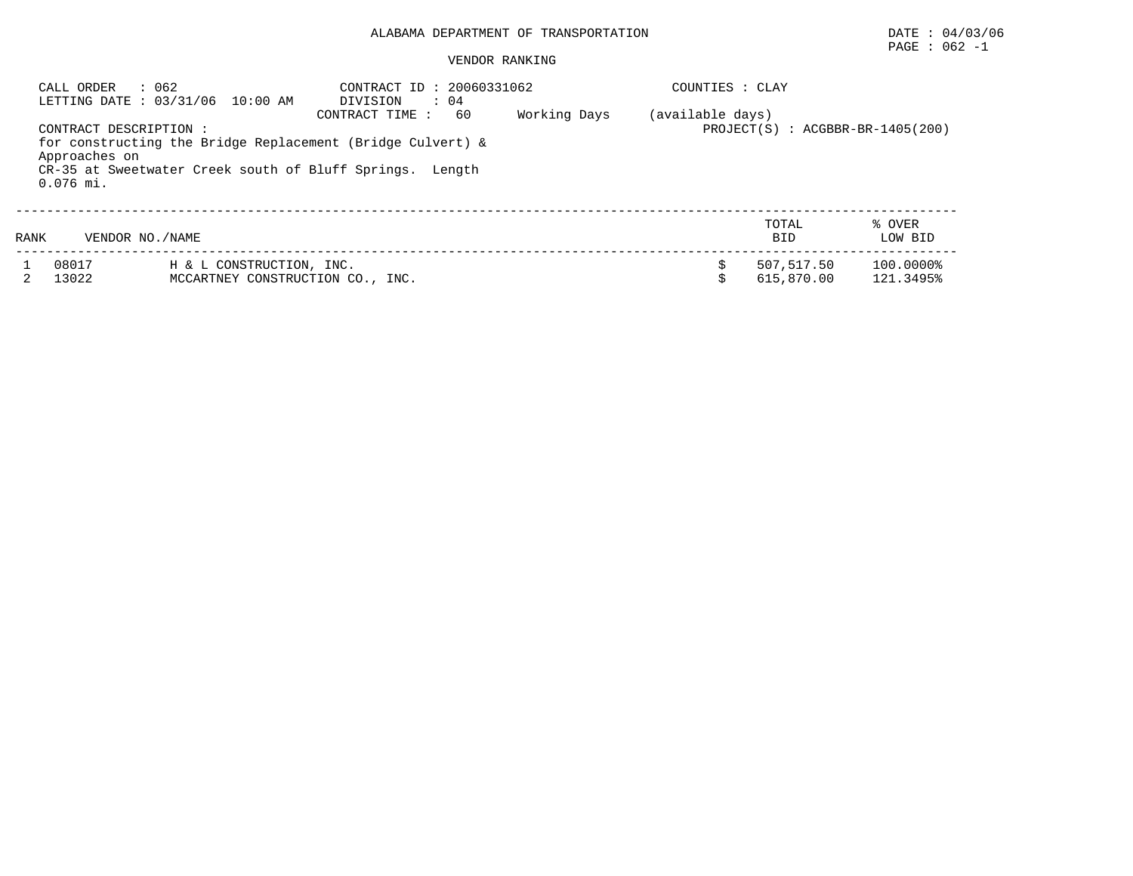#### VENDOR RANKING

| CALL ORDER                                             | : 062<br>LETTING DATE : 03/31/06 10:00 AM                                                                              | CONTRACT ID: 20060331062<br>DIVISION<br>$\therefore$ 04<br>60<br>CONTRACT TIME: | Working Days | COUNTIES : CLAY |                          |                        |
|--------------------------------------------------------|------------------------------------------------------------------------------------------------------------------------|---------------------------------------------------------------------------------|--------------|-----------------|--------------------------|------------------------|
| CONTRACT DESCRIPTION :<br>Approaches on<br>$0.076$ mi. | for constructing the Bridge Replacement (Bridge Culvert) &<br>CR-35 at Sweetwater Creek south of Bluff Springs. Length | (available days)<br>$PROJECT(S)$ : $ACGBBR-BR-1405(200)$                        |              |                 |                          |                        |
| RANK                                                   | VENDOR NO. / NAME                                                                                                      |                                                                                 |              |                 | TOTAL<br><b>BID</b>      | % OVER<br>LOW BID      |
| 08017<br>13022                                         | H & L CONSTRUCTION, INC.<br>MCCARTNEY CONSTRUCTION CO., INC.                                                           |                                                                                 |              |                 | 507,517.50<br>615,870.00 | 100.0000%<br>121.3495% |

 $\texttt{PAGE}$  : 062 -1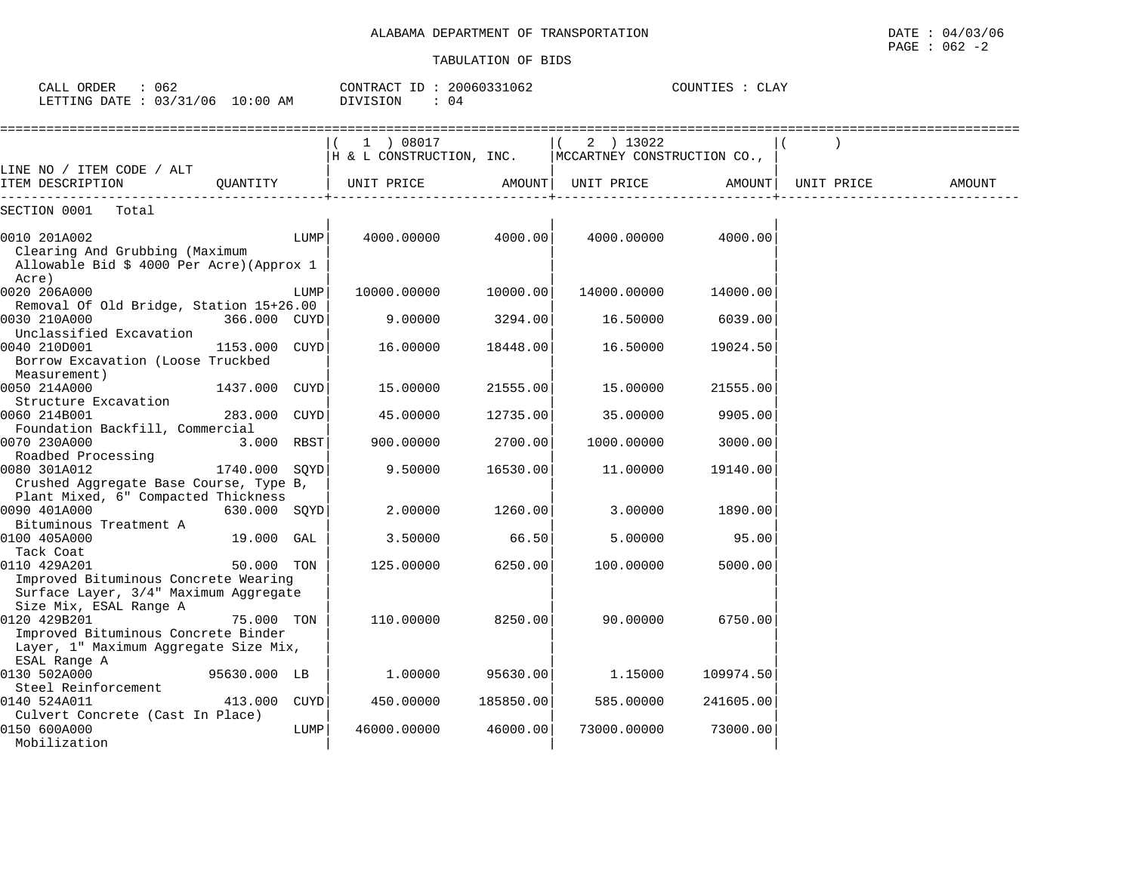| ORDER<br>CALL (              |    | CONTRACT ID:    | 20060331062 | COUNTIES | CLAY |
|------------------------------|----|-----------------|-------------|----------|------|
| LETTING DATE: 03/31/06 10:00 | AM | <b>DIVISION</b> |             |          |      |

|                                                                                                                        |               |      | 1 ) 08017<br>H & L CONSTRUCTION, INC. |           | 2 ) 13022<br>MCCARTNEY CONSTRUCTION CO., |           |            |        |
|------------------------------------------------------------------------------------------------------------------------|---------------|------|---------------------------------------|-----------|------------------------------------------|-----------|------------|--------|
| LINE NO / ITEM CODE / ALT<br>ITEM DESCRIPTION                                                                          | OUANTITY      |      | UNIT PRICE                            | AMOUNT    | UNIT PRICE                               | AMOUNT    | UNIT PRICE | AMOUNT |
| SECTION 0001<br>Total                                                                                                  |               |      |                                       |           |                                          |           |            |        |
| 0010 201A002<br>Clearing And Grubbing (Maximum<br>Allowable Bid \$ 4000 Per Acre) (Approx 1                            |               | LUMP | 4000.00000                            | 4000.00   | 4000.00000                               | 4000.00   |            |        |
| Acre)<br>0020 206A000                                                                                                  |               | LUMP | 10000.00000                           | 10000.00  | 14000.00000                              | 14000.00  |            |        |
| Removal Of Old Bridge, Station 15+26.00<br>0030 210A000                                                                | 366.000 CUYD  |      | 9.00000                               | 3294.00   | 16.50000                                 | 6039.00   |            |        |
| Unclassified Excavation<br>0040 210D001<br>Borrow Excavation (Loose Truckbed<br>Measurement)                           | 1153.000 CUYD |      | 16.00000                              | 18448.00  | 16.50000                                 | 19024.50  |            |        |
| 0050 214A000                                                                                                           | 1437.000      | CUYD | 15.00000                              | 21555.00  | 15.00000                                 | 21555.00  |            |        |
| Structure Excavation<br>0060 214B001                                                                                   | 283.000 CUYD  |      | 45.00000                              | 12735.00  | 35.00000                                 | 9905.00   |            |        |
| Foundation Backfill, Commercial<br>0070 230A000<br>Roadbed Processing                                                  | 3.000 RBST    |      | 900.00000                             | 2700.00   | 1000.00000                               | 3000.00   |            |        |
| 0080 301A012<br>Crushed Aggregate Base Course, Type B,                                                                 | 1740.000      | SOYD | 9.50000                               | 16530.00  | 11.00000                                 | 19140.00  |            |        |
| Plant Mixed, 6" Compacted Thickness<br>0090 401A000                                                                    | 630.000 SQYD  |      | 2.00000                               | 1260.00   | 3,00000                                  | 1890.00   |            |        |
| Bituminous Treatment A<br>0100 405A000<br>Tack Coat                                                                    | 19.000        | GAL  | 3.50000                               | 66.50     | 5.00000                                  | 95.00     |            |        |
| 0110 429A201<br>Improved Bituminous Concrete Wearing<br>Surface Layer, 3/4" Maximum Aggregate                          | 50.000 TON    |      | 125.00000                             | 6250.00   | 100.00000                                | 5000.00   |            |        |
| Size Mix, ESAL Range A<br>0120 429B201<br>Improved Bituminous Concrete Binder<br>Layer, 1" Maximum Aggregate Size Mix, | 75.000 TON    |      | 110.00000                             | 8250.00   | 90.00000                                 | 6750.00   |            |        |
| ESAL Range A<br>0130 502A000                                                                                           | 95630.000 LB  |      | 1,00000                               | 95630.00  | 1.15000                                  | 109974.50 |            |        |
| Steel Reinforcement<br>0140 524A011                                                                                    | 413.000 CUYD  |      | 450.00000                             | 185850.00 | 585.00000                                | 241605.00 |            |        |
| Culvert Concrete (Cast In Place)<br>0150 600A000<br>Mobilization                                                       |               | LUMP | 46000.00000                           | 46000.00  | 73000.00000                              | 73000.00  |            |        |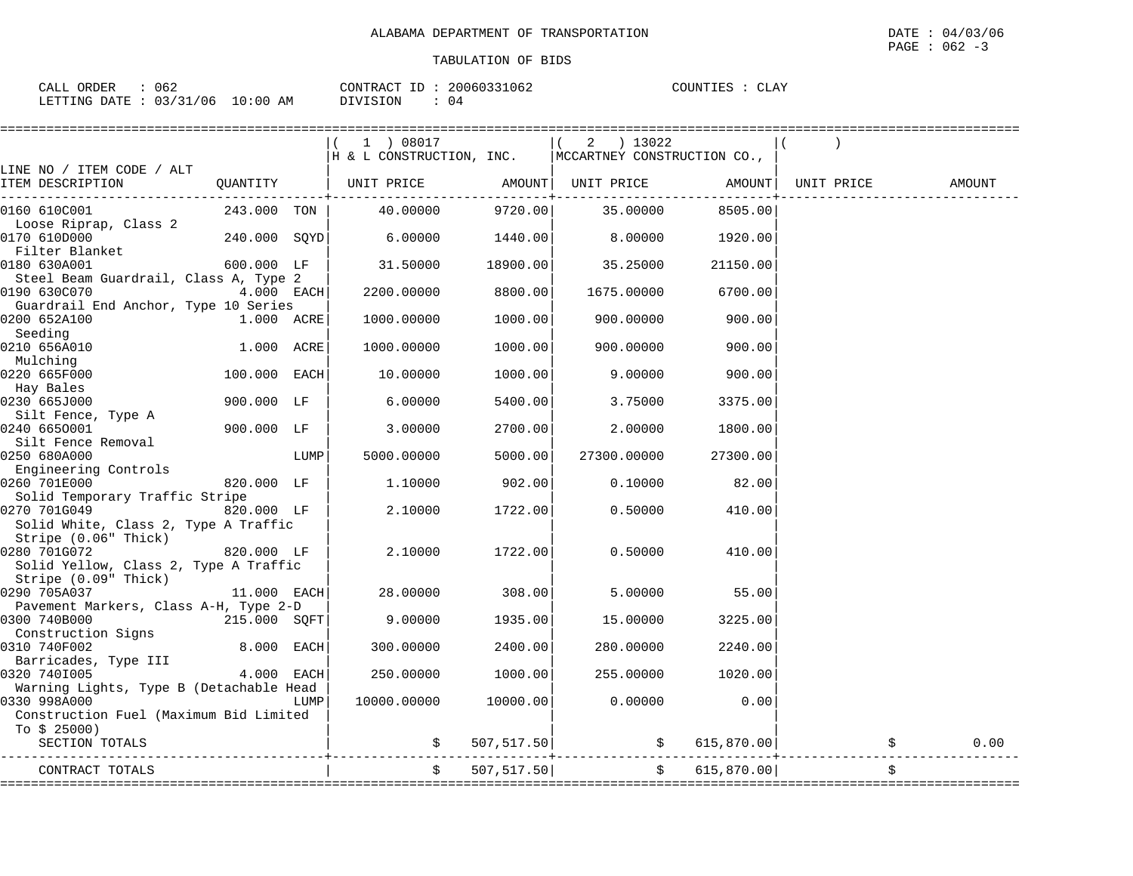| CALL ORDER                      | 062 | CONTRACT ID: 20060331062 |    | COUNTIES : CLAY |
|---------------------------------|-----|--------------------------|----|-----------------|
| LETTING DATE: 03/31/06 10:00 AM |     | DIVISION                 | 04 |                 |

|                                                                               |                |      | 1 ) 08017<br>$H \& L \ncongr \\ RUTION, INC.$  MCCARTNEY CONSTRUCTION CO., |             | $(2)$ 13022         |                          |                    |            |
|-------------------------------------------------------------------------------|----------------|------|----------------------------------------------------------------------------|-------------|---------------------|--------------------------|--------------------|------------|
| LINE NO / ITEM CODE / ALT                                                     |                |      |                                                                            |             |                     |                          |                    |            |
| ITEM DESCRIPTION                                                              | QUANTITY       |      | UNIT PRICE AMOUNT  UNIT PRICE                                              |             |                     |                          | AMOUNT  UNIT PRICE | AMOUNT     |
| 0160 610C001<br>Loose Riprap, Class 2                                         | 243.000 TON    |      | 40.00000                                                                   | 9720.00     | 35.00000            | 8505.00                  |                    |            |
| 0170 610D000<br>Filter Blanket                                                | $240.000$ SQYD |      | 6.00000                                                                    | 1440.00     | 8.00000             | 1920.00                  |                    |            |
| 0180 630A001<br>Steel Beam Guardrail, Class A, Type 2                         | 600.000 LF     |      | 31.50000                                                                   | 18900.00    | 35.25000            | 21150.00                 |                    |            |
| 0190 630C070<br>Guardrail End Anchor, Type 10 Series                          | 4.000 EACH     |      | 2200.00000                                                                 | 8800.00     | 1675.00000          | 6700.00                  |                    |            |
| 0200 652A100<br>Seeding                                                       | 1.000 ACRE     |      | 1000.00000                                                                 | 1000.00     | 900.00000           | 900.00                   |                    |            |
| 0210 656A010<br>Mulching                                                      | 1.000 ACRE     |      | 1000.00000                                                                 | 1000.00     | 900.00000           | 900.00                   |                    |            |
| 0220 665F000<br>Hay Bales                                                     | 100.000 EACH   |      | 10.00000                                                                   | 1000.00     | 9.00000             | 900.00                   |                    |            |
| 0230 665J000<br>Silt Fence, Type A                                            | 900.000 LF     |      | 6.00000                                                                    | 5400.00     | 3.75000             | 3375.00                  |                    |            |
| 0240 6650001<br>Silt Fence Removal                                            | 900.000 LF     |      | 3.00000                                                                    | 2700.00     | 2.00000             | 1800.00                  |                    |            |
| 0250 680A000<br>Engineering Controls                                          |                | LUMP | 5000.00000                                                                 | 5000.00     | 27300.00000         | 27300.00                 |                    |            |
| 0260 701E000<br>Solid Temporary Traffic Stripe                                | 820.000 LF     |      | 1,10000                                                                    | 902.00      | 0.10000             | 82.00                    |                    |            |
| 0270 701G049<br>Solid White, Class 2, Type A Traffic                          | 820.000 LF     |      | 2.10000                                                                    | 1722.00     | 0.50000             | 410.00                   |                    |            |
| Stripe (0.06" Thick)<br>0280 701G072<br>Solid Yellow, Class 2, Type A Traffic | 820.000 LF     |      | 2.10000                                                                    | 1722.00     | 0.50000             | 410.00                   |                    |            |
| Stripe (0.09" Thick)<br>0290 705A037                                          | 11.000 EACH    |      | 28,00000                                                                   | 308.00      | 5.00000             | 55.00                    |                    |            |
| Pavement Markers, Class A-H, Type 2-D<br>0300 740B000<br>Construction Signs   | 215.000 SOFT   |      | 9.00000                                                                    | 1935.00     | 15.00000            | 3225.00                  |                    |            |
| 0310 740F002<br>Barricades, Type III                                          | 8.000 EACH     |      | 300.00000                                                                  | 2400.00     | 280.00000           | 2240.00                  |                    |            |
| 0320 7401005<br>Warning Lights, Type B (Detachable Head                       | 4.000 EACH     |      | 250.00000                                                                  | 1000.00     | 255.00000           | 1020.00                  |                    |            |
| 0330 998A000<br>Construction Fuel (Maximum Bid Limited<br>To $$25000)$        |                | LUMP | 10000.00000                                                                | 10000.00    | 0.00000             | 0.00                     |                    |            |
| SECTION TOTALS                                                                |                |      |                                                                            | 507, 517.50 | $\ddot{\mathsf{S}}$ | 615,870.00               |                    | \$<br>0.00 |
| CONTRACT TOTALS                                                               |                |      | \$                                                                         | 507, 517.50 |                     | $\ddot{s}$<br>615,870.00 |                    | \$         |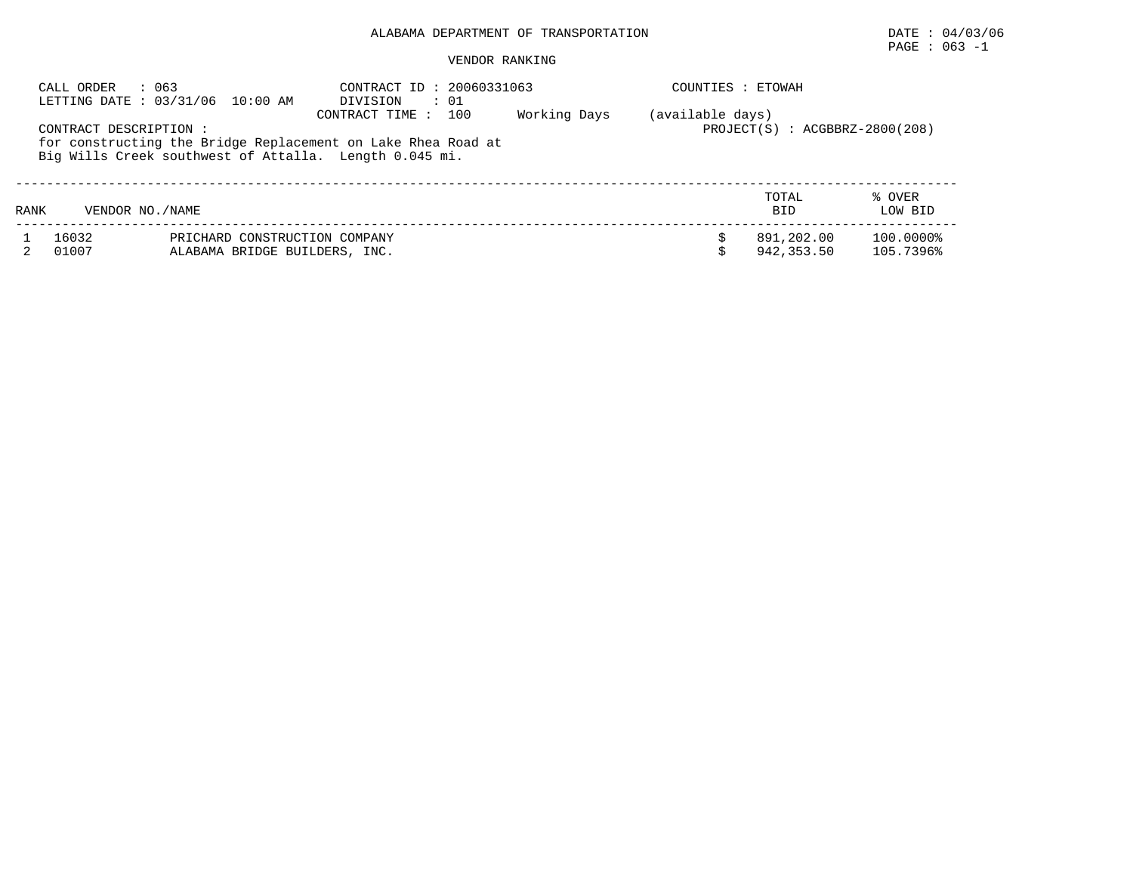## $\texttt{PAGE}$  : 063 -1

|                                                                                                                                                                                                                                                    | : 063<br>CALL ORDER | LETTING DATE: 03/31/06 10:00 AM | CONTRACT ID: 20060331063<br>DIVISION<br>$\therefore$ 01 |  | COUNTIES : ETOWAH |                     |                   |  |  |
|----------------------------------------------------------------------------------------------------------------------------------------------------------------------------------------------------------------------------------------------------|---------------------|---------------------------------|---------------------------------------------------------|--|-------------------|---------------------|-------------------|--|--|
| Working Days<br>(available days)<br>100<br>CONTRACT TIME :<br>$PROJECT(S) : ACGBBRZ-2800(208)$<br>CONTRACT DESCRIPTION :<br>for constructing the Bridge Replacement on Lake Rhea Road at<br>Big Wills Creek southwest of Attalla. Length 0.045 mi. |                     |                                 |                                                         |  |                   |                     |                   |  |  |
| RANK                                                                                                                                                                                                                                               | VENDOR NO. / NAME   |                                 |                                                         |  |                   | TOTAL<br><b>BID</b> | % OVER<br>LOW BID |  |  |
|                                                                                                                                                                                                                                                    | 16032               | PRICHARD CONSTRUCTION COMPANY   |                                                         |  |                   | 891,202.00          | 100.0000%         |  |  |
|                                                                                                                                                                                                                                                    | 01007               | ALABAMA BRIDGE BUILDERS, INC.   |                                                         |  |                   | 942,353.50          | 105.7396%         |  |  |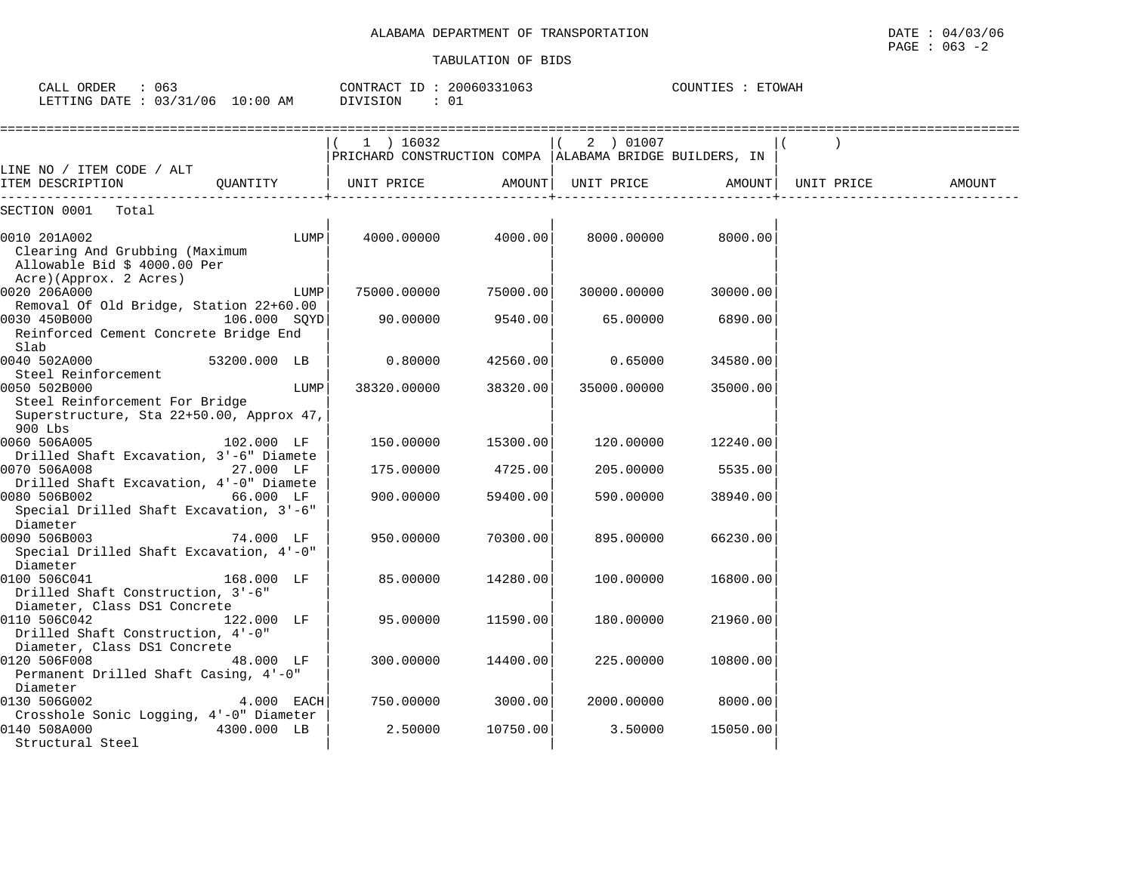|                                                                                                       |              |      |                                                                        | TABULAIIUN UP BIDS |             |                   |            |        |
|-------------------------------------------------------------------------------------------------------|--------------|------|------------------------------------------------------------------------|--------------------|-------------|-------------------|------------|--------|
| CALL ORDER<br>: 063<br>LETTING DATE : 03/31/06 10:00 AM                                               |              |      | CONTRACT ID: 20060331063<br>DIVISION<br>: 01                           |                    |             | COUNTIES : ETOWAH |            |        |
|                                                                                                       |              |      | 1 ) 16032<br>PRICHARD CONSTRUCTION COMPA   ALABAMA BRIDGE BUILDERS, IN |                    | 2 ) 01007   |                   |            |        |
| LINE NO / ITEM CODE / ALT<br>ITEM DESCRIPTION                                                         | OUANTITY     |      | UNIT PRICE                                                             | AMOUNT             | UNIT PRICE  | AMOUNT            | UNIT PRICE | AMOUNT |
| SECTION 0001 Total                                                                                    |              |      |                                                                        |                    |             |                   |            |        |
| 0010 201A002<br>Clearing And Grubbing (Maximum<br>Allowable Bid \$ 4000.00 Per                        |              | LUMP | 4000.00000                                                             | 4000.00            | 8000.00000  | 8000.00           |            |        |
| Acre)(Approx. 2 Acres)<br>0020 206A000<br>Removal Of Old Bridge, Station 22+60.00                     |              | LUMP | 75000.00000                                                            | 75000.00           | 30000.00000 | 30000.00          |            |        |
| 0030 450B000<br>Reinforced Cement Concrete Bridge End<br>Slab                                         | 106.000 SOYD |      | 90.00000                                                               | 9540.00            | 65.00000    | 6890.00           |            |        |
| 0040 502A000<br>Steel Reinforcement                                                                   | 53200.000 LB |      | 0.80000                                                                | 42560.00           | 0.65000     | 34580.00          |            |        |
| 0050 502B000<br>Steel Reinforcement For Bridge<br>Superstructure, Sta 22+50.00, Approx 47,<br>900 Lbs |              | LUMP | 38320.00000                                                            | 38320.00           | 35000.00000 | 35000.00          |            |        |
| 0060 506A005                                                                                          | 102.000 LF   |      | 150.00000                                                              | 15300.00           | 120.00000   | 12240.00          |            |        |
| Drilled Shaft Excavation, 3'-6" Diamete<br>0070 506A008<br>Drilled Shaft Excavation, 4'-0" Diamete    | 27.000 LF    |      | 175.00000                                                              | 4725.00            | 205,00000   | 5535.00           |            |        |
| 0080 506B002                                                                                          | 66.000 LF    |      | 900.00000                                                              | 59400.00           | 590.00000   | 38940.00          |            |        |

|                                         |  | LOU.UUUUU | UU.UU              | LZU.UUUUU                             | 14440.00 |
|-----------------------------------------|--|-----------|--------------------|---------------------------------------|----------|
| Drilled Shaft Excavation, 3'-6" Diamete |  |           |                    |                                       |          |
|                                         |  |           | 175.00000 4725.00  | 205.00000                             | 5535.00  |
| Drilled Shaft Excavation, 4'-0" Diamete |  |           |                    |                                       |          |
|                                         |  |           | 900.00000 59400.00 | 590.00000                             | 38940.00 |
| Special Drilled Shaft Excavation, 3'-6" |  |           |                    |                                       |          |
| Diameter                                |  |           |                    |                                       |          |
|                                         |  |           |                    | 950.00000 70300.00 895.00000 66230.00 |          |
| Special Drilled Shaft Excavation, 4'-0" |  |           |                    |                                       |          |
| Diameter                                |  |           |                    |                                       |          |
| 0100 506C041 168.000 LF                 |  |           | 85.00000 14280.00  | 100.00000                             | 16800.00 |
| Drilled Shaft Construction, 3'-6"       |  |           |                    |                                       |          |
| Diameter, Class DS1 Concrete            |  |           |                    |                                       |          |
|                                         |  |           | 95.00000 11590.00  | 180.00000                             | 21960.00 |
| Drilled Shaft Construction, 4'-0"       |  |           |                    |                                       |          |
| Diameter, Class DS1 Concrete            |  |           |                    |                                       |          |
|                                         |  |           | 300.00000 14400.00 | 225.00000                             | 10800.00 |
| Permanent Drilled Shaft Casing, 4'-0"   |  |           |                    |                                       |          |
| Diameter                                |  |           |                    |                                       |          |
| 0130 506G002 4.000 EACH                 |  | 750.00000 | 3000.00            | 2000.00000                            | 8000.00  |
| Crosshole Sonic Logging, 4'-0" Diameter |  |           |                    |                                       |          |
|                                         |  |           | 2.50000 10750.00   | 3.50000                               | 15050.00 |
| Structural Steel                        |  |           |                    |                                       |          |
|                                         |  |           |                    |                                       |          |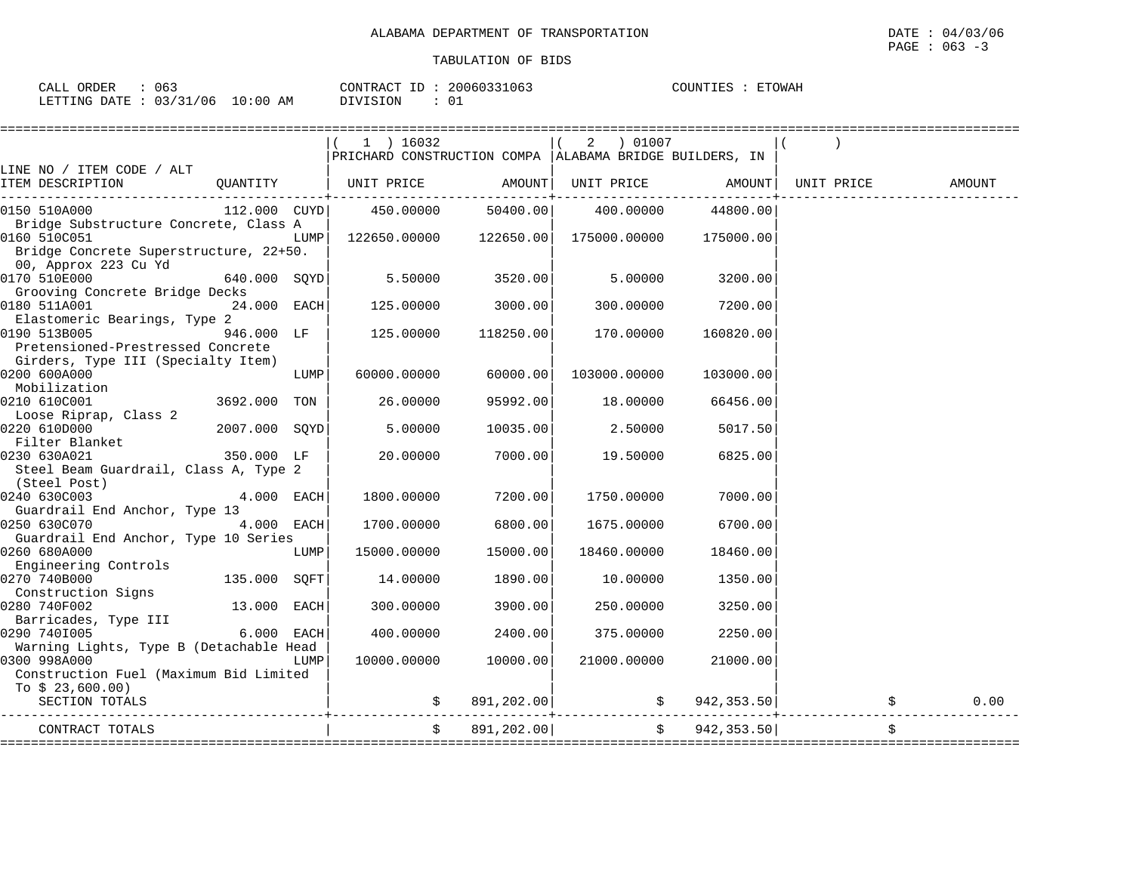| 063<br>ORDER<br>CALI                          |                  | CONTRACT<br>$\Box$ | 20060331063 | COUNTIES<br><b>ETOWAH</b> |
|-----------------------------------------------|------------------|--------------------|-------------|---------------------------|
| 121<br>'06<br>LETTING<br>DATE<br><u>. C C</u> | 0:00<br>AΜ<br>∸∪ | $\cdots$           |             |                           |

|                                                                                                                         |               |      | 1 ) 16032<br>PRICHARD CONSTRUCTION COMPA   ALABAMA BRIDGE BUILDERS, IN |            |                              |                     |                                |        |
|-------------------------------------------------------------------------------------------------------------------------|---------------|------|------------------------------------------------------------------------|------------|------------------------------|---------------------|--------------------------------|--------|
| LINE NO / ITEM CODE / ALT<br>ITEM DESCRIPTION                                                                           |               |      | QUANTITY   UNIT PRICE                                                  | AMOUNT     |                              |                     | UNIT PRICE AMOUNT   UNIT PRICE | AMOUNT |
| 0150 510A000                                                                                                            | 112.000 CUYD  |      | 450.00000                                                              | 50400.00   | 400.00000                    | 44800.00            |                                |        |
| Bridge Substructure Concrete, Class A<br>0160 510C051<br>Bridge Concrete Superstructure, 22+50.                         |               | LUMP | 122650.00000 122650.00                                                 |            | 175000.00000                 | 175000.00           |                                |        |
| 00, Approx 223 Cu Yd<br>0170 510E000<br>Grooving Concrete Bridge Decks                                                  | 640.000 SOYD  |      | 5.50000                                                                | 3520.00    | 5,00000                      | 3200.00             |                                |        |
| 0180 511A001                                                                                                            | 24.000 EACH   |      | 125.00000                                                              | 3000.00    | 300.00000                    | 7200.00             |                                |        |
| Elastomeric Bearings, Type 2<br>0190 513B005<br>Pretensioned-Prestressed Concrete<br>Girders, Type III (Specialty Item) | 946.000 LF    |      | 125.00000                                                              | 118250.00  | 170.00000                    | 160820.00           |                                |        |
| 0200 600A000<br>Mobilization                                                                                            |               | LUMP | 60000.00000                                                            | 60000.00   | 103000.00000                 | 103000.00           |                                |        |
| 0210 610C001<br>Loose Riprap, Class 2                                                                                   | 3692.000 TON  |      | 26.00000                                                               | 95992.00   | 18.00000                     | 66456.00            |                                |        |
| 0220 610D000<br>Filter Blanket                                                                                          | 2007.000 SOYD |      | 5.00000                                                                | 10035.00   | 2.50000                      | 5017.50             |                                |        |
| 0230 630A021<br>Steel Beam Guardrail, Class A, Type 2                                                                   | 350.000 LF    |      | 20.00000                                                               | 7000.00    | 19.50000                     | 6825.00             |                                |        |
| (Steel Post)<br>0240 630C003<br>Guardrail End Anchor, Type 13                                                           | $4.000$ EACH  |      | 1800.00000                                                             | 7200.00    | 1750.00000                   | 7000.001            |                                |        |
| 0250 630C070<br>Guardrail End Anchor, Type 10 Series                                                                    | 4.000 EACH    |      | 1700.00000                                                             | 6800.00    | 1675.00000                   | 6700.00             |                                |        |
| 0260 680A000<br>Engineering Controls                                                                                    |               | LUMP | 15000.00000                                                            | 15000.00   | 18460.00000                  | 18460.00            |                                |        |
| 0270 740B000<br>Construction Signs                                                                                      | 135.000 SQFT  |      | 14.00000                                                               | 1890.00    | 10.00000                     | 1350.00             |                                |        |
| 0280 740F002<br>Barricades, Type III                                                                                    | 13.000 EACH   |      | 300.00000                                                              | 3900.00    | 250.00000                    | 3250.00             |                                |        |
| 0290 7401005                                                                                                            | 6.000 EACH    |      | 400.00000                                                              | 2400.00    | 375.00000                    | 2250.00             |                                |        |
| Warning Lights, Type B (Detachable Head<br>0300 998A000<br>Construction Fuel (Maximum Bid Limited<br>To $$23,600.00)$   |               | LUMP | 10000.00000                                                            | 10000.00   | 21000.00000                  | 21000.00            |                                |        |
| SECTION TOTALS                                                                                                          |               |      |                                                                        | 891,202.00 |                              | $\sharp$ 942,353.50 |                                | 0.00   |
| CONTRACT TOTALS                                                                                                         |               |      | $\ddot{s}$                                                             | 891,202.00 | ============================ | \$942,353.50]       |                                | \$     |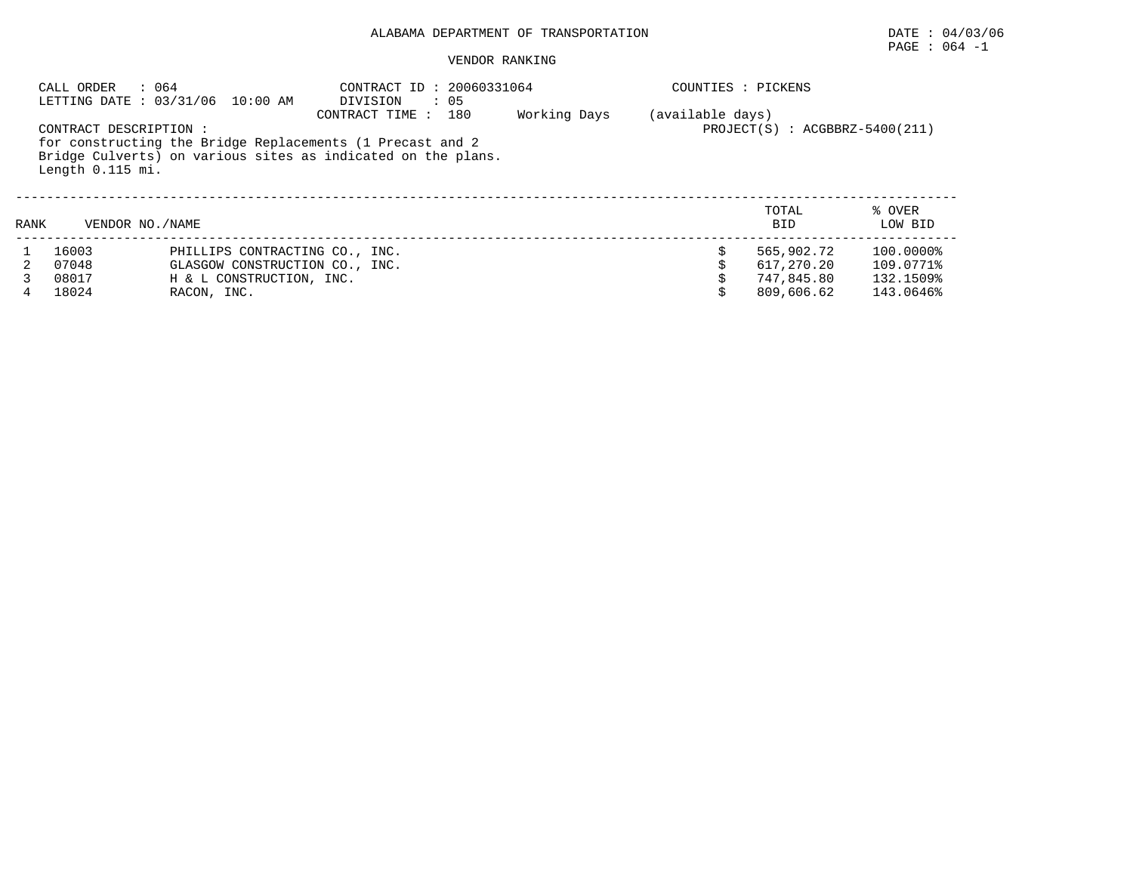## PAGE : 064 -1

|      | : 064<br>CALL ORDER                        | LETTING DATE: 03/31/06 10:00 AM                                                                                           | CONTRACT ID: 20060331064<br>DIVISION<br>$\therefore$ 05 |     |              |                  | COUNTIES : PICKENS               |                   |  |  |
|------|--------------------------------------------|---------------------------------------------------------------------------------------------------------------------------|---------------------------------------------------------|-----|--------------|------------------|----------------------------------|-------------------|--|--|
|      | CONTRACT DESCRIPTION :<br>Length 0.115 mi. | for constructing the Bridge Replacements (1 Precast and 2<br>Bridge Culverts) on various sites as indicated on the plans. | CONTRACT TIME:                                          | 180 | Working Days | (available days) | $PROJECT(S) : ACGBBRZ-5400(211)$ |                   |  |  |
| RANK | VENDOR NO. / NAME                          |                                                                                                                           |                                                         |     |              |                  | TOTAL<br><b>BID</b>              | % OVER<br>LOW BID |  |  |
|      | 16003                                      | PHILLIPS CONTRACTING CO., INC.                                                                                            |                                                         |     |              |                  | 565,902.72                       | 100.0000%         |  |  |
|      | 07048                                      | GLASGOW CONSTRUCTION CO., INC.                                                                                            |                                                         |     |              |                  | 617,270.20                       | 109.0771%         |  |  |
|      | 08017                                      | H & L CONSTRUCTION, INC.                                                                                                  |                                                         |     |              |                  | 747.845.80                       | 132.1509%         |  |  |
|      | 18024                                      | RACON, INC.                                                                                                               |                                                         |     |              |                  | 809,606.62                       | 143.0646%         |  |  |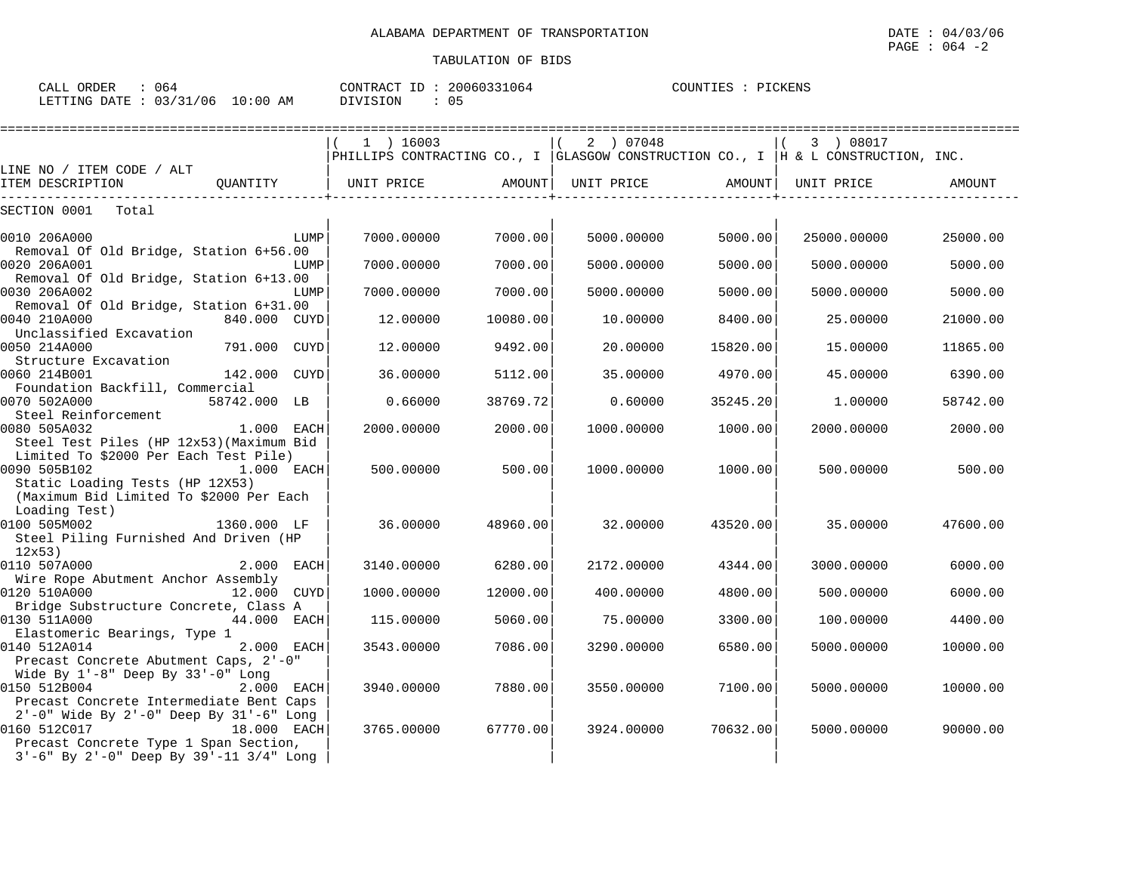CALL ORDER : 064 CONTRACT ID : 20060331064 COUNTIES : PICKENS LETTING DATE : 03/31/06 10:00 AM DIVISION : 05

## PAGE : 064 -2

|                                                                                             |              |      | $(1)$ 16003                  |          | 2 ) 07048                                                                            |          | (3) 08017   |          |
|---------------------------------------------------------------------------------------------|--------------|------|------------------------------|----------|--------------------------------------------------------------------------------------|----------|-------------|----------|
|                                                                                             |              |      |                              |          | PHILLIPS CONTRACTING CO., I GLASGOW CONSTRUCTION CO., I $ $ H & L CONSTRUCTION, INC. |          |             |          |
| LINE NO / ITEM CODE / ALT<br>ITEM DESCRIPTION                                               |              |      | OUANTITY   UNIT PRICE AMOUNT |          | UNIT PRICE AMOUNT                                                                    |          | UNIT PRICE  | AMOUNT   |
| SECTION 0001 Total                                                                          |              |      |                              |          |                                                                                      |          |             |          |
| 0010 206A000                                                                                |              | LUMP | 7000.00000                   | 7000.00  | 5000.00000                                                                           | 5000.00  | 25000.00000 | 25000.00 |
| Removal Of Old Bridge, Station 6+56.00<br>0020 206A001                                      |              | LUMP | 7000.00000                   | 7000.00  | 5000.00000                                                                           | 5000.00  | 5000.00000  | 5000.00  |
| Removal Of Old Bridge, Station 6+13.00<br>0030 206A002                                      |              | LUMP | 7000.00000                   | 7000.00  | 5000.00000                                                                           | 5000.00  | 5000.00000  | 5000.00  |
| Removal Of Old Bridge, Station 6+31.00                                                      |              |      |                              |          |                                                                                      |          |             |          |
| 0040 210A000<br>Unclassified Excavation                                                     | 840.000 CUYD |      | 12.00000                     | 10080.00 | 10.00000                                                                             | 8400.00  | 25.00000    | 21000.00 |
| 0050 214A000                                                                                | 791.000 CUYD |      | 12,00000                     | 9492.00  | 20.00000                                                                             | 15820.00 | 15,00000    | 11865.00 |
| Structure Excavation<br>0060 214B001                                                        | 142.000 CUYD |      | 36.00000                     | 5112.00  | 35.00000                                                                             | 4970.00  | 45.00000    | 6390.00  |
| Foundation Backfill, Commercial<br>0070 502A000                                             | 58742.000 LB |      | 0.66000                      | 38769.72 | 0.60000                                                                              | 35245.20 | 1,00000     | 58742.00 |
| Steel Reinforcement<br>0080 505A032                                                         | $1.000$ EACH |      | 2000.00000                   | 2000.00  | 1000.00000                                                                           | 1000.00  | 2000.00000  | 2000.00  |
| Steel Test Piles (HP 12x53) (Maximum Bid<br>Limited To \$2000 Per Each Test Pile)           |              |      |                              |          |                                                                                      |          |             |          |
| 0090 505B102<br>Static Loading Tests (HP 12X53)                                             | $1.000$ EACH |      | 500.00000                    | 500.00   | 1000.00000                                                                           | 1000.00  | 500,00000   | 500.00   |
| (Maximum Bid Limited To \$2000 Per Each<br>Loading Test)                                    |              |      |                              |          |                                                                                      |          |             |          |
| 0100 505M002                                                                                | 1360.000 LF  |      | 36.00000                     | 48960.00 | 32.00000                                                                             | 43520.00 | 35,00000    | 47600.00 |
| Steel Piling Furnished And Driven (HP<br>12x53)                                             |              |      |                              |          |                                                                                      |          |             |          |
| 0110 507A000                                                                                | $2.000$ EACH |      | 3140.00000                   | 6280.00  | 2172.00000                                                                           | 4344.00  | 3000.00000  | 6000.00  |
| Wire Rope Abutment Anchor Assembly<br>0120 510A000                                          | 12.000 CUYD  |      | 1000.00000                   | 12000.00 | 400.00000                                                                            | 4800.00  | 500.00000   | 6000.00  |
| Bridge Substructure Concrete, Class A                                                       |              |      |                              |          |                                                                                      |          |             |          |
| 0130 511A000                                                                                | 44.000 EACH  |      | 115.00000                    | 5060.00  | 75.00000                                                                             | 3300.00  | 100.00000   | 4400.00  |
| Elastomeric Bearings, Type 1<br>0140 512A014                                                | $2.000$ EACH |      | 3543.00000                   | 7086.00  | 3290.00000                                                                           | 6580.00  | 5000.00000  | 10000.00 |
| Precast Concrete Abutment Caps, 2'-0"                                                       |              |      |                              |          |                                                                                      |          |             |          |
| Wide By 1'-8" Deep By 33'-0" Long                                                           |              |      |                              |          |                                                                                      |          |             |          |
| 0150 512B004<br>Precast Concrete Intermediate Bent Caps                                     | 2.000 EACH   |      | 3940.00000                   | 7880.00  | 3550.00000                                                                           | 7100.00  | 5000.00000  | 10000.00 |
| 2'-0" Wide By 2'-0" Deep By 31'-6" Long                                                     |              |      |                              |          |                                                                                      |          |             |          |
| 0160 512C017                                                                                | 18.000 EACH  |      | 3765,00000                   | 67770.00 | 3924.00000                                                                           | 70632.00 | 5000.00000  | 90000.00 |
| Precast Concrete Type 1 Span Section,<br>$3'-6$ " By $2'-0$ " Deep By $39'-11$ $3/4$ " Long |              |      |                              |          |                                                                                      |          |             |          |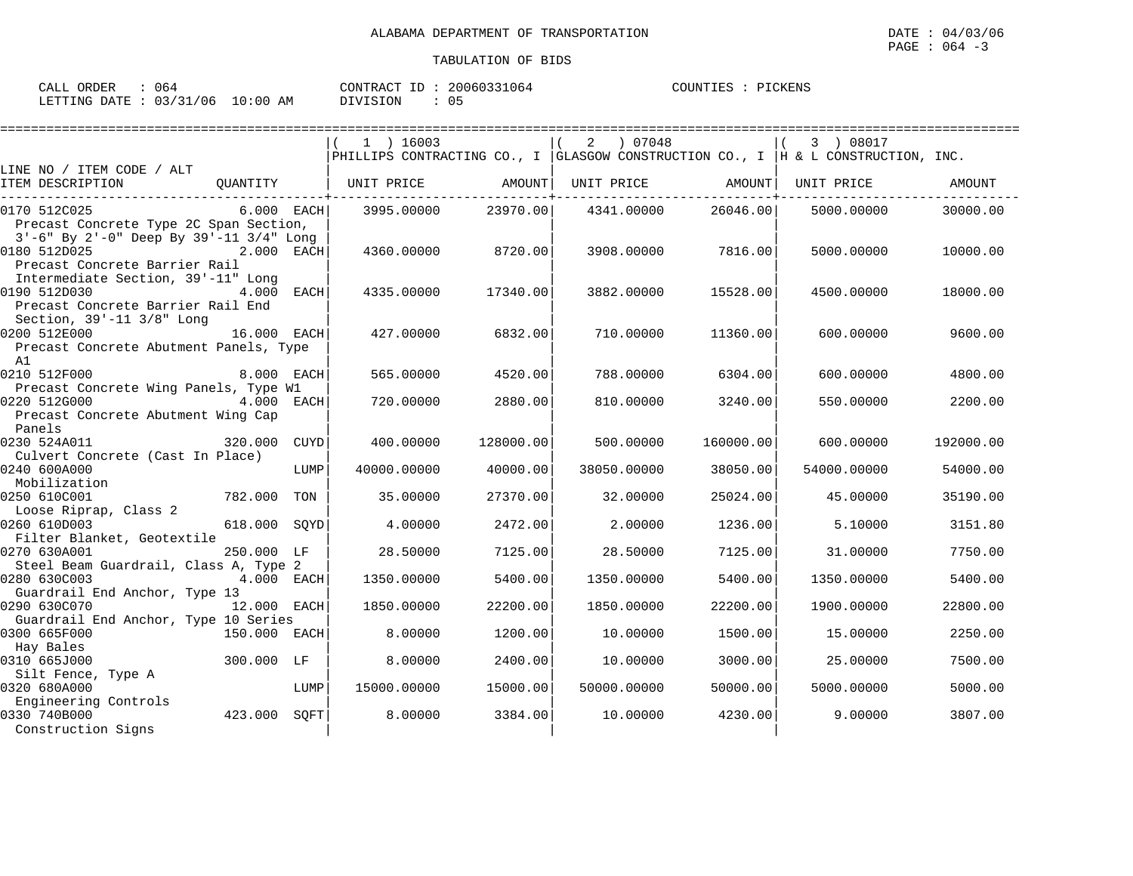| ORDER<br>$\sim$ $\sim$ $\sim$<br>CALL<br>U64 |             | 20060331064<br>CONTRACT | PICKENS<br>COUNTIES |
|----------------------------------------------|-------------|-------------------------|---------------------|
| 03/31/06<br>LETTING DATE                     | 10:00<br>AM | DIVISION                |                     |

|                                               |              |      | 1 ) 16003         |           | 2 ) 07048         |           | 3 ) 08017                                                                        |           |
|-----------------------------------------------|--------------|------|-------------------|-----------|-------------------|-----------|----------------------------------------------------------------------------------|-----------|
|                                               |              |      |                   |           |                   |           | PHILLIPS CONTRACTING CO., I GLASGOW CONSTRUCTION CO., I H & L CONSTRUCTION, INC. |           |
| LINE NO / ITEM CODE / ALT                     |              |      |                   |           |                   |           |                                                                                  |           |
| ITEM DESCRIPTION                              | OUANTITY     |      | UNIT PRICE AMOUNT |           | UNIT PRICE AMOUNT |           | UNIT PRICE                                                                       | AMOUNT    |
| 0170 512C025                                  | $6.000$ EACH |      | 3995,00000        | 23970.00  | 4341.00000        | 26046.00  | 5000.00000                                                                       | 30000.00  |
| Precast Concrete Type 2C Span Section,        |              |      |                   |           |                   |           |                                                                                  |           |
| 3'-6" By 2'-0" Deep By 39'-11 3/4" Long       |              |      |                   |           |                   |           |                                                                                  |           |
| 0180 512D025                                  | 2.000 EACH   |      | 4360.00000        | 8720.00   | 3908.00000        | 7816.00   | 5000.00000                                                                       | 10000.00  |
| Precast Concrete Barrier Rail                 |              |      |                   |           |                   |           |                                                                                  |           |
| Intermediate Section, 39'-11" Long            |              |      |                   |           |                   |           |                                                                                  |           |
| 0190 512D030                                  | 4.000 EACH   |      | 4335.00000        | 17340.00  | 3882.00000        | 15528.00  | 4500.00000                                                                       | 18000.00  |
| Precast Concrete Barrier Rail End             |              |      |                   |           |                   |           |                                                                                  |           |
| Section, 39'-11 3/8" Long                     |              |      |                   |           |                   |           |                                                                                  |           |
| 0200 512E000                                  | 16.000 EACH  |      | 427.00000         | 6832.00   | 710.00000         | 11360.00  | 600,00000                                                                        | 9600.00   |
| Precast Concrete Abutment Panels, Type        |              |      |                   |           |                   |           |                                                                                  |           |
| A1<br>0210 512F000                            | 8.000 EACH   |      |                   | 4520.00   | 788.00000         |           |                                                                                  | 4800.00   |
| Precast Concrete Wing Panels, Type W1         |              |      | 565.00000         |           |                   | 6304.00   | 600.00000                                                                        |           |
| 0220 512G000                                  | 4.000 EACH   |      | 720.00000         | 2880.00   | 810,00000         | 3240.00   | 550.00000                                                                        | 2200.00   |
| Precast Concrete Abutment Wing Cap            |              |      |                   |           |                   |           |                                                                                  |           |
| Panels                                        |              |      |                   |           |                   |           |                                                                                  |           |
| 0230 524A011                                  | 320.000      | CUYD | 400,00000         | 128000.00 | 500.00000         | 160000.00 | 600,00000                                                                        | 192000.00 |
| Culvert Concrete (Cast In Place)              |              |      |                   |           |                   |           |                                                                                  |           |
| 0240 600A000                                  |              | LUMP | 40000.00000       | 40000.00  | 38050.00000       | 38050.00  | 54000.00000                                                                      | 54000.00  |
| Mobilization                                  |              |      |                   |           |                   |           |                                                                                  |           |
| 0250 610C001                                  | 782.000 TON  |      | 35.00000          | 27370.00  | 32.00000          | 25024.00  | 45.00000                                                                         | 35190.00  |
| Loose Riprap, Class 2                         |              |      |                   |           |                   |           |                                                                                  |           |
| 0260 610D003                                  | 618.000 SOYD |      | 4.00000           | 2472.00   | 2,00000           | 1236.00   | 5.10000                                                                          | 3151.80   |
| Filter Blanket, Geotextile                    |              |      |                   |           |                   |           |                                                                                  |           |
| 0270 630A001                                  | 250.000 LF   |      | 28.50000          | 7125.00   | 28.50000          | 7125.00   | 31,00000                                                                         | 7750.00   |
| Steel Beam Guardrail, Class A, Type 2         |              |      |                   |           |                   |           |                                                                                  |           |
| 0280 630C003                                  | 4.000 EACH   |      | 1350.00000        | 5400.00   | 1350.00000        | 5400.00   | 1350.00000                                                                       | 5400.00   |
| Guardrail End Anchor, Type 13<br>0290 630C070 | 12.000 EACH  |      | 1850.00000        | 22200.00  | 1850.00000        | 22200.00  | 1900.00000                                                                       | 22800.00  |
| Guardrail End Anchor, Type 10 Series          |              |      |                   |           |                   |           |                                                                                  |           |
| 0300 665F000                                  | 150.000 EACH |      | 8,00000           | 1200.00   | 10.00000          | 1500.00   | 15.00000                                                                         | 2250.00   |
| Hay Bales                                     |              |      |                   |           |                   |           |                                                                                  |           |
| 0310 665J000                                  | 300.000 LF   |      | 8.00000           | 2400.00   | 10.00000          | 3000.00   | 25.00000                                                                         | 7500.00   |
| Silt Fence, Type A                            |              |      |                   |           |                   |           |                                                                                  |           |
| 0320 680A000                                  |              | LUMP | 15000.00000       | 15000.00  | 50000.00000       | 50000.00  | 5000.00000                                                                       | 5000.00   |
| Engineering Controls                          |              |      |                   |           |                   |           |                                                                                  |           |
| 0330 740B000                                  | 423.000 SOFT |      | 8.00000           | 3384.00   | 10.00000          | 4230.00   | 9,00000                                                                          | 3807.00   |
| Construction Signs                            |              |      |                   |           |                   |           |                                                                                  |           |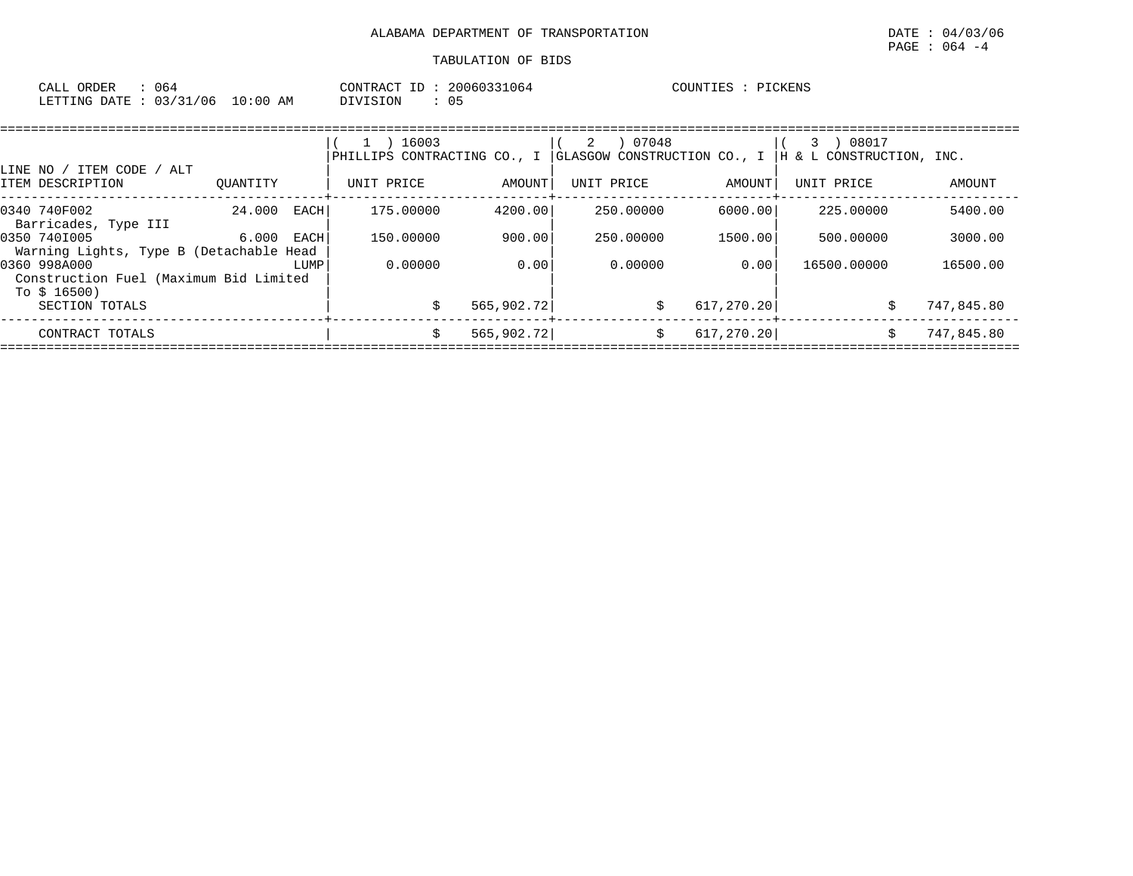| CALL ORDER<br>064               |          | CONTRACT ID: 20060331064 | COUNTIES : PICKENS |
|---------------------------------|----------|--------------------------|--------------------|
| LETTING DATE: 03/31/06 10:00 AM | DIVISION |                          |                    |

|                                         |          |      | 16003                       |            | 07048<br>2 |                             | 08017                    |            |
|-----------------------------------------|----------|------|-----------------------------|------------|------------|-----------------------------|--------------------------|------------|
|                                         |          |      | PHILLIPS CONTRACTING CO., I |            |            | GLASGOW CONSTRUCTION CO., I | H & L CONSTRUCTION, INC. |            |
| LINE NO / ITEM CODE /<br>ALT            |          |      |                             |            |            |                             |                          |            |
| ITEM DESCRIPTION                        | OUANTITY |      | UNIT PRICE                  | AMOUNT     | UNIT PRICE | AMOUNT                      | UNIT PRICE               | AMOUNT     |
| 0340 740F002                            | 24.000   | EACH | 175.00000                   | 4200.00    | 250.00000  | 6000.00                     | 225,00000                | 5400.00    |
| Barricades, Type III                    |          |      |                             |            |            |                             |                          |            |
| 0350 7401005                            | 6.000    | EACH | 150.00000                   | 900.00     | 250.00000  | 1500.00                     | 500,00000                | 3000.00    |
| Warning Lights, Type B (Detachable Head |          |      |                             |            |            |                             |                          |            |
| 0360 998A000                            |          | LUMP | 0.00000                     | 0.00       | 0.00000    | 0.001                       | 16500,00000              | 16500.00   |
| Construction Fuel (Maximum Bid Limited  |          |      |                             |            |            |                             |                          |            |
| To $$16500)$                            |          |      |                             |            |            |                             |                          |            |
| SECTION TOTALS                          |          |      |                             | 565,902.72 |            | 617,270.20<br>Ŝ.            |                          | 747,845.80 |
| CONTRACT TOTALS                         |          |      | Ŝ.                          | 565,902.72 |            | 617,270.20<br>Ŝ.            |                          | 747,845.80 |
|                                         |          |      |                             |            |            |                             |                          |            |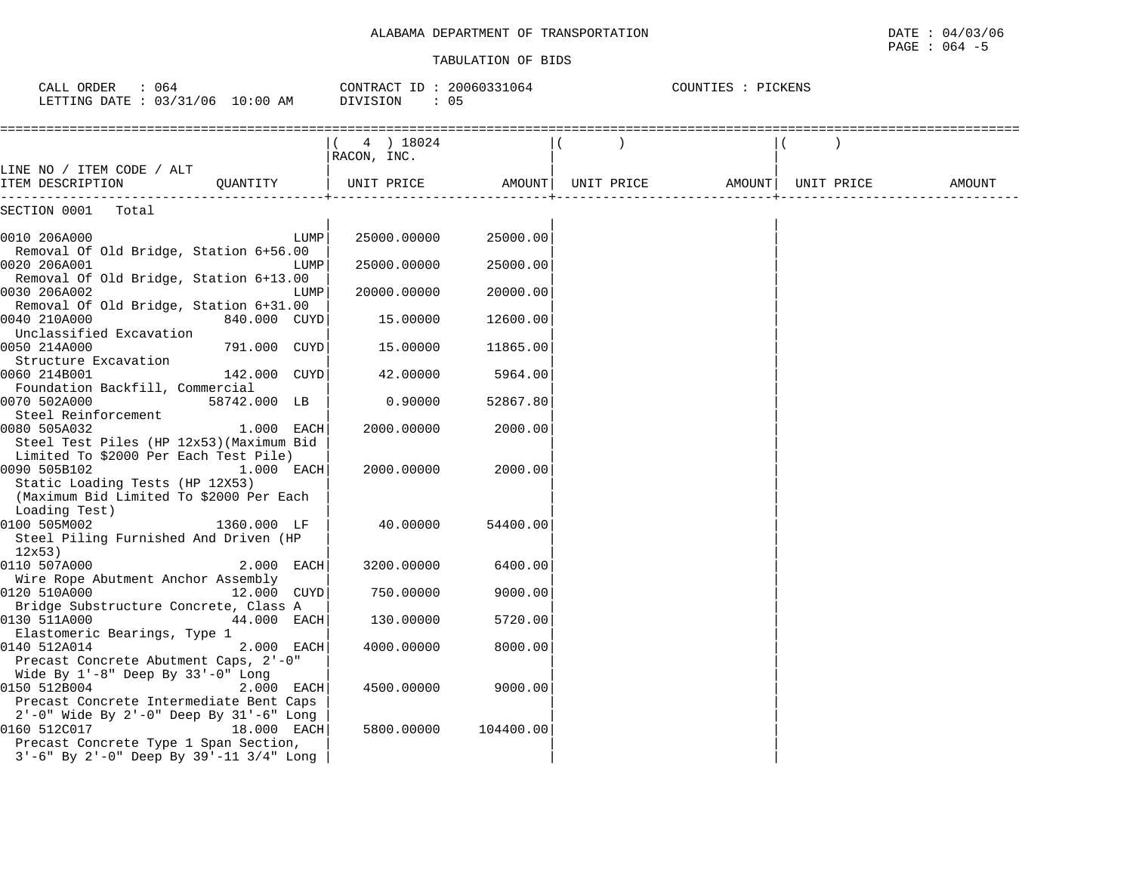| CALL ORDER : 064<br>LETTING DATE: 03/31/06 10:00 AM                                                                                     |              |      | $\texttt{CONTRACT ID : } 20060331064$ $\texttt{COUNTIES : } \texttt{PICKENS}$<br>DIVISION<br>$\cdot$ 05 |           |  |  |  |
|-----------------------------------------------------------------------------------------------------------------------------------------|--------------|------|---------------------------------------------------------------------------------------------------------|-----------|--|--|--|
|                                                                                                                                         |              |      | $(4)$ 18024<br>RACON, INC.                                                                              |           |  |  |  |
| LINE NO / ITEM CODE / ALT<br>ITEM DESCRIPTION $\mathbb Q$ UANTITY   UNIT PRICE     AMOUNT  UNIT PRICE     AMOUNT  UNIT PRICE     AMOUNT |              |      |                                                                                                         |           |  |  |  |
| SECTION 0001 Total                                                                                                                      |              |      |                                                                                                         |           |  |  |  |
| 0010 206A000<br>Removal Of Old Bridge, Station 6+56.00                                                                                  |              | LUMP | 25000.00000                                                                                             | 25000.00  |  |  |  |
| 0020 206A001<br>Removal Of Old Bridge, Station 6+13.00                                                                                  |              | LUMP | 25000.00000                                                                                             | 25000.00  |  |  |  |
| 0030 206A002<br>Removal Of Old Bridge, Station 6+31.00                                                                                  |              | LUMP | 20000.00000                                                                                             | 20000.00  |  |  |  |
| 0040 210A000<br>Unclassified Excavation                                                                                                 | 840.000 CUYD |      | 15.00000                                                                                                | 12600.00  |  |  |  |
| 0050 214A000<br>Structure Excavation                                                                                                    | 791.000 CUYD |      | 15.00000                                                                                                | 11865.00  |  |  |  |
| 0060 214B001<br>Foundation Backfill, Commercial                                                                                         | 142.000 CUYD |      | 42.00000                                                                                                | 5964.00   |  |  |  |
| 0070 502A000<br>Steel Reinforcement                                                                                                     | 58742.000 LB |      | 0.90000                                                                                                 | 52867.80  |  |  |  |
| 0080 505A032<br>Steel Test Piles (HP 12x53) (Maximum Bid<br>Limited To \$2000 Per Each Test Pile)                                       | 1.000 EACH   |      | 2000.00000                                                                                              | 2000.00   |  |  |  |
| 0090 505B102<br>Static Loading Tests (HP 12X53)<br>(Maximum Bid Limited To \$2000 Per Each<br>Loading Test)                             | 1.000 EACH   |      | 2000.00000                                                                                              | 2000.00   |  |  |  |
| 0100 505M002<br>Steel Piling Furnished And Driven (HP<br>12x53)                                                                         | 1360.000 LF  |      | 40.00000                                                                                                | 54400.00  |  |  |  |
| 0110 507A000<br>Wire Rope Abutment Anchor Assembly                                                                                      | $2.000$ EACH |      | 3200.00000                                                                                              | 6400.00   |  |  |  |
| 0120 510A000<br>Bridge Substructure Concrete, Class A                                                                                   | 12.000 CUYD  |      | 750.00000                                                                                               | 9000.00   |  |  |  |
| 0130 511A000<br>Elastomeric Bearings, Type 1                                                                                            | 44.000 EACH  |      | 130.00000                                                                                               | 5720.00   |  |  |  |
| 0140 512A014<br>Precast Concrete Abutment Caps, 2'-0"<br>Wide By $1'-8$ " Deep By $33'-0$ " Long                                        | 2.000 EACH   |      | 4000.00000                                                                                              | 8000.00   |  |  |  |
| 0150 512B004<br>Precast Concrete Intermediate Bent Caps<br>$2'-0$ " Wide By $2'-0$ " Deep By $31'-6$ " Long                             | 2.000 EACH   |      | 4500.00000                                                                                              | 9000.00   |  |  |  |
| 0160 512C017<br>Precast Concrete Type 1 Span Section,<br>$3'-6$ " By $2'-0$ " Deep By $39'-11$ $3/4$ " Long                             | 18.000 EACH  |      | 5800,00000                                                                                              | 104400.00 |  |  |  |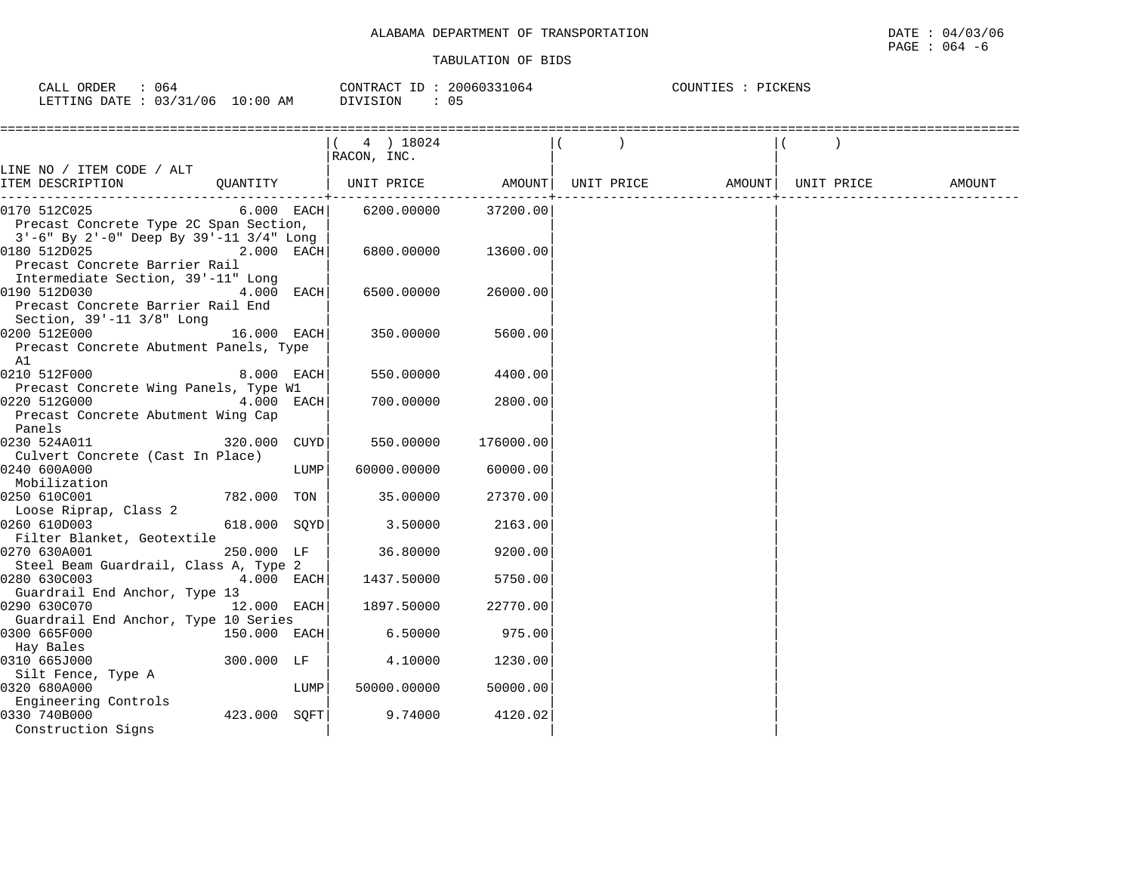| ORDER<br>$\bigcap \pi$ $\tau$ $\tau$<br>◡◚╜╜ | 064                                          |             | $T\Gamma$<br>CONTRACT<br>- 17 | ,,,, <i>,</i> ,,,,,,,,<br>1 <sub>n</sub><br>064 | תוזורי "<br>. P. C | . | CKENS |  |
|----------------------------------------------|----------------------------------------------|-------------|-------------------------------|-------------------------------------------------|--------------------|---|-------|--|
| LETTING<br><b>DATE</b>                       | '06<br>$\bigcap$ $\bigcap$<br>121<br>. U J . | 10:00<br>AΜ | SION<br>$\lambda$             | 0 <sub>5</sub>                                  |                    |   |       |  |

|                                                                                                                      |               | $(4)$ 18024<br>RACON, INC. |           |            |                     |        |
|----------------------------------------------------------------------------------------------------------------------|---------------|----------------------------|-----------|------------|---------------------|--------|
| LINE NO / ITEM CODE / ALT<br>ITEM DESCRIPTION                                                                        |               |                            |           | UNIT PRICE | AMOUNT   UNIT PRICE | AMOUNT |
| $6.000$ EACH<br>0170 512C025<br>Precast Concrete Type 2C Span Section,                                               |               | 6200.00000                 | 37200.00  |            |                     |        |
| $3'-6$ " By $2'-0$ " Deep By $39'-11$ $3/4$ " Long<br>0180 512D025<br>Precast Concrete Barrier Rail                  | 2.000 EACH    | 6800.00000                 | 13600.00  |            |                     |        |
| Intermediate Section, 39'-11" Long<br>0190 512D030<br>Precast Concrete Barrier Rail End<br>Section, 39'-11 3/8" Long | 4.000 EACH    | 6500.00000                 | 26000.00  |            |                     |        |
| 0200 512E000<br>Precast Concrete Abutment Panels, Type                                                               | 16.000 EACH   | 350.00000                  | 5600.00   |            |                     |        |
| A1<br>0210 512F000<br>Precast Concrete Wing Panels, Type W1                                                          | 8.000 EACH    | 550.00000                  | 4400.00   |            |                     |        |
| Precast Concrete Abutment Wing Cap<br>Panels                                                                         | 4.000 EACH    | 700.00000                  | 2800.00   |            |                     |        |
| 0230 524A011<br>Culvert Concrete (Cast In Place)                                                                     | 320.000 CUYD  | 550.00000                  | 176000.00 |            |                     |        |
| 0240 600A000<br>Mobilization                                                                                         | LUMP          | 60000.00000                | 60000.00  |            |                     |        |
| 0250 610C001<br>Loose Riprap, Class 2                                                                                | 782.000 TON   | 35.00000                   | 27370.00  |            |                     |        |
| 0260 610D003<br>Filter Blanket, Geotextile                                                                           | 618.000 SQYD  | 3.50000                    | 2163.00   |            |                     |        |
| 0270 630A001<br>Steel Beam Guardrail, Class A, Type 2                                                                | 250.000 LF    | 36.80000                   | 9200.00   |            |                     |        |
| 0280 630C003<br>Guardrail End Anchor, Type 13                                                                        | $4.000$ EACH  | 1437.50000                 | 5750.00   |            |                     |        |
| 0290 630C070<br>Guardrail End Anchor, Type 10 Series                                                                 | $12.000$ EACH | 1897.50000                 | 22770.00  |            |                     |        |
| 0300 665F000<br>150.000 EACH<br>Hay Bales                                                                            |               | 6.50000                    | 975.00    |            |                     |        |
| 0310 665J000<br>Silt Fence, Type A                                                                                   | 300.000 LF    | 4.10000                    | 1230.00   |            |                     |        |
| 0320 680A000<br>Engineering Controls                                                                                 | LUMP          | 50000.00000                | 50000.00  |            |                     |        |
| 0330 740B000<br>Construction Signs                                                                                   | 423.000 SOFT  | 9.74000                    | 4120.02   |            |                     |        |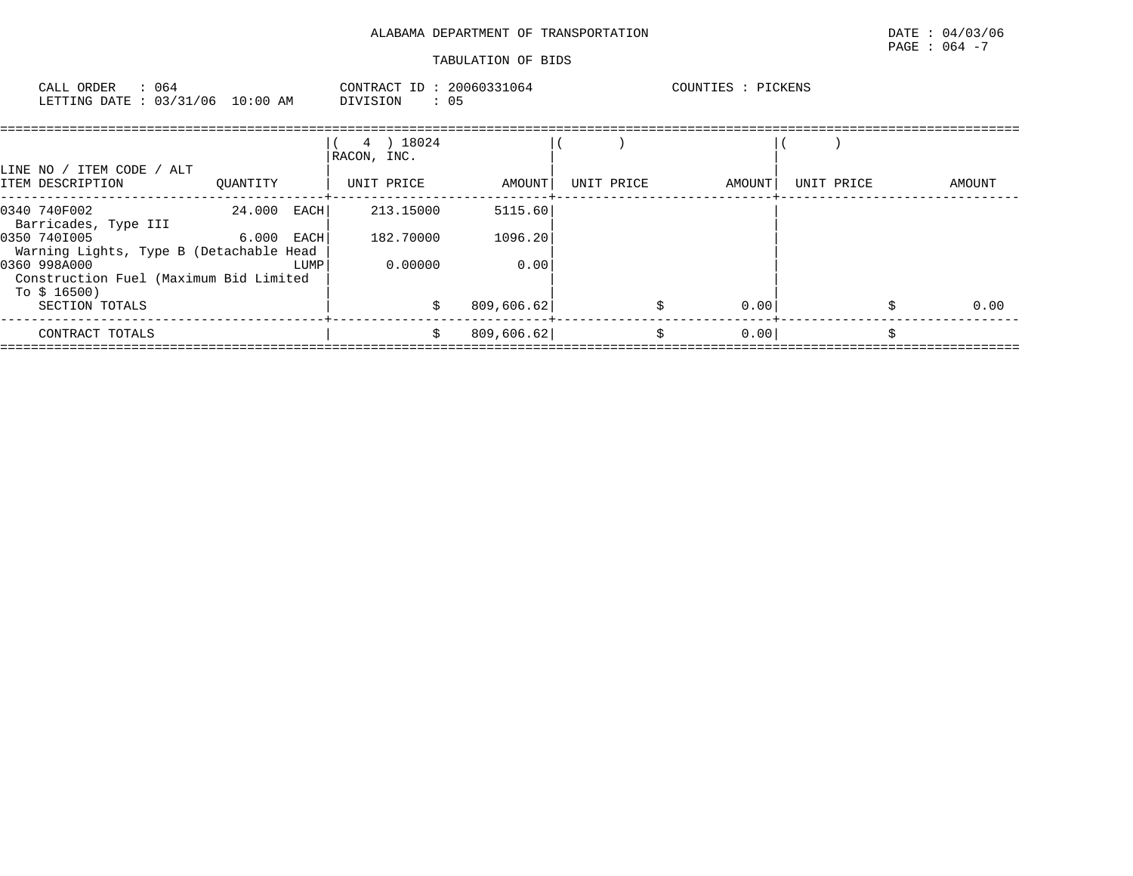| CALL ORDER<br>LETTING DATE : 03/31/06 10:00 AM | : 064 | DIVISION | CONTRACT ID: 20060331064<br>$\therefore$ 05 | : PICKENS<br>COUNTIES |  |
|------------------------------------------------|-------|----------|---------------------------------------------|-----------------------|--|
|                                                |       |          |                                             |                       |  |

|                                                                        |              |      | 18024 (<br>4)<br>RACON, INC. |            |            |        |            |        |
|------------------------------------------------------------------------|--------------|------|------------------------------|------------|------------|--------|------------|--------|
| LINE NO / ITEM CODE / ALT                                              |              |      |                              |            |            |        |            |        |
| ITEM DESCRIPTION                                                       | OUANTITY     |      | UNIT PRICE                   | AMOUNT     | UNIT PRICE | AMOUNT | UNIT PRICE | AMOUNT |
| 0340 740F002<br>Barricades, Type III                                   | 24.000 EACH  |      | 213.15000                    | 5115.60    |            |        |            |        |
| 0350 7401005<br>Warning Lights, Type B (Detachable Head                | $6.000$ EACH |      | 182.70000                    | 1096.20    |            |        |            |        |
| 0360 998A000<br>Construction Fuel (Maximum Bid Limited<br>To $$16500)$ |              | LUMP | 0.00000                      | 0.00       |            |        |            |        |
| SECTION TOTALS                                                         |              |      | Ŝ.                           | 809,606.62 | \$         | 0.00   |            | 0.00   |
| CONTRACT TOTALS                                                        |              |      | s                            | 809,606.62 | \$         | 0.00   |            |        |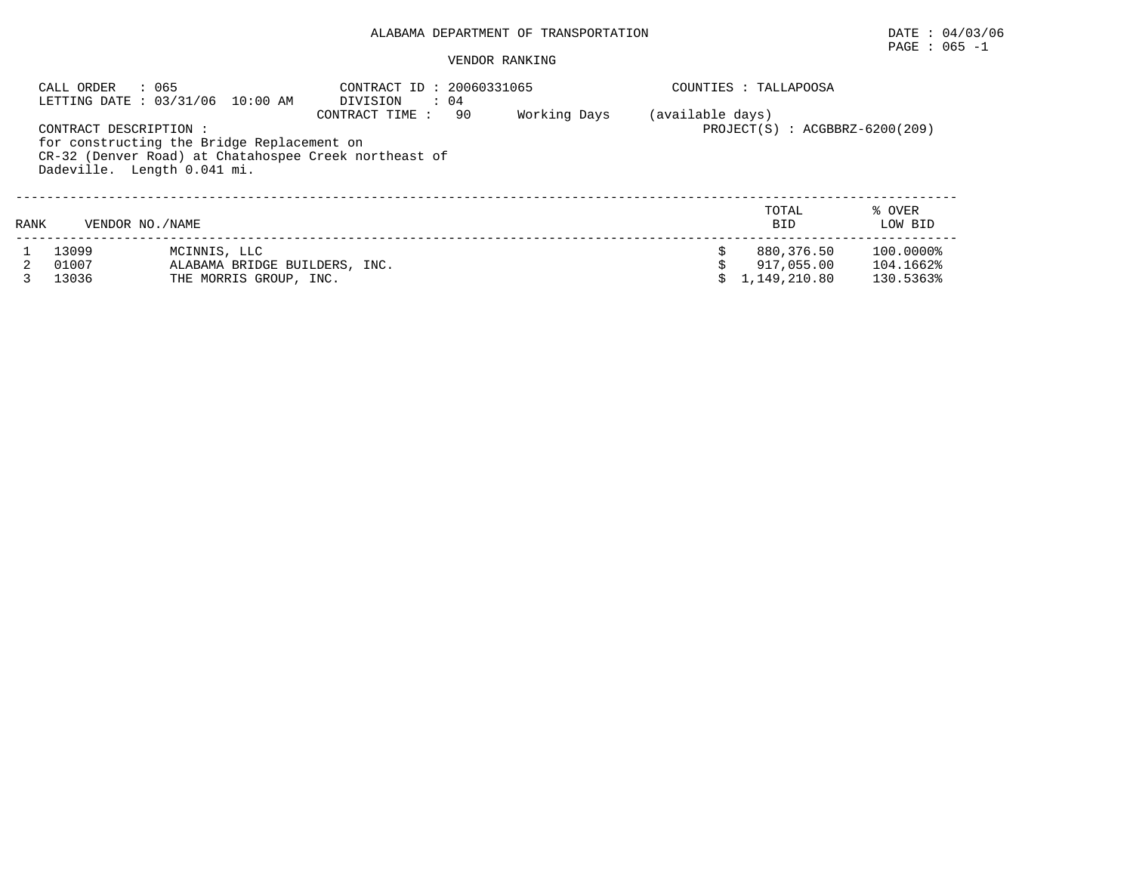## $\texttt{PAGE}$  : 065 -1

|      | : 065<br>CALL ORDER<br>LETTING DATE: 03/31/06 10:00 AM                                             |                                                                         | CONTRACT ID: 20060331065<br>DIVISION<br>$\therefore$ 04                 |    |              |                  | COUNTIES : TALLAPOOSA                    |                                     |
|------|----------------------------------------------------------------------------------------------------|-------------------------------------------------------------------------|-------------------------------------------------------------------------|----|--------------|------------------|------------------------------------------|-------------------------------------|
|      | CONTRACT DESCRIPTION:<br>for constructing the Bridge Replacement on<br>Dadeville. Length 0.041 mi. |                                                                         | CONTRACT TIME:<br>CR-32 (Denver Road) at Chatahospee Creek northeast of | 90 | Working Days | (available days) | $PROJECT(S)$ : $ACGBBRZ-6200(209)$       |                                     |
| RANK | VENDOR NO. / NAME                                                                                  |                                                                         |                                                                         |    |              |                  | TOTAL<br><b>BID</b>                      | % OVER<br>LOW BID                   |
|      | 13099<br>01007<br>13036                                                                            | MCINNIS, LLC<br>ALABAMA BRIDGE BUILDERS, INC.<br>THE MORRIS GROUP, INC. |                                                                         |    |              |                  | 880,376.50<br>917,055.00<br>1,149,210.80 | 100.0000%<br>104.1662%<br>130.5363% |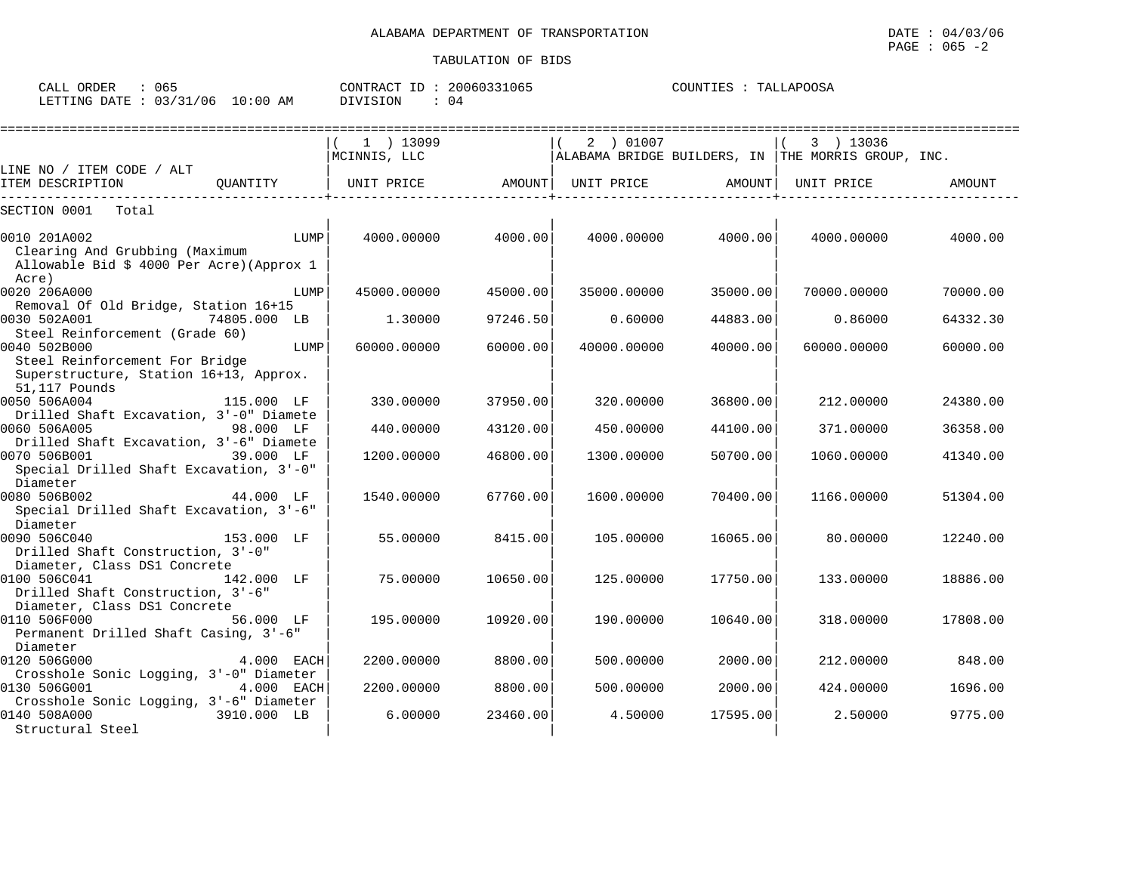CALL ORDER : 065 CONTRACT ID : 20060331065 COUNTIES : TALLAPOOSA LETTING DATE : 03/31/06 10:00 AM DIVISION : 04 ==================================================================================================================================== $\begin{array}{|c|c|c|c|c|c|}\hline ( & 1 & ) & 13099 \end{array} \qquad \qquad \begin{array}{|c|c|c|c|c|c|}\hline ( & 2 & ) & 01007 \end{array} \qquad \qquad \begin{array}{|c|c|c|c|c|c|c|}\hline ( & 3 & ) & 13036 \end{array}$  |MCINNIS, LLC |ALABAMA BRIDGE BUILDERS, IN |THE MORRIS GROUP, INC. LINE NO / ITEM CODE / ALT | | |

| ITEM DESCRIPTION                                                                                   | OUANTITY     | UNIT PRICE  | AMOUNT   | UNIT PRICE  | AMOUNT   | UNIT PRICE  | AMOUNT   |
|----------------------------------------------------------------------------------------------------|--------------|-------------|----------|-------------|----------|-------------|----------|
| Total<br>SECTION 0001                                                                              |              |             |          |             |          |             |          |
| 0010 201A002<br>Clearing And Grubbing (Maximum<br>Allowable Bid \$ 4000 Per Acre) (Approx 1        | LUMP         | 4000.00000  | 4000.00  | 4000.00000  | 4000.00  | 4000.00000  | 4000.00  |
| Acre)<br>0020 206A000                                                                              | LUMP         | 45000.00000 | 45000.00 | 35000.00000 | 35000.00 | 70000.00000 | 70000.00 |
| Removal Of Old Bridge, Station 16+15<br>0030 502A001<br>Steel Reinforcement (Grade 60)             | 74805.000 LB | 1,30000     | 97246.50 | 0.60000     | 44883.00 | 0.86000     | 64332.30 |
| 0040 502B000                                                                                       | LUMP         | 60000.00000 | 60000.00 | 40000.00000 | 40000.00 | 60000.00000 | 60000.00 |
| Steel Reinforcement For Bridge<br>Superstructure, Station 16+13, Approx.<br>51,117 Pounds          |              |             |          |             |          |             |          |
| 0050 506A004<br>Drilled Shaft Excavation, 3'-0" Diamete                                            | 115.000 LF   | 330.00000   | 37950.00 | 320.00000   | 36800.00 | 212,00000   | 24380.00 |
| 0060 506A005                                                                                       | 98.000 LF    | 440.00000   | 43120.00 | 450.00000   | 44100.00 | 371.00000   | 36358.00 |
| Drilled Shaft Excavation, 3'-6" Diamete<br>0070 506B001<br>Special Drilled Shaft Excavation, 3'-0" | 39.000 LF    | 1200.00000  | 46800.00 | 1300.00000  | 50700.00 | 1060.00000  | 41340.00 |
| Diameter<br>0080 506B002<br>Special Drilled Shaft Excavation, 3'-6"                                | 44.000 LF    | 1540.00000  | 67760.00 | 1600.00000  | 70400.00 | 1166.00000  | 51304.00 |
| Diameter<br>0090 506C040<br>Drilled Shaft Construction, 3'-0"                                      | 153.000 LF   | 55,00000    | 8415.00  | 105.00000   | 16065.00 | 80,00000    | 12240.00 |
| Diameter, Class DS1 Concrete<br>0100 506C041<br>Drilled Shaft Construction, 3'-6"                  | 142.000 LF   | 75.00000    | 10650.00 | 125.00000   | 17750.00 | 133.00000   | 18886.00 |
| Diameter, Class DS1 Concrete<br>0110 506F000<br>Permanent Drilled Shaft Casing, 3'-6"              | 56.000 LF    | 195.00000   | 10920.00 | 190.00000   | 10640.00 | 318,00000   | 17808.00 |
| Diameter<br>0120 506G000                                                                           | 4.000 EACH   | 2200.00000  | 8800.00  | 500.00000   | 2000.00  | 212,00000   | 848.00   |
| Crosshole Sonic Logging, 3'-0" Diameter<br>0130 506G001                                            | 4.000 EACH   | 2200.00000  | 8800.00  | 500.00000   | 2000.00  | 424.00000   | 1696.00  |
| Crosshole Sonic Logging, 3'-6" Diameter<br>0140 508A000<br>Structural Steel                        | 3910.000 LB  | 6,00000     | 23460.00 | 4.50000     | 17595.00 | 2.50000     | 9775.00  |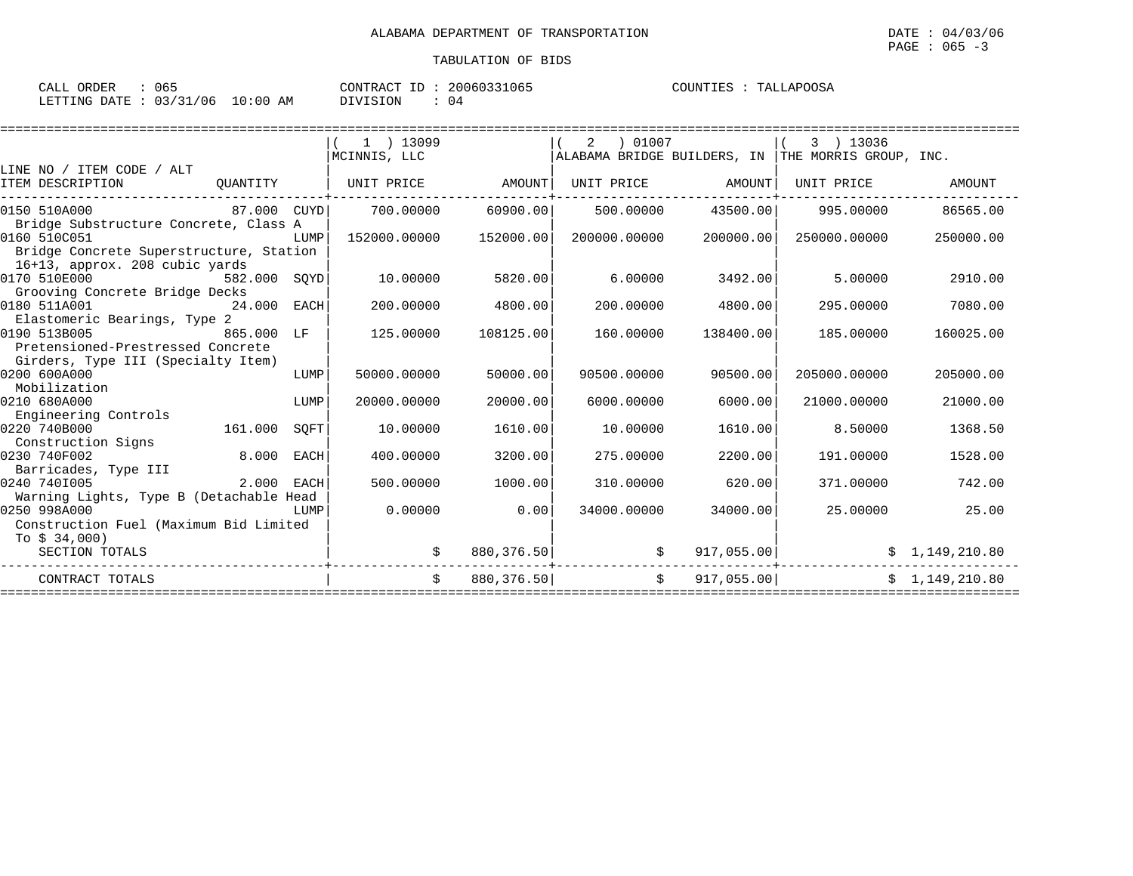| 065<br>CALL ORDER               | CONTRACT ID: 20060331065 | COUNTIES : TALLAPOOSA |
|---------------------------------|--------------------------|-----------------------|
| LETTING DATE: 03/31/06 10:00 AM | DIVISION<br>04           |                       |

|                                         |            |      | $1$ ) 13099        |            | ) 01007<br>2 |                    | 3 ) 13036                                          |                |
|-----------------------------------------|------------|------|--------------------|------------|--------------|--------------------|----------------------------------------------------|----------------|
|                                         |            |      | MCINNIS, LLC       |            |              |                    | ALABAMA BRIDGE BUILDERS, IN THE MORRIS GROUP, INC. |                |
| LINE NO / ITEM CODE / ALT               |            |      |                    |            |              |                    |                                                    |                |
| ITEM DESCRIPTION                        | OUANTITY   |      | UNIT PRICE AMOUNT  |            |              | UNIT PRICE AMOUNT  | UNIT PRICE                                         | AMOUNT         |
|                                         |            |      |                    |            |              |                    |                                                    |                |
| 87.000 CUYD<br>0150 510A000             |            |      | 700.00000 60900.00 |            |              | 500.00000 43500.00 | 995.00000                                          | 86565.00       |
| Bridge Substructure Concrete, Class A   |            |      |                    |            |              |                    |                                                    |                |
| 0160 510C051                            |            | LUMP | 152000.00000       | 152000.00  | 200000.00000 | 200000.00          | 250000.00000                                       | 250000.00      |
| Bridge Concrete Superstructure, Station |            |      |                    |            |              |                    |                                                    |                |
| 16+13, approx. 208 cubic yards          |            |      |                    |            |              |                    |                                                    |                |
| 0170 510E000<br>582.000 SQYD            |            |      | 10.00000           | 5820.00    | 6.00000      | 3492.00            | 5,00000                                            | 2910.00        |
| Grooving Concrete Bridge Decks          |            |      |                    |            |              |                    |                                                    |                |
| 0180 511A001<br>24.000 EACH             |            |      | 200,00000          | 4800.00    | 200,00000    | 4800.00            | 295.00000                                          | 7080.00        |
| Elastomeric Bearings, Type 2            |            |      |                    |            |              |                    |                                                    |                |
| 0190 513B005                            | 865.000 LF |      | 125.00000          | 108125.00  | 160.00000    | 138400.00          | 185.00000                                          | 160025.00      |
| Pretensioned-Prestressed Concrete       |            |      |                    |            |              |                    |                                                    |                |
| Girders, Type III (Specialty Item)      |            |      |                    |            |              |                    |                                                    |                |
| 0200 600A000                            |            | LUMP | 50000.00000        | 50000.00   | 90500.00000  | 90500.00           | 205000.00000                                       | 205000.00      |
| Mobilization                            |            |      |                    |            |              |                    |                                                    |                |
| 0210 680A000                            |            | LUMP | 20000.00000        | 20000.00   | 6000.00000   | 6000.00            | 21000.00000                                        | 21000.00       |
| Engineering Controls                    |            |      |                    |            |              |                    |                                                    |                |
| 0220 740B000<br>161.000                 |            | SOFT | 10.00000           | 1610.00    | 10.00000     | 1610.00            | 8.50000                                            | 1368.50        |
| Construction Signs                      |            |      |                    |            |              |                    |                                                    |                |
| 0230 740F002                            | 8.000      | EACH | 400.00000          | 3200.00    | 275,00000    | 2200.00            | 191.00000                                          | 1528.00        |
| Barricades, Type III                    |            |      |                    |            |              |                    |                                                    |                |
| 0240 7401005                            | 2.000 EACH |      | 500,00000          | 1000.00    | 310.00000    | 620.00             | 371,00000                                          | 742.00         |
| Warning Lights, Type B (Detachable Head |            |      |                    |            |              |                    |                                                    |                |
| 0250 998A000                            |            | LUMP | 0.00000            | 0.00       | 34000.00000  | 34000.00           | 25.00000                                           | 25.00          |
| Construction Fuel (Maximum Bid Limited  |            |      |                    |            |              |                    |                                                    |                |
| To $$34,000$ )                          |            |      |                    |            |              |                    |                                                    |                |
| SECTION TOTALS                          |            |      |                    | 880,376.50 | \$           | 917,055.00         |                                                    | \$1,149,210.80 |
|                                         |            |      |                    |            |              |                    |                                                    |                |
| CONTRACT TOTALS                         |            |      | $\ddot{\rm S}$     | 880,376.50 | $\ddot{s}$   | 917,055.00         |                                                    | \$1,149,210.80 |
|                                         |            |      |                    |            |              |                    |                                                    |                |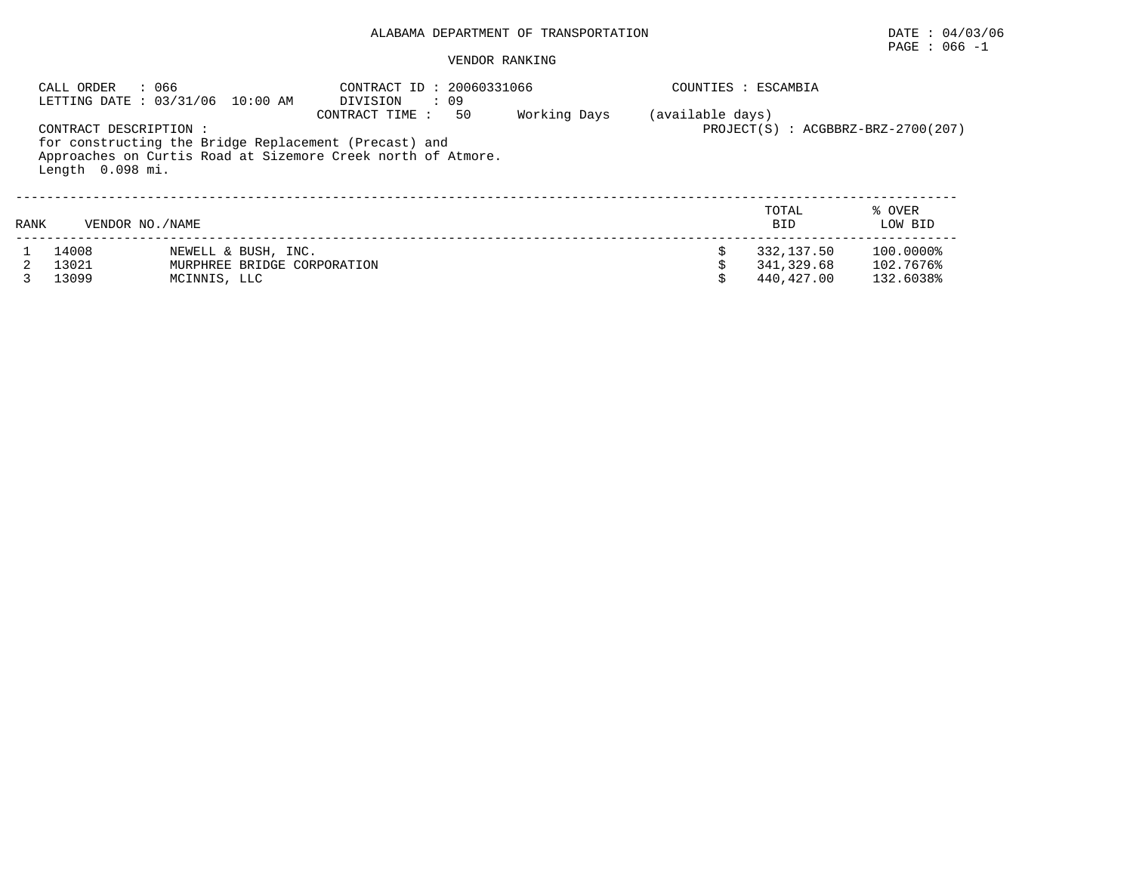# $\texttt{PAGE}$  : 066 -1

|      | : 066<br>CALL ORDER   | LETTING DATE : 03/31/06 10:00 AM | CONTRACT ID: 20060331066<br>: 09<br>DIVISION                                                                          |              |                  | COUNTIES : ESCAMBIA |                                        |
|------|-----------------------|----------------------------------|-----------------------------------------------------------------------------------------------------------------------|--------------|------------------|---------------------|----------------------------------------|
|      | CONTRACT DESCRIPTION: |                                  | CONTRACT TIME:<br>50                                                                                                  | Working Days | (available days) |                     | $PROJECT(S)$ : $ACGBBRZ-BRZ-2700(207)$ |
|      | Length 0.098 mi.      |                                  | for constructing the Bridge Replacement (Precast) and<br>Approaches on Curtis Road at Sizemore Creek north of Atmore. |              |                  |                     |                                        |
| RANK | VENDOR NO. / NAME     |                                  |                                                                                                                       |              |                  | TOTAL<br><b>BID</b> | % OVER<br>LOW BID                      |
|      | 14008                 | NEWELL & BUSH, INC.              |                                                                                                                       |              |                  | 332, 137.50         | 100.0000%                              |
|      | 13021                 | MURPHREE BRIDGE CORPORATION      |                                                                                                                       |              |                  | 341,329.68          | 102.7676%                              |
|      | 13099                 | MCINNIS, LLC                     |                                                                                                                       |              |                  | 440,427.00          | 132.6038%                              |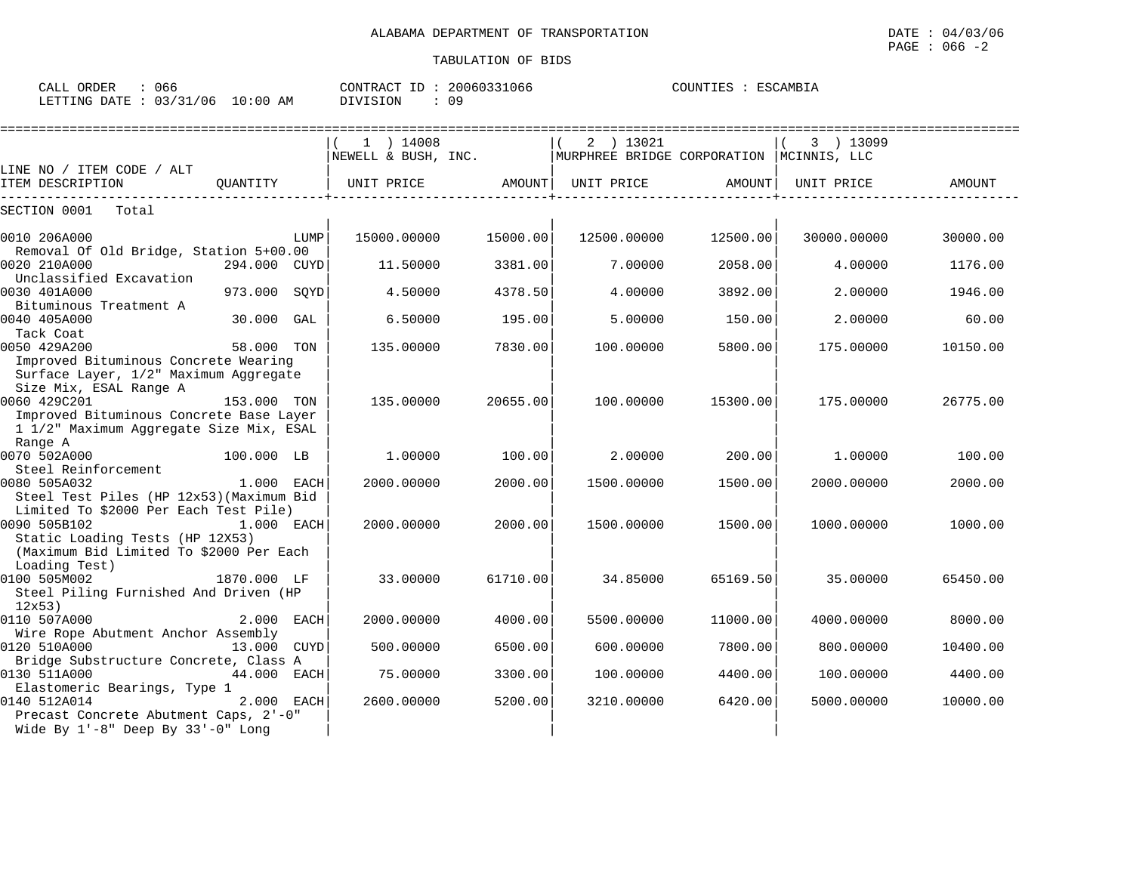| $\sim$ $\sim$ $\sim$<br>ORDER<br>CALL<br>U66 |          | CONTRACT ID     | 20060331066 | COUNTIES | ESCAMBIA |
|----------------------------------------------|----------|-----------------|-------------|----------|----------|
| LETTING DATE: 03/31/06                       | 10:00 AM | <b>DIVISION</b> | 09          |          |          |

|                                                                                                                                     |              |      | $1$ ) 14008<br>NEWELL & BUSH, INC. |          | 2 ) 13021<br>MURPHREE BRIDGE CORPORATION |          | 3 ) 13099<br>MCINNIS, LLC |          |
|-------------------------------------------------------------------------------------------------------------------------------------|--------------|------|------------------------------------|----------|------------------------------------------|----------|---------------------------|----------|
| LINE NO / ITEM CODE / ALT                                                                                                           |              |      |                                    |          |                                          |          |                           |          |
| ITEM DESCRIPTION                                                                                                                    | QUANTITY     |      | UNIT PRICE                         | AMOUNT   | UNIT PRICE                               | AMOUNT   | UNIT PRICE                | AMOUNT   |
| SECTION 0001<br>Total                                                                                                               |              |      |                                    |          |                                          |          |                           |          |
| 0010 206A000<br>Removal Of Old Bridge, Station 5+00.00                                                                              |              | LUMP | 15000.00000                        | 15000.00 | 12500.00000                              | 12500.00 | 30000.00000               | 30000.00 |
| 0020 210A000<br>Unclassified Excavation                                                                                             | 294.000 CUYD |      | 11.50000                           | 3381.00  | 7.00000                                  | 2058.00  | 4,00000                   | 1176.00  |
| 0030 401A000<br>Bituminous Treatment A                                                                                              | 973.000      | SOYD | 4.50000                            | 4378.50  | 4.00000                                  | 3892.00  | 2.00000                   | 1946.00  |
| 0040 405A000<br>Tack Coat                                                                                                           | 30.000       | GAL  | 6.50000                            | 195.00   | 5.00000                                  | 150.00   | 2.00000                   | 60.00    |
| 0050 429A200<br>Improved Bituminous Concrete Wearing                                                                                | 58.000 TON   |      | 135.00000                          | 7830.00  | 100.00000                                | 5800.00  | 175.00000                 | 10150.00 |
| Surface Layer, 1/2" Maximum Aggregate<br>Size Mix, ESAL Range A<br>0060 429C201                                                     | 153.000 TON  |      | 135.00000                          | 20655.00 | 100.00000                                | 15300.00 | 175.00000                 | 26775.00 |
| Improved Bituminous Concrete Base Layer<br>1 1/2" Maximum Aggregate Size Mix, ESAL                                                  |              |      |                                    |          |                                          |          |                           |          |
| Range A<br>0070 502A000                                                                                                             | 100.000 LB   |      | 1,00000                            | 100.00   | 2.00000                                  | 200.00   | 1,00000                   | 100.00   |
| Steel Reinforcement<br>0080 505A032<br>Steel Test Piles (HP 12x53) (Maximum Bid                                                     | 1.000 EACH   |      | 2000.00000                         | 2000.00  | 1500.00000                               | 1500.00  | 2000.00000                | 2000.00  |
| Limited To \$2000 Per Each Test Pile)<br>0090 505B102<br>Static Loading Tests (HP 12X53)<br>(Maximum Bid Limited To \$2000 Per Each | 1.000 EACH   |      | 2000.00000                         | 2000.00  | 1500.00000                               | 1500.00  | 1000.00000                | 1000.00  |
| Loading Test)<br>0100 505M002<br>Steel Piling Furnished And Driven (HP                                                              | 1870.000 LF  |      | 33.00000                           | 61710.00 | 34.85000                                 | 65169.50 | 35.00000                  | 65450.00 |
| 12x53<br>0110 507A000                                                                                                               | 2.000 EACH   |      | 2000.00000                         | 4000.00  | 5500.00000                               | 11000.00 | 4000.00000                | 8000.00  |
| Wire Rope Abutment Anchor Assembly<br>0120 510A000<br>Bridge Substructure Concrete, Class A                                         | 13.000       | CUYD | 500.00000                          | 6500.00  | 600.00000                                | 7800.00  | 800.00000                 | 10400.00 |
| 0130 511A000<br>Elastomeric Bearings, Type 1                                                                                        | 44.000 EACH  |      | 75.00000                           | 3300.00  | 100.00000                                | 4400.00  | 100,00000                 | 4400.00  |
| 0140 512A014<br>Precast Concrete Abutment Caps, 2'-0"<br>Wide By $1'-8$ " Deep By $33'-0$ " Long                                    | 2.000 EACH   |      | 2600.00000                         | 5200.00  | 3210.00000                               | 6420.00  | 5000.00000                | 10000.00 |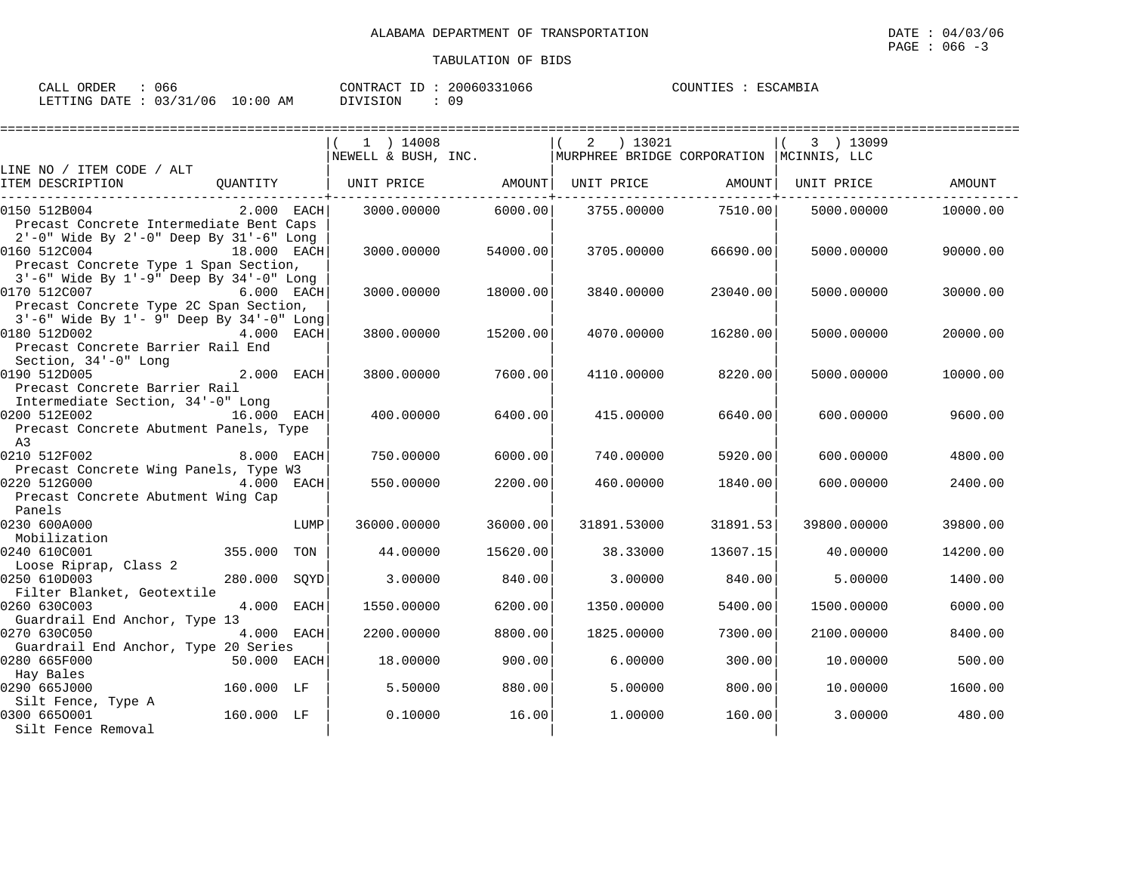| : 066<br>CALL ORDER             |  |          | CONTRACT ID: 20060331066 | COUNTIES : ESCAMBIA |  |
|---------------------------------|--|----------|--------------------------|---------------------|--|
| LETTING DATE: 03/31/06 10:00 AM |  | DIVISION |                          |                     |  |

|                                          |                   | =============================                         |          |                                                                  |          |             |          |
|------------------------------------------|-------------------|-------------------------------------------------------|----------|------------------------------------------------------------------|----------|-------------|----------|
|                                          |                   | $1$ ) 14008                                           |          | $2 \t) 13021$                                                    |          | 3 ) 13099   |          |
|                                          |                   |                                                       |          | NEWELL & BUSH, INC.   MURPHREE BRIDGE CORPORATION   MCINNIS, LLC |          |             |          |
| LINE NO / ITEM CODE / ALT                |                   |                                                       |          |                                                                  |          |             |          |
| ITEM DESCRIPTION                         | OUANTITY          | UNIT PRICE         AMOUNT   UNIT PRICE         AMOUNT |          |                                                                  |          | UNIT PRICE  | AMOUNT   |
| 0150 512B004                             | $2.000$ EACH      | 3000.00000                                            |          | 6000.00 3755.00000 7510.00                                       |          | 5000.00000  | 10000.00 |
| Precast Concrete Intermediate Bent Caps  |                   |                                                       |          |                                                                  |          |             |          |
| 2'-0" Wide By 2'-0" Deep By 31'-6" Long  |                   |                                                       |          |                                                                  |          |             |          |
| 0160 512C004                             | 18.000 EACH       | 3000.00000                                            | 54000.00 | 3705.00000                                                       | 66690.00 | 5000.00000  | 90000.00 |
| Precast Concrete Type 1 Span Section,    |                   |                                                       |          |                                                                  |          |             |          |
| 3'-6" Wide By 1'-9" Deep By 34'-0" Long  |                   |                                                       |          |                                                                  |          |             |          |
| 0170 512C007                             | <b>6.000 EACH</b> | 3000.00000                                            | 18000.00 | 3840.00000                                                       | 23040.00 | 5000.00000  | 30000.00 |
| Precast Concrete Type 2C Span Section,   |                   |                                                       |          |                                                                  |          |             |          |
| 3'-6" Wide By 1'- 9" Deep By 34'-0" Long |                   |                                                       |          |                                                                  |          |             |          |
| 0180 512D002                             | 4.000 EACH        | 3800,00000                                            | 15200.00 | 4070.00000                                                       | 16280.00 | 5000.00000  | 20000.00 |
| Precast Concrete Barrier Rail End        |                   |                                                       |          |                                                                  |          |             |          |
| Section, 34'-0" Long<br>0190 512D005     | 2.000 EACH        | 3800,00000                                            | 7600.00  | 4110.00000                                                       | 8220.00  | 5000.00000  | 10000.00 |
| Precast Concrete Barrier Rail            |                   |                                                       |          |                                                                  |          |             |          |
| Intermediate Section, 34'-0" Long        |                   |                                                       |          |                                                                  |          |             |          |
| 0200 512E002                             | $16.000$ EACH     | 400.00000                                             | 6400.00  | 415.00000                                                        | 6640.00  | 600.00000   | 9600.00  |
| Precast Concrete Abutment Panels, Type   |                   |                                                       |          |                                                                  |          |             |          |
| A3                                       |                   |                                                       |          |                                                                  |          |             |          |
| 0210 512F002                             | 8.000 EACH        | 750.00000                                             | 6000.00  | 740.00000                                                        | 5920.00  | 600,00000   | 4800.00  |
| Precast Concrete Wing Panels, Type W3    |                   |                                                       |          |                                                                  |          |             |          |
| 0220 512G000                             | $4.000$ EACH      | 550.00000                                             | 2200.00  | 460.00000                                                        | 1840.00  | 600,00000   | 2400.00  |
| Precast Concrete Abutment Wing Cap       |                   |                                                       |          |                                                                  |          |             |          |
| Panels                                   |                   |                                                       |          |                                                                  |          |             |          |
| 0230 600A000                             | LUMP              | 36000.00000                                           | 36000.00 | 31891.53000                                                      | 31891.53 | 39800.00000 | 39800.00 |
| Mobilization<br>0240 610C001             | 355.000 TON       | 44.00000                                              | 15620.00 | 38.33000                                                         | 13607.15 | 40.00000    | 14200.00 |
| Loose Riprap, Class 2                    |                   |                                                       |          |                                                                  |          |             |          |
| 0250 610D003                             | 280.000 SQYD      | 3.00000                                               | 840.00   | 3,00000                                                          | 840.00   | 5.00000     | 1400.00  |
| Filter Blanket, Geotextile               |                   |                                                       |          |                                                                  |          |             |          |
| 0260 630C003                             | 4.000 EACH        | 1550.00000                                            | 6200.00  | 1350.00000                                                       | 5400.00  | 1500.00000  | 6000.00  |
| Guardrail End Anchor, Type 13            |                   |                                                       |          |                                                                  |          |             |          |
| 0270 630C050                             | 4.000 EACH        | 2200.00000                                            | 8800.00  | 1825.00000                                                       | 7300.00  | 2100.00000  | 8400.00  |
| Guardrail End Anchor, Type 20 Series     |                   |                                                       |          |                                                                  |          |             |          |
| 0280 665F000                             | 50.000 EACH       | 18.00000                                              | 900.00   | 6.00000                                                          | 300.00   | 10.00000    | 500.00   |
| Hay Bales                                |                   |                                                       |          |                                                                  |          |             |          |
| 0290 665J000                             | 160.000 LF        | 5.50000                                               | 880.00   | 5.00000                                                          | 800.00   | 10.00000    | 1600.00  |
| Silt Fence, Type A<br>0300 6650001       | 160.000 LF        | 0.10000                                               | 16.00    |                                                                  |          |             |          |
| Silt Fence Removal                       |                   |                                                       |          | 1,00000                                                          | 160.00   | 3.00000     | 480.00   |
|                                          |                   |                                                       |          |                                                                  |          |             |          |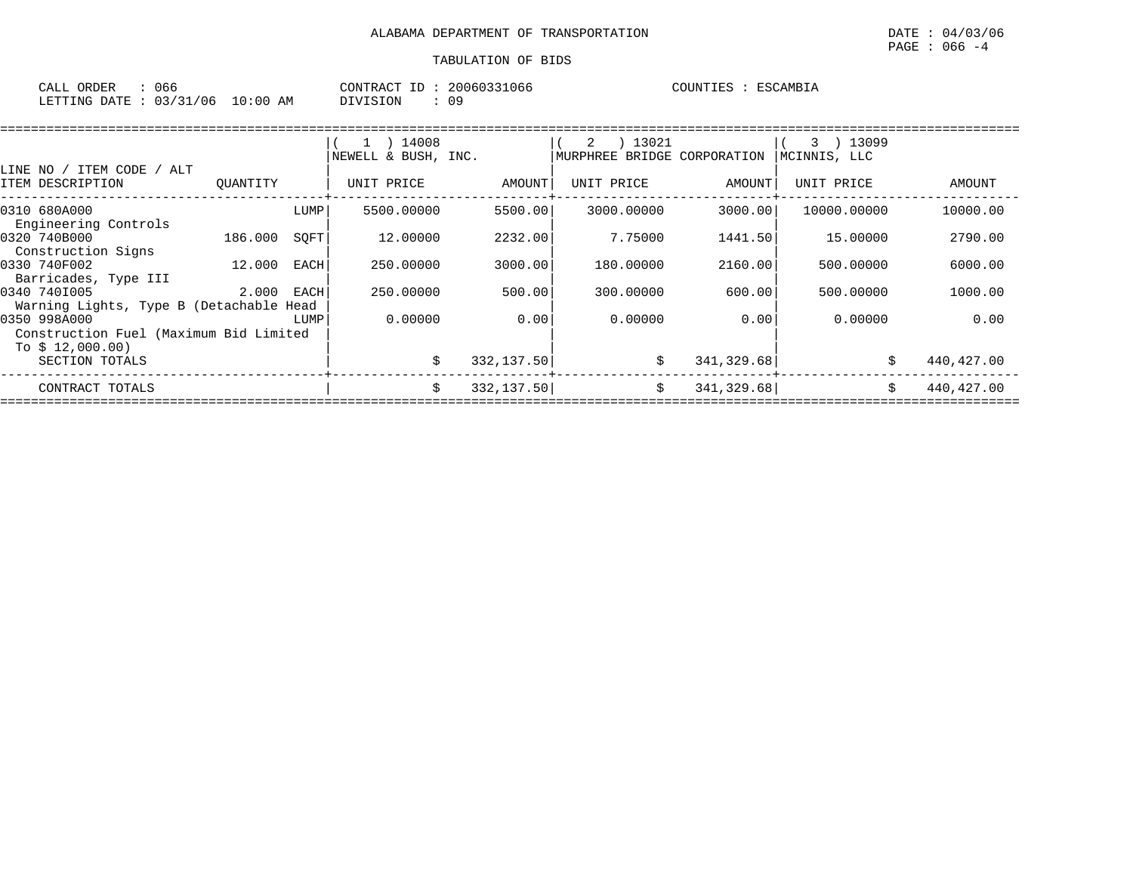| CALL ORDER                       | : 066 |          | CONTRACT ID: 20060331066 | COUNTIES : ESCAMBIA |
|----------------------------------|-------|----------|--------------------------|---------------------|
| LETTING DATE : 03/31/06 10:00 AM |       | DIVISION |                          |                     |

|                                         |          |             | 14008<br>-1 - 1     |            | 13021<br>2 |                    | 3 ) 13099    |            |
|-----------------------------------------|----------|-------------|---------------------|------------|------------|--------------------|--------------|------------|
|                                         |          |             | NEWELL & BUSH, INC. |            | MURPHREE   | BRIDGE CORPORATION | MCINNIS, LLC |            |
| LINE NO / ITEM CODE<br>ALT              |          |             |                     |            |            |                    |              |            |
| ITEM DESCRIPTION                        | OUANTITY |             | UNIT PRICE          | AMOUNT     | UNIT PRICE | AMOUNT             | UNIT PRICE   | AMOUNT     |
| 0310 680A000                            |          | LUMP        | 5500.00000          | 5500.00    | 3000.00000 | 3000.00            | 10000.00000  | 10000.00   |
| Engineering Controls                    |          |             |                     |            |            |                    |              |            |
| 0320 740B000                            | 186.000  | SOFT        | 12,00000            | 2232.00    | 7.75000    | 1441.50            | 15,00000     | 2790.00    |
| Construction Signs                      |          |             |                     |            |            |                    |              |            |
| 0330 740F002                            | 12.000   | <b>EACH</b> | 250.00000           | 3000.00    | 180.00000  | 2160.00            | 500,00000    | 6000.00    |
| Barricades, Type III                    |          |             |                     |            |            |                    |              |            |
| 0340 7401005                            | 2.000    | EACH        | 250.00000           | 500.00     | 300.00000  | 600.00             | 500,00000    | 1000.00    |
| Warning Lights, Type B (Detachable Head |          |             |                     |            |            |                    |              |            |
| 0350 998A000                            |          | LUMP        | 0.00000             | 0.00       | 0.00000    | 0.00               | 0.00000      | 0.00       |
| Construction Fuel (Maximum Bid Limited  |          |             |                     |            |            |                    |              |            |
| To $$12,000.00)$                        |          |             |                     |            |            |                    |              |            |
| SECTION TOTALS                          |          |             | Ŝ.                  | 332,137.50 | \$         | 341,329.68         |              | 440,427.00 |
| CONTRACT TOTALS                         |          |             | Ŝ.                  | 332,137.50 | \$         | 341, 329.68        |              | 440,427.00 |
|                                         |          |             |                     |            |            |                    |              |            |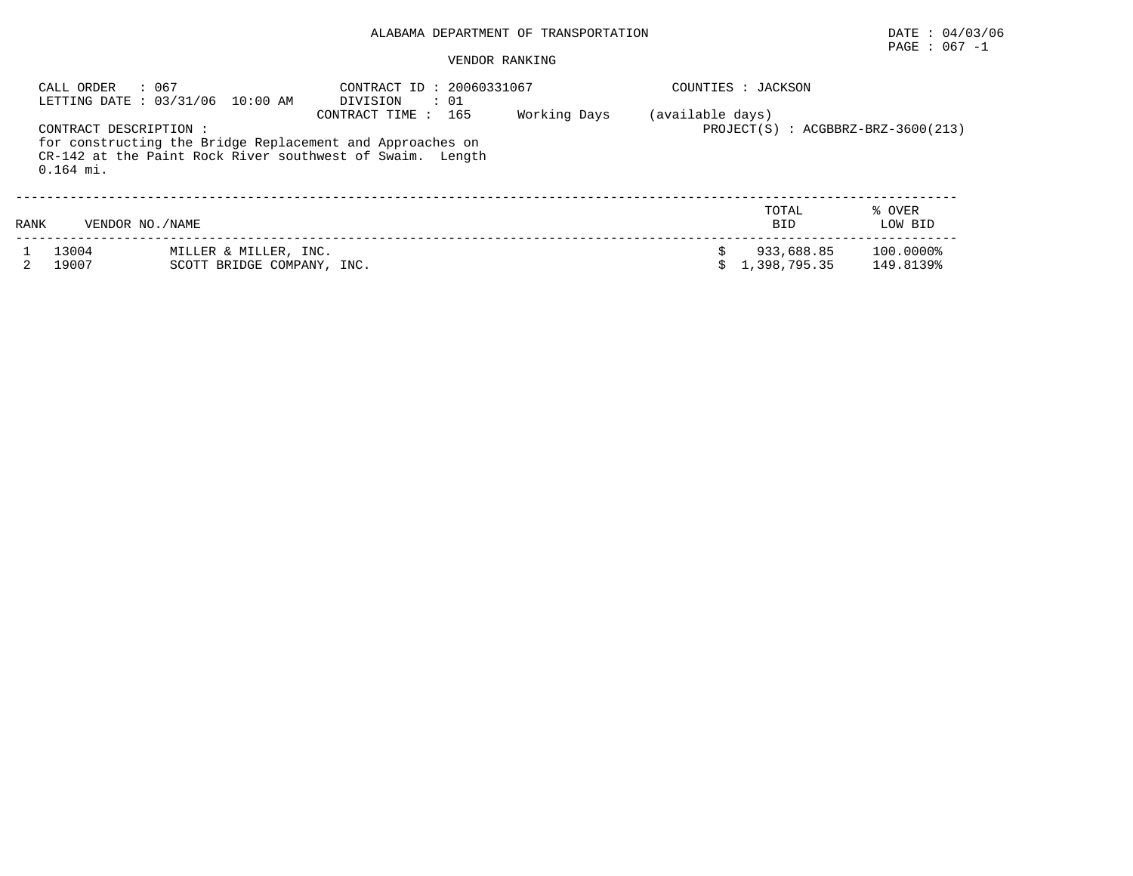# $\texttt{PAGE}$  : 067 -1

|      | : 067<br>CALL ORDER                   | LETTING DATE: 03/31/06 10:00 AM                                                                                        | CONTRACT ID: 20060331067<br>$\colon$ 01<br>DIVISION        |  |  | COUNTIES : JACKSON         |                        |  |  |  |
|------|---------------------------------------|------------------------------------------------------------------------------------------------------------------------|------------------------------------------------------------|--|--|----------------------------|------------------------|--|--|--|
|      | CONTRACT DESCRIPTION :<br>$0.164$ mi. | for constructing the Bridge Replacement and Approaches on<br>CR-142 at the Paint Rock River southwest of Swaim. Length | (available days)<br>$PROJECT(S)$ : $ACGBBRZ-BRZ-3600(213)$ |  |  |                            |                        |  |  |  |
| RANK | VENDOR NO. / NAME                     |                                                                                                                        |                                                            |  |  | TOTAL<br><b>BID</b>        | % OVER<br>LOW BID      |  |  |  |
|      | 13004<br>19007                        | MILLER & MILLER, INC.<br>SCOTT BRIDGE COMPANY, INC.                                                                    |                                                            |  |  | 933,688.85<br>1,398,795.35 | 100.0000%<br>149.8139% |  |  |  |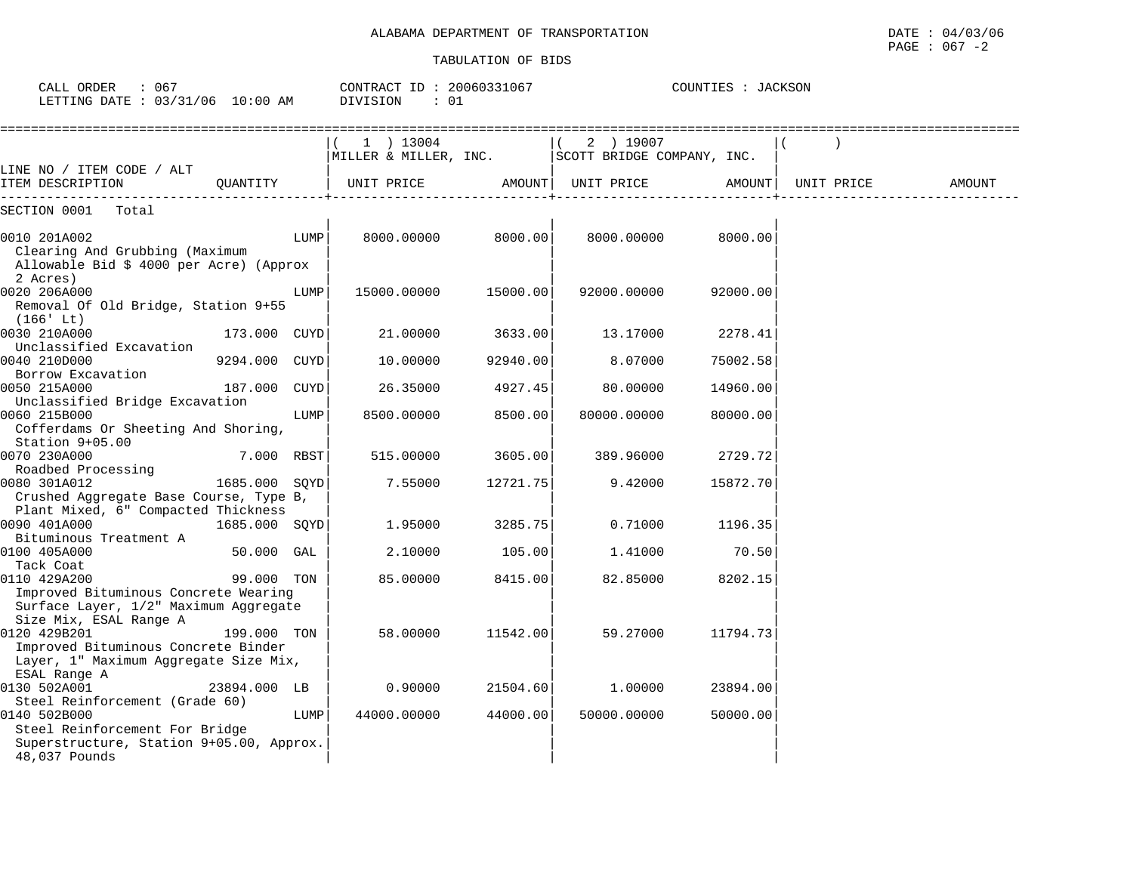CALL ORDER : 067 CONTRACT ID : 20060331067 COUNTIES : JACKSON

| ALABAMA                        | DATE                                      |
|--------------------------------|-------------------------------------------|
| \ DEPARTMENT OF TRANSPORTATION | 04/03/06                                  |
|                                |                                           |
|                                | : 067<br>PAGE<br>$\overline{\phantom{a}}$ |

| LETTING DATE : 03/31/06 10:00 AM                                                                                       |               |      | : 01<br>DIVISION                                                      |          |                     |          |                    |        |
|------------------------------------------------------------------------------------------------------------------------|---------------|------|-----------------------------------------------------------------------|----------|---------------------|----------|--------------------|--------|
|                                                                                                                        |               |      | 1 ) 13004<br>MILLER & MILLER, INC. $\vert$ SCOTT BRIDGE COMPANY, INC. |          | 2 ) 19007           |          |                    |        |
| LINE NO / ITEM CODE / ALT<br>ITEM DESCRIPTION                                                                          | OUANTITY      |      | UNIT PRICE                                                            |          | AMOUNT   UNIT PRICE |          | AMOUNT  UNIT PRICE | AMOUNT |
| SECTION 0001 Total                                                                                                     |               |      |                                                                       |          |                     |          |                    |        |
| 0010 201A002<br>Clearing And Grubbing (Maximum<br>Allowable Bid \$ 4000 per Acre) (Approx                              |               | LUMP | 8000.00000                                                            | 8000.00  | 8000.00000          | 8000.00  |                    |        |
| 2 Acres)<br>0020 206A000<br>Removal Of Old Bridge, Station 9+55<br>(166' Lt)                                           |               | LUMP | 15000.00000                                                           | 15000.00 | 92000.00000         | 92000.00 |                    |        |
| 0030 210A000<br>Unclassified Excavation                                                                                | 173.000 CUYD  |      | 21.00000                                                              | 3633.00  | 13.17000            | 2278.41  |                    |        |
| 0040 210D000                                                                                                           | 9294.000 CUYD |      | 10.00000                                                              | 92940.00 | 8.07000             | 75002.58 |                    |        |
| Borrow Excavation<br>0050 215A000                                                                                      | 187.000 CUYD  |      | 26.35000                                                              | 4927.45  | 80.00000            | 14960.00 |                    |        |
| Unclassified Bridge Excavation<br>0060 215B000<br>Cofferdams Or Sheeting And Shoring,                                  |               | LUMP | 8500.00000                                                            | 8500.00  | 80000.00000         | 80000.00 |                    |        |
| Station $9+05.00$<br>0070 230A000<br>Roadbed Processing                                                                | 7.000 RBST    |      | 515.00000                                                             | 3605.00  | 389.96000           | 2729.72  |                    |        |
| 0080 301A012<br>Crushed Aggregate Base Course, Type B,                                                                 | 1685.000 SOYD |      | 7.55000                                                               | 12721.75 | 9.42000             | 15872.70 |                    |        |
| Plant Mixed, 6" Compacted Thickness<br>0090 401A000<br>Bituminous Treatment A                                          | 1685.000 SOYD |      | 1.95000                                                               | 3285.75  | 0.71000             | 1196.35  |                    |        |
| 0100 405A000<br>Tack Coat                                                                                              | 50.000 GAL    |      | 2.10000                                                               | 105.00   | 1.41000             | 70.50    |                    |        |
| 0110 429A200<br>Improved Bituminous Concrete Wearing<br>Surface Layer, 1/2" Maximum Aggregate                          | 99.000 TON    |      | 85.00000                                                              | 8415.00  | 82.85000            | 8202.15  |                    |        |
| Size Mix, ESAL Range A<br>0120 429B201<br>Improved Bituminous Concrete Binder<br>Layer, 1" Maximum Aggregate Size Mix, | 199.000 TON   |      | 58.00000                                                              | 11542.00 | 59.27000            | 11794.73 |                    |        |
| ESAL Range A<br>0130 502A001<br>Steel Reinforcement (Grade 60)                                                         | 23894.000 LB  |      | 0.90000                                                               | 21504.60 | 1.00000             | 23894.00 |                    |        |
| 0140 502B000<br>Steel Reinforcement For Bridge                                                                         |               | LUMP | 44000.00000                                                           | 44000.00 | 50000.00000         | 50000.00 |                    |        |

 Superstructure, Station 9+05.00, Approx.| | | 48,037 Pounds | | |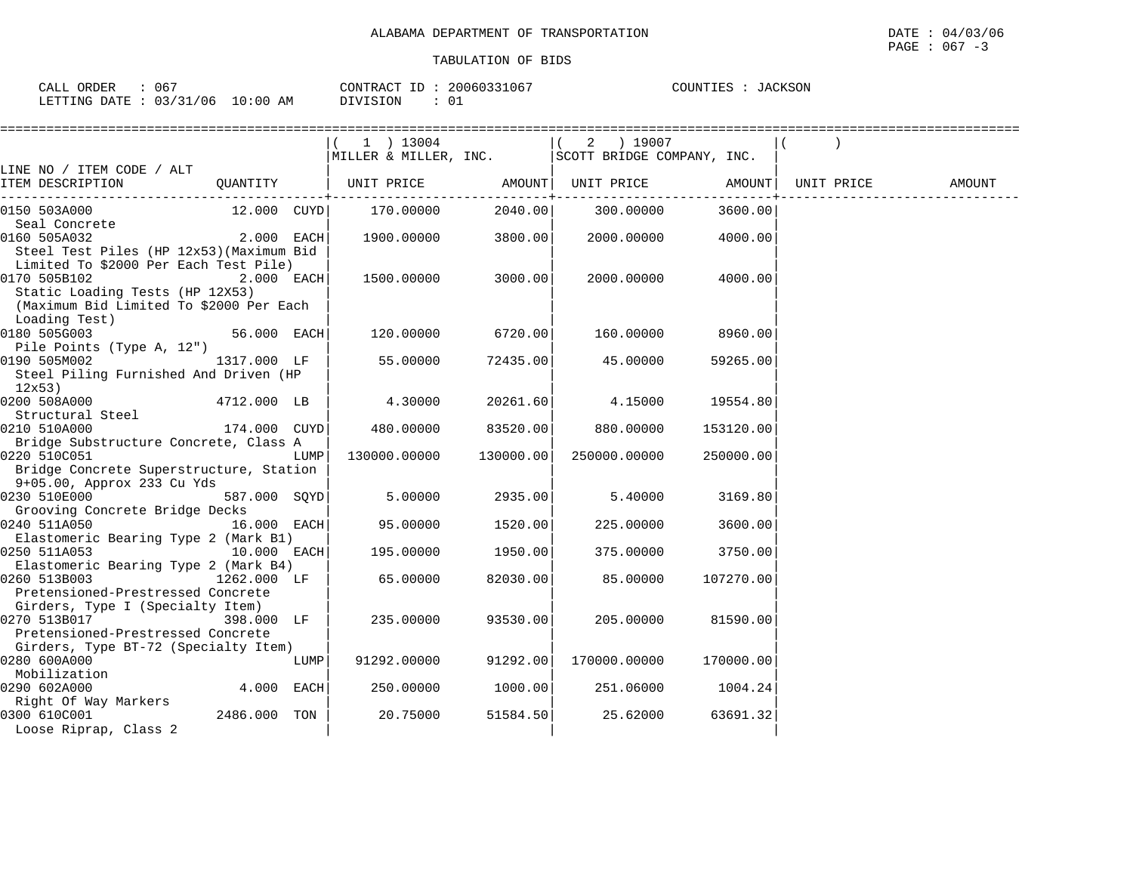| $06-$<br>ORDER<br>CALL                 |                    | CONTRACT<br>$\Box$ | 20060331067 | <b>JACKSON</b><br>COUNTIES |
|----------------------------------------|--------------------|--------------------|-------------|----------------------------|
| 0.3/31<br>'06<br>LETTING<br>DATE<br>ັບ | 00:01<br>AΜ<br>- U | . പ പ പ            |             |                            |

|                                          |               |      | $(1)$ 13004                                        |                                         | $(2)$ 19007       |           |            |        |
|------------------------------------------|---------------|------|----------------------------------------------------|-----------------------------------------|-------------------|-----------|------------|--------|
|                                          |               |      | MILLER & MILLER, INC.   SCOTT BRIDGE COMPANY, INC. |                                         |                   |           |            |        |
| LINE NO / ITEM CODE / ALT                |               |      |                                                    |                                         |                   |           |            |        |
| ITEM DESCRIPTION                         |               |      | QUANTITY   UNIT PRICE AMOUNT                       | . _ _ _ _ _ _ _ _ _ _ _ + _ _ _ _ _ _ _ | UNIT PRICE AMOUNT |           | UNIT PRICE | AMOUNT |
| 0150 503A000                             | 12.000 CUYD   |      | 170.00000                                          | 2040.00                                 | 300.00000         | 3600.00   |            |        |
| Seal Concrete                            |               |      |                                                    |                                         |                   |           |            |        |
| 0160 505A032                             | $2.000$ EACH  |      | 1900.00000                                         | 3800.00                                 | 2000.00000        | 4000.00   |            |        |
| Steel Test Piles (HP 12x53) (Maximum Bid |               |      |                                                    |                                         |                   |           |            |        |
| Limited To \$2000 Per Each Test Pile)    |               |      |                                                    |                                         |                   |           |            |        |
| 0170 505B102                             | $2.000$ EACH  |      | 1500.00000                                         | 3000.00                                 | 2000.00000        | 4000.00   |            |        |
| Static Loading Tests (HP 12X53)          |               |      |                                                    |                                         |                   |           |            |        |
| (Maximum Bid Limited To \$2000 Per Each  |               |      |                                                    |                                         |                   |           |            |        |
| Loading Test)                            |               |      |                                                    |                                         |                   |           |            |        |
| 0180 505G003                             | $56.000$ EACH |      | 120.00000                                          | 6720.00                                 | 160.00000         | 8960.00   |            |        |
| Pile Points (Type A, 12")                |               |      |                                                    |                                         |                   |           |            |        |
| 0190 505M002                             | 1317.000 LF   |      | 55.00000                                           | 72435.00                                | 45.00000          | 59265.00  |            |        |
| Steel Piling Furnished And Driven (HP    |               |      |                                                    |                                         |                   |           |            |        |
| 12x53)<br>0200 508A000                   | 4712.000 LB   |      | 4.30000                                            | 20261.60                                | 4.15000           | 19554.80  |            |        |
| Structural Steel                         |               |      |                                                    |                                         |                   |           |            |        |
| 0210 510A000                             | 174.000 CUYD  |      | 480.00000                                          | 83520.00                                | 880.00000         | 153120.00 |            |        |
| Bridge Substructure Concrete, Class A    |               |      |                                                    |                                         |                   |           |            |        |
| 0220 510C051                             |               | LUMP | 130000.00000                                       | 130000.00                               | 250000.00000      | 250000.00 |            |        |
| Bridge Concrete Superstructure, Station  |               |      |                                                    |                                         |                   |           |            |        |
| 9+05.00, Approx 233 Cu Yds               |               |      |                                                    |                                         |                   |           |            |        |
| 0230 510E000                             | 587.000 SOYD  |      | 5.00000                                            | 2935.00                                 | 5.40000           | 3169.80   |            |        |
| Grooving Concrete Bridge Decks           |               |      |                                                    |                                         |                   |           |            |        |
| 0240 511A050                             | 16.000 EACH   |      | 95.00000                                           | 1520.00                                 | 225.00000         | 3600.00   |            |        |
| Elastomeric Bearing Type 2 (Mark B1)     |               |      |                                                    |                                         |                   |           |            |        |
| 0250 511A053                             | 10.000 EACH   |      | 195.00000                                          | 1950.00                                 | 375.00000         | 3750.00   |            |        |
| Elastomeric Bearing Type 2 (Mark B4)     |               |      |                                                    |                                         |                   |           |            |        |
| 0260 513B003                             | 1262.000 LF   |      | 65.00000                                           | 82030.00                                | 85.00000          | 107270.00 |            |        |
| Pretensioned-Prestressed Concrete        |               |      |                                                    |                                         |                   |           |            |        |
| Girders, Type I (Specialty Item)         |               |      |                                                    |                                         |                   |           |            |        |
| 0270 513B017                             | 398.000 LF    |      | 235.00000                                          | 93530.00                                | 205,00000         | 81590.00  |            |        |
| Pretensioned-Prestressed Concrete        |               |      |                                                    |                                         |                   |           |            |        |
| Girders, Type BT-72 (Specialty Item)     |               |      |                                                    |                                         |                   |           |            |        |
| 0280 600A000                             |               | LUMP | 91292.00000                                        | 91292.00                                | 170000.00000      | 170000.00 |            |        |
| Mobilization                             |               |      |                                                    |                                         |                   |           |            |        |
| 0290 602A000<br>Right Of Way Markers     | 4.000 EACH    |      | 250.00000                                          | 1000.00                                 | 251.06000         | 1004.24   |            |        |
| 0300 610C001                             | 2486.000 TON  |      | 20.75000                                           | 51584.50                                | 25.62000          | 63691.32  |            |        |
| Loose Riprap, Class 2                    |               |      |                                                    |                                         |                   |           |            |        |
|                                          |               |      |                                                    |                                         |                   |           |            |        |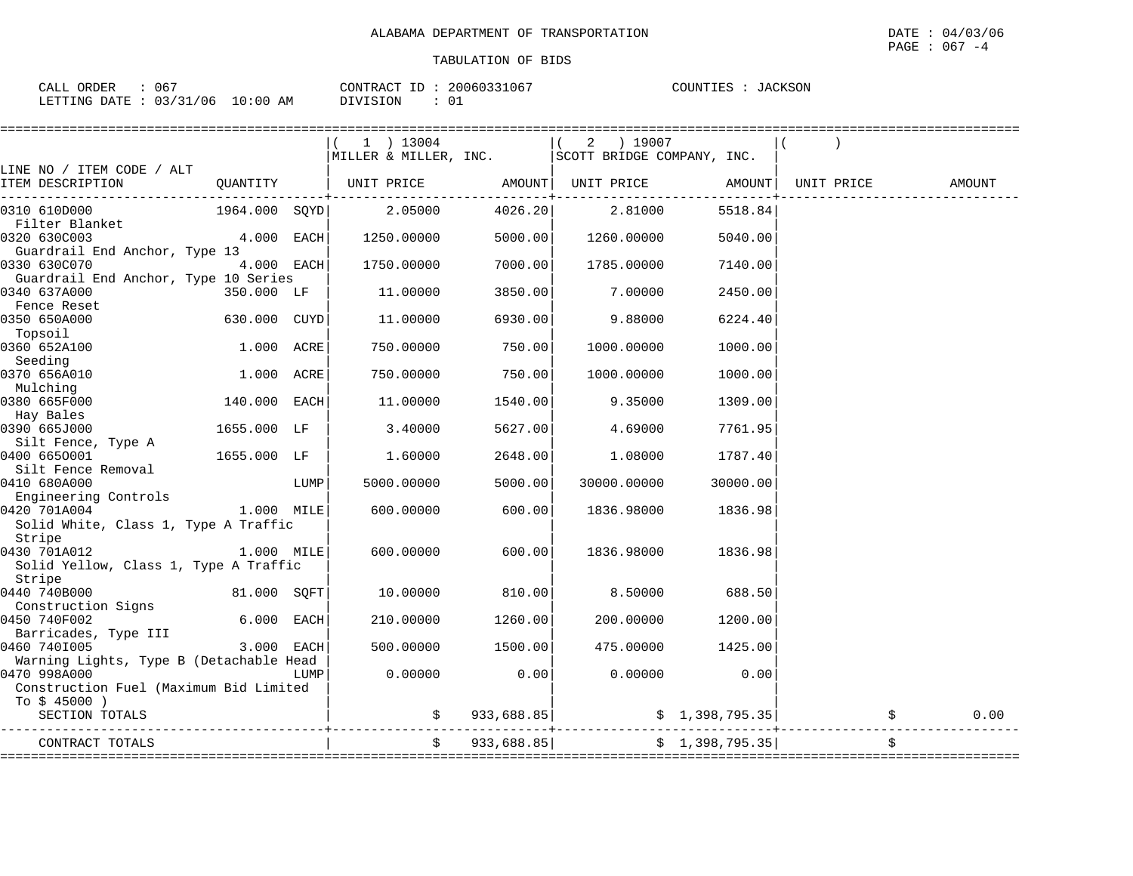| 067<br>CALL ORDER               | CONTRACT ID: 20060331067 | COUNTIES : JACKSON |
|---------------------------------|--------------------------|--------------------|
| LETTING DATE: 03/31/06 10:00 AM | DIVISION                 |                    |

|                                                                         |               |      | =================<br>$(1)$ 13004<br>MILLER & MILLER, INC.   SCOTT BRIDGE COMPANY, INC. |               | $(2)$ 19007 |                 |            |        |
|-------------------------------------------------------------------------|---------------|------|----------------------------------------------------------------------------------------|---------------|-------------|-----------------|------------|--------|
| LINE NO / ITEM CODE / ALT<br>ITEM DESCRIPTION                           |               |      |                                                                                        |               |             |                 | UNIT PRICE | AMOUNT |
| 0310 610D000                                                            | 1964.000 SQYD |      | 2.05000                                                                                | 4026.20       | 2.81000     | 5518.84         |            |        |
| Filter Blanket<br>0320 630C003<br>Guardrail End Anchor, Type 13         | 4.000 EACH    |      | 1250.00000                                                                             | 5000.00       | 1260.00000  | 5040.00         |            |        |
| 0330 630C070<br>Guardrail End Anchor, Type 10 Series                    | 4.000 EACH    |      | 1750.00000                                                                             | 7000.00       | 1785.00000  | 7140.00         |            |        |
| 0340 637A000<br>Fence Reset                                             | 350.000 LF    |      | 11.00000                                                                               | 3850.00       | 7.00000     | 2450.00         |            |        |
| 0350 650A000<br>Topsoil                                                 | 630.000 CUYD  |      | 11.00000                                                                               | 6930.00       | 9.88000     | 6224.40         |            |        |
| 0360 652A100<br>Seeding                                                 | 1.000 ACRE    |      | 750.00000                                                                              | 750.00        | 1000.00000  | 1000.00         |            |        |
| 0370 656A010<br>Mulching                                                | 1.000 ACRE    |      | 750.00000                                                                              | 750.00        | 1000.00000  | 1000.00         |            |        |
| 0380 665F000<br>Hay Bales                                               | 140.000 EACH  |      | 11.00000                                                                               | 1540.00       | 9.35000     | 1309.00         |            |        |
| 0390 665J000<br>Silt Fence, Type A                                      | 1655.000 LF   |      | 3.40000                                                                                | 5627.00       | 4.69000     | 7761.95         |            |        |
| 0400 6650001<br>Silt Fence Removal                                      | 1655.000 LF   |      | 1.60000                                                                                | 2648.00       | 1.08000     | 1787.40         |            |        |
| 0410 680A000<br>Engineering Controls                                    |               | LUMP | 5000.00000                                                                             | 5000.00       | 30000.00000 | 30000.00        |            |        |
| 0420 701A004<br>Solid White, Class 1, Type A Traffic<br>Stripe          | 1.000 MILE    |      | 600.00000                                                                              | 600.00        | 1836.98000  | 1836.98         |            |        |
| 0430 701A012<br>Solid Yellow, Class 1, Type A Traffic<br>Stripe         | 1.000 MILE    |      | 600.00000                                                                              | 600.001       | 1836.98000  | 1836.98         |            |        |
| 0440 740B000<br>Construction Signs                                      | 81.000 SOFT   |      | 10.00000                                                                               | 810.00        | 8.50000     | 688.50          |            |        |
| 0450 740F002<br>Barricades, Type III                                    | 6.000 EACH    |      | 210.00000                                                                              | 1260.00       | 200.00000   | 1200.00         |            |        |
| 0460 7401005<br>Warning Lights, Type B (Detachable Head                 | 3.000 EACH    |      | 500.00000                                                                              | 1500.00       | 475.00000   | 1425.00         |            |        |
| 0470 998A000<br>Construction Fuel (Maximum Bid Limited<br>To $$45000$ ) |               | LUMP | 0.00000                                                                                | 0.00          | 0.00000     | 0.00            |            |        |
| SECTION TOTALS                                                          |               |      |                                                                                        | \$933,688.85] |             | \$1,398,795.35] |            | 0.00   |
| CONTRACT TOTALS                                                         |               |      |                                                                                        | \$933,688.85] |             | \$1,398,795.35] |            |        |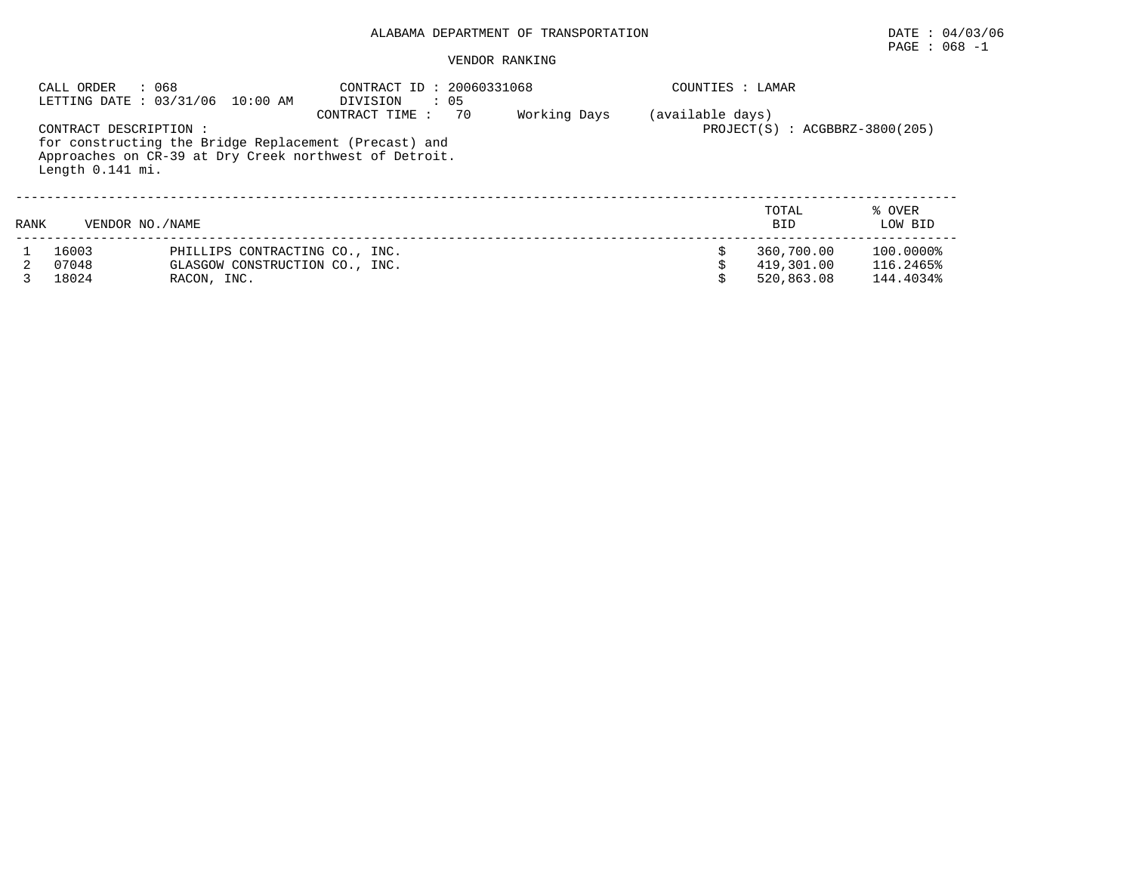# PAGE : 068 -1

|      | : 068<br>CALL ORDER<br>LETTING DATE : 03/31/06 10:00 AM |                                | CONTRACT ID: 20060331068<br>DIVISION<br>$\therefore$ 05 |    |              | COUNTIES : LAMAR |                                    |           |
|------|---------------------------------------------------------|--------------------------------|---------------------------------------------------------|----|--------------|------------------|------------------------------------|-----------|
|      |                                                         |                                | CONTRACT TIME:                                          | 70 | Working Days | (available days) |                                    |           |
|      | CONTRACT DESCRIPTION :                                  |                                |                                                         |    |              |                  | $PROJECT(S)$ : $ACGBBRZ-3800(205)$ |           |
|      | for constructing the Bridge Replacement (Precast) and   |                                |                                                         |    |              |                  |                                    |           |
|      | Approaches on CR-39 at Dry Creek northwest of Detroit.  |                                |                                                         |    |              |                  |                                    |           |
|      | Length 0.141 mi.                                        |                                |                                                         |    |              |                  |                                    |           |
|      |                                                         |                                |                                                         |    |              |                  |                                    |           |
|      |                                                         |                                |                                                         |    |              |                  | TOTAL                              | % OVER    |
| RANK | VENDOR NO. / NAME                                       |                                |                                                         |    |              |                  | <b>BID</b>                         | LOW BID   |
|      | 16003                                                   | PHILLIPS CONTRACTING CO., INC. |                                                         |    |              |                  | 360,700.00                         | 100.0000% |
|      | 07048                                                   | GLASGOW CONSTRUCTION CO., INC. |                                                         |    |              |                  | 419,301.00                         | 116.2465% |
|      | 18024                                                   | RACON, INC.                    |                                                         |    |              |                  | 520,863.08                         | 144.4034% |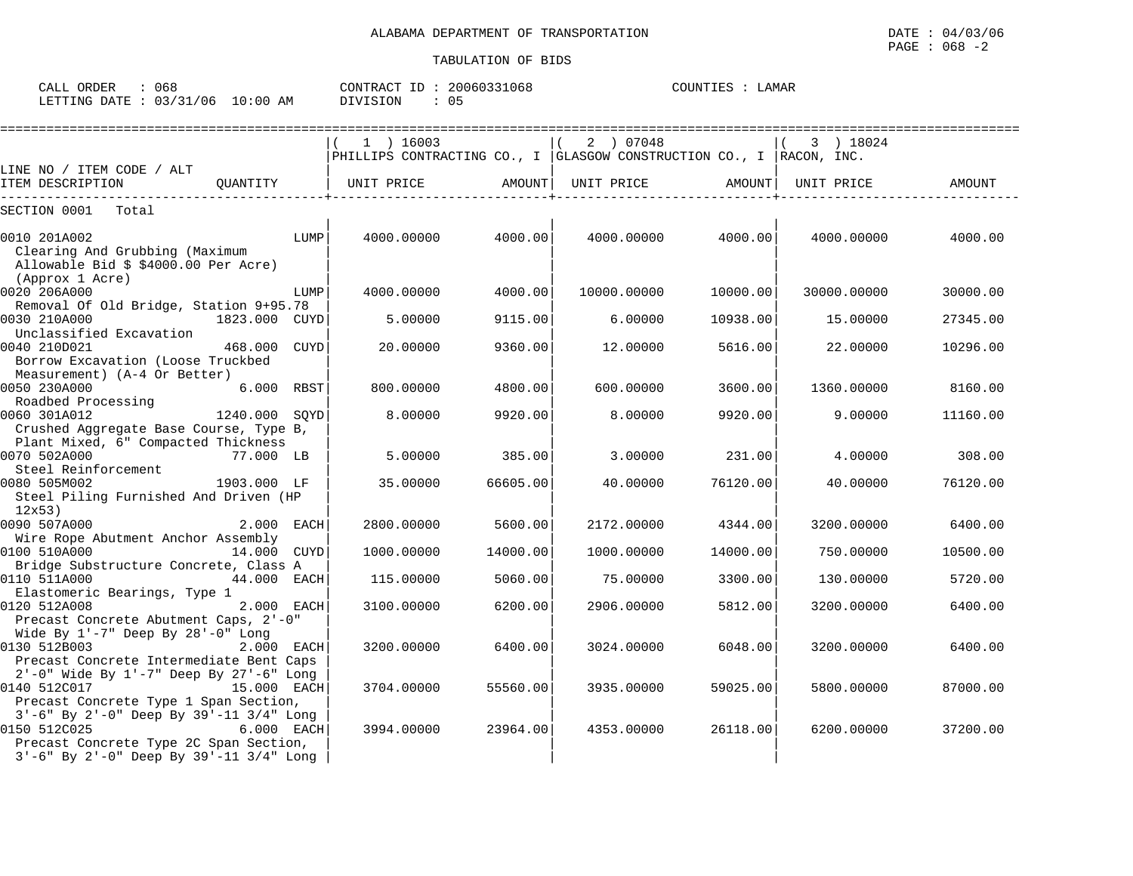| CALL \ | ORDER          | u 68     |            | CONTRACT | 20060331068 | COUNTIES | LAMAR |  |
|--------|----------------|----------|------------|----------|-------------|----------|-------|--|
|        | LETTING DATE : | 03/31/06 | $10:00$ AM | DIVISION | 05          |          |       |  |

|                                                                                  |                 | $1$ ) 16003                                                             |          | 2 ) 07048   |          | 3 ) 18024   |          |
|----------------------------------------------------------------------------------|-----------------|-------------------------------------------------------------------------|----------|-------------|----------|-------------|----------|
|                                                                                  |                 | PHILLIPS CONTRACTING CO., I GLASGOW CONSTRUCTION CO., I $ $ RACON, INC. |          |             |          |             |          |
| LINE NO / ITEM CODE / ALT                                                        |                 |                                                                         |          |             |          |             |          |
| ITEM DESCRIPTION                                                                 | OUANTITY        | UNIT PRICE                                                              | AMOUNT   | UNIT PRICE  | AMOUNT   | UNIT PRICE  | AMOUNT   |
| SECTION 0001<br>Total                                                            |                 |                                                                         |          |             |          |             |          |
| 0010 201A002                                                                     | LUMP            | 4000.00000                                                              | 4000.00  | 4000.00000  | 4000.00  | 4000.00000  | 4000.00  |
| Clearing And Grubbing (Maximum<br>Allowable Bid \$ \$4000.00 Per Acre)           |                 |                                                                         |          |             |          |             |          |
| (Approx 1 Acre)                                                                  |                 |                                                                         |          |             |          |             |          |
| 0020 206A000<br>Removal Of Old Bridge, Station 9+95.78                           | LUMP            | 4000.00000                                                              | 4000.00  | 10000.00000 | 10000.00 | 30000.00000 | 30000.00 |
| 0030 210A000<br>Unclassified Excavation                                          | 1823.000 CUYD   | 5.00000                                                                 | 9115.00  | 6.00000     | 10938.00 | 15.00000    | 27345.00 |
| 0040 210D021<br>Borrow Excavation (Loose Truckbed                                | 468.000<br>CUYD | 20.00000                                                                | 9360.00  | 12.00000    | 5616.00  | 22.00000    | 10296.00 |
| Measurement) (A-4 Or Better)                                                     |                 |                                                                         |          |             |          |             |          |
| 0050 230A000<br>Roadbed Processing                                               | 6.000 RBST      | 800,00000                                                               | 4800.00  | 600.00000   | 3600.00  | 1360.00000  | 8160.00  |
| 0060 301A012                                                                     | 1240.000 SOYD   | 8,00000                                                                 | 9920.00  | 8,00000     | 9920.00  | 9.00000     | 11160.00 |
| Crushed Aggregate Base Course, Type B,<br>Plant Mixed, 6" Compacted Thickness    |                 |                                                                         |          |             |          |             |          |
| 0070 502A000                                                                     | 77.000 LB       | 5.00000                                                                 | 385.00   | 3.00000     | 231.00   | 4.00000     | 308.00   |
| Steel Reinforcement                                                              |                 |                                                                         |          |             |          |             |          |
| 0080 505M002<br>Steel Piling Furnished And Driven (HP<br>12x53                   | 1903.000 LF     | 35.00000                                                                | 66605.00 | 40.00000    | 76120.00 | 40.00000    | 76120.00 |
| 0090 507A000                                                                     | 2.000 EACH      | 2800.00000                                                              | 5600.00  | 2172.00000  | 4344.00  | 3200.00000  | 6400.00  |
| Wire Rope Abutment Anchor Assembly                                               |                 |                                                                         |          |             |          |             |          |
| 0100 510A000                                                                     | 14.000 CUYD     | 1000.00000                                                              | 14000.00 | 1000.00000  | 14000.00 | 750.00000   | 10500.00 |
| Bridge Substructure Concrete, Class A                                            |                 |                                                                         |          |             |          |             |          |
| 0110 511A000                                                                     | 44.000 EACH     | 115.00000                                                               | 5060.00  | 75.00000    | 3300.00  | 130.00000   | 5720.00  |
| Elastomeric Bearings, Type 1<br>0120 512A008                                     | 2.000 EACH      | 3100.00000                                                              | 6200.00  | 2906.00000  | 5812.00  | 3200.00000  | 6400.00  |
| Precast Concrete Abutment Caps, 2'-0"<br>Wide By $1'-7$ " Deep By $28'-0$ " Long |                 |                                                                         |          |             |          |             |          |
| 0130 512B003                                                                     | 2.000 EACH      | 3200.00000                                                              | 6400.00  | 3024.00000  | 6048.00  | 3200.00000  | 6400.00  |
| Precast Concrete Intermediate Bent Caps                                          |                 |                                                                         |          |             |          |             |          |
| 2'-0" Wide By 1'-7" Deep By 27'-6" Long                                          |                 |                                                                         |          |             |          |             |          |
| 0140 512C017                                                                     | 15.000 EACH     | 3704.00000                                                              | 55560.00 | 3935.00000  | 59025.00 | 5800.00000  | 87000.00 |
| Precast Concrete Type 1 Span Section,                                            |                 |                                                                         |          |             |          |             |          |
| 3'-6" By 2'-0" Deep By 39'-11 3/4" Long                                          |                 |                                                                         |          |             |          |             |          |
| 0150 512C025                                                                     | 6.000 EACH      | 3994.00000                                                              | 23964.00 | 4353.00000  | 26118.00 | 6200.00000  | 37200.00 |
| Precast Concrete Type 2C Span Section,                                           |                 |                                                                         |          |             |          |             |          |
| $3'-6$ " By $2'-0$ " Deep By $39'-11$ $3/4$ " Long                               |                 |                                                                         |          |             |          |             |          |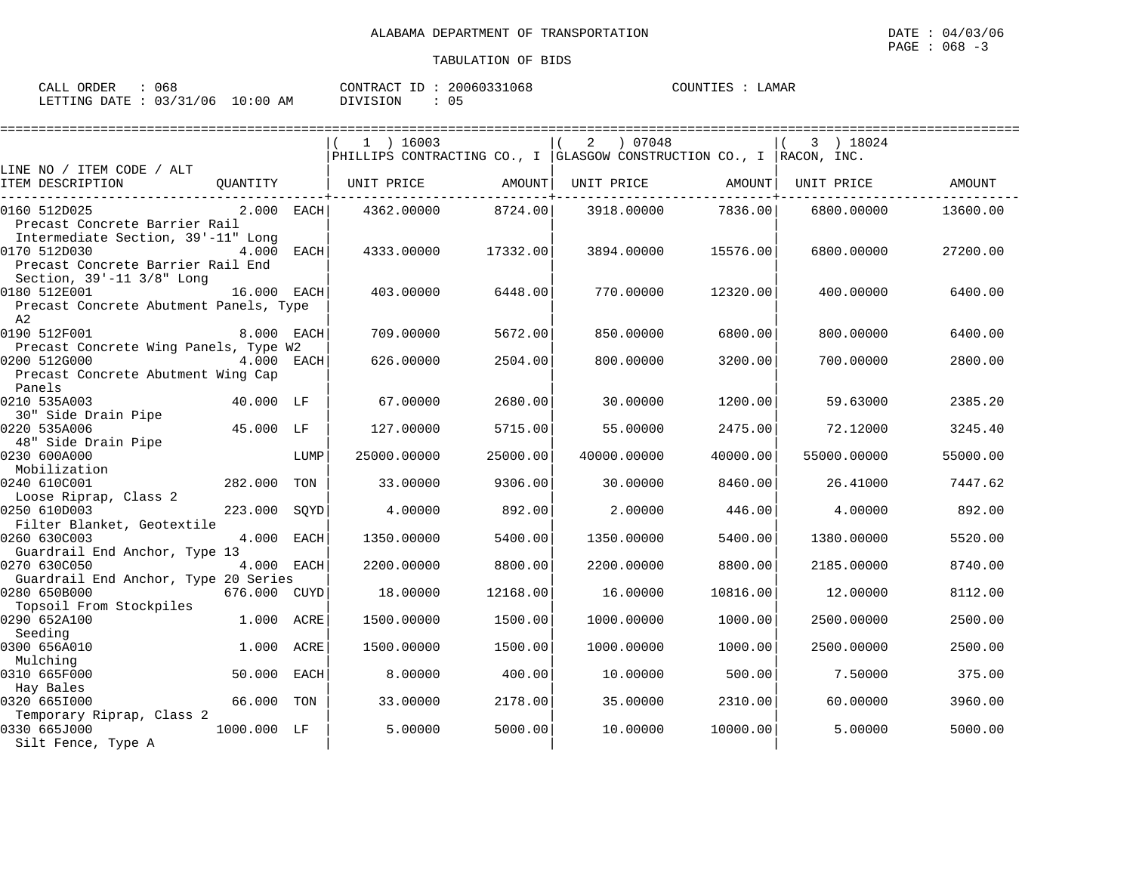| ORDER<br>CALL          | 068 |            | CONTRACT<br>ID | 20060331068 | COUNTIES | LAMAR |  |
|------------------------|-----|------------|----------------|-------------|----------|-------|--|
| LETTING DATE: 03/31/06 |     | $10:00$ AM | DIVISION       | 05          |          |       |  |

|                                        |              |      |                                                                     |          |             |          |             | ======================= |
|----------------------------------------|--------------|------|---------------------------------------------------------------------|----------|-------------|----------|-------------|-------------------------|
|                                        |              |      | 1 ) 16003                                                           |          | 07048<br>2  |          | 3 ) 18024   |                         |
|                                        |              |      | PHILLIPS CONTRACTING CO., I GLASGOW CONSTRUCTION CO., I RACON, INC. |          |             |          |             |                         |
| LINE NO / ITEM CODE / ALT              |              |      |                                                                     |          |             |          |             |                         |
| ITEM DESCRIPTION                       | QUANTITY     |      | UNIT PRICE                                                          | AMOUNT   | UNIT PRICE  | AMOUNT   | UNIT PRICE  | AMOUNT                  |
| 0160 512D025                           | $2.000$ EACH |      | 4362.00000                                                          | 8724.00  | 3918.00000  | 7836.00  | 6800.00000  | 13600.00                |
| Precast Concrete Barrier Rail          |              |      |                                                                     |          |             |          |             |                         |
| Intermediate Section, 39'-11" Long     |              |      |                                                                     |          |             |          |             |                         |
| 0170 512D030                           | 4.000        | EACH | 4333.00000                                                          | 17332.00 | 3894.00000  | 15576.00 | 6800,00000  | 27200.00                |
| Precast Concrete Barrier Rail End      |              |      |                                                                     |          |             |          |             |                         |
| Section, 39'-11 3/8" Long              |              |      |                                                                     |          |             |          |             |                         |
| 0180 512E001                           | 16.000 EACH  |      | 403.00000                                                           | 6448.00  | 770.00000   | 12320.00 | 400.00000   | 6400.00                 |
| Precast Concrete Abutment Panels, Type |              |      |                                                                     |          |             |          |             |                         |
| A2                                     |              |      |                                                                     |          |             |          |             |                         |
| 0190 512F001                           | 8.000 EACH   |      | 709,00000                                                           | 5672.00  | 850.00000   | 6800.00  | 800,00000   | 6400.00                 |
| Precast Concrete Wing Panels, Type W2  |              |      |                                                                     |          |             |          |             |                         |
| 0200 512G000                           | 4.000 EACH   |      | 626.00000                                                           | 2504.00  | 800.00000   | 3200.00  | 700.00000   | 2800.00                 |
| Precast Concrete Abutment Wing Cap     |              |      |                                                                     |          |             |          |             |                         |
| Panels                                 |              |      |                                                                     |          |             |          |             |                         |
| 0210 535A003                           | 40.000 LF    |      | 67.00000                                                            | 2680.00  | 30.00000    | 1200.00  | 59.63000    | 2385.20                 |
| 30" Side Drain Pipe                    |              |      |                                                                     |          |             |          |             |                         |
| 0220 535A006                           | 45.000 LF    |      | 127.00000                                                           | 5715.00  | 55.00000    | 2475.00  | 72.12000    | 3245.40                 |
| 48" Side Drain Pipe                    |              |      |                                                                     |          |             |          |             |                         |
| 0230 600A000                           |              | LUMP | 25000.00000                                                         | 25000.00 | 40000.00000 | 40000.00 | 55000.00000 | 55000.00                |
| Mobilization<br>0240 610C001           | 282.000 TON  |      | 33,00000                                                            | 9306.00  | 30,00000    | 8460.00  | 26.41000    | 7447.62                 |
|                                        |              |      |                                                                     |          |             |          |             |                         |
| Loose Riprap, Class 2<br>0250 610D003  | 223.000      | SOYD | 4.00000                                                             | 892.00   | 2,00000     | 446.00   | 4.00000     | 892.00                  |
| Filter Blanket, Geotextile             |              |      |                                                                     |          |             |          |             |                         |
| 0260 630C003                           | 4.000 EACH   |      | 1350.00000                                                          | 5400.00  | 1350.00000  | 5400.00  | 1380.00000  | 5520.00                 |
| Guardrail End Anchor, Type 13          |              |      |                                                                     |          |             |          |             |                         |
| 0270 630C050                           | 4.000 EACH   |      | 2200.00000                                                          | 8800.00  | 2200.00000  | 8800.00  | 2185.00000  | 8740.00                 |
| Guardrail End Anchor, Type 20 Series   |              |      |                                                                     |          |             |          |             |                         |
| 0280 650B000                           | 676.000 CUYD |      | 18.00000                                                            | 12168.00 | 16.00000    | 10816.00 | 12.00000    | 8112.00                 |
| Topsoil From Stockpiles                |              |      |                                                                     |          |             |          |             |                         |
| 0290 652A100                           | 1.000 ACRE   |      | 1500.00000                                                          | 1500.00  | 1000.00000  | 1000.00  | 2500.00000  | 2500.00                 |
| Seeding                                |              |      |                                                                     |          |             |          |             |                         |
| 0300 656A010                           | 1.000        | ACRE | 1500.00000                                                          | 1500.00  | 1000.00000  | 1000.00  | 2500.00000  | 2500.00                 |
| Mulching                               |              |      |                                                                     |          |             |          |             |                         |
| 0310 665F000                           | 50.000       | EACH | 8,00000                                                             | 400.00   | 10.00000    | 500.00   | 7.50000     | 375.00                  |
| Hay Bales                              |              |      |                                                                     |          |             |          |             |                         |
| 0320 6651000                           | 66.000 TON   |      | 33.00000                                                            | 2178.00  | 35.00000    | 2310.00  | 60.00000    | 3960.00                 |
| Temporary Riprap, Class 2              |              |      |                                                                     |          |             |          |             |                         |
| 0330 665J000                           | 1000.000 LF  |      | 5.00000                                                             | 5000.00  | 10.00000    | 10000.00 | 5.00000     | 5000.00                 |
| Silt Fence, Type A                     |              |      |                                                                     |          |             |          |             |                         |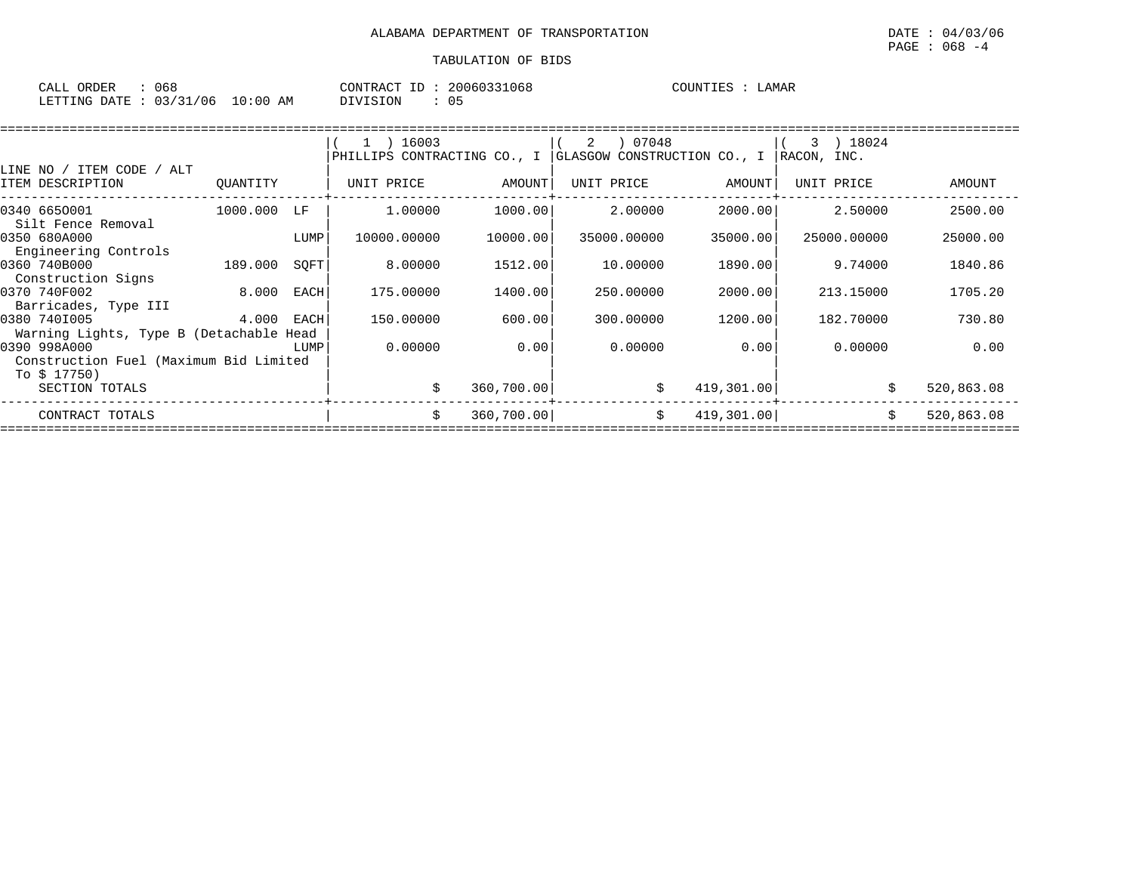| CALL \ | ORDER          | u 68     |            | CONTRACT | 20060331068 | COUNTIES | LAMAR |  |
|--------|----------------|----------|------------|----------|-------------|----------|-------|--|
|        | LETTING DATE : | 03/31/06 | $10:00$ AM | DIVISION | 05          |          |       |  |

|                                                         |             |      | $1$ ) 16003 |             | 07048<br>2                                              |            | 3 ) 18024   |            |
|---------------------------------------------------------|-------------|------|-------------|-------------|---------------------------------------------------------|------------|-------------|------------|
|                                                         |             |      |             |             | PHILLIPS CONTRACTING CO., I GLASGOW CONSTRUCTION CO., I |            | RACON, INC. |            |
| LINE NO / ITEM CODE / ALT                               |             |      |             |             |                                                         |            |             |            |
| ITEM DESCRIPTION                                        | QUANTITY    |      | UNIT PRICE  | AMOUNT      | UNIT PRICE                                              | AMOUNT     | UNIT PRICE  | AMOUNT     |
| 0340 6650001<br>Silt Fence Removal                      | 1000.000 LF |      | 1,00000     | 1000.00     | 2.00000                                                 | 2000.00    | 2.50000     | 2500.00    |
| 0350 680A000<br>Engineering Controls                    |             | LUMP | 10000.00000 | 10000.00    | 35000.00000                                             | 35000.00   | 25000.00000 | 25000.00   |
| 0360 740B000<br>Construction Signs                      | 189.000     | SOFT | 8.00000     | 1512.00     | 10.00000                                                | 1890.00    | 9.74000     | 1840.86    |
| 0370 740F002<br>Barricades, Type III                    | 8.000 EACH  |      | 175.00000   | 1400.00     | 250.00000                                               | 2000.00    | 213.15000   | 1705.20    |
| 0380 7401005<br>Warning Lights, Type B (Detachable Head | 4.000 EACH  |      | 150.00000   | 600.00      | 300.00000                                               | 1200.00    | 182.70000   | 730.80     |
| 0390 998A000<br>Construction Fuel (Maximum Bid Limited  |             | LUMP | 0.00000     | 0.00        | 0.00000                                                 | 0.001      | 0.00000     | 0.00       |
| To \$ 17750)<br>SECTION TOTALS                          |             |      |             | 360,700.00  | \$                                                      | 419,301.00 |             | 520,863.08 |
| CONTRACT TOTALS                                         |             |      |             | 360, 700.00 | \$                                                      | 419,301.00 |             | 520,863.08 |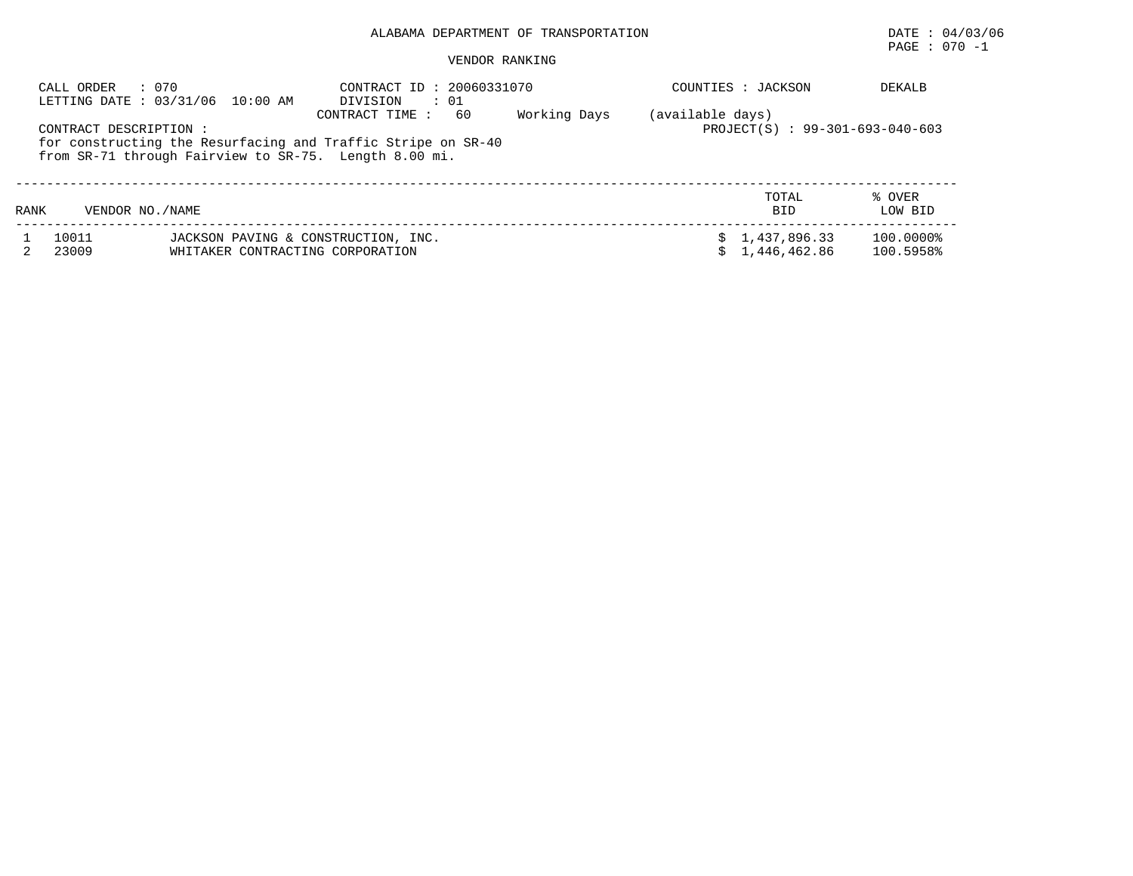## PAGE : 070 -1

| CALL ORDER     | : 070<br>LETTING DATE : 03/31/06 10:00 AM                                                                                                      | CONTRACT ID: 20060331070<br>DIVISION<br>$\cdots$ 01 |              | COUNTIES : JACKSON                                  | <b>DEKALB</b>          |
|----------------|------------------------------------------------------------------------------------------------------------------------------------------------|-----------------------------------------------------|--------------|-----------------------------------------------------|------------------------|
|                | CONTRACT DESCRIPTION:<br>for constructing the Resurfacing and Traffic Stripe on SR-40<br>from SR-71 through Fairview to SR-75. Length 8.00 mi. | 60<br>CONTRACT TIME:                                | Working Days | (available days)<br>PROJECT(S) : 99-301-693-040-603 |                        |
| RANK           | VENDOR NO. / NAME                                                                                                                              |                                                     |              | TOTAL<br><b>BID</b>                                 | % OVER<br>LOW BID      |
| 10011<br>23009 | JACKSON PAVING & CONSTRUCTION, INC.<br>WHITAKER CONTRACTING CORPORATION                                                                        |                                                     |              | \$1,437,896.33<br>\$1.446.462.86                    | 100.0000%<br>100.5958% |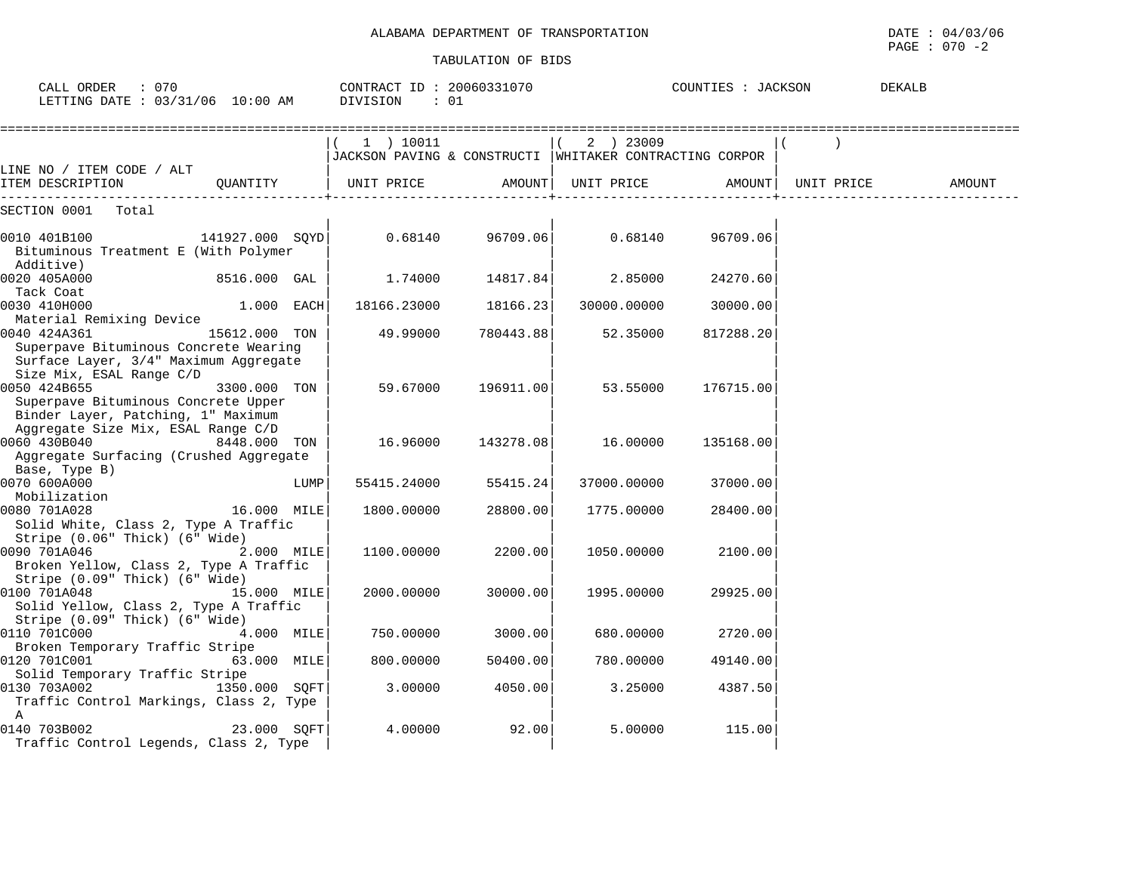| CALL ORDER : 070<br>LETTING DATE : 03/31/06 10:00 AM                                                                               |               |      | CONTRACT ID: 20060331070<br>DIVISION                                   | : 01      |             | COUNTIES : JACKSON |            | DEKALB |
|------------------------------------------------------------------------------------------------------------------------------------|---------------|------|------------------------------------------------------------------------|-----------|-------------|--------------------|------------|--------|
|                                                                                                                                    |               |      | (1) 10011<br>JACKSON PAVING & CONSTRUCTI   WHITAKER CONTRACTING CORPOR |           | $(2)$ 23009 |                    |            |        |
| LINE NO / ITEM CODE / ALT<br>ITEM DESCRIPTION                                                                                      | OUANTITY      |      | UNIT PRICE AMOUNT                                                      |           |             | UNIT PRICE AMOUNT  | UNIT PRICE | AMOUNT |
| SECTION 0001 Total                                                                                                                 |               |      |                                                                        |           |             |                    |            |        |
| 0010 401B100<br>141927.000 SQYD <br>Bituminous Treatment E (With Polymer<br>Additive)                                              |               |      | 0.68140                                                                | 96709.06  | 0.68140     | 96709.06           |            |        |
| 0020 405A000                                                                                                                       | 8516.000 GAL  |      | 1.74000                                                                | 14817.84  | 2.85000     | 24270.60           |            |        |
| Tack Coat<br>0030 410H000<br>Material Remixing Device                                                                              | 1.000 EACH    |      | 18166.23000                                                            | 18166.23  | 30000.00000 | 30000.00           |            |        |
| 0040 424A361<br>Superpave Bituminous Concrete Wearing<br>Surface Layer, 3/4" Maximum Aggregate                                     | 15612.000 TON |      | 49.99000                                                               | 780443.88 | 52.35000    | 817288.20          |            |        |
| Size Mix, ESAL Range C/D<br>0050 424B655<br>Superpave Bituminous Concrete Upper                                                    | 3300.000 TON  |      | 59.67000                                                               | 196911.00 | 53.55000    | 176715.00          |            |        |
| Binder Layer, Patching, 1" Maximum<br>Aggregate Size Mix, ESAL Range C/D<br>0060 430B040<br>Aggregate Surfacing (Crushed Aggregate | 8448.000 TON  |      | 16.96000                                                               | 143278.08 | 16.00000    | 135168.00          |            |        |
| Base, Type B)<br>0070 600A000                                                                                                      |               | LUMP | 55415.24000                                                            | 55415.24  | 37000.00000 | 37000.00           |            |        |
| Mobilization<br>0080 701A028<br>Solid White, Class 2, Type A Traffic                                                               | 16.000 MILE   |      | 1800.00000                                                             | 28800.00  | 1775.00000  | 28400.00           |            |        |
| Stripe (0.06" Thick) (6" Wide)<br>0090 701A046<br>Broken Yellow, Class 2, Type A Traffic                                           | 2.000 MILE    |      | 1100.00000                                                             | 2200.00   | 1050.00000  | 2100.00            |            |        |
| Stripe (0.09" Thick) (6" Wide)<br>0100 701A048<br>Solid Yellow, Class 2, Type A Traffic<br>Stripe (0.09" Thick) (6" Wide)          | 15.000 MILE   |      | 2000.00000                                                             | 30000.00  | 1995.00000  | 29925.00           |            |        |
| 0110 701C000                                                                                                                       | 4.000 MILE    |      | 750.00000                                                              | 3000.00   | 680.00000   | 2720.00            |            |        |
| Broken Temporary Traffic Stripe<br>0120 701C001<br>Solid Temporary Traffic Stripe                                                  | 63.000 MILE   |      | 800.00000                                                              | 50400.00  | 780.00000   | 49140.00           |            |        |
| 0130 703A002 1350.000 SQFT<br>Traffic Control Markings, Class 2, Type                                                              |               |      | 3.00000                                                                | 4050.00   | 3.25000     | 4387.50            |            |        |
| A<br>0140 703B002<br>Traffic Control Legends, Class 2, Type                                                                        | 23.000 SOFT   |      | 4.00000                                                                | 92.00     | 5.00000     | 115.00             |            |        |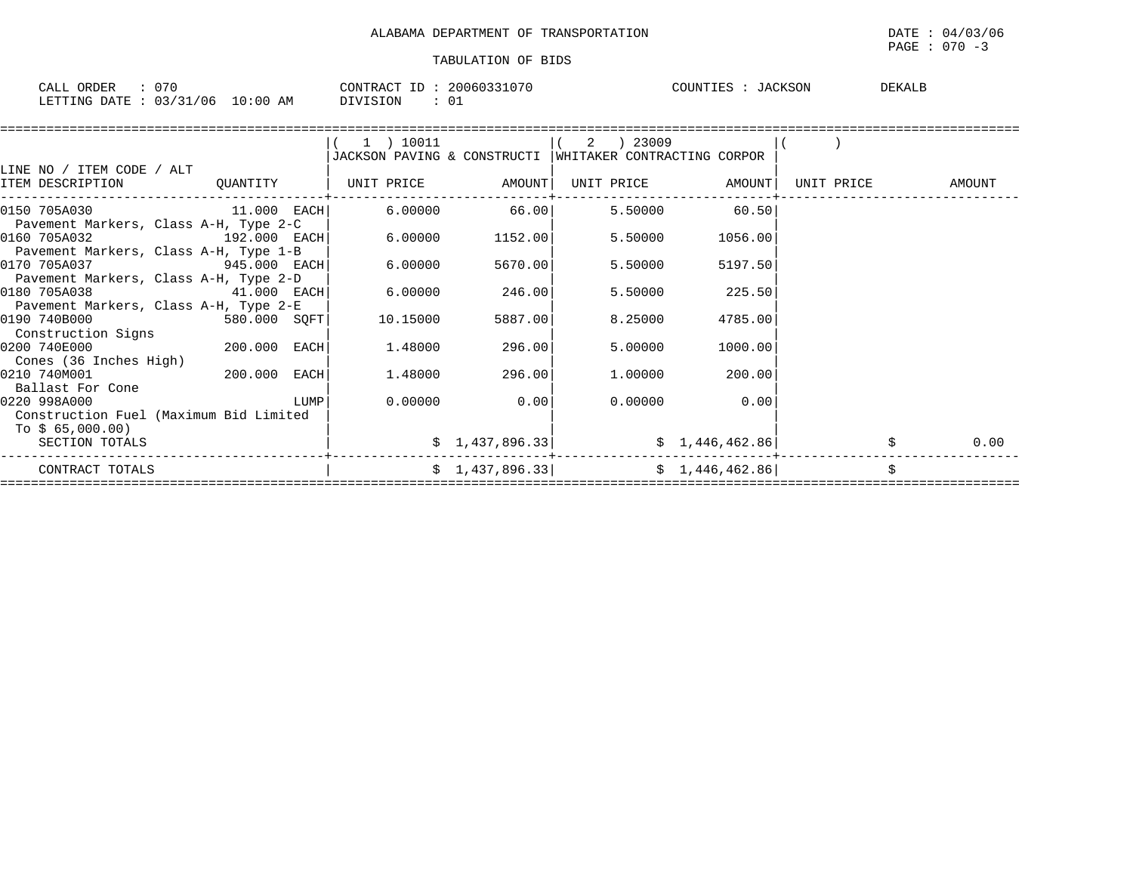| ORDER<br>CALL                            | 20060331070<br>CONTRACT ID: | COUNTIES<br>TACKSON | DEKALB |
|------------------------------------------|-----------------------------|---------------------|--------|
| : 03/31/06<br>LETTING DATE<br>$10:00$ AM | <b>DIVISION</b>             |                     |        |

| LINE NO / ITEM CODE / ALT                                                    |                                            | (1) 10011<br>JACKSON PAVING & CONSTRUCTI   WHITAKER CONTRACTING CORPOR |                             | $(2)$ 23009                                              |                 |                   |      |
|------------------------------------------------------------------------------|--------------------------------------------|------------------------------------------------------------------------|-----------------------------|----------------------------------------------------------|-----------------|-------------------|------|
| TEM DESCRIPTION 600 QUANTITY   UNIT PRICE AMOUNT   UNIT PRICE AMOUNT   CONTR |                                            |                                                                        |                             |                                                          |                 | UNIT PRICE AMOUNT |      |
| 0150 705A030 11.000 EACH<br>Pavement Markers, Class A-H, Type 2-C            |                                            |                                                                        |                             | $6.00000$ $66.00$ $5.50000$ $60.50$                      |                 |                   |      |
| 0160 705A032 192.000 EACH                                                    |                                            | 6.00000                                                                | 1152.00                     | 5.50000                                                  | 1056.00         |                   |      |
| Pavement Markers, Class A-H, Type 1-B<br>0170 705A037 945.000 EACH           |                                            | 6.00000                                                                | 5670.00                     | 5.50000                                                  | 5197.50         |                   |      |
| Pavement Markers, Class A-H, Type 2-D<br>0180 705A038                        | 41.000 EACH                                | $6.00000$ 246.00                                                       |                             | 5.50000                                                  | 225.50          |                   |      |
| Pavement Markers, Class A-H, Type 2-E<br>$580.000$ SQFT<br>0190 740B000      |                                            | 10.15000                                                               | 5887.00                     | 8.25000                                                  | 4785.00         |                   |      |
| Construction Signs<br>200.000 EACH<br>0200 740E000                           |                                            | 1.48000                                                                | 296.00                      | 5.00000                                                  | 1000.00         |                   |      |
| Cones (36 Inches High)<br>0210 740M001 200.000 EACH                          |                                            |                                                                        | $1.48000$ 296.00            | 1.00000                                                  | 200.00          |                   |      |
| Ballast For Cone<br>0220 998A000<br>Construction Fuel (Maximum Bid Limited   | $\begin{array}{c} \text{LUMP} \end{array}$ |                                                                        | $0.00000$ 0.00              |                                                          | $0.00000$ 0.00  |                   |      |
| To \$ 65,000.00)<br>SECTION TOTALS                                           |                                            |                                                                        | $\frac{1}{2}$ , 437, 896.33 |                                                          | \$1,446,462.86] |                   | 0.00 |
| CONTRACT TOTALS                                                              |                                            |                                                                        |                             | $\frac{1}{2}$ , 437, 896.33 $\frac{1}{46}$ , 446, 462.86 |                 |                   | \$   |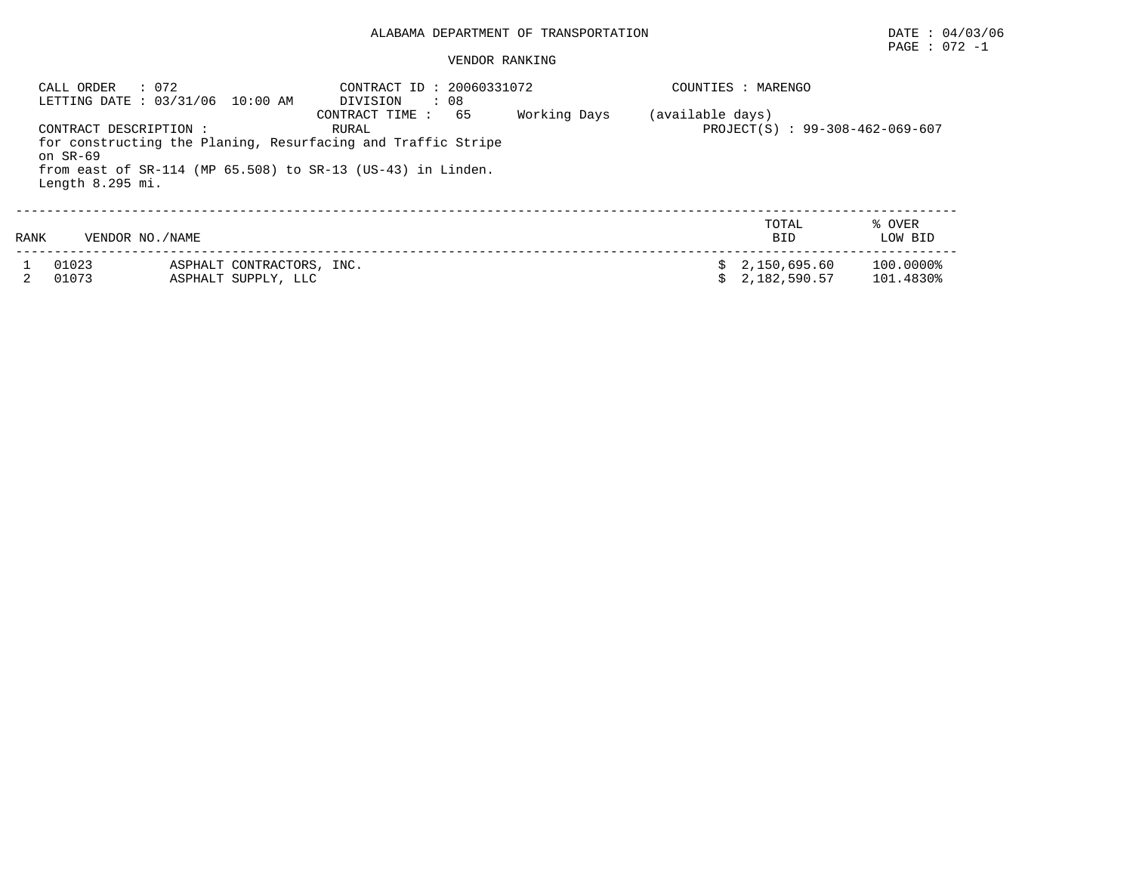#### VENDOR RANKING

| CALL ORDER                                             | : 072<br>LETTING DATE : 03/31/06 10:00 AM                                                                                          | CONTRACT ID: 20060331072<br>DIVISION<br>: 08        |  | COUNTIES : MARENGO             |                        |  |  |  |
|--------------------------------------------------------|------------------------------------------------------------------------------------------------------------------------------------|-----------------------------------------------------|--|--------------------------------|------------------------|--|--|--|
| CONTRACT DESCRIPTION :<br>on SR-69<br>Length 8.295 mi. | for constructing the Planing, Resurfacing and Traffic Stripe<br>from east of $SR-114$ (MP $65.508$ ) to $SR-13$ (US-43) in Linden. | (available days)<br>PROJECT(S) : 99-308-462-069-607 |  |                                |                        |  |  |  |
| RANK                                                   | VENDOR NO. / NAME                                                                                                                  |                                                     |  | TOTAL<br><b>BID</b>            | % OVER<br>LOW BID      |  |  |  |
| 01023<br>01073                                         | ASPHALT CONTRACTORS, INC.<br>ASPHALT SUPPLY, LLC                                                                                   |                                                     |  | \$2,150,695.60<br>2,182,590.57 | 100.0000%<br>101.4830% |  |  |  |

PAGE : 072 -1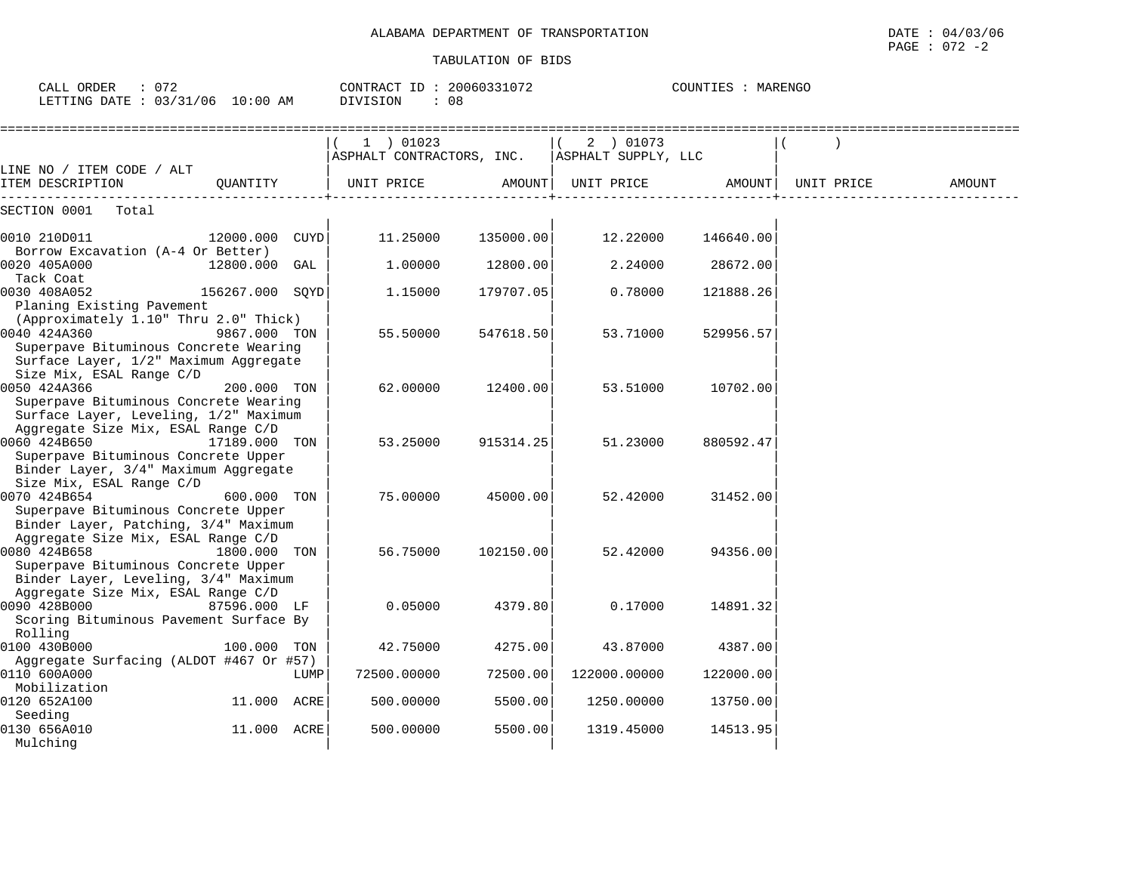| CALL ORDER<br>: 072<br>LETTING DATE : 03/31/06 10:00 AM                                                                                 |                 |             | CONTRACT ID: 20060331072<br><b>DIVISION</b><br>: 08 |           |                                               | COUNTIES : MARENGO |            |        |
|-----------------------------------------------------------------------------------------------------------------------------------------|-----------------|-------------|-----------------------------------------------------|-----------|-----------------------------------------------|--------------------|------------|--------|
|                                                                                                                                         |                 |             | $1$ ) 01023<br>ASPHALT CONTRACTORS, INC.            |           | 2 ) 01073<br>$\vert$ (<br>ASPHALT SUPPLY, LLC |                    |            |        |
| LINE NO / ITEM CODE / ALT<br>ITEM DESCRIPTION                                                                                           | OUANTITY        |             | UNIT PRICE                                          | AMOUNT    | UNIT PRICE                                    | AMOUNT             | UNIT PRICE | AMOUNT |
| SECTION 0001<br>Total                                                                                                                   |                 |             |                                                     |           |                                               |                    |            |        |
| 0010 210D011                                                                                                                            | 12000.000       | <b>CUYD</b> | 11.25000                                            | 135000.00 | 12.22000                                      | 146640.00          |            |        |
| Borrow Excavation (A-4 Or Better)<br>0020 405A000                                                                                       | 12800.000 GAL   |             | 1,00000                                             | 12800.00  | 2.24000                                       | 28672.00           |            |        |
| Tack Coat<br>0030 408A052<br>Planing Existing Pavement                                                                                  | 156267.000 SOYD |             | 1.15000                                             | 179707.05 | 0.78000                                       | 121888.26          |            |        |
| (Approximately 1.10" Thru 2.0" Thick)<br>0040 424A360<br>Superpave Bituminous Concrete Wearing<br>Surface Layer, 1/2" Maximum Aggregate | 9867.000 TON    |             | 55.50000                                            | 547618.50 | 53.71000                                      | 529956.57          |            |        |
| Size Mix, ESAL Range C/D<br>0050 424A366<br>Superpave Bituminous Concrete Wearing<br>Surface Layer, Leveling, 1/2" Maximum              | 200.000 TON     |             | 62.00000                                            | 12400.00  | 53.51000                                      | 10702.00           |            |        |
| Aggregate Size Mix, ESAL Range C/D<br>0060 424B650<br>Superpave Bituminous Concrete Upper                                               | 17189.000 TON   |             | 53.25000                                            | 915314.25 | 51.23000                                      | 880592.47          |            |        |
| Binder Layer, 3/4" Maximum Aggregate<br>Size Mix, ESAL Range C/D                                                                        |                 |             |                                                     |           |                                               |                    |            |        |
| 0070 424B654<br>Superpave Bituminous Concrete Upper                                                                                     | 600.000 TON     |             | 75.00000                                            | 45000.00  | 52.42000                                      | 31452.00           |            |        |
| Binder Layer, Patching, 3/4" Maximum<br>Aggregate Size Mix, ESAL Range C/D<br>0080 424B658                                              | 1800.000        | TON         | 56.75000                                            | 102150.00 | 52.42000                                      | 94356.00           |            |        |
| Superpave Bituminous Concrete Upper<br>Binder Layer, Leveling, 3/4" Maximum                                                             |                 |             |                                                     |           |                                               |                    |            |        |
| Aggregate Size Mix, ESAL Range C/D<br>0090 428B000<br>Scoring Bituminous Pavement Surface By                                            | 87596.000 LF    |             | 0.05000                                             | 4379.80   | 0.17000                                       | 14891.32           |            |        |
| Rolling<br>0100 430B000                                                                                                                 | 100.000 TON     |             | 42.75000                                            | 4275.00   | 43.87000                                      | 4387.00            |            |        |
| Aggregate Surfacing (ALDOT #467 Or #57)<br>0110 600A000                                                                                 |                 | LUMP        | 72500.00000                                         | 72500.00  | 122000.00000                                  | 122000.00          |            |        |
| Mobilization<br>0120 652A100                                                                                                            | 11.000 ACRE     |             | 500.00000                                           | 5500.00   | 1250.00000                                    | 13750.00           |            |        |
| Seeding<br>0130 656A010<br>Mulching                                                                                                     | 11.000 ACRE     |             | 500.00000                                           | 5500.00   | 1319.45000                                    | 14513.95           |            |        |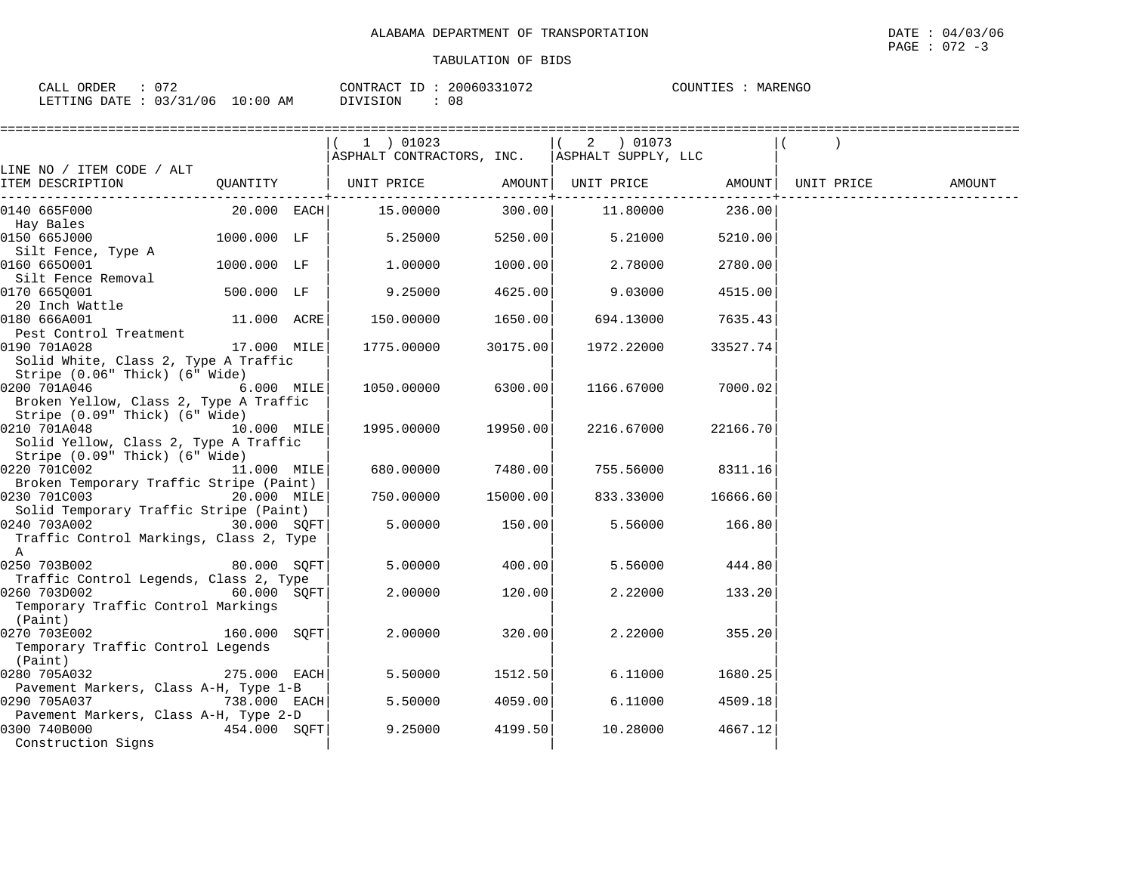$\texttt{PAGE}$  : 072 -3

| CALL ORDER                       | : 072 |          | CONTRACT ID: 20060331072 | COUNTIES : MARENGO |  |
|----------------------------------|-------|----------|--------------------------|--------------------|--|
| LETTING DATE : 03/31/06 10:00 AM |       | DIVISION | 08                       |                    |  |

|                                                                         |                | =====================                           |          |             |          |        |
|-------------------------------------------------------------------------|----------------|-------------------------------------------------|----------|-------------|----------|--------|
|                                                                         |                | $(1)$ 01023                                     |          | $(2)$ 01073 |          |        |
|                                                                         |                | ASPHALT CONTRACTORS, INC.   ASPHALT SUPPLY, LLC |          |             |          |        |
| LINE NO / ITEM CODE / ALT                                               |                |                                                 |          |             |          |        |
| ITEM DESCRIPTION                                                        |                |                                                 |          |             |          | AMOUNT |
| 0140 665F000                                                            | $20.000$ EACH  | 15.00000                                        | 300.00   | 11.80000    | 236.00   |        |
| Hay Bales                                                               |                |                                                 |          |             |          |        |
| 0150 665J000                                                            | 1000.000 LF    | 5.25000                                         | 5250.00  | 5.21000     | 5210.00  |        |
| Silt Fence, Type A                                                      |                |                                                 |          |             |          |        |
| 0160 6650001                                                            | 1000.000 LF    | 1,00000                                         | 1000.00  | 2.78000     | 2780.00  |        |
| Silt Fence Removal<br>0170 6650001                                      | 500.000 LF     | 9.25000                                         | 4625.00  | 9.03000     | 4515.00  |        |
| 20 Inch Wattle                                                          |                |                                                 |          |             |          |        |
| 0180 666A001                                                            | 11.000 ACRE    | 150.00000                                       | 1650.00  | 694.13000   | 7635.43  |        |
| Pest Control Treatment                                                  |                |                                                 |          |             |          |        |
| 0190 701A028                                                            | 17.000 MILE    | 1775.00000                                      | 30175.00 | 1972.22000  | 33527.74 |        |
| Solid White, Class 2, Type A Traffic                                    |                |                                                 |          |             |          |        |
| Stripe (0.06" Thick) (6" Wide)                                          |                |                                                 |          |             |          |        |
| 0200 701A046                                                            | 6.000 MILE     | 1050.00000                                      | 6300.00  | 1166.67000  | 7000.02  |        |
| Broken Yellow, Class 2, Type A Traffic                                  |                |                                                 |          |             |          |        |
| Stripe (0.09" Thick) (6" Wide)                                          |                |                                                 |          |             |          |        |
| 10.000 MILE<br>0210 701A048                                             |                | 1995.00000                                      | 19950.00 | 2216.67000  | 22166.70 |        |
| Solid Yellow, Class 2, Type A Traffic<br>Stripe (0.09" Thick) (6" Wide) |                |                                                 |          |             |          |        |
| 0220 701C002                                                            | 11.000 MILE    | 680.00000                                       | 7480.00  | 755.56000   | 8311.16  |        |
| Broken Temporary Traffic Stripe (Paint)                                 |                |                                                 |          |             |          |        |
| 0230 701C003                                                            | 20.000 MILE    | 750.00000                                       | 15000.00 | 833.33000   | 16666.60 |        |
| Solid Temporary Traffic Stripe (Paint)                                  |                |                                                 |          |             |          |        |
| 0240 703A002 30.000 SOFT                                                |                | 5.00000                                         | 150.00   | 5.56000     | 166.80   |        |
| Traffic Control Markings, Class 2, Type                                 |                |                                                 |          |             |          |        |
| A                                                                       |                |                                                 |          |             |          |        |
| 0250 703B002                                                            | 80.000 SOFT    | 5.00000                                         | 400.00   | 5.56000     | 444.80   |        |
| Traffic Control Legends, Class 2, Type                                  |                |                                                 |          |             |          |        |
| $60.000$ SQFT<br>0260 703D002<br>Temporary Traffic Control Markings     |                | 2,00000                                         | 120.00   | 2.22000     | 133.20   |        |
| (Paint)                                                                 |                |                                                 |          |             |          |        |
| 0270 703E002                                                            | 160.000 SOFT   | 2,00000                                         | 320.00   | 2.22000     | 355.20   |        |
| Temporary Traffic Control Legends                                       |                |                                                 |          |             |          |        |
| (Paint)                                                                 |                |                                                 |          |             |          |        |
| 0280 705A032                                                            | 275.000 EACH   | 5.50000                                         | 1512.50  | 6.11000     | 1680.25  |        |
| Pavement Markers, Class A-H, Type 1-B                                   |                |                                                 |          |             |          |        |
| 0290 705A037                                                            | $738.000$ EACH | 5.50000                                         | 4059.00  | 6.11000     | 4509.18  |        |
| Pavement Markers, Class A-H, Type 2-D                                   |                |                                                 |          |             |          |        |
| 0300 740B000                                                            | 454.000 SOFT   | 9.25000                                         | 4199.50  | 10.28000    | 4667.12  |        |
| Construction Signs                                                      |                |                                                 |          |             |          |        |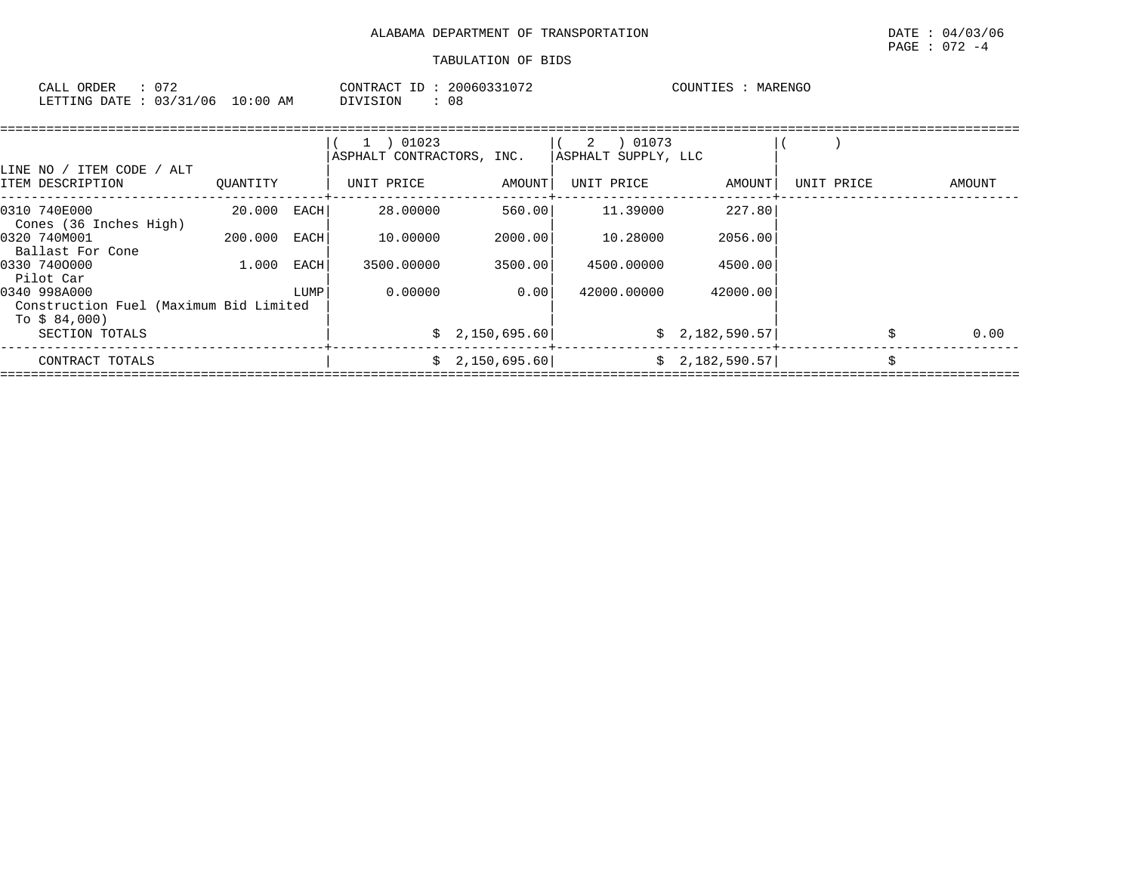| CALL ORDER                       | CONTRACT ID: 20060331072 | COUNTIES : MARENGO |
|----------------------------------|--------------------------|--------------------|
| LETTING DATE : 03/31/06 10:00 AM | DIVISION<br>: 08         |                    |

| ITEM CODE<br>/ ALT<br>LINE NO /                                         |          |             | 01023<br>$\mathbf{1}$<br>ASPHALT CONTRACTORS, INC. |                | 01073<br>2<br> ASPHALT SUPPLY, LLC |                |            |            |
|-------------------------------------------------------------------------|----------|-------------|----------------------------------------------------|----------------|------------------------------------|----------------|------------|------------|
| ITEM DESCRIPTION                                                        | OUANTITY |             | UNIT PRICE                                         | AMOUNT         | UNIT PRICE                         | AMOUNT         | UNIT PRICE | AMOUNT     |
| 0310 740E000<br>Cones (36 Inches High)                                  | 20.000   | <b>EACH</b> | 28.00000                                           | 560.00         | 11.39000                           | 227.80         |            |            |
| 0320 740M001<br>Ballast For Cone                                        | 200.000  | EACH        | 10.00000                                           | 2000.00        | 10.28000                           | 2056.00        |            |            |
| 0330 7400000<br>Pilot Car                                               | 1.000    | EACH        | 3500.00000                                         | 3500.00        | 4500.00000                         | 4500.00        |            |            |
| 0340 998A000<br>Construction Fuel (Maximum Bid Limited<br>To \$ 84,000) |          | LUMP        | 0.00000                                            | 0.00           | 42000.00000                        | 42000.00       |            |            |
| SECTION TOTALS                                                          |          |             |                                                    | \$2,150,695.60 |                                    | \$2,182,590.57 |            | \$<br>0.00 |
| CONTRACT TOTALS                                                         |          |             |                                                    | \$2,150,695.60 |                                    | \$2,182,590.57 |            | \$         |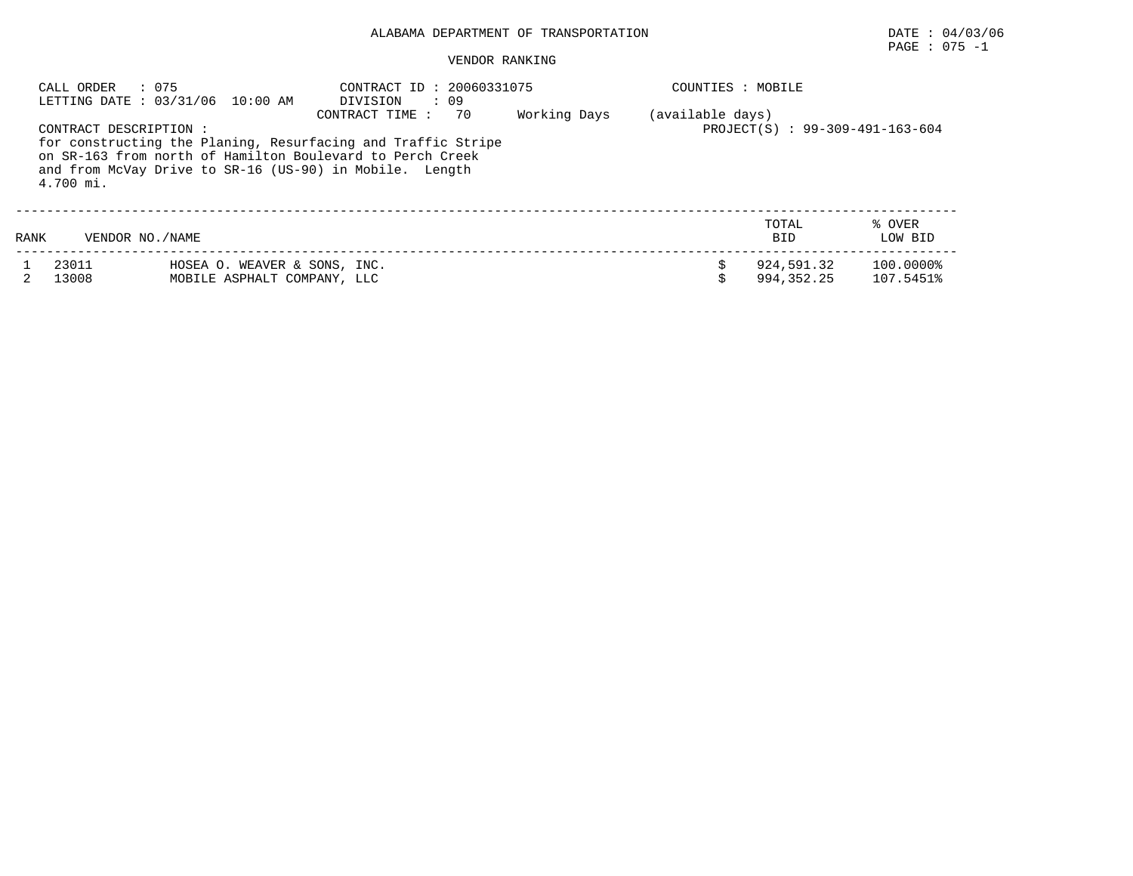# PAGE : 075 -1

|      | : 075<br>CALL ORDER                 | LETTING DATE: 03/31/06 10:00 AM                             | CONTRACT ID: 20060331075<br>$\cdot$ 09<br>DIVISION                                                                                                                                                           |              | COUNTIES : MOBILE |                                 |                        |
|------|-------------------------------------|-------------------------------------------------------------|--------------------------------------------------------------------------------------------------------------------------------------------------------------------------------------------------------------|--------------|-------------------|---------------------------------|------------------------|
|      | CONTRACT DESCRIPTION :<br>4.700 mi. |                                                             | CONTRACT TIME:<br>70<br>for constructing the Planing, Resurfacing and Traffic Stripe<br>on SR-163 from north of Hamilton Boulevard to Perch Creek<br>and from McVay Drive to SR-16 (US-90) in Mobile. Length | Working Days | (available days)  | PROJECT(S) : 99-309-491-163-604 |                        |
| RANK | VENDOR NO. / NAME                   |                                                             |                                                                                                                                                                                                              |              |                   | TOTAL<br><b>BID</b>             | % OVER<br>LOW BID      |
|      | 23011<br>13008                      | HOSEA O. WEAVER & SONS, INC.<br>MOBILE ASPHALT COMPANY, LLC |                                                                                                                                                                                                              |              | Ś.                | 924,591.32<br>994, 352, 25      | 100.0000%<br>107.5451% |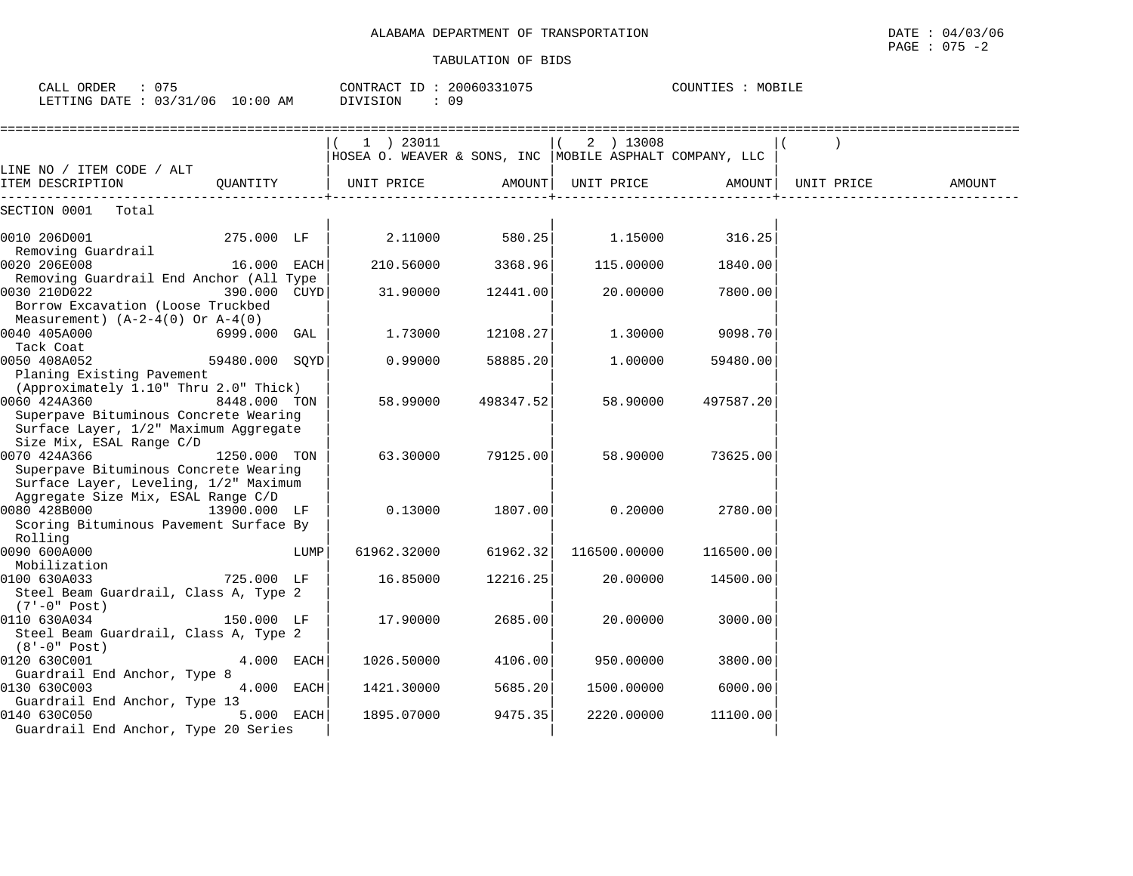CALL ORDER : 075 CONTRACT ID : 20060331075 COUNTIES : MOBILE

| DIVISION     | : 09                                                                                                                                                                                                                                |                                    |                                                                                                                                                                           |                                                                                                                                                                                                                            |        |
|--------------|-------------------------------------------------------------------------------------------------------------------------------------------------------------------------------------------------------------------------------------|------------------------------------|---------------------------------------------------------------------------------------------------------------------------------------------------------------------------|----------------------------------------------------------------------------------------------------------------------------------------------------------------------------------------------------------------------------|--------|
| $(1)$ 23011  |                                                                                                                                                                                                                                     | 2 ) 13008                          |                                                                                                                                                                           |                                                                                                                                                                                                                            |        |
|              |                                                                                                                                                                                                                                     | UNIT PRICE                         |                                                                                                                                                                           | UNIT PRICE                                                                                                                                                                                                                 | AMOUNT |
|              |                                                                                                                                                                                                                                     |                                    |                                                                                                                                                                           |                                                                                                                                                                                                                            |        |
|              |                                                                                                                                                                                                                                     |                                    | 316.25                                                                                                                                                                    |                                                                                                                                                                                                                            |        |
|              |                                                                                                                                                                                                                                     |                                    | 1840.00                                                                                                                                                                   |                                                                                                                                                                                                                            |        |
| 31.90000     |                                                                                                                                                                                                                                     |                                    | 7800.00                                                                                                                                                                   |                                                                                                                                                                                                                            |        |
| 1,73000      |                                                                                                                                                                                                                                     |                                    | 9098.70                                                                                                                                                                   |                                                                                                                                                                                                                            |        |
| 0.99000      |                                                                                                                                                                                                                                     |                                    | 59480.00                                                                                                                                                                  |                                                                                                                                                                                                                            |        |
| 58.99000     |                                                                                                                                                                                                                                     |                                    | 497587.20                                                                                                                                                                 |                                                                                                                                                                                                                            |        |
| 63.30000     |                                                                                                                                                                                                                                     |                                    | 73625.00                                                                                                                                                                  |                                                                                                                                                                                                                            |        |
| 0.13000      |                                                                                                                                                                                                                                     |                                    | 2780.00                                                                                                                                                                   |                                                                                                                                                                                                                            |        |
| 61962.32000  |                                                                                                                                                                                                                                     |                                    | 116500.00                                                                                                                                                                 |                                                                                                                                                                                                                            |        |
| 16.85000     |                                                                                                                                                                                                                                     | 20,00000                           | 14500.00                                                                                                                                                                  |                                                                                                                                                                                                                            |        |
| 17.90000     |                                                                                                                                                                                                                                     |                                    | 3000.00                                                                                                                                                                   |                                                                                                                                                                                                                            |        |
|              |                                                                                                                                                                                                                                     |                                    | 3800.00                                                                                                                                                                   |                                                                                                                                                                                                                            |        |
| 1421.30000   |                                                                                                                                                                                                                                     |                                    | 6000.00                                                                                                                                                                   |                                                                                                                                                                                                                            |        |
| 1895.07000   |                                                                                                                                                                                                                                     |                                    | 11100.00                                                                                                                                                                  |                                                                                                                                                                                                                            |        |
| 13900.000 LF | QUANTITY   UNIT PRICE<br>275.000 LF<br>16.000 EACH<br>Removing Guardrail End Anchor (All Type<br>390.000 CUYD<br>6999.000 GAL<br>59480.000 SOYD<br>8448.000 TON<br>1250.000 TON<br>LUMP<br>4.000 EACH<br>4.000 EACH<br>$5.000$ EACH | 2.11000<br>210.56000<br>1026.50000 | AMOUNT  <br>580.25<br>3368.96<br>12441.00<br>12108.27<br>58885.20<br>498347.52<br>79125.00<br>1807.00<br>61962.32<br>12216.25<br>2685.00<br>4106.00<br>5685.20<br>9475.35 | HOSEA O. WEAVER & SONS, INC  MOBILE ASPHALT COMPANY, LLC<br>1.15000<br>115.00000<br>20.00000<br>1,30000<br>1.00000<br>58.90000<br>58.90000<br>0.20000<br>116500.00000<br>20,00000<br>950.00000<br>1500.00000<br>2220.00000 | AMOUNT |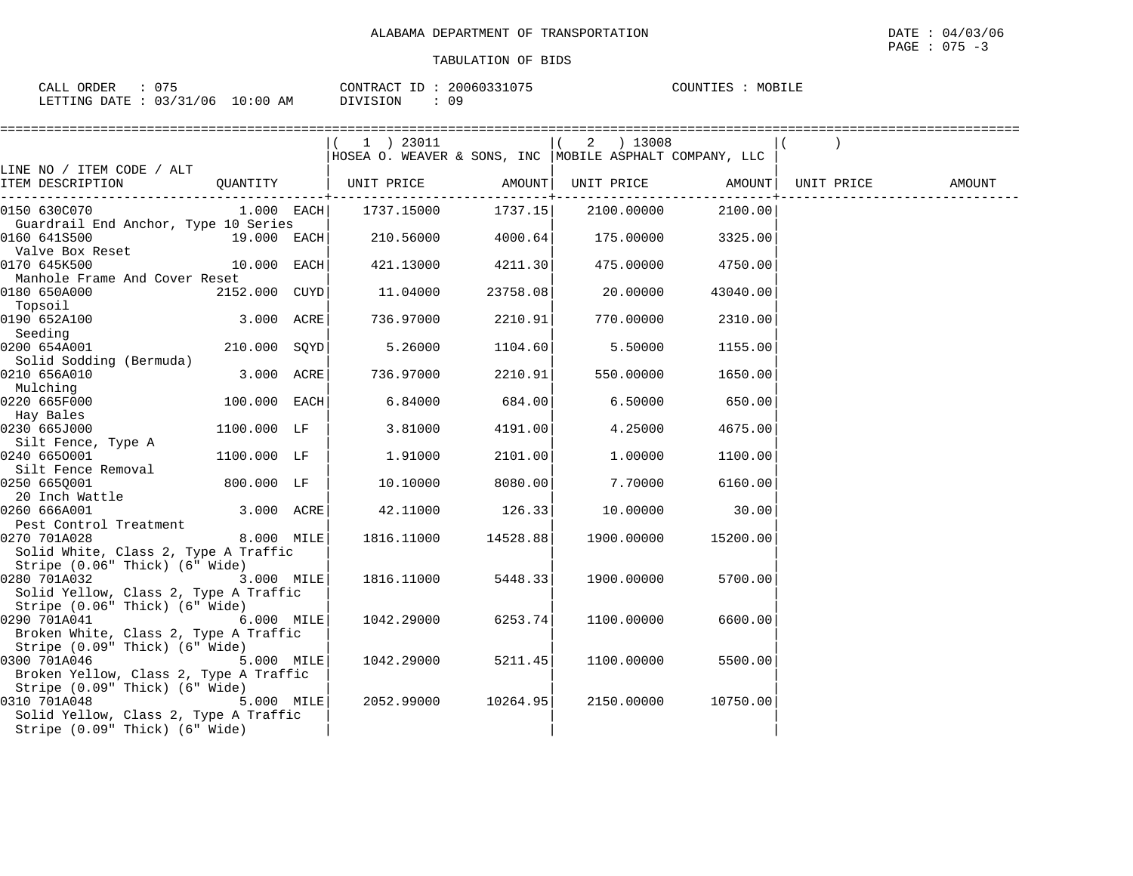| $\cap$ $\neg$ $\neg$<br>ORDER<br>CALL |             | 20060331075<br>CONTRACT<br>TD . | COUNTIES<br>MOBILE |
|---------------------------------------|-------------|---------------------------------|--------------------|
| LETTING DATE: 03/31/06                | 10:00<br>AM | DIVISION                        |                    |

|                                                       |                | $1$ ) 23011                                              |                   | 2 ) 13008  |          |            |        |
|-------------------------------------------------------|----------------|----------------------------------------------------------|-------------------|------------|----------|------------|--------|
|                                                       |                | HOSEA O. WEAVER & SONS, INC  MOBILE ASPHALT COMPANY, LLC |                   |            |          |            |        |
| LINE NO / ITEM CODE / ALT                             |                |                                                          |                   |            |          |            |        |
| ITEM DESCRIPTION                                      |                |                                                          |                   |            |          | UNIT PRICE | AMOUNT |
| 0150 630C070                                          | $1.000$ EACH   | 1737.15000 1737.15                                       |                   | 2100.00000 | 2100.00  |            |        |
| Guardrail End Anchor, Type 10 Series                  |                |                                                          |                   |            |          |            |        |
| 0160 641S500<br>19.000 EACH                           |                | 210.56000 4000.64                                        |                   | 175.00000  | 3325.00  |            |        |
| Valve Box Reset                                       |                |                                                          |                   |            |          |            |        |
| 0170 645K500                                          | $10.000$ EACH  |                                                          | 421.13000 4211.30 | 475.00000  | 4750.00  |            |        |
| Manhole Frame And Cover Reset                         |                |                                                          |                   |            |          |            |        |
| 0180 650A000                                          | 2152.000 CUYD  | 11.04000                                                 | 23758.08          | 20.00000   | 43040.00 |            |        |
| Topsoil                                               |                |                                                          |                   |            |          |            |        |
| 0190 652A100                                          | 3.000 ACRE     | 736.97000                                                | 2210.91           | 770.00000  | 2310.00  |            |        |
| Seeding                                               |                |                                                          |                   |            |          |            |        |
| 0200 654A001                                          | $210.000$ SQYD | 5.26000                                                  | 1104.60           | 5.50000    | 1155.00  |            |        |
| Solid Sodding (Bermuda)<br>0210 656A010               | 3.000 ACRE     | 736.97000                                                |                   |            | 1650.00  |            |        |
| Mulching                                              |                |                                                          | 2210.91           | 550.00000  |          |            |        |
| 0220 665F000                                          | $100.000$ EACH | 6.84000                                                  | 684.00            | 6.50000    | 650.00   |            |        |
| Hay Bales                                             |                |                                                          |                   |            |          |            |        |
| 0230 665J000                                          | 1100.000 LF    | 3.81000                                                  | 4191.00           | 4.25000    | 4675.00  |            |        |
| Silt Fence, Type A                                    |                |                                                          |                   |            |          |            |        |
| 0240 6650001                                          | 1100.000 LF    | 1.91000                                                  | 2101.00           | 1.00000    | 1100.00  |            |        |
| Silt Fence Removal                                    |                |                                                          |                   |            |          |            |        |
| 0250 6650001                                          | 800.000 LF     | 10.10000                                                 | 8080.00           | 7.70000    | 6160.00  |            |        |
| 20 Inch Wattle                                        |                |                                                          |                   |            |          |            |        |
| 0260 666A001                                          | 3.000 ACRE     | 42.11000                                                 | 126.33            | 10.00000   | 30.00    |            |        |
| Pest Control Treatment                                |                |                                                          |                   |            |          |            |        |
| 8.000 MILE<br>0270 701A028                            |                | 1816.11000                                               | 14528.88          | 1900.00000 | 15200.00 |            |        |
| Solid White, Class 2, Type A Traffic                  |                |                                                          |                   |            |          |            |        |
| Stripe (0.06" Thick) (6" Wide)                        |                |                                                          |                   |            |          |            |        |
| 0280 701A032<br>Solid Yellow, Class 2, Type A Traffic | 3.000 MILE     | 1816.11000                                               | 5448.33           | 1900.00000 | 5700.00  |            |        |
| Stripe (0.06" Thick) (6" Wide)                        |                |                                                          |                   |            |          |            |        |
| 0290 701A041                                          | $6.000$ MILE   | 1042.29000                                               | 6253.74           | 1100.00000 | 6600.00  |            |        |
| Broken White, Class 2, Type A Traffic                 |                |                                                          |                   |            |          |            |        |
| Stripe (0.09" Thick) (6" Wide)                        |                |                                                          |                   |            |          |            |        |
| 0300 701A046                                          | 5.000 MILE     | 1042.29000                                               | 5211.45           | 1100.00000 | 5500.00  |            |        |
| Broken Yellow, Class 2, Type A Traffic                |                |                                                          |                   |            |          |            |        |
| Stripe (0.09" Thick) (6" Wide)                        |                |                                                          |                   |            |          |            |        |
| 0310 701A048                                          | 5.000 MILE     | 2052.99000                                               | 10264.95          | 2150.00000 | 10750.00 |            |        |
| Solid Yellow, Class 2, Type A Traffic                 |                |                                                          |                   |            |          |            |        |
| Stripe (0.09" Thick) (6" Wide)                        |                |                                                          |                   |            |          |            |        |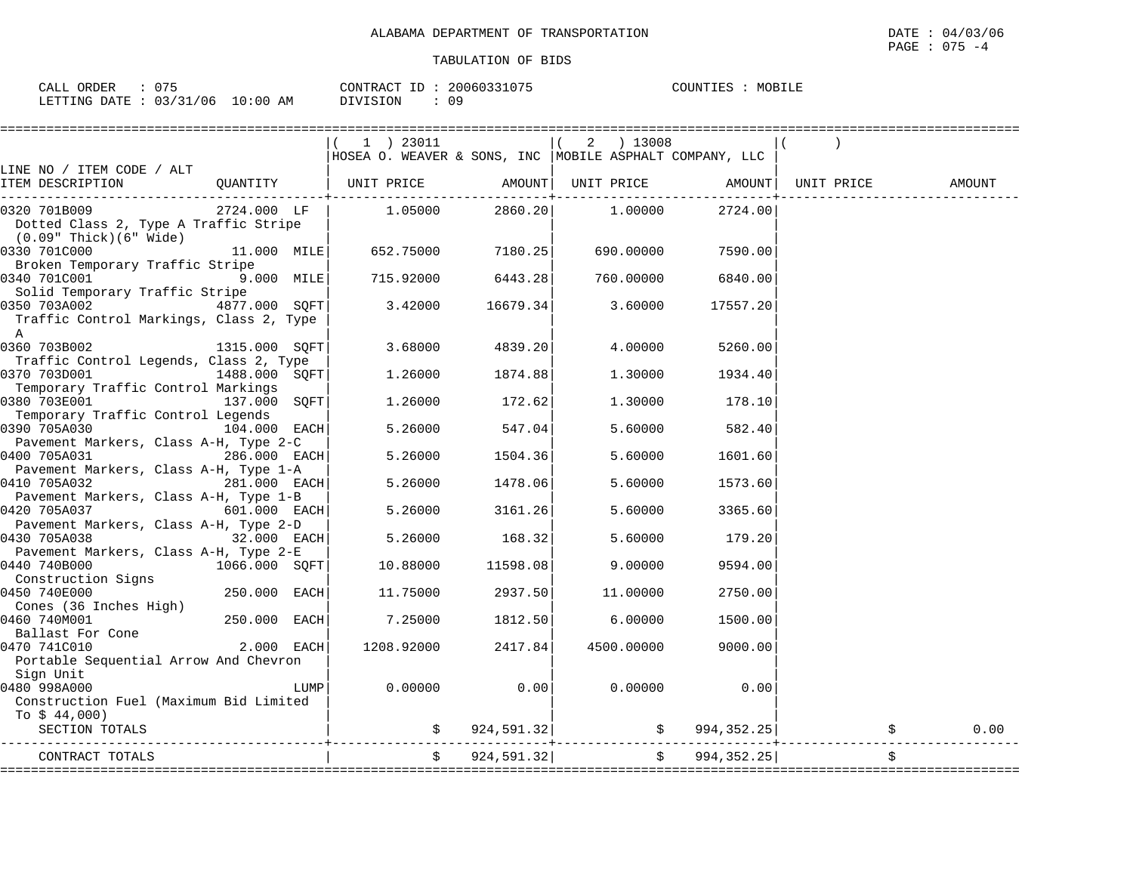| CALL ORDER<br>075               | CONTRACT ID: 20060331075 | COUNTIES : MOBILE |
|---------------------------------|--------------------------|-------------------|
| LETTING DATE: 03/31/06 10:00 AM | 09<br>DIVISION           |                   |

|                                                                                         |                |      | ==============                                           |                          |                    |            |                           |                                   |        |
|-----------------------------------------------------------------------------------------|----------------|------|----------------------------------------------------------|--------------------------|--------------------|------------|---------------------------|-----------------------------------|--------|
|                                                                                         |                |      | (1) 23011                                                |                          |                    | 2 ) 13008  |                           |                                   |        |
| LINE NO / ITEM CODE / ALT                                                               |                |      | HOSEA O. WEAVER & SONS, INC  MOBILE ASPHALT COMPANY, LLC |                          |                    |            |                           |                                   |        |
| ITEM DESCRIPTION                                                                        | QUANTITY       |      | UNIT PRICE                                               |                          | AMOUNT  UNIT PRICE |            | AMOUNT                    | UNIT PRICE                        | AMOUNT |
| 0320 701B009<br>Dotted Class 2, Type A Traffic Stripe<br>$(0.09"$ Thick $)(6"$ Wide $)$ | 2724.000 LF    |      | 1.05000                                                  | 2860.20                  |                    | 1.00000    | 2724.00                   |                                   |        |
| 0330 701C000<br>Broken Temporary Traffic Stripe                                         | 11.000 MILE    |      | 652.75000                                                | 7180.25                  |                    | 690.00000  | 7590.00                   |                                   |        |
| 0340 701C001<br>Solid Temporary Traffic Stripe                                          | 9.000 MILE     |      | 715.92000 6443.28                                        |                          |                    | 760.00000  | 6840.00                   |                                   |        |
| 0350 703A002<br>Traffic Control Markings, Class 2, Type                                 | 4877.000 SOFT  |      | 3.42000                                                  | 16679.34                 |                    | 3.60000    | 17557.20                  |                                   |        |
| $\mathbb A$<br>0360 703B002<br>Traffic Control Legends, Class 2, Type                   | 1315.000 SOFT  |      | 3.68000                                                  | 4839.20                  |                    | 4.00000    | 5260.00                   |                                   |        |
| 0370 703D001<br>Temporary Traffic Control Markings                                      | 1488.000 SQFT  |      | 1.26000                                                  | 1874.88                  |                    | 1.30000    | 1934.40                   |                                   |        |
| 0380 703E001<br>Temporary Traffic Control Legends                                       | 137.000 SQFT   |      | 1.26000                                                  | 172.62                   |                    | 1,30000    | 178.10                    |                                   |        |
| 0390 705A030<br>Pavement Markers, Class A-H, Type 2-C                                   | 104.000 EACH   |      | 5.26000                                                  | 547.04                   |                    | 5.60000    | 582.40                    |                                   |        |
| 0400 705A031<br>Pavement Markers, Class A-H, Type 1-A                                   | $286.000$ EACH |      | 5.26000                                                  | 1504.36                  |                    | 5.60000    | 1601.60                   |                                   |        |
| 0410 705A032<br>Pavement Markers, Class A-H, Type 1-B                                   | 281.000 EACH   |      | 5.26000                                                  | 1478.06                  |                    | 5.60000    | 1573.60                   |                                   |        |
| 0420 705A037<br>Pavement Markers, Class A-H, Type 2-D                                   | 601.000 EACH   |      | 5.26000                                                  | 3161.26                  |                    | 5.60000    | 3365.60                   |                                   |        |
| 0430 705A038<br>Pavement Markers, Class A-H, Type 2-E                                   | 32.000 EACH    |      | 5.26000                                                  | 168.32                   |                    | 5.60000    | 179.20                    |                                   |        |
| 0440 740B000<br>Construction Signs                                                      | 1066.000 SOFT  |      | 10.88000                                                 | 11598.08                 |                    | 9.00000    | 9594.00                   |                                   |        |
| 0450 740E000<br>Cones (36 Inches High)                                                  | 250.000 EACH   |      | 11.75000                                                 | 2937.50                  |                    | 11.00000   | 2750.00                   |                                   |        |
| 0460 740M001<br>Ballast For Cone                                                        | 250.000 EACH   |      | 7.25000                                                  | 1812.50                  |                    | 6.00000    | 1500.00                   |                                   |        |
| 0470 741C010<br>Portable Sequential Arrow And Chevron<br>Sign Unit                      | 2.000 EACH     |      | 1208.92000                                               | 2417.84                  |                    | 4500.00000 | 9000.00                   |                                   |        |
| 0480 998A000<br>Construction Fuel (Maximum Bid Limited<br>To $$44,000)$                 |                | LUMP | 0.00000                                                  | 0.00                     |                    | 0.00000    | 0.00                      |                                   |        |
| SECTION TOTALS                                                                          |                |      |                                                          | $\frac{1}{2}$ 924,591.32 |                    |            | $\frac{1}{2}$ 994, 352.25 |                                   | 0.00   |
| CONTRACT TOTALS                                                                         |                |      | Ŝ.                                                       | 924,591.32               |                    |            | $\ddot{s}$<br>994, 352.25 | ================================= | \$     |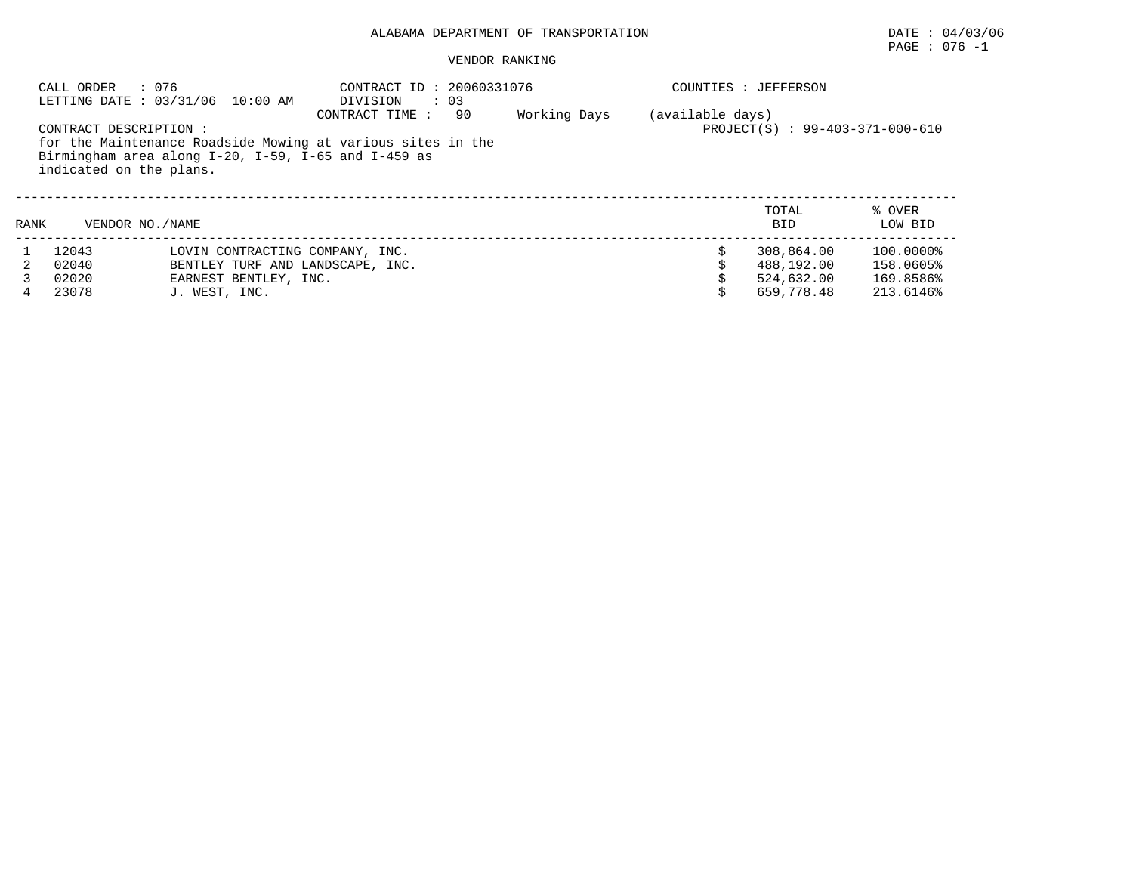## PAGE : 076 -1

|      | : 076<br>CALL ORDER                               | LETTING DATE: 03/31/06 10:00 AM                                                                                    | CONTRACT ID: 20060331076<br>DIVISION<br>$\therefore$ 03 |    |              |                  | COUNTIES : JEFFERSON           |                   |  |  |
|------|---------------------------------------------------|--------------------------------------------------------------------------------------------------------------------|---------------------------------------------------------|----|--------------|------------------|--------------------------------|-------------------|--|--|
|      | CONTRACT DESCRIPTION :<br>indicated on the plans. | for the Maintenance Roadside Mowing at various sites in the<br>Birmingham area along I-20, I-59, I-65 and I-459 as | CONTRACT TIME :                                         | 90 | Working Days | (available days) | PROJECT(S): 99-403-371-000-610 |                   |  |  |
| RANK | VENDOR NO. / NAME                                 |                                                                                                                    |                                                         |    |              |                  | TOTAL<br><b>BID</b>            | % OVER<br>LOW BID |  |  |
|      | 12043                                             | LOVIN CONTRACTING COMPANY, INC.                                                                                    |                                                         |    |              |                  | 308,864.00                     | 100.0000%         |  |  |
|      | 02040                                             | BENTLEY TURF AND LANDSCAPE, INC.                                                                                   |                                                         |    |              |                  | 488,192.00                     | 158.0605%         |  |  |
|      | 02020                                             | EARNEST BENTLEY, INC.                                                                                              |                                                         |    |              |                  | 524,632.00                     | 169.8586%         |  |  |
| 4    | 23078                                             | J. WEST, INC.                                                                                                      |                                                         |    |              |                  | 659,778.48                     | 213.6146%         |  |  |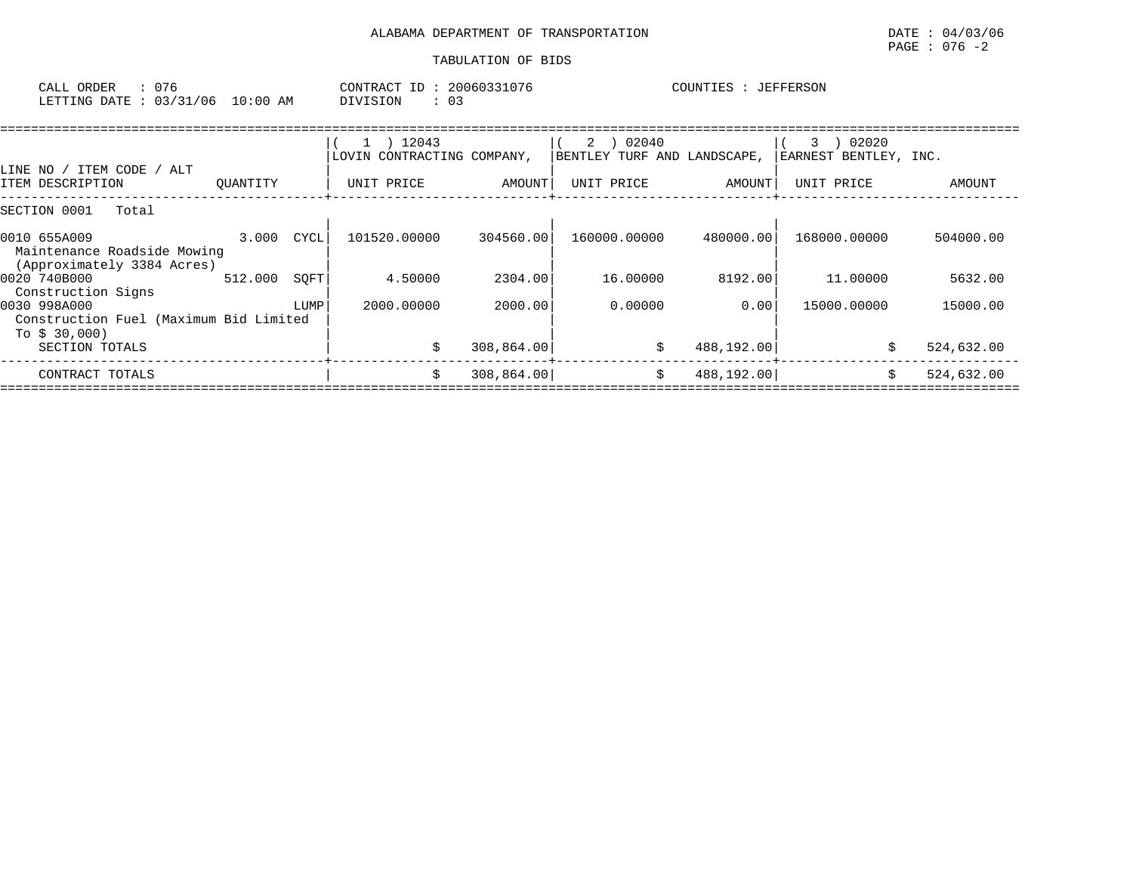| CALL ORDER : 076                |  | CONTRACT ID: 20060331076 | COUNTIES : JEFFERSON |
|---------------------------------|--|--------------------------|----------------------|
| LETTING DATE: 03/31/06 10:00 AM |  | DIVISION                 |                      |

|                                                                           |            |      | $1$ ) 12043<br>LOVIN CONTRACTING COMPANY, |             | 02040<br>$2 \rightarrow$<br>BENTLEY TURF AND LANDSCAPE, |            | 02020<br>3<br>EARNEST BENTLEY, INC. |            |
|---------------------------------------------------------------------------|------------|------|-------------------------------------------|-------------|---------------------------------------------------------|------------|-------------------------------------|------------|
| LINE NO / ITEM CODE / ALT<br>ITEM DESCRIPTION                             | OUANTITY   |      | UNIT PRICE                                | AMOUNT      | UNIT PRICE                                              | AMOUNT     | UNIT PRICE                          | AMOUNT     |
| SECTION 0001<br>Total                                                     |            |      |                                           |             |                                                         |            |                                     |            |
| 0010 655A009<br>Maintenance Roadside Mowing<br>(Approximately 3384 Acres) | 3.000 CYCL |      | 101520.00000                              | 304560.00   | 160000.00000                                            | 480000.00  | 168000.00000                        | 504000.00  |
| 0020 740B000<br>Construction Signs                                        | 512.000    | SOFT | 4.50000                                   | 2304.00     | 16.00000                                                | 8192.00    | 11,00000                            | 5632.00    |
| 0030 998A000<br>Construction Fuel (Maximum Bid Limited<br>To \$ 30,000)   |            | LUMP | 2000.00000                                | 2000.00     | 0.00000                                                 | 0.00       | 15000.00000                         | 15000.00   |
| SECTION TOTALS                                                            |            |      |                                           | 308,864.00  | \$                                                      | 488,192.00 |                                     | 524,632.00 |
| CONTRACT TOTALS                                                           |            |      | S                                         | 308, 864.00 | \$                                                      | 488,192.00 |                                     | 524,632.00 |